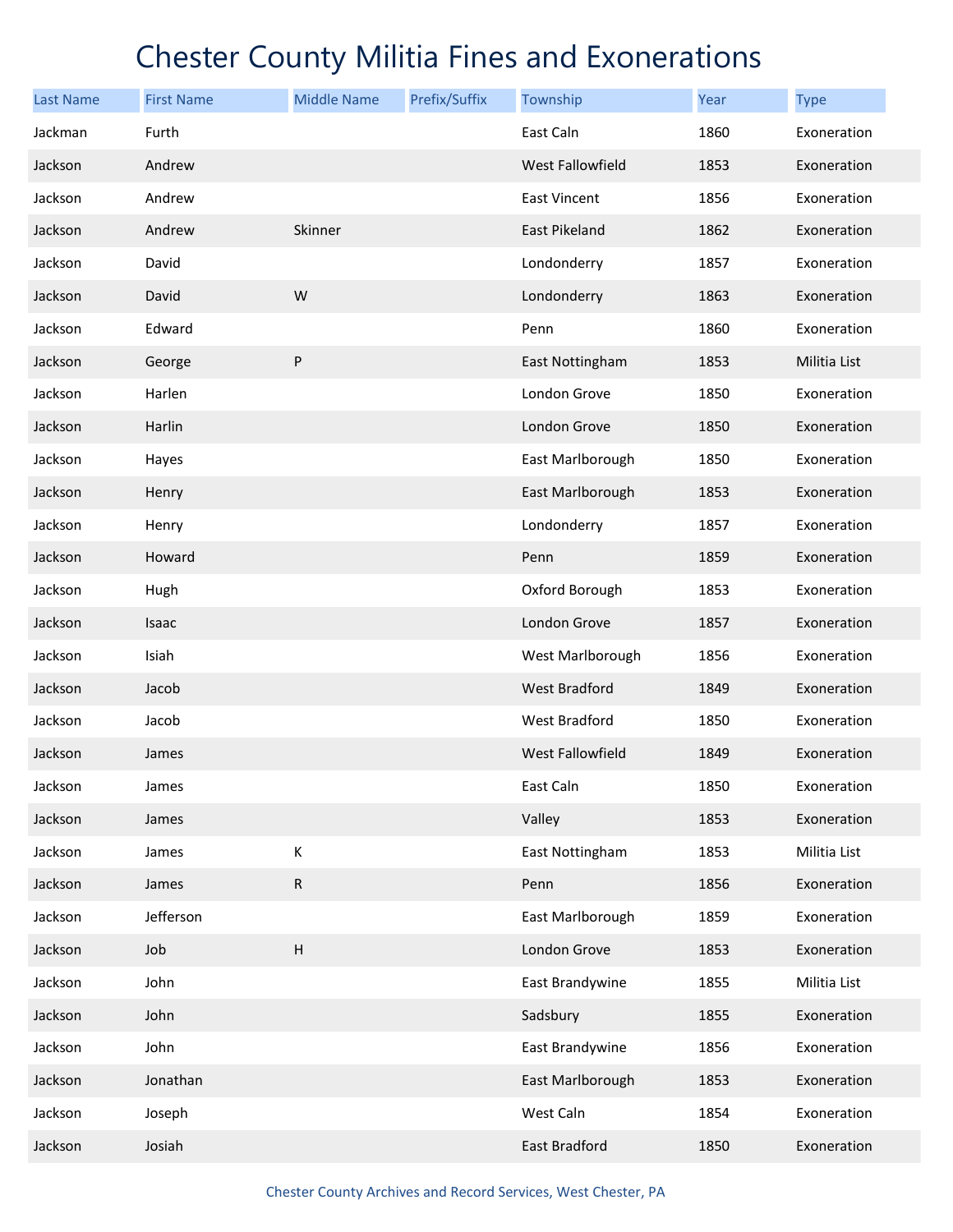| <b>Last Name</b> | <b>First Name</b> | <b>Middle Name</b>        | Prefix/Suffix | Township             | Year | <b>Type</b>  |
|------------------|-------------------|---------------------------|---------------|----------------------|------|--------------|
| Jackman          | Furth             |                           |               | East Caln            | 1860 | Exoneration  |
| Jackson          | Andrew            |                           |               | West Fallowfield     | 1853 | Exoneration  |
| Jackson          | Andrew            |                           |               | East Vincent         | 1856 | Exoneration  |
| Jackson          | Andrew            | Skinner                   |               | <b>East Pikeland</b> | 1862 | Exoneration  |
| Jackson          | David             |                           |               | Londonderry          | 1857 | Exoneration  |
| Jackson          | David             | W                         |               | Londonderry          | 1863 | Exoneration  |
| Jackson          | Edward            |                           |               | Penn                 | 1860 | Exoneration  |
| Jackson          | George            | ${\sf P}$                 |               | East Nottingham      | 1853 | Militia List |
| Jackson          | Harlen            |                           |               | London Grove         | 1850 | Exoneration  |
| Jackson          | Harlin            |                           |               | London Grove         | 1850 | Exoneration  |
| Jackson          | Hayes             |                           |               | East Marlborough     | 1850 | Exoneration  |
| Jackson          | Henry             |                           |               | East Marlborough     | 1853 | Exoneration  |
| Jackson          | Henry             |                           |               | Londonderry          | 1857 | Exoneration  |
| Jackson          | Howard            |                           |               | Penn                 | 1859 | Exoneration  |
| Jackson          | Hugh              |                           |               | Oxford Borough       | 1853 | Exoneration  |
| Jackson          | Isaac             |                           |               | London Grove         | 1857 | Exoneration  |
| Jackson          | Isiah             |                           |               | West Marlborough     | 1856 | Exoneration  |
| Jackson          | Jacob             |                           |               | <b>West Bradford</b> | 1849 | Exoneration  |
| Jackson          | Jacob             |                           |               | West Bradford        | 1850 | Exoneration  |
| Jackson          | James             |                           |               | West Fallowfield     | 1849 | Exoneration  |
| Jackson          | James             |                           |               | East Caln            | 1850 | Exoneration  |
| Jackson          | James             |                           |               | Valley               | 1853 | Exoneration  |
| Jackson          | James             | К                         |               | East Nottingham      | 1853 | Militia List |
| Jackson          | James             | ${\sf R}$                 |               | Penn                 | 1856 | Exoneration  |
| Jackson          | Jefferson         |                           |               | East Marlborough     | 1859 | Exoneration  |
| Jackson          | Job               | $\boldsymbol{\mathsf{H}}$ |               | London Grove         | 1853 | Exoneration  |
| Jackson          | John              |                           |               | East Brandywine      | 1855 | Militia List |
| Jackson          | John              |                           |               | Sadsbury             | 1855 | Exoneration  |
| Jackson          | John              |                           |               | East Brandywine      | 1856 | Exoneration  |
| Jackson          | Jonathan          |                           |               | East Marlborough     | 1853 | Exoneration  |
| Jackson          | Joseph            |                           |               | West Caln            | 1854 | Exoneration  |
| Jackson          | Josiah            |                           |               | East Bradford        | 1850 | Exoneration  |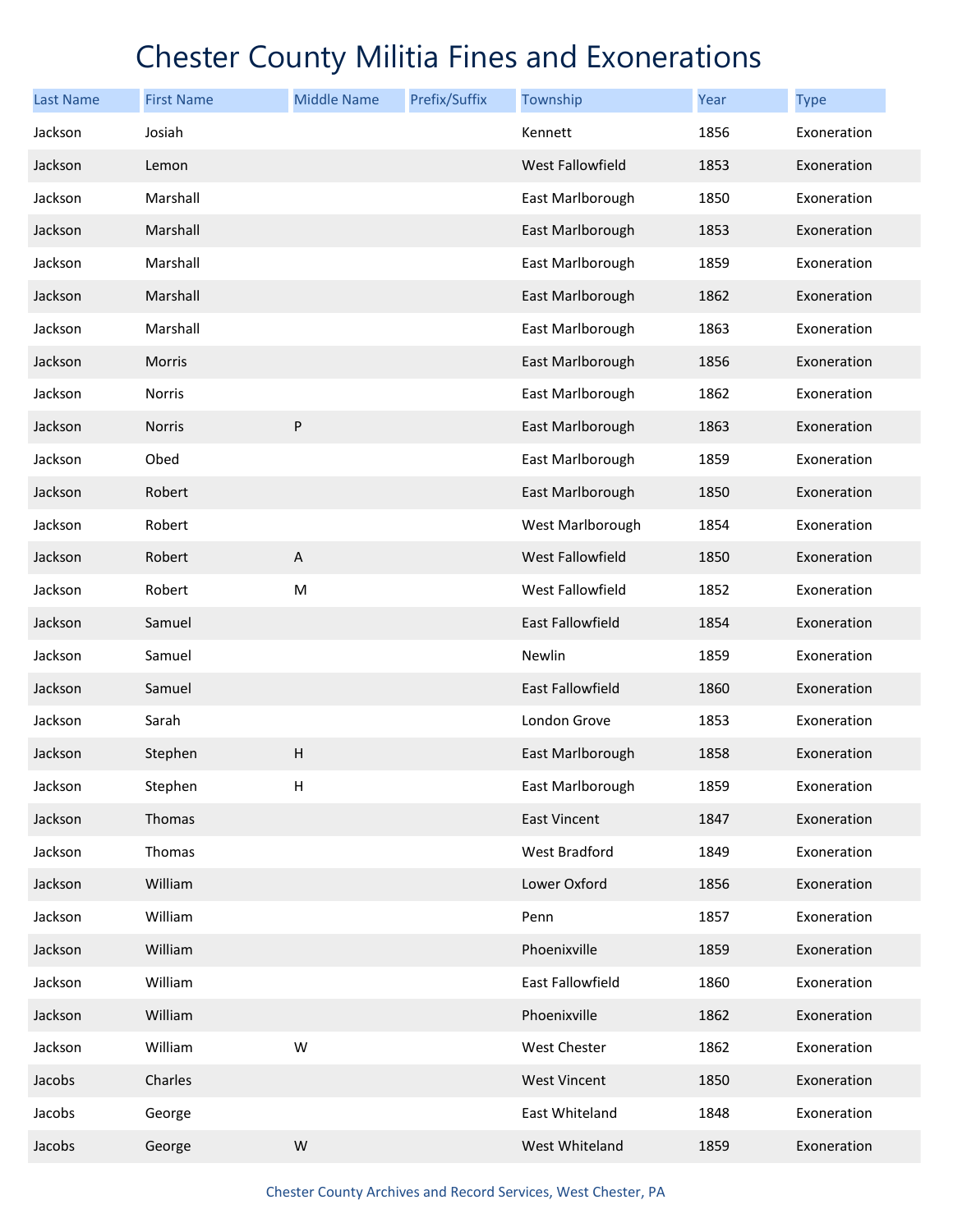| <b>Last Name</b> | <b>First Name</b> | <b>Middle Name</b>        | Prefix/Suffix | Township                | Year | <b>Type</b> |
|------------------|-------------------|---------------------------|---------------|-------------------------|------|-------------|
| Jackson          | Josiah            |                           |               | Kennett                 | 1856 | Exoneration |
| Jackson          | Lemon             |                           |               | West Fallowfield        | 1853 | Exoneration |
| Jackson          | Marshall          |                           |               | East Marlborough        | 1850 | Exoneration |
| Jackson          | Marshall          |                           |               | East Marlborough        | 1853 | Exoneration |
| Jackson          | Marshall          |                           |               | East Marlborough        | 1859 | Exoneration |
| Jackson          | Marshall          |                           |               | East Marlborough        | 1862 | Exoneration |
| Jackson          | Marshall          |                           |               | East Marlborough        | 1863 | Exoneration |
| Jackson          | Morris            |                           |               | East Marlborough        | 1856 | Exoneration |
| Jackson          | Norris            |                           |               | East Marlborough        | 1862 | Exoneration |
| Jackson          | <b>Norris</b>     | ${\sf P}$                 |               | East Marlborough        | 1863 | Exoneration |
| Jackson          | Obed              |                           |               | East Marlborough        | 1859 | Exoneration |
| Jackson          | Robert            |                           |               | East Marlborough        | 1850 | Exoneration |
| Jackson          | Robert            |                           |               | West Marlborough        | 1854 | Exoneration |
| Jackson          | Robert            | $\boldsymbol{\mathsf{A}}$ |               | West Fallowfield        | 1850 | Exoneration |
| Jackson          | Robert            | M                         |               | West Fallowfield        | 1852 | Exoneration |
| Jackson          | Samuel            |                           |               | <b>East Fallowfield</b> | 1854 | Exoneration |
| Jackson          | Samuel            |                           |               | Newlin                  | 1859 | Exoneration |
| Jackson          | Samuel            |                           |               | East Fallowfield        | 1860 | Exoneration |
| Jackson          | Sarah             |                           |               | London Grove            | 1853 | Exoneration |
| Jackson          | Stephen           | $\boldsymbol{\mathsf{H}}$ |               | East Marlborough        | 1858 | Exoneration |
| Jackson          | Stephen           | Н                         |               | East Marlborough        | 1859 | Exoneration |
| Jackson          | Thomas            |                           |               | <b>East Vincent</b>     | 1847 | Exoneration |
| Jackson          | Thomas            |                           |               | West Bradford           | 1849 | Exoneration |
| Jackson          | William           |                           |               | Lower Oxford            | 1856 | Exoneration |
| Jackson          | William           |                           |               | Penn                    | 1857 | Exoneration |
| Jackson          | William           |                           |               | Phoenixville            | 1859 | Exoneration |
| Jackson          | William           |                           |               | East Fallowfield        | 1860 | Exoneration |
| Jackson          | William           |                           |               | Phoenixville            | 1862 | Exoneration |
| Jackson          | William           | W                         |               | West Chester            | 1862 | Exoneration |
| Jacobs           | Charles           |                           |               | <b>West Vincent</b>     | 1850 | Exoneration |
| Jacobs           | George            |                           |               | East Whiteland          | 1848 | Exoneration |
| Jacobs           | George            | W                         |               | West Whiteland          | 1859 | Exoneration |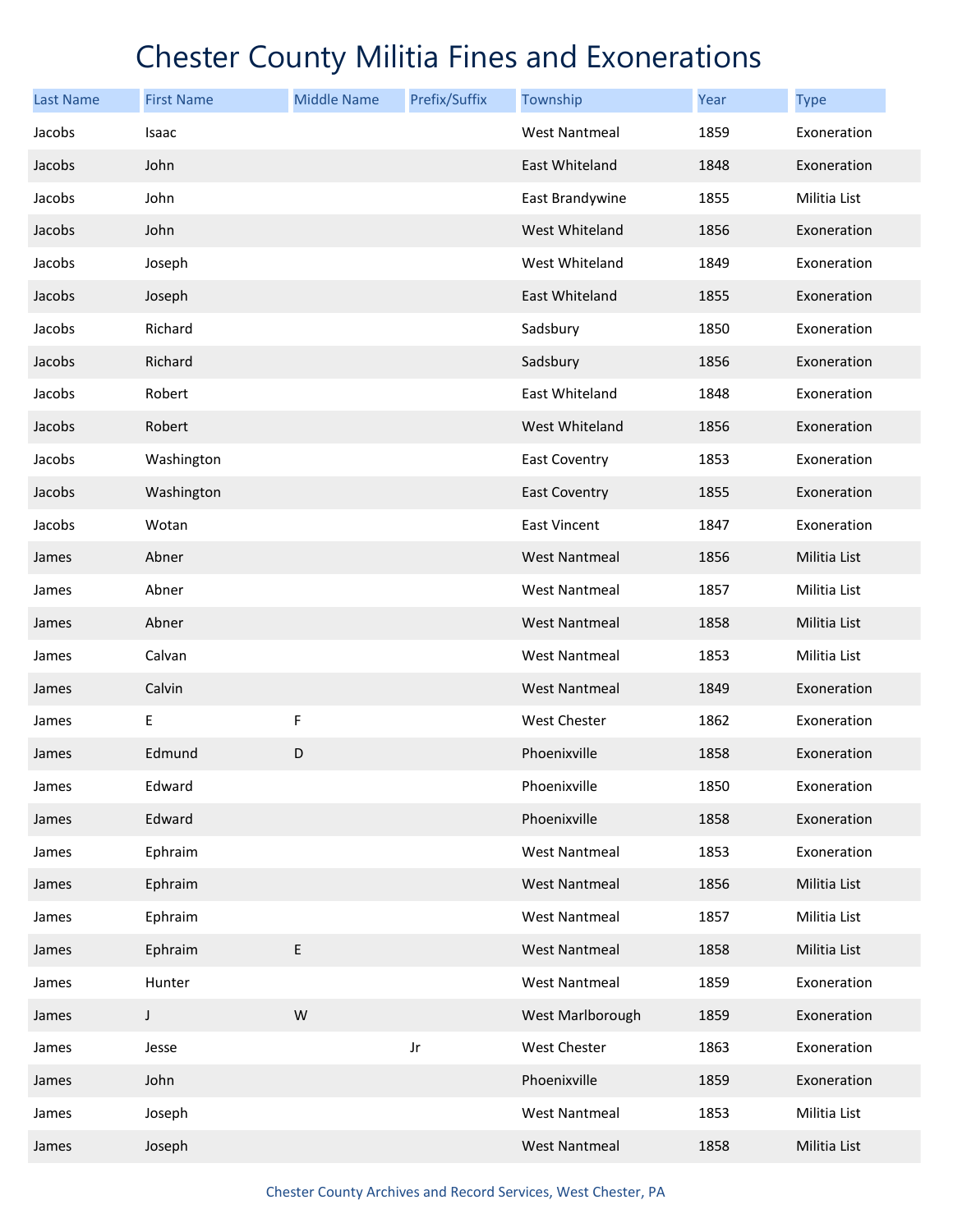| <b>Last Name</b> | <b>First Name</b> | <b>Middle Name</b> | Prefix/Suffix | Township             | Year | <b>Type</b>  |
|------------------|-------------------|--------------------|---------------|----------------------|------|--------------|
| Jacobs           | Isaac             |                    |               | <b>West Nantmeal</b> | 1859 | Exoneration  |
| Jacobs           | John              |                    |               | East Whiteland       | 1848 | Exoneration  |
| Jacobs           | John              |                    |               | East Brandywine      | 1855 | Militia List |
| Jacobs           | John              |                    |               | West Whiteland       | 1856 | Exoneration  |
| Jacobs           | Joseph            |                    |               | West Whiteland       | 1849 | Exoneration  |
| Jacobs           | Joseph            |                    |               | East Whiteland       | 1855 | Exoneration  |
| Jacobs           | Richard           |                    |               | Sadsbury             | 1850 | Exoneration  |
| Jacobs           | Richard           |                    |               | Sadsbury             | 1856 | Exoneration  |
| Jacobs           | Robert            |                    |               | East Whiteland       | 1848 | Exoneration  |
| Jacobs           | Robert            |                    |               | West Whiteland       | 1856 | Exoneration  |
| Jacobs           | Washington        |                    |               | East Coventry        | 1853 | Exoneration  |
| Jacobs           | Washington        |                    |               | <b>East Coventry</b> | 1855 | Exoneration  |
| Jacobs           | Wotan             |                    |               | <b>East Vincent</b>  | 1847 | Exoneration  |
| James            | Abner             |                    |               | <b>West Nantmeal</b> | 1856 | Militia List |
| James            | Abner             |                    |               | <b>West Nantmeal</b> | 1857 | Militia List |
| James            | Abner             |                    |               | <b>West Nantmeal</b> | 1858 | Militia List |
| James            | Calvan            |                    |               | <b>West Nantmeal</b> | 1853 | Militia List |
| James            | Calvin            |                    |               | <b>West Nantmeal</b> | 1849 | Exoneration  |
| James            | E                 | F                  |               | West Chester         | 1862 | Exoneration  |
| James            | Edmund            | D                  |               | Phoenixville         | 1858 | Exoneration  |
| James            | Edward            |                    |               | Phoenixville         | 1850 | Exoneration  |
| James            | Edward            |                    |               | Phoenixville         | 1858 | Exoneration  |
| James            | Ephraim           |                    |               | <b>West Nantmeal</b> | 1853 | Exoneration  |
| James            | Ephraim           |                    |               | <b>West Nantmeal</b> | 1856 | Militia List |
| James            | Ephraim           |                    |               | <b>West Nantmeal</b> | 1857 | Militia List |
| James            | Ephraim           | E                  |               | <b>West Nantmeal</b> | 1858 | Militia List |
| James            | Hunter            |                    |               | <b>West Nantmeal</b> | 1859 | Exoneration  |
| James            | $\mathsf J$       | W                  |               | West Marlborough     | 1859 | Exoneration  |
| James            | Jesse             |                    | Jr            | West Chester         | 1863 | Exoneration  |
| James            | John              |                    |               | Phoenixville         | 1859 | Exoneration  |
| James            | Joseph            |                    |               | <b>West Nantmeal</b> | 1853 | Militia List |
| James            | Joseph            |                    |               | <b>West Nantmeal</b> | 1858 | Militia List |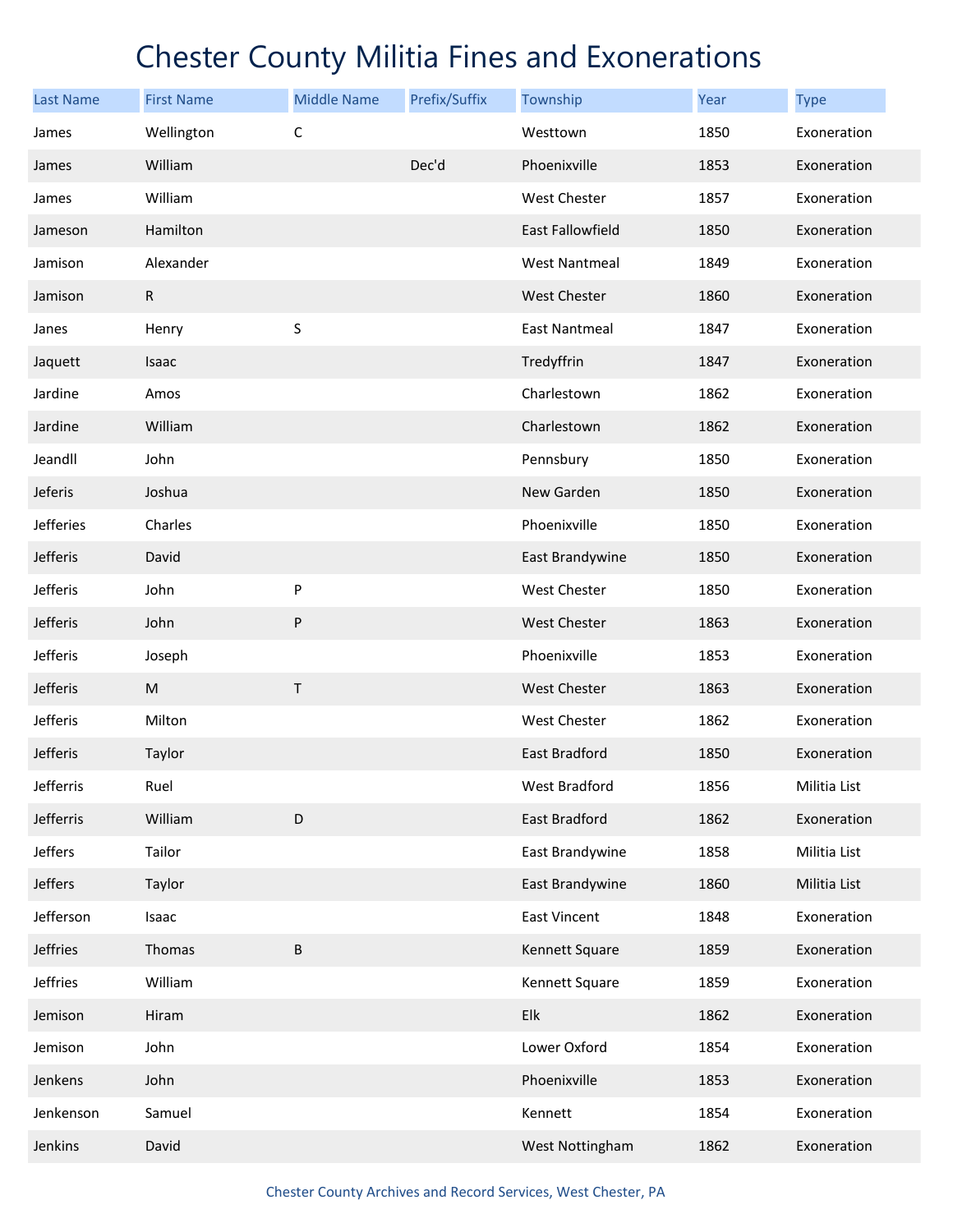| <b>Last Name</b> | <b>First Name</b> | <b>Middle Name</b> | Prefix/Suffix | Township             | Year | <b>Type</b>  |
|------------------|-------------------|--------------------|---------------|----------------------|------|--------------|
| James            | Wellington        | $\mathsf C$        |               | Westtown             | 1850 | Exoneration  |
| James            | William           |                    | Dec'd         | Phoenixville         | 1853 | Exoneration  |
| James            | William           |                    |               | West Chester         | 1857 | Exoneration  |
| Jameson          | Hamilton          |                    |               | East Fallowfield     | 1850 | Exoneration  |
| Jamison          | Alexander         |                    |               | <b>West Nantmeal</b> | 1849 | Exoneration  |
| Jamison          | $\mathsf{R}$      |                    |               | <b>West Chester</b>  | 1860 | Exoneration  |
| Janes            | Henry             | S                  |               | <b>East Nantmeal</b> | 1847 | Exoneration  |
| Jaquett          | Isaac             |                    |               | Tredyffrin           | 1847 | Exoneration  |
| Jardine          | Amos              |                    |               | Charlestown          | 1862 | Exoneration  |
| Jardine          | William           |                    |               | Charlestown          | 1862 | Exoneration  |
| Jeandll          | John              |                    |               | Pennsbury            | 1850 | Exoneration  |
| Jeferis          | Joshua            |                    |               | New Garden           | 1850 | Exoneration  |
| Jefferies        | Charles           |                    |               | Phoenixville         | 1850 | Exoneration  |
| Jefferis         | David             |                    |               | East Brandywine      | 1850 | Exoneration  |
| Jefferis         | John              | P                  |               | <b>West Chester</b>  | 1850 | Exoneration  |
| Jefferis         | John              | ${\sf P}$          |               | <b>West Chester</b>  | 1863 | Exoneration  |
| Jefferis         | Joseph            |                    |               | Phoenixville         | 1853 | Exoneration  |
| Jefferis         | ${\sf M}$         | $\sf T$            |               | <b>West Chester</b>  | 1863 | Exoneration  |
| Jefferis         | Milton            |                    |               | <b>West Chester</b>  | 1862 | Exoneration  |
| Jefferis         | Taylor            |                    |               | East Bradford        | 1850 | Exoneration  |
| Jefferris        | Ruel              |                    |               | West Bradford        | 1856 | Militia List |
| Jefferris        | William           | $\mathsf D$        |               | East Bradford        | 1862 | Exoneration  |
| Jeffers          | Tailor            |                    |               | East Brandywine      | 1858 | Militia List |
| Jeffers          | Taylor            |                    |               | East Brandywine      | 1860 | Militia List |
| Jefferson        | Isaac             |                    |               | <b>East Vincent</b>  | 1848 | Exoneration  |
| Jeffries         | Thomas            | $\sf B$            |               | Kennett Square       | 1859 | Exoneration  |
| Jeffries         | William           |                    |               | Kennett Square       | 1859 | Exoneration  |
| Jemison          | Hiram             |                    |               | Elk                  | 1862 | Exoneration  |
| Jemison          | John              |                    |               | Lower Oxford         | 1854 | Exoneration  |
| Jenkens          | John              |                    |               | Phoenixville         | 1853 | Exoneration  |
| Jenkenson        | Samuel            |                    |               | Kennett              | 1854 | Exoneration  |
| Jenkins          | David             |                    |               | West Nottingham      | 1862 | Exoneration  |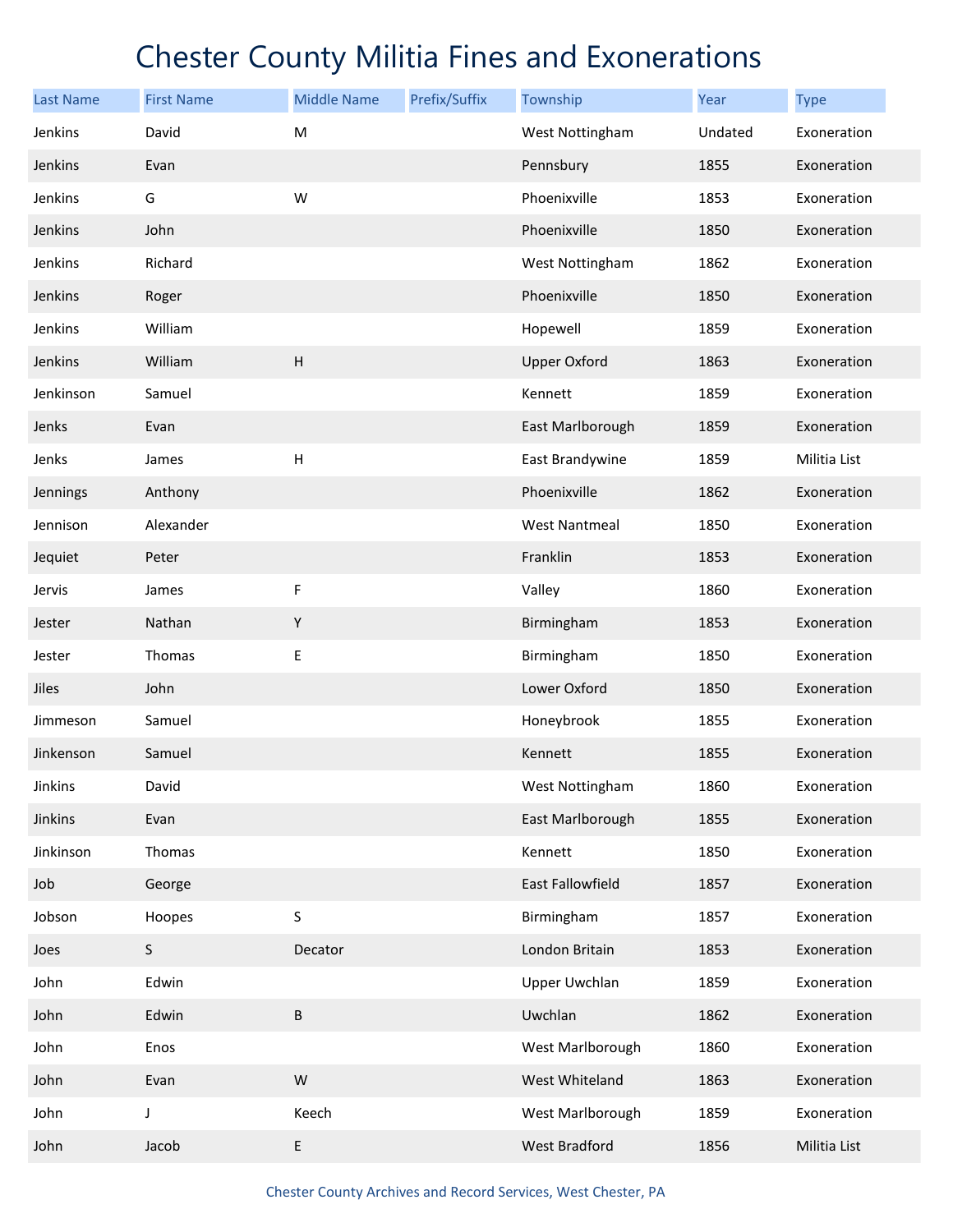| <b>Last Name</b> | <b>First Name</b> | <b>Middle Name</b>        | Prefix/Suffix | Township             | Year    | <b>Type</b>  |
|------------------|-------------------|---------------------------|---------------|----------------------|---------|--------------|
| Jenkins          | David             | M                         |               | West Nottingham      | Undated | Exoneration  |
| Jenkins          | Evan              |                           |               | Pennsbury            | 1855    | Exoneration  |
| Jenkins          | G                 | W                         |               | Phoenixville         | 1853    | Exoneration  |
| Jenkins          | John              |                           |               | Phoenixville         | 1850    | Exoneration  |
| Jenkins          | Richard           |                           |               | West Nottingham      | 1862    | Exoneration  |
| Jenkins          | Roger             |                           |               | Phoenixville         | 1850    | Exoneration  |
| Jenkins          | William           |                           |               | Hopewell             | 1859    | Exoneration  |
| Jenkins          | William           | H                         |               | <b>Upper Oxford</b>  | 1863    | Exoneration  |
| Jenkinson        | Samuel            |                           |               | Kennett              | 1859    | Exoneration  |
| Jenks            | Evan              |                           |               | East Marlborough     | 1859    | Exoneration  |
| Jenks            | James             | $\boldsymbol{\mathsf{H}}$ |               | East Brandywine      | 1859    | Militia List |
| Jennings         | Anthony           |                           |               | Phoenixville         | 1862    | Exoneration  |
| Jennison         | Alexander         |                           |               | <b>West Nantmeal</b> | 1850    | Exoneration  |
| Jequiet          | Peter             |                           |               | Franklin             | 1853    | Exoneration  |
| Jervis           | James             | F                         |               | Valley               | 1860    | Exoneration  |
| Jester           | Nathan            | $\mathsf Y$               |               | Birmingham           | 1853    | Exoneration  |
| Jester           | Thomas            | Е                         |               | Birmingham           | 1850    | Exoneration  |
| Jiles            | John              |                           |               | Lower Oxford         | 1850    | Exoneration  |
| Jimmeson         | Samuel            |                           |               | Honeybrook           | 1855    | Exoneration  |
| Jinkenson        | Samuel            |                           |               | Kennett              | 1855    | Exoneration  |
| Jinkins          | David             |                           |               | West Nottingham      | 1860    | Exoneration  |
| Jinkins          | Evan              |                           |               | East Marlborough     | 1855    | Exoneration  |
| Jinkinson        | Thomas            |                           |               | Kennett              | 1850    | Exoneration  |
| Job              | George            |                           |               | East Fallowfield     | 1857    | Exoneration  |
| Jobson           | Hoopes            | S                         |               | Birmingham           | 1857    | Exoneration  |
| Joes             | $\sf S$           | Decator                   |               | London Britain       | 1853    | Exoneration  |
| John             | Edwin             |                           |               | <b>Upper Uwchlan</b> | 1859    | Exoneration  |
| John             | Edwin             | $\sf B$                   |               | Uwchlan              | 1862    | Exoneration  |
| John             | Enos              |                           |               | West Marlborough     | 1860    | Exoneration  |
| John             | Evan              | ${\sf W}$                 |               | West Whiteland       | 1863    | Exoneration  |
| John             | J                 | Keech                     |               | West Marlborough     | 1859    | Exoneration  |
| John             | Jacob             | $\sf E$                   |               | <b>West Bradford</b> | 1856    | Militia List |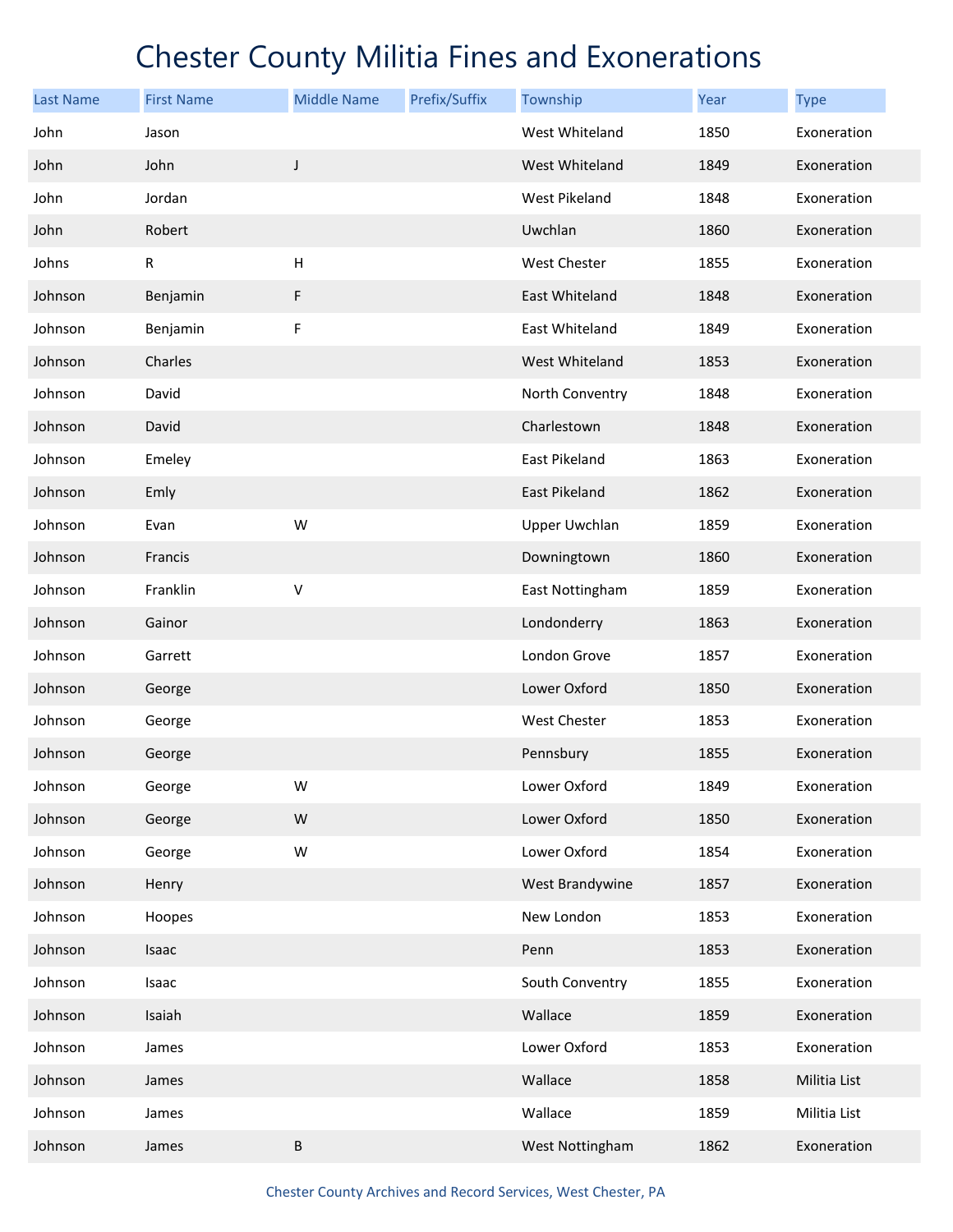| <b>Last Name</b> | <b>First Name</b> | <b>Middle Name</b>        | Prefix/Suffix | Township             | Year | <b>Type</b>  |
|------------------|-------------------|---------------------------|---------------|----------------------|------|--------------|
| John             | Jason             |                           |               | West Whiteland       | 1850 | Exoneration  |
| John             | John              | $\mathsf J$               |               | West Whiteland       | 1849 | Exoneration  |
| John             | Jordan            |                           |               | West Pikeland        | 1848 | Exoneration  |
| John             | Robert            |                           |               | Uwchlan              | 1860 | Exoneration  |
| Johns            | R                 | $\boldsymbol{\mathsf{H}}$ |               | West Chester         | 1855 | Exoneration  |
| Johnson          | Benjamin          | F                         |               | East Whiteland       | 1848 | Exoneration  |
| Johnson          | Benjamin          | F                         |               | East Whiteland       | 1849 | Exoneration  |
| Johnson          | Charles           |                           |               | West Whiteland       | 1853 | Exoneration  |
| Johnson          | David             |                           |               | North Conventry      | 1848 | Exoneration  |
| Johnson          | David             |                           |               | Charlestown          | 1848 | Exoneration  |
| Johnson          | Emeley            |                           |               | <b>East Pikeland</b> | 1863 | Exoneration  |
| Johnson          | Emly              |                           |               | <b>East Pikeland</b> | 1862 | Exoneration  |
| Johnson          | Evan              | W                         |               | <b>Upper Uwchlan</b> | 1859 | Exoneration  |
| Johnson          | Francis           |                           |               | Downingtown          | 1860 | Exoneration  |
| Johnson          | Franklin          | V                         |               | East Nottingham      | 1859 | Exoneration  |
| Johnson          | Gainor            |                           |               | Londonderry          | 1863 | Exoneration  |
| Johnson          | Garrett           |                           |               | London Grove         | 1857 | Exoneration  |
| Johnson          | George            |                           |               | Lower Oxford         | 1850 | Exoneration  |
| Johnson          | George            |                           |               | West Chester         | 1853 | Exoneration  |
| Johnson          | George            |                           |               | Pennsbury            | 1855 | Exoneration  |
| Johnson          | George            | W                         |               | Lower Oxford         | 1849 | Exoneration  |
| Johnson          | George            | W                         |               | Lower Oxford         | 1850 | Exoneration  |
| Johnson          | George            | W                         |               | Lower Oxford         | 1854 | Exoneration  |
| Johnson          | Henry             |                           |               | West Brandywine      | 1857 | Exoneration  |
| Johnson          | Hoopes            |                           |               | New London           | 1853 | Exoneration  |
| Johnson          | Isaac             |                           |               | Penn                 | 1853 | Exoneration  |
| Johnson          | Isaac             |                           |               | South Conventry      | 1855 | Exoneration  |
| Johnson          | Isaiah            |                           |               | Wallace              | 1859 | Exoneration  |
| Johnson          | James             |                           |               | Lower Oxford         | 1853 | Exoneration  |
| Johnson          | James             |                           |               | Wallace              | 1858 | Militia List |
| Johnson          | James             |                           |               | Wallace              | 1859 | Militia List |
| Johnson          | James             | $\sf B$                   |               | West Nottingham      | 1862 | Exoneration  |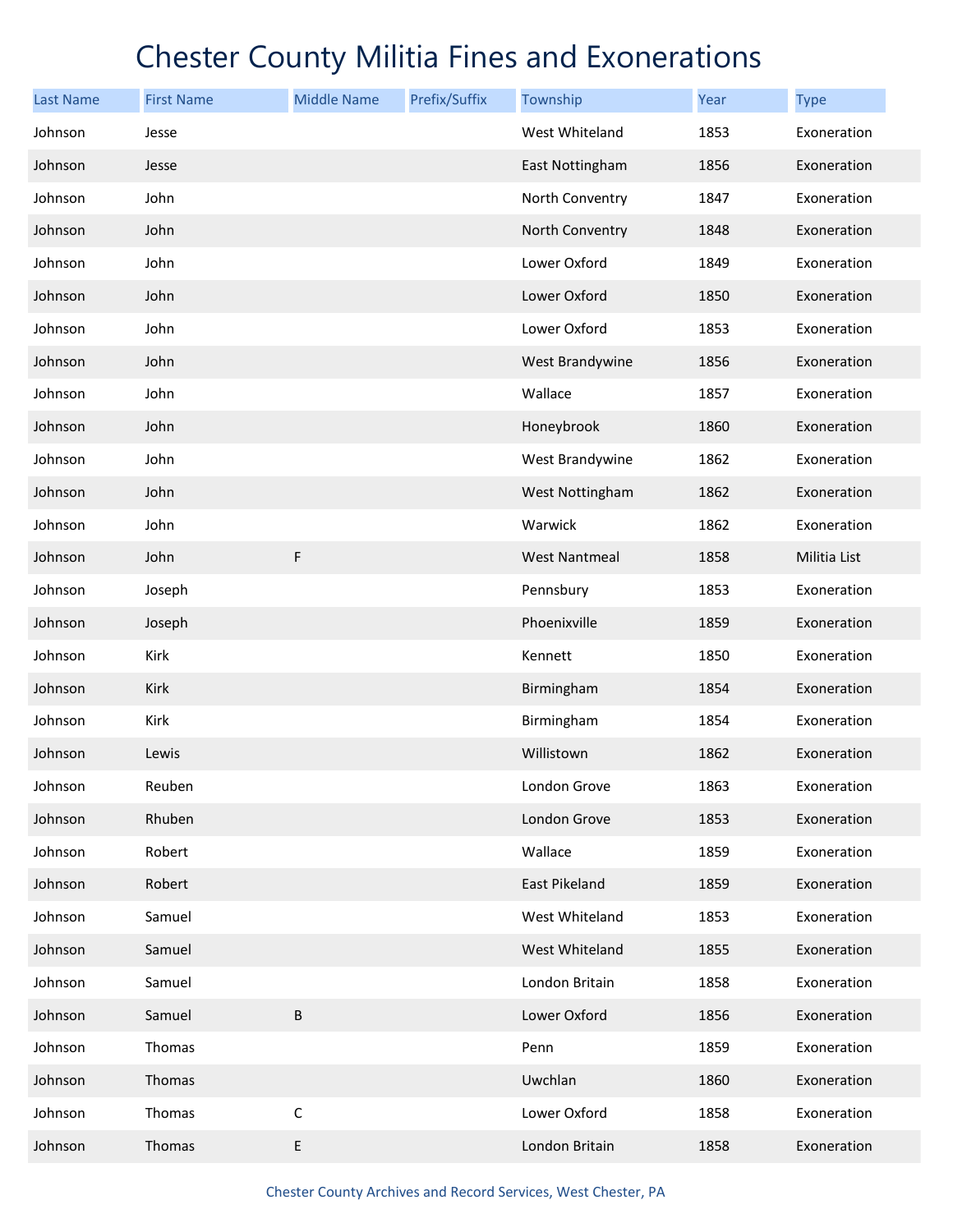| <b>Last Name</b> | <b>First Name</b> | <b>Middle Name</b> | Prefix/Suffix | Township             | Year | <b>Type</b>  |
|------------------|-------------------|--------------------|---------------|----------------------|------|--------------|
| Johnson          | Jesse             |                    |               | West Whiteland       | 1853 | Exoneration  |
| Johnson          | Jesse             |                    |               | East Nottingham      | 1856 | Exoneration  |
| Johnson          | John              |                    |               | North Conventry      | 1847 | Exoneration  |
| Johnson          | John              |                    |               | North Conventry      | 1848 | Exoneration  |
| Johnson          | John              |                    |               | Lower Oxford         | 1849 | Exoneration  |
| Johnson          | John              |                    |               | Lower Oxford         | 1850 | Exoneration  |
| Johnson          | John              |                    |               | Lower Oxford         | 1853 | Exoneration  |
| Johnson          | John              |                    |               | West Brandywine      | 1856 | Exoneration  |
| Johnson          | John              |                    |               | Wallace              | 1857 | Exoneration  |
| Johnson          | John              |                    |               | Honeybrook           | 1860 | Exoneration  |
| Johnson          | John              |                    |               | West Brandywine      | 1862 | Exoneration  |
| Johnson          | John              |                    |               | West Nottingham      | 1862 | Exoneration  |
| Johnson          | John              |                    |               | Warwick              | 1862 | Exoneration  |
| Johnson          | John              | $\mathsf F$        |               | <b>West Nantmeal</b> | 1858 | Militia List |
| Johnson          | Joseph            |                    |               | Pennsbury            | 1853 | Exoneration  |
| Johnson          | Joseph            |                    |               | Phoenixville         | 1859 | Exoneration  |
| Johnson          | Kirk              |                    |               | Kennett              | 1850 | Exoneration  |
| Johnson          | Kirk              |                    |               | Birmingham           | 1854 | Exoneration  |
| Johnson          | Kirk              |                    |               | Birmingham           | 1854 | Exoneration  |
| Johnson          | Lewis             |                    |               | Willistown           | 1862 | Exoneration  |
| Johnson          | Reuben            |                    |               | London Grove         | 1863 | Exoneration  |
| Johnson          | Rhuben            |                    |               | London Grove         | 1853 | Exoneration  |
| Johnson          | Robert            |                    |               | Wallace              | 1859 | Exoneration  |
| Johnson          | Robert            |                    |               | East Pikeland        | 1859 | Exoneration  |
| Johnson          | Samuel            |                    |               | West Whiteland       | 1853 | Exoneration  |
| Johnson          | Samuel            |                    |               | West Whiteland       | 1855 | Exoneration  |
| Johnson          | Samuel            |                    |               | London Britain       | 1858 | Exoneration  |
| Johnson          | Samuel            | $\sf B$            |               | Lower Oxford         | 1856 | Exoneration  |
| Johnson          | Thomas            |                    |               | Penn                 | 1859 | Exoneration  |
| Johnson          | Thomas            |                    |               | Uwchlan              | 1860 | Exoneration  |
| Johnson          | Thomas            | $\mathsf C$        |               | Lower Oxford         | 1858 | Exoneration  |
| Johnson          | Thomas            | E                  |               | London Britain       | 1858 | Exoneration  |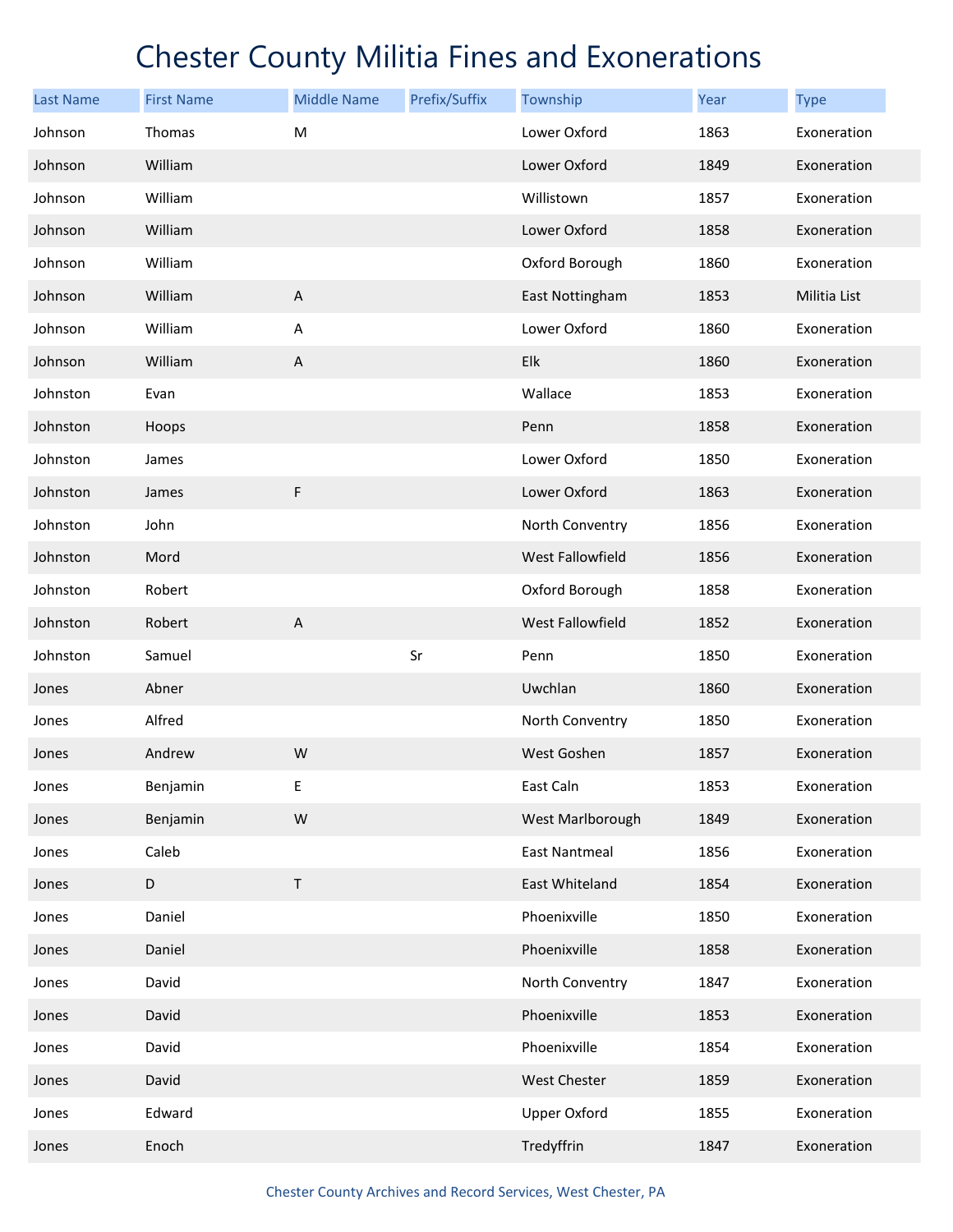| <b>Last Name</b> | <b>First Name</b> | <b>Middle Name</b> | Prefix/Suffix | Township             | Year | <b>Type</b>  |
|------------------|-------------------|--------------------|---------------|----------------------|------|--------------|
| Johnson          | Thomas            | M                  |               | Lower Oxford         | 1863 | Exoneration  |
| Johnson          | William           |                    |               | Lower Oxford         | 1849 | Exoneration  |
| Johnson          | William           |                    |               | Willistown           | 1857 | Exoneration  |
| Johnson          | William           |                    |               | Lower Oxford         | 1858 | Exoneration  |
| Johnson          | William           |                    |               | Oxford Borough       | 1860 | Exoneration  |
| Johnson          | William           | $\sf A$            |               | East Nottingham      | 1853 | Militia List |
| Johnson          | William           | A                  |               | Lower Oxford         | 1860 | Exoneration  |
| Johnson          | William           | $\sf A$            |               | Elk                  | 1860 | Exoneration  |
| Johnston         | Evan              |                    |               | Wallace              | 1853 | Exoneration  |
| Johnston         | Hoops             |                    |               | Penn                 | 1858 | Exoneration  |
| Johnston         | James             |                    |               | Lower Oxford         | 1850 | Exoneration  |
| Johnston         | James             | $\mathsf F$        |               | Lower Oxford         | 1863 | Exoneration  |
| Johnston         | John              |                    |               | North Conventry      | 1856 | Exoneration  |
| Johnston         | Mord              |                    |               | West Fallowfield     | 1856 | Exoneration  |
| Johnston         | Robert            |                    |               | Oxford Borough       | 1858 | Exoneration  |
| Johnston         | Robert            | $\mathsf A$        |               | West Fallowfield     | 1852 | Exoneration  |
| Johnston         | Samuel            |                    | Sr            | Penn                 | 1850 | Exoneration  |
| Jones            | Abner             |                    |               | Uwchlan              | 1860 | Exoneration  |
| Jones            | Alfred            |                    |               | North Conventry      | 1850 | Exoneration  |
| Jones            | Andrew            | W                  |               | West Goshen          | 1857 | Exoneration  |
| Jones            | Benjamin          | Е                  |               | East Caln            | 1853 | Exoneration  |
| Jones            | Benjamin          | W                  |               | West Marlborough     | 1849 | Exoneration  |
| Jones            | Caleb             |                    |               | <b>East Nantmeal</b> | 1856 | Exoneration  |
| Jones            | $\mathsf D$       | $\sf T$            |               | East Whiteland       | 1854 | Exoneration  |
| Jones            | Daniel            |                    |               | Phoenixville         | 1850 | Exoneration  |
| Jones            | Daniel            |                    |               | Phoenixville         | 1858 | Exoneration  |
| Jones            | David             |                    |               | North Conventry      | 1847 | Exoneration  |
| Jones            | David             |                    |               | Phoenixville         | 1853 | Exoneration  |
| Jones            | David             |                    |               | Phoenixville         | 1854 | Exoneration  |
| Jones            | David             |                    |               | <b>West Chester</b>  | 1859 | Exoneration  |
| Jones            | Edward            |                    |               | <b>Upper Oxford</b>  | 1855 | Exoneration  |
| Jones            | Enoch             |                    |               | Tredyffrin           | 1847 | Exoneration  |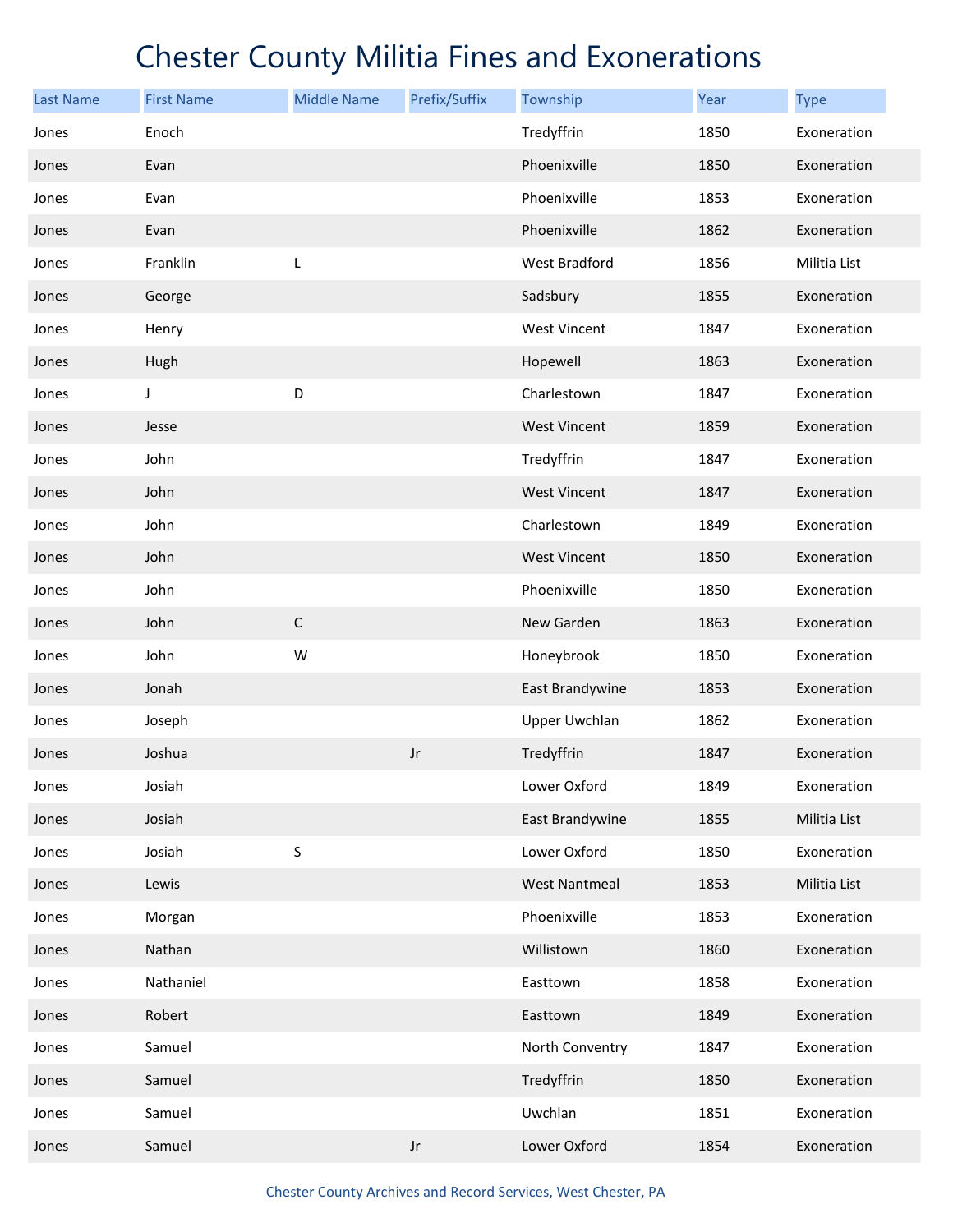| <b>Last Name</b> | <b>First Name</b> | <b>Middle Name</b> | Prefix/Suffix          | Township             | Year | <b>Type</b>  |
|------------------|-------------------|--------------------|------------------------|----------------------|------|--------------|
| Jones            | Enoch             |                    |                        | Tredyffrin           | 1850 | Exoneration  |
| Jones            | Evan              |                    |                        | Phoenixville         | 1850 | Exoneration  |
| Jones            | Evan              |                    |                        | Phoenixville         | 1853 | Exoneration  |
| Jones            | Evan              |                    |                        | Phoenixville         | 1862 | Exoneration  |
| Jones            | Franklin          | L                  |                        | West Bradford        | 1856 | Militia List |
| Jones            | George            |                    |                        | Sadsbury             | 1855 | Exoneration  |
| Jones            | Henry             |                    |                        | <b>West Vincent</b>  | 1847 | Exoneration  |
| Jones            | Hugh              |                    |                        | Hopewell             | 1863 | Exoneration  |
| Jones            | J                 | D                  |                        | Charlestown          | 1847 | Exoneration  |
| Jones            | Jesse             |                    |                        | <b>West Vincent</b>  | 1859 | Exoneration  |
| Jones            | John              |                    |                        | Tredyffrin           | 1847 | Exoneration  |
| Jones            | John              |                    |                        | <b>West Vincent</b>  | 1847 | Exoneration  |
| Jones            | John              |                    |                        | Charlestown          | 1849 | Exoneration  |
| Jones            | John              |                    |                        | <b>West Vincent</b>  | 1850 | Exoneration  |
| Jones            | John              |                    |                        | Phoenixville         | 1850 | Exoneration  |
| Jones            | John              | $\mathsf C$        |                        | New Garden           | 1863 | Exoneration  |
| Jones            | John              | W                  |                        | Honeybrook           | 1850 | Exoneration  |
| Jones            | Jonah             |                    |                        | East Brandywine      | 1853 | Exoneration  |
| Jones            | Joseph            |                    |                        | <b>Upper Uwchlan</b> | 1862 | Exoneration  |
| Jones            | Joshua            |                    | $\mathsf{J}\mathsf{r}$ | Tredyffrin           | 1847 | Exoneration  |
| Jones            | Josiah            |                    |                        | Lower Oxford         | 1849 | Exoneration  |
| Jones            | Josiah            |                    |                        | East Brandywine      | 1855 | Militia List |
| Jones            | Josiah            | S                  |                        | Lower Oxford         | 1850 | Exoneration  |
| Jones            | Lewis             |                    |                        | <b>West Nantmeal</b> | 1853 | Militia List |
| Jones            | Morgan            |                    |                        | Phoenixville         | 1853 | Exoneration  |
| Jones            | Nathan            |                    |                        | Willistown           | 1860 | Exoneration  |
| Jones            | Nathaniel         |                    |                        | Easttown             | 1858 | Exoneration  |
| Jones            | Robert            |                    |                        | Easttown             | 1849 | Exoneration  |
| Jones            | Samuel            |                    |                        | North Conventry      | 1847 | Exoneration  |
| Jones            | Samuel            |                    |                        | Tredyffrin           | 1850 | Exoneration  |
| Jones            | Samuel            |                    |                        | Uwchlan              | 1851 | Exoneration  |
| Jones            | Samuel            |                    | $\mathsf{J}\mathsf{r}$ | Lower Oxford         | 1854 | Exoneration  |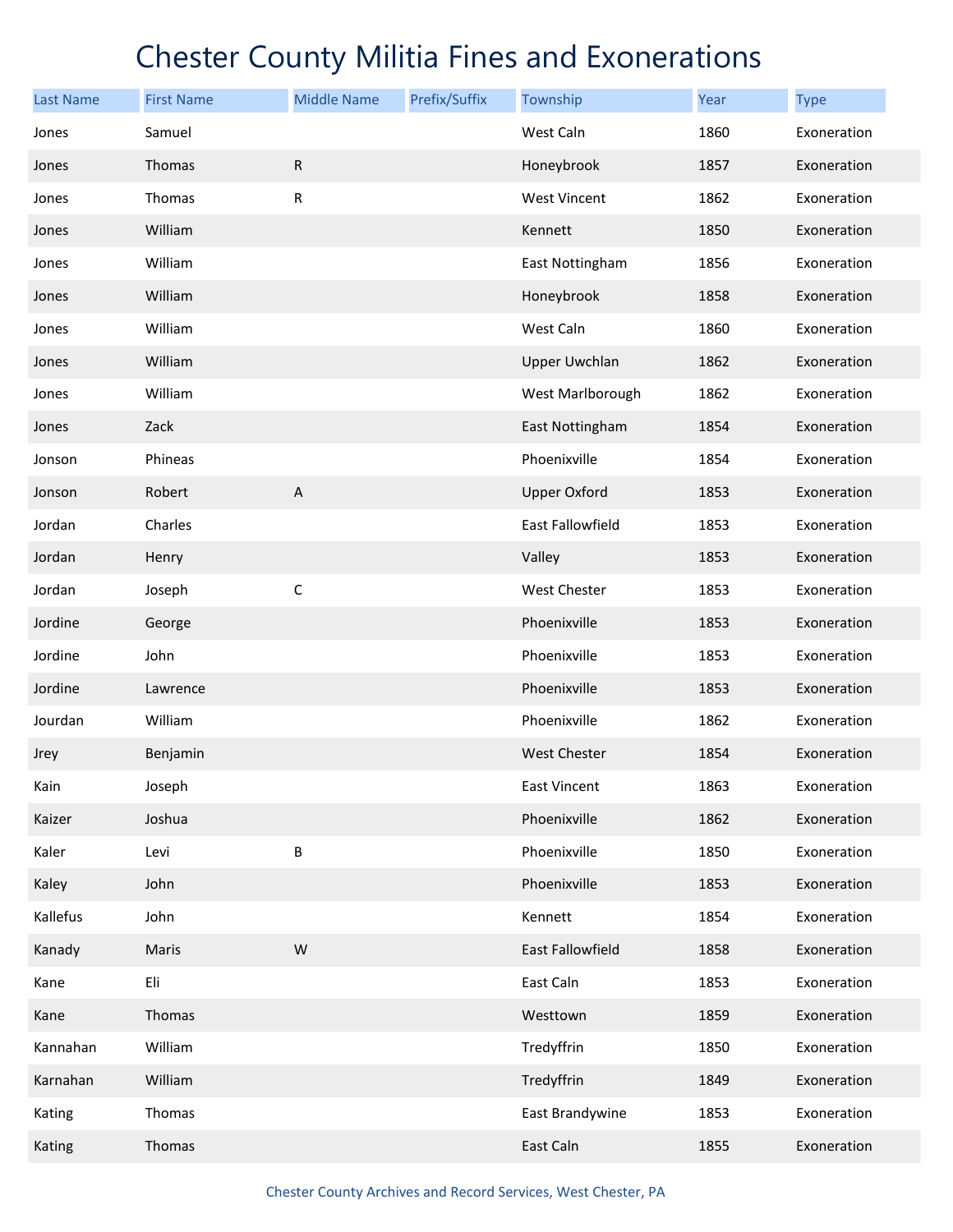| <b>Last Name</b> | <b>First Name</b> | <b>Middle Name</b> | Prefix/Suffix | Township             | Year | <b>Type</b> |
|------------------|-------------------|--------------------|---------------|----------------------|------|-------------|
| Jones            | Samuel            |                    |               | West Caln            | 1860 | Exoneration |
| Jones            | Thomas            | $\mathsf R$        |               | Honeybrook           | 1857 | Exoneration |
| Jones            | Thomas            | R                  |               | <b>West Vincent</b>  | 1862 | Exoneration |
| Jones            | William           |                    |               | Kennett              | 1850 | Exoneration |
| Jones            | William           |                    |               | East Nottingham      | 1856 | Exoneration |
| Jones            | William           |                    |               | Honeybrook           | 1858 | Exoneration |
| Jones            | William           |                    |               | West Caln            | 1860 | Exoneration |
| Jones            | William           |                    |               | <b>Upper Uwchlan</b> | 1862 | Exoneration |
| Jones            | William           |                    |               | West Marlborough     | 1862 | Exoneration |
| Jones            | Zack              |                    |               | East Nottingham      | 1854 | Exoneration |
| Jonson           | Phineas           |                    |               | Phoenixville         | 1854 | Exoneration |
| Jonson           | Robert            | $\mathsf A$        |               | <b>Upper Oxford</b>  | 1853 | Exoneration |
| Jordan           | Charles           |                    |               | East Fallowfield     | 1853 | Exoneration |
| Jordan           | Henry             |                    |               | Valley               | 1853 | Exoneration |
| Jordan           | Joseph            | $\mathsf C$        |               | West Chester         | 1853 | Exoneration |
| Jordine          | George            |                    |               | Phoenixville         | 1853 | Exoneration |
| Jordine          | John              |                    |               | Phoenixville         | 1853 | Exoneration |
| Jordine          | Lawrence          |                    |               | Phoenixville         | 1853 | Exoneration |
| Jourdan          | William           |                    |               | Phoenixville         | 1862 | Exoneration |
| Jrey             | Benjamin          |                    |               | <b>West Chester</b>  | 1854 | Exoneration |
| Kain             | Joseph            |                    |               | East Vincent         | 1863 | Exoneration |
| Kaizer           | Joshua            |                    |               | Phoenixville         | 1862 | Exoneration |
| Kaler            | Levi              | B                  |               | Phoenixville         | 1850 | Exoneration |
| Kaley            | John              |                    |               | Phoenixville         | 1853 | Exoneration |
| Kallefus         | John              |                    |               | Kennett              | 1854 | Exoneration |
| Kanady           | Maris             | W                  |               | East Fallowfield     | 1858 | Exoneration |
| Kane             | Eli               |                    |               | East Caln            | 1853 | Exoneration |
| Kane             | Thomas            |                    |               | Westtown             | 1859 | Exoneration |
| Kannahan         | William           |                    |               | Tredyffrin           | 1850 | Exoneration |
| Karnahan         | William           |                    |               | Tredyffrin           | 1849 | Exoneration |
| Kating           | Thomas            |                    |               | East Brandywine      | 1853 | Exoneration |
| Kating           | Thomas            |                    |               | East Caln            | 1855 | Exoneration |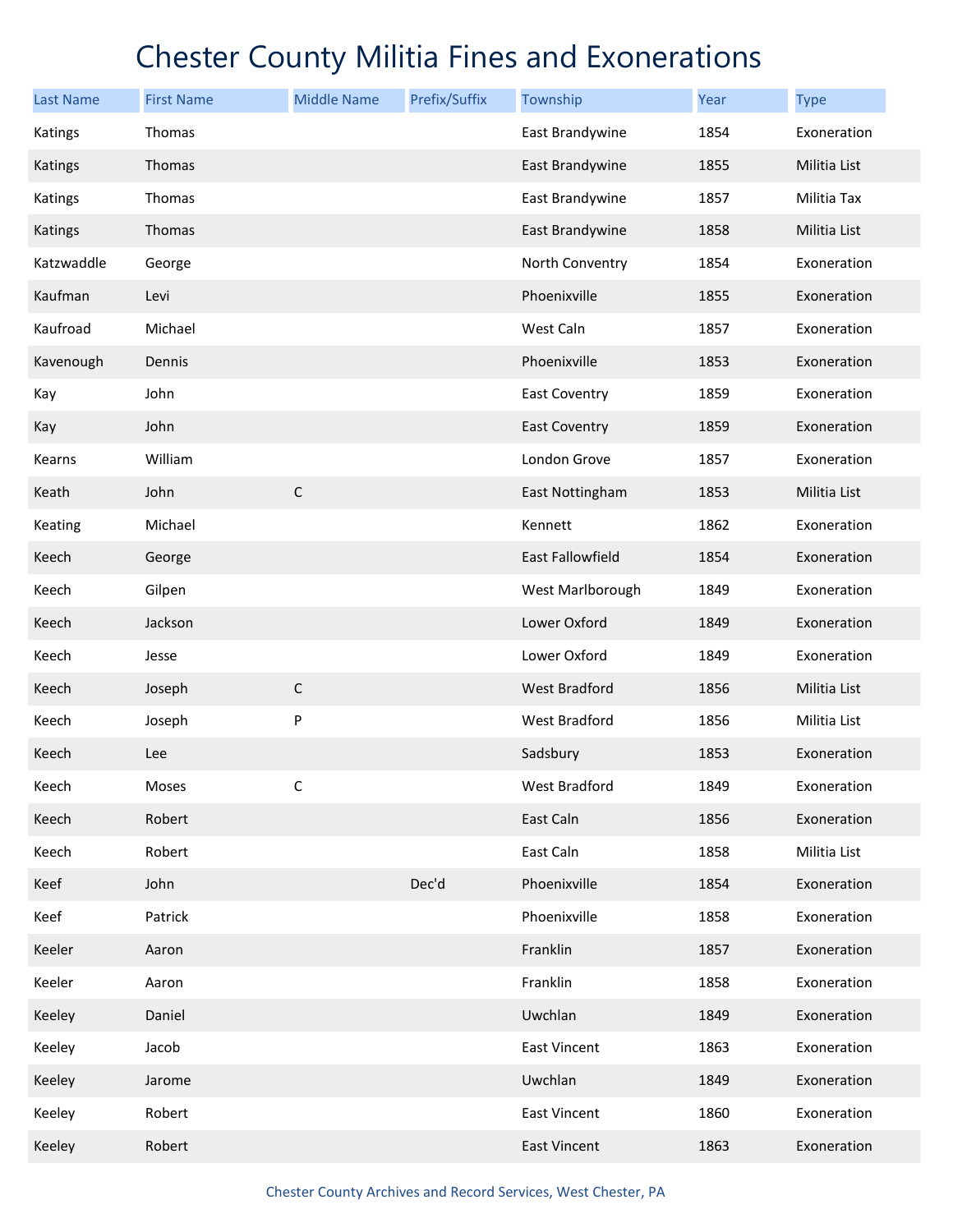| Last Name  | <b>First Name</b> | <b>Middle Name</b> | Prefix/Suffix | Township             | Year | <b>Type</b>         |
|------------|-------------------|--------------------|---------------|----------------------|------|---------------------|
| Katings    | Thomas            |                    |               | East Brandywine      | 1854 | Exoneration         |
| Katings    | Thomas            |                    |               | East Brandywine      | 1855 | <b>Militia List</b> |
| Katings    | Thomas            |                    |               | East Brandywine      | 1857 | Militia Tax         |
| Katings    | Thomas            |                    |               | East Brandywine      | 1858 | Militia List        |
| Katzwaddle | George            |                    |               | North Conventry      | 1854 | Exoneration         |
| Kaufman    | Levi              |                    |               | Phoenixville         | 1855 | Exoneration         |
| Kaufroad   | Michael           |                    |               | West Caln            | 1857 | Exoneration         |
| Kavenough  | Dennis            |                    |               | Phoenixville         | 1853 | Exoneration         |
| Kay        | John              |                    |               | <b>East Coventry</b> | 1859 | Exoneration         |
| Kay        | John              |                    |               | <b>East Coventry</b> | 1859 | Exoneration         |
| Kearns     | William           |                    |               | London Grove         | 1857 | Exoneration         |
| Keath      | John              | $\mathsf C$        |               | East Nottingham      | 1853 | Militia List        |
| Keating    | Michael           |                    |               | Kennett              | 1862 | Exoneration         |
| Keech      | George            |                    |               | East Fallowfield     | 1854 | Exoneration         |
| Keech      | Gilpen            |                    |               | West Marlborough     | 1849 | Exoneration         |
| Keech      | Jackson           |                    |               | Lower Oxford         | 1849 | Exoneration         |
| Keech      | Jesse             |                    |               | Lower Oxford         | 1849 | Exoneration         |
| Keech      | Joseph            | $\mathsf C$        |               | <b>West Bradford</b> | 1856 | Militia List        |
| Keech      | Joseph            | P                  |               | West Bradford        | 1856 | Militia List        |
| Keech      | Lee               |                    |               | Sadsbury             | 1853 | Exoneration         |
| Keech      | Moses             | $\mathsf C$        |               | West Bradford        | 1849 | Exoneration         |
| Keech      | Robert            |                    |               | East Caln            | 1856 | Exoneration         |
| Keech      | Robert            |                    |               | East Caln            | 1858 | Militia List        |
| Keef       | John              |                    | Dec'd         | Phoenixville         | 1854 | Exoneration         |
| Keef       | Patrick           |                    |               | Phoenixville         | 1858 | Exoneration         |
| Keeler     | Aaron             |                    |               | Franklin             | 1857 | Exoneration         |
| Keeler     | Aaron             |                    |               | Franklin             | 1858 | Exoneration         |
| Keeley     | Daniel            |                    |               | Uwchlan              | 1849 | Exoneration         |
| Keeley     | Jacob             |                    |               | East Vincent         | 1863 | Exoneration         |
| Keeley     | Jarome            |                    |               | Uwchlan              | 1849 | Exoneration         |
| Keeley     | Robert            |                    |               | East Vincent         | 1860 | Exoneration         |
| Keeley     | Robert            |                    |               | <b>East Vincent</b>  | 1863 | Exoneration         |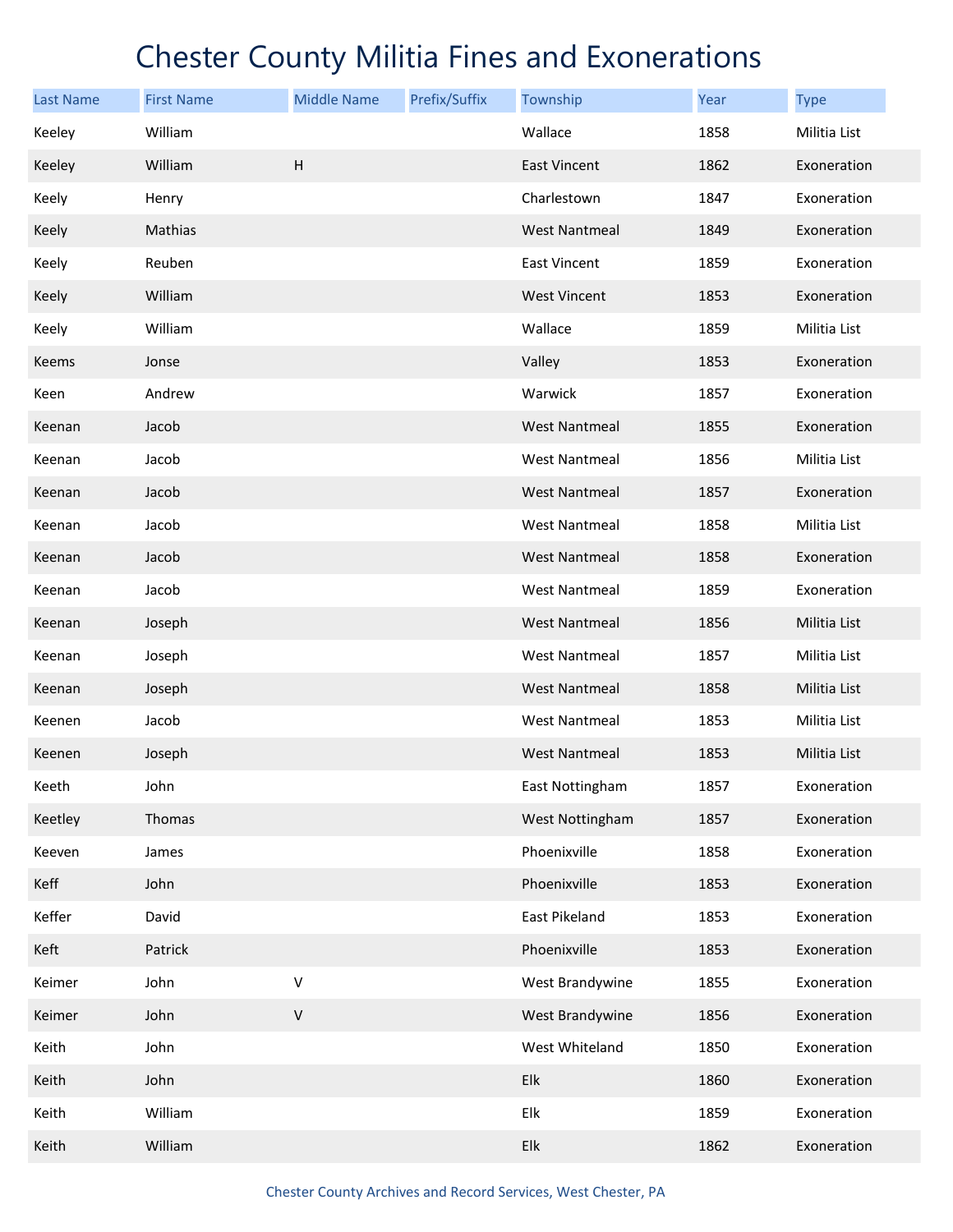| <b>Last Name</b> | <b>First Name</b> | <b>Middle Name</b> | Prefix/Suffix | Township             | Year | <b>Type</b>  |
|------------------|-------------------|--------------------|---------------|----------------------|------|--------------|
| Keeley           | William           |                    |               | Wallace              | 1858 | Militia List |
| Keeley           | William           | H                  |               | <b>East Vincent</b>  | 1862 | Exoneration  |
| Keely            | Henry             |                    |               | Charlestown          | 1847 | Exoneration  |
| Keely            | Mathias           |                    |               | <b>West Nantmeal</b> | 1849 | Exoneration  |
| Keely            | Reuben            |                    |               | <b>East Vincent</b>  | 1859 | Exoneration  |
| Keely            | William           |                    |               | <b>West Vincent</b>  | 1853 | Exoneration  |
| Keely            | William           |                    |               | Wallace              | 1859 | Militia List |
| Keems            | Jonse             |                    |               | Valley               | 1853 | Exoneration  |
| Keen             | Andrew            |                    |               | Warwick              | 1857 | Exoneration  |
| Keenan           | Jacob             |                    |               | <b>West Nantmeal</b> | 1855 | Exoneration  |
| Keenan           | Jacob             |                    |               | <b>West Nantmeal</b> | 1856 | Militia List |
| Keenan           | Jacob             |                    |               | <b>West Nantmeal</b> | 1857 | Exoneration  |
| Keenan           | Jacob             |                    |               | <b>West Nantmeal</b> | 1858 | Militia List |
| Keenan           | Jacob             |                    |               | <b>West Nantmeal</b> | 1858 | Exoneration  |
| Keenan           | Jacob             |                    |               | <b>West Nantmeal</b> | 1859 | Exoneration  |
| Keenan           | Joseph            |                    |               | <b>West Nantmeal</b> | 1856 | Militia List |
| Keenan           | Joseph            |                    |               | <b>West Nantmeal</b> | 1857 | Militia List |
| Keenan           | Joseph            |                    |               | <b>West Nantmeal</b> | 1858 | Militia List |
| Keenen           | Jacob             |                    |               | West Nantmeal        | 1853 | Militia List |
| Keenen           | Joseph            |                    |               | <b>West Nantmeal</b> | 1853 | Militia List |
| Keeth            | John              |                    |               | East Nottingham      | 1857 | Exoneration  |
| Keetley          | Thomas            |                    |               | West Nottingham      | 1857 | Exoneration  |
| Keeven           | James             |                    |               | Phoenixville         | 1858 | Exoneration  |
| Keff             | John              |                    |               | Phoenixville         | 1853 | Exoneration  |
| Keffer           | David             |                    |               | East Pikeland        | 1853 | Exoneration  |
| Keft             | Patrick           |                    |               | Phoenixville         | 1853 | Exoneration  |
| Keimer           | John              | V                  |               | West Brandywine      | 1855 | Exoneration  |
| Keimer           | John              | $\sf V$            |               | West Brandywine      | 1856 | Exoneration  |
| Keith            | John              |                    |               | West Whiteland       | 1850 | Exoneration  |
| Keith            | John              |                    |               | Elk                  | 1860 | Exoneration  |
| Keith            | William           |                    |               | Elk                  | 1859 | Exoneration  |
| Keith            | William           |                    |               | Elk                  | 1862 | Exoneration  |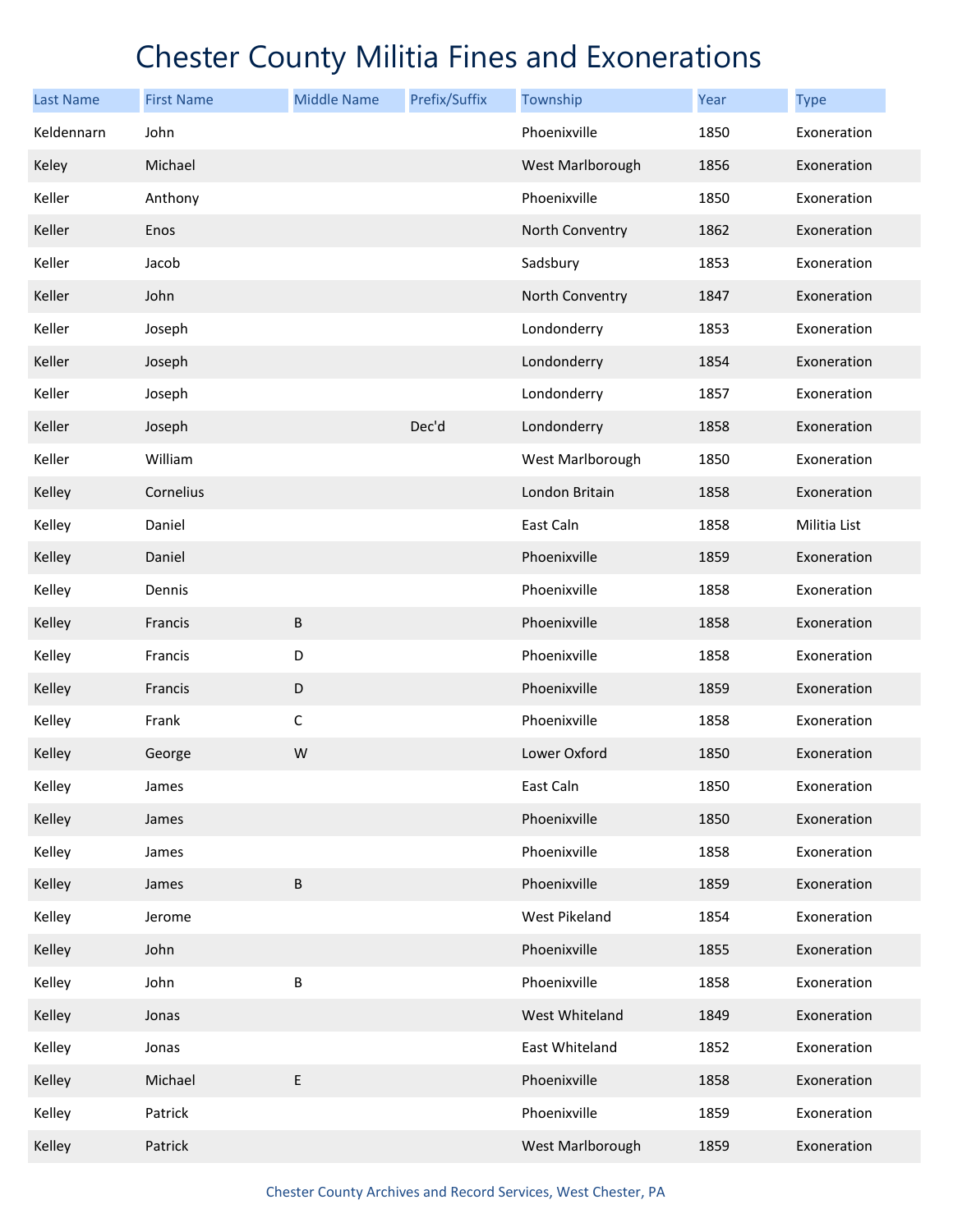| <b>Last Name</b> | <b>First Name</b> | <b>Middle Name</b> | Prefix/Suffix | Township         | Year | <b>Type</b>  |
|------------------|-------------------|--------------------|---------------|------------------|------|--------------|
| Keldennarn       | John              |                    |               | Phoenixville     | 1850 | Exoneration  |
| Keley            | Michael           |                    |               | West Marlborough | 1856 | Exoneration  |
| Keller           | Anthony           |                    |               | Phoenixville     | 1850 | Exoneration  |
| Keller           | Enos              |                    |               | North Conventry  | 1862 | Exoneration  |
| Keller           | Jacob             |                    |               | Sadsbury         | 1853 | Exoneration  |
| Keller           | John              |                    |               | North Conventry  | 1847 | Exoneration  |
| Keller           | Joseph            |                    |               | Londonderry      | 1853 | Exoneration  |
| Keller           | Joseph            |                    |               | Londonderry      | 1854 | Exoneration  |
| Keller           | Joseph            |                    |               | Londonderry      | 1857 | Exoneration  |
| Keller           | Joseph            |                    | Dec'd         | Londonderry      | 1858 | Exoneration  |
| Keller           | William           |                    |               | West Marlborough | 1850 | Exoneration  |
| Kelley           | Cornelius         |                    |               | London Britain   | 1858 | Exoneration  |
| Kelley           | Daniel            |                    |               | East Caln        | 1858 | Militia List |
| Kelley           | Daniel            |                    |               | Phoenixville     | 1859 | Exoneration  |
| Kelley           | Dennis            |                    |               | Phoenixville     | 1858 | Exoneration  |
| Kelley           | Francis           | B                  |               | Phoenixville     | 1858 | Exoneration  |
| Kelley           | Francis           | D                  |               | Phoenixville     | 1858 | Exoneration  |
| Kelley           | Francis           | D                  |               | Phoenixville     | 1859 | Exoneration  |
| Kelley           | Frank             | $\mathsf C$        |               | Phoenixville     | 1858 | Exoneration  |
| Kelley           | George            | W                  |               | Lower Oxford     | 1850 | Exoneration  |
| Kelley           | James             |                    |               | East Caln        | 1850 | Exoneration  |
| Kelley           | James             |                    |               | Phoenixville     | 1850 | Exoneration  |
| Kelley           | James             |                    |               | Phoenixville     | 1858 | Exoneration  |
| Kelley           | James             | $\sf B$            |               | Phoenixville     | 1859 | Exoneration  |
| Kelley           | Jerome            |                    |               | West Pikeland    | 1854 | Exoneration  |
| Kelley           | John              |                    |               | Phoenixville     | 1855 | Exoneration  |
| Kelley           | John              | B                  |               | Phoenixville     | 1858 | Exoneration  |
| Kelley           | Jonas             |                    |               | West Whiteland   | 1849 | Exoneration  |
| Kelley           | Jonas             |                    |               | East Whiteland   | 1852 | Exoneration  |
| Kelley           | Michael           | E                  |               | Phoenixville     | 1858 | Exoneration  |
| Kelley           | Patrick           |                    |               | Phoenixville     | 1859 | Exoneration  |
| Kelley           | Patrick           |                    |               | West Marlborough | 1859 | Exoneration  |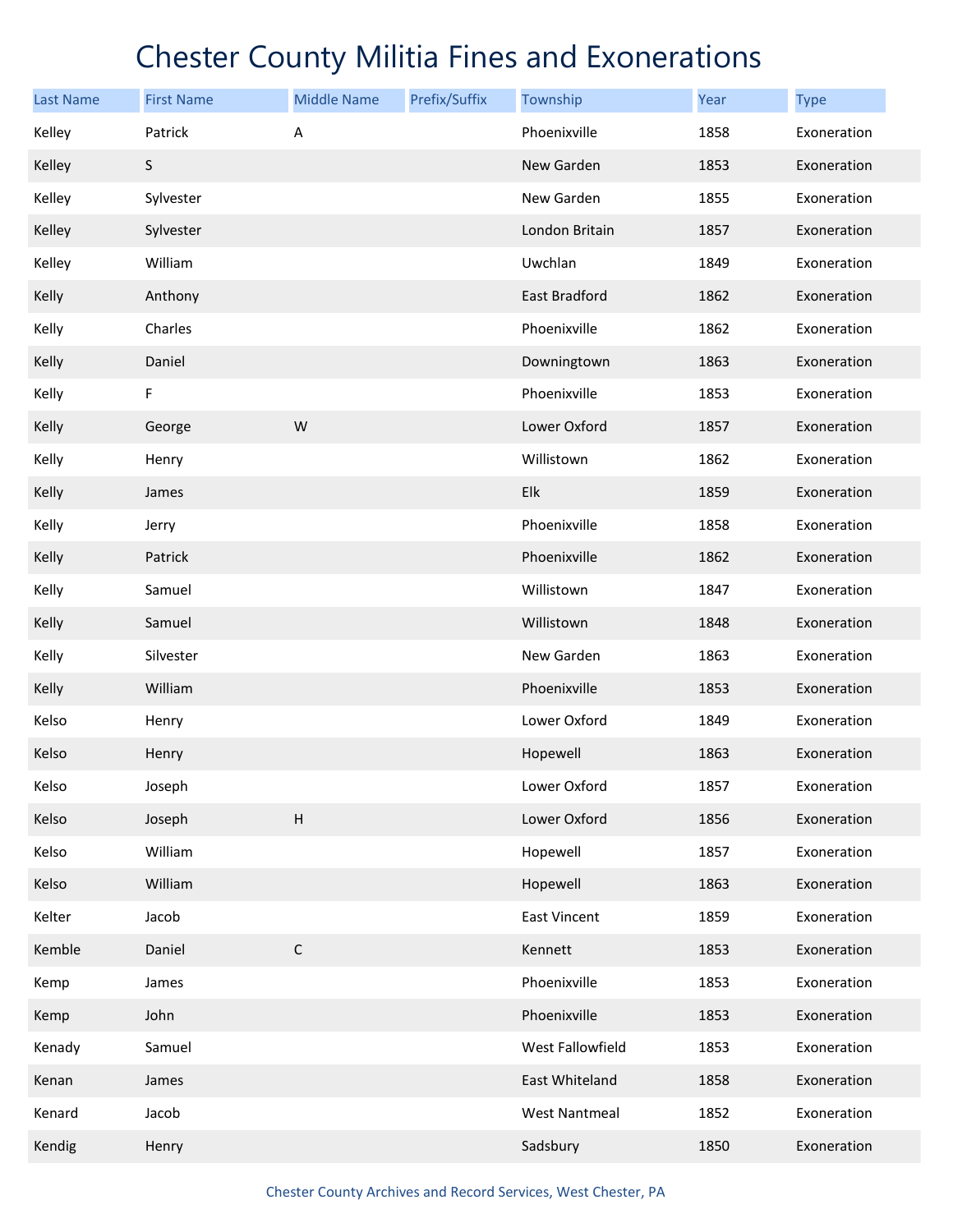| <b>Last Name</b> | <b>First Name</b> | <b>Middle Name</b>        | Prefix/Suffix | Township             | Year | <b>Type</b> |
|------------------|-------------------|---------------------------|---------------|----------------------|------|-------------|
| Kelley           | Patrick           | А                         |               | Phoenixville         | 1858 | Exoneration |
| Kelley           | S                 |                           |               | New Garden           | 1853 | Exoneration |
| Kelley           | Sylvester         |                           |               | New Garden           | 1855 | Exoneration |
| Kelley           | Sylvester         |                           |               | London Britain       | 1857 | Exoneration |
| Kelley           | William           |                           |               | Uwchlan              | 1849 | Exoneration |
| Kelly            | Anthony           |                           |               | East Bradford        | 1862 | Exoneration |
| Kelly            | Charles           |                           |               | Phoenixville         | 1862 | Exoneration |
| Kelly            | Daniel            |                           |               | Downingtown          | 1863 | Exoneration |
| Kelly            | F                 |                           |               | Phoenixville         | 1853 | Exoneration |
| Kelly            | George            | W                         |               | Lower Oxford         | 1857 | Exoneration |
| Kelly            | Henry             |                           |               | Willistown           | 1862 | Exoneration |
| Kelly            | James             |                           |               | Elk                  | 1859 | Exoneration |
| Kelly            | Jerry             |                           |               | Phoenixville         | 1858 | Exoneration |
| Kelly            | Patrick           |                           |               | Phoenixville         | 1862 | Exoneration |
| Kelly            | Samuel            |                           |               | Willistown           | 1847 | Exoneration |
| Kelly            | Samuel            |                           |               | Willistown           | 1848 | Exoneration |
| Kelly            | Silvester         |                           |               | New Garden           | 1863 | Exoneration |
| Kelly            | William           |                           |               | Phoenixville         | 1853 | Exoneration |
| Kelso            | Henry             |                           |               | Lower Oxford         | 1849 | Exoneration |
| Kelso            | Henry             |                           |               | Hopewell             | 1863 | Exoneration |
| Kelso            | Joseph            |                           |               | Lower Oxford         | 1857 | Exoneration |
| Kelso            | Joseph            | $\boldsymbol{\mathsf{H}}$ |               | Lower Oxford         | 1856 | Exoneration |
| Kelso            | William           |                           |               | Hopewell             | 1857 | Exoneration |
| Kelso            | William           |                           |               | Hopewell             | 1863 | Exoneration |
| Kelter           | Jacob             |                           |               | <b>East Vincent</b>  | 1859 | Exoneration |
| Kemble           | Daniel            | C                         |               | Kennett              | 1853 | Exoneration |
| Kemp             | James             |                           |               | Phoenixville         | 1853 | Exoneration |
| Kemp             | John              |                           |               | Phoenixville         | 1853 | Exoneration |
| Kenady           | Samuel            |                           |               | West Fallowfield     | 1853 | Exoneration |
| Kenan            | James             |                           |               | East Whiteland       | 1858 | Exoneration |
| Kenard           | Jacob             |                           |               | <b>West Nantmeal</b> | 1852 | Exoneration |
| Kendig           | Henry             |                           |               | Sadsbury             | 1850 | Exoneration |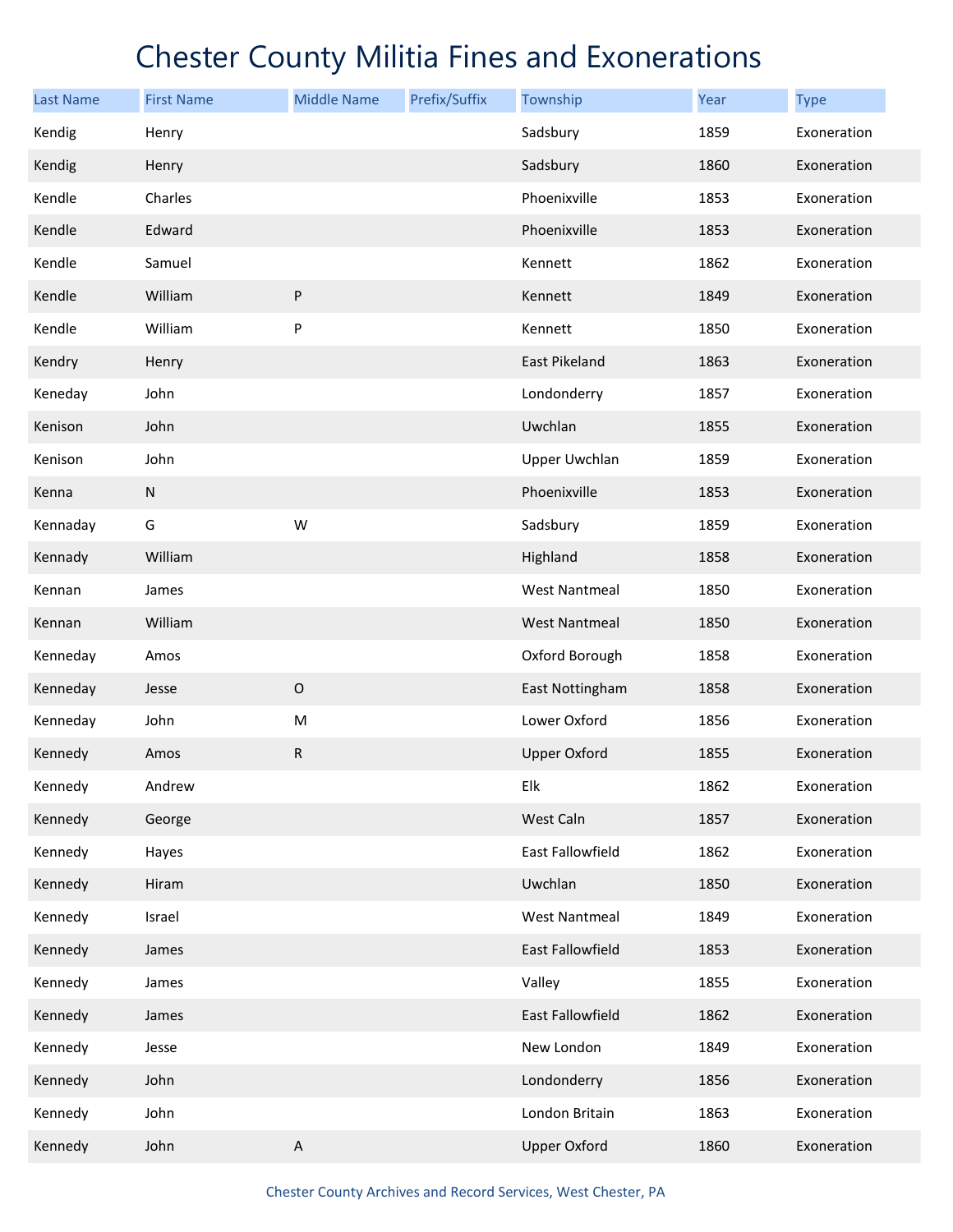| <b>Last Name</b> | <b>First Name</b> | <b>Middle Name</b> | Prefix/Suffix | Township             | Year | <b>Type</b> |
|------------------|-------------------|--------------------|---------------|----------------------|------|-------------|
| Kendig           | Henry             |                    |               | Sadsbury             | 1859 | Exoneration |
| Kendig           | Henry             |                    |               | Sadsbury             | 1860 | Exoneration |
| Kendle           | Charles           |                    |               | Phoenixville         | 1853 | Exoneration |
| Kendle           | Edward            |                    |               | Phoenixville         | 1853 | Exoneration |
| Kendle           | Samuel            |                    |               | Kennett              | 1862 | Exoneration |
| Kendle           | William           | ${\sf P}$          |               | Kennett              | 1849 | Exoneration |
| Kendle           | William           | P                  |               | Kennett              | 1850 | Exoneration |
| Kendry           | Henry             |                    |               | East Pikeland        | 1863 | Exoneration |
| Keneday          | John              |                    |               | Londonderry          | 1857 | Exoneration |
| Kenison          | John              |                    |               | Uwchlan              | 1855 | Exoneration |
| Kenison          | John              |                    |               | <b>Upper Uwchlan</b> | 1859 | Exoneration |
| Kenna            | ${\sf N}$         |                    |               | Phoenixville         | 1853 | Exoneration |
| Kennaday         | G                 | W                  |               | Sadsbury             | 1859 | Exoneration |
| Kennady          | William           |                    |               | Highland             | 1858 | Exoneration |
| Kennan           | James             |                    |               | <b>West Nantmeal</b> | 1850 | Exoneration |
| Kennan           | William           |                    |               | <b>West Nantmeal</b> | 1850 | Exoneration |
| Kenneday         | Amos              |                    |               | Oxford Borough       | 1858 | Exoneration |
| Kenneday         | Jesse             | $\mathsf O$        |               | East Nottingham      | 1858 | Exoneration |
| Kenneday         | John              | ${\sf M}$          |               | Lower Oxford         | 1856 | Exoneration |
| Kennedy          | Amos              | ${\sf R}$          |               | <b>Upper Oxford</b>  | 1855 | Exoneration |
| Kennedy          | Andrew            |                    |               | Elk                  | 1862 | Exoneration |
| Kennedy          | George            |                    |               | West Caln            | 1857 | Exoneration |
| Kennedy          | Hayes             |                    |               | East Fallowfield     | 1862 | Exoneration |
| Kennedy          | Hiram             |                    |               | Uwchlan              | 1850 | Exoneration |
| Kennedy          | Israel            |                    |               | <b>West Nantmeal</b> | 1849 | Exoneration |
| Kennedy          | James             |                    |               | East Fallowfield     | 1853 | Exoneration |
| Kennedy          | James             |                    |               | Valley               | 1855 | Exoneration |
| Kennedy          | James             |                    |               | East Fallowfield     | 1862 | Exoneration |
| Kennedy          | Jesse             |                    |               | New London           | 1849 | Exoneration |
| Kennedy          | John              |                    |               | Londonderry          | 1856 | Exoneration |
| Kennedy          | John              |                    |               | London Britain       | 1863 | Exoneration |
| Kennedy          | John              | $\sf A$            |               | <b>Upper Oxford</b>  | 1860 | Exoneration |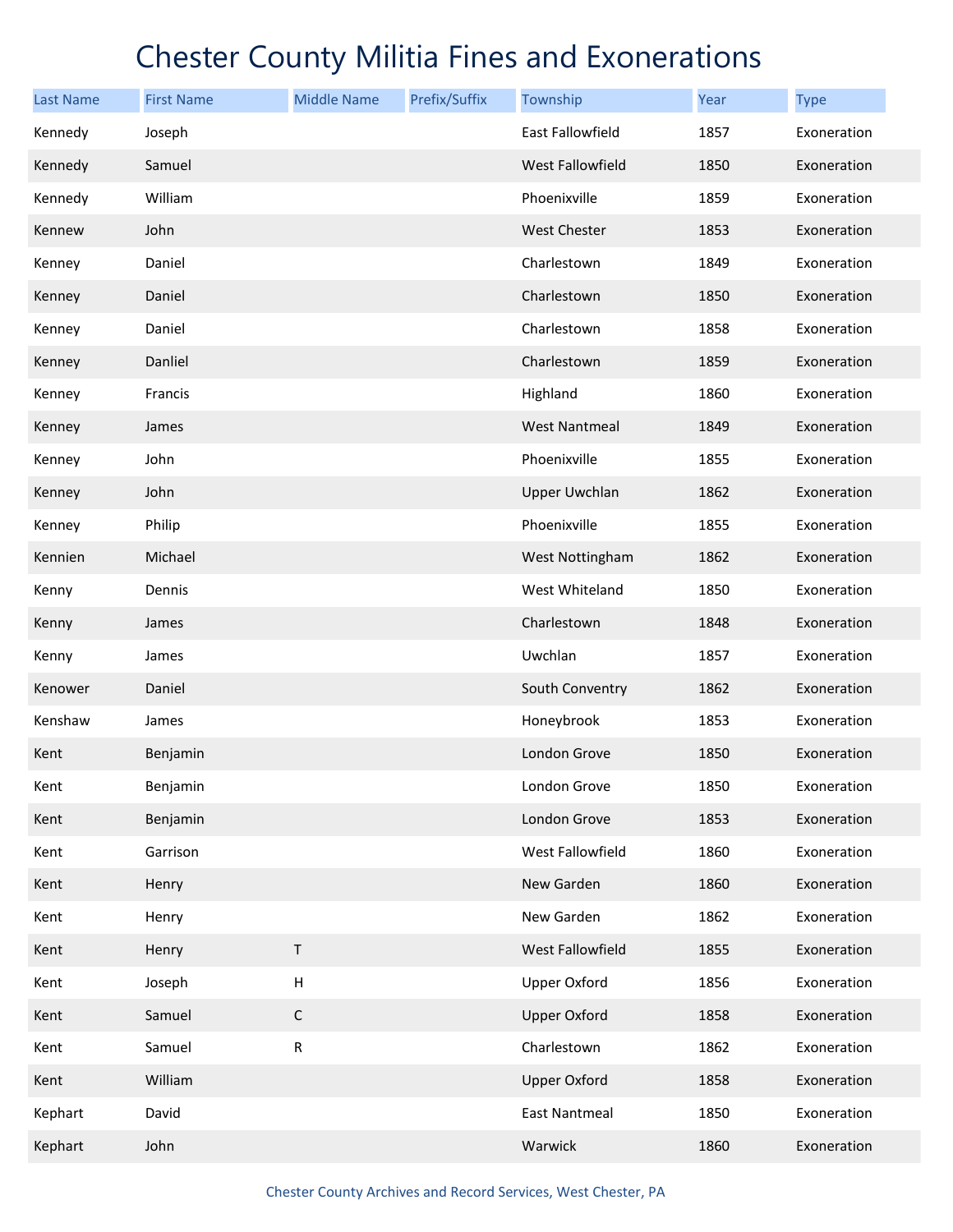| <b>Last Name</b> | <b>First Name</b> | <b>Middle Name</b>        | Prefix/Suffix | Township             | Year | <b>Type</b> |
|------------------|-------------------|---------------------------|---------------|----------------------|------|-------------|
| Kennedy          | Joseph            |                           |               | East Fallowfield     | 1857 | Exoneration |
| Kennedy          | Samuel            |                           |               | West Fallowfield     | 1850 | Exoneration |
| Kennedy          | William           |                           |               | Phoenixville         | 1859 | Exoneration |
| Kennew           | John              |                           |               | <b>West Chester</b>  | 1853 | Exoneration |
| Kenney           | Daniel            |                           |               | Charlestown          | 1849 | Exoneration |
| Kenney           | Daniel            |                           |               | Charlestown          | 1850 | Exoneration |
| Kenney           | Daniel            |                           |               | Charlestown          | 1858 | Exoneration |
| Kenney           | Danliel           |                           |               | Charlestown          | 1859 | Exoneration |
| Kenney           | Francis           |                           |               | Highland             | 1860 | Exoneration |
| Kenney           | James             |                           |               | <b>West Nantmeal</b> | 1849 | Exoneration |
| Kenney           | John              |                           |               | Phoenixville         | 1855 | Exoneration |
| Kenney           | John              |                           |               | <b>Upper Uwchlan</b> | 1862 | Exoneration |
| Kenney           | Philip            |                           |               | Phoenixville         | 1855 | Exoneration |
| Kennien          | Michael           |                           |               | West Nottingham      | 1862 | Exoneration |
| Kenny            | Dennis            |                           |               | West Whiteland       | 1850 | Exoneration |
| Kenny            | James             |                           |               | Charlestown          | 1848 | Exoneration |
| Kenny            | James             |                           |               | Uwchlan              | 1857 | Exoneration |
| Kenower          | Daniel            |                           |               | South Conventry      | 1862 | Exoneration |
| Kenshaw          | James             |                           |               | Honeybrook           | 1853 | Exoneration |
| Kent             | Benjamin          |                           |               | London Grove         | 1850 | Exoneration |
| Kent             | Benjamin          |                           |               | London Grove         | 1850 | Exoneration |
| Kent             | Benjamin          |                           |               | London Grove         | 1853 | Exoneration |
| Kent             | Garrison          |                           |               | West Fallowfield     | 1860 | Exoneration |
| Kent             | Henry             |                           |               | New Garden           | 1860 | Exoneration |
| Kent             | Henry             |                           |               | New Garden           | 1862 | Exoneration |
| Kent             | Henry             | $\sf T$                   |               | West Fallowfield     | 1855 | Exoneration |
| Kent             | Joseph            | $\boldsymbol{\mathsf{H}}$ |               | <b>Upper Oxford</b>  | 1856 | Exoneration |
| Kent             | Samuel            | $\mathsf C$               |               | <b>Upper Oxford</b>  | 1858 | Exoneration |
| Kent             | Samuel            | ${\sf R}$                 |               | Charlestown          | 1862 | Exoneration |
| Kent             | William           |                           |               | <b>Upper Oxford</b>  | 1858 | Exoneration |
| Kephart          | David             |                           |               | <b>East Nantmeal</b> | 1850 | Exoneration |
| Kephart          | John              |                           |               | Warwick              | 1860 | Exoneration |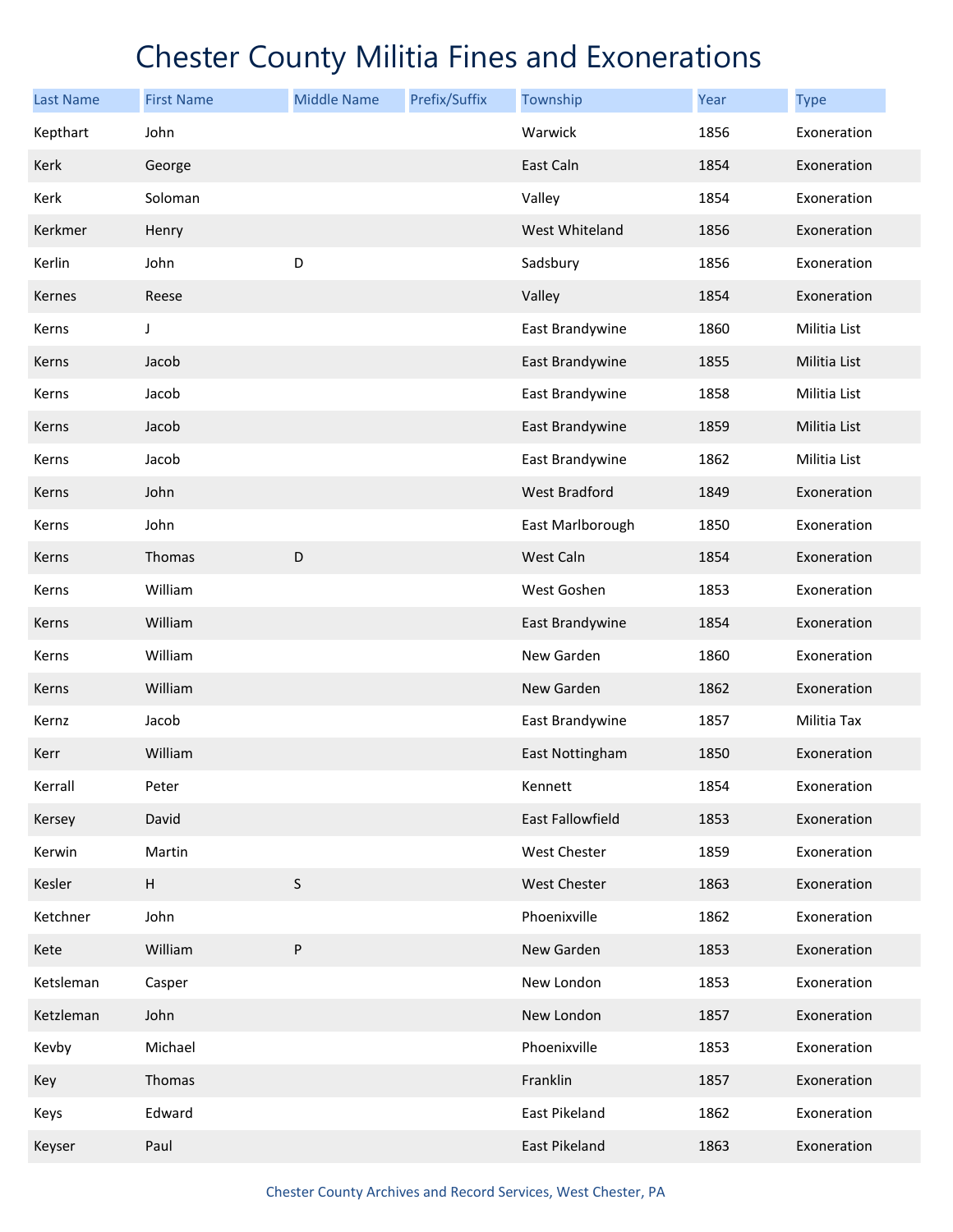| <b>Last Name</b> | <b>First Name</b> | <b>Middle Name</b> | Prefix/Suffix | Township            | Year | <b>Type</b>  |
|------------------|-------------------|--------------------|---------------|---------------------|------|--------------|
| Kepthart         | John              |                    |               | Warwick             | 1856 | Exoneration  |
| Kerk             | George            |                    |               | East Caln           | 1854 | Exoneration  |
| Kerk             | Soloman           |                    |               | Valley              | 1854 | Exoneration  |
| Kerkmer          | Henry             |                    |               | West Whiteland      | 1856 | Exoneration  |
| Kerlin           | John              | D                  |               | Sadsbury            | 1856 | Exoneration  |
| Kernes           | Reese             |                    |               | Valley              | 1854 | Exoneration  |
| Kerns            | J                 |                    |               | East Brandywine     | 1860 | Militia List |
| Kerns            | Jacob             |                    |               | East Brandywine     | 1855 | Militia List |
| Kerns            | Jacob             |                    |               | East Brandywine     | 1858 | Militia List |
| Kerns            | Jacob             |                    |               | East Brandywine     | 1859 | Militia List |
| Kerns            | Jacob             |                    |               | East Brandywine     | 1862 | Militia List |
| Kerns            | John              |                    |               | West Bradford       | 1849 | Exoneration  |
| Kerns            | John              |                    |               | East Marlborough    | 1850 | Exoneration  |
| Kerns            | Thomas            | D                  |               | West Caln           | 1854 | Exoneration  |
| Kerns            | William           |                    |               | West Goshen         | 1853 | Exoneration  |
| Kerns            | William           |                    |               | East Brandywine     | 1854 | Exoneration  |
| Kerns            | William           |                    |               | New Garden          | 1860 | Exoneration  |
| Kerns            | William           |                    |               | New Garden          | 1862 | Exoneration  |
| Kernz            | Jacob             |                    |               | East Brandywine     | 1857 | Militia Tax  |
| Kerr             | William           |                    |               | East Nottingham     | 1850 | Exoneration  |
| Kerrall          | Peter             |                    |               | Kennett             | 1854 | Exoneration  |
| Kersey           | David             |                    |               | East Fallowfield    | 1853 | Exoneration  |
| Kerwin           | Martin            |                    |               | West Chester        | 1859 | Exoneration  |
| Kesler           | H                 | $\sf S$            |               | <b>West Chester</b> | 1863 | Exoneration  |
| Ketchner         | John              |                    |               | Phoenixville        | 1862 | Exoneration  |
| Kete             | William           | P                  |               | New Garden          | 1853 | Exoneration  |
| Ketsleman        | Casper            |                    |               | New London          | 1853 | Exoneration  |
| Ketzleman        | John              |                    |               | New London          | 1857 | Exoneration  |
| Kevby            | Michael           |                    |               | Phoenixville        | 1853 | Exoneration  |
| Key              | Thomas            |                    |               | Franklin            | 1857 | Exoneration  |
| Keys             | Edward            |                    |               | East Pikeland       | 1862 | Exoneration  |
| Keyser           | Paul              |                    |               | East Pikeland       | 1863 | Exoneration  |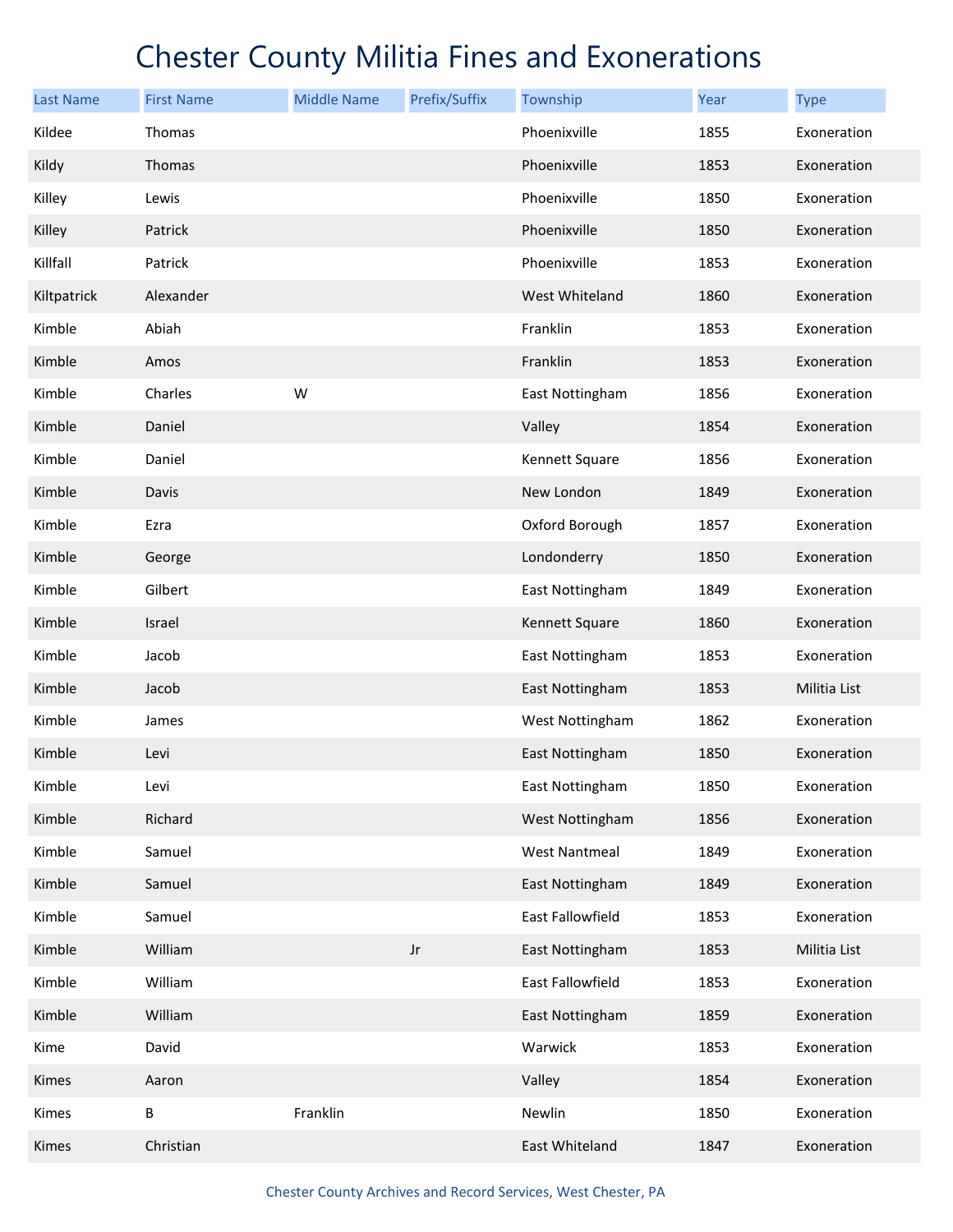| <b>Last Name</b> | <b>First Name</b> | <b>Middle Name</b> | Prefix/Suffix | Township                | Year | <b>Type</b>  |
|------------------|-------------------|--------------------|---------------|-------------------------|------|--------------|
| Kildee           | Thomas            |                    |               | Phoenixville            | 1855 | Exoneration  |
| Kildy            | Thomas            |                    |               | Phoenixville            | 1853 | Exoneration  |
| Killey           | Lewis             |                    |               | Phoenixville            | 1850 | Exoneration  |
| Killey           | Patrick           |                    |               | Phoenixville            | 1850 | Exoneration  |
| Killfall         | Patrick           |                    |               | Phoenixville            | 1853 | Exoneration  |
| Kiltpatrick      | Alexander         |                    |               | West Whiteland          | 1860 | Exoneration  |
| Kimble           | Abiah             |                    |               | Franklin                | 1853 | Exoneration  |
| Kimble           | Amos              |                    |               | Franklin                | 1853 | Exoneration  |
| Kimble           | Charles           | W                  |               | East Nottingham         | 1856 | Exoneration  |
| Kimble           | Daniel            |                    |               | Valley                  | 1854 | Exoneration  |
| Kimble           | Daniel            |                    |               | Kennett Square          | 1856 | Exoneration  |
| Kimble           | Davis             |                    |               | New London              | 1849 | Exoneration  |
| Kimble           | Ezra              |                    |               | Oxford Borough          | 1857 | Exoneration  |
| Kimble           | George            |                    |               | Londonderry             | 1850 | Exoneration  |
| Kimble           | Gilbert           |                    |               | East Nottingham         | 1849 | Exoneration  |
| Kimble           | Israel            |                    |               | Kennett Square          | 1860 | Exoneration  |
| Kimble           | Jacob             |                    |               | East Nottingham         | 1853 | Exoneration  |
| Kimble           | Jacob             |                    |               | East Nottingham         | 1853 | Militia List |
| Kimble           | James             |                    |               | West Nottingham         | 1862 | Exoneration  |
| Kimble           | Levi              |                    |               | East Nottingham         | 1850 | Exoneration  |
| Kimble           | Levi              |                    |               | <b>East Nottingham</b>  | 1850 | Exoneration  |
| Kimble           | Richard           |                    |               | West Nottingham         | 1856 | Exoneration  |
| Kimble           | Samuel            |                    |               | <b>West Nantmeal</b>    | 1849 | Exoneration  |
| Kimble           | Samuel            |                    |               | East Nottingham         | 1849 | Exoneration  |
| Kimble           | Samuel            |                    |               | <b>East Fallowfield</b> | 1853 | Exoneration  |
| Kimble           | William           |                    | $_{\rm Jr}$   | East Nottingham         | 1853 | Militia List |
| Kimble           | William           |                    |               | East Fallowfield        | 1853 | Exoneration  |
| Kimble           | William           |                    |               | East Nottingham         | 1859 | Exoneration  |
| Kime             | David             |                    |               | Warwick                 | 1853 | Exoneration  |
| Kimes            | Aaron             |                    |               | Valley                  | 1854 | Exoneration  |
| Kimes            | B                 | Franklin           |               | Newlin                  | 1850 | Exoneration  |
| Kimes            | Christian         |                    |               | East Whiteland          | 1847 | Exoneration  |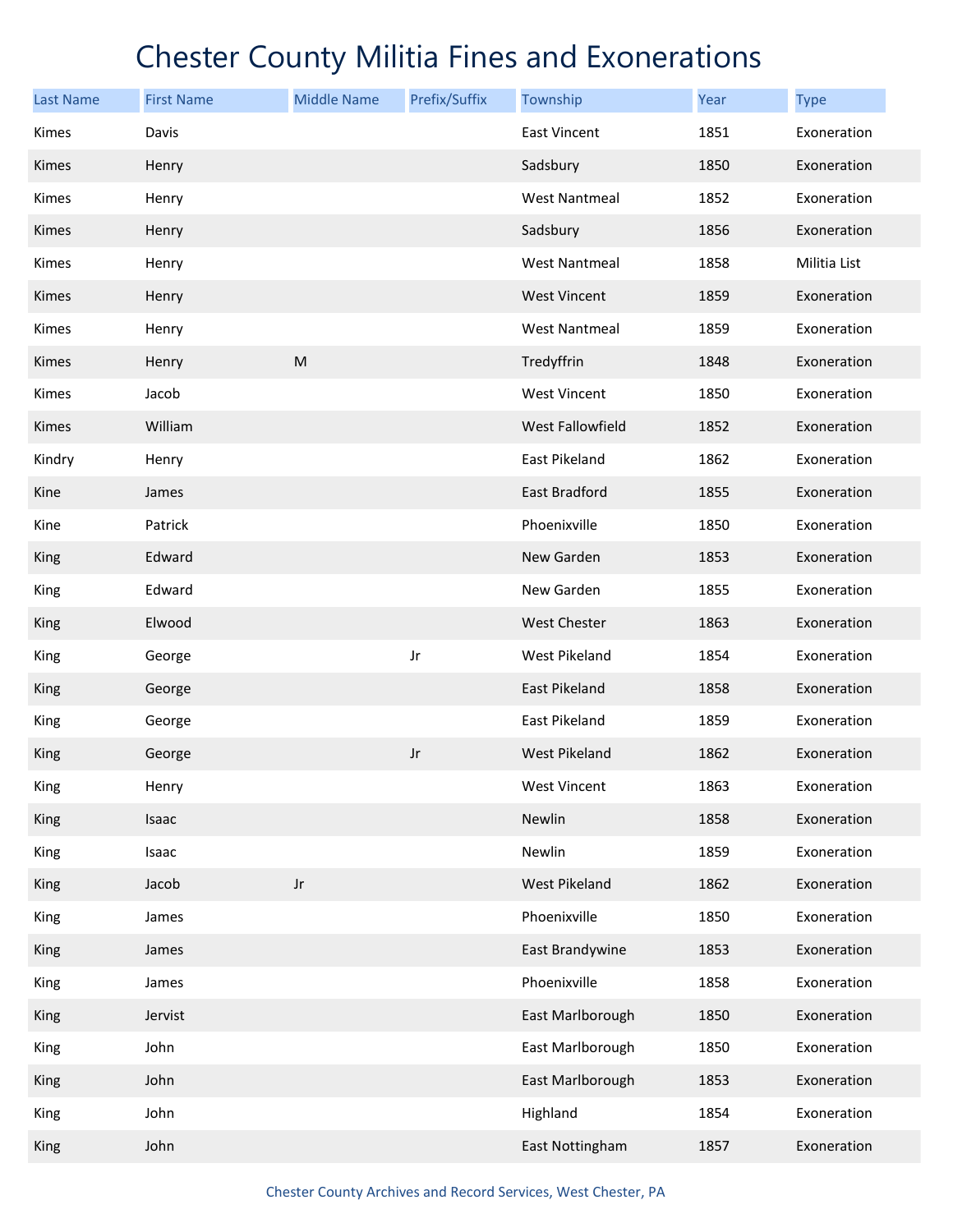| <b>Last Name</b> | <b>First Name</b> | <b>Middle Name</b>     | Prefix/Suffix | Township             | Year | <b>Type</b>  |
|------------------|-------------------|------------------------|---------------|----------------------|------|--------------|
| Kimes            | Davis             |                        |               | <b>East Vincent</b>  | 1851 | Exoneration  |
| <b>Kimes</b>     | Henry             |                        |               | Sadsbury             | 1850 | Exoneration  |
| Kimes            | Henry             |                        |               | <b>West Nantmeal</b> | 1852 | Exoneration  |
| Kimes            | Henry             |                        |               | Sadsbury             | 1856 | Exoneration  |
| Kimes            | Henry             |                        |               | <b>West Nantmeal</b> | 1858 | Militia List |
| <b>Kimes</b>     | Henry             |                        |               | <b>West Vincent</b>  | 1859 | Exoneration  |
| Kimes            | Henry             |                        |               | <b>West Nantmeal</b> | 1859 | Exoneration  |
| Kimes            | Henry             | ${\sf M}$              |               | Tredyffrin           | 1848 | Exoneration  |
| Kimes            | Jacob             |                        |               | West Vincent         | 1850 | Exoneration  |
| Kimes            | William           |                        |               | West Fallowfield     | 1852 | Exoneration  |
| Kindry           | Henry             |                        |               | East Pikeland        | 1862 | Exoneration  |
| Kine             | James             |                        |               | East Bradford        | 1855 | Exoneration  |
| Kine             | Patrick           |                        |               | Phoenixville         | 1850 | Exoneration  |
| King             | Edward            |                        |               | New Garden           | 1853 | Exoneration  |
| King             | Edward            |                        |               | New Garden           | 1855 | Exoneration  |
| King             | Elwood            |                        |               | <b>West Chester</b>  | 1863 | Exoneration  |
| King             | George            |                        | Jr            | West Pikeland        | 1854 | Exoneration  |
| King             | George            |                        |               | <b>East Pikeland</b> | 1858 | Exoneration  |
| King             | George            |                        |               | East Pikeland        | 1859 | Exoneration  |
| King             | George            |                        | Jr            | <b>West Pikeland</b> | 1862 | Exoneration  |
| King             | Henry             |                        |               | West Vincent         | 1863 | Exoneration  |
| King             | Isaac             |                        |               | Newlin               | 1858 | Exoneration  |
| King             | Isaac             |                        |               | Newlin               | 1859 | Exoneration  |
| King             | Jacob             | $\mathsf{J}\mathsf{r}$ |               | West Pikeland        | 1862 | Exoneration  |
| King             | James             |                        |               | Phoenixville         | 1850 | Exoneration  |
| King             | James             |                        |               | East Brandywine      | 1853 | Exoneration  |
| King             | James             |                        |               | Phoenixville         | 1858 | Exoneration  |
| King             | Jervist           |                        |               | East Marlborough     | 1850 | Exoneration  |
| King             | John              |                        |               | East Marlborough     | 1850 | Exoneration  |
| King             | John              |                        |               | East Marlborough     | 1853 | Exoneration  |
| King             | John              |                        |               | Highland             | 1854 | Exoneration  |
| King             | John              |                        |               | East Nottingham      | 1857 | Exoneration  |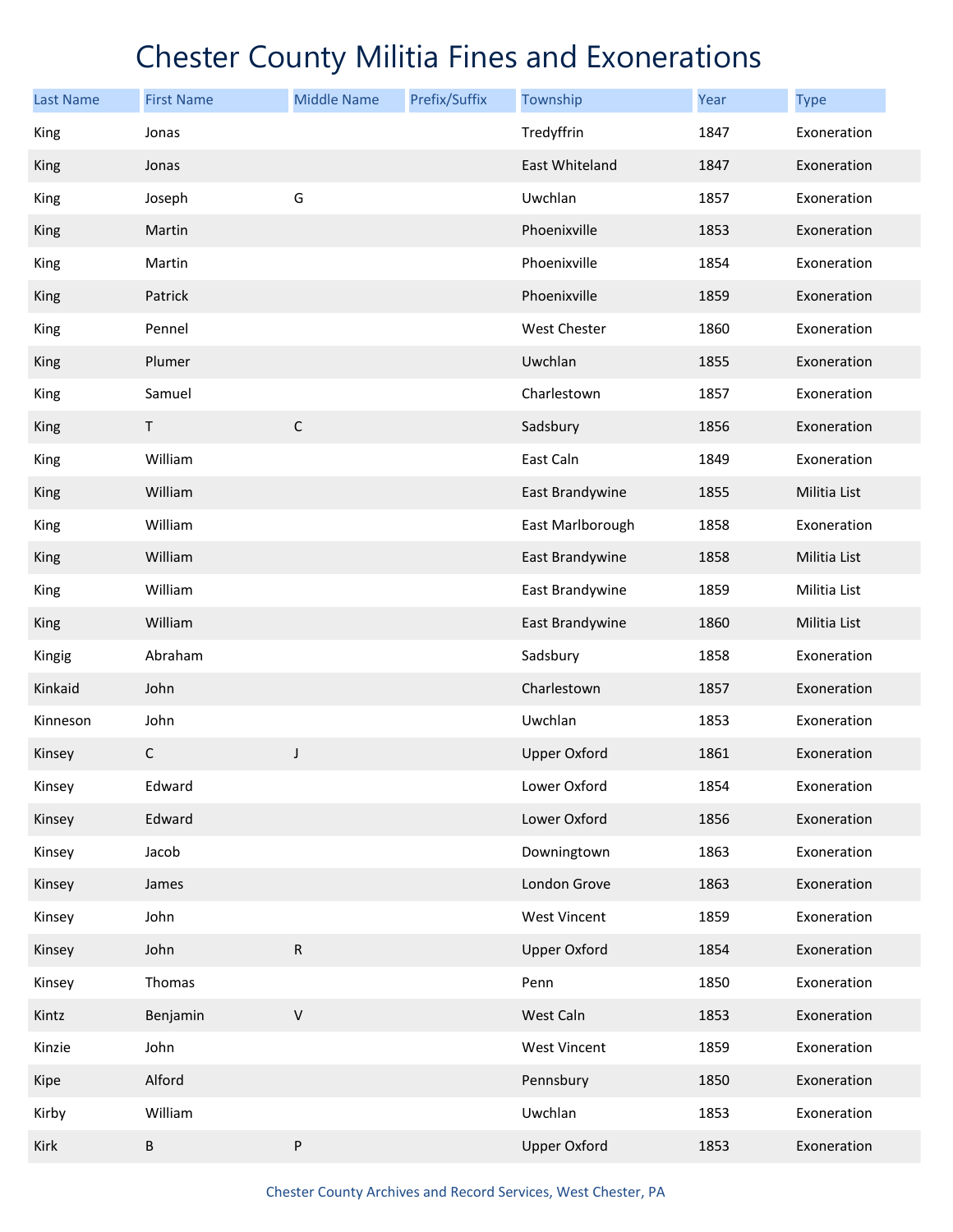| <b>Last Name</b> | <b>First Name</b> | <b>Middle Name</b> | Prefix/Suffix | Township            | Year | <b>Type</b>  |
|------------------|-------------------|--------------------|---------------|---------------------|------|--------------|
| King             | Jonas             |                    |               | Tredyffrin          | 1847 | Exoneration  |
| King             | Jonas             |                    |               | East Whiteland      | 1847 | Exoneration  |
| King             | Joseph            | G                  |               | Uwchlan             | 1857 | Exoneration  |
| King             | Martin            |                    |               | Phoenixville        | 1853 | Exoneration  |
| King             | Martin            |                    |               | Phoenixville        | 1854 | Exoneration  |
| King             | Patrick           |                    |               | Phoenixville        | 1859 | Exoneration  |
| King             | Pennel            |                    |               | West Chester        | 1860 | Exoneration  |
| King             | Plumer            |                    |               | Uwchlan             | 1855 | Exoneration  |
| King             | Samuel            |                    |               | Charlestown         | 1857 | Exoneration  |
| King             | $\mathsf T$       | $\mathsf C$        |               | Sadsbury            | 1856 | Exoneration  |
| King             | William           |                    |               | East Caln           | 1849 | Exoneration  |
| <b>King</b>      | William           |                    |               | East Brandywine     | 1855 | Militia List |
| King             | William           |                    |               | East Marlborough    | 1858 | Exoneration  |
| King             | William           |                    |               | East Brandywine     | 1858 | Militia List |
| King             | William           |                    |               | East Brandywine     | 1859 | Militia List |
| <b>King</b>      | William           |                    |               | East Brandywine     | 1860 | Militia List |
| Kingig           | Abraham           |                    |               | Sadsbury            | 1858 | Exoneration  |
| Kinkaid          | John              |                    |               | Charlestown         | 1857 | Exoneration  |
| Kinneson         | John              |                    |               | Uwchlan             | 1853 | Exoneration  |
| Kinsey           | С                 | J                  |               | <b>Upper Oxford</b> | 1861 | Exoneration  |
| Kinsey           | Edward            |                    |               | Lower Oxford        | 1854 | Exoneration  |
| Kinsey           | Edward            |                    |               | Lower Oxford        | 1856 | Exoneration  |
| Kinsey           | Jacob             |                    |               | Downingtown         | 1863 | Exoneration  |
| Kinsey           | James             |                    |               | London Grove        | 1863 | Exoneration  |
| Kinsey           | John              |                    |               | West Vincent        | 1859 | Exoneration  |
| Kinsey           | John              | ${\sf R}$          |               | <b>Upper Oxford</b> | 1854 | Exoneration  |
| Kinsey           | Thomas            |                    |               | Penn                | 1850 | Exoneration  |
| Kintz            | Benjamin          | $\mathsf V$        |               | West Caln           | 1853 | Exoneration  |
| Kinzie           | John              |                    |               | West Vincent        | 1859 | Exoneration  |
| Kipe             | Alford            |                    |               | Pennsbury           | 1850 | Exoneration  |
| Kirby            | William           |                    |               | Uwchlan             | 1853 | Exoneration  |
| Kirk             | B                 | ${\sf P}$          |               | <b>Upper Oxford</b> | 1853 | Exoneration  |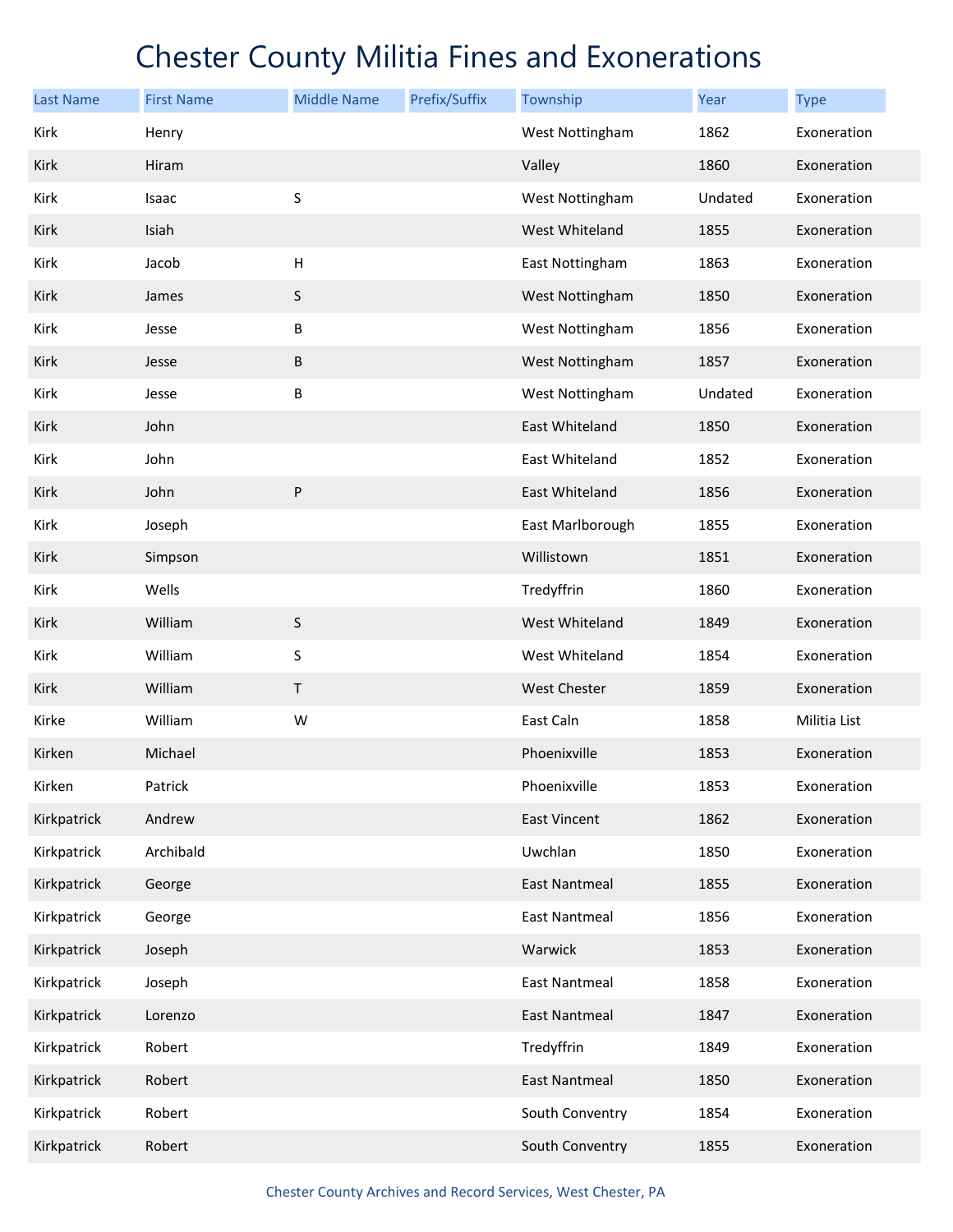| <b>Last Name</b> | <b>First Name</b> | <b>Middle Name</b>        | Prefix/Suffix | Township             | Year    | <b>Type</b>  |
|------------------|-------------------|---------------------------|---------------|----------------------|---------|--------------|
| Kirk             | Henry             |                           |               | West Nottingham      | 1862    | Exoneration  |
| Kirk             | Hiram             |                           |               | Valley               | 1860    | Exoneration  |
| Kirk             | Isaac             | S                         |               | West Nottingham      | Undated | Exoneration  |
| Kirk             | Isiah             |                           |               | West Whiteland       | 1855    | Exoneration  |
| Kirk             | Jacob             | $\boldsymbol{\mathsf{H}}$ |               | East Nottingham      | 1863    | Exoneration  |
| Kirk             | James             | $\sf S$                   |               | West Nottingham      | 1850    | Exoneration  |
| Kirk             | Jesse             | Β                         |               | West Nottingham      | 1856    | Exoneration  |
| Kirk             | Jesse             | B                         |               | West Nottingham      | 1857    | Exoneration  |
| Kirk             | Jesse             | B                         |               | West Nottingham      | Undated | Exoneration  |
| Kirk             | John              |                           |               | East Whiteland       | 1850    | Exoneration  |
| Kirk             | John              |                           |               | East Whiteland       | 1852    | Exoneration  |
| Kirk             | John              | ${\sf P}$                 |               | East Whiteland       | 1856    | Exoneration  |
| Kirk             | Joseph            |                           |               | East Marlborough     | 1855    | Exoneration  |
| Kirk             | Simpson           |                           |               | Willistown           | 1851    | Exoneration  |
| Kirk             | Wells             |                           |               | Tredyffrin           | 1860    | Exoneration  |
| Kirk             | William           | $\sf S$                   |               | West Whiteland       | 1849    | Exoneration  |
| Kirk             | William           | S                         |               | West Whiteland       | 1854    | Exoneration  |
| Kirk             | William           | $\sf T$                   |               | <b>West Chester</b>  | 1859    | Exoneration  |
| Kirke            | William           | W                         |               | East Caln            | 1858    | Militia List |
| Kirken           | Michael           |                           |               | Phoenixville         | 1853    | Exoneration  |
| Kirken           | Patrick           |                           |               | Phoenixville         | 1853    | Exoneration  |
| Kirkpatrick      | Andrew            |                           |               | <b>East Vincent</b>  | 1862    | Exoneration  |
| Kirkpatrick      | Archibald         |                           |               | Uwchlan              | 1850    | Exoneration  |
| Kirkpatrick      | George            |                           |               | <b>East Nantmeal</b> | 1855    | Exoneration  |
| Kirkpatrick      | George            |                           |               | <b>East Nantmeal</b> | 1856    | Exoneration  |
| Kirkpatrick      | Joseph            |                           |               | Warwick              | 1853    | Exoneration  |
| Kirkpatrick      | Joseph            |                           |               | <b>East Nantmeal</b> | 1858    | Exoneration  |
| Kirkpatrick      | Lorenzo           |                           |               | <b>East Nantmeal</b> | 1847    | Exoneration  |
| Kirkpatrick      | Robert            |                           |               | Tredyffrin           | 1849    | Exoneration  |
| Kirkpatrick      | Robert            |                           |               | <b>East Nantmeal</b> | 1850    | Exoneration  |
| Kirkpatrick      | Robert            |                           |               | South Conventry      | 1854    | Exoneration  |
| Kirkpatrick      | Robert            |                           |               | South Conventry      | 1855    | Exoneration  |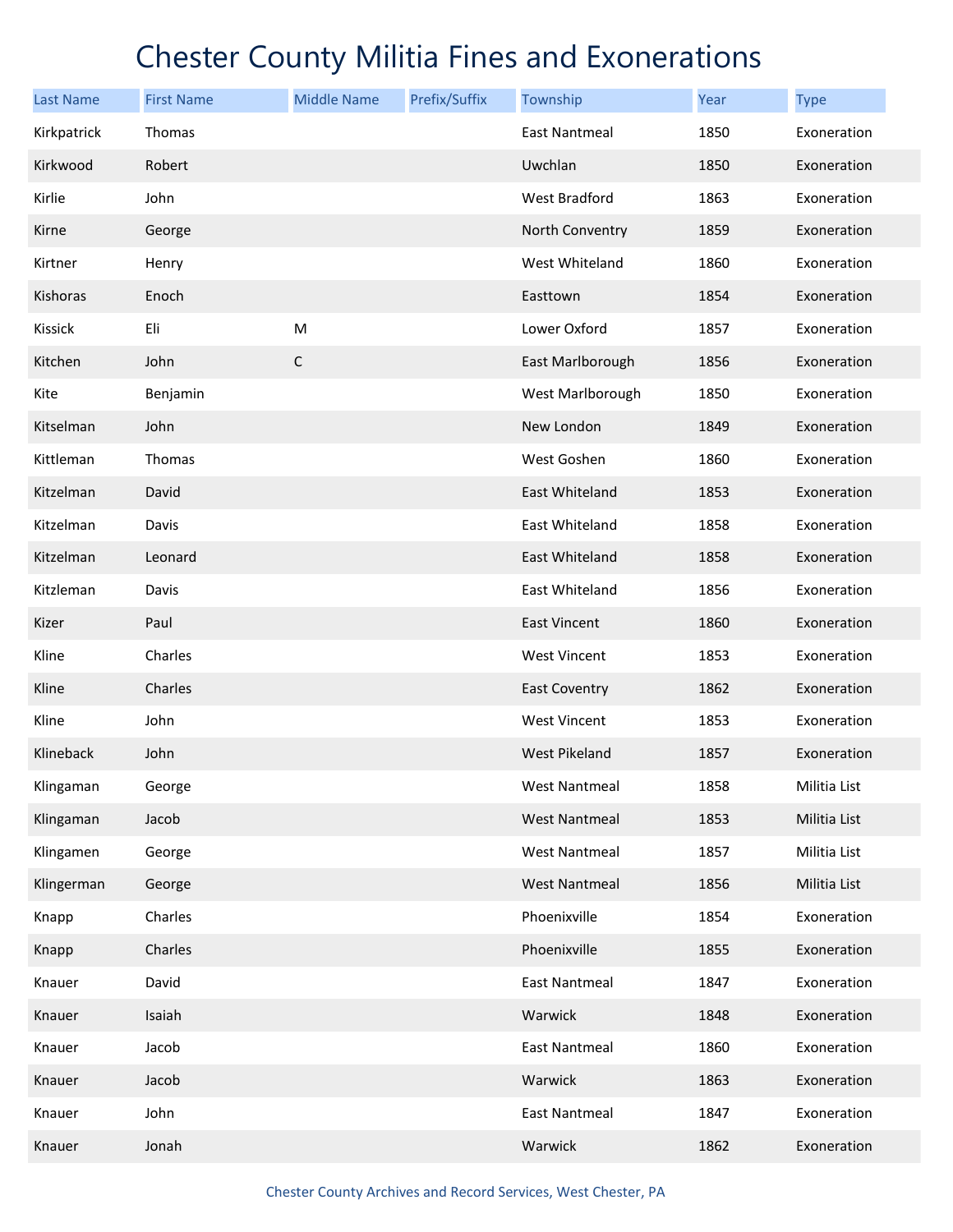| <b>Last Name</b> | <b>First Name</b> | <b>Middle Name</b> | Prefix/Suffix | Township             | Year | <b>Type</b>  |
|------------------|-------------------|--------------------|---------------|----------------------|------|--------------|
| Kirkpatrick      | Thomas            |                    |               | <b>East Nantmeal</b> | 1850 | Exoneration  |
| Kirkwood         | Robert            |                    |               | Uwchlan              | 1850 | Exoneration  |
| Kirlie           | John              |                    |               | West Bradford        | 1863 | Exoneration  |
| Kirne            | George            |                    |               | North Conventry      | 1859 | Exoneration  |
| Kirtner          | Henry             |                    |               | West Whiteland       | 1860 | Exoneration  |
| Kishoras         | Enoch             |                    |               | Easttown             | 1854 | Exoneration  |
| Kissick          | Eli               | ${\sf M}$          |               | Lower Oxford         | 1857 | Exoneration  |
| Kitchen          | John              | $\mathsf C$        |               | East Marlborough     | 1856 | Exoneration  |
| Kite             | Benjamin          |                    |               | West Marlborough     | 1850 | Exoneration  |
| Kitselman        | John              |                    |               | New London           | 1849 | Exoneration  |
| Kittleman        | Thomas            |                    |               | West Goshen          | 1860 | Exoneration  |
| Kitzelman        | David             |                    |               | East Whiteland       | 1853 | Exoneration  |
| Kitzelman        | Davis             |                    |               | East Whiteland       | 1858 | Exoneration  |
| Kitzelman        | Leonard           |                    |               | East Whiteland       | 1858 | Exoneration  |
| Kitzleman        | Davis             |                    |               | East Whiteland       | 1856 | Exoneration  |
| Kizer            | Paul              |                    |               | <b>East Vincent</b>  | 1860 | Exoneration  |
| Kline            | Charles           |                    |               | <b>West Vincent</b>  | 1853 | Exoneration  |
| Kline            | Charles           |                    |               | <b>East Coventry</b> | 1862 | Exoneration  |
| Kline            | John              |                    |               | <b>West Vincent</b>  | 1853 | Exoneration  |
| Klineback        | John              |                    |               | <b>West Pikeland</b> | 1857 | Exoneration  |
| Klingaman        | George            |                    |               | <b>West Nantmeal</b> | 1858 | Militia List |
| Klingaman        | Jacob             |                    |               | <b>West Nantmeal</b> | 1853 | Militia List |
| Klingamen        | George            |                    |               | <b>West Nantmeal</b> | 1857 | Militia List |
| Klingerman       | George            |                    |               | <b>West Nantmeal</b> | 1856 | Militia List |
| Knapp            | Charles           |                    |               | Phoenixville         | 1854 | Exoneration  |
| Knapp            | Charles           |                    |               | Phoenixville         | 1855 | Exoneration  |
| Knauer           | David             |                    |               | <b>East Nantmeal</b> | 1847 | Exoneration  |
| Knauer           | Isaiah            |                    |               | Warwick              | 1848 | Exoneration  |
| Knauer           | Jacob             |                    |               | <b>East Nantmeal</b> | 1860 | Exoneration  |
| Knauer           | Jacob             |                    |               | Warwick              | 1863 | Exoneration  |
| Knauer           | John              |                    |               | <b>East Nantmeal</b> | 1847 | Exoneration  |
| Knauer           | Jonah             |                    |               | Warwick              | 1862 | Exoneration  |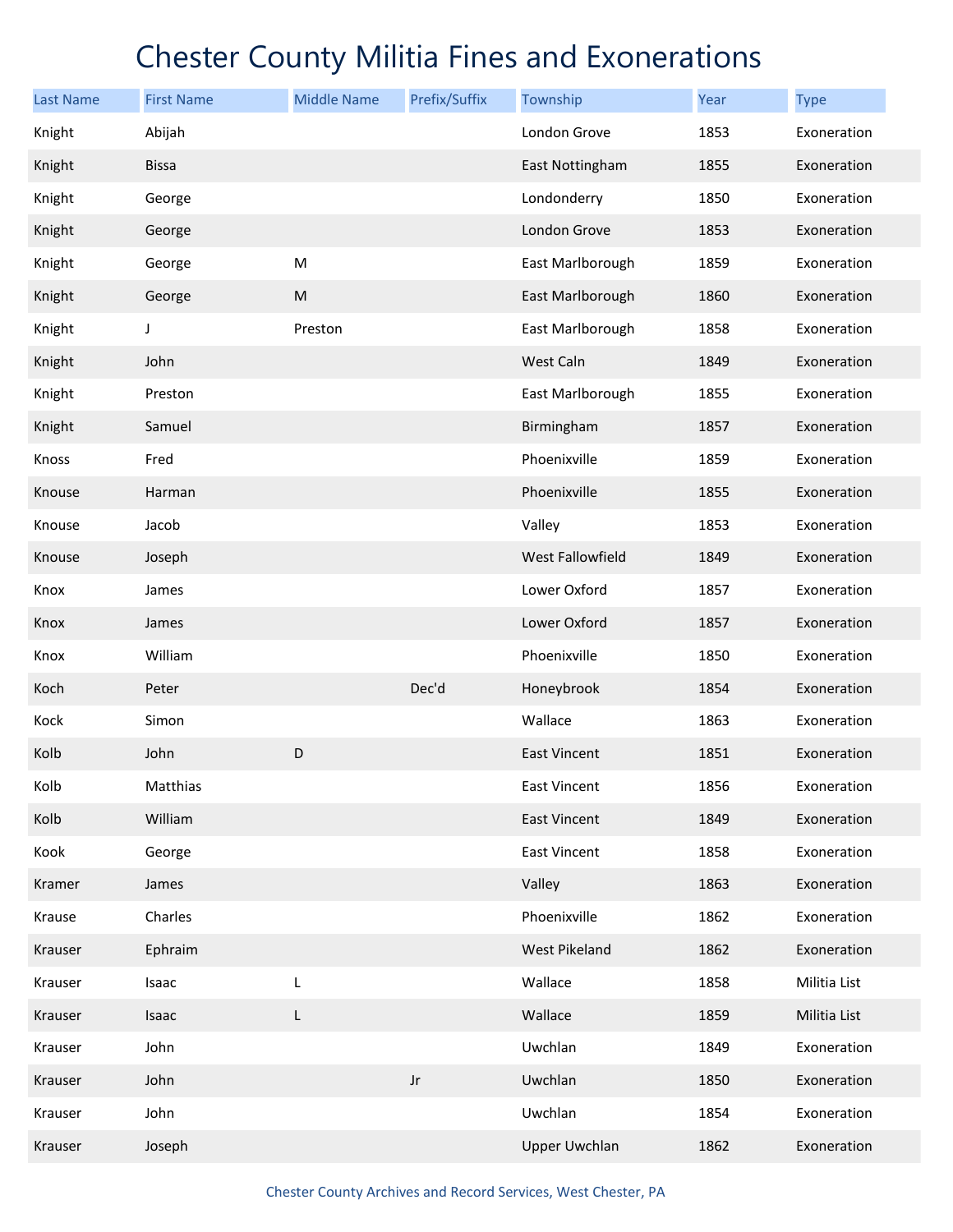| <b>Last Name</b> | <b>First Name</b> | <b>Middle Name</b> | Prefix/Suffix | Township             | Year | <b>Type</b>  |
|------------------|-------------------|--------------------|---------------|----------------------|------|--------------|
| Knight           | Abijah            |                    |               | London Grove         | 1853 | Exoneration  |
| Knight           | <b>Bissa</b>      |                    |               | East Nottingham      | 1855 | Exoneration  |
| Knight           | George            |                    |               | Londonderry          | 1850 | Exoneration  |
| Knight           | George            |                    |               | London Grove         | 1853 | Exoneration  |
| Knight           | George            | ${\sf M}$          |               | East Marlborough     | 1859 | Exoneration  |
| Knight           | George            | ${\sf M}$          |               | East Marlborough     | 1860 | Exoneration  |
| Knight           | J                 | Preston            |               | East Marlborough     | 1858 | Exoneration  |
| Knight           | John              |                    |               | West Caln            | 1849 | Exoneration  |
| Knight           | Preston           |                    |               | East Marlborough     | 1855 | Exoneration  |
| Knight           | Samuel            |                    |               | Birmingham           | 1857 | Exoneration  |
| Knoss            | Fred              |                    |               | Phoenixville         | 1859 | Exoneration  |
| Knouse           | Harman            |                    |               | Phoenixville         | 1855 | Exoneration  |
| Knouse           | Jacob             |                    |               | Valley               | 1853 | Exoneration  |
| Knouse           | Joseph            |                    |               | West Fallowfield     | 1849 | Exoneration  |
| Knox             | James             |                    |               | Lower Oxford         | 1857 | Exoneration  |
| Knox             | James             |                    |               | Lower Oxford         | 1857 | Exoneration  |
| Knox             | William           |                    |               | Phoenixville         | 1850 | Exoneration  |
| Koch             | Peter             |                    | Dec'd         | Honeybrook           | 1854 | Exoneration  |
| Kock             | Simon             |                    |               | Wallace              | 1863 | Exoneration  |
| Kolb             | John              | D                  |               | <b>East Vincent</b>  | 1851 | Exoneration  |
| Kolb             | Matthias          |                    |               | <b>East Vincent</b>  | 1856 | Exoneration  |
| Kolb             | William           |                    |               | <b>East Vincent</b>  | 1849 | Exoneration  |
| Kook             | George            |                    |               | <b>East Vincent</b>  | 1858 | Exoneration  |
| Kramer           | James             |                    |               | Valley               | 1863 | Exoneration  |
| Krause           | Charles           |                    |               | Phoenixville         | 1862 | Exoneration  |
| Krauser          | Ephraim           |                    |               | West Pikeland        | 1862 | Exoneration  |
| Krauser          | Isaac             | L                  |               | Wallace              | 1858 | Militia List |
| Krauser          | Isaac             | L                  |               | Wallace              | 1859 | Militia List |
| Krauser          | John              |                    |               | Uwchlan              | 1849 | Exoneration  |
| Krauser          | John              |                    | $_{\rm Jr}$   | Uwchlan              | 1850 | Exoneration  |
| Krauser          | John              |                    |               | Uwchlan              | 1854 | Exoneration  |
| Krauser          | Joseph            |                    |               | <b>Upper Uwchlan</b> | 1862 | Exoneration  |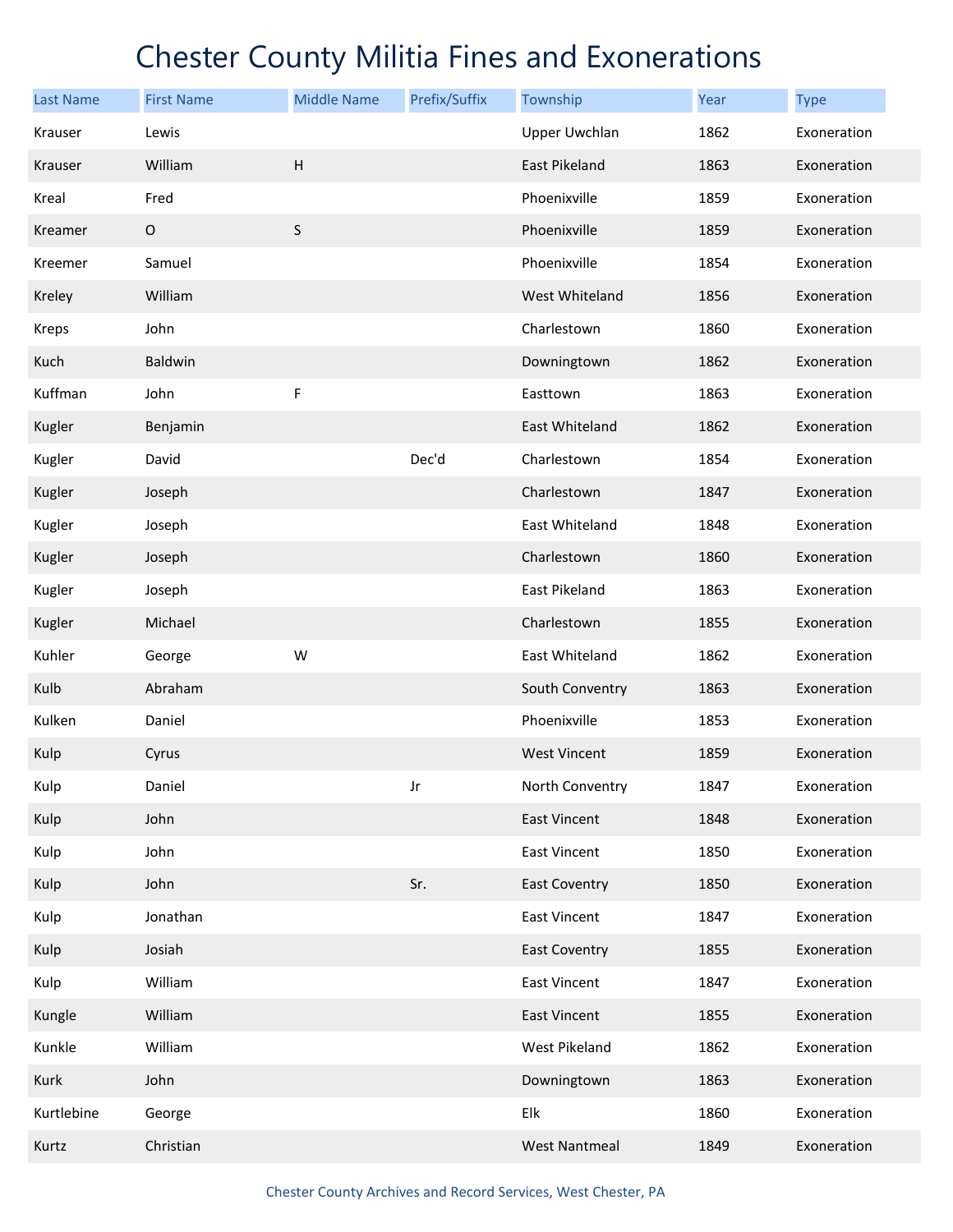| <b>Last Name</b> | <b>First Name</b> | <b>Middle Name</b> | Prefix/Suffix | Township             | Year | <b>Type</b> |
|------------------|-------------------|--------------------|---------------|----------------------|------|-------------|
| Krauser          | Lewis             |                    |               | <b>Upper Uwchlan</b> | 1862 | Exoneration |
| Krauser          | William           | $\sf H$            |               | East Pikeland        | 1863 | Exoneration |
| Kreal            | Fred              |                    |               | Phoenixville         | 1859 | Exoneration |
| Kreamer          | $\mathsf O$       | $\sf S$            |               | Phoenixville         | 1859 | Exoneration |
| Kreemer          | Samuel            |                    |               | Phoenixville         | 1854 | Exoneration |
| Kreley           | William           |                    |               | West Whiteland       | 1856 | Exoneration |
| <b>Kreps</b>     | John              |                    |               | Charlestown          | 1860 | Exoneration |
| Kuch             | Baldwin           |                    |               | Downingtown          | 1862 | Exoneration |
| Kuffman          | John              | F                  |               | Easttown             | 1863 | Exoneration |
| Kugler           | Benjamin          |                    |               | East Whiteland       | 1862 | Exoneration |
| Kugler           | David             |                    | Dec'd         | Charlestown          | 1854 | Exoneration |
| Kugler           | Joseph            |                    |               | Charlestown          | 1847 | Exoneration |
| Kugler           | Joseph            |                    |               | East Whiteland       | 1848 | Exoneration |
| Kugler           | Joseph            |                    |               | Charlestown          | 1860 | Exoneration |
| Kugler           | Joseph            |                    |               | East Pikeland        | 1863 | Exoneration |
| Kugler           | Michael           |                    |               | Charlestown          | 1855 | Exoneration |
| Kuhler           | George            | W                  |               | East Whiteland       | 1862 | Exoneration |
| Kulb             | Abraham           |                    |               | South Conventry      | 1863 | Exoneration |
| Kulken           | Daniel            |                    |               | Phoenixville         | 1853 | Exoneration |
| Kulp             | Cyrus             |                    |               | <b>West Vincent</b>  | 1859 | Exoneration |
| Kulp             | Daniel            |                    | Jr            | North Conventry      | 1847 | Exoneration |
| Kulp             | John              |                    |               | <b>East Vincent</b>  | 1848 | Exoneration |
| Kulp             | John              |                    |               | <b>East Vincent</b>  | 1850 | Exoneration |
| Kulp             | John              |                    | Sr.           | <b>East Coventry</b> | 1850 | Exoneration |
| Kulp             | Jonathan          |                    |               | <b>East Vincent</b>  | 1847 | Exoneration |
| Kulp             | Josiah            |                    |               | <b>East Coventry</b> | 1855 | Exoneration |
| Kulp             | William           |                    |               | East Vincent         | 1847 | Exoneration |
| Kungle           | William           |                    |               | East Vincent         | 1855 | Exoneration |
| Kunkle           | William           |                    |               | West Pikeland        | 1862 | Exoneration |
| Kurk             | John              |                    |               | Downingtown          | 1863 | Exoneration |
| Kurtlebine       | George            |                    |               | Elk                  | 1860 | Exoneration |
| Kurtz            | Christian         |                    |               | <b>West Nantmeal</b> | 1849 | Exoneration |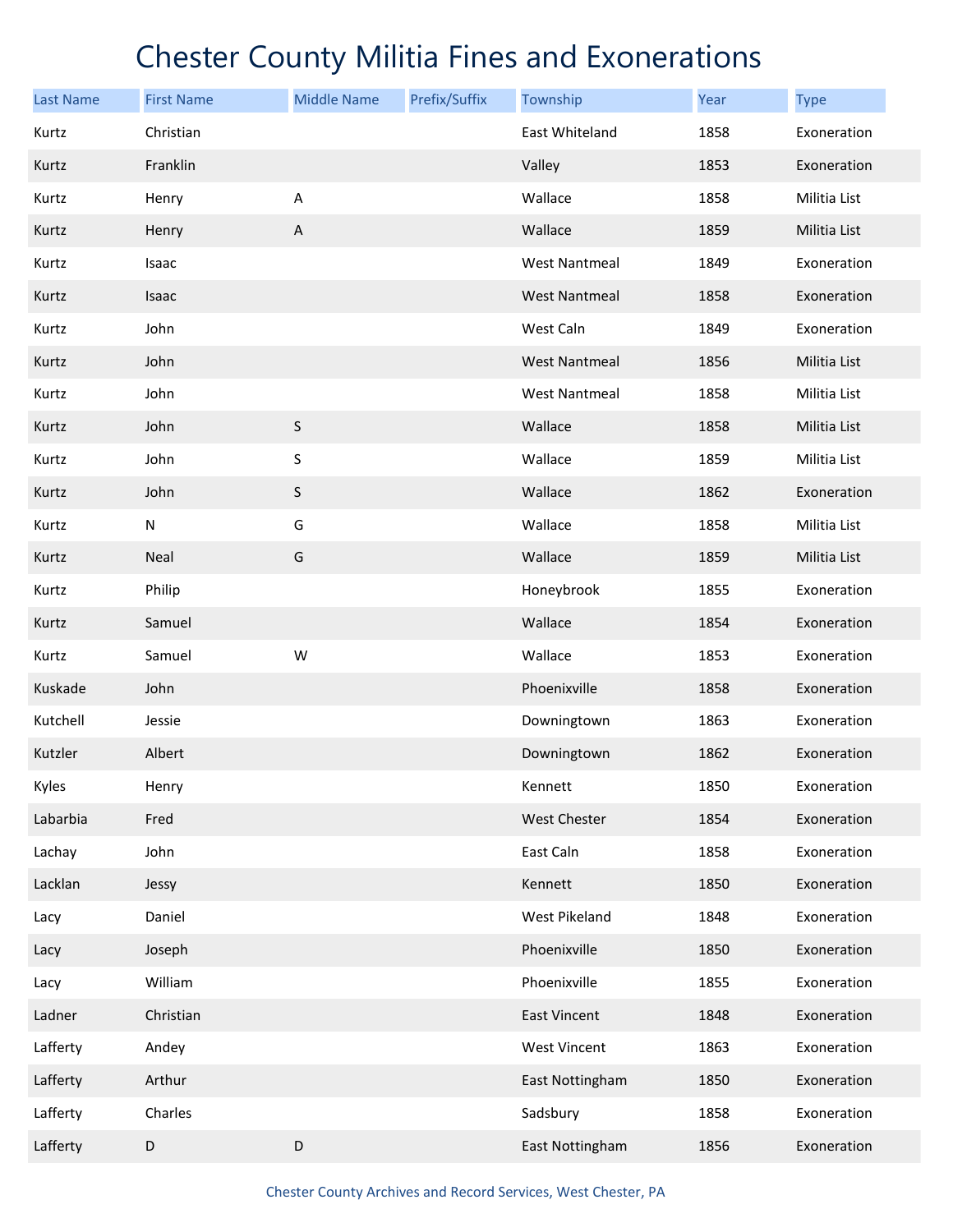| <b>Last Name</b> | <b>First Name</b> | <b>Middle Name</b> | Prefix/Suffix | Township             | Year | <b>Type</b>  |
|------------------|-------------------|--------------------|---------------|----------------------|------|--------------|
| Kurtz            | Christian         |                    |               | East Whiteland       | 1858 | Exoneration  |
| Kurtz            | Franklin          |                    |               | Valley               | 1853 | Exoneration  |
| Kurtz            | Henry             | Α                  |               | Wallace              | 1858 | Militia List |
| Kurtz            | Henry             | $\sf A$            |               | Wallace              | 1859 | Militia List |
| Kurtz            | Isaac             |                    |               | <b>West Nantmeal</b> | 1849 | Exoneration  |
| Kurtz            | Isaac             |                    |               | <b>West Nantmeal</b> | 1858 | Exoneration  |
| Kurtz            | John              |                    |               | West Caln            | 1849 | Exoneration  |
| Kurtz            | John              |                    |               | <b>West Nantmeal</b> | 1856 | Militia List |
| Kurtz            | John              |                    |               | <b>West Nantmeal</b> | 1858 | Militia List |
| Kurtz            | John              | $\sf S$            |               | Wallace              | 1858 | Militia List |
| Kurtz            | John              | S                  |               | Wallace              | 1859 | Militia List |
| Kurtz            | John              | $\sf S$            |               | Wallace              | 1862 | Exoneration  |
| Kurtz            | ${\sf N}$         | G                  |               | Wallace              | 1858 | Militia List |
| Kurtz            | Neal              | G                  |               | Wallace              | 1859 | Militia List |
| Kurtz            | Philip            |                    |               | Honeybrook           | 1855 | Exoneration  |
| Kurtz            | Samuel            |                    |               | Wallace              | 1854 | Exoneration  |
| Kurtz            | Samuel            | W                  |               | Wallace              | 1853 | Exoneration  |
| Kuskade          | John              |                    |               | Phoenixville         | 1858 | Exoneration  |
| Kutchell         | Jessie            |                    |               | Downingtown          | 1863 | Exoneration  |
| Kutzler          | Albert            |                    |               | Downingtown          | 1862 | Exoneration  |
| Kyles            | Henry             |                    |               | Kennett              | 1850 | Exoneration  |
| Labarbia         | Fred              |                    |               | West Chester         | 1854 | Exoneration  |
| Lachay           | John              |                    |               | East Caln            | 1858 | Exoneration  |
| Lacklan          | Jessy             |                    |               | Kennett              | 1850 | Exoneration  |
| Lacy             | Daniel            |                    |               | West Pikeland        | 1848 | Exoneration  |
| Lacy             | Joseph            |                    |               | Phoenixville         | 1850 | Exoneration  |
| Lacy             | William           |                    |               | Phoenixville         | 1855 | Exoneration  |
| Ladner           | Christian         |                    |               | <b>East Vincent</b>  | 1848 | Exoneration  |
| Lafferty         | Andey             |                    |               | <b>West Vincent</b>  | 1863 | Exoneration  |
| Lafferty         | Arthur            |                    |               | East Nottingham      | 1850 | Exoneration  |
| Lafferty         | Charles           |                    |               | Sadsbury             | 1858 | Exoneration  |
| Lafferty         | D                 | D                  |               | East Nottingham      | 1856 | Exoneration  |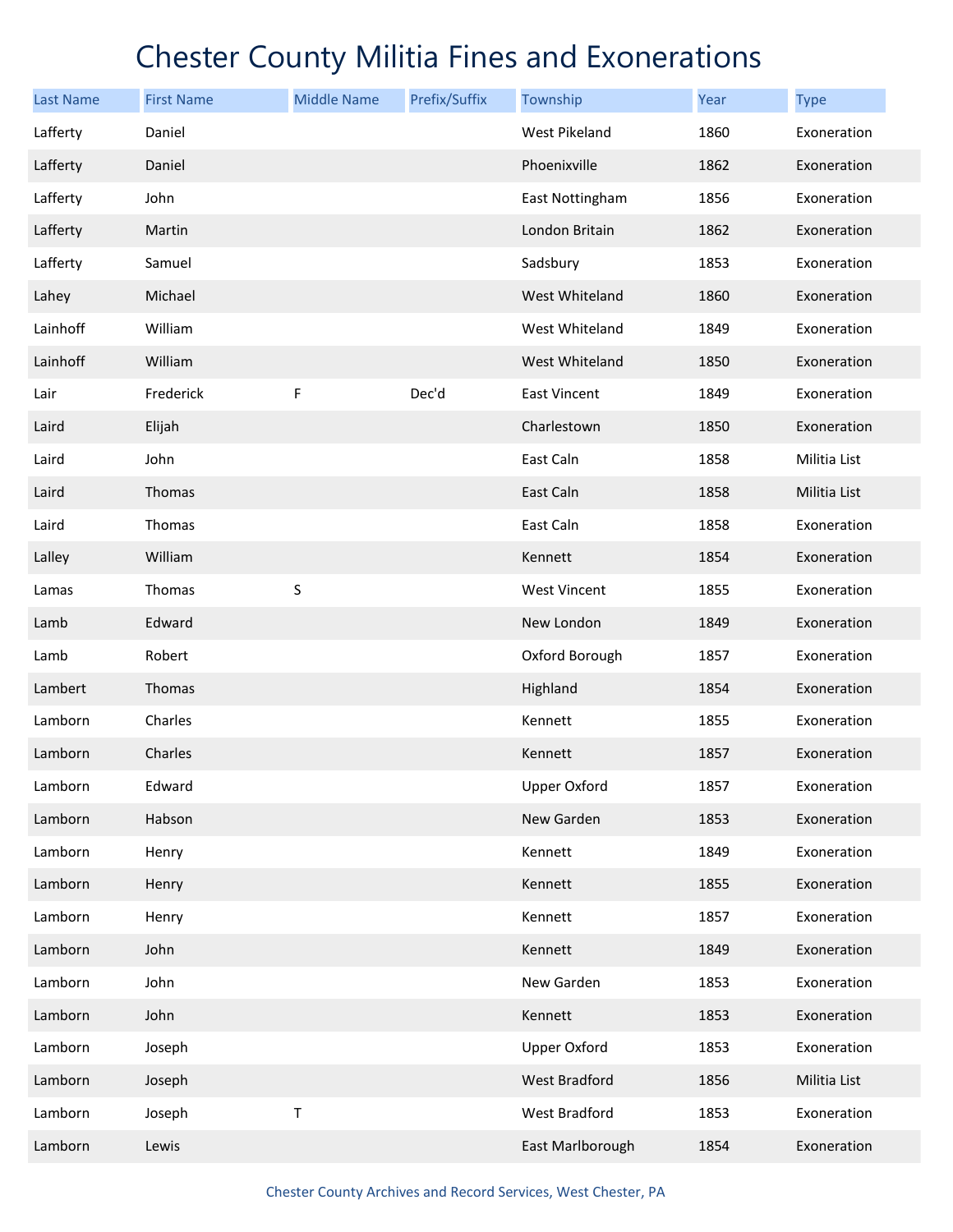| <b>Last Name</b> | <b>First Name</b> | <b>Middle Name</b> | Prefix/Suffix | Township             | Year | <b>Type</b>  |
|------------------|-------------------|--------------------|---------------|----------------------|------|--------------|
| Lafferty         | Daniel            |                    |               | <b>West Pikeland</b> | 1860 | Exoneration  |
| Lafferty         | Daniel            |                    |               | Phoenixville         | 1862 | Exoneration  |
| Lafferty         | John              |                    |               | East Nottingham      | 1856 | Exoneration  |
| Lafferty         | Martin            |                    |               | London Britain       | 1862 | Exoneration  |
| Lafferty         | Samuel            |                    |               | Sadsbury             | 1853 | Exoneration  |
| Lahey            | Michael           |                    |               | West Whiteland       | 1860 | Exoneration  |
| Lainhoff         | William           |                    |               | West Whiteland       | 1849 | Exoneration  |
| Lainhoff         | William           |                    |               | West Whiteland       | 1850 | Exoneration  |
| Lair             | Frederick         | F                  | Dec'd         | <b>East Vincent</b>  | 1849 | Exoneration  |
| Laird            | Elijah            |                    |               | Charlestown          | 1850 | Exoneration  |
| Laird            | John              |                    |               | East Caln            | 1858 | Militia List |
| Laird            | Thomas            |                    |               | East Caln            | 1858 | Militia List |
| Laird            | Thomas            |                    |               | East Caln            | 1858 | Exoneration  |
| Lalley           | William           |                    |               | Kennett              | 1854 | Exoneration  |
| Lamas            | Thomas            | S                  |               | <b>West Vincent</b>  | 1855 | Exoneration  |
| Lamb             | Edward            |                    |               | New London           | 1849 | Exoneration  |
| Lamb             | Robert            |                    |               | Oxford Borough       | 1857 | Exoneration  |
| Lambert          | Thomas            |                    |               | Highland             | 1854 | Exoneration  |
| Lamborn          | Charles           |                    |               | Kennett              | 1855 | Exoneration  |
| Lamborn          | Charles           |                    |               | Kennett              | 1857 | Exoneration  |
| Lamborn          | Edward            |                    |               | <b>Upper Oxford</b>  | 1857 | Exoneration  |
| Lamborn          | Habson            |                    |               | New Garden           | 1853 | Exoneration  |
| Lamborn          | Henry             |                    |               | Kennett              | 1849 | Exoneration  |
| Lamborn          | Henry             |                    |               | Kennett              | 1855 | Exoneration  |
| Lamborn          | Henry             |                    |               | Kennett              | 1857 | Exoneration  |
| Lamborn          | John              |                    |               | Kennett              | 1849 | Exoneration  |
| Lamborn          | John              |                    |               | New Garden           | 1853 | Exoneration  |
| Lamborn          | John              |                    |               | Kennett              | 1853 | Exoneration  |
| Lamborn          | Joseph            |                    |               | <b>Upper Oxford</b>  | 1853 | Exoneration  |
| Lamborn          | Joseph            |                    |               | West Bradford        | 1856 | Militia List |
| Lamborn          | Joseph            | Т                  |               | West Bradford        | 1853 | Exoneration  |
| Lamborn          | Lewis             |                    |               | East Marlborough     | 1854 | Exoneration  |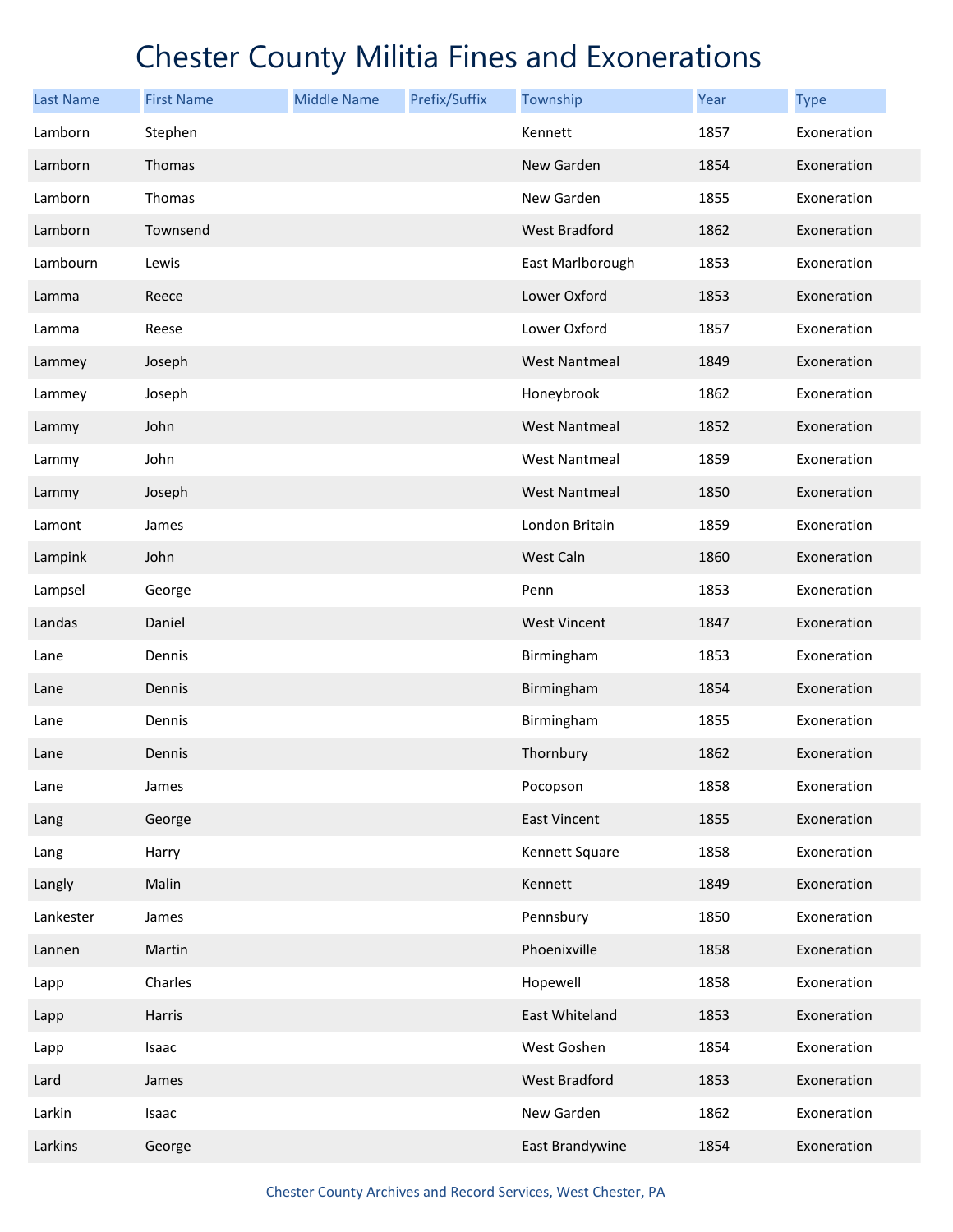| <b>Last Name</b> | <b>First Name</b> | <b>Middle Name</b> | Prefix/Suffix | Township             | Year | <b>Type</b> |
|------------------|-------------------|--------------------|---------------|----------------------|------|-------------|
| Lamborn          | Stephen           |                    |               | Kennett              | 1857 | Exoneration |
| Lamborn          | Thomas            |                    |               | New Garden           | 1854 | Exoneration |
| Lamborn          | Thomas            |                    |               | New Garden           | 1855 | Exoneration |
| Lamborn          | Townsend          |                    |               | West Bradford        | 1862 | Exoneration |
| Lambourn         | Lewis             |                    |               | East Marlborough     | 1853 | Exoneration |
| Lamma            | Reece             |                    |               | Lower Oxford         | 1853 | Exoneration |
| Lamma            | Reese             |                    |               | Lower Oxford         | 1857 | Exoneration |
| Lammey           | Joseph            |                    |               | <b>West Nantmeal</b> | 1849 | Exoneration |
| Lammey           | Joseph            |                    |               | Honeybrook           | 1862 | Exoneration |
| Lammy            | John              |                    |               | <b>West Nantmeal</b> | 1852 | Exoneration |
| Lammy            | John              |                    |               | <b>West Nantmeal</b> | 1859 | Exoneration |
| Lammy            | Joseph            |                    |               | <b>West Nantmeal</b> | 1850 | Exoneration |
| Lamont           | James             |                    |               | London Britain       | 1859 | Exoneration |
| Lampink          | John              |                    |               | West Caln            | 1860 | Exoneration |
| Lampsel          | George            |                    |               | Penn                 | 1853 | Exoneration |
| Landas           | Daniel            |                    |               | <b>West Vincent</b>  | 1847 | Exoneration |
| Lane             | Dennis            |                    |               | Birmingham           | 1853 | Exoneration |
| Lane             | Dennis            |                    |               | Birmingham           | 1854 | Exoneration |
| Lane             | Dennis            |                    |               | Birmingham           | 1855 | Exoneration |
| Lane             | Dennis            |                    |               | Thornbury            | 1862 | Exoneration |
| Lane             | James             |                    |               | Pocopson             | 1858 | Exoneration |
| Lang             | George            |                    |               | <b>East Vincent</b>  | 1855 | Exoneration |
| Lang             | Harry             |                    |               | Kennett Square       | 1858 | Exoneration |
| Langly           | Malin             |                    |               | Kennett              | 1849 | Exoneration |
| Lankester        | James             |                    |               | Pennsbury            | 1850 | Exoneration |
| Lannen           | Martin            |                    |               | Phoenixville         | 1858 | Exoneration |
| Lapp             | Charles           |                    |               | Hopewell             | 1858 | Exoneration |
| Lapp             | Harris            |                    |               | East Whiteland       | 1853 | Exoneration |
| Lapp             | Isaac             |                    |               | West Goshen          | 1854 | Exoneration |
| Lard             | James             |                    |               | West Bradford        | 1853 | Exoneration |
| Larkin           | Isaac             |                    |               | New Garden           | 1862 | Exoneration |
| Larkins          | George            |                    |               | East Brandywine      | 1854 | Exoneration |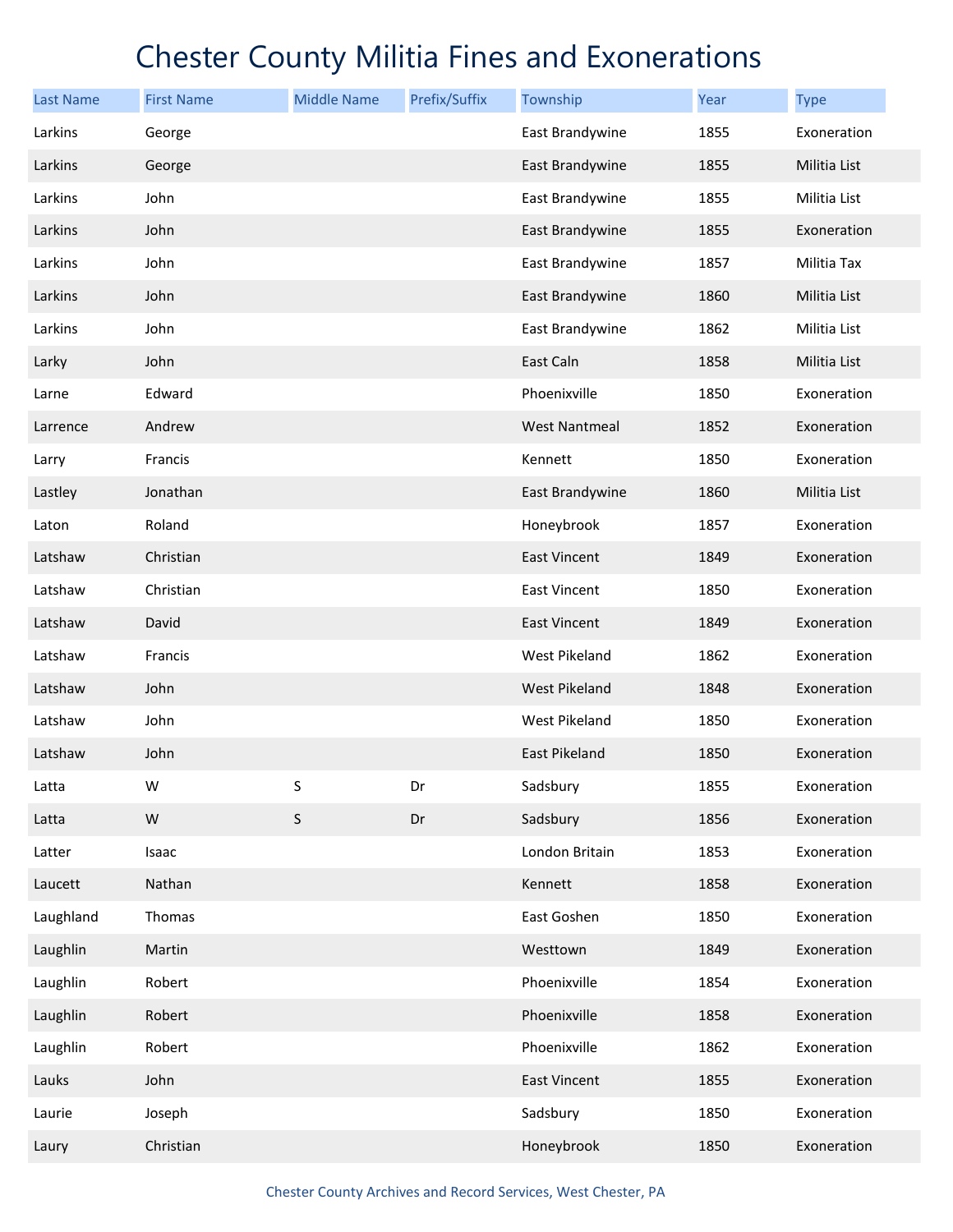| <b>Last Name</b> | <b>First Name</b> | <b>Middle Name</b> | Prefix/Suffix | Township             | Year | <b>Type</b>  |
|------------------|-------------------|--------------------|---------------|----------------------|------|--------------|
| Larkins          | George            |                    |               | East Brandywine      | 1855 | Exoneration  |
| Larkins          | George            |                    |               | East Brandywine      | 1855 | Militia List |
| Larkins          | John              |                    |               | East Brandywine      | 1855 | Militia List |
| Larkins          | John              |                    |               | East Brandywine      | 1855 | Exoneration  |
| Larkins          | John              |                    |               | East Brandywine      | 1857 | Militia Tax  |
| Larkins          | John              |                    |               | East Brandywine      | 1860 | Militia List |
| Larkins          | John              |                    |               | East Brandywine      | 1862 | Militia List |
| Larky            | John              |                    |               | East Caln            | 1858 | Militia List |
| Larne            | Edward            |                    |               | Phoenixville         | 1850 | Exoneration  |
| Larrence         | Andrew            |                    |               | <b>West Nantmeal</b> | 1852 | Exoneration  |
| Larry            | Francis           |                    |               | Kennett              | 1850 | Exoneration  |
| Lastley          | Jonathan          |                    |               | East Brandywine      | 1860 | Militia List |
| Laton            | Roland            |                    |               | Honeybrook           | 1857 | Exoneration  |
| Latshaw          | Christian         |                    |               | <b>East Vincent</b>  | 1849 | Exoneration  |
| Latshaw          | Christian         |                    |               | <b>East Vincent</b>  | 1850 | Exoneration  |
| Latshaw          | David             |                    |               | <b>East Vincent</b>  | 1849 | Exoneration  |
| Latshaw          | Francis           |                    |               | West Pikeland        | 1862 | Exoneration  |
| Latshaw          | John              |                    |               | West Pikeland        | 1848 | Exoneration  |
| Latshaw          | John              |                    |               | West Pikeland        | 1850 | Exoneration  |
| Latshaw          | John              |                    |               | <b>East Pikeland</b> | 1850 | Exoneration  |
| Latta            | W                 | S                  | Dr            | Sadsbury             | 1855 | Exoneration  |
| Latta            | ${\sf W}$         | $\sf S$            | Dr            | Sadsbury             | 1856 | Exoneration  |
| Latter           | Isaac             |                    |               | London Britain       | 1853 | Exoneration  |
| Laucett          | Nathan            |                    |               | Kennett              | 1858 | Exoneration  |
| Laughland        | Thomas            |                    |               | East Goshen          | 1850 | Exoneration  |
| Laughlin         | Martin            |                    |               | Westtown             | 1849 | Exoneration  |
| Laughlin         | Robert            |                    |               | Phoenixville         | 1854 | Exoneration  |
| Laughlin         | Robert            |                    |               | Phoenixville         | 1858 | Exoneration  |
| Laughlin         | Robert            |                    |               | Phoenixville         | 1862 | Exoneration  |
| Lauks            | John              |                    |               | <b>East Vincent</b>  | 1855 | Exoneration  |
| Laurie           | Joseph            |                    |               | Sadsbury             | 1850 | Exoneration  |
| Laury            | Christian         |                    |               | Honeybrook           | 1850 | Exoneration  |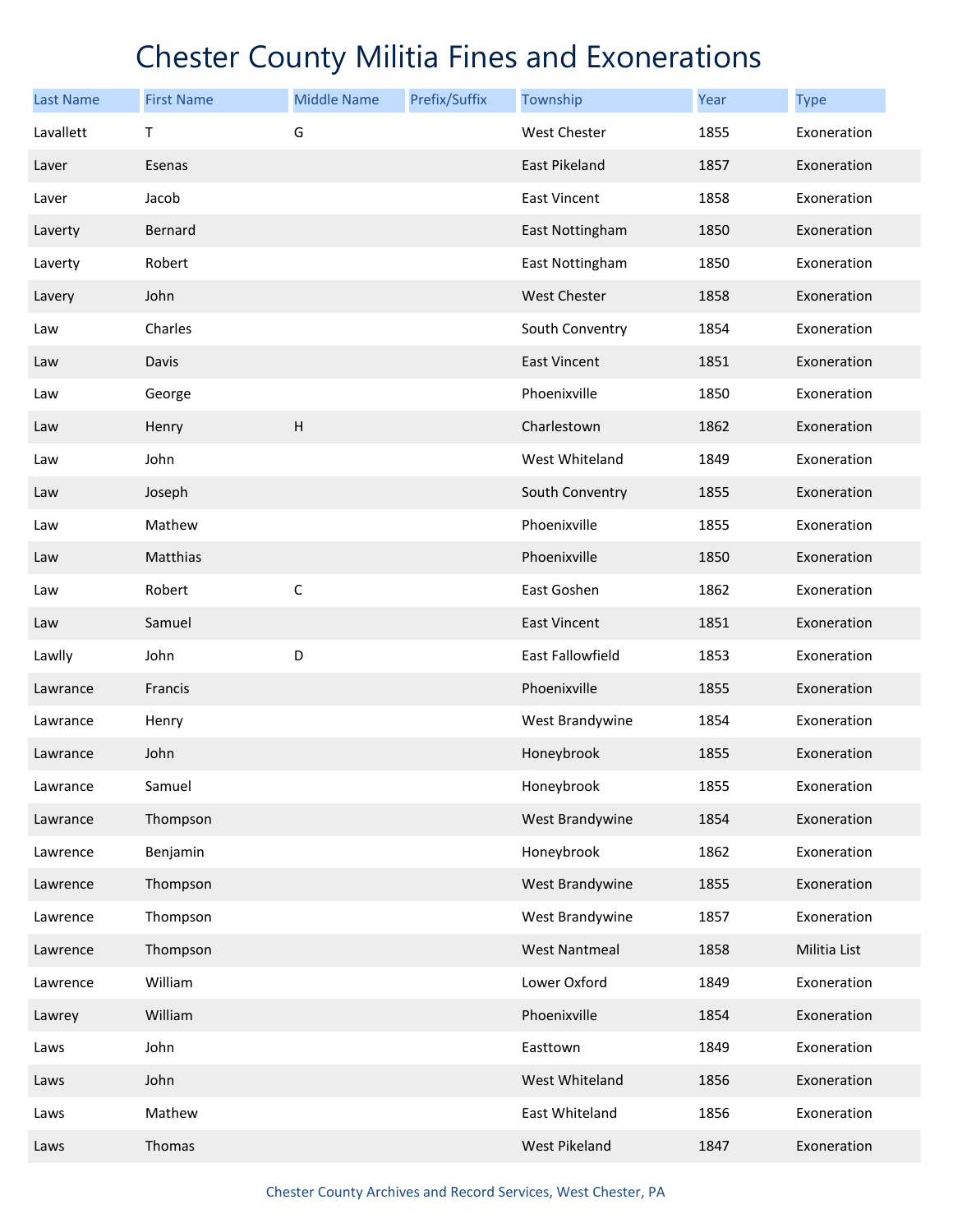| <b>Last Name</b> | <b>First Name</b> | <b>Middle Name</b> | Prefix/Suffix | Township             | Year | <b>Type</b>  |
|------------------|-------------------|--------------------|---------------|----------------------|------|--------------|
| Lavallett        | T                 | G                  |               | West Chester         | 1855 | Exoneration  |
| Laver            | Esenas            |                    |               | East Pikeland        | 1857 | Exoneration  |
| Laver            | Jacob             |                    |               | <b>East Vincent</b>  | 1858 | Exoneration  |
| Laverty          | Bernard           |                    |               | East Nottingham      | 1850 | Exoneration  |
| Laverty          | Robert            |                    |               | East Nottingham      | 1850 | Exoneration  |
| Lavery           | John              |                    |               | <b>West Chester</b>  | 1858 | Exoneration  |
| Law              | Charles           |                    |               | South Conventry      | 1854 | Exoneration  |
| Law              | Davis             |                    |               | <b>East Vincent</b>  | 1851 | Exoneration  |
| Law              | George            |                    |               | Phoenixville         | 1850 | Exoneration  |
| Law              | Henry             | $\overline{H}$     |               | Charlestown          | 1862 | Exoneration  |
| Law              | John              |                    |               | West Whiteland       | 1849 | Exoneration  |
| Law              | Joseph            |                    |               | South Conventry      | 1855 | Exoneration  |
| Law              | Mathew            |                    |               | Phoenixville         | 1855 | Exoneration  |
| Law              | Matthias          |                    |               | Phoenixville         | 1850 | Exoneration  |
| Law              | Robert            | $\mathsf C$        |               | East Goshen          | 1862 | Exoneration  |
| Law              | Samuel            |                    |               | East Vincent         | 1851 | Exoneration  |
| Lawlly           | John              | D                  |               | East Fallowfield     | 1853 | Exoneration  |
| Lawrance         | Francis           |                    |               | Phoenixville         | 1855 | Exoneration  |
| Lawrance         | Henry             |                    |               | West Brandywine      | 1854 | Exoneration  |
| Lawrance         | John              |                    |               | Honeybrook           | 1855 | Exoneration  |
| Lawrance         | Samuel            |                    |               | Honeybrook           | 1855 | Exoneration  |
| Lawrance         | Thompson          |                    |               | West Brandywine      | 1854 | Exoneration  |
| Lawrence         | Benjamin          |                    |               | Honeybrook           | 1862 | Exoneration  |
| Lawrence         | Thompson          |                    |               | West Brandywine      | 1855 | Exoneration  |
| Lawrence         | Thompson          |                    |               | West Brandywine      | 1857 | Exoneration  |
| Lawrence         | Thompson          |                    |               | <b>West Nantmeal</b> | 1858 | Militia List |
| Lawrence         | William           |                    |               | Lower Oxford         | 1849 | Exoneration  |
| Lawrey           | William           |                    |               | Phoenixville         | 1854 | Exoneration  |
| Laws             | John              |                    |               | Easttown             | 1849 | Exoneration  |
| Laws             | John              |                    |               | West Whiteland       | 1856 | Exoneration  |
| Laws             | Mathew            |                    |               | East Whiteland       | 1856 | Exoneration  |
| Laws             | Thomas            |                    |               | West Pikeland        | 1847 | Exoneration  |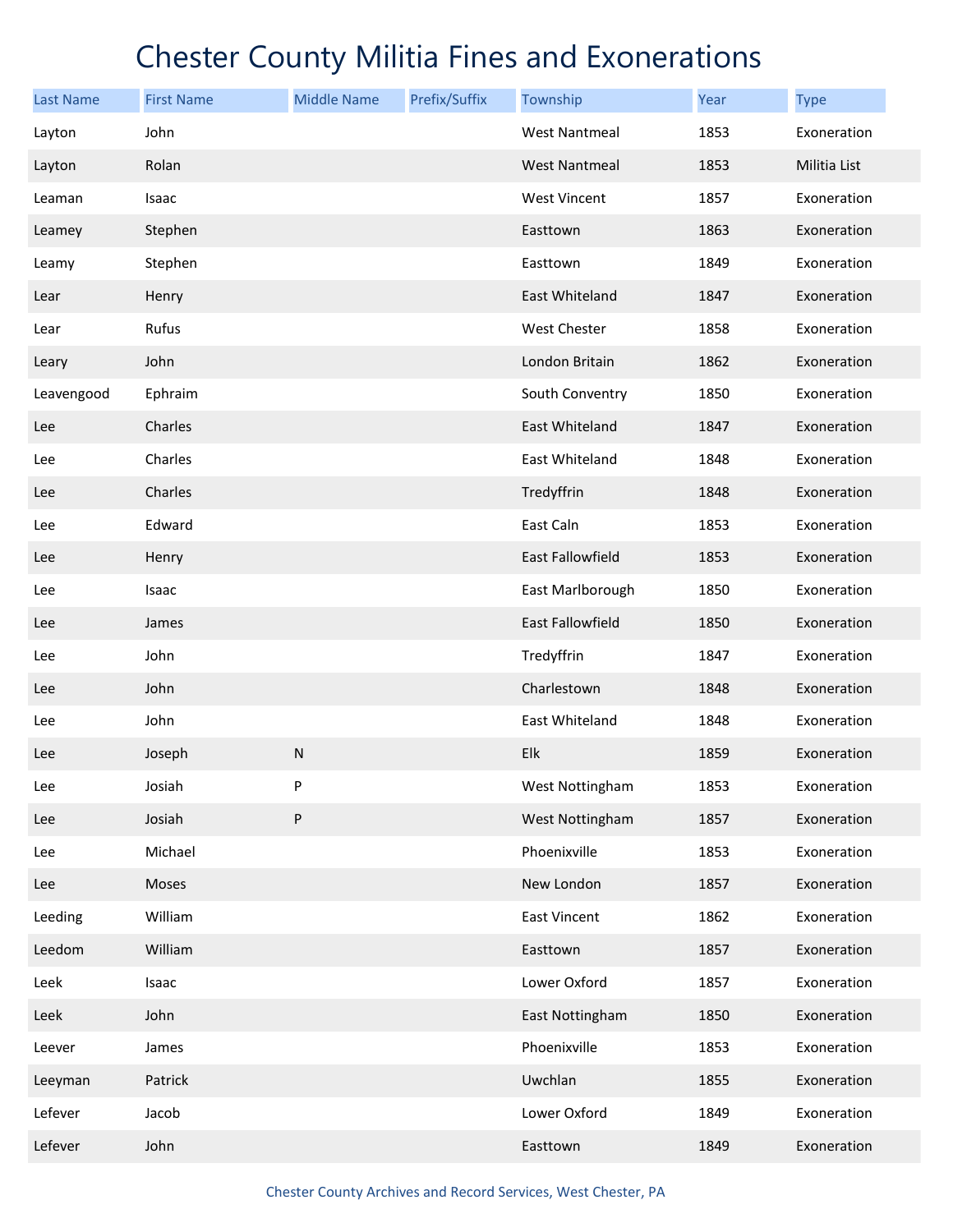| <b>Last Name</b> | <b>First Name</b> | <b>Middle Name</b> | Prefix/Suffix | Township                | Year | <b>Type</b>  |
|------------------|-------------------|--------------------|---------------|-------------------------|------|--------------|
| Layton           | John              |                    |               | <b>West Nantmeal</b>    | 1853 | Exoneration  |
| Layton           | Rolan             |                    |               | <b>West Nantmeal</b>    | 1853 | Militia List |
| Leaman           | Isaac             |                    |               | <b>West Vincent</b>     | 1857 | Exoneration  |
| Leamey           | Stephen           |                    |               | Easttown                | 1863 | Exoneration  |
| Leamy            | Stephen           |                    |               | Easttown                | 1849 | Exoneration  |
| Lear             | Henry             |                    |               | East Whiteland          | 1847 | Exoneration  |
| Lear             | Rufus             |                    |               | West Chester            | 1858 | Exoneration  |
| Leary            | John              |                    |               | London Britain          | 1862 | Exoneration  |
| Leavengood       | Ephraim           |                    |               | South Conventry         | 1850 | Exoneration  |
| Lee              | Charles           |                    |               | East Whiteland          | 1847 | Exoneration  |
| Lee              | Charles           |                    |               | East Whiteland          | 1848 | Exoneration  |
| Lee              | Charles           |                    |               | Tredyffrin              | 1848 | Exoneration  |
| Lee              | Edward            |                    |               | East Caln               | 1853 | Exoneration  |
| Lee              | Henry             |                    |               | East Fallowfield        | 1853 | Exoneration  |
| Lee              | Isaac             |                    |               | East Marlborough        | 1850 | Exoneration  |
| Lee              | James             |                    |               | <b>East Fallowfield</b> | 1850 | Exoneration  |
| Lee              | John              |                    |               | Tredyffrin              | 1847 | Exoneration  |
| Lee              | John              |                    |               | Charlestown             | 1848 | Exoneration  |
| Lee              | John              |                    |               | East Whiteland          | 1848 | Exoneration  |
| Lee              | Joseph            | ${\sf N}$          |               | Elk                     | 1859 | Exoneration  |
| Lee              | Josiah            | P                  |               | West Nottingham         | 1853 | Exoneration  |
| Lee              | Josiah            | ${\sf P}$          |               | West Nottingham         | 1857 | Exoneration  |
| Lee              | Michael           |                    |               | Phoenixville            | 1853 | Exoneration  |
| Lee              | Moses             |                    |               | New London              | 1857 | Exoneration  |
| Leeding          | William           |                    |               | East Vincent            | 1862 | Exoneration  |
| Leedom           | William           |                    |               | Easttown                | 1857 | Exoneration  |
| Leek             | Isaac             |                    |               | Lower Oxford            | 1857 | Exoneration  |
| Leek             | John              |                    |               | East Nottingham         | 1850 | Exoneration  |
| Leever           | James             |                    |               | Phoenixville            | 1853 | Exoneration  |
| Leeyman          | Patrick           |                    |               | Uwchlan                 | 1855 | Exoneration  |
| Lefever          | Jacob             |                    |               | Lower Oxford            | 1849 | Exoneration  |
| Lefever          | John              |                    |               | Easttown                | 1849 | Exoneration  |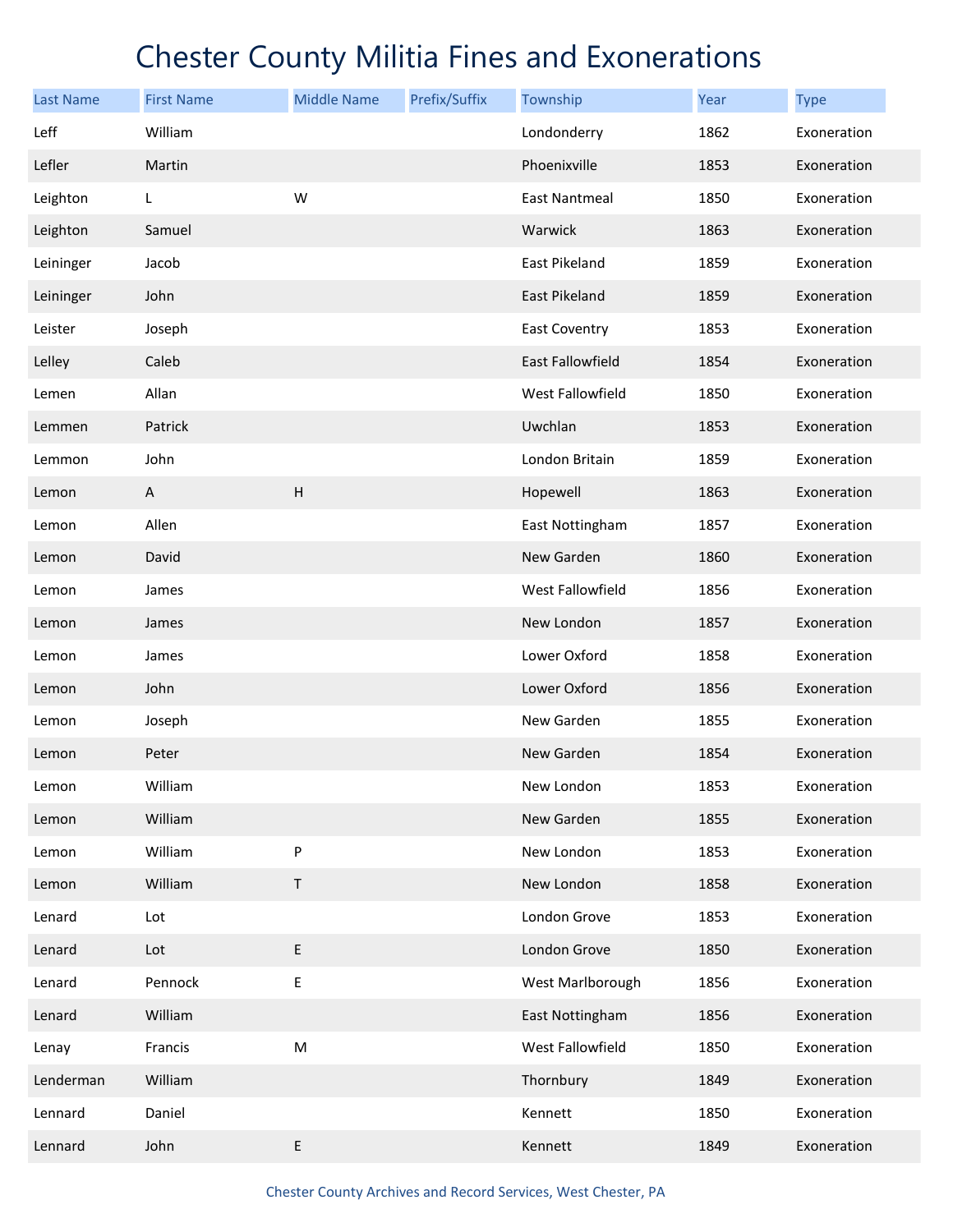| <b>Last Name</b> | <b>First Name</b> | <b>Middle Name</b> | Prefix/Suffix | Township             | Year | <b>Type</b> |
|------------------|-------------------|--------------------|---------------|----------------------|------|-------------|
| Leff             | William           |                    |               | Londonderry          | 1862 | Exoneration |
| Lefler           | Martin            |                    |               | Phoenixville         | 1853 | Exoneration |
| Leighton         | L.                | W                  |               | <b>East Nantmeal</b> | 1850 | Exoneration |
| Leighton         | Samuel            |                    |               | Warwick              | 1863 | Exoneration |
| Leininger        | Jacob             |                    |               | East Pikeland        | 1859 | Exoneration |
| Leininger        | John              |                    |               | East Pikeland        | 1859 | Exoneration |
| Leister          | Joseph            |                    |               | <b>East Coventry</b> | 1853 | Exoneration |
| Lelley           | Caleb             |                    |               | East Fallowfield     | 1854 | Exoneration |
| Lemen            | Allan             |                    |               | West Fallowfield     | 1850 | Exoneration |
| Lemmen           | Patrick           |                    |               | Uwchlan              | 1853 | Exoneration |
| Lemmon           | John              |                    |               | London Britain       | 1859 | Exoneration |
| Lemon            | A                 | H                  |               | Hopewell             | 1863 | Exoneration |
| Lemon            | Allen             |                    |               | East Nottingham      | 1857 | Exoneration |
| Lemon            | David             |                    |               | New Garden           | 1860 | Exoneration |
| Lemon            | James             |                    |               | West Fallowfield     | 1856 | Exoneration |
| Lemon            | James             |                    |               | New London           | 1857 | Exoneration |
| Lemon            | James             |                    |               | Lower Oxford         | 1858 | Exoneration |
| Lemon            | John              |                    |               | Lower Oxford         | 1856 | Exoneration |
| Lemon            | Joseph            |                    |               | New Garden           | 1855 | Exoneration |
| Lemon            | Peter             |                    |               | New Garden           | 1854 | Exoneration |
| Lemon            | William           |                    |               | New London           | 1853 | Exoneration |
| Lemon            | William           |                    |               | New Garden           | 1855 | Exoneration |
| Lemon            | William           | ${\sf P}$          |               | New London           | 1853 | Exoneration |
| Lemon            | William           | $\sf T$            |               | New London           | 1858 | Exoneration |
| Lenard           | Lot               |                    |               | London Grove         | 1853 | Exoneration |
| Lenard           | Lot               | $\mathsf E$        |               | London Grove         | 1850 | Exoneration |
| Lenard           | Pennock           | $\sf E$            |               | West Marlborough     | 1856 | Exoneration |
| Lenard           | William           |                    |               | East Nottingham      | 1856 | Exoneration |
| Lenay            | Francis           | ${\sf M}$          |               | West Fallowfield     | 1850 | Exoneration |
| Lenderman        | William           |                    |               | Thornbury            | 1849 | Exoneration |
| Lennard          | Daniel            |                    |               | Kennett              | 1850 | Exoneration |
| Lennard          | John              | $\sf E$            |               | Kennett              | 1849 | Exoneration |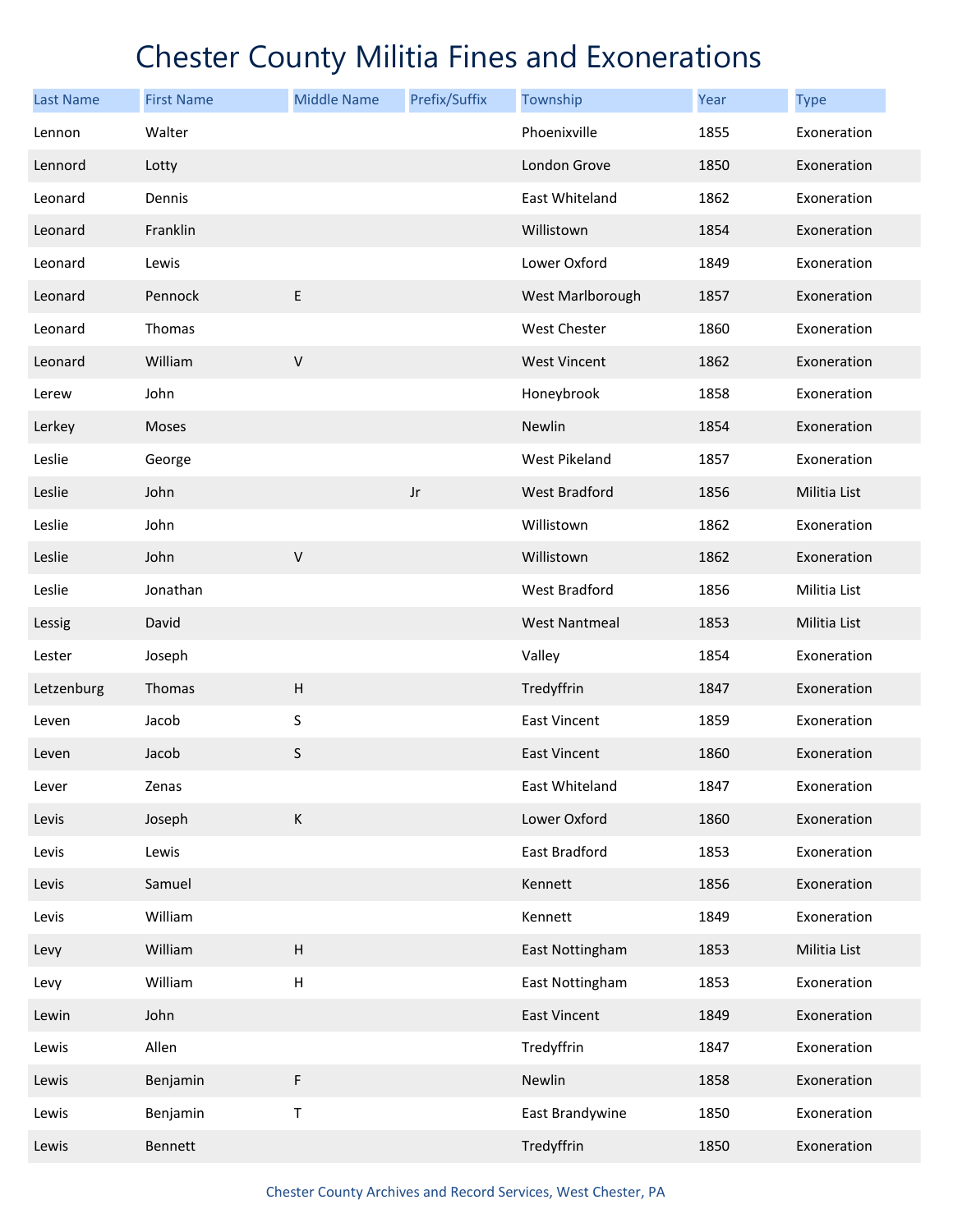| <b>Last Name</b> | <b>First Name</b> | <b>Middle Name</b>        | Prefix/Suffix          | Township             | Year | <b>Type</b>  |
|------------------|-------------------|---------------------------|------------------------|----------------------|------|--------------|
| Lennon           | Walter            |                           |                        | Phoenixville         | 1855 | Exoneration  |
| Lennord          | Lotty             |                           |                        | London Grove         | 1850 | Exoneration  |
| Leonard          | Dennis            |                           |                        | East Whiteland       | 1862 | Exoneration  |
| Leonard          | Franklin          |                           |                        | Willistown           | 1854 | Exoneration  |
| Leonard          | Lewis             |                           |                        | Lower Oxford         | 1849 | Exoneration  |
| Leonard          | Pennock           | $\sf E$                   |                        | West Marlborough     | 1857 | Exoneration  |
| Leonard          | Thomas            |                           |                        | West Chester         | 1860 | Exoneration  |
| Leonard          | William           | $\mathsf V$               |                        | <b>West Vincent</b>  | 1862 | Exoneration  |
| Lerew            | John              |                           |                        | Honeybrook           | 1858 | Exoneration  |
| Lerkey           | Moses             |                           |                        | Newlin               | 1854 | Exoneration  |
| Leslie           | George            |                           |                        | West Pikeland        | 1857 | Exoneration  |
| Leslie           | John              |                           | $\mathsf{J}\mathsf{r}$ | West Bradford        | 1856 | Militia List |
| Leslie           | John              |                           |                        | Willistown           | 1862 | Exoneration  |
| Leslie           | John              | $\sf V$                   |                        | Willistown           | 1862 | Exoneration  |
| Leslie           | Jonathan          |                           |                        | West Bradford        | 1856 | Militia List |
| Lessig           | David             |                           |                        | <b>West Nantmeal</b> | 1853 | Militia List |
| Lester           | Joseph            |                           |                        | Valley               | 1854 | Exoneration  |
| Letzenburg       | Thomas            | $\overline{H}$            |                        | Tredyffrin           | 1847 | Exoneration  |
| Leven            | Jacob             | S                         |                        | <b>East Vincent</b>  | 1859 | Exoneration  |
| Leven            | Jacob             | S                         |                        | <b>East Vincent</b>  | 1860 | Exoneration  |
| Lever            | Zenas             |                           |                        | East Whiteland       | 1847 | Exoneration  |
| Levis            | Joseph            | K                         |                        | Lower Oxford         | 1860 | Exoneration  |
| Levis            | Lewis             |                           |                        | East Bradford        | 1853 | Exoneration  |
| Levis            | Samuel            |                           |                        | Kennett              | 1856 | Exoneration  |
| Levis            | William           |                           |                        | Kennett              | 1849 | Exoneration  |
| Levy             | William           | H                         |                        | East Nottingham      | 1853 | Militia List |
| Levy             | William           | $\boldsymbol{\mathsf{H}}$ |                        | East Nottingham      | 1853 | Exoneration  |
| Lewin            | John              |                           |                        | <b>East Vincent</b>  | 1849 | Exoneration  |
| Lewis            | Allen             |                           |                        | Tredyffrin           | 1847 | Exoneration  |
| Lewis            | Benjamin          | F                         |                        | Newlin               | 1858 | Exoneration  |
| Lewis            | Benjamin          | Τ                         |                        | East Brandywine      | 1850 | Exoneration  |
| Lewis            | Bennett           |                           |                        | Tredyffrin           | 1850 | Exoneration  |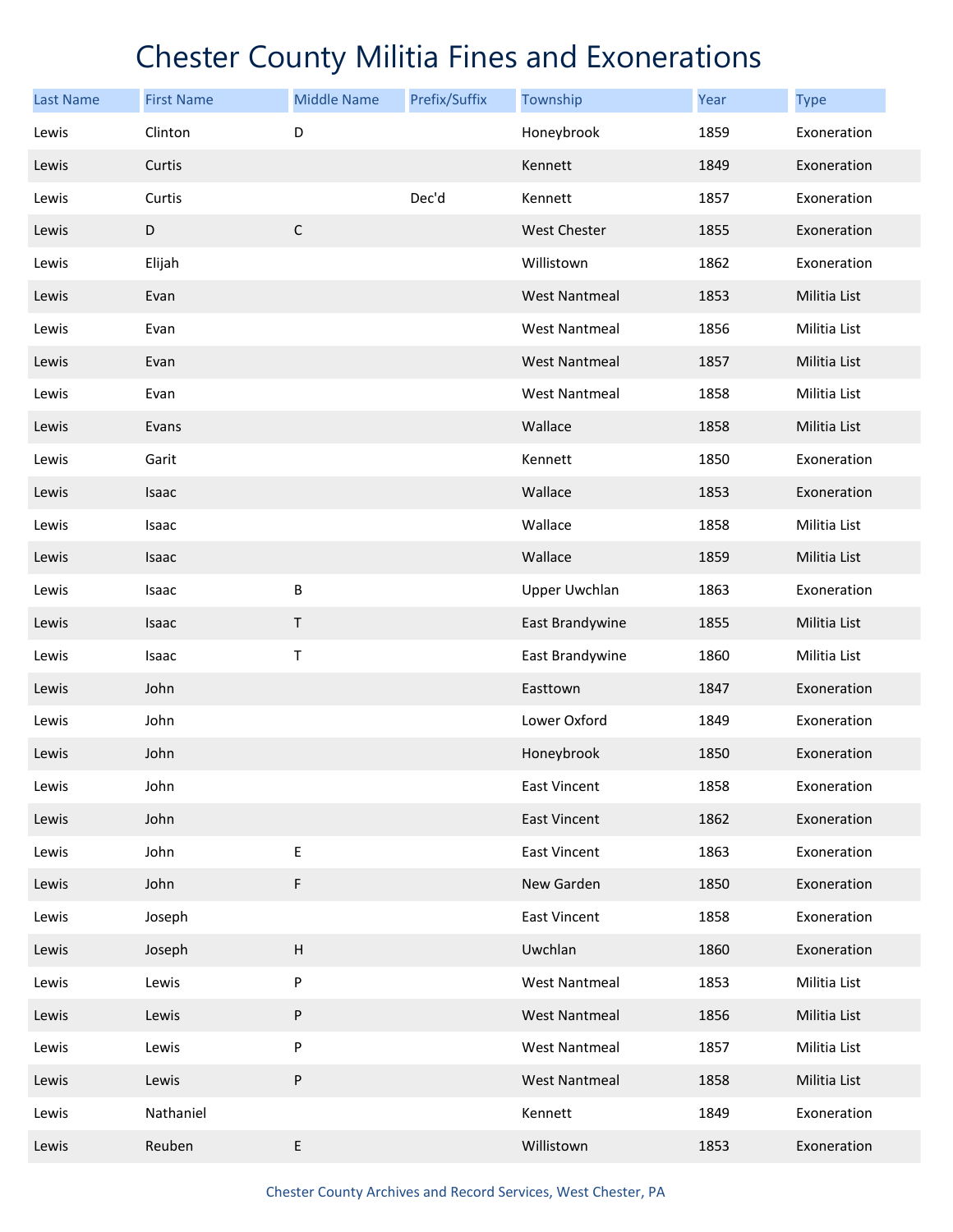| <b>Last Name</b> | <b>First Name</b> | <b>Middle Name</b> | Prefix/Suffix | Township             | Year | <b>Type</b>  |
|------------------|-------------------|--------------------|---------------|----------------------|------|--------------|
| Lewis            | Clinton           | D                  |               | Honeybrook           | 1859 | Exoneration  |
| Lewis            | Curtis            |                    |               | Kennett              | 1849 | Exoneration  |
| Lewis            | Curtis            |                    | Dec'd         | Kennett              | 1857 | Exoneration  |
| Lewis            | D                 | $\mathsf C$        |               | <b>West Chester</b>  | 1855 | Exoneration  |
| Lewis            | Elijah            |                    |               | Willistown           | 1862 | Exoneration  |
| Lewis            | Evan              |                    |               | <b>West Nantmeal</b> | 1853 | Militia List |
| Lewis            | Evan              |                    |               | <b>West Nantmeal</b> | 1856 | Militia List |
| Lewis            | Evan              |                    |               | <b>West Nantmeal</b> | 1857 | Militia List |
| Lewis            | Evan              |                    |               | <b>West Nantmeal</b> | 1858 | Militia List |
| Lewis            | Evans             |                    |               | Wallace              | 1858 | Militia List |
| Lewis            | Garit             |                    |               | Kennett              | 1850 | Exoneration  |
| Lewis            | Isaac             |                    |               | Wallace              | 1853 | Exoneration  |
| Lewis            | Isaac             |                    |               | Wallace              | 1858 | Militia List |
| Lewis            | Isaac             |                    |               | Wallace              | 1859 | Militia List |
| Lewis            | Isaac             | B                  |               | <b>Upper Uwchlan</b> | 1863 | Exoneration  |
| Lewis            | Isaac             | $\sf T$            |               | East Brandywine      | 1855 | Militia List |
| Lewis            | Isaac             | Τ                  |               | East Brandywine      | 1860 | Militia List |
| Lewis            | John              |                    |               | Easttown             | 1847 | Exoneration  |
| Lewis            | John              |                    |               | Lower Oxford         | 1849 | Exoneration  |
| Lewis            | John              |                    |               | Honeybrook           | 1850 | Exoneration  |
| Lewis            | John              |                    |               | <b>East Vincent</b>  | 1858 | Exoneration  |
| Lewis            | John              |                    |               | <b>East Vincent</b>  | 1862 | Exoneration  |
| Lewis            | John              | E                  |               | East Vincent         | 1863 | Exoneration  |
| Lewis            | John              | F                  |               | New Garden           | 1850 | Exoneration  |
| Lewis            | Joseph            |                    |               | <b>East Vincent</b>  | 1858 | Exoneration  |
| Lewis            | Joseph            | $\sf H$            |               | Uwchlan              | 1860 | Exoneration  |
| Lewis            | Lewis             | P                  |               | <b>West Nantmeal</b> | 1853 | Militia List |
| Lewis            | Lewis             | P                  |               | <b>West Nantmeal</b> | 1856 | Militia List |
| Lewis            | Lewis             | P                  |               | <b>West Nantmeal</b> | 1857 | Militia List |
| Lewis            | Lewis             | P                  |               | <b>West Nantmeal</b> | 1858 | Militia List |
| Lewis            | Nathaniel         |                    |               | Kennett              | 1849 | Exoneration  |
| Lewis            | Reuben            | E                  |               | Willistown           | 1853 | Exoneration  |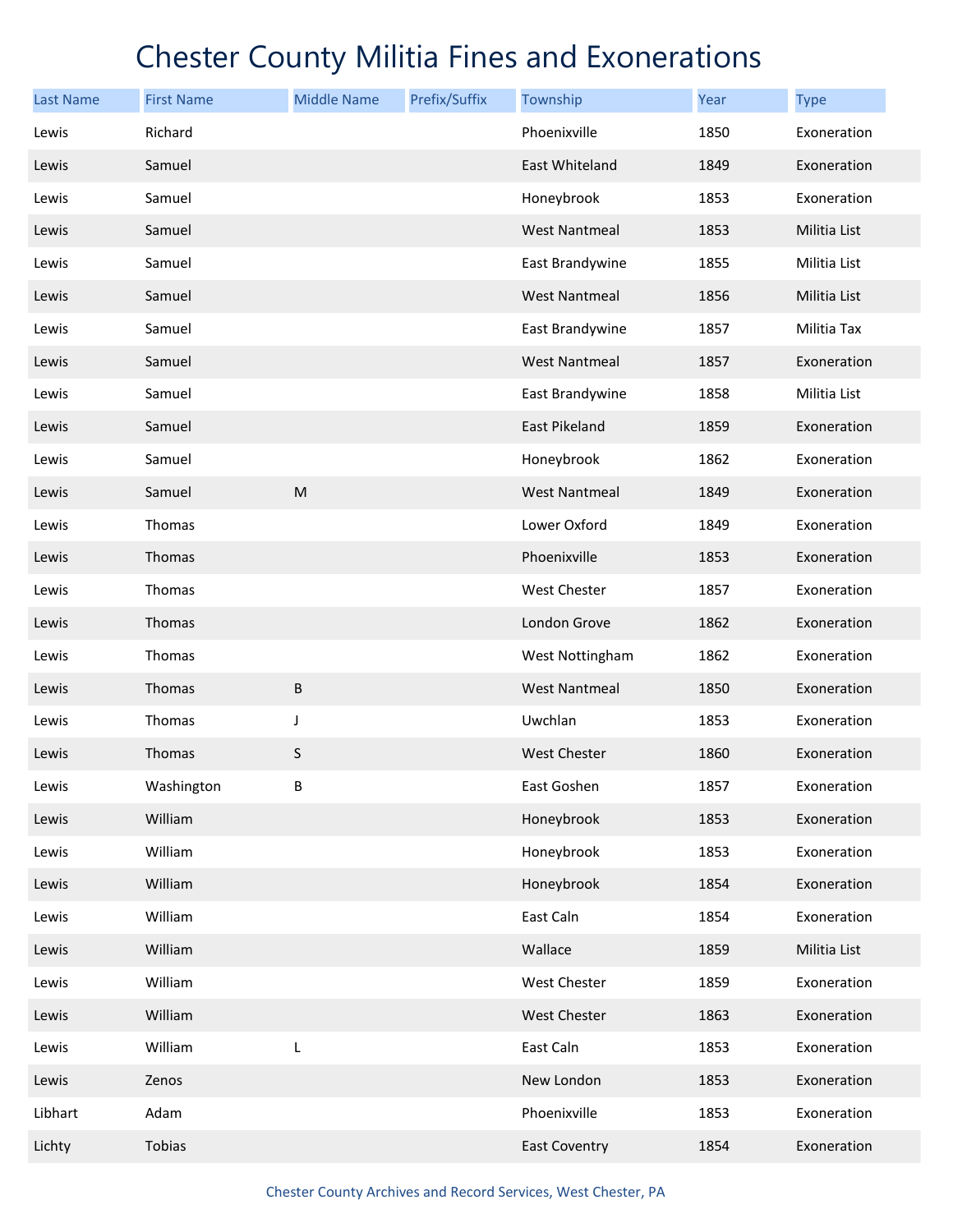| <b>Last Name</b> | <b>First Name</b> | <b>Middle Name</b> | Prefix/Suffix | Township             | <b>Year</b> | <b>Type</b>         |
|------------------|-------------------|--------------------|---------------|----------------------|-------------|---------------------|
| Lewis            | Richard           |                    |               | Phoenixville         | 1850        | Exoneration         |
| Lewis            | Samuel            |                    |               | East Whiteland       | 1849        | Exoneration         |
| Lewis            | Samuel            |                    |               | Honeybrook           | 1853        | Exoneration         |
| Lewis            | Samuel            |                    |               | <b>West Nantmeal</b> | 1853        | Militia List        |
| Lewis            | Samuel            |                    |               | East Brandywine      | 1855        | Militia List        |
| Lewis            | Samuel            |                    |               | <b>West Nantmeal</b> | 1856        | <b>Militia List</b> |
| Lewis            | Samuel            |                    |               | East Brandywine      | 1857        | Militia Tax         |
| Lewis            | Samuel            |                    |               | <b>West Nantmeal</b> | 1857        | Exoneration         |
| Lewis            | Samuel            |                    |               | East Brandywine      | 1858        | Militia List        |
| Lewis            | Samuel            |                    |               | East Pikeland        | 1859        | Exoneration         |
| Lewis            | Samuel            |                    |               | Honeybrook           | 1862        | Exoneration         |
| Lewis            | Samuel            | M                  |               | <b>West Nantmeal</b> | 1849        | Exoneration         |
| Lewis            | Thomas            |                    |               | Lower Oxford         | 1849        | Exoneration         |
| Lewis            | Thomas            |                    |               | Phoenixville         | 1853        | Exoneration         |
| Lewis            | Thomas            |                    |               | West Chester         | 1857        | Exoneration         |
| Lewis            | Thomas            |                    |               | London Grove         | 1862        | Exoneration         |
| Lewis            | Thomas            |                    |               | West Nottingham      | 1862        | Exoneration         |
| Lewis            | Thomas            | $\sf B$            |               | <b>West Nantmeal</b> | 1850        | Exoneration         |
| Lewis            | Thomas            | J                  |               | Uwchlan              | 1853        | Exoneration         |
| Lewis            | Thomas            | S                  |               | <b>West Chester</b>  | 1860        | Exoneration         |
| Lewis            | Washington        | B                  |               | East Goshen          | 1857        | Exoneration         |
| Lewis            | William           |                    |               | Honeybrook           | 1853        | Exoneration         |
| Lewis            | William           |                    |               | Honeybrook           | 1853        | Exoneration         |
| Lewis            | William           |                    |               | Honeybrook           | 1854        | Exoneration         |
| Lewis            | William           |                    |               | East Caln            | 1854        | Exoneration         |
| Lewis            | William           |                    |               | Wallace              | 1859        | Militia List        |
| Lewis            | William           |                    |               | West Chester         | 1859        | Exoneration         |
| Lewis            | William           |                    |               | West Chester         | 1863        | Exoneration         |
| Lewis            | William           | L                  |               | East Caln            | 1853        | Exoneration         |
| Lewis            | Zenos             |                    |               | New London           | 1853        | Exoneration         |
| Libhart          | Adam              |                    |               | Phoenixville         | 1853        | Exoneration         |
| Lichty           | Tobias            |                    |               | <b>East Coventry</b> | 1854        | Exoneration         |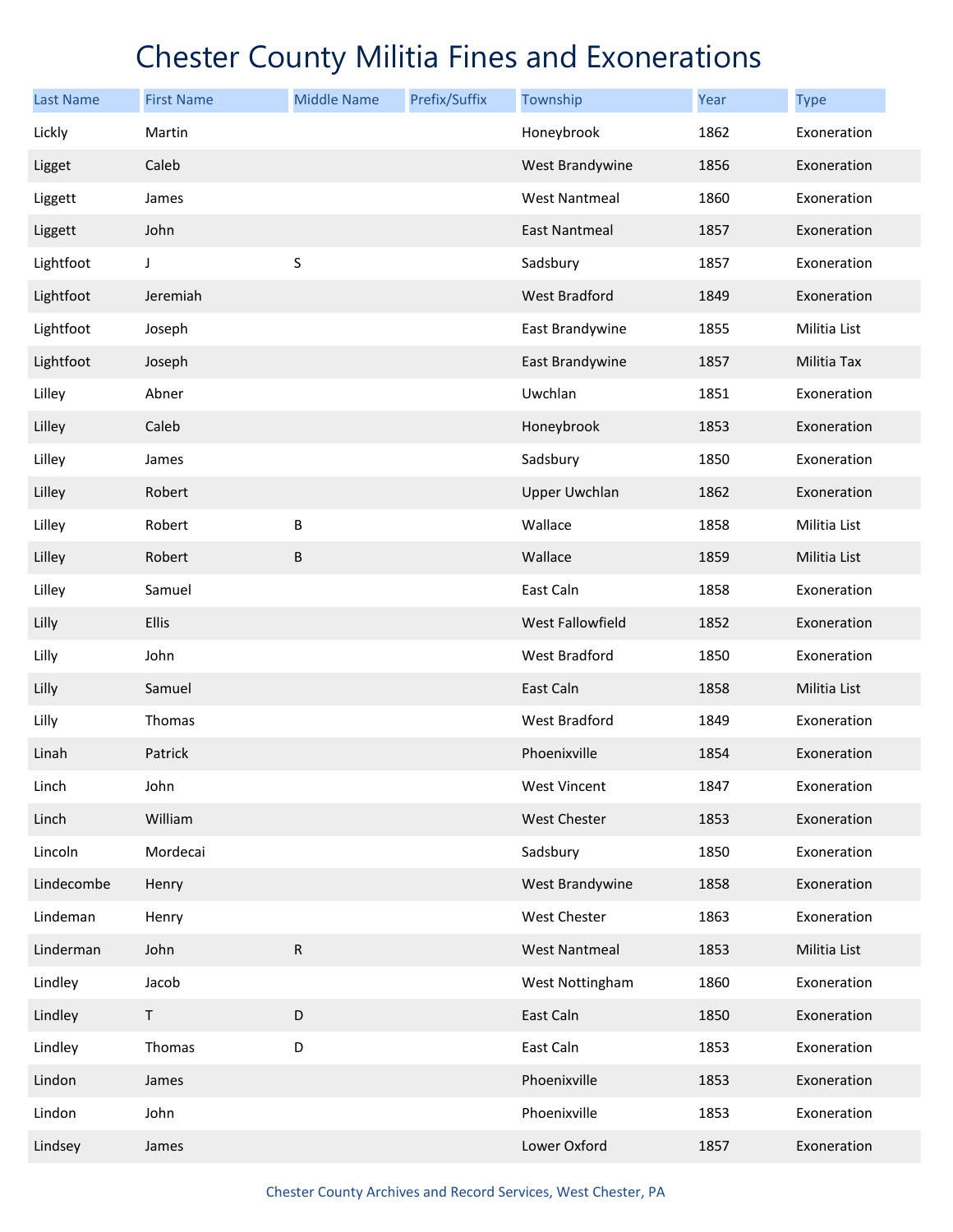| <b>Last Name</b> | <b>First Name</b> | <b>Middle Name</b> | Prefix/Suffix | Township             | Year | <b>Type</b>  |
|------------------|-------------------|--------------------|---------------|----------------------|------|--------------|
| Lickly           | Martin            |                    |               | Honeybrook           | 1862 | Exoneration  |
| Ligget           | Caleb             |                    |               | West Brandywine      | 1856 | Exoneration  |
| Liggett          | James             |                    |               | <b>West Nantmeal</b> | 1860 | Exoneration  |
| Liggett          | John              |                    |               | <b>East Nantmeal</b> | 1857 | Exoneration  |
| Lightfoot        | J                 | S                  |               | Sadsbury             | 1857 | Exoneration  |
| Lightfoot        | Jeremiah          |                    |               | West Bradford        | 1849 | Exoneration  |
| Lightfoot        | Joseph            |                    |               | East Brandywine      | 1855 | Militia List |
| Lightfoot        | Joseph            |                    |               | East Brandywine      | 1857 | Militia Tax  |
| Lilley           | Abner             |                    |               | Uwchlan              | 1851 | Exoneration  |
| Lilley           | Caleb             |                    |               | Honeybrook           | 1853 | Exoneration  |
| Lilley           | James             |                    |               | Sadsbury             | 1850 | Exoneration  |
| Lilley           | Robert            |                    |               | <b>Upper Uwchlan</b> | 1862 | Exoneration  |
| Lilley           | Robert            | B                  |               | Wallace              | 1858 | Militia List |
| Lilley           | Robert            | B                  |               | Wallace              | 1859 | Militia List |
| Lilley           | Samuel            |                    |               | East Caln            | 1858 | Exoneration  |
| Lilly            | Ellis             |                    |               | West Fallowfield     | 1852 | Exoneration  |
| Lilly            | John              |                    |               | West Bradford        | 1850 | Exoneration  |
| Lilly            | Samuel            |                    |               | East Caln            | 1858 | Militia List |
| Lilly            | Thomas            |                    |               | West Bradford        | 1849 | Exoneration  |
| Linah            | Patrick           |                    |               | Phoenixville         | 1854 | Exoneration  |
| Linch            | John              |                    |               | West Vincent         | 1847 | Exoneration  |
| Linch            | William           |                    |               | West Chester         | 1853 | Exoneration  |
| Lincoln          | Mordecai          |                    |               | Sadsbury             | 1850 | Exoneration  |
| Lindecombe       | Henry             |                    |               | West Brandywine      | 1858 | Exoneration  |
| Lindeman         | Henry             |                    |               | West Chester         | 1863 | Exoneration  |
| Linderman        | John              | ${\sf R}$          |               | <b>West Nantmeal</b> | 1853 | Militia List |
| Lindley          | Jacob             |                    |               | West Nottingham      | 1860 | Exoneration  |
| Lindley          | T                 | D                  |               | East Caln            | 1850 | Exoneration  |
| Lindley          | Thomas            | D                  |               | East Caln            | 1853 | Exoneration  |
| Lindon           | James             |                    |               | Phoenixville         | 1853 | Exoneration  |
| Lindon           | John              |                    |               | Phoenixville         | 1853 | Exoneration  |
| Lindsey          | James             |                    |               | Lower Oxford         | 1857 | Exoneration  |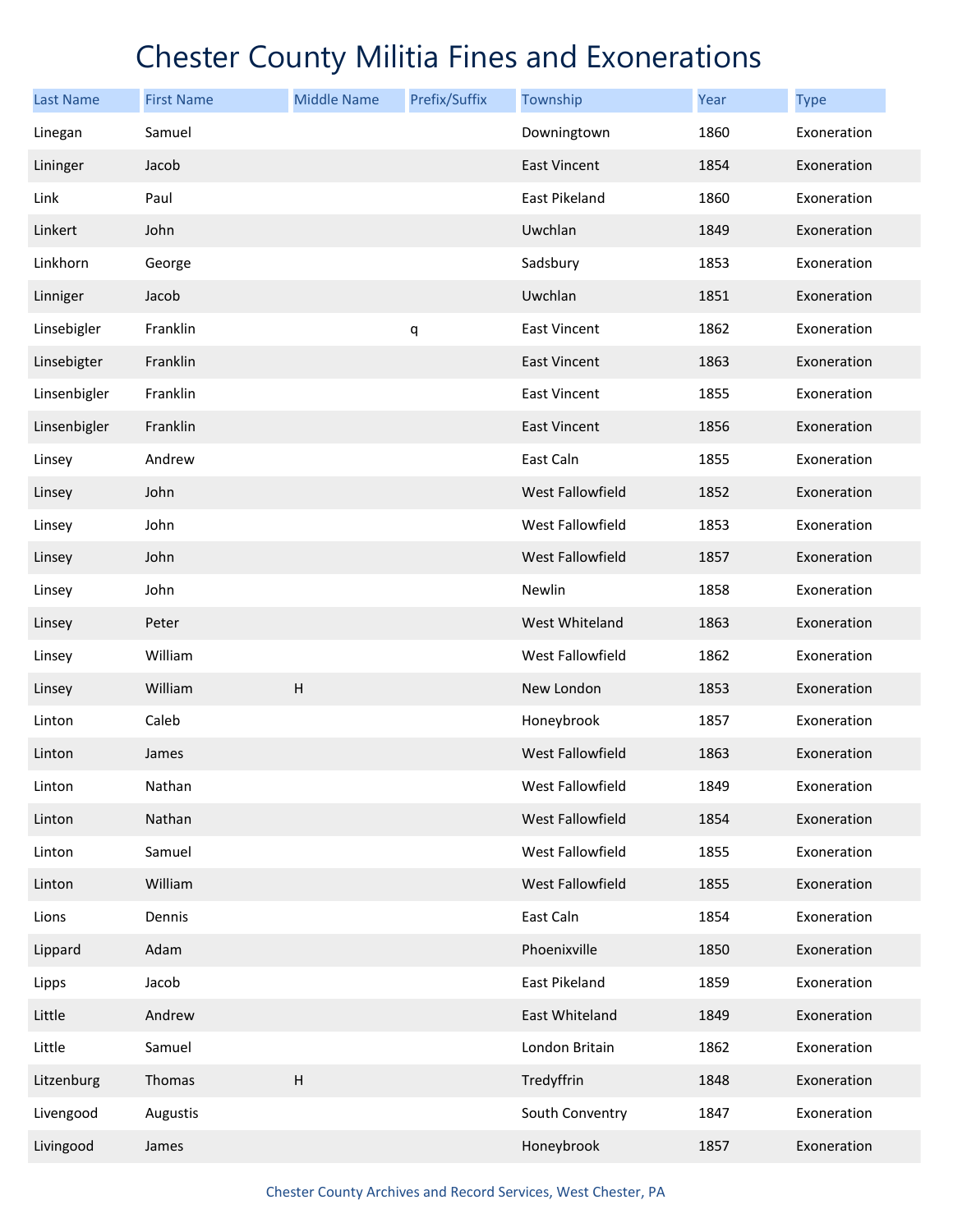| <b>Last Name</b> | <b>First Name</b> | <b>Middle Name</b>        | Prefix/Suffix | Township             | Year | <b>Type</b> |
|------------------|-------------------|---------------------------|---------------|----------------------|------|-------------|
| Linegan          | Samuel            |                           |               | Downingtown          | 1860 | Exoneration |
| Lininger         | Jacob             |                           |               | <b>East Vincent</b>  | 1854 | Exoneration |
| Link             | Paul              |                           |               | <b>East Pikeland</b> | 1860 | Exoneration |
| Linkert          | John              |                           |               | Uwchlan              | 1849 | Exoneration |
| Linkhorn         | George            |                           |               | Sadsbury             | 1853 | Exoneration |
| Linniger         | Jacob             |                           |               | Uwchlan              | 1851 | Exoneration |
| Linsebigler      | Franklin          |                           | q             | East Vincent         | 1862 | Exoneration |
| Linsebigter      | Franklin          |                           |               | <b>East Vincent</b>  | 1863 | Exoneration |
| Linsenbigler     | Franklin          |                           |               | <b>East Vincent</b>  | 1855 | Exoneration |
| Linsenbigler     | Franklin          |                           |               | <b>East Vincent</b>  | 1856 | Exoneration |
| Linsey           | Andrew            |                           |               | East Caln            | 1855 | Exoneration |
| Linsey           | John              |                           |               | West Fallowfield     | 1852 | Exoneration |
| Linsey           | John              |                           |               | West Fallowfield     | 1853 | Exoneration |
| Linsey           | John              |                           |               | West Fallowfield     | 1857 | Exoneration |
| Linsey           | John              |                           |               | Newlin               | 1858 | Exoneration |
| Linsey           | Peter             |                           |               | West Whiteland       | 1863 | Exoneration |
| Linsey           | William           |                           |               | West Fallowfield     | 1862 | Exoneration |
| Linsey           | William           | $\sf H$                   |               | New London           | 1853 | Exoneration |
| Linton           | Caleb             |                           |               | Honeybrook           | 1857 | Exoneration |
| Linton           | James             |                           |               | West Fallowfield     | 1863 | Exoneration |
| Linton           | Nathan            |                           |               | West Fallowfield     | 1849 | Exoneration |
| Linton           | Nathan            |                           |               | West Fallowfield     | 1854 | Exoneration |
| Linton           | Samuel            |                           |               | West Fallowfield     | 1855 | Exoneration |
| Linton           | William           |                           |               | West Fallowfield     | 1855 | Exoneration |
| Lions            | Dennis            |                           |               | East Caln            | 1854 | Exoneration |
| Lippard          | Adam              |                           |               | Phoenixville         | 1850 | Exoneration |
| Lipps            | Jacob             |                           |               | East Pikeland        | 1859 | Exoneration |
| Little           | Andrew            |                           |               | East Whiteland       | 1849 | Exoneration |
| Little           | Samuel            |                           |               | London Britain       | 1862 | Exoneration |
| Litzenburg       | Thomas            | $\boldsymbol{\mathsf{H}}$ |               | Tredyffrin           | 1848 | Exoneration |
| Livengood        | Augustis          |                           |               | South Conventry      | 1847 | Exoneration |
| Livingood        | James             |                           |               | Honeybrook           | 1857 | Exoneration |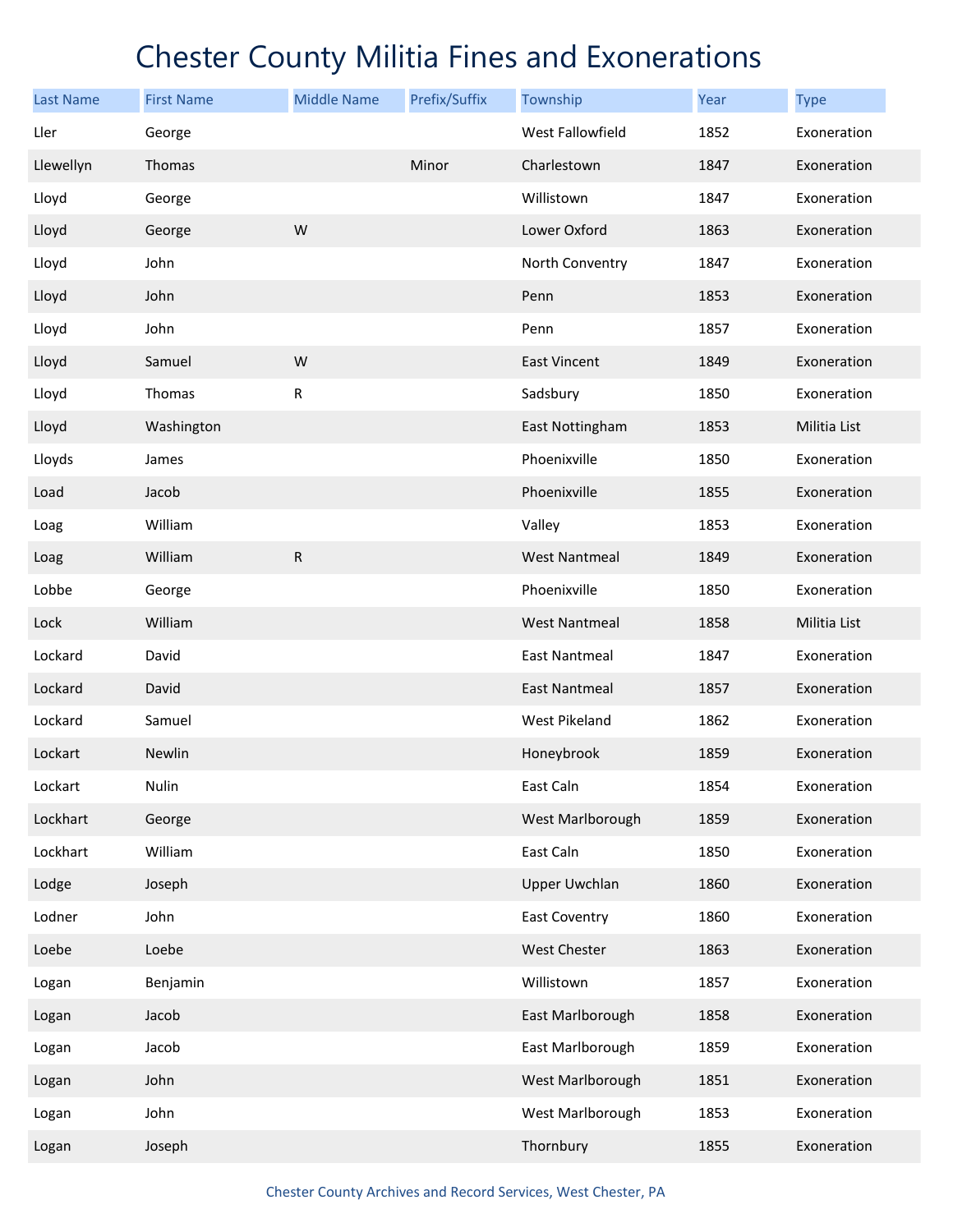| <b>Last Name</b> | <b>First Name</b> | <b>Middle Name</b> | Prefix/Suffix | Township             | Year | <b>Type</b>         |
|------------------|-------------------|--------------------|---------------|----------------------|------|---------------------|
| Ller             | George            |                    |               | West Fallowfield     | 1852 | Exoneration         |
| Llewellyn        | Thomas            |                    | Minor         | Charlestown          | 1847 | Exoneration         |
| Lloyd            | George            |                    |               | Willistown           | 1847 | Exoneration         |
| Lloyd            | George            | W                  |               | Lower Oxford         | 1863 | Exoneration         |
| Lloyd            | John              |                    |               | North Conventry      | 1847 | Exoneration         |
| Lloyd            | John              |                    |               | Penn                 | 1853 | Exoneration         |
| Lloyd            | John              |                    |               | Penn                 | 1857 | Exoneration         |
| Lloyd            | Samuel            | W                  |               | East Vincent         | 1849 | Exoneration         |
| Lloyd            | Thomas            | ${\sf R}$          |               | Sadsbury             | 1850 | Exoneration         |
| Lloyd            | Washington        |                    |               | East Nottingham      | 1853 | <b>Militia List</b> |
| Lloyds           | James             |                    |               | Phoenixville         | 1850 | Exoneration         |
| Load             | Jacob             |                    |               | Phoenixville         | 1855 | Exoneration         |
| Loag             | William           |                    |               | Valley               | 1853 | Exoneration         |
| Loag             | William           | R                  |               | <b>West Nantmeal</b> | 1849 | Exoneration         |
| Lobbe            | George            |                    |               | Phoenixville         | 1850 | Exoneration         |
| Lock             | William           |                    |               | <b>West Nantmeal</b> | 1858 | Militia List        |
| Lockard          | David             |                    |               | <b>East Nantmeal</b> | 1847 | Exoneration         |
| Lockard          | David             |                    |               | <b>East Nantmeal</b> | 1857 | Exoneration         |
| Lockard          | Samuel            |                    |               | West Pikeland        | 1862 | Exoneration         |
| Lockart          | Newlin            |                    |               | Honeybrook           | 1859 | Exoneration         |
| Lockart          | Nulin             |                    |               | East Caln            | 1854 | Exoneration         |
| Lockhart         | George            |                    |               | West Marlborough     | 1859 | Exoneration         |
| Lockhart         | William           |                    |               | East Caln            | 1850 | Exoneration         |
| Lodge            | Joseph            |                    |               | <b>Upper Uwchlan</b> | 1860 | Exoneration         |
| Lodner           | John              |                    |               | East Coventry        | 1860 | Exoneration         |
| Loebe            | Loebe             |                    |               | West Chester         | 1863 | Exoneration         |
| Logan            | Benjamin          |                    |               | Willistown           | 1857 | Exoneration         |
| Logan            | Jacob             |                    |               | East Marlborough     | 1858 | Exoneration         |
| Logan            | Jacob             |                    |               | East Marlborough     | 1859 | Exoneration         |
| Logan            | John              |                    |               | West Marlborough     | 1851 | Exoneration         |
| Logan            | John              |                    |               | West Marlborough     | 1853 | Exoneration         |
| Logan            | Joseph            |                    |               | Thornbury            | 1855 | Exoneration         |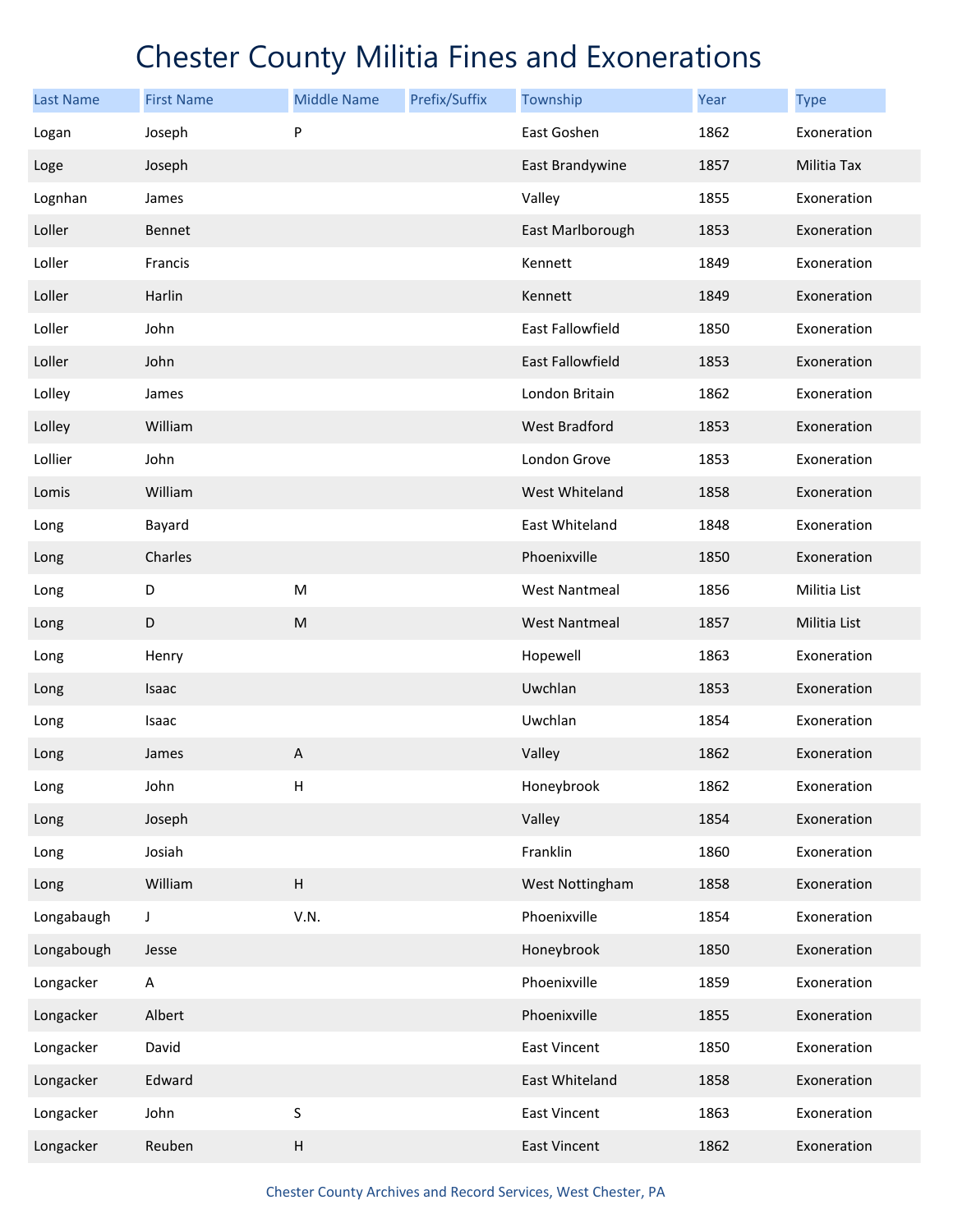| <b>Last Name</b> | <b>First Name</b> | <b>Middle Name</b>        | Prefix/Suffix | Township             | Year | <b>Type</b>  |
|------------------|-------------------|---------------------------|---------------|----------------------|------|--------------|
| Logan            | Joseph            | P                         |               | East Goshen          | 1862 | Exoneration  |
| Loge             | Joseph            |                           |               | East Brandywine      | 1857 | Militia Tax  |
| Lognhan          | James             |                           |               | Valley               | 1855 | Exoneration  |
| Loller           | Bennet            |                           |               | East Marlborough     | 1853 | Exoneration  |
| Loller           | Francis           |                           |               | Kennett              | 1849 | Exoneration  |
| Loller           | Harlin            |                           |               | Kennett              | 1849 | Exoneration  |
| Loller           | John              |                           |               | East Fallowfield     | 1850 | Exoneration  |
| Loller           | John              |                           |               | East Fallowfield     | 1853 | Exoneration  |
| Lolley           | James             |                           |               | London Britain       | 1862 | Exoneration  |
| Lolley           | William           |                           |               | West Bradford        | 1853 | Exoneration  |
| Lollier          | John              |                           |               | London Grove         | 1853 | Exoneration  |
| Lomis            | William           |                           |               | West Whiteland       | 1858 | Exoneration  |
| Long             | Bayard            |                           |               | East Whiteland       | 1848 | Exoneration  |
| Long             | Charles           |                           |               | Phoenixville         | 1850 | Exoneration  |
| Long             | D                 | ${\sf M}$                 |               | <b>West Nantmeal</b> | 1856 | Militia List |
| Long             | D                 | ${\sf M}$                 |               | <b>West Nantmeal</b> | 1857 | Militia List |
| Long             | Henry             |                           |               | Hopewell             | 1863 | Exoneration  |
| Long             | Isaac             |                           |               | Uwchlan              | 1853 | Exoneration  |
| Long             | Isaac             |                           |               | Uwchlan              | 1854 | Exoneration  |
| Long             | James             | A                         |               | Valley               | 1862 | Exoneration  |
| Long             | John              | Н                         |               | Honeybrook           | 1862 | Exoneration  |
| Long             | Joseph            |                           |               | Valley               | 1854 | Exoneration  |
| Long             | Josiah            |                           |               | Franklin             | 1860 | Exoneration  |
| Long             | William           | $\sf H$                   |               | West Nottingham      | 1858 | Exoneration  |
| Longabaugh       | J                 | V.N.                      |               | Phoenixville         | 1854 | Exoneration  |
| Longabough       | Jesse             |                           |               | Honeybrook           | 1850 | Exoneration  |
| Longacker        | A                 |                           |               | Phoenixville         | 1859 | Exoneration  |
| Longacker        | Albert            |                           |               | Phoenixville         | 1855 | Exoneration  |
| Longacker        | David             |                           |               | <b>East Vincent</b>  | 1850 | Exoneration  |
| Longacker        | Edward            |                           |               | East Whiteland       | 1858 | Exoneration  |
| Longacker        | John              | S                         |               | East Vincent         | 1863 | Exoneration  |
| Longacker        | Reuben            | $\boldsymbol{\mathsf{H}}$ |               | East Vincent         | 1862 | Exoneration  |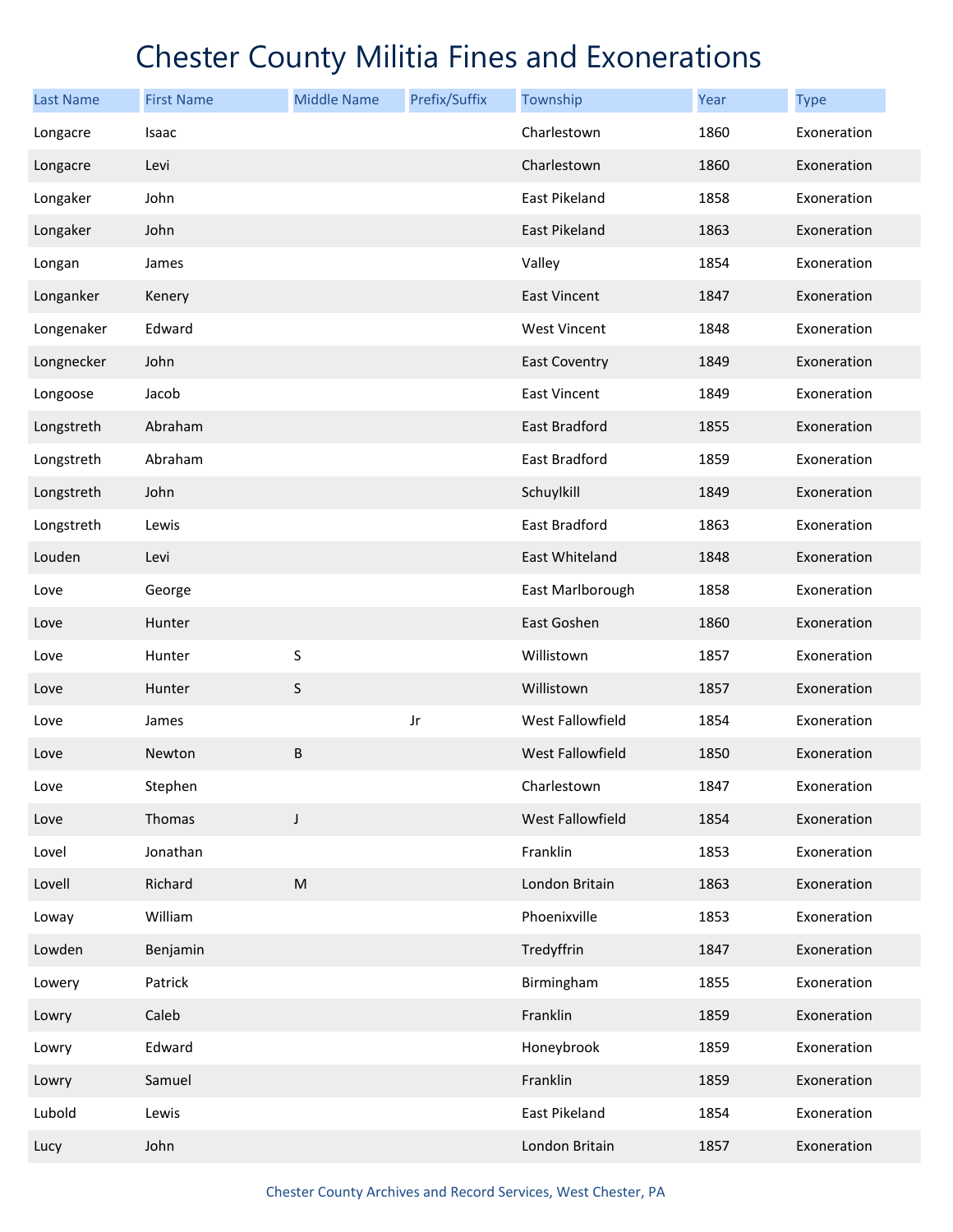| <b>Last Name</b> | <b>First Name</b> | <b>Middle Name</b> | Prefix/Suffix | Township             | Year | <b>Type</b> |
|------------------|-------------------|--------------------|---------------|----------------------|------|-------------|
| Longacre         | Isaac             |                    |               | Charlestown          | 1860 | Exoneration |
| Longacre         | Levi              |                    |               | Charlestown          | 1860 | Exoneration |
| Longaker         | John              |                    |               | East Pikeland        | 1858 | Exoneration |
| Longaker         | John              |                    |               | East Pikeland        | 1863 | Exoneration |
| Longan           | James             |                    |               | Valley               | 1854 | Exoneration |
| Longanker        | Kenery            |                    |               | <b>East Vincent</b>  | 1847 | Exoneration |
| Longenaker       | Edward            |                    |               | <b>West Vincent</b>  | 1848 | Exoneration |
| Longnecker       | John              |                    |               | <b>East Coventry</b> | 1849 | Exoneration |
| Longoose         | Jacob             |                    |               | <b>East Vincent</b>  | 1849 | Exoneration |
| Longstreth       | Abraham           |                    |               | <b>East Bradford</b> | 1855 | Exoneration |
| Longstreth       | Abraham           |                    |               | <b>East Bradford</b> | 1859 | Exoneration |
| Longstreth       | John              |                    |               | Schuylkill           | 1849 | Exoneration |
| Longstreth       | Lewis             |                    |               | <b>East Bradford</b> | 1863 | Exoneration |
| Louden           | Levi              |                    |               | East Whiteland       | 1848 | Exoneration |
| Love             | George            |                    |               | East Marlborough     | 1858 | Exoneration |
| Love             | Hunter            |                    |               | East Goshen          | 1860 | Exoneration |
| Love             | Hunter            | S                  |               | Willistown           | 1857 | Exoneration |
| Love             | Hunter            | $\sf S$            |               | Willistown           | 1857 | Exoneration |
| Love             | James             |                    | Jr            | West Fallowfield     | 1854 | Exoneration |
| Love             | Newton            | $\sf B$            |               | West Fallowfield     | 1850 | Exoneration |
| Love             | Stephen           |                    |               | Charlestown          | 1847 | Exoneration |
| Love             | Thomas            | $\mathsf J$        |               | West Fallowfield     | 1854 | Exoneration |
| Lovel            | Jonathan          |                    |               | Franklin             | 1853 | Exoneration |
| Lovell           | Richard           | ${\sf M}$          |               | London Britain       | 1863 | Exoneration |
| Loway            | William           |                    |               | Phoenixville         | 1853 | Exoneration |
| Lowden           | Benjamin          |                    |               | Tredyffrin           | 1847 | Exoneration |
| Lowery           | Patrick           |                    |               | Birmingham           | 1855 | Exoneration |
| Lowry            | Caleb             |                    |               | Franklin             | 1859 | Exoneration |
| Lowry            | Edward            |                    |               | Honeybrook           | 1859 | Exoneration |
| Lowry            | Samuel            |                    |               | Franklin             | 1859 | Exoneration |
| Lubold           | Lewis             |                    |               | East Pikeland        | 1854 | Exoneration |
| Lucy             | John              |                    |               | London Britain       | 1857 | Exoneration |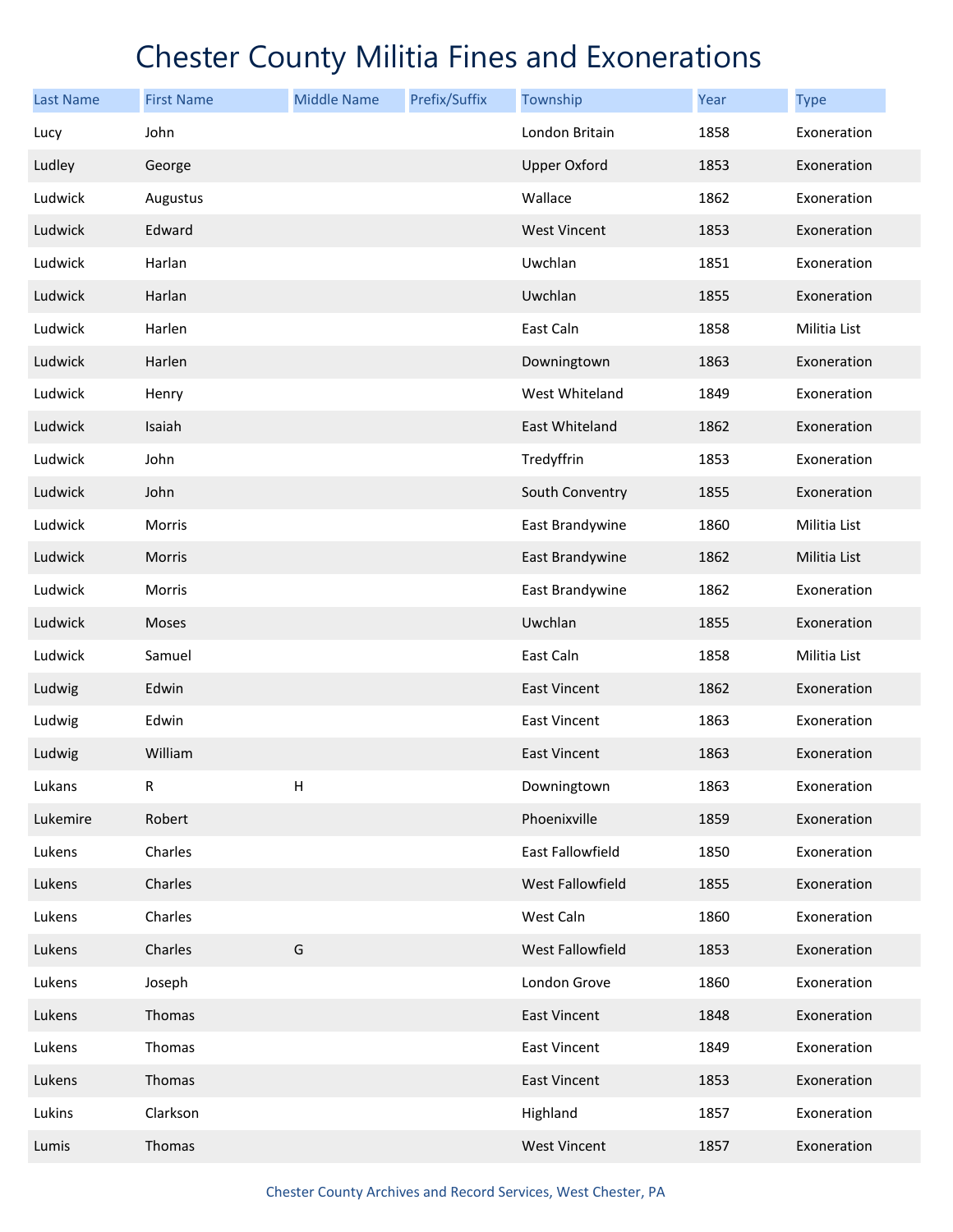| <b>Last Name</b> | <b>First Name</b> | <b>Middle Name</b> | Prefix/Suffix | Township            | Year | <b>Type</b>  |
|------------------|-------------------|--------------------|---------------|---------------------|------|--------------|
| Lucy             | John              |                    |               | London Britain      | 1858 | Exoneration  |
| Ludley           | George            |                    |               | <b>Upper Oxford</b> | 1853 | Exoneration  |
| Ludwick          | Augustus          |                    |               | Wallace             | 1862 | Exoneration  |
| Ludwick          | Edward            |                    |               | <b>West Vincent</b> | 1853 | Exoneration  |
| Ludwick          | Harlan            |                    |               | Uwchlan             | 1851 | Exoneration  |
| Ludwick          | Harlan            |                    |               | Uwchlan             | 1855 | Exoneration  |
| Ludwick          | Harlen            |                    |               | East Caln           | 1858 | Militia List |
| Ludwick          | Harlen            |                    |               | Downingtown         | 1863 | Exoneration  |
| Ludwick          | Henry             |                    |               | West Whiteland      | 1849 | Exoneration  |
| Ludwick          | Isaiah            |                    |               | East Whiteland      | 1862 | Exoneration  |
| Ludwick          | John              |                    |               | Tredyffrin          | 1853 | Exoneration  |
| Ludwick          | John              |                    |               | South Conventry     | 1855 | Exoneration  |
| Ludwick          | Morris            |                    |               | East Brandywine     | 1860 | Militia List |
| Ludwick          | Morris            |                    |               | East Brandywine     | 1862 | Militia List |
| Ludwick          | Morris            |                    |               | East Brandywine     | 1862 | Exoneration  |
| Ludwick          | Moses             |                    |               | Uwchlan             | 1855 | Exoneration  |
| Ludwick          | Samuel            |                    |               | East Caln           | 1858 | Militia List |
| Ludwig           | Edwin             |                    |               | East Vincent        | 1862 | Exoneration  |
| Ludwig           | Edwin             |                    |               | East Vincent        | 1863 | Exoneration  |
| Ludwig           | William           |                    |               | <b>East Vincent</b> | 1863 | Exoneration  |
| Lukans           | R                 | н                  |               | Downingtown         | 1863 | Exoneration  |
| Lukemire         | Robert            |                    |               | Phoenixville        | 1859 | Exoneration  |
| Lukens           | Charles           |                    |               | East Fallowfield    | 1850 | Exoneration  |
| Lukens           | Charles           |                    |               | West Fallowfield    | 1855 | Exoneration  |
| Lukens           | Charles           |                    |               | West Caln           | 1860 | Exoneration  |
| Lukens           | Charles           | G                  |               | West Fallowfield    | 1853 | Exoneration  |
| Lukens           | Joseph            |                    |               | London Grove        | 1860 | Exoneration  |
| Lukens           | Thomas            |                    |               | East Vincent        | 1848 | Exoneration  |
| Lukens           | Thomas            |                    |               | East Vincent        | 1849 | Exoneration  |
| Lukens           | Thomas            |                    |               | East Vincent        | 1853 | Exoneration  |
| Lukins           | Clarkson          |                    |               | Highland            | 1857 | Exoneration  |
| Lumis            | Thomas            |                    |               | <b>West Vincent</b> | 1857 | Exoneration  |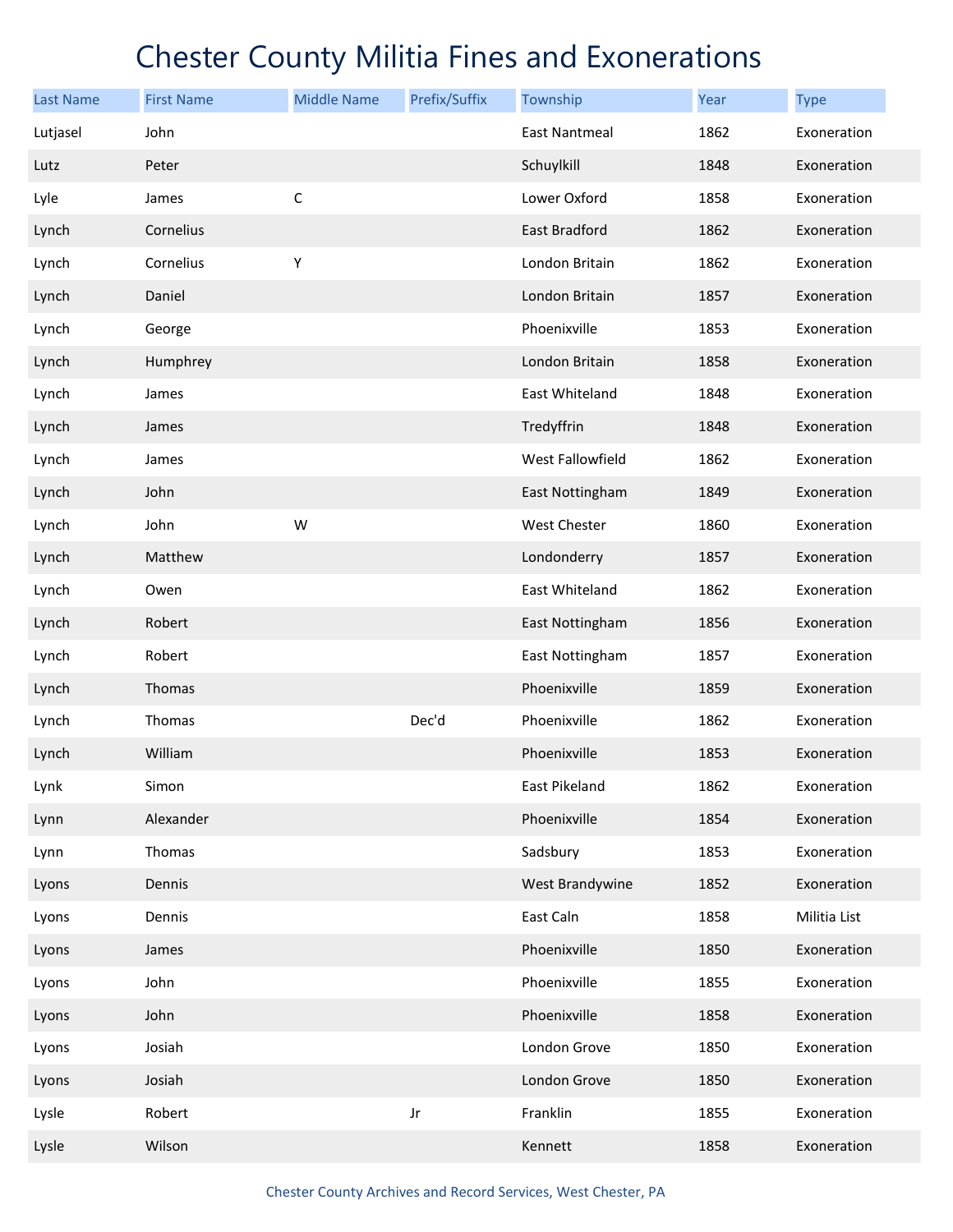| <b>Last Name</b> | <b>First Name</b> | <b>Middle Name</b> | Prefix/Suffix | Township             | Year | <b>Type</b>  |
|------------------|-------------------|--------------------|---------------|----------------------|------|--------------|
| Lutjasel         | John              |                    |               | <b>East Nantmeal</b> | 1862 | Exoneration  |
| Lutz             | Peter             |                    |               | Schuylkill           | 1848 | Exoneration  |
| Lyle             | James             | $\mathsf{C}$       |               | Lower Oxford         | 1858 | Exoneration  |
| Lynch            | Cornelius         |                    |               | East Bradford        | 1862 | Exoneration  |
| Lynch            | Cornelius         | Υ                  |               | London Britain       | 1862 | Exoneration  |
| Lynch            | Daniel            |                    |               | London Britain       | 1857 | Exoneration  |
| Lynch            | George            |                    |               | Phoenixville         | 1853 | Exoneration  |
| Lynch            | Humphrey          |                    |               | London Britain       | 1858 | Exoneration  |
| Lynch            | James             |                    |               | East Whiteland       | 1848 | Exoneration  |
| Lynch            | James             |                    |               | Tredyffrin           | 1848 | Exoneration  |
| Lynch            | James             |                    |               | West Fallowfield     | 1862 | Exoneration  |
| Lynch            | John              |                    |               | East Nottingham      | 1849 | Exoneration  |
| Lynch            | John              | W                  |               | West Chester         | 1860 | Exoneration  |
| Lynch            | Matthew           |                    |               | Londonderry          | 1857 | Exoneration  |
| Lynch            | Owen              |                    |               | East Whiteland       | 1862 | Exoneration  |
| Lynch            | Robert            |                    |               | East Nottingham      | 1856 | Exoneration  |
| Lynch            | Robert            |                    |               | East Nottingham      | 1857 | Exoneration  |
| Lynch            | Thomas            |                    |               | Phoenixville         | 1859 | Exoneration  |
| Lynch            | Thomas            |                    | Dec'd         | Phoenixville         | 1862 | Exoneration  |
| Lynch            | William           |                    |               | Phoenixville         | 1853 | Exoneration  |
| Lynk             | Simon             |                    |               | East Pikeland        | 1862 | Exoneration  |
| Lynn             | Alexander         |                    |               | Phoenixville         | 1854 | Exoneration  |
| Lynn             | Thomas            |                    |               | Sadsbury             | 1853 | Exoneration  |
| Lyons            | Dennis            |                    |               | West Brandywine      | 1852 | Exoneration  |
| Lyons            | Dennis            |                    |               | East Caln            | 1858 | Militia List |
| Lyons            | James             |                    |               | Phoenixville         | 1850 | Exoneration  |
| Lyons            | John              |                    |               | Phoenixville         | 1855 | Exoneration  |
| Lyons            | John              |                    |               | Phoenixville         | 1858 | Exoneration  |
| Lyons            | Josiah            |                    |               | London Grove         | 1850 | Exoneration  |
| Lyons            | Josiah            |                    |               | London Grove         | 1850 | Exoneration  |
| Lysle            | Robert            |                    | Jr            | Franklin             | 1855 | Exoneration  |
| Lysle            | Wilson            |                    |               | Kennett              | 1858 | Exoneration  |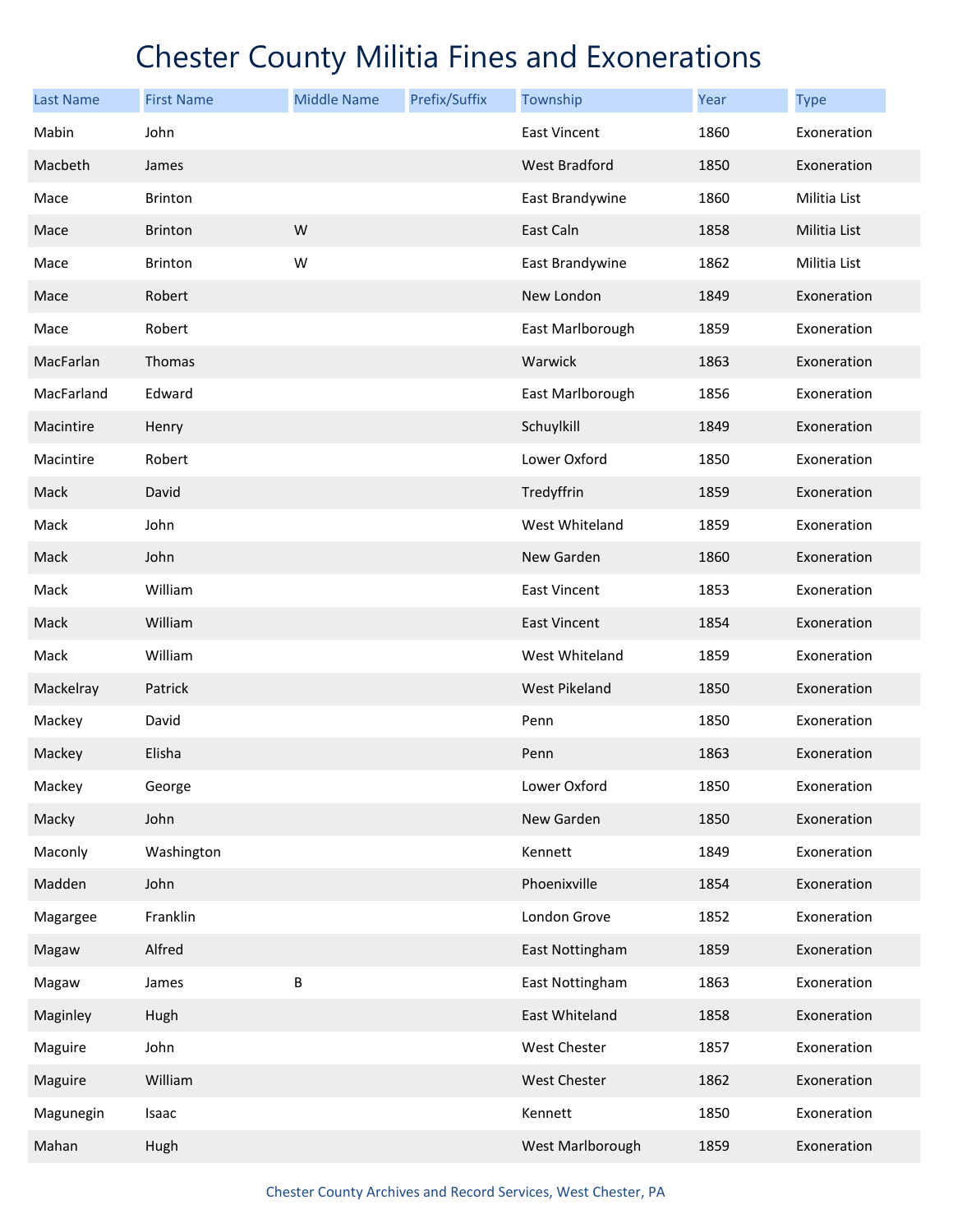| <b>Last Name</b> | <b>First Name</b> | <b>Middle Name</b> | Prefix/Suffix | Township             | Year | <b>Type</b>  |
|------------------|-------------------|--------------------|---------------|----------------------|------|--------------|
| Mabin            | John              |                    |               | East Vincent         | 1860 | Exoneration  |
| Macbeth          | James             |                    |               | <b>West Bradford</b> | 1850 | Exoneration  |
| Mace             | Brinton           |                    |               | East Brandywine      | 1860 | Militia List |
| Mace             | <b>Brinton</b>    | W                  |               | East Caln            | 1858 | Militia List |
| Mace             | Brinton           | W                  |               | East Brandywine      | 1862 | Militia List |
| Mace             | Robert            |                    |               | New London           | 1849 | Exoneration  |
| Mace             | Robert            |                    |               | East Marlborough     | 1859 | Exoneration  |
| MacFarlan        | Thomas            |                    |               | Warwick              | 1863 | Exoneration  |
| MacFarland       | Edward            |                    |               | East Marlborough     | 1856 | Exoneration  |
| Macintire        | Henry             |                    |               | Schuylkill           | 1849 | Exoneration  |
| Macintire        | Robert            |                    |               | Lower Oxford         | 1850 | Exoneration  |
| Mack             | David             |                    |               | Tredyffrin           | 1859 | Exoneration  |
| Mack             | John              |                    |               | West Whiteland       | 1859 | Exoneration  |
| Mack             | John              |                    |               | New Garden           | 1860 | Exoneration  |
| Mack             | William           |                    |               | East Vincent         | 1853 | Exoneration  |
| Mack             | William           |                    |               | <b>East Vincent</b>  | 1854 | Exoneration  |
| Mack             | William           |                    |               | West Whiteland       | 1859 | Exoneration  |
| Mackelray        | Patrick           |                    |               | <b>West Pikeland</b> | 1850 | Exoneration  |
| Mackey           | David             |                    |               | Penn                 | 1850 | Exoneration  |
| Mackey           | Elisha            |                    |               | Penn                 | 1863 | Exoneration  |
| Mackey           | George            |                    |               | Lower Oxford         | 1850 | Exoneration  |
| Macky            | John              |                    |               | New Garden           | 1850 | Exoneration  |
| Maconly          | Washington        |                    |               | Kennett              | 1849 | Exoneration  |
| Madden           | John              |                    |               | Phoenixville         | 1854 | Exoneration  |
| Magargee         | Franklin          |                    |               | London Grove         | 1852 | Exoneration  |
| Magaw            | Alfred            |                    |               | East Nottingham      | 1859 | Exoneration  |
| Magaw            | James             | B                  |               | East Nottingham      | 1863 | Exoneration  |
| Maginley         | Hugh              |                    |               | East Whiteland       | 1858 | Exoneration  |
| Maguire          | John              |                    |               | West Chester         | 1857 | Exoneration  |
| Maguire          | William           |                    |               | West Chester         | 1862 | Exoneration  |
| Magunegin        | Isaac             |                    |               | Kennett              | 1850 | Exoneration  |
| Mahan            | Hugh              |                    |               | West Marlborough     | 1859 | Exoneration  |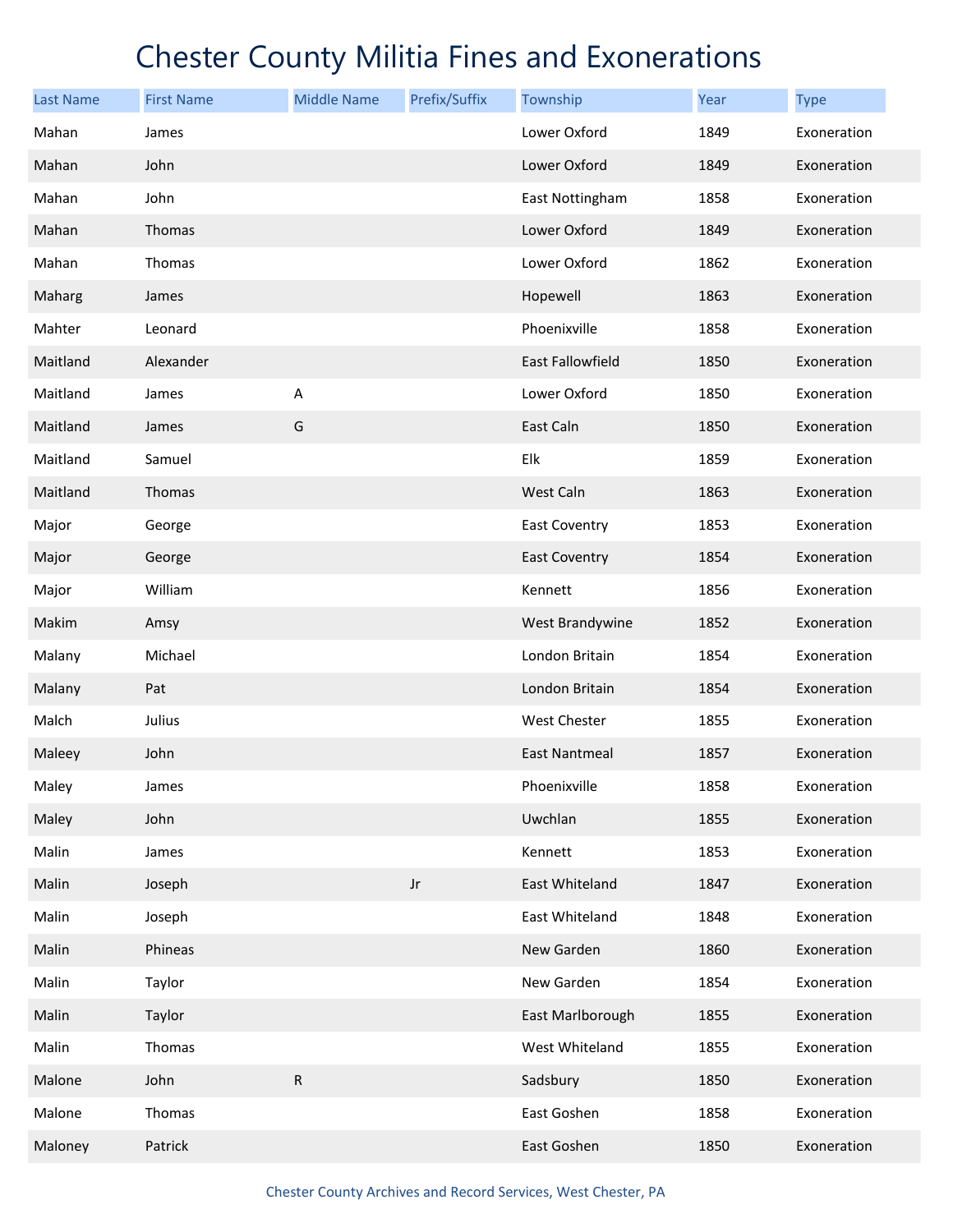| <b>Last Name</b> | <b>First Name</b> | <b>Middle Name</b> | Prefix/Suffix | Township             | Year | <b>Type</b> |
|------------------|-------------------|--------------------|---------------|----------------------|------|-------------|
| Mahan            | James             |                    |               | Lower Oxford         | 1849 | Exoneration |
| Mahan            | John              |                    |               | Lower Oxford         | 1849 | Exoneration |
| Mahan            | John              |                    |               | East Nottingham      | 1858 | Exoneration |
| Mahan            | Thomas            |                    |               | Lower Oxford         | 1849 | Exoneration |
| Mahan            | Thomas            |                    |               | Lower Oxford         | 1862 | Exoneration |
| Maharg           | James             |                    |               | Hopewell             | 1863 | Exoneration |
| Mahter           | Leonard           |                    |               | Phoenixville         | 1858 | Exoneration |
| Maitland         | Alexander         |                    |               | East Fallowfield     | 1850 | Exoneration |
| Maitland         | James             | Α                  |               | Lower Oxford         | 1850 | Exoneration |
| Maitland         | James             | G                  |               | East Caln            | 1850 | Exoneration |
| Maitland         | Samuel            |                    |               | Elk                  | 1859 | Exoneration |
| Maitland         | Thomas            |                    |               | West Caln            | 1863 | Exoneration |
| Major            | George            |                    |               | East Coventry        | 1853 | Exoneration |
| Major            | George            |                    |               | <b>East Coventry</b> | 1854 | Exoneration |
| Major            | William           |                    |               | Kennett              | 1856 | Exoneration |
| Makim            | Amsy              |                    |               | West Brandywine      | 1852 | Exoneration |
| Malany           | Michael           |                    |               | London Britain       | 1854 | Exoneration |
| Malany           | Pat               |                    |               | London Britain       | 1854 | Exoneration |
| Malch            | Julius            |                    |               | West Chester         | 1855 | Exoneration |
| Maleey           | John              |                    |               | <b>East Nantmeal</b> | 1857 | Exoneration |
| Maley            | James             |                    |               | Phoenixville         | 1858 | Exoneration |
| Maley            | John              |                    |               | Uwchlan              | 1855 | Exoneration |
| Malin            | James             |                    |               | Kennett              | 1853 | Exoneration |
| Malin            | Joseph            |                    | Jr            | East Whiteland       | 1847 | Exoneration |
| Malin            | Joseph            |                    |               | East Whiteland       | 1848 | Exoneration |
| Malin            | Phineas           |                    |               | New Garden           | 1860 | Exoneration |
| Malin            | Taylor            |                    |               | New Garden           | 1854 | Exoneration |
| Malin            | Taylor            |                    |               | East Marlborough     | 1855 | Exoneration |
| Malin            | Thomas            |                    |               | West Whiteland       | 1855 | Exoneration |
| Malone           | John              | ${\sf R}$          |               | Sadsbury             | 1850 | Exoneration |
| Malone           | Thomas            |                    |               | East Goshen          | 1858 | Exoneration |
| Maloney          | Patrick           |                    |               | East Goshen          | 1850 | Exoneration |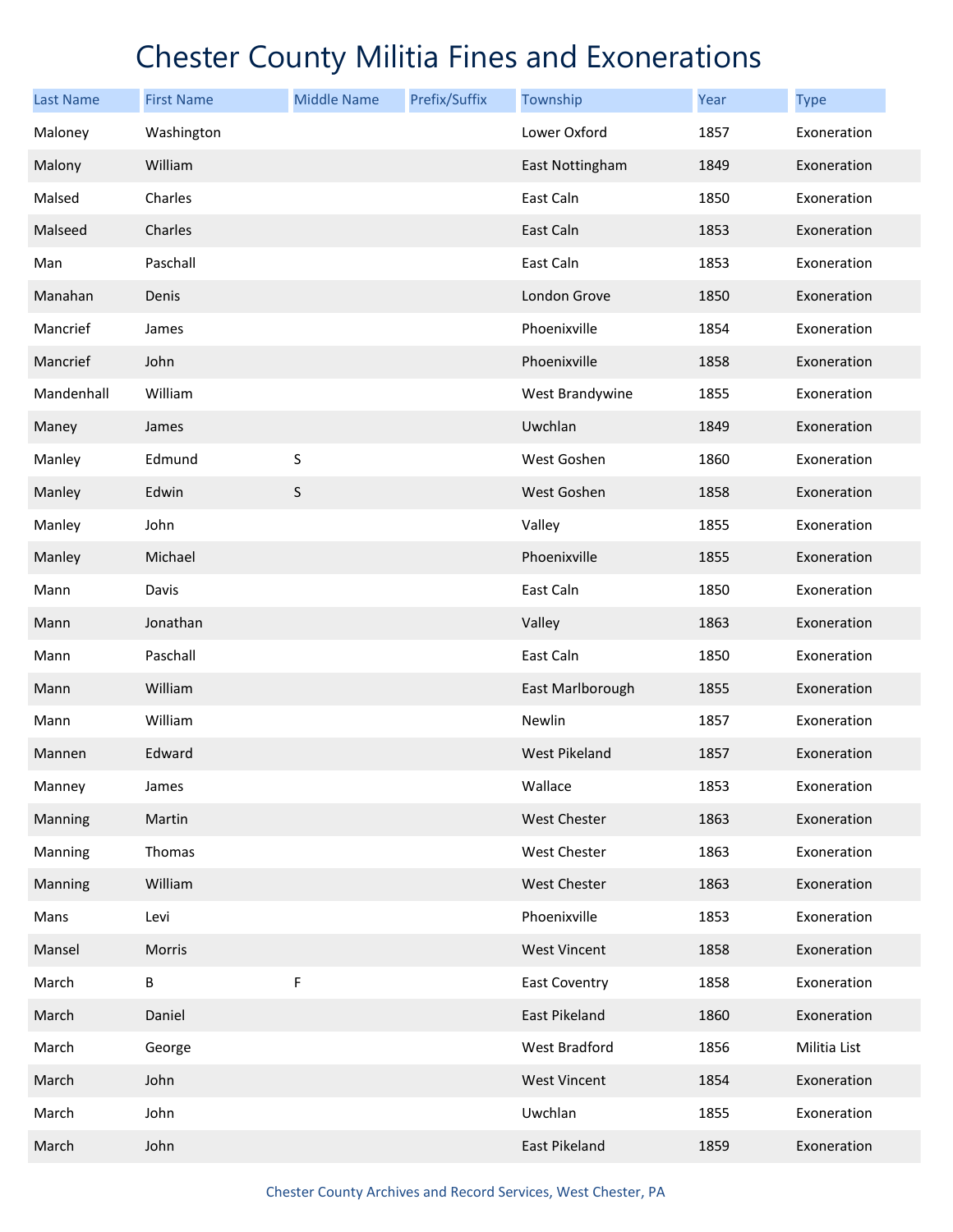| <b>Last Name</b> | <b>First Name</b> | <b>Middle Name</b> | Prefix/Suffix | Township             | Year | <b>Type</b>  |
|------------------|-------------------|--------------------|---------------|----------------------|------|--------------|
| Maloney          | Washington        |                    |               | Lower Oxford         | 1857 | Exoneration  |
| Malony           | William           |                    |               | East Nottingham      | 1849 | Exoneration  |
| Malsed           | Charles           |                    |               | East Caln            | 1850 | Exoneration  |
| Malseed          | Charles           |                    |               | East Caln            | 1853 | Exoneration  |
| Man              | Paschall          |                    |               | East Caln            | 1853 | Exoneration  |
| Manahan          | Denis             |                    |               | London Grove         | 1850 | Exoneration  |
| Mancrief         | James             |                    |               | Phoenixville         | 1854 | Exoneration  |
| Mancrief         | John              |                    |               | Phoenixville         | 1858 | Exoneration  |
| Mandenhall       | William           |                    |               | West Brandywine      | 1855 | Exoneration  |
| Maney            | James             |                    |               | Uwchlan              | 1849 | Exoneration  |
| Manley           | Edmund            | S                  |               | West Goshen          | 1860 | Exoneration  |
| Manley           | Edwin             | S                  |               | West Goshen          | 1858 | Exoneration  |
| Manley           | John              |                    |               | Valley               | 1855 | Exoneration  |
| Manley           | Michael           |                    |               | Phoenixville         | 1855 | Exoneration  |
| Mann             | Davis             |                    |               | East Caln            | 1850 | Exoneration  |
| Mann             | Jonathan          |                    |               | Valley               | 1863 | Exoneration  |
| Mann             | Paschall          |                    |               | East Caln            | 1850 | Exoneration  |
| Mann             | William           |                    |               | East Marlborough     | 1855 | Exoneration  |
| Mann             | William           |                    |               | Newlin               | 1857 | Exoneration  |
| Mannen           | Edward            |                    |               | <b>West Pikeland</b> | 1857 | Exoneration  |
| Manney           | James             |                    |               | Wallace              | 1853 | Exoneration  |
| Manning          | Martin            |                    |               | West Chester         | 1863 | Exoneration  |
| Manning          | Thomas            |                    |               | West Chester         | 1863 | Exoneration  |
| Manning          | William           |                    |               | <b>West Chester</b>  | 1863 | Exoneration  |
| Mans             | Levi              |                    |               | Phoenixville         | 1853 | Exoneration  |
| Mansel           | Morris            |                    |               | <b>West Vincent</b>  | 1858 | Exoneration  |
| March            | B                 | F                  |               | <b>East Coventry</b> | 1858 | Exoneration  |
| March            | Daniel            |                    |               | East Pikeland        | 1860 | Exoneration  |
| March            | George            |                    |               | West Bradford        | 1856 | Militia List |
| March            | John              |                    |               | <b>West Vincent</b>  | 1854 | Exoneration  |
| March            | John              |                    |               | Uwchlan              | 1855 | Exoneration  |
| March            | John              |                    |               | East Pikeland        | 1859 | Exoneration  |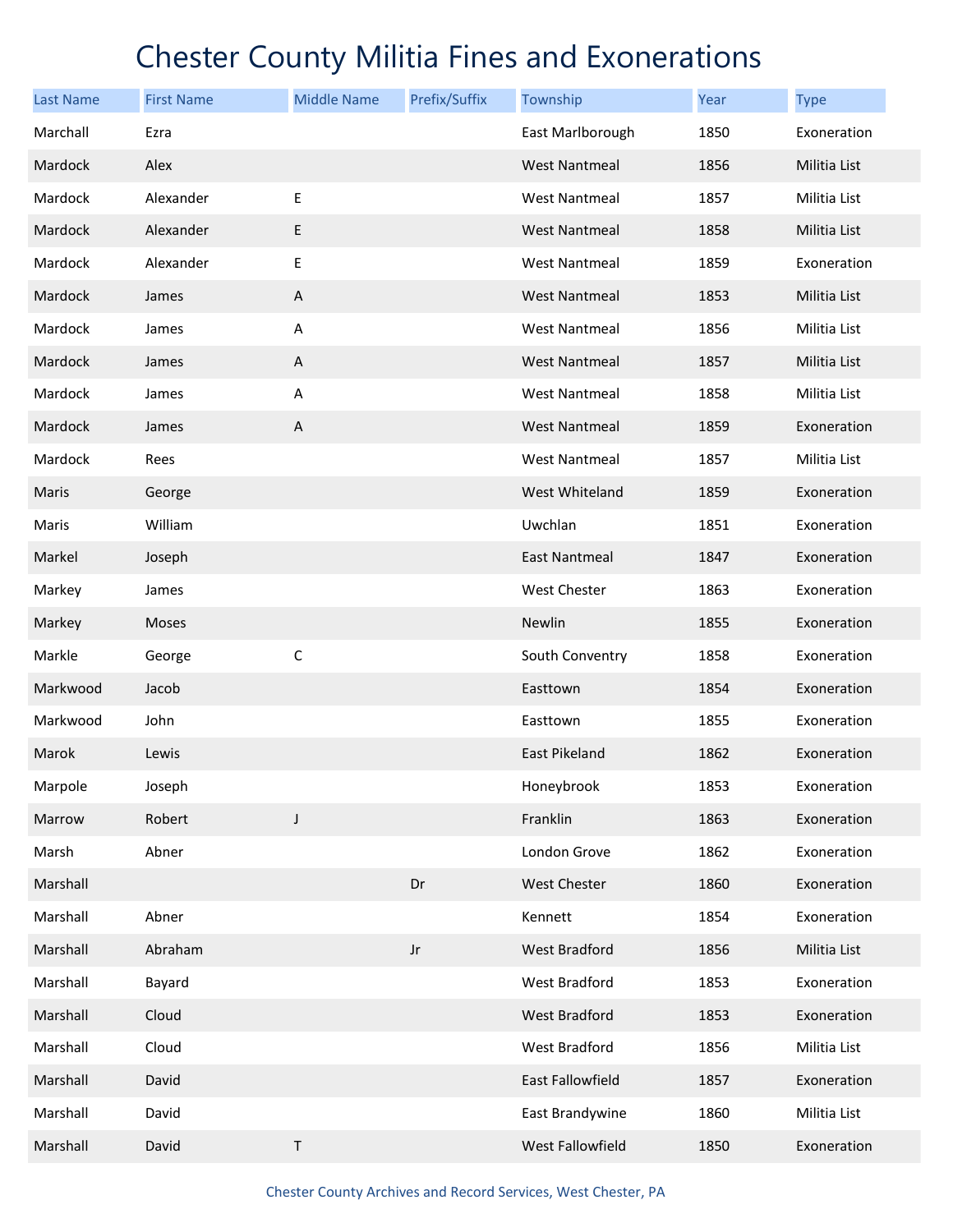| <b>Last Name</b> | <b>First Name</b> | <b>Middle Name</b>        | Prefix/Suffix | Township             | Year | <b>Type</b>  |
|------------------|-------------------|---------------------------|---------------|----------------------|------|--------------|
| Marchall         | Ezra              |                           |               | East Marlborough     | 1850 | Exoneration  |
| Mardock          | Alex              |                           |               | <b>West Nantmeal</b> | 1856 | Militia List |
| Mardock          | Alexander         | Ε                         |               | <b>West Nantmeal</b> | 1857 | Militia List |
| Mardock          | Alexander         | E                         |               | <b>West Nantmeal</b> | 1858 | Militia List |
| Mardock          | Alexander         | $\mathsf E$               |               | <b>West Nantmeal</b> | 1859 | Exoneration  |
| Mardock          | James             | $\boldsymbol{\mathsf{A}}$ |               | <b>West Nantmeal</b> | 1853 | Militia List |
| Mardock          | James             | Α                         |               | <b>West Nantmeal</b> | 1856 | Militia List |
| Mardock          | James             | A                         |               | <b>West Nantmeal</b> | 1857 | Militia List |
| Mardock          | James             | Α                         |               | <b>West Nantmeal</b> | 1858 | Militia List |
| Mardock          | James             | A                         |               | <b>West Nantmeal</b> | 1859 | Exoneration  |
| Mardock          | Rees              |                           |               | <b>West Nantmeal</b> | 1857 | Militia List |
| Maris            | George            |                           |               | West Whiteland       | 1859 | Exoneration  |
| Maris            | William           |                           |               | Uwchlan              | 1851 | Exoneration  |
| Markel           | Joseph            |                           |               | <b>East Nantmeal</b> | 1847 | Exoneration  |
| Markey           | James             |                           |               | West Chester         | 1863 | Exoneration  |
| Markey           | Moses             |                           |               | Newlin               | 1855 | Exoneration  |
| Markle           | George            | $\mathsf C$               |               | South Conventry      | 1858 | Exoneration  |
| Markwood         | Jacob             |                           |               | Easttown             | 1854 | Exoneration  |
| Markwood         | John              |                           |               | Easttown             | 1855 | Exoneration  |
| Marok            | Lewis             |                           |               | <b>East Pikeland</b> | 1862 | Exoneration  |
| Marpole          | Joseph            |                           |               | Honeybrook           | 1853 | Exoneration  |
| Marrow           | Robert            | $\mathsf J$               |               | Franklin             | 1863 | Exoneration  |
| Marsh            | Abner             |                           |               | London Grove         | 1862 | Exoneration  |
| Marshall         |                   |                           | Dr            | <b>West Chester</b>  | 1860 | Exoneration  |
| Marshall         | Abner             |                           |               | Kennett              | 1854 | Exoneration  |
| Marshall         | Abraham           |                           | $_{\rm Jr}$   | <b>West Bradford</b> | 1856 | Militia List |
| Marshall         | Bayard            |                           |               | West Bradford        | 1853 | Exoneration  |
| Marshall         | Cloud             |                           |               | West Bradford        | 1853 | Exoneration  |
| Marshall         | Cloud             |                           |               | West Bradford        | 1856 | Militia List |
| Marshall         | David             |                           |               | East Fallowfield     | 1857 | Exoneration  |
| Marshall         | David             |                           |               | East Brandywine      | 1860 | Militia List |
| Marshall         | David             | $\sf T$                   |               | West Fallowfield     | 1850 | Exoneration  |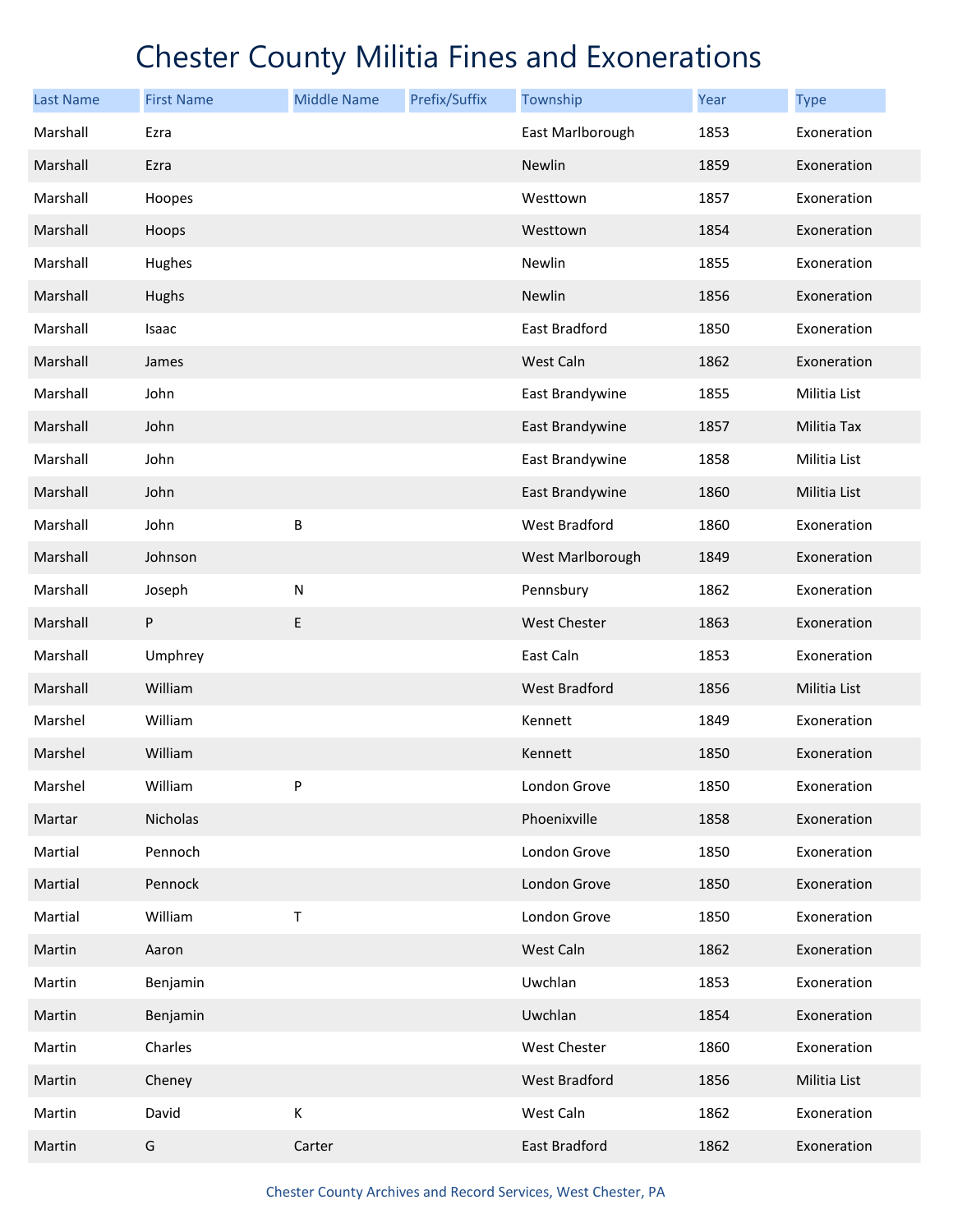| <b>Last Name</b> | <b>First Name</b> | <b>Middle Name</b> | Prefix/Suffix | Township             | Year | <b>Type</b>        |
|------------------|-------------------|--------------------|---------------|----------------------|------|--------------------|
| Marshall         | Ezra              |                    |               | East Marlborough     | 1853 | Exoneration        |
| Marshall         | Ezra              |                    |               | Newlin               | 1859 | Exoneration        |
| Marshall         | Hoopes            |                    |               | Westtown             | 1857 | Exoneration        |
| Marshall         | Hoops             |                    |               | Westtown             | 1854 | Exoneration        |
| Marshall         | Hughes            |                    |               | Newlin               | 1855 | Exoneration        |
| Marshall         | Hughs             |                    |               | <b>Newlin</b>        | 1856 | Exoneration        |
| Marshall         | Isaac             |                    |               | East Bradford        | 1850 | Exoneration        |
| Marshall         | James             |                    |               | West Caln            | 1862 | Exoneration        |
| Marshall         | John              |                    |               | East Brandywine      | 1855 | Militia List       |
| Marshall         | John              |                    |               | East Brandywine      | 1857 | <b>Militia Tax</b> |
| Marshall         | John              |                    |               | East Brandywine      | 1858 | Militia List       |
| Marshall         | John              |                    |               | East Brandywine      | 1860 | Militia List       |
| Marshall         | John              | B                  |               | West Bradford        | 1860 | Exoneration        |
| Marshall         | Johnson           |                    |               | West Marlborough     | 1849 | Exoneration        |
| Marshall         | Joseph            | ${\sf N}$          |               | Pennsbury            | 1862 | Exoneration        |
| Marshall         | P                 | E                  |               | <b>West Chester</b>  | 1863 | Exoneration        |
| Marshall         | Umphrey           |                    |               | East Caln            | 1853 | Exoneration        |
| Marshall         | William           |                    |               | <b>West Bradford</b> | 1856 | Militia List       |
| Marshel          | William           |                    |               | Kennett              | 1849 | Exoneration        |
| Marshel          | William           |                    |               | Kennett              | 1850 | Exoneration        |
| Marshel          | William           | P                  |               | London Grove         | 1850 | Exoneration        |
| Martar           | Nicholas          |                    |               | Phoenixville         | 1858 | Exoneration        |
| Martial          | Pennoch           |                    |               | London Grove         | 1850 | Exoneration        |
| Martial          | Pennock           |                    |               | London Grove         | 1850 | Exoneration        |
| Martial          | William           | $\mathsf T$        |               | London Grove         | 1850 | Exoneration        |
| Martin           | Aaron             |                    |               | West Caln            | 1862 | Exoneration        |
| Martin           | Benjamin          |                    |               | Uwchlan              | 1853 | Exoneration        |
| Martin           | Benjamin          |                    |               | Uwchlan              | 1854 | Exoneration        |
| Martin           | Charles           |                    |               | West Chester         | 1860 | Exoneration        |
| Martin           | Cheney            |                    |               | West Bradford        | 1856 | Militia List       |
| Martin           | David             | К                  |               | West Caln            | 1862 | Exoneration        |
| Martin           | G                 | Carter             |               | East Bradford        | 1862 | Exoneration        |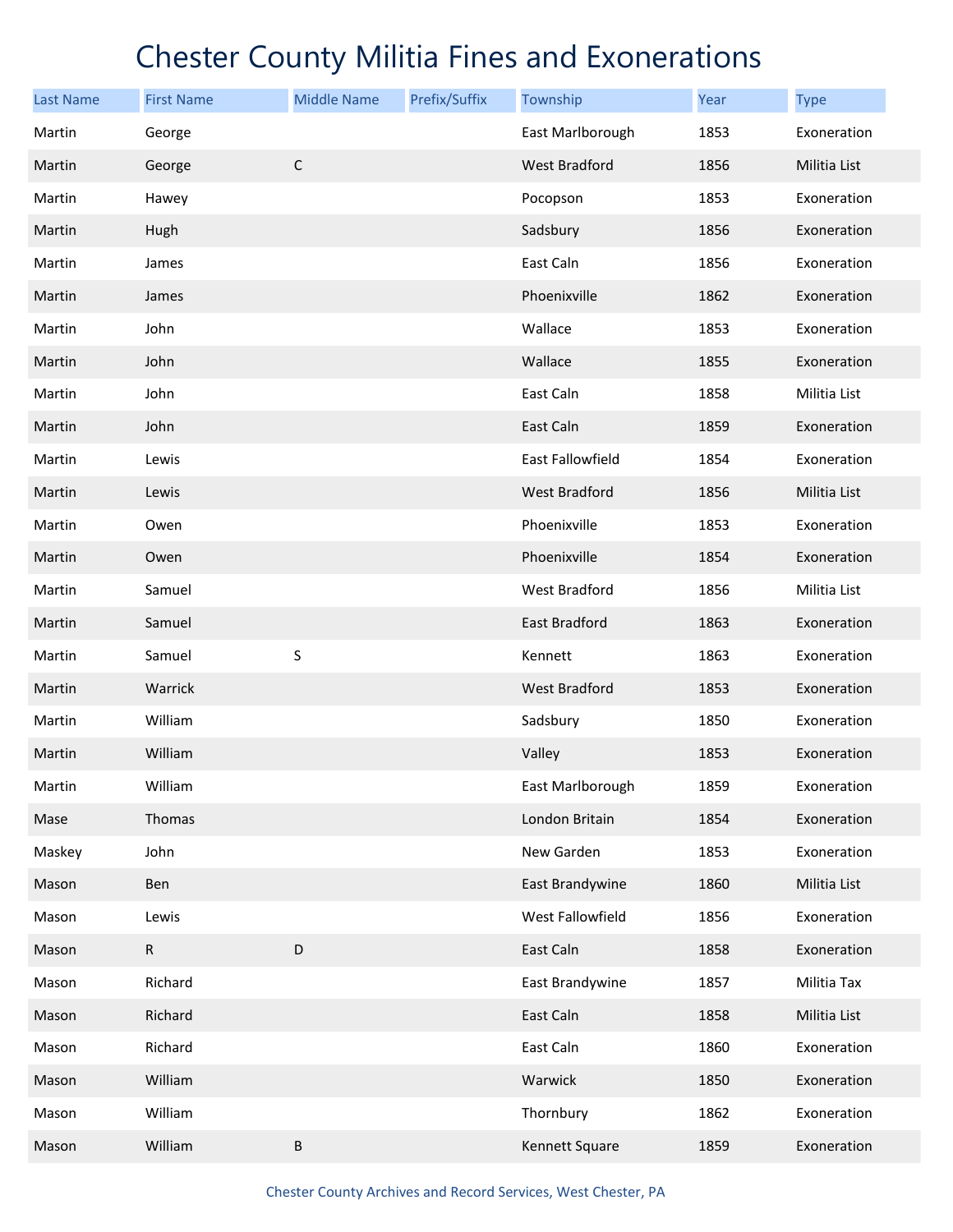| <b>Last Name</b> | <b>First Name</b> | <b>Middle Name</b> | Prefix/Suffix | Township             | Year | <b>Type</b>  |
|------------------|-------------------|--------------------|---------------|----------------------|------|--------------|
| Martin           | George            |                    |               | East Marlborough     | 1853 | Exoneration  |
| Martin           | George            | $\mathsf C$        |               | West Bradford        | 1856 | Militia List |
| Martin           | Hawey             |                    |               | Pocopson             | 1853 | Exoneration  |
| Martin           | Hugh              |                    |               | Sadsbury             | 1856 | Exoneration  |
| Martin           | James             |                    |               | East Caln            | 1856 | Exoneration  |
| Martin           | James             |                    |               | Phoenixville         | 1862 | Exoneration  |
| Martin           | John              |                    |               | Wallace              | 1853 | Exoneration  |
| Martin           | John              |                    |               | Wallace              | 1855 | Exoneration  |
| Martin           | John              |                    |               | East Caln            | 1858 | Militia List |
| Martin           | John              |                    |               | East Caln            | 1859 | Exoneration  |
| Martin           | Lewis             |                    |               | East Fallowfield     | 1854 | Exoneration  |
| Martin           | Lewis             |                    |               | West Bradford        | 1856 | Militia List |
| Martin           | Owen              |                    |               | Phoenixville         | 1853 | Exoneration  |
| Martin           | Owen              |                    |               | Phoenixville         | 1854 | Exoneration  |
| Martin           | Samuel            |                    |               | West Bradford        | 1856 | Militia List |
| Martin           | Samuel            |                    |               | East Bradford        | 1863 | Exoneration  |
| Martin           | Samuel            | S                  |               | Kennett              | 1863 | Exoneration  |
| Martin           | Warrick           |                    |               | <b>West Bradford</b> | 1853 | Exoneration  |
| Martin           | William           |                    |               | Sadsbury             | 1850 | Exoneration  |
| Martin           | William           |                    |               | Valley               | 1853 | Exoneration  |
| Martin           | William           |                    |               | East Marlborough     | 1859 | Exoneration  |
| Mase             | Thomas            |                    |               | London Britain       | 1854 | Exoneration  |
| Maskey           | John              |                    |               | New Garden           | 1853 | Exoneration  |
| Mason            | Ben               |                    |               | East Brandywine      | 1860 | Militia List |
| Mason            | Lewis             |                    |               | West Fallowfield     | 1856 | Exoneration  |
| Mason            | $\mathsf{R}$      | D                  |               | East Caln            | 1858 | Exoneration  |
| Mason            | Richard           |                    |               | East Brandywine      | 1857 | Militia Tax  |
| Mason            | Richard           |                    |               | East Caln            | 1858 | Militia List |
| Mason            | Richard           |                    |               | East Caln            | 1860 | Exoneration  |
| Mason            | William           |                    |               | Warwick              | 1850 | Exoneration  |
| Mason            | William           |                    |               | Thornbury            | 1862 | Exoneration  |
| Mason            | William           | $\sf B$            |               | Kennett Square       | 1859 | Exoneration  |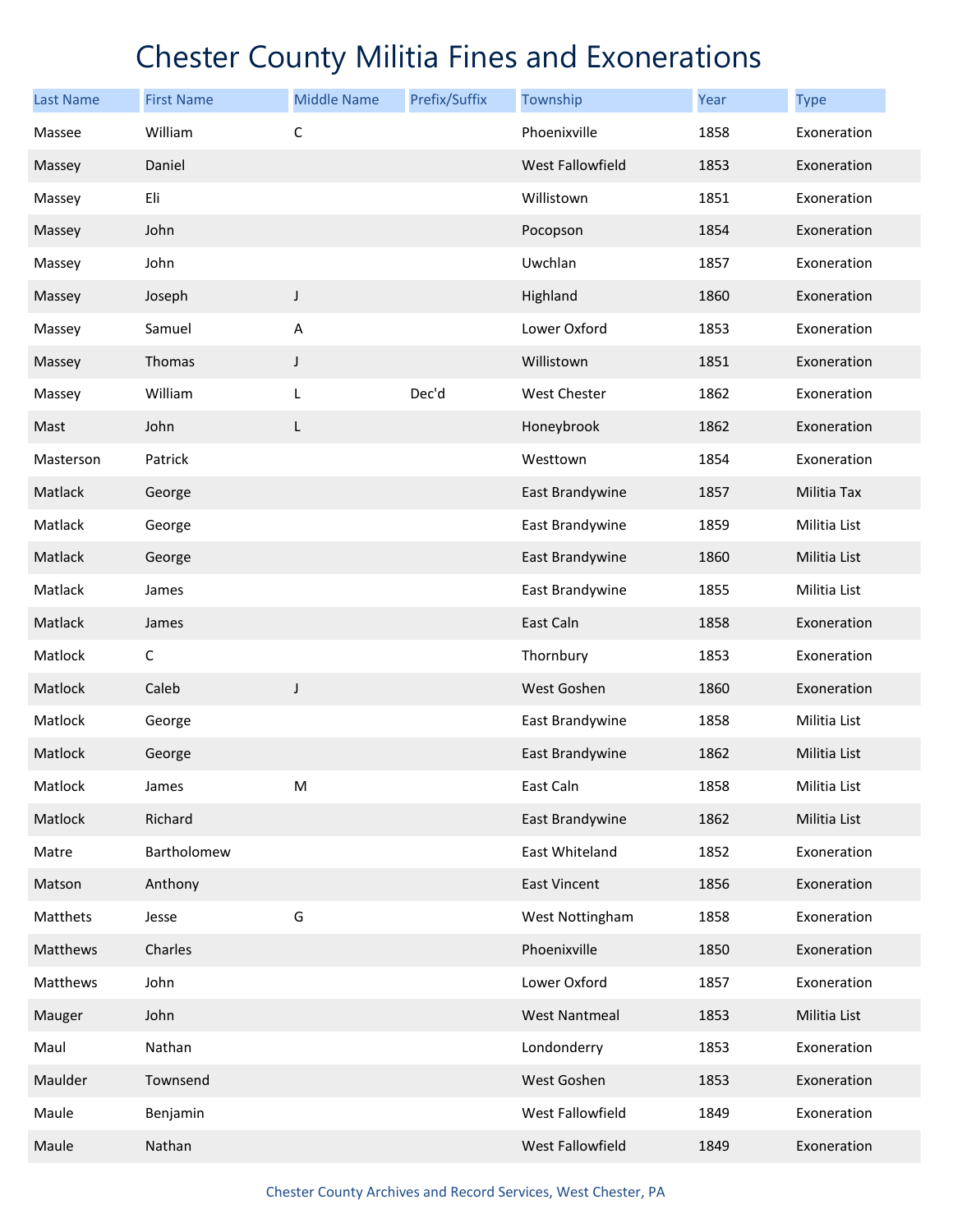| <b>Last Name</b> | <b>First Name</b> | <b>Middle Name</b> | Prefix/Suffix | Township             | Year | <b>Type</b>  |
|------------------|-------------------|--------------------|---------------|----------------------|------|--------------|
| Massee           | William           | $\mathsf C$        |               | Phoenixville         | 1858 | Exoneration  |
| Massey           | Daniel            |                    |               | West Fallowfield     | 1853 | Exoneration  |
| Massey           | Eli               |                    |               | Willistown           | 1851 | Exoneration  |
| Massey           | John              |                    |               | Pocopson             | 1854 | Exoneration  |
| Massey           | John              |                    |               | Uwchlan              | 1857 | Exoneration  |
| Massey           | Joseph            | $\mathsf J$        |               | Highland             | 1860 | Exoneration  |
| Massey           | Samuel            | A                  |               | Lower Oxford         | 1853 | Exoneration  |
| Massey           | Thomas            | J                  |               | Willistown           | 1851 | Exoneration  |
| Massey           | William           | L                  | Dec'd         | West Chester         | 1862 | Exoneration  |
| Mast             | John              | L                  |               | Honeybrook           | 1862 | Exoneration  |
| Masterson        | Patrick           |                    |               | Westtown             | 1854 | Exoneration  |
| Matlack          | George            |                    |               | East Brandywine      | 1857 | Militia Tax  |
| Matlack          | George            |                    |               | East Brandywine      | 1859 | Militia List |
| Matlack          | George            |                    |               | East Brandywine      | 1860 | Militia List |
| Matlack          | James             |                    |               | East Brandywine      | 1855 | Militia List |
| Matlack          | James             |                    |               | East Caln            | 1858 | Exoneration  |
| Matlock          | $\mathsf C$       |                    |               | Thornbury            | 1853 | Exoneration  |
| Matlock          | Caleb             | $\mathsf J$        |               | West Goshen          | 1860 | Exoneration  |
| Matlock          | George            |                    |               | East Brandywine      | 1858 | Militia List |
| Matlock          | George            |                    |               | East Brandywine      | 1862 | Militia List |
| Matlock          | James             | M                  |               | East Caln            | 1858 | Militia List |
| Matlock          | Richard           |                    |               | East Brandywine      | 1862 | Militia List |
| Matre            | Bartholomew       |                    |               | East Whiteland       | 1852 | Exoneration  |
| Matson           | Anthony           |                    |               | <b>East Vincent</b>  | 1856 | Exoneration  |
| Matthets         | Jesse             | G                  |               | West Nottingham      | 1858 | Exoneration  |
| Matthews         | Charles           |                    |               | Phoenixville         | 1850 | Exoneration  |
| Matthews         | John              |                    |               | Lower Oxford         | 1857 | Exoneration  |
| Mauger           | John              |                    |               | <b>West Nantmeal</b> | 1853 | Militia List |
| Maul             | Nathan            |                    |               | Londonderry          | 1853 | Exoneration  |
| Maulder          | Townsend          |                    |               | West Goshen          | 1853 | Exoneration  |
| Maule            | Benjamin          |                    |               | West Fallowfield     | 1849 | Exoneration  |
| Maule            | Nathan            |                    |               | West Fallowfield     | 1849 | Exoneration  |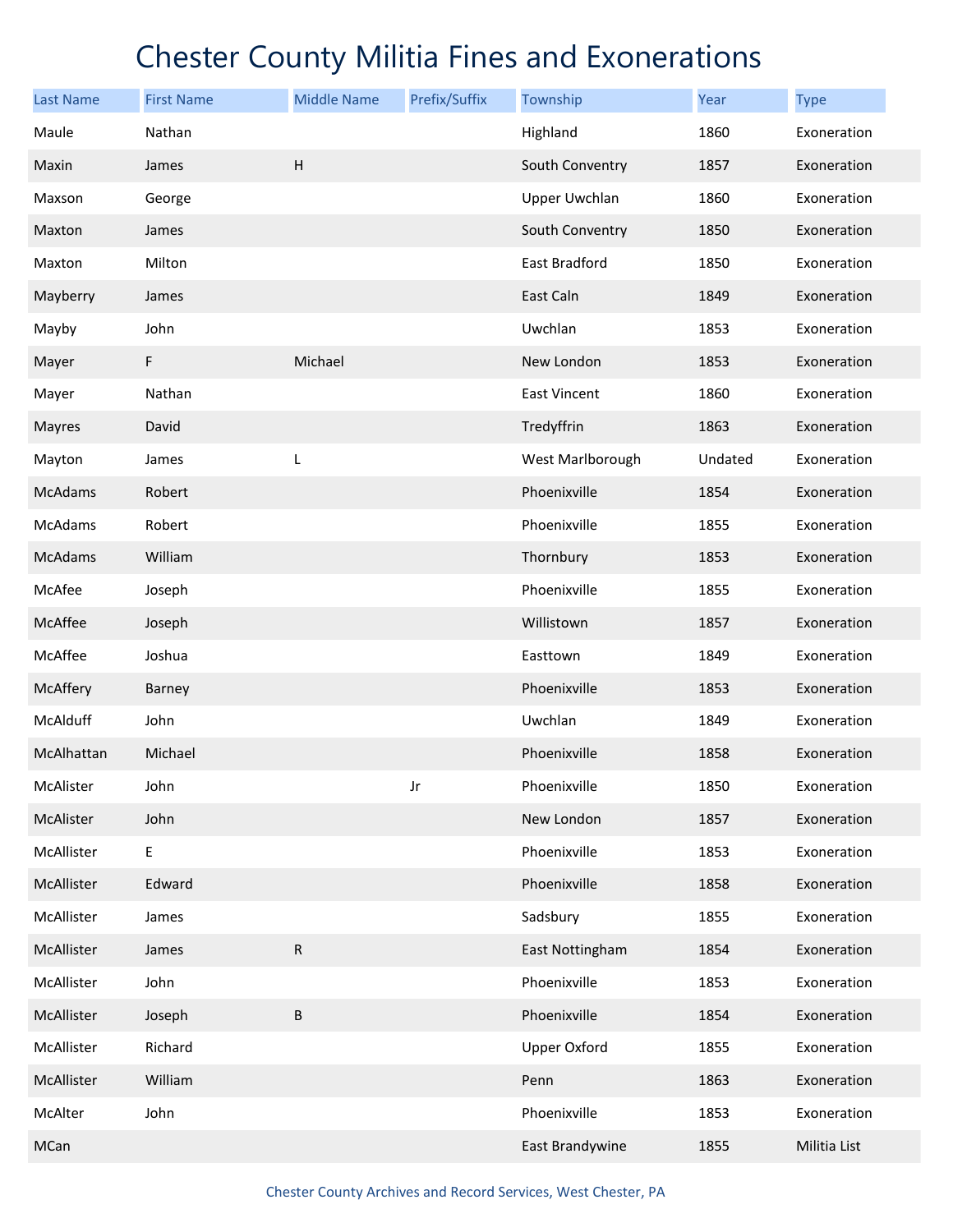| <b>Last Name</b> | <b>First Name</b> | <b>Middle Name</b> | Prefix/Suffix | Township             | <b>Year</b> | <b>Type</b>  |
|------------------|-------------------|--------------------|---------------|----------------------|-------------|--------------|
| Maule            | Nathan            |                    |               | Highland             | 1860        | Exoneration  |
| Maxin            | James             | $\mathsf H$        |               | South Conventry      | 1857        | Exoneration  |
| Maxson           | George            |                    |               | <b>Upper Uwchlan</b> | 1860        | Exoneration  |
| Maxton           | James             |                    |               | South Conventry      | 1850        | Exoneration  |
| Maxton           | Milton            |                    |               | East Bradford        | 1850        | Exoneration  |
| Mayberry         | James             |                    |               | East Caln            | 1849        | Exoneration  |
| Mayby            | John              |                    |               | Uwchlan              | 1853        | Exoneration  |
| Mayer            | F                 | Michael            |               | New London           | 1853        | Exoneration  |
| Mayer            | Nathan            |                    |               | East Vincent         | 1860        | Exoneration  |
| <b>Mayres</b>    | David             |                    |               | Tredyffrin           | 1863        | Exoneration  |
| Mayton           | James             | L                  |               | West Marlborough     | Undated     | Exoneration  |
| McAdams          | Robert            |                    |               | Phoenixville         | 1854        | Exoneration  |
| McAdams          | Robert            |                    |               | Phoenixville         | 1855        | Exoneration  |
| McAdams          | William           |                    |               | Thornbury            | 1853        | Exoneration  |
| McAfee           | Joseph            |                    |               | Phoenixville         | 1855        | Exoneration  |
| McAffee          | Joseph            |                    |               | Willistown           | 1857        | Exoneration  |
| McAffee          | Joshua            |                    |               | Easttown             | 1849        | Exoneration  |
| McAffery         | Barney            |                    |               | Phoenixville         | 1853        | Exoneration  |
| McAlduff         | John              |                    |               | Uwchlan              | 1849        | Exoneration  |
| McAlhattan       | Michael           |                    |               | Phoenixville         | 1858        | Exoneration  |
| McAlister        | John              |                    | Jr            | Phoenixville         | 1850        | Exoneration  |
| McAlister        | John              |                    |               | New London           | 1857        | Exoneration  |
| McAllister       | E                 |                    |               | Phoenixville         | 1853        | Exoneration  |
| McAllister       | Edward            |                    |               | Phoenixville         | 1858        | Exoneration  |
| McAllister       | James             |                    |               | Sadsbury             | 1855        | Exoneration  |
| McAllister       | James             | ${\sf R}$          |               | East Nottingham      | 1854        | Exoneration  |
| McAllister       | John              |                    |               | Phoenixville         | 1853        | Exoneration  |
| McAllister       | Joseph            | B                  |               | Phoenixville         | 1854        | Exoneration  |
| McAllister       | Richard           |                    |               | <b>Upper Oxford</b>  | 1855        | Exoneration  |
| McAllister       | William           |                    |               | Penn                 | 1863        | Exoneration  |
| McAlter          | John              |                    |               | Phoenixville         | 1853        | Exoneration  |
| MCan             |                   |                    |               | East Brandywine      | 1855        | Militia List |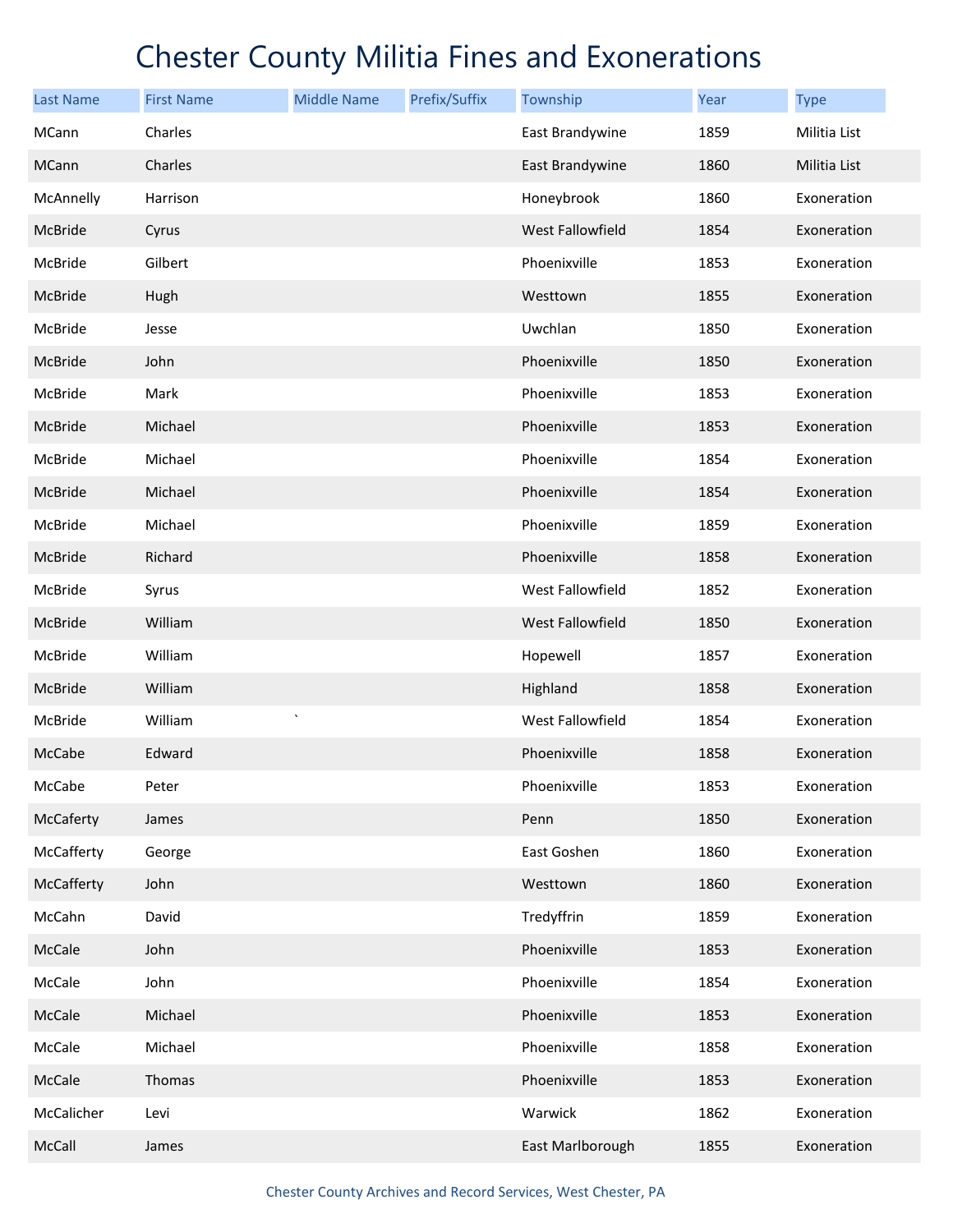| <b>Last Name</b> | <b>First Name</b> | <b>Middle Name</b>     | Prefix/Suffix | Township         | Year | <b>Type</b>  |
|------------------|-------------------|------------------------|---------------|------------------|------|--------------|
| MCann            | Charles           |                        |               | East Brandywine  | 1859 | Militia List |
| <b>MCann</b>     | Charles           |                        |               | East Brandywine  | 1860 | Militia List |
| McAnnelly        | Harrison          |                        |               | Honeybrook       | 1860 | Exoneration  |
| McBride          | Cyrus             |                        |               | West Fallowfield | 1854 | Exoneration  |
| McBride          | Gilbert           |                        |               | Phoenixville     | 1853 | Exoneration  |
| McBride          | Hugh              |                        |               | Westtown         | 1855 | Exoneration  |
| McBride          | Jesse             |                        |               | Uwchlan          | 1850 | Exoneration  |
| McBride          | John              |                        |               | Phoenixville     | 1850 | Exoneration  |
| McBride          | Mark              |                        |               | Phoenixville     | 1853 | Exoneration  |
| McBride          | Michael           |                        |               | Phoenixville     | 1853 | Exoneration  |
| McBride          | Michael           |                        |               | Phoenixville     | 1854 | Exoneration  |
| McBride          | Michael           |                        |               | Phoenixville     | 1854 | Exoneration  |
| McBride          | Michael           |                        |               | Phoenixville     | 1859 | Exoneration  |
| McBride          | Richard           |                        |               | Phoenixville     | 1858 | Exoneration  |
| McBride          | Syrus             |                        |               | West Fallowfield | 1852 | Exoneration  |
| McBride          | William           |                        |               | West Fallowfield | 1850 | Exoneration  |
| McBride          | William           |                        |               | Hopewell         | 1857 | Exoneration  |
| McBride          | William           |                        |               | Highland         | 1858 | Exoneration  |
| McBride          | William           | $\boldsymbol{\lambda}$ |               | West Fallowfield | 1854 | Exoneration  |
| McCabe           | Edward            |                        |               | Phoenixville     | 1858 | Exoneration  |
| McCabe           | Peter             |                        |               | Phoenixville     | 1853 | Exoneration  |
| McCaferty        | James             |                        |               | Penn             | 1850 | Exoneration  |
| McCafferty       | George            |                        |               | East Goshen      | 1860 | Exoneration  |
| McCafferty       | John              |                        |               | Westtown         | 1860 | Exoneration  |
| McCahn           | David             |                        |               | Tredyffrin       | 1859 | Exoneration  |
| McCale           | John              |                        |               | Phoenixville     | 1853 | Exoneration  |
| McCale           | John              |                        |               | Phoenixville     | 1854 | Exoneration  |
| McCale           | Michael           |                        |               | Phoenixville     | 1853 | Exoneration  |
| McCale           | Michael           |                        |               | Phoenixville     | 1858 | Exoneration  |
| McCale           | Thomas            |                        |               | Phoenixville     | 1853 | Exoneration  |
| McCalicher       | Levi              |                        |               | Warwick          | 1862 | Exoneration  |
| McCall           | James             |                        |               | East Marlborough | 1855 | Exoneration  |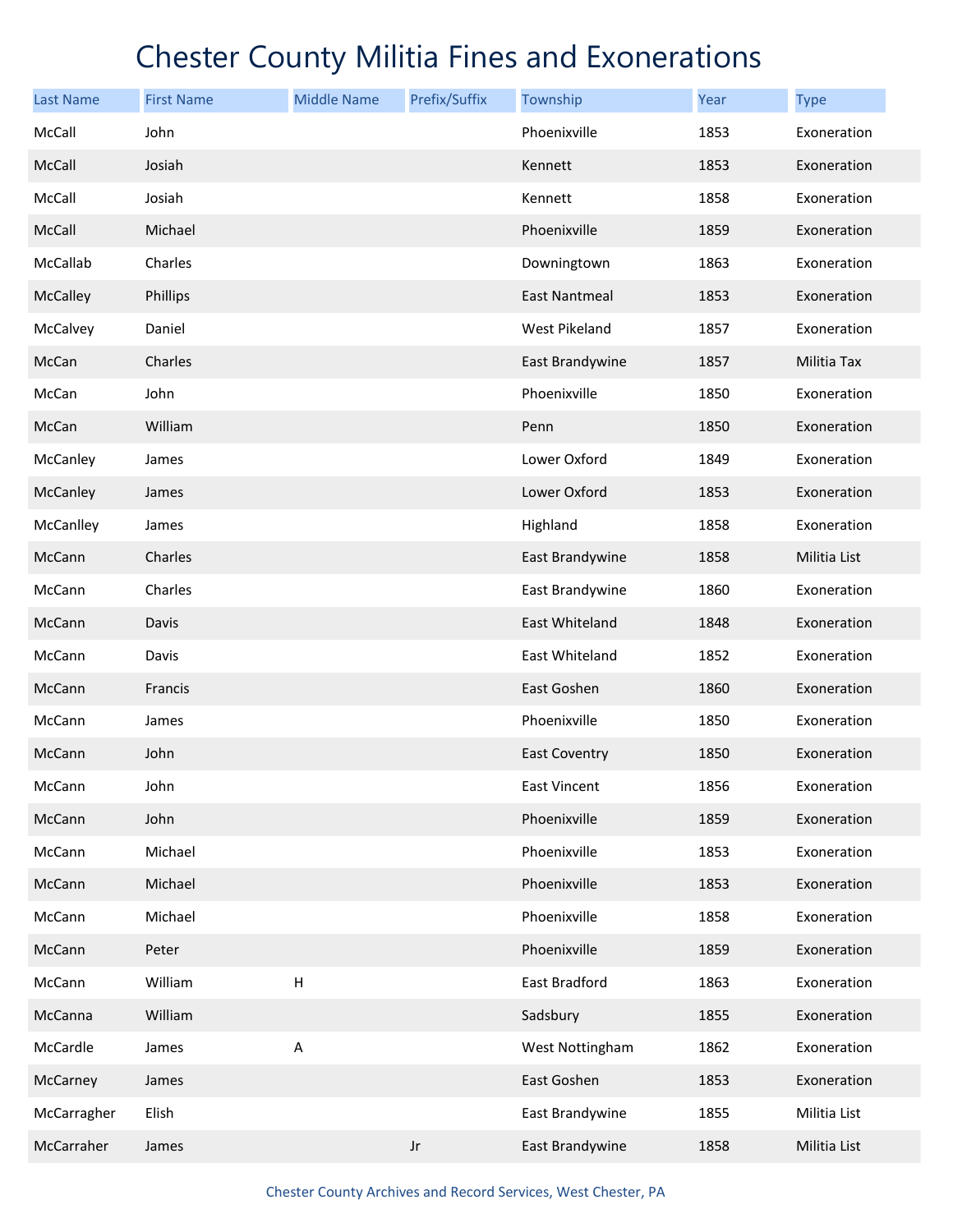| <b>Last Name</b> | <b>First Name</b> | <b>Middle Name</b> | Prefix/Suffix          | Township             | Year | <b>Type</b>  |
|------------------|-------------------|--------------------|------------------------|----------------------|------|--------------|
| McCall           | John              |                    |                        | Phoenixville         | 1853 | Exoneration  |
| McCall           | Josiah            |                    |                        | Kennett              | 1853 | Exoneration  |
| McCall           | Josiah            |                    |                        | Kennett              | 1858 | Exoneration  |
| McCall           | Michael           |                    |                        | Phoenixville         | 1859 | Exoneration  |
| McCallab         | Charles           |                    |                        | Downingtown          | 1863 | Exoneration  |
| McCalley         | Phillips          |                    |                        | East Nantmeal        | 1853 | Exoneration  |
| McCalvey         | Daniel            |                    |                        | West Pikeland        | 1857 | Exoneration  |
| McCan            | Charles           |                    |                        | East Brandywine      | 1857 | Militia Tax  |
| McCan            | John              |                    |                        | Phoenixville         | 1850 | Exoneration  |
| McCan            | William           |                    |                        | Penn                 | 1850 | Exoneration  |
| McCanley         | James             |                    |                        | Lower Oxford         | 1849 | Exoneration  |
| McCanley         | James             |                    |                        | Lower Oxford         | 1853 | Exoneration  |
| McCanlley        | James             |                    |                        | Highland             | 1858 | Exoneration  |
| McCann           | Charles           |                    |                        | East Brandywine      | 1858 | Militia List |
| McCann           | Charles           |                    |                        | East Brandywine      | 1860 | Exoneration  |
| McCann           | Davis             |                    |                        | East Whiteland       | 1848 | Exoneration  |
| McCann           | Davis             |                    |                        | East Whiteland       | 1852 | Exoneration  |
| McCann           | Francis           |                    |                        | East Goshen          | 1860 | Exoneration  |
| McCann           | James             |                    |                        | Phoenixville         | 1850 | Exoneration  |
| McCann           | John              |                    |                        | <b>East Coventry</b> | 1850 | Exoneration  |
| McCann           | John              |                    |                        | East Vincent         | 1856 | Exoneration  |
| McCann           | John              |                    |                        | Phoenixville         | 1859 | Exoneration  |
| McCann           | Michael           |                    |                        | Phoenixville         | 1853 | Exoneration  |
| McCann           | Michael           |                    |                        | Phoenixville         | 1853 | Exoneration  |
| McCann           | Michael           |                    |                        | Phoenixville         | 1858 | Exoneration  |
| McCann           | Peter             |                    |                        | Phoenixville         | 1859 | Exoneration  |
| McCann           | William           | $\sf H$            |                        | East Bradford        | 1863 | Exoneration  |
| McCanna          | William           |                    |                        | Sadsbury             | 1855 | Exoneration  |
| McCardle         | James             | Α                  |                        | West Nottingham      | 1862 | Exoneration  |
| McCarney         | James             |                    |                        | East Goshen          | 1853 | Exoneration  |
| McCarragher      | Elish             |                    |                        | East Brandywine      | 1855 | Militia List |
| McCarraher       | James             |                    | $\mathsf{J}\mathsf{r}$ | East Brandywine      | 1858 | Militia List |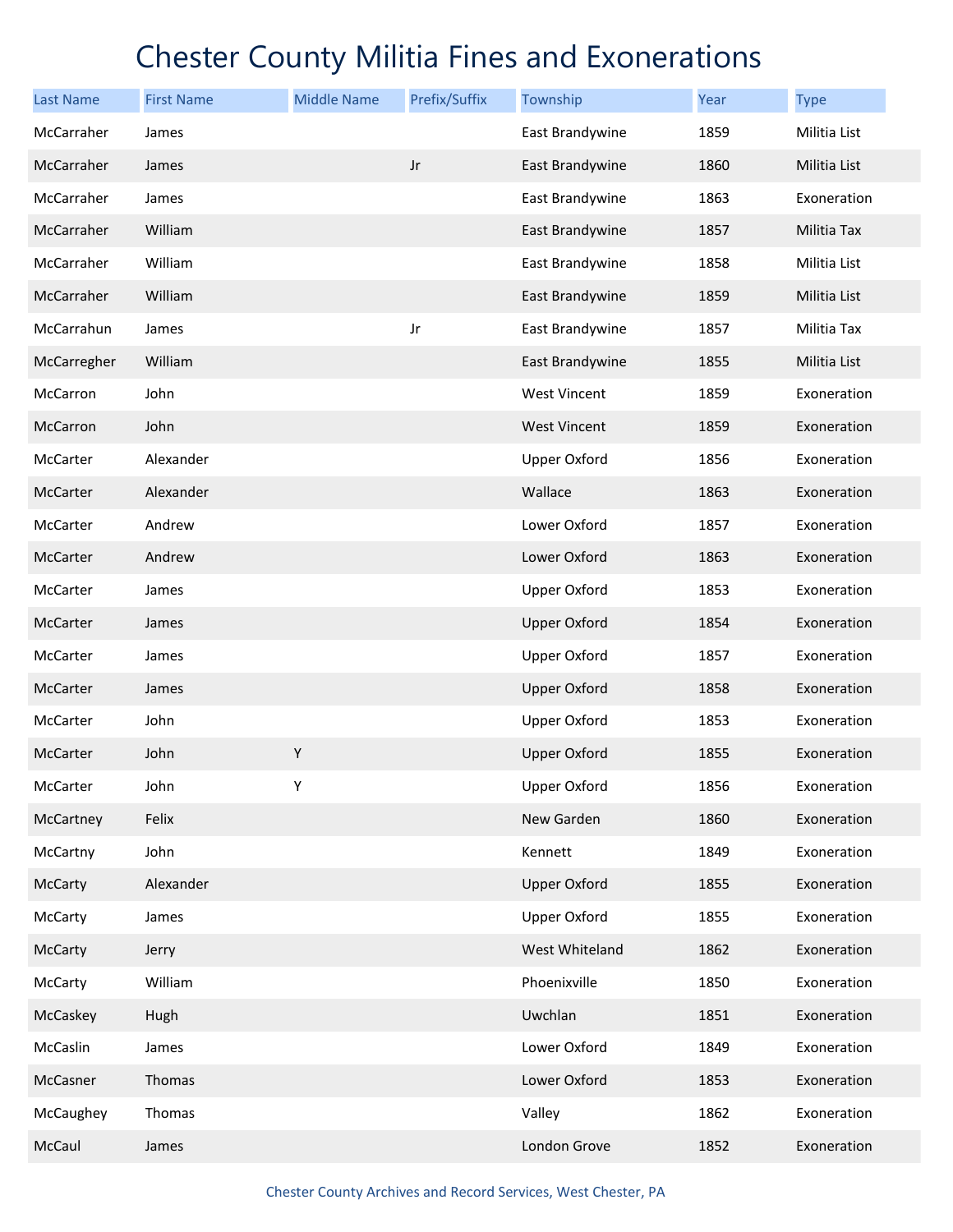| <b>Last Name</b> | <b>First Name</b> | <b>Middle Name</b> | Prefix/Suffix | Township            | Year | <b>Type</b>  |
|------------------|-------------------|--------------------|---------------|---------------------|------|--------------|
| McCarraher       | James             |                    |               | East Brandywine     | 1859 | Militia List |
| McCarraher       | James             |                    | $_{\rm Jr}$   | East Brandywine     | 1860 | Militia List |
| McCarraher       | James             |                    |               | East Brandywine     | 1863 | Exoneration  |
| McCarraher       | William           |                    |               | East Brandywine     | 1857 | Militia Tax  |
| McCarraher       | William           |                    |               | East Brandywine     | 1858 | Militia List |
| McCarraher       | William           |                    |               | East Brandywine     | 1859 | Militia List |
| McCarrahun       | James             |                    | Jr            | East Brandywine     | 1857 | Militia Tax  |
| McCarregher      | William           |                    |               | East Brandywine     | 1855 | Militia List |
| McCarron         | John              |                    |               | <b>West Vincent</b> | 1859 | Exoneration  |
| McCarron         | John              |                    |               | <b>West Vincent</b> | 1859 | Exoneration  |
| McCarter         | Alexander         |                    |               | <b>Upper Oxford</b> | 1856 | Exoneration  |
| McCarter         | Alexander         |                    |               | Wallace             | 1863 | Exoneration  |
| McCarter         | Andrew            |                    |               | Lower Oxford        | 1857 | Exoneration  |
| McCarter         | Andrew            |                    |               | Lower Oxford        | 1863 | Exoneration  |
| McCarter         | James             |                    |               | <b>Upper Oxford</b> | 1853 | Exoneration  |
| McCarter         | James             |                    |               | <b>Upper Oxford</b> | 1854 | Exoneration  |
| McCarter         | James             |                    |               | <b>Upper Oxford</b> | 1857 | Exoneration  |
| McCarter         | James             |                    |               | <b>Upper Oxford</b> | 1858 | Exoneration  |
| McCarter         | John              |                    |               | <b>Upper Oxford</b> | 1853 | Exoneration  |
| McCarter         | John              | $\mathsf Y$        |               | <b>Upper Oxford</b> | 1855 | Exoneration  |
| McCarter         | John              | Υ                  |               | <b>Upper Oxford</b> | 1856 | Exoneration  |
| McCartney        | Felix             |                    |               | New Garden          | 1860 | Exoneration  |
| McCartny         | John              |                    |               | Kennett             | 1849 | Exoneration  |
| McCarty          | Alexander         |                    |               | <b>Upper Oxford</b> | 1855 | Exoneration  |
| McCarty          | James             |                    |               | <b>Upper Oxford</b> | 1855 | Exoneration  |
| McCarty          | Jerry             |                    |               | West Whiteland      | 1862 | Exoneration  |
| McCarty          | William           |                    |               | Phoenixville        | 1850 | Exoneration  |
| McCaskey         | Hugh              |                    |               | Uwchlan             | 1851 | Exoneration  |
| McCaslin         | James             |                    |               | Lower Oxford        | 1849 | Exoneration  |
| McCasner         | Thomas            |                    |               | Lower Oxford        | 1853 | Exoneration  |
| McCaughey        | Thomas            |                    |               | Valley              | 1862 | Exoneration  |
| McCaul           | James             |                    |               | London Grove        | 1852 | Exoneration  |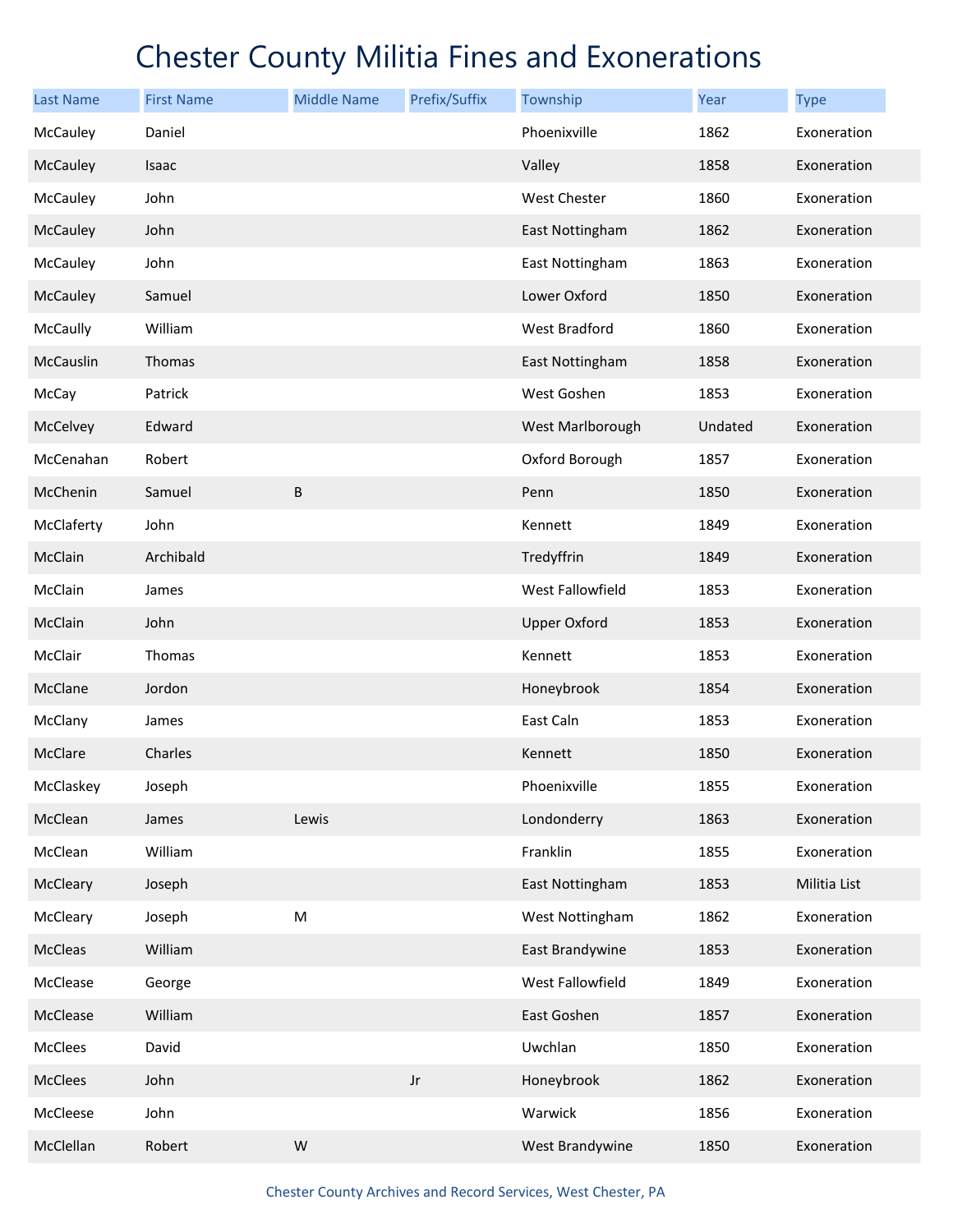| <b>Last Name</b> | <b>First Name</b> | <b>Middle Name</b> | Prefix/Suffix | Township            | <b>Year</b> | <b>Type</b>  |
|------------------|-------------------|--------------------|---------------|---------------------|-------------|--------------|
| McCauley         | Daniel            |                    |               | Phoenixville        | 1862        | Exoneration  |
| McCauley         | Isaac             |                    |               | Valley              | 1858        | Exoneration  |
| McCauley         | John              |                    |               | West Chester        | 1860        | Exoneration  |
| McCauley         | John              |                    |               | East Nottingham     | 1862        | Exoneration  |
| McCauley         | John              |                    |               | East Nottingham     | 1863        | Exoneration  |
| McCauley         | Samuel            |                    |               | Lower Oxford        | 1850        | Exoneration  |
| McCaully         | William           |                    |               | West Bradford       | 1860        | Exoneration  |
| McCauslin        | Thomas            |                    |               | East Nottingham     | 1858        | Exoneration  |
| McCay            | Patrick           |                    |               | West Goshen         | 1853        | Exoneration  |
| McCelvey         | Edward            |                    |               | West Marlborough    | Undated     | Exoneration  |
| McCenahan        | Robert            |                    |               | Oxford Borough      | 1857        | Exoneration  |
| McChenin         | Samuel            | B                  |               | Penn                | 1850        | Exoneration  |
| McClaferty       | John              |                    |               | Kennett             | 1849        | Exoneration  |
| McClain          | Archibald         |                    |               | Tredyffrin          | 1849        | Exoneration  |
| McClain          | James             |                    |               | West Fallowfield    | 1853        | Exoneration  |
| McClain          | John              |                    |               | <b>Upper Oxford</b> | 1853        | Exoneration  |
| McClair          | Thomas            |                    |               | Kennett             | 1853        | Exoneration  |
| McClane          | Jordon            |                    |               | Honeybrook          | 1854        | Exoneration  |
| McClany          | James             |                    |               | East Caln           | 1853        | Exoneration  |
| McClare          | Charles           |                    |               | Kennett             | 1850        | Exoneration  |
| McClaskey        | Joseph            |                    |               | Phoenixville        | 1855        | Exoneration  |
| McClean          | James             | Lewis              |               | Londonderry         | 1863        | Exoneration  |
| McClean          | William           |                    |               | Franklin            | 1855        | Exoneration  |
| McCleary         | Joseph            |                    |               | East Nottingham     | 1853        | Militia List |
| McCleary         | Joseph            | M                  |               | West Nottingham     | 1862        | Exoneration  |
| McCleas          | William           |                    |               | East Brandywine     | 1853        | Exoneration  |
| McClease         | George            |                    |               | West Fallowfield    | 1849        | Exoneration  |
| McClease         | William           |                    |               | East Goshen         | 1857        | Exoneration  |
| McClees          | David             |                    |               | Uwchlan             | 1850        | Exoneration  |
| McClees          | John              |                    | $_{\rm Jr}$   | Honeybrook          | 1862        | Exoneration  |
| McCleese         | John              |                    |               | Warwick             | 1856        | Exoneration  |
| McClellan        | Robert            | ${\sf W}$          |               | West Brandywine     | 1850        | Exoneration  |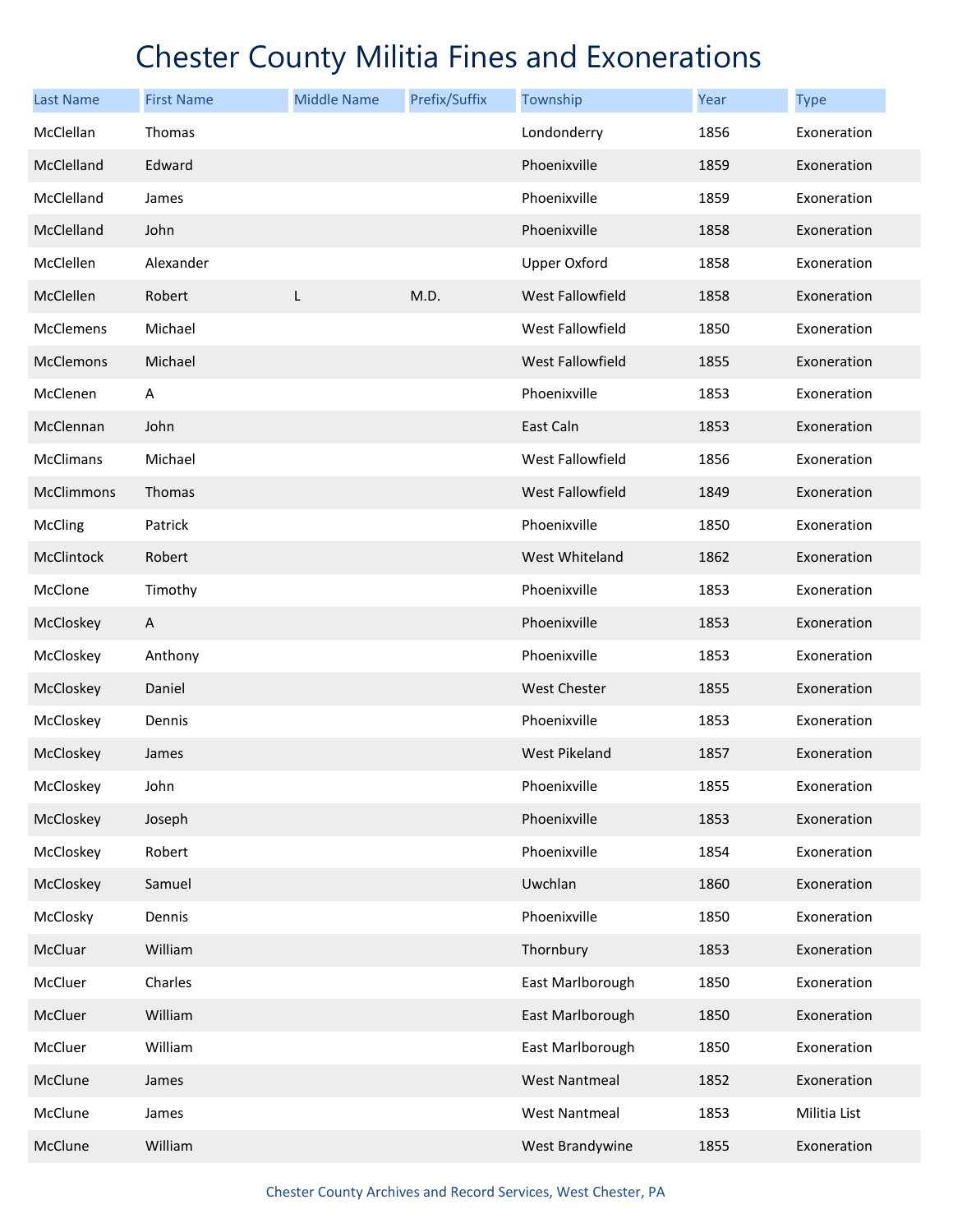| <b>Last Name</b>  | <b>First Name</b> | <b>Middle Name</b> | Prefix/Suffix | Township                | Year | <b>Type</b>  |
|-------------------|-------------------|--------------------|---------------|-------------------------|------|--------------|
| McClellan         | Thomas            |                    |               | Londonderry             | 1856 | Exoneration  |
| McClelland        | Edward            |                    |               | Phoenixville            | 1859 | Exoneration  |
| McClelland        | James             |                    |               | Phoenixville            | 1859 | Exoneration  |
| McClelland        | John              |                    |               | Phoenixville            | 1858 | Exoneration  |
| McClellen         | Alexander         |                    |               | <b>Upper Oxford</b>     | 1858 | Exoneration  |
| McClellen         | Robert            | L                  | M.D.          | <b>West Fallowfield</b> | 1858 | Exoneration  |
| McClemens         | Michael           |                    |               | West Fallowfield        | 1850 | Exoneration  |
| <b>McClemons</b>  | Michael           |                    |               | West Fallowfield        | 1855 | Exoneration  |
| McClenen          | A                 |                    |               | Phoenixville            | 1853 | Exoneration  |
| McClennan         | John              |                    |               | East Caln               | 1853 | Exoneration  |
| <b>McClimans</b>  | Michael           |                    |               | West Fallowfield        | 1856 | Exoneration  |
| <b>McClimmons</b> | Thomas            |                    |               | <b>West Fallowfield</b> | 1849 | Exoneration  |
| McCling           | Patrick           |                    |               | Phoenixville            | 1850 | Exoneration  |
| McClintock        | Robert            |                    |               | West Whiteland          | 1862 | Exoneration  |
| McClone           | Timothy           |                    |               | Phoenixville            | 1853 | Exoneration  |
| McCloskey         | A                 |                    |               | Phoenixville            | 1853 | Exoneration  |
| McCloskey         | Anthony           |                    |               | Phoenixville            | 1853 | Exoneration  |
| McCloskey         | Daniel            |                    |               | <b>West Chester</b>     | 1855 | Exoneration  |
| McCloskey         | Dennis            |                    |               | Phoenixville            | 1853 | Exoneration  |
| McCloskey         | James             |                    |               | <b>West Pikeland</b>    | 1857 | Exoneration  |
| McCloskey         | John              |                    |               | Phoenixville            | 1855 | Exoneration  |
| McCloskey         | Joseph            |                    |               | Phoenixville            | 1853 | Exoneration  |
| McCloskey         | Robert            |                    |               | Phoenixville            | 1854 | Exoneration  |
| McCloskey         | Samuel            |                    |               | Uwchlan                 | 1860 | Exoneration  |
| McClosky          | Dennis            |                    |               | Phoenixville            | 1850 | Exoneration  |
| McCluar           | William           |                    |               | Thornbury               | 1853 | Exoneration  |
| McCluer           | Charles           |                    |               | East Marlborough        | 1850 | Exoneration  |
| McCluer           | William           |                    |               | East Marlborough        | 1850 | Exoneration  |
| McCluer           | William           |                    |               | East Marlborough        | 1850 | Exoneration  |
| McClune           | James             |                    |               | <b>West Nantmeal</b>    | 1852 | Exoneration  |
| McClune           | James             |                    |               | <b>West Nantmeal</b>    | 1853 | Militia List |
| McClune           | William           |                    |               | West Brandywine         | 1855 | Exoneration  |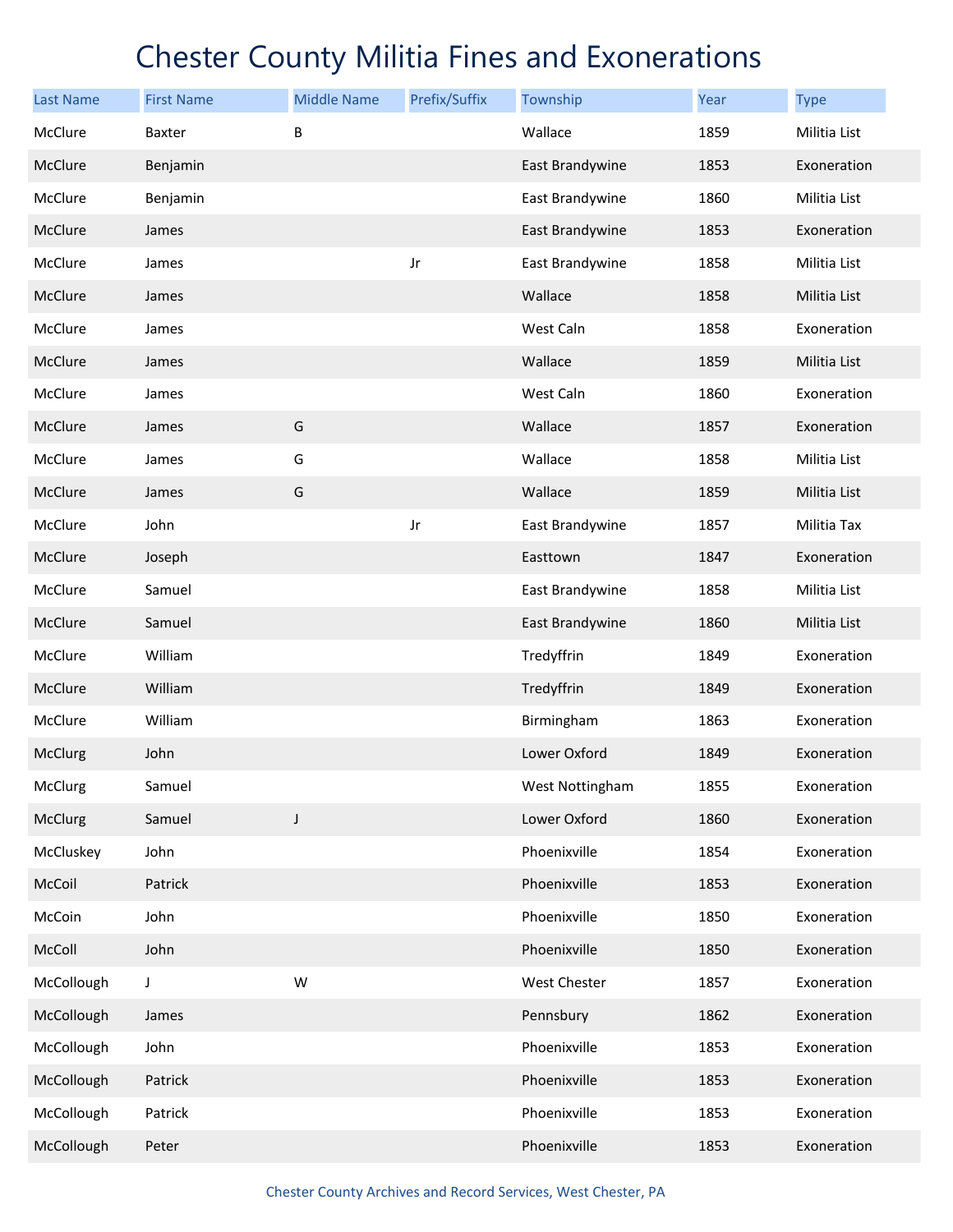| <b>Last Name</b> | <b>First Name</b> | <b>Middle Name</b> | Prefix/Suffix | Township        | Year | <b>Type</b>  |
|------------------|-------------------|--------------------|---------------|-----------------|------|--------------|
| McClure          | Baxter            | В                  |               | Wallace         | 1859 | Militia List |
| McClure          | Benjamin          |                    |               | East Brandywine | 1853 | Exoneration  |
| McClure          | Benjamin          |                    |               | East Brandywine | 1860 | Militia List |
| McClure          | James             |                    |               | East Brandywine | 1853 | Exoneration  |
| McClure          | James             |                    | Jr            | East Brandywine | 1858 | Militia List |
| McClure          | James             |                    |               | Wallace         | 1858 | Militia List |
| McClure          | James             |                    |               | West Caln       | 1858 | Exoneration  |
| McClure          | James             |                    |               | Wallace         | 1859 | Militia List |
| McClure          | James             |                    |               | West Caln       | 1860 | Exoneration  |
| McClure          | James             | G                  |               | Wallace         | 1857 | Exoneration  |
| McClure          | James             | G                  |               | Wallace         | 1858 | Militia List |
| McClure          | James             | G                  |               | Wallace         | 1859 | Militia List |
| McClure          | John              |                    | Jr            | East Brandywine | 1857 | Militia Tax  |
| McClure          | Joseph            |                    |               | Easttown        | 1847 | Exoneration  |
| McClure          | Samuel            |                    |               | East Brandywine | 1858 | Militia List |
| McClure          | Samuel            |                    |               | East Brandywine | 1860 | Militia List |
| McClure          | William           |                    |               | Tredyffrin      | 1849 | Exoneration  |
| McClure          | William           |                    |               | Tredyffrin      | 1849 | Exoneration  |
| McClure          | William           |                    |               | Birmingham      | 1863 | Exoneration  |
| McClurg          | John              |                    |               | Lower Oxford    | 1849 | Exoneration  |
| McClurg          | Samuel            |                    |               | West Nottingham | 1855 | Exoneration  |
| McClurg          | Samuel            | $\mathsf J$        |               | Lower Oxford    | 1860 | Exoneration  |
| McCluskey        | John              |                    |               | Phoenixville    | 1854 | Exoneration  |
| McCoil           | Patrick           |                    |               | Phoenixville    | 1853 | Exoneration  |
| McCoin           | John              |                    |               | Phoenixville    | 1850 | Exoneration  |
| McColl           | John              |                    |               | Phoenixville    | 1850 | Exoneration  |
| McCollough       | J                 | W                  |               | West Chester    | 1857 | Exoneration  |
| McCollough       | James             |                    |               | Pennsbury       | 1862 | Exoneration  |
| McCollough       | John              |                    |               | Phoenixville    | 1853 | Exoneration  |
| McCollough       | Patrick           |                    |               | Phoenixville    | 1853 | Exoneration  |
| McCollough       | Patrick           |                    |               | Phoenixville    | 1853 | Exoneration  |
| McCollough       | Peter             |                    |               | Phoenixville    | 1853 | Exoneration  |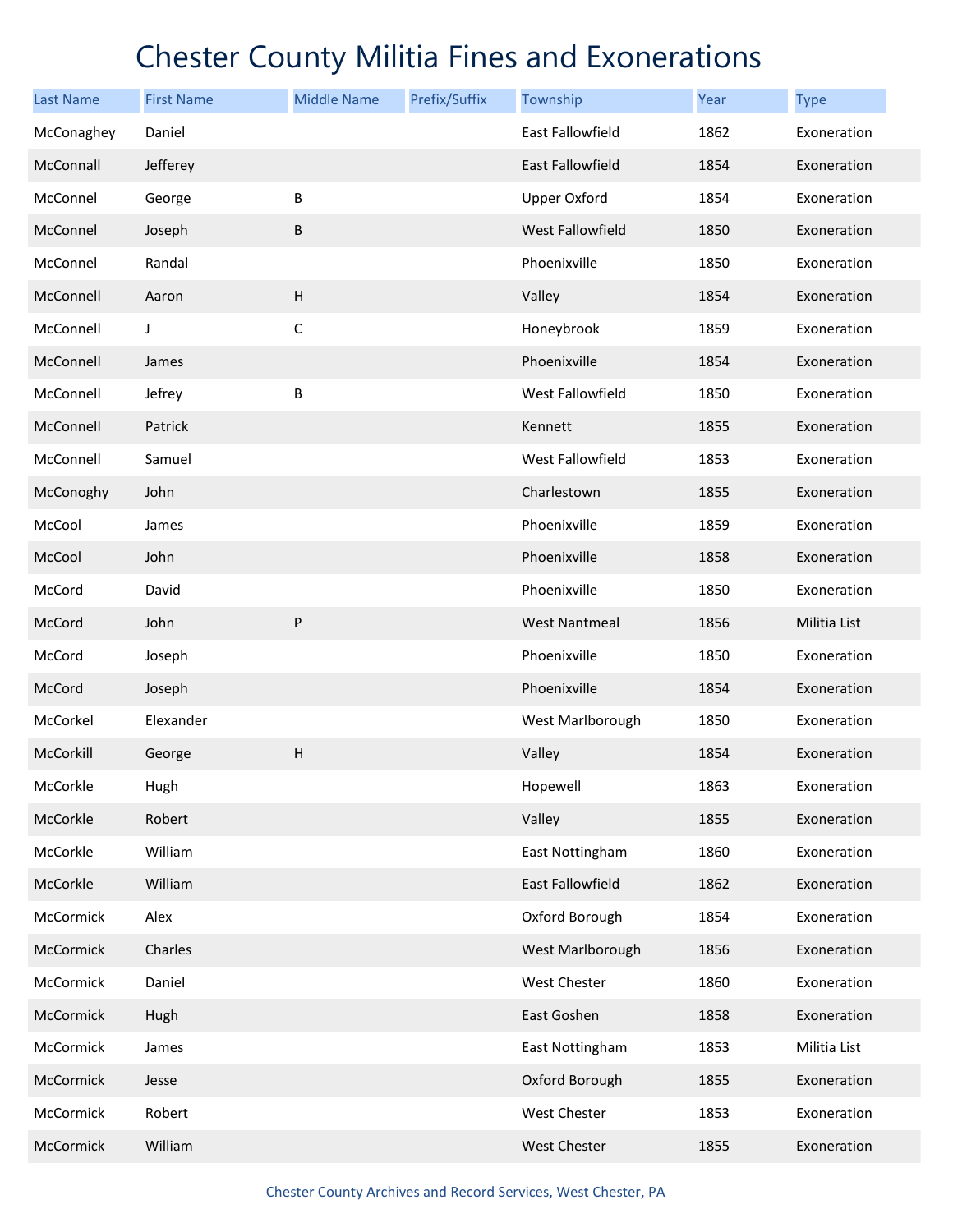| <b>Last Name</b> | <b>First Name</b> | <b>Middle Name</b> | Prefix/Suffix | Township                | Year | <b>Type</b>  |
|------------------|-------------------|--------------------|---------------|-------------------------|------|--------------|
| McConaghey       | Daniel            |                    |               | East Fallowfield        | 1862 | Exoneration  |
| McConnall        | Jefferey          |                    |               | East Fallowfield        | 1854 | Exoneration  |
| McConnel         | George            | B                  |               | <b>Upper Oxford</b>     | 1854 | Exoneration  |
| McConnel         | Joseph            | B                  |               | <b>West Fallowfield</b> | 1850 | Exoneration  |
| McConnel         | Randal            |                    |               | Phoenixville            | 1850 | Exoneration  |
| McConnell        | Aaron             | H                  |               | Valley                  | 1854 | Exoneration  |
| McConnell        | J                 | $\mathsf C$        |               | Honeybrook              | 1859 | Exoneration  |
| McConnell        | James             |                    |               | Phoenixville            | 1854 | Exoneration  |
| McConnell        | Jefrey            | B                  |               | West Fallowfield        | 1850 | Exoneration  |
| McConnell        | Patrick           |                    |               | Kennett                 | 1855 | Exoneration  |
| McConnell        | Samuel            |                    |               | West Fallowfield        | 1853 | Exoneration  |
| McConoghy        | John              |                    |               | Charlestown             | 1855 | Exoneration  |
| McCool           | James             |                    |               | Phoenixville            | 1859 | Exoneration  |
| McCool           | John              |                    |               | Phoenixville            | 1858 | Exoneration  |
| McCord           | David             |                    |               | Phoenixville            | 1850 | Exoneration  |
| McCord           | John              | ${\sf P}$          |               | <b>West Nantmeal</b>    | 1856 | Militia List |
| McCord           | Joseph            |                    |               | Phoenixville            | 1850 | Exoneration  |
| McCord           | Joseph            |                    |               | Phoenixville            | 1854 | Exoneration  |
| McCorkel         | Elexander         |                    |               | West Marlborough        | 1850 | Exoneration  |
| McCorkill        | George            | H                  |               | Valley                  | 1854 | Exoneration  |
| McCorkle         | Hugh              |                    |               | Hopewell                | 1863 | Exoneration  |
| McCorkle         | Robert            |                    |               | Valley                  | 1855 | Exoneration  |
| McCorkle         | William           |                    |               | East Nottingham         | 1860 | Exoneration  |
| McCorkle         | William           |                    |               | <b>East Fallowfield</b> | 1862 | Exoneration  |
| McCormick        | Alex              |                    |               | Oxford Borough          | 1854 | Exoneration  |
| McCormick        | Charles           |                    |               | West Marlborough        | 1856 | Exoneration  |
| McCormick        | Daniel            |                    |               | West Chester            | 1860 | Exoneration  |
| McCormick        | Hugh              |                    |               | East Goshen             | 1858 | Exoneration  |
| McCormick        | James             |                    |               | East Nottingham         | 1853 | Militia List |
| McCormick        | Jesse             |                    |               | Oxford Borough          | 1855 | Exoneration  |
| McCormick        | Robert            |                    |               | West Chester            | 1853 | Exoneration  |
| McCormick        | William           |                    |               | West Chester            | 1855 | Exoneration  |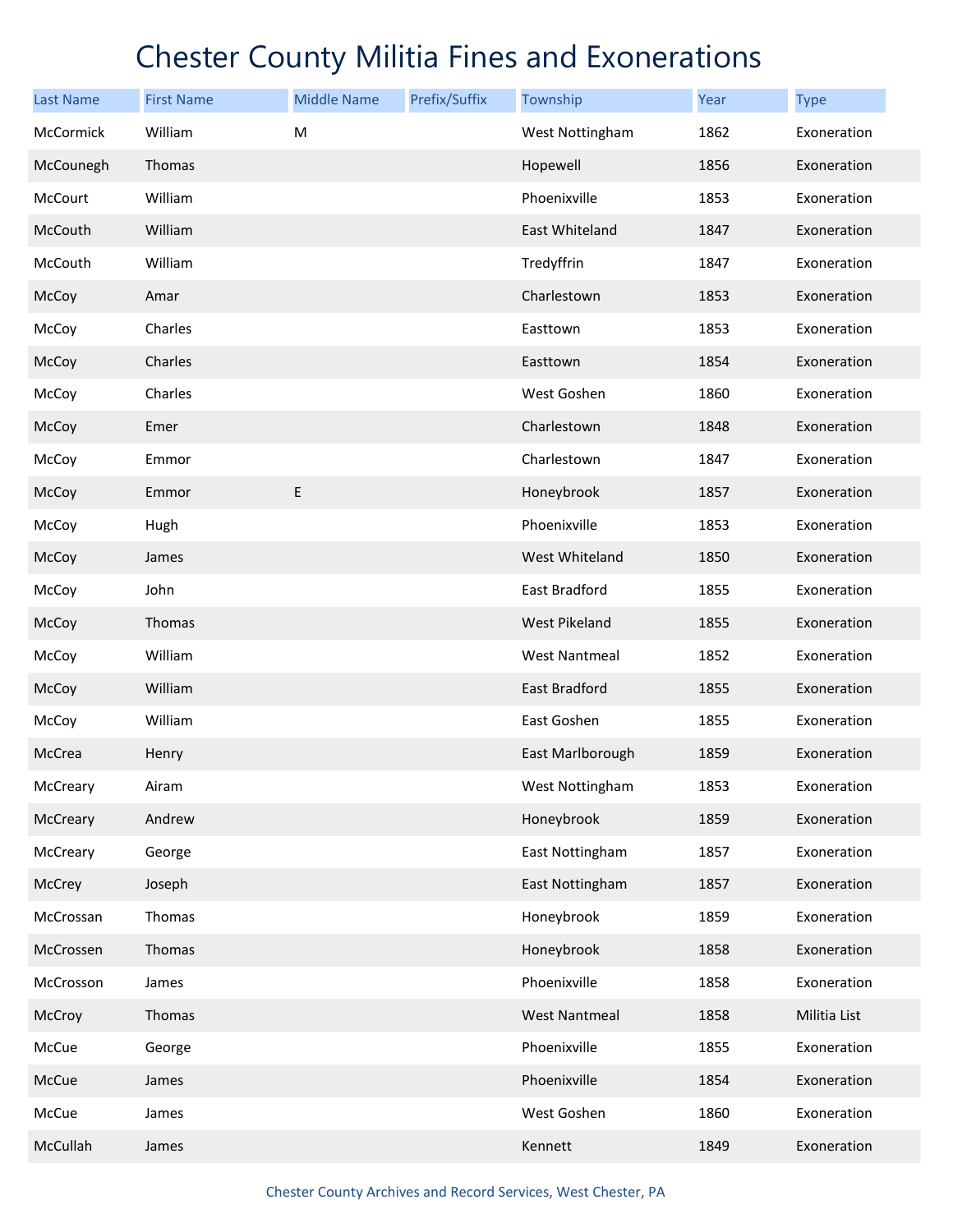| <b>Last Name</b> | <b>First Name</b> | <b>Middle Name</b> | Prefix/Suffix | Township             | Year | <b>Type</b>  |
|------------------|-------------------|--------------------|---------------|----------------------|------|--------------|
| McCormick        | William           | M                  |               | West Nottingham      | 1862 | Exoneration  |
| McCounegh        | Thomas            |                    |               | Hopewell             | 1856 | Exoneration  |
| McCourt          | William           |                    |               | Phoenixville         | 1853 | Exoneration  |
| McCouth          | William           |                    |               | East Whiteland       | 1847 | Exoneration  |
| McCouth          | William           |                    |               | Tredyffrin           | 1847 | Exoneration  |
| McCoy            | Amar              |                    |               | Charlestown          | 1853 | Exoneration  |
| McCoy            | Charles           |                    |               | Easttown             | 1853 | Exoneration  |
| McCoy            | Charles           |                    |               | Easttown             | 1854 | Exoneration  |
| McCoy            | Charles           |                    |               | West Goshen          | 1860 | Exoneration  |
| McCoy            | Emer              |                    |               | Charlestown          | 1848 | Exoneration  |
| McCoy            | Emmor             |                    |               | Charlestown          | 1847 | Exoneration  |
| McCoy            | Emmor             | $\sf E$            |               | Honeybrook           | 1857 | Exoneration  |
| McCoy            | Hugh              |                    |               | Phoenixville         | 1853 | Exoneration  |
| McCoy            | James             |                    |               | West Whiteland       | 1850 | Exoneration  |
| McCoy            | John              |                    |               | East Bradford        | 1855 | Exoneration  |
| McCoy            | Thomas            |                    |               | <b>West Pikeland</b> | 1855 | Exoneration  |
| McCoy            | William           |                    |               | <b>West Nantmeal</b> | 1852 | Exoneration  |
| McCoy            | William           |                    |               | East Bradford        | 1855 | Exoneration  |
| McCoy            | William           |                    |               | East Goshen          | 1855 | Exoneration  |
| McCrea           | Henry             |                    |               | East Marlborough     | 1859 | Exoneration  |
| McCreary         | Airam             |                    |               | West Nottingham      | 1853 | Exoneration  |
| McCreary         | Andrew            |                    |               | Honeybrook           | 1859 | Exoneration  |
| McCreary         | George            |                    |               | East Nottingham      | 1857 | Exoneration  |
| McCrey           | Joseph            |                    |               | East Nottingham      | 1857 | Exoneration  |
| McCrossan        | Thomas            |                    |               | Honeybrook           | 1859 | Exoneration  |
| McCrossen        | Thomas            |                    |               | Honeybrook           | 1858 | Exoneration  |
| McCrosson        | James             |                    |               | Phoenixville         | 1858 | Exoneration  |
| McCroy           | Thomas            |                    |               | <b>West Nantmeal</b> | 1858 | Militia List |
| McCue            | George            |                    |               | Phoenixville         | 1855 | Exoneration  |
| McCue            | James             |                    |               | Phoenixville         | 1854 | Exoneration  |
| McCue            | James             |                    |               | West Goshen          | 1860 | Exoneration  |
| McCullah         | James             |                    |               | Kennett              | 1849 | Exoneration  |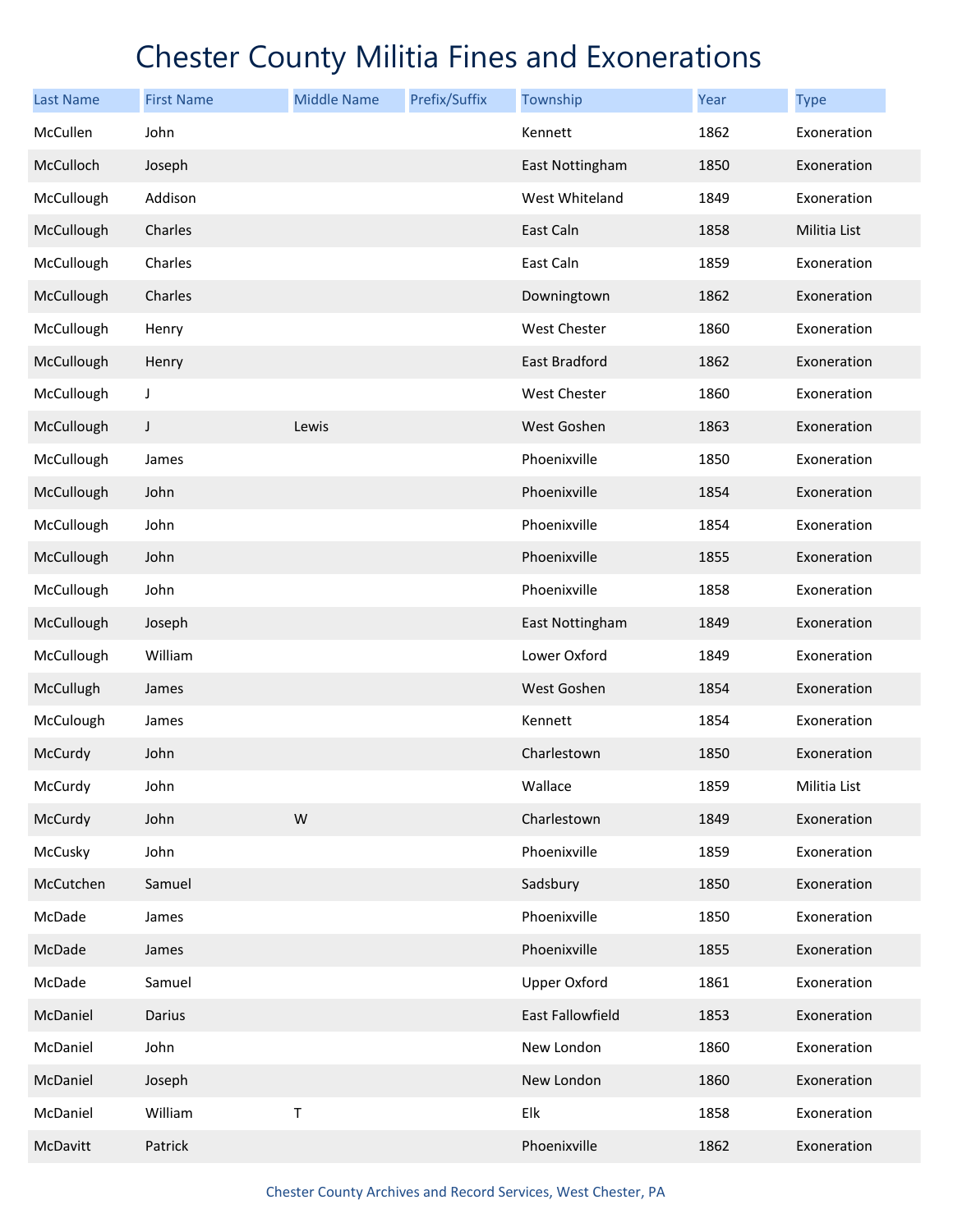| <b>Last Name</b> | <b>First Name</b> | <b>Middle Name</b> | Prefix/Suffix | Township            | Year | <b>Type</b>  |
|------------------|-------------------|--------------------|---------------|---------------------|------|--------------|
| McCullen         | John              |                    |               | Kennett             | 1862 | Exoneration  |
| McCulloch        | Joseph            |                    |               | East Nottingham     | 1850 | Exoneration  |
| McCullough       | Addison           |                    |               | West Whiteland      | 1849 | Exoneration  |
| McCullough       | Charles           |                    |               | East Caln           | 1858 | Militia List |
| McCullough       | Charles           |                    |               | East Caln           | 1859 | Exoneration  |
| McCullough       | Charles           |                    |               | Downingtown         | 1862 | Exoneration  |
| McCullough       | Henry             |                    |               | <b>West Chester</b> | 1860 | Exoneration  |
| McCullough       | Henry             |                    |               | East Bradford       | 1862 | Exoneration  |
| McCullough       | J                 |                    |               | West Chester        | 1860 | Exoneration  |
| McCullough       | J                 | Lewis              |               | West Goshen         | 1863 | Exoneration  |
| McCullough       | James             |                    |               | Phoenixville        | 1850 | Exoneration  |
| McCullough       | John              |                    |               | Phoenixville        | 1854 | Exoneration  |
| McCullough       | John              |                    |               | Phoenixville        | 1854 | Exoneration  |
| McCullough       | John              |                    |               | Phoenixville        | 1855 | Exoneration  |
| McCullough       | John              |                    |               | Phoenixville        | 1858 | Exoneration  |
| McCullough       | Joseph            |                    |               | East Nottingham     | 1849 | Exoneration  |
| McCullough       | William           |                    |               | Lower Oxford        | 1849 | Exoneration  |
| McCullugh        | James             |                    |               | West Goshen         | 1854 | Exoneration  |
| McCulough        | James             |                    |               | Kennett             | 1854 | Exoneration  |
| McCurdy          | John              |                    |               | Charlestown         | 1850 | Exoneration  |
| McCurdy          | John              |                    |               | Wallace             | 1859 | Militia List |
| McCurdy          | John              | ${\sf W}$          |               | Charlestown         | 1849 | Exoneration  |
| McCusky          | John              |                    |               | Phoenixville        | 1859 | Exoneration  |
| McCutchen        | Samuel            |                    |               | Sadsbury            | 1850 | Exoneration  |
| McDade           | James             |                    |               | Phoenixville        | 1850 | Exoneration  |
| McDade           | James             |                    |               | Phoenixville        | 1855 | Exoneration  |
| McDade           | Samuel            |                    |               | <b>Upper Oxford</b> | 1861 | Exoneration  |
| McDaniel         | Darius            |                    |               | East Fallowfield    | 1853 | Exoneration  |
| McDaniel         | John              |                    |               | New London          | 1860 | Exoneration  |
| McDaniel         | Joseph            |                    |               | New London          | 1860 | Exoneration  |
| McDaniel         | William           | Τ                  |               | Elk                 | 1858 | Exoneration  |
| McDavitt         | Patrick           |                    |               | Phoenixville        | 1862 | Exoneration  |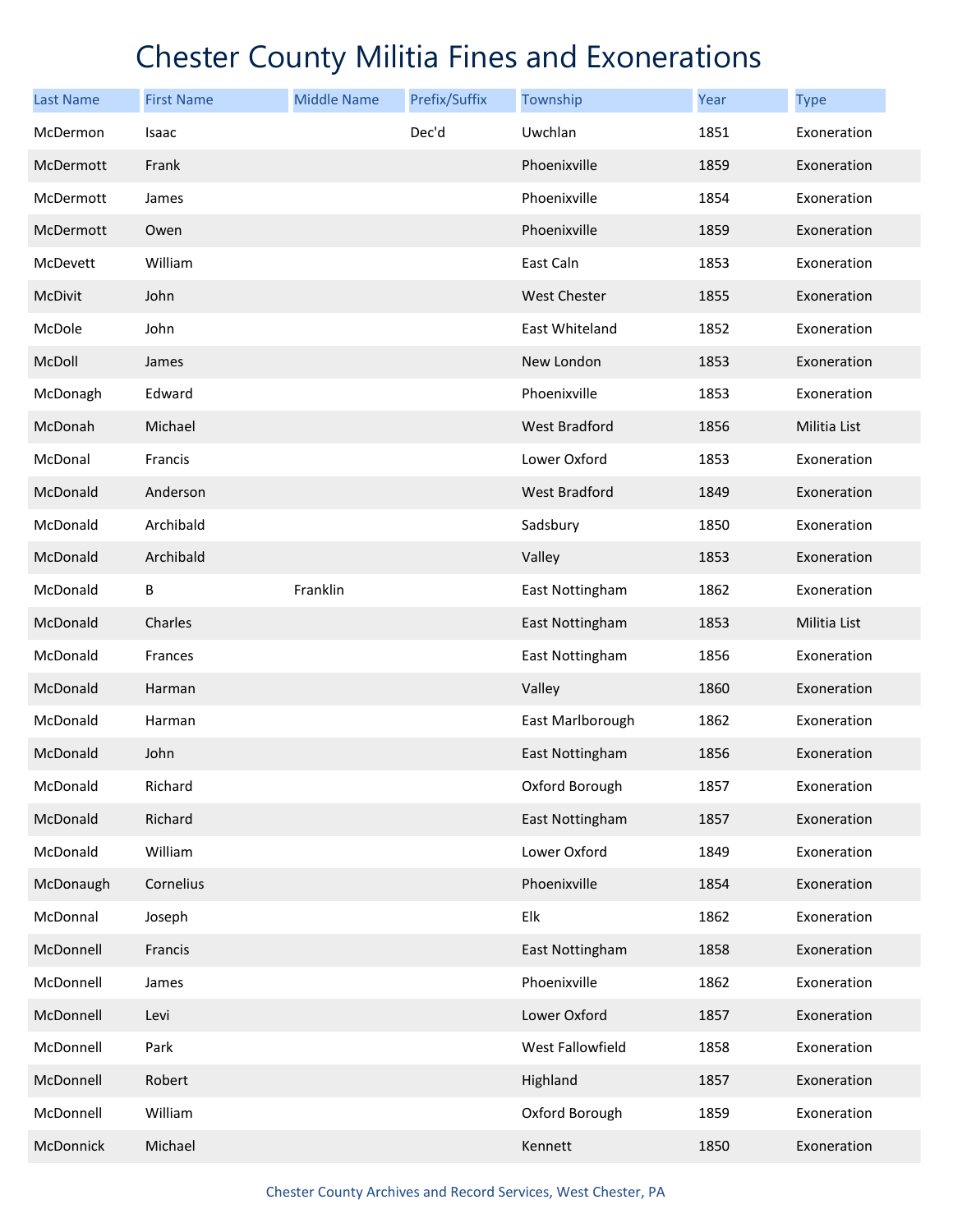| <b>Last Name</b> | <b>First Name</b> | <b>Middle Name</b> | Prefix/Suffix | Township             | Year | <b>Type</b>  |
|------------------|-------------------|--------------------|---------------|----------------------|------|--------------|
| McDermon         | Isaac             |                    | Dec'd         | Uwchlan              | 1851 | Exoneration  |
| McDermott        | Frank             |                    |               | Phoenixville         | 1859 | Exoneration  |
| McDermott        | James             |                    |               | Phoenixville         | 1854 | Exoneration  |
| McDermott        | Owen              |                    |               | Phoenixville         | 1859 | Exoneration  |
| McDevett         | William           |                    |               | East Caln            | 1853 | Exoneration  |
| McDivit          | John              |                    |               | <b>West Chester</b>  | 1855 | Exoneration  |
| McDole           | John              |                    |               | East Whiteland       | 1852 | Exoneration  |
| McDoll           | James             |                    |               | New London           | 1853 | Exoneration  |
| McDonagh         | Edward            |                    |               | Phoenixville         | 1853 | Exoneration  |
| McDonah          | Michael           |                    |               | West Bradford        | 1856 | Militia List |
| McDonal          | Francis           |                    |               | Lower Oxford         | 1853 | Exoneration  |
| McDonald         | Anderson          |                    |               | <b>West Bradford</b> | 1849 | Exoneration  |
| McDonald         | Archibald         |                    |               | Sadsbury             | 1850 | Exoneration  |
| McDonald         | Archibald         |                    |               | Valley               | 1853 | Exoneration  |
| McDonald         | В                 | Franklin           |               | East Nottingham      | 1862 | Exoneration  |
| McDonald         | Charles           |                    |               | East Nottingham      | 1853 | Militia List |
| McDonald         | Frances           |                    |               | East Nottingham      | 1856 | Exoneration  |
| McDonald         | Harman            |                    |               | Valley               | 1860 | Exoneration  |
| McDonald         | Harman            |                    |               | East Marlborough     | 1862 | Exoneration  |
| McDonald         | John              |                    |               | East Nottingham      | 1856 | Exoneration  |
| McDonald         | Richard           |                    |               | Oxford Borough       | 1857 | Exoneration  |
| McDonald         | Richard           |                    |               | East Nottingham      | 1857 | Exoneration  |
| McDonald         | William           |                    |               | Lower Oxford         | 1849 | Exoneration  |
| McDonaugh        | Cornelius         |                    |               | Phoenixville         | 1854 | Exoneration  |
| McDonnal         | Joseph            |                    |               | Elk                  | 1862 | Exoneration  |
| McDonnell        | Francis           |                    |               | East Nottingham      | 1858 | Exoneration  |
| McDonnell        | James             |                    |               | Phoenixville         | 1862 | Exoneration  |
| McDonnell        | Levi              |                    |               | Lower Oxford         | 1857 | Exoneration  |
| McDonnell        | Park              |                    |               | West Fallowfield     | 1858 | Exoneration  |
| McDonnell        | Robert            |                    |               | Highland             | 1857 | Exoneration  |
| McDonnell        | William           |                    |               | Oxford Borough       | 1859 | Exoneration  |
| McDonnick        | Michael           |                    |               | Kennett              | 1850 | Exoneration  |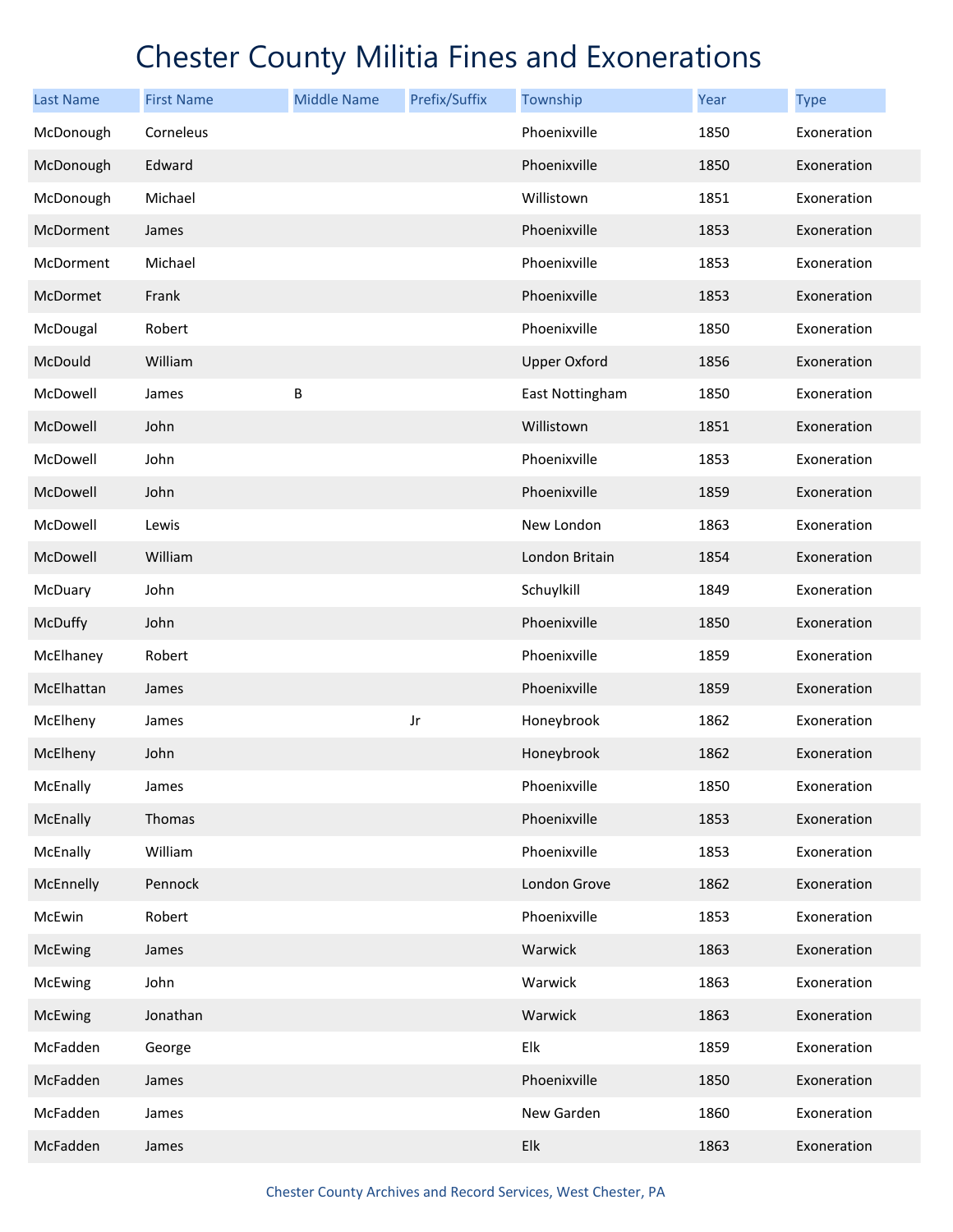| <b>Last Name</b> | <b>First Name</b> | <b>Middle Name</b> | Prefix/Suffix | Township            | Year | <b>Type</b> |
|------------------|-------------------|--------------------|---------------|---------------------|------|-------------|
| McDonough        | Corneleus         |                    |               | Phoenixville        | 1850 | Exoneration |
| McDonough        | Edward            |                    |               | Phoenixville        | 1850 | Exoneration |
| McDonough        | Michael           |                    |               | Willistown          | 1851 | Exoneration |
| McDorment        | James             |                    |               | Phoenixville        | 1853 | Exoneration |
| McDorment        | Michael           |                    |               | Phoenixville        | 1853 | Exoneration |
| McDormet         | Frank             |                    |               | Phoenixville        | 1853 | Exoneration |
| McDougal         | Robert            |                    |               | Phoenixville        | 1850 | Exoneration |
| McDould          | William           |                    |               | <b>Upper Oxford</b> | 1856 | Exoneration |
| McDowell         | James             | B                  |               | East Nottingham     | 1850 | Exoneration |
| McDowell         | John              |                    |               | Willistown          | 1851 | Exoneration |
| McDowell         | John              |                    |               | Phoenixville        | 1853 | Exoneration |
| McDowell         | John              |                    |               | Phoenixville        | 1859 | Exoneration |
| McDowell         | Lewis             |                    |               | New London          | 1863 | Exoneration |
| McDowell         | William           |                    |               | London Britain      | 1854 | Exoneration |
| McDuary          | John              |                    |               | Schuylkill          | 1849 | Exoneration |
| McDuffy          | John              |                    |               | Phoenixville        | 1850 | Exoneration |
| McElhaney        | Robert            |                    |               | Phoenixville        | 1859 | Exoneration |
| McElhattan       | James             |                    |               | Phoenixville        | 1859 | Exoneration |
| McElheny         | James             |                    | Jr            | Honeybrook          | 1862 | Exoneration |
| McElheny         | John              |                    |               | Honeybrook          | 1862 | Exoneration |
| McEnally         | James             |                    |               | Phoenixville        | 1850 | Exoneration |
| McEnally         | Thomas            |                    |               | Phoenixville        | 1853 | Exoneration |
| McEnally         | William           |                    |               | Phoenixville        | 1853 | Exoneration |
| McEnnelly        | Pennock           |                    |               | London Grove        | 1862 | Exoneration |
| McEwin           | Robert            |                    |               | Phoenixville        | 1853 | Exoneration |
| McEwing          | James             |                    |               | Warwick             | 1863 | Exoneration |
| McEwing          | John              |                    |               | Warwick             | 1863 | Exoneration |
| McEwing          | Jonathan          |                    |               | Warwick             | 1863 | Exoneration |
| McFadden         | George            |                    |               | Elk                 | 1859 | Exoneration |
| McFadden         | James             |                    |               | Phoenixville        | 1850 | Exoneration |
| McFadden         | James             |                    |               | New Garden          | 1860 | Exoneration |
| McFadden         | James             |                    |               | Elk                 | 1863 | Exoneration |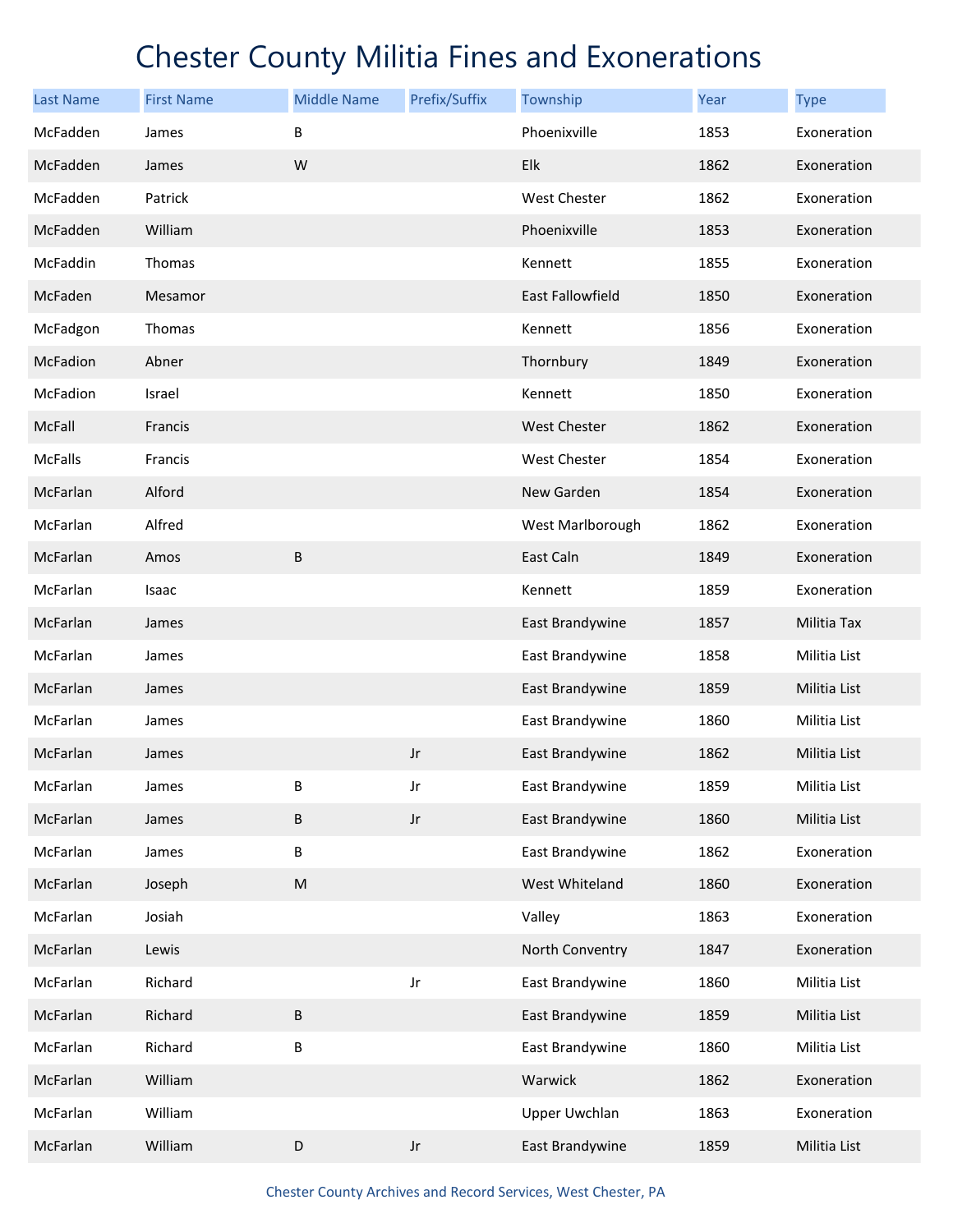| <b>Last Name</b> | <b>First Name</b> | <b>Middle Name</b> | Prefix/Suffix          | Township                | <b>Year</b> | <b>Type</b>  |
|------------------|-------------------|--------------------|------------------------|-------------------------|-------------|--------------|
| McFadden         | James             | B                  |                        | Phoenixville            | 1853        | Exoneration  |
| McFadden         | James             | W                  |                        | Elk                     | 1862        | Exoneration  |
| McFadden         | Patrick           |                    |                        | <b>West Chester</b>     | 1862        | Exoneration  |
| McFadden         | William           |                    |                        | Phoenixville            | 1853        | Exoneration  |
| McFaddin         | Thomas            |                    |                        | Kennett                 | 1855        | Exoneration  |
| McFaden          | Mesamor           |                    |                        | <b>East Fallowfield</b> | 1850        | Exoneration  |
| McFadgon         | Thomas            |                    |                        | Kennett                 | 1856        | Exoneration  |
| McFadion         | Abner             |                    |                        | Thornbury               | 1849        | Exoneration  |
| McFadion         | Israel            |                    |                        | Kennett                 | 1850        | Exoneration  |
| McFall           | Francis           |                    |                        | West Chester            | 1862        | Exoneration  |
| <b>McFalls</b>   | Francis           |                    |                        | West Chester            | 1854        | Exoneration  |
| McFarlan         | Alford            |                    |                        | New Garden              | 1854        | Exoneration  |
| McFarlan         | Alfred            |                    |                        | West Marlborough        | 1862        | Exoneration  |
| McFarlan         | Amos              | B                  |                        | East Caln               | 1849        | Exoneration  |
| McFarlan         | Isaac             |                    |                        | Kennett                 | 1859        | Exoneration  |
| McFarlan         | James             |                    |                        | East Brandywine         | 1857        | Militia Tax  |
| McFarlan         | James             |                    |                        | East Brandywine         | 1858        | Militia List |
| McFarlan         | James             |                    |                        | East Brandywine         | 1859        | Militia List |
| McFarlan         | James             |                    |                        | East Brandywine         | 1860        | Militia List |
| McFarlan         | James             |                    | Jr                     | East Brandywine         | 1862        | Militia List |
| McFarlan         | James             | В                  | Jr                     | East Brandywine         | 1859        | Militia List |
| McFarlan         | James             | $\sf B$            | $_{\rm Jr}$            | East Brandywine         | 1860        | Militia List |
| McFarlan         | James             | B                  |                        | East Brandywine         | 1862        | Exoneration  |
| McFarlan         | Joseph            | ${\sf M}$          |                        | West Whiteland          | 1860        | Exoneration  |
| McFarlan         | Josiah            |                    |                        | Valley                  | 1863        | Exoneration  |
| McFarlan         | Lewis             |                    |                        | North Conventry         | 1847        | Exoneration  |
| McFarlan         | Richard           |                    | Jr                     | East Brandywine         | 1860        | Militia List |
| McFarlan         | Richard           | $\sf B$            |                        | East Brandywine         | 1859        | Militia List |
| McFarlan         | Richard           | B                  |                        | East Brandywine         | 1860        | Militia List |
| McFarlan         | William           |                    |                        | Warwick                 | 1862        | Exoneration  |
| McFarlan         | William           |                    |                        | <b>Upper Uwchlan</b>    | 1863        | Exoneration  |
| McFarlan         | William           | $\mathsf D$        | $\mathsf{J}\mathsf{r}$ | East Brandywine         | 1859        | Militia List |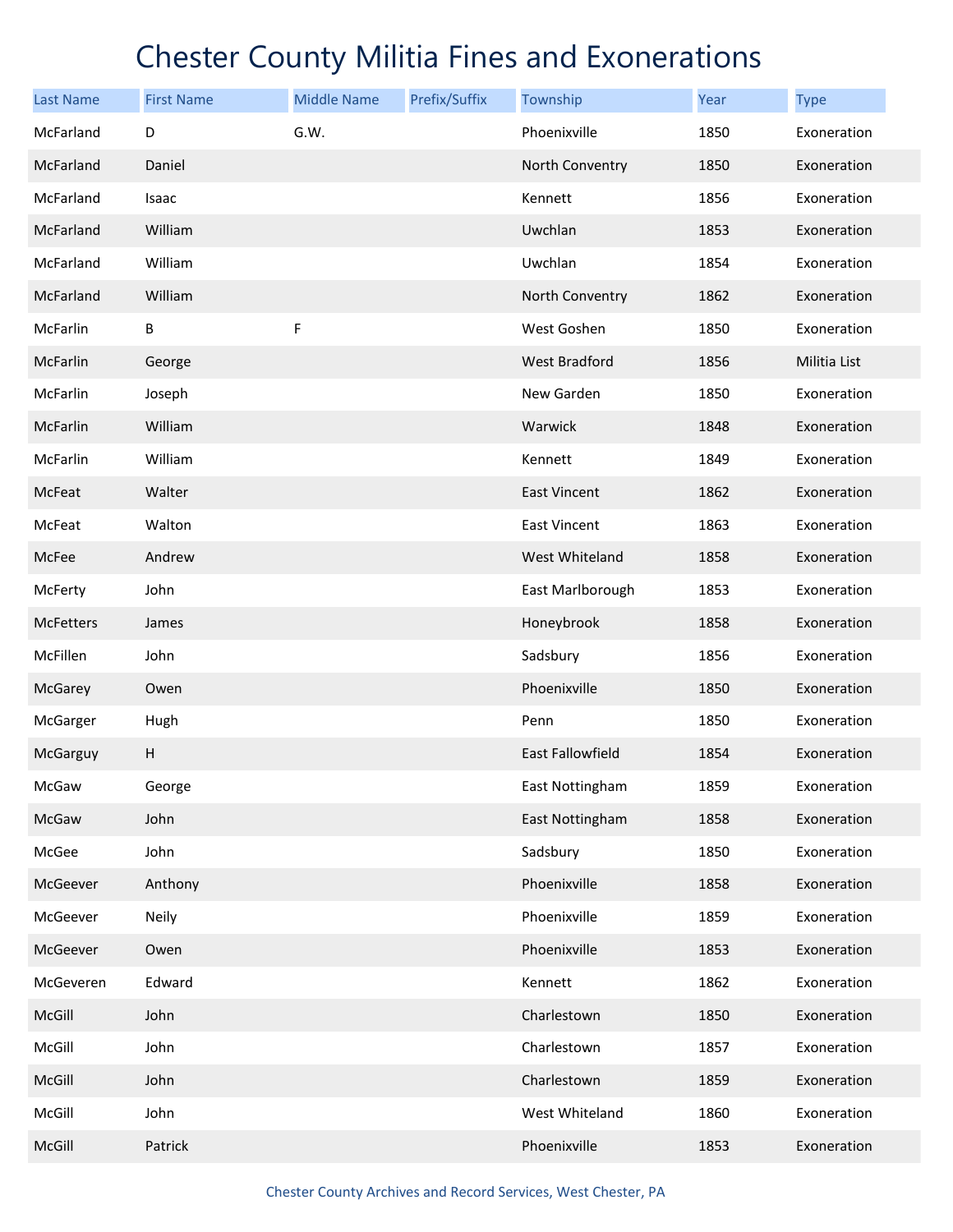| <b>Last Name</b> | <b>First Name</b> | <b>Middle Name</b> | Prefix/Suffix | Township             | Year | <b>Type</b>  |
|------------------|-------------------|--------------------|---------------|----------------------|------|--------------|
| McFarland        | D                 | G.W.               |               | Phoenixville         | 1850 | Exoneration  |
| McFarland        | Daniel            |                    |               | North Conventry      | 1850 | Exoneration  |
| McFarland        | Isaac             |                    |               | Kennett              | 1856 | Exoneration  |
| McFarland        | William           |                    |               | Uwchlan              | 1853 | Exoneration  |
| McFarland        | William           |                    |               | Uwchlan              | 1854 | Exoneration  |
| McFarland        | William           |                    |               | North Conventry      | 1862 | Exoneration  |
| McFarlin         | В                 | F                  |               | West Goshen          | 1850 | Exoneration  |
| McFarlin         | George            |                    |               | <b>West Bradford</b> | 1856 | Militia List |
| McFarlin         | Joseph            |                    |               | New Garden           | 1850 | Exoneration  |
| McFarlin         | William           |                    |               | Warwick              | 1848 | Exoneration  |
| McFarlin         | William           |                    |               | Kennett              | 1849 | Exoneration  |
| McFeat           | Walter            |                    |               | <b>East Vincent</b>  | 1862 | Exoneration  |
| McFeat           | Walton            |                    |               | <b>East Vincent</b>  | 1863 | Exoneration  |
| McFee            | Andrew            |                    |               | West Whiteland       | 1858 | Exoneration  |
| McFerty          | John              |                    |               | East Marlborough     | 1853 | Exoneration  |
| <b>McFetters</b> | James             |                    |               | Honeybrook           | 1858 | Exoneration  |
| McFillen         | John              |                    |               | Sadsbury             | 1856 | Exoneration  |
| McGarey          | Owen              |                    |               | Phoenixville         | 1850 | Exoneration  |
| McGarger         | Hugh              |                    |               | Penn                 | 1850 | Exoneration  |
| McGarguy         | Н                 |                    |               | East Fallowfield     | 1854 | Exoneration  |
| McGaw            | George            |                    |               | East Nottingham      | 1859 | Exoneration  |
| McGaw            | John              |                    |               | East Nottingham      | 1858 | Exoneration  |
| McGee            | John              |                    |               | Sadsbury             | 1850 | Exoneration  |
| McGeever         | Anthony           |                    |               | Phoenixville         | 1858 | Exoneration  |
| McGeever         | Neily             |                    |               | Phoenixville         | 1859 | Exoneration  |
| McGeever         | Owen              |                    |               | Phoenixville         | 1853 | Exoneration  |
| McGeveren        | Edward            |                    |               | Kennett              | 1862 | Exoneration  |
| McGill           | John              |                    |               | Charlestown          | 1850 | Exoneration  |
| McGill           | John              |                    |               | Charlestown          | 1857 | Exoneration  |
| McGill           | John              |                    |               | Charlestown          | 1859 | Exoneration  |
| McGill           | John              |                    |               | West Whiteland       | 1860 | Exoneration  |
| McGill           | Patrick           |                    |               | Phoenixville         | 1853 | Exoneration  |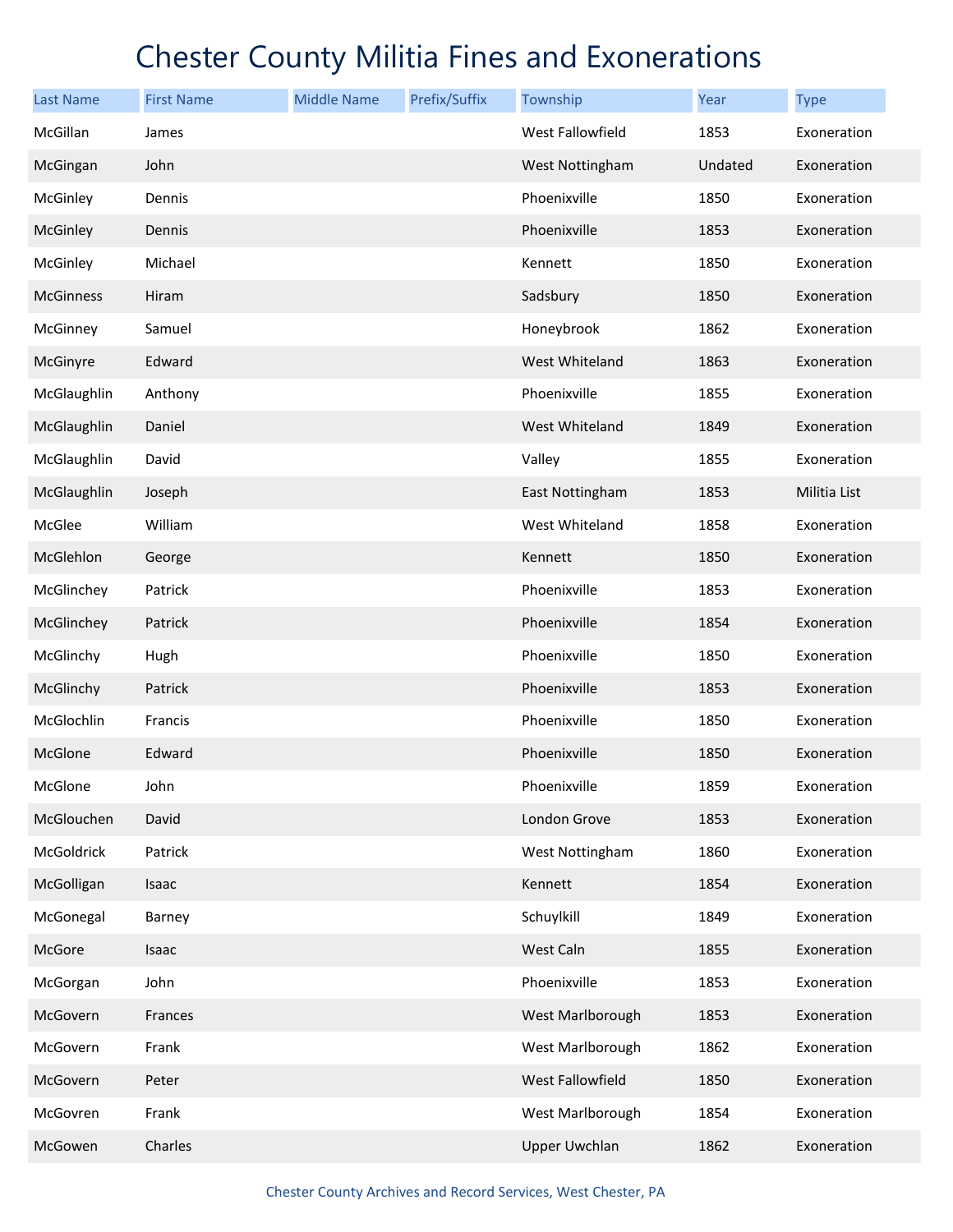| <b>Last Name</b> | <b>First Name</b> | <b>Middle Name</b> | Prefix/Suffix | Township                | Year    | <b>Type</b>  |
|------------------|-------------------|--------------------|---------------|-------------------------|---------|--------------|
| McGillan         | James             |                    |               | <b>West Fallowfield</b> | 1853    | Exoneration  |
| McGingan         | John              |                    |               | West Nottingham         | Undated | Exoneration  |
| McGinley         | Dennis            |                    |               | Phoenixville            | 1850    | Exoneration  |
| McGinley         | Dennis            |                    |               | Phoenixville            | 1853    | Exoneration  |
| McGinley         | Michael           |                    |               | Kennett                 | 1850    | Exoneration  |
| <b>McGinness</b> | Hiram             |                    |               | Sadsbury                | 1850    | Exoneration  |
| McGinney         | Samuel            |                    |               | Honeybrook              | 1862    | Exoneration  |
| McGinyre         | Edward            |                    |               | West Whiteland          | 1863    | Exoneration  |
| McGlaughlin      | Anthony           |                    |               | Phoenixville            | 1855    | Exoneration  |
| McGlaughlin      | Daniel            |                    |               | West Whiteland          | 1849    | Exoneration  |
| McGlaughlin      | David             |                    |               | Valley                  | 1855    | Exoneration  |
| McGlaughlin      | Joseph            |                    |               | East Nottingham         | 1853    | Militia List |
| McGlee           | William           |                    |               | West Whiteland          | 1858    | Exoneration  |
| McGlehlon        | George            |                    |               | Kennett                 | 1850    | Exoneration  |
| McGlinchey       | Patrick           |                    |               | Phoenixville            | 1853    | Exoneration  |
| McGlinchey       | Patrick           |                    |               | Phoenixville            | 1854    | Exoneration  |
| McGlinchy        | Hugh              |                    |               | Phoenixville            | 1850    | Exoneration  |
| McGlinchy        | Patrick           |                    |               | Phoenixville            | 1853    | Exoneration  |
| McGlochlin       | Francis           |                    |               | Phoenixville            | 1850    | Exoneration  |
| McGlone          | Edward            |                    |               | Phoenixville            | 1850    | Exoneration  |
| McGlone          | John              |                    |               | Phoenixville            | 1859    | Exoneration  |
| McGlouchen       | David             |                    |               | London Grove            | 1853    | Exoneration  |
| McGoldrick       | Patrick           |                    |               | West Nottingham         | 1860    | Exoneration  |
| McGolligan       | Isaac             |                    |               | Kennett                 | 1854    | Exoneration  |
| McGonegal        | Barney            |                    |               | Schuylkill              | 1849    | Exoneration  |
| McGore           | Isaac             |                    |               | West Caln               | 1855    | Exoneration  |
| McGorgan         | John              |                    |               | Phoenixville            | 1853    | Exoneration  |
| McGovern         | Frances           |                    |               | West Marlborough        | 1853    | Exoneration  |
| McGovern         | Frank             |                    |               | West Marlborough        | 1862    | Exoneration  |
| McGovern         | Peter             |                    |               | West Fallowfield        | 1850    | Exoneration  |
| McGovren         | Frank             |                    |               | West Marlborough        | 1854    | Exoneration  |
| McGowen          | Charles           |                    |               | <b>Upper Uwchlan</b>    | 1862    | Exoneration  |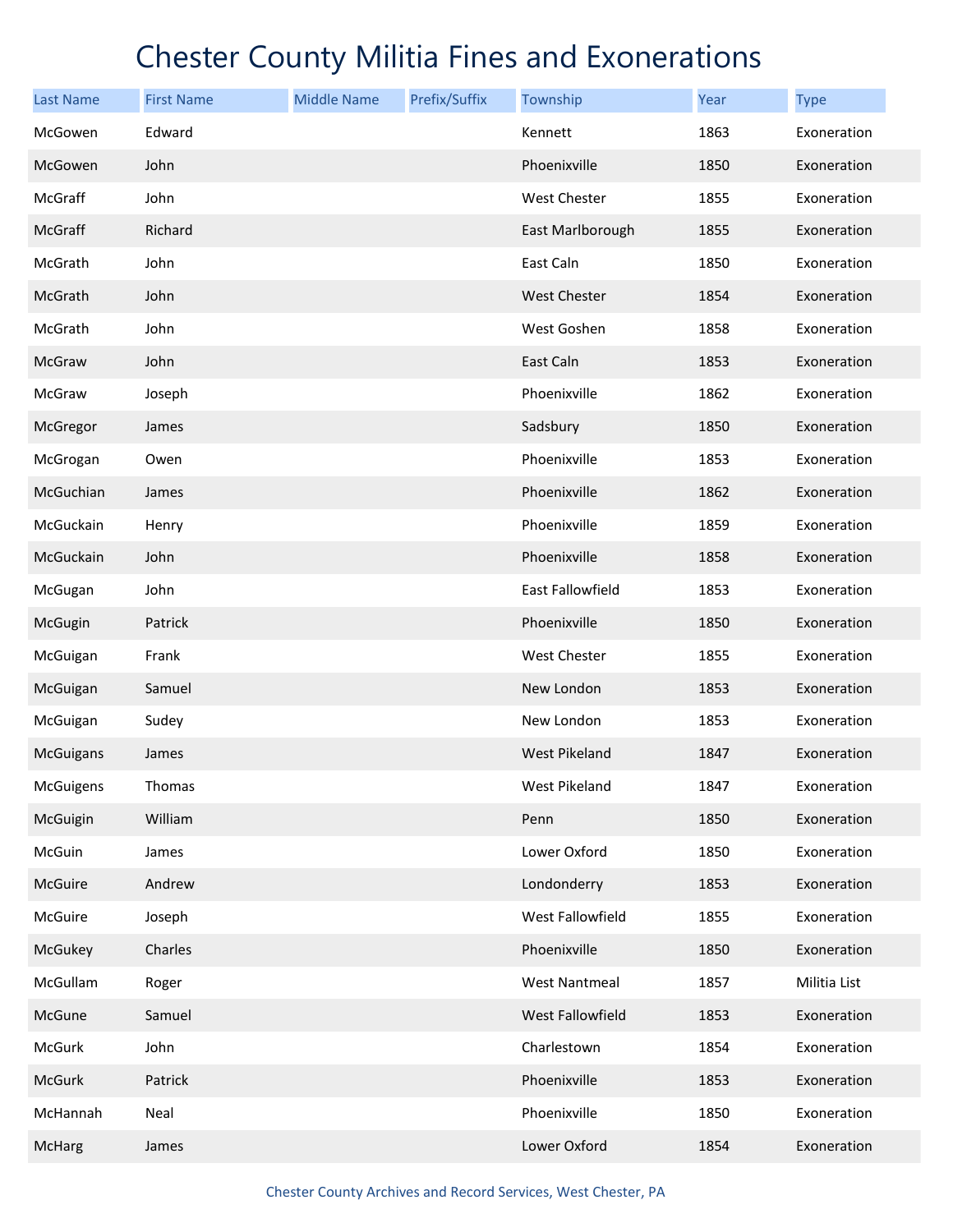| <b>Last Name</b> | <b>First Name</b> | <b>Middle Name</b> | Prefix/Suffix | Township             | Year | <b>Type</b>  |
|------------------|-------------------|--------------------|---------------|----------------------|------|--------------|
| McGowen          | Edward            |                    |               | Kennett              | 1863 | Exoneration  |
| McGowen          | John              |                    |               | Phoenixville         | 1850 | Exoneration  |
| McGraff          | John              |                    |               | West Chester         | 1855 | Exoneration  |
| McGraff          | Richard           |                    |               | East Marlborough     | 1855 | Exoneration  |
| McGrath          | John              |                    |               | East Caln            | 1850 | Exoneration  |
| McGrath          | John              |                    |               | <b>West Chester</b>  | 1854 | Exoneration  |
| McGrath          | John              |                    |               | West Goshen          | 1858 | Exoneration  |
| McGraw           | John              |                    |               | East Caln            | 1853 | Exoneration  |
| McGraw           | Joseph            |                    |               | Phoenixville         | 1862 | Exoneration  |
| McGregor         | James             |                    |               | Sadsbury             | 1850 | Exoneration  |
| McGrogan         | Owen              |                    |               | Phoenixville         | 1853 | Exoneration  |
| McGuchian        | James             |                    |               | Phoenixville         | 1862 | Exoneration  |
| McGuckain        | Henry             |                    |               | Phoenixville         | 1859 | Exoneration  |
| McGuckain        | John              |                    |               | Phoenixville         | 1858 | Exoneration  |
| McGugan          | John              |                    |               | East Fallowfield     | 1853 | Exoneration  |
| McGugin          | Patrick           |                    |               | Phoenixville         | 1850 | Exoneration  |
| McGuigan         | Frank             |                    |               | <b>West Chester</b>  | 1855 | Exoneration  |
| McGuigan         | Samuel            |                    |               | New London           | 1853 | Exoneration  |
| McGuigan         | Sudey             |                    |               | New London           | 1853 | Exoneration  |
| <b>McGuigans</b> | James             |                    |               | <b>West Pikeland</b> | 1847 | Exoneration  |
| McGuigens        | Thomas            |                    |               | West Pikeland        | 1847 | Exoneration  |
| McGuigin         | William           |                    |               | Penn                 | 1850 | Exoneration  |
| McGuin           | James             |                    |               | Lower Oxford         | 1850 | Exoneration  |
| McGuire          | Andrew            |                    |               | Londonderry          | 1853 | Exoneration  |
| McGuire          | Joseph            |                    |               | West Fallowfield     | 1855 | Exoneration  |
| McGukey          | Charles           |                    |               | Phoenixville         | 1850 | Exoneration  |
| McGullam         | Roger             |                    |               | <b>West Nantmeal</b> | 1857 | Militia List |
| McGune           | Samuel            |                    |               | West Fallowfield     | 1853 | Exoneration  |
| McGurk           | John              |                    |               | Charlestown          | 1854 | Exoneration  |
| McGurk           | Patrick           |                    |               | Phoenixville         | 1853 | Exoneration  |
| McHannah         | Neal              |                    |               | Phoenixville         | 1850 | Exoneration  |
| McHarg           | James             |                    |               | Lower Oxford         | 1854 | Exoneration  |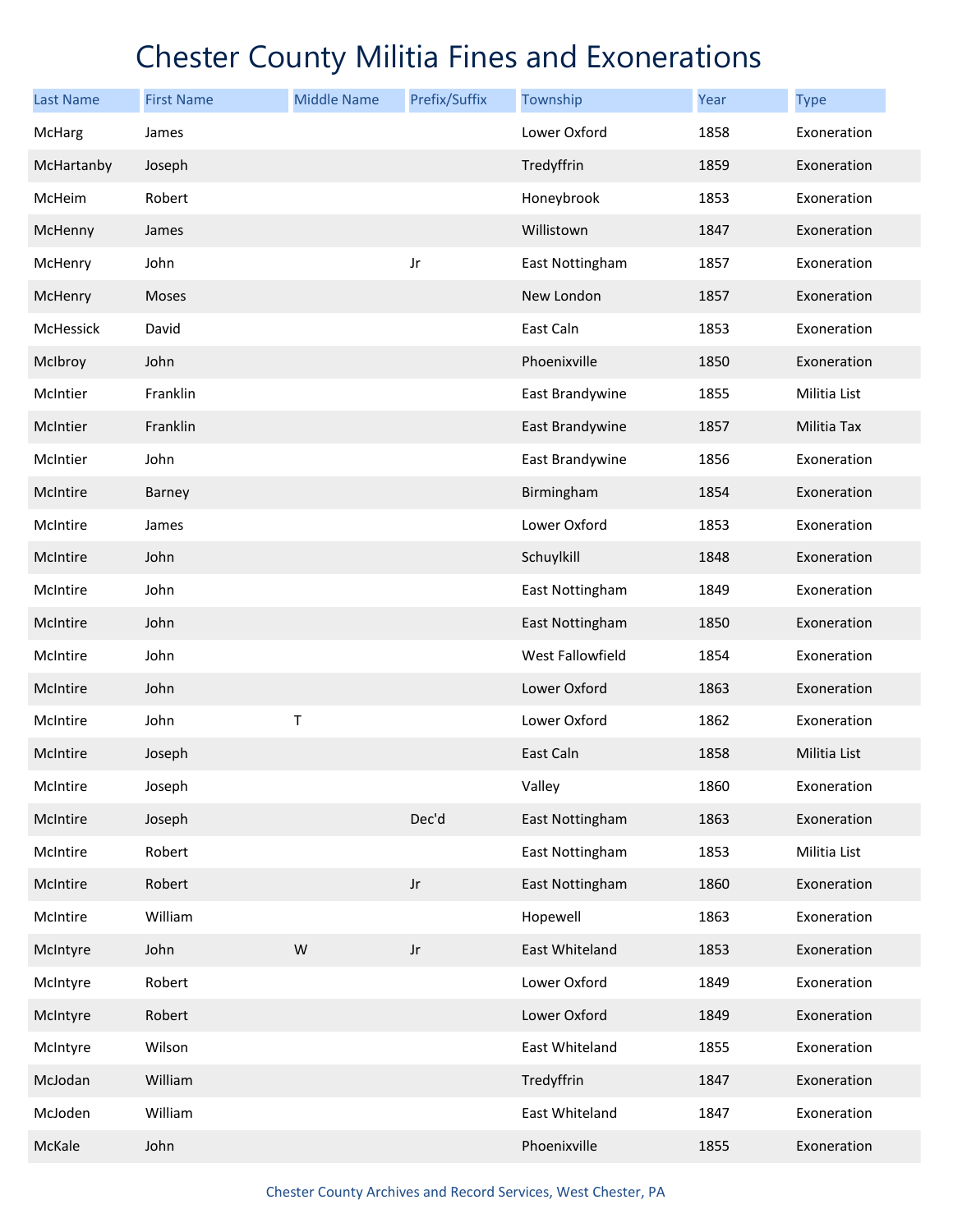| <b>Last Name</b> | <b>First Name</b> | <b>Middle Name</b> | Prefix/Suffix          | Township         | Year | <b>Type</b>        |
|------------------|-------------------|--------------------|------------------------|------------------|------|--------------------|
| McHarg           | James             |                    |                        | Lower Oxford     | 1858 | Exoneration        |
| McHartanby       | Joseph            |                    |                        | Tredyffrin       | 1859 | Exoneration        |
| McHeim           | Robert            |                    |                        | Honeybrook       | 1853 | Exoneration        |
| McHenny          | James             |                    |                        | Willistown       | 1847 | Exoneration        |
| McHenry          | John              |                    | Jr                     | East Nottingham  | 1857 | Exoneration        |
| McHenry          | Moses             |                    |                        | New London       | 1857 | Exoneration        |
| <b>McHessick</b> | David             |                    |                        | East Caln        | 1853 | Exoneration        |
| McIbroy          | John              |                    |                        | Phoenixville     | 1850 | Exoneration        |
| McIntier         | Franklin          |                    |                        | East Brandywine  | 1855 | Militia List       |
| McIntier         | Franklin          |                    |                        | East Brandywine  | 1857 | <b>Militia Tax</b> |
| McIntier         | John              |                    |                        | East Brandywine  | 1856 | Exoneration        |
| McIntire         | Barney            |                    |                        | Birmingham       | 1854 | Exoneration        |
| McIntire         | James             |                    |                        | Lower Oxford     | 1853 | Exoneration        |
| McIntire         | John              |                    |                        | Schuylkill       | 1848 | Exoneration        |
| McIntire         | John              |                    |                        | East Nottingham  | 1849 | Exoneration        |
| McIntire         | John              |                    |                        | East Nottingham  | 1850 | Exoneration        |
| McIntire         | John              |                    |                        | West Fallowfield | 1854 | Exoneration        |
| McIntire         | John              |                    |                        | Lower Oxford     | 1863 | Exoneration        |
| McIntire         | John              | Τ                  |                        | Lower Oxford     | 1862 | Exoneration        |
| McIntire         | Joseph            |                    |                        | East Caln        | 1858 | Militia List       |
| McIntire         | Joseph            |                    |                        | Valley           | 1860 | Exoneration        |
| McIntire         | Joseph            |                    | Dec'd                  | East Nottingham  | 1863 | Exoneration        |
| McIntire         | Robert            |                    |                        | East Nottingham  | 1853 | Militia List       |
| McIntire         | Robert            |                    | $\mathsf{J}\mathsf{r}$ | East Nottingham  | 1860 | Exoneration        |
| McIntire         | William           |                    |                        | Hopewell         | 1863 | Exoneration        |
| McIntyre         | John              | W                  | $_{\rm Jr}$            | East Whiteland   | 1853 | Exoneration        |
| McIntyre         | Robert            |                    |                        | Lower Oxford     | 1849 | Exoneration        |
| McIntyre         | Robert            |                    |                        | Lower Oxford     | 1849 | Exoneration        |
| McIntyre         | Wilson            |                    |                        | East Whiteland   | 1855 | Exoneration        |
| McJodan          | William           |                    |                        | Tredyffrin       | 1847 | Exoneration        |
| McJoden          | William           |                    |                        | East Whiteland   | 1847 | Exoneration        |
| McKale           | John              |                    |                        | Phoenixville     | 1855 | Exoneration        |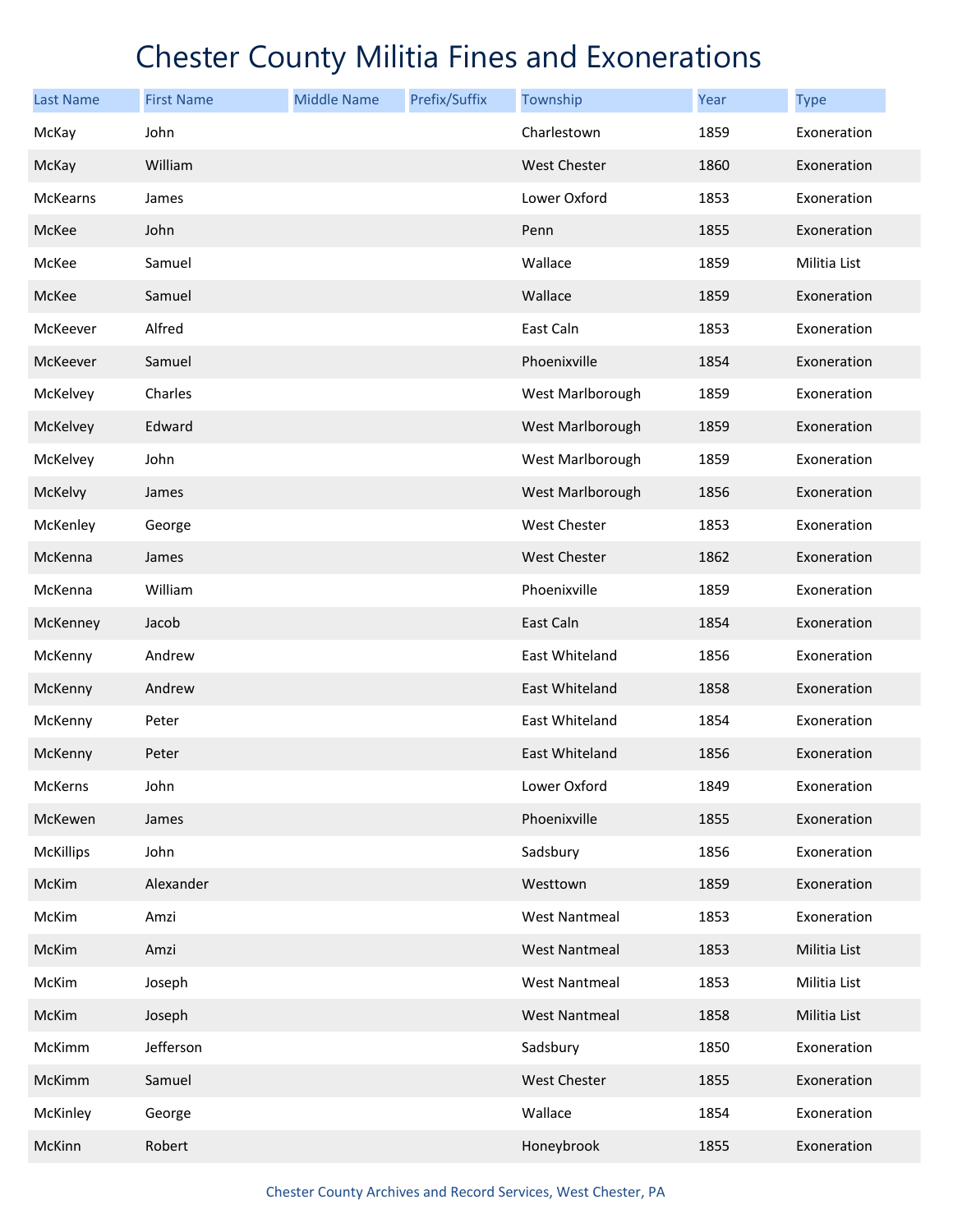| <b>Last Name</b> | <b>First Name</b> | <b>Middle Name</b> | Prefix/Suffix | Township             | Year | <b>Type</b>  |
|------------------|-------------------|--------------------|---------------|----------------------|------|--------------|
| McKay            | John              |                    |               | Charlestown          | 1859 | Exoneration  |
| McKay            | William           |                    |               | <b>West Chester</b>  | 1860 | Exoneration  |
| <b>McKearns</b>  | James             |                    |               | Lower Oxford         | 1853 | Exoneration  |
| McKee            | John              |                    |               | Penn                 | 1855 | Exoneration  |
| McKee            | Samuel            |                    |               | Wallace              | 1859 | Militia List |
| McKee            | Samuel            |                    |               | Wallace              | 1859 | Exoneration  |
| McKeever         | Alfred            |                    |               | East Caln            | 1853 | Exoneration  |
| McKeever         | Samuel            |                    |               | Phoenixville         | 1854 | Exoneration  |
| McKelvey         | Charles           |                    |               | West Marlborough     | 1859 | Exoneration  |
| McKelvey         | Edward            |                    |               | West Marlborough     | 1859 | Exoneration  |
| McKelvey         | John              |                    |               | West Marlborough     | 1859 | Exoneration  |
| McKelvy          | James             |                    |               | West Marlborough     | 1856 | Exoneration  |
| McKenley         | George            |                    |               | West Chester         | 1853 | Exoneration  |
| McKenna          | James             |                    |               | <b>West Chester</b>  | 1862 | Exoneration  |
| McKenna          | William           |                    |               | Phoenixville         | 1859 | Exoneration  |
| McKenney         | Jacob             |                    |               | East Caln            | 1854 | Exoneration  |
| McKenny          | Andrew            |                    |               | East Whiteland       | 1856 | Exoneration  |
| McKenny          | Andrew            |                    |               | East Whiteland       | 1858 | Exoneration  |
| McKenny          | Peter             |                    |               | East Whiteland       | 1854 | Exoneration  |
| McKenny          | Peter             |                    |               | East Whiteland       | 1856 | Exoneration  |
| McKerns          | John              |                    |               | Lower Oxford         | 1849 | Exoneration  |
| McKewen          | James             |                    |               | Phoenixville         | 1855 | Exoneration  |
| <b>McKillips</b> | John              |                    |               | Sadsbury             | 1856 | Exoneration  |
| McKim            | Alexander         |                    |               | Westtown             | 1859 | Exoneration  |
| McKim            | Amzi              |                    |               | <b>West Nantmeal</b> | 1853 | Exoneration  |
| McKim            | Amzi              |                    |               | <b>West Nantmeal</b> | 1853 | Militia List |
| McKim            | Joseph            |                    |               | <b>West Nantmeal</b> | 1853 | Militia List |
| McKim            | Joseph            |                    |               | West Nantmeal        | 1858 | Militia List |
| McKimm           | Jefferson         |                    |               | Sadsbury             | 1850 | Exoneration  |
| McKimm           | Samuel            |                    |               | <b>West Chester</b>  | 1855 | Exoneration  |
| McKinley         | George            |                    |               | Wallace              | 1854 | Exoneration  |
| McKinn           | Robert            |                    |               | Honeybrook           | 1855 | Exoneration  |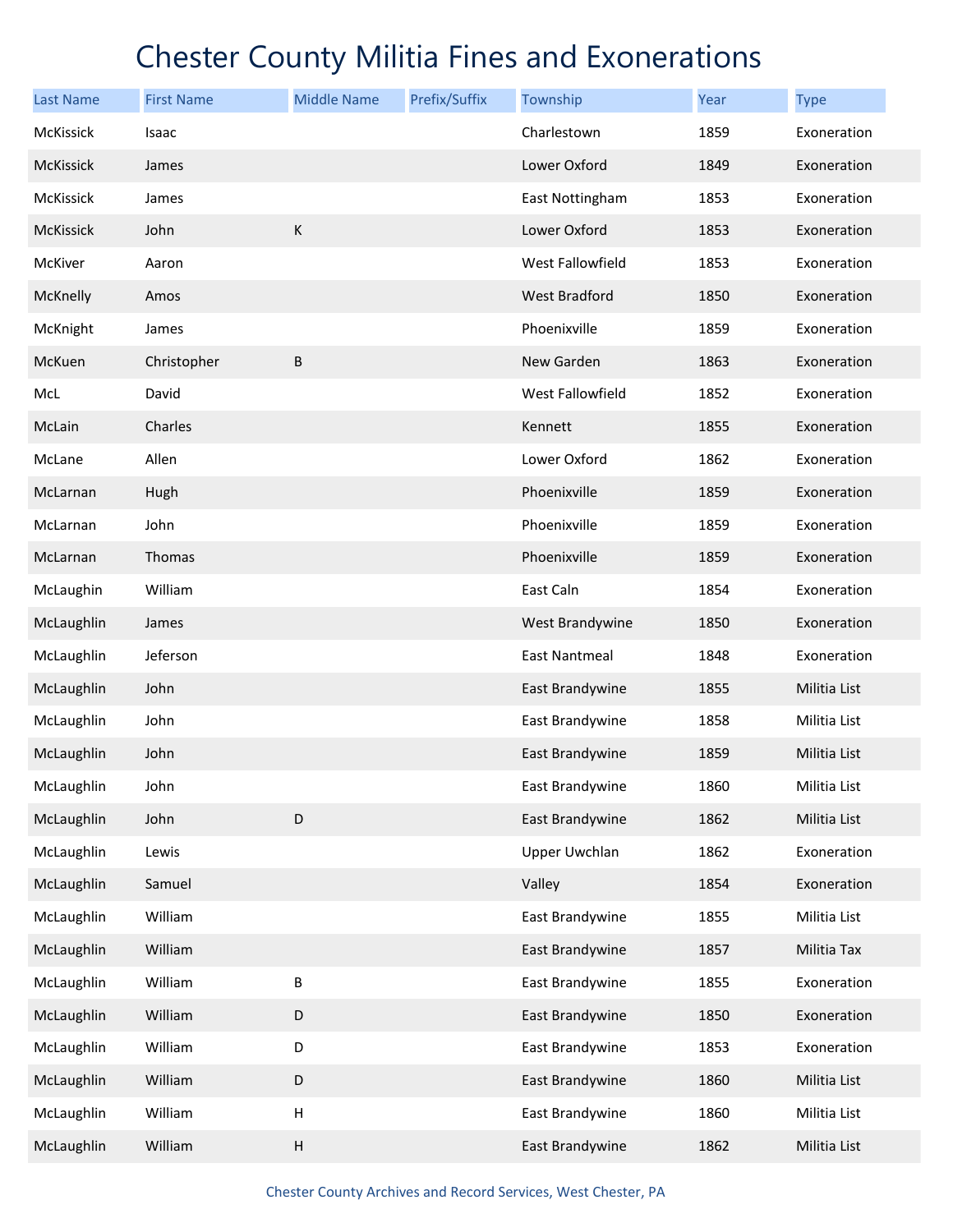| <b>Last Name</b> | <b>First Name</b> | <b>Middle Name</b>        | Prefix/Suffix | Township             | Year | <b>Type</b>  |
|------------------|-------------------|---------------------------|---------------|----------------------|------|--------------|
| McKissick        | Isaac             |                           |               | Charlestown          | 1859 | Exoneration  |
| McKissick        | James             |                           |               | Lower Oxford         | 1849 | Exoneration  |
| McKissick        | James             |                           |               | East Nottingham      | 1853 | Exoneration  |
| McKissick        | John              | $\mathsf K$               |               | Lower Oxford         | 1853 | Exoneration  |
| McKiver          | Aaron             |                           |               | West Fallowfield     | 1853 | Exoneration  |
| McKnelly         | Amos              |                           |               | <b>West Bradford</b> | 1850 | Exoneration  |
| McKnight         | James             |                           |               | Phoenixville         | 1859 | Exoneration  |
| McKuen           | Christopher       | $\sf B$                   |               | New Garden           | 1863 | Exoneration  |
| McL              | David             |                           |               | West Fallowfield     | 1852 | Exoneration  |
| McLain           | Charles           |                           |               | Kennett              | 1855 | Exoneration  |
| McLane           | Allen             |                           |               | Lower Oxford         | 1862 | Exoneration  |
| McLarnan         | Hugh              |                           |               | Phoenixville         | 1859 | Exoneration  |
| McLarnan         | John              |                           |               | Phoenixville         | 1859 | Exoneration  |
| McLarnan         | Thomas            |                           |               | Phoenixville         | 1859 | Exoneration  |
| McLaughin        | William           |                           |               | East Caln            | 1854 | Exoneration  |
| McLaughlin       | James             |                           |               | West Brandywine      | 1850 | Exoneration  |
| McLaughlin       | Jeferson          |                           |               | <b>East Nantmeal</b> | 1848 | Exoneration  |
| McLaughlin       | John              |                           |               | East Brandywine      | 1855 | Militia List |
| McLaughlin       | John              |                           |               | East Brandywine      | 1858 | Militia List |
| McLaughlin       | John              |                           |               | East Brandywine      | 1859 | Militia List |
| McLaughlin       | John              |                           |               | East Brandywine      | 1860 | Militia List |
| McLaughlin       | John              | $\mathsf D$               |               | East Brandywine      | 1862 | Militia List |
| McLaughlin       | Lewis             |                           |               | <b>Upper Uwchlan</b> | 1862 | Exoneration  |
| McLaughlin       | Samuel            |                           |               | Valley               | 1854 | Exoneration  |
| McLaughlin       | William           |                           |               | East Brandywine      | 1855 | Militia List |
| McLaughlin       | William           |                           |               | East Brandywine      | 1857 | Militia Tax  |
| McLaughlin       | William           | $\sf B$                   |               | East Brandywine      | 1855 | Exoneration  |
| McLaughlin       | William           | $\mathsf D$               |               | East Brandywine      | 1850 | Exoneration  |
| McLaughlin       | William           | $\mathsf D$               |               | East Brandywine      | 1853 | Exoneration  |
| McLaughlin       | William           | $\mathsf D$               |               | East Brandywine      | 1860 | Militia List |
| McLaughlin       | William           | $\boldsymbol{\mathsf{H}}$ |               | East Brandywine      | 1860 | Militia List |
| McLaughlin       | William           | $\boldsymbol{\mathsf{H}}$ |               | East Brandywine      | 1862 | Militia List |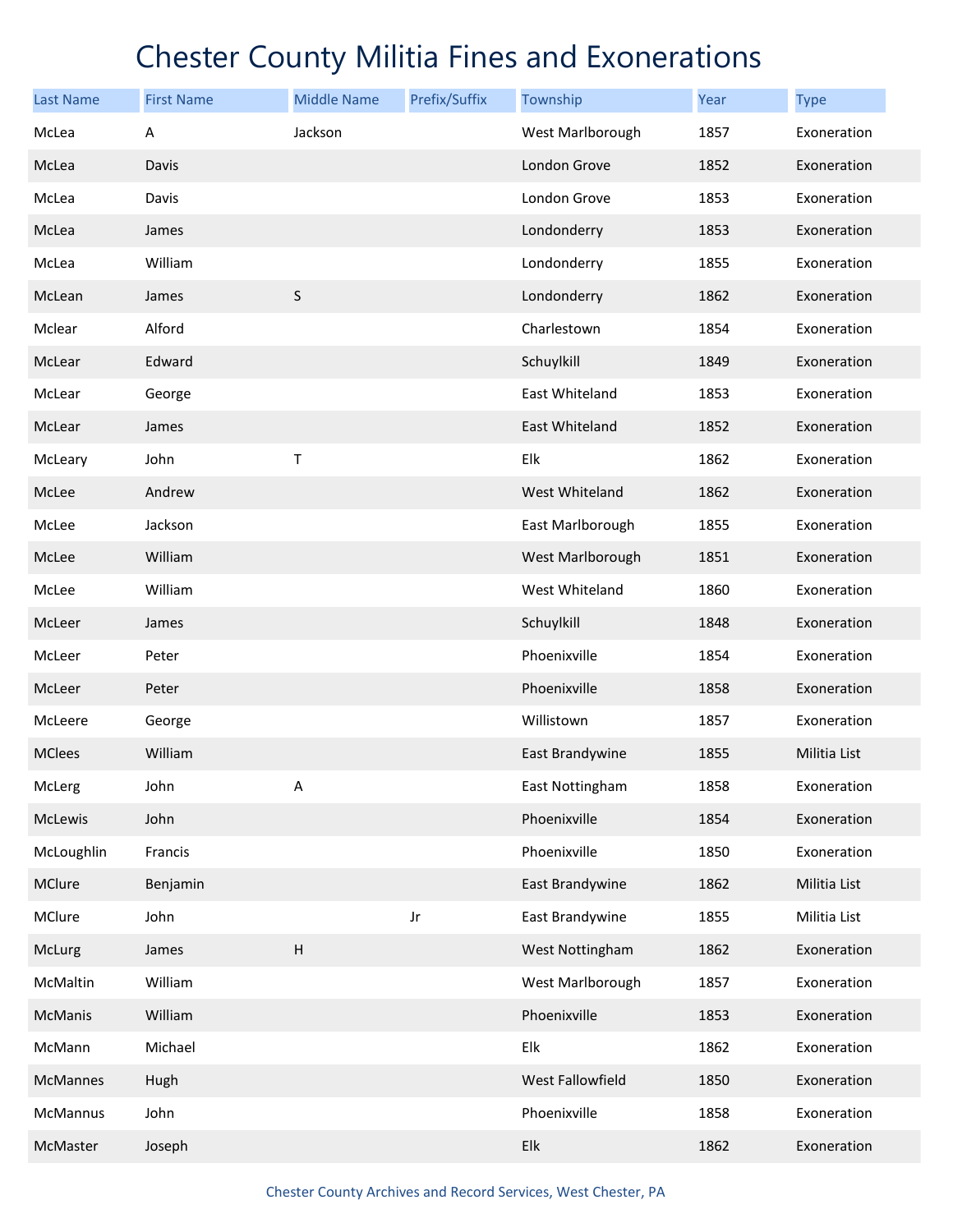| <b>Last Name</b> | <b>First Name</b> | <b>Middle Name</b>        | Prefix/Suffix | Township         | Year | <b>Type</b>  |
|------------------|-------------------|---------------------------|---------------|------------------|------|--------------|
| McLea            | Α                 | Jackson                   |               | West Marlborough | 1857 | Exoneration  |
| McLea            | Davis             |                           |               | London Grove     | 1852 | Exoneration  |
| McLea            | Davis             |                           |               | London Grove     | 1853 | Exoneration  |
| McLea            | James             |                           |               | Londonderry      | 1853 | Exoneration  |
| McLea            | William           |                           |               | Londonderry      | 1855 | Exoneration  |
| McLean           | James             | $\sf S$                   |               | Londonderry      | 1862 | Exoneration  |
| Mclear           | Alford            |                           |               | Charlestown      | 1854 | Exoneration  |
| McLear           | Edward            |                           |               | Schuylkill       | 1849 | Exoneration  |
| McLear           | George            |                           |               | East Whiteland   | 1853 | Exoneration  |
| McLear           | James             |                           |               | East Whiteland   | 1852 | Exoneration  |
| McLeary          | John              | Τ                         |               | Elk              | 1862 | Exoneration  |
| McLee            | Andrew            |                           |               | West Whiteland   | 1862 | Exoneration  |
| McLee            | Jackson           |                           |               | East Marlborough | 1855 | Exoneration  |
| McLee            | William           |                           |               | West Marlborough | 1851 | Exoneration  |
| McLee            | William           |                           |               | West Whiteland   | 1860 | Exoneration  |
| McLeer           | James             |                           |               | Schuylkill       | 1848 | Exoneration  |
| McLeer           | Peter             |                           |               | Phoenixville     | 1854 | Exoneration  |
| McLeer           | Peter             |                           |               | Phoenixville     | 1858 | Exoneration  |
| McLeere          | George            |                           |               | Willistown       | 1857 | Exoneration  |
| <b>MClees</b>    | William           |                           |               | East Brandywine  | 1855 | Militia List |
| McLerg           | John              | А                         |               | East Nottingham  | 1858 | Exoneration  |
| McLewis          | John              |                           |               | Phoenixville     | 1854 | Exoneration  |
| McLoughlin       | Francis           |                           |               | Phoenixville     | 1850 | Exoneration  |
| MClure           | Benjamin          |                           |               | East Brandywine  | 1862 | Militia List |
| MClure           | John              |                           | Jr            | East Brandywine  | 1855 | Militia List |
| McLurg           | James             | $\boldsymbol{\mathsf{H}}$ |               | West Nottingham  | 1862 | Exoneration  |
| McMaltin         | William           |                           |               | West Marlborough | 1857 | Exoneration  |
| McManis          | William           |                           |               | Phoenixville     | 1853 | Exoneration  |
| McMann           | Michael           |                           |               | Elk              | 1862 | Exoneration  |
| <b>McMannes</b>  | Hugh              |                           |               | West Fallowfield | 1850 | Exoneration  |
| McMannus         | John              |                           |               | Phoenixville     | 1858 | Exoneration  |
| McMaster         | Joseph            |                           |               | Elk              | 1862 | Exoneration  |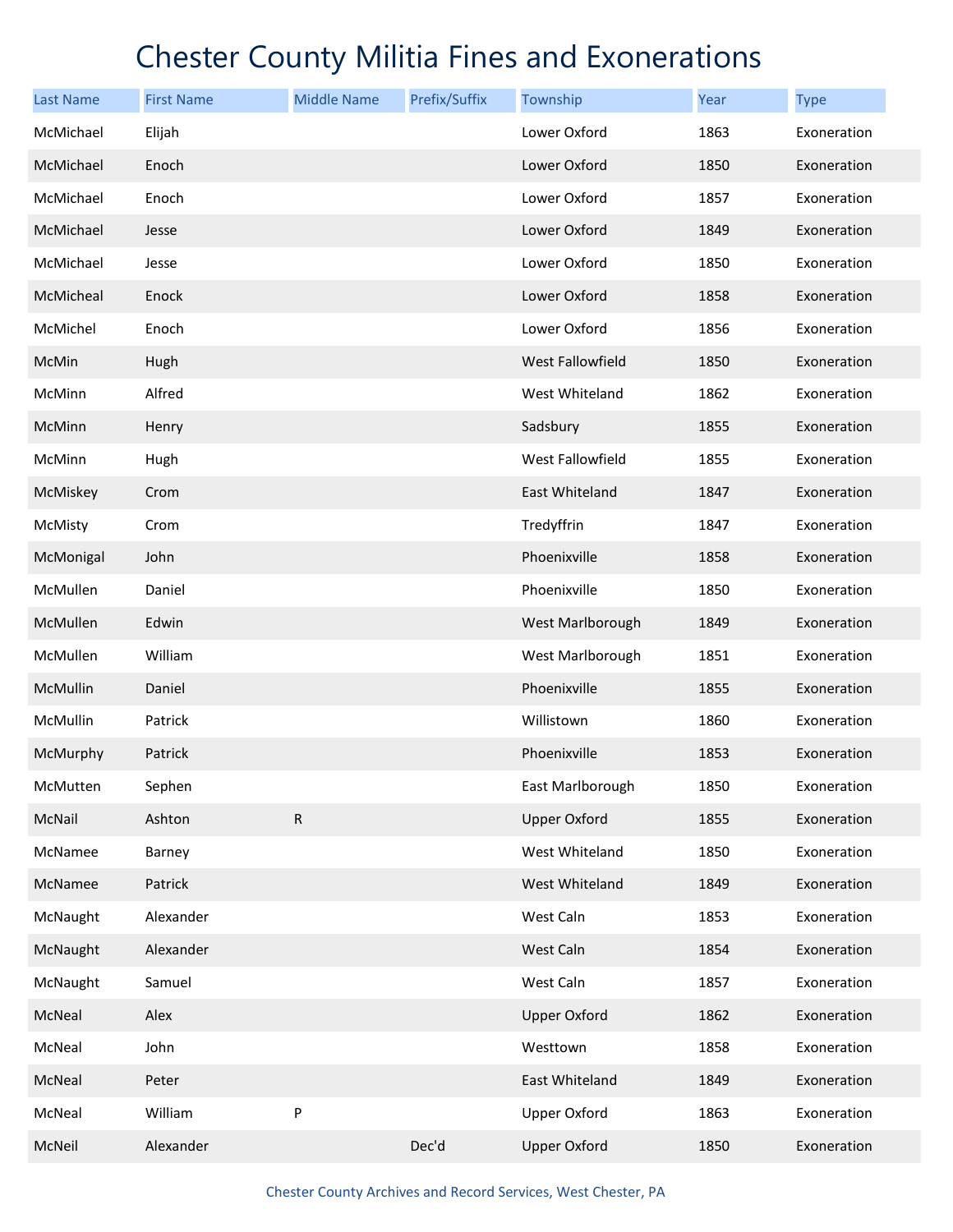| <b>Last Name</b> | <b>First Name</b> | <b>Middle Name</b> | Prefix/Suffix | Township                | Year | <b>Type</b> |
|------------------|-------------------|--------------------|---------------|-------------------------|------|-------------|
| McMichael        | Elijah            |                    |               | Lower Oxford            | 1863 | Exoneration |
| McMichael        | Enoch             |                    |               | Lower Oxford            | 1850 | Exoneration |
| McMichael        | Enoch             |                    |               | Lower Oxford            | 1857 | Exoneration |
| McMichael        | Jesse             |                    |               | Lower Oxford            | 1849 | Exoneration |
| McMichael        | Jesse             |                    |               | Lower Oxford            | 1850 | Exoneration |
| McMicheal        | Enock             |                    |               | Lower Oxford            | 1858 | Exoneration |
| McMichel         | Enoch             |                    |               | Lower Oxford            | 1856 | Exoneration |
| McMin            | Hugh              |                    |               | <b>West Fallowfield</b> | 1850 | Exoneration |
| McMinn           | Alfred            |                    |               | West Whiteland          | 1862 | Exoneration |
| McMinn           | Henry             |                    |               | Sadsbury                | 1855 | Exoneration |
| McMinn           | Hugh              |                    |               | West Fallowfield        | 1855 | Exoneration |
| McMiskey         | Crom              |                    |               | East Whiteland          | 1847 | Exoneration |
| McMisty          | Crom              |                    |               | Tredyffrin              | 1847 | Exoneration |
| McMonigal        | John              |                    |               | Phoenixville            | 1858 | Exoneration |
| McMullen         | Daniel            |                    |               | Phoenixville            | 1850 | Exoneration |
| McMullen         | Edwin             |                    |               | West Marlborough        | 1849 | Exoneration |
| McMullen         | William           |                    |               | West Marlborough        | 1851 | Exoneration |
| McMullin         | Daniel            |                    |               | Phoenixville            | 1855 | Exoneration |
| McMullin         | Patrick           |                    |               | Willistown              | 1860 | Exoneration |
| McMurphy         | Patrick           |                    |               | Phoenixville            | 1853 | Exoneration |
| McMutten         | Sephen            |                    |               | East Marlborough        | 1850 | Exoneration |
| McNail           | Ashton            | ${\sf R}$          |               | <b>Upper Oxford</b>     | 1855 | Exoneration |
| McNamee          | Barney            |                    |               | West Whiteland          | 1850 | Exoneration |
| McNamee          | Patrick           |                    |               | West Whiteland          | 1849 | Exoneration |
| McNaught         | Alexander         |                    |               | West Caln               | 1853 | Exoneration |
| McNaught         | Alexander         |                    |               | West Caln               | 1854 | Exoneration |
| McNaught         | Samuel            |                    |               | West Caln               | 1857 | Exoneration |
| McNeal           | Alex              |                    |               | <b>Upper Oxford</b>     | 1862 | Exoneration |
| McNeal           | John              |                    |               | Westtown                | 1858 | Exoneration |
| McNeal           | Peter             |                    |               | East Whiteland          | 1849 | Exoneration |
| McNeal           | William           | P                  |               | <b>Upper Oxford</b>     | 1863 | Exoneration |
| McNeil           | Alexander         |                    | Dec'd         | <b>Upper Oxford</b>     | 1850 | Exoneration |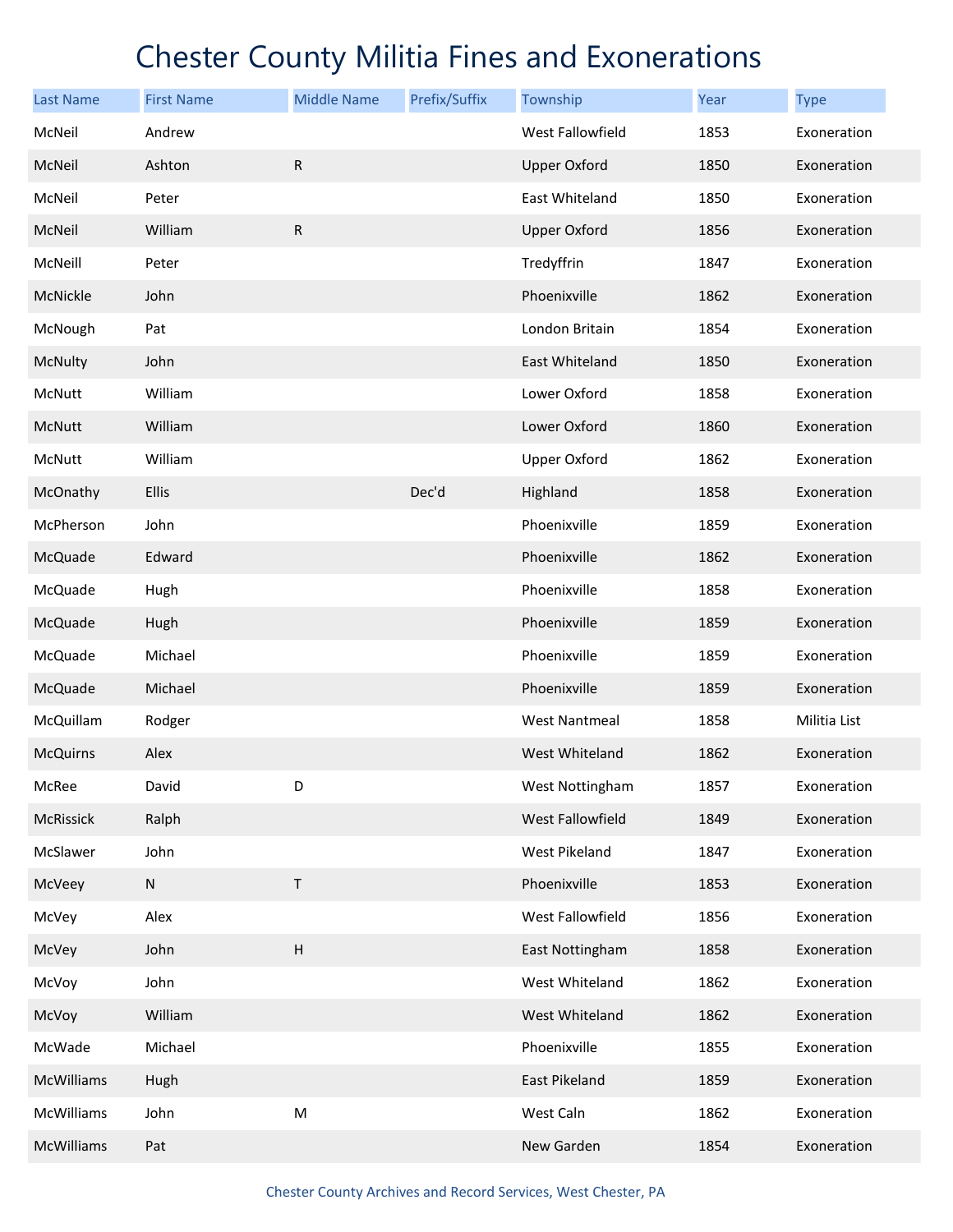| Last Name         | <b>First Name</b> | <b>Middle Name</b>        | Prefix/Suffix | Township             | Year | <b>Type</b>  |
|-------------------|-------------------|---------------------------|---------------|----------------------|------|--------------|
| McNeil            | Andrew            |                           |               | West Fallowfield     | 1853 | Exoneration  |
| McNeil            | Ashton            | ${\sf R}$                 |               | <b>Upper Oxford</b>  | 1850 | Exoneration  |
| McNeil            | Peter             |                           |               | East Whiteland       | 1850 | Exoneration  |
| McNeil            | William           | ${\sf R}$                 |               | <b>Upper Oxford</b>  | 1856 | Exoneration  |
| McNeill           | Peter             |                           |               | Tredyffrin           | 1847 | Exoneration  |
| McNickle          | John              |                           |               | Phoenixville         | 1862 | Exoneration  |
| McNough           | Pat               |                           |               | London Britain       | 1854 | Exoneration  |
| McNulty           | John              |                           |               | East Whiteland       | 1850 | Exoneration  |
| McNutt            | William           |                           |               | Lower Oxford         | 1858 | Exoneration  |
| McNutt            | William           |                           |               | Lower Oxford         | 1860 | Exoneration  |
| McNutt            | William           |                           |               | <b>Upper Oxford</b>  | 1862 | Exoneration  |
| McOnathy          | Ellis             |                           | Dec'd         | Highland             | 1858 | Exoneration  |
| McPherson         | John              |                           |               | Phoenixville         | 1859 | Exoneration  |
| McQuade           | Edward            |                           |               | Phoenixville         | 1862 | Exoneration  |
| McQuade           | Hugh              |                           |               | Phoenixville         | 1858 | Exoneration  |
| McQuade           | Hugh              |                           |               | Phoenixville         | 1859 | Exoneration  |
| McQuade           | Michael           |                           |               | Phoenixville         | 1859 | Exoneration  |
| McQuade           | Michael           |                           |               | Phoenixville         | 1859 | Exoneration  |
| McQuillam         | Rodger            |                           |               | <b>West Nantmeal</b> | 1858 | Militia List |
| <b>McQuirns</b>   | Alex              |                           |               | West Whiteland       | 1862 | Exoneration  |
| McRee             | David             | D                         |               | West Nottingham      | 1857 | Exoneration  |
| <b>McRissick</b>  | Ralph             |                           |               | West Fallowfield     | 1849 | Exoneration  |
| McSlawer          | John              |                           |               | <b>West Pikeland</b> | 1847 | Exoneration  |
| McVeey            | ${\sf N}$         | $\sf T$                   |               | Phoenixville         | 1853 | Exoneration  |
| McVey             | Alex              |                           |               | West Fallowfield     | 1856 | Exoneration  |
| McVey             | John              | $\boldsymbol{\mathsf{H}}$ |               | East Nottingham      | 1858 | Exoneration  |
| McVoy             | John              |                           |               | West Whiteland       | 1862 | Exoneration  |
| McVoy             | William           |                           |               | West Whiteland       | 1862 | Exoneration  |
| McWade            | Michael           |                           |               | Phoenixville         | 1855 | Exoneration  |
| <b>McWilliams</b> | Hugh              |                           |               | East Pikeland        | 1859 | Exoneration  |
| McWilliams        | John              | ${\sf M}$                 |               | West Caln            | 1862 | Exoneration  |
| <b>McWilliams</b> | Pat               |                           |               | New Garden           | 1854 | Exoneration  |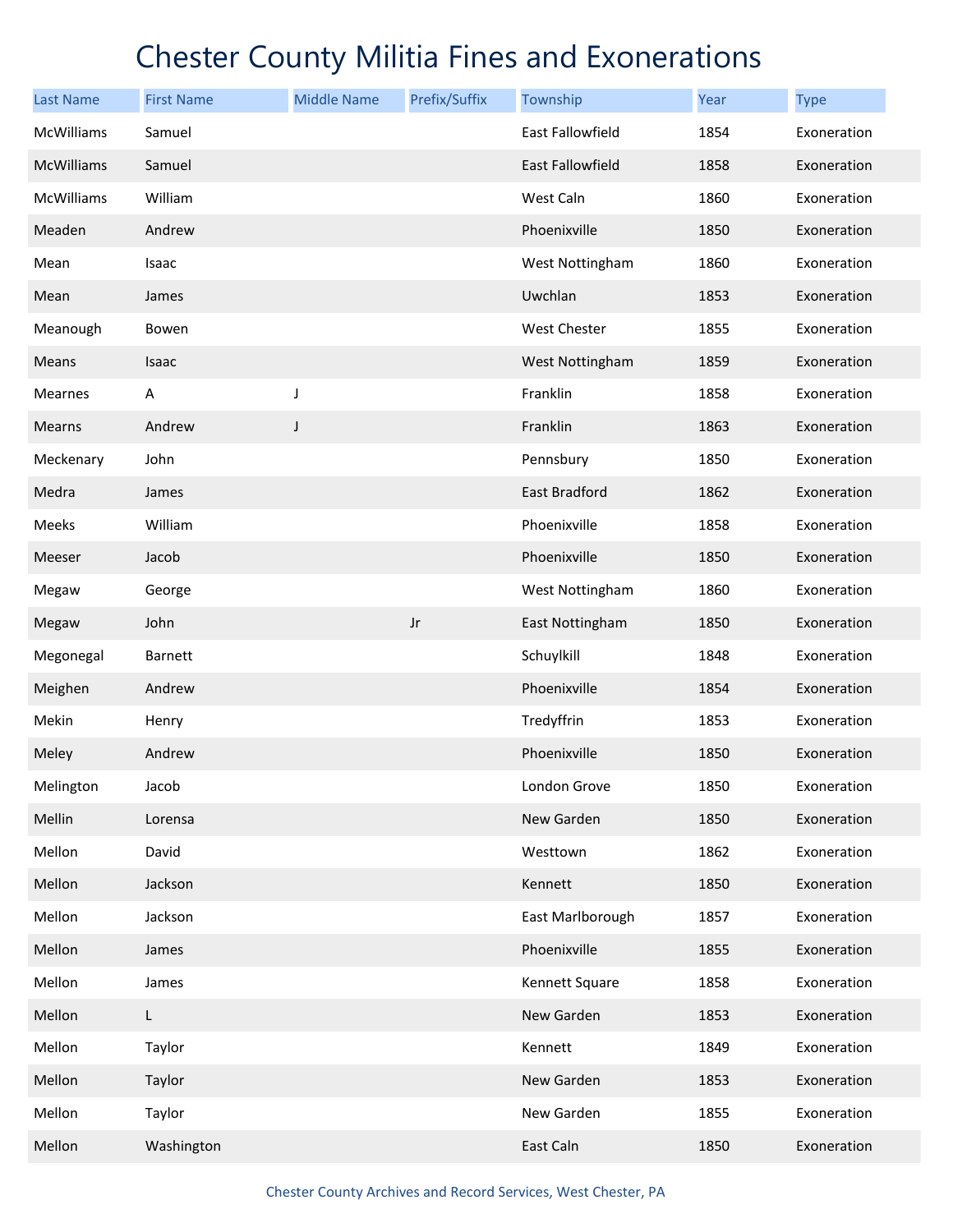| <b>Last Name</b>  | <b>First Name</b> | <b>Middle Name</b> | Prefix/Suffix | Township                | Year | <b>Type</b> |
|-------------------|-------------------|--------------------|---------------|-------------------------|------|-------------|
| <b>McWilliams</b> | Samuel            |                    |               | East Fallowfield        | 1854 | Exoneration |
| <b>McWilliams</b> | Samuel            |                    |               | <b>East Fallowfield</b> | 1858 | Exoneration |
| <b>McWilliams</b> | William           |                    |               | West Caln               | 1860 | Exoneration |
| Meaden            | Andrew            |                    |               | Phoenixville            | 1850 | Exoneration |
| Mean              | Isaac             |                    |               | West Nottingham         | 1860 | Exoneration |
| Mean              | James             |                    |               | Uwchlan                 | 1853 | Exoneration |
| Meanough          | Bowen             |                    |               | West Chester            | 1855 | Exoneration |
| Means             | Isaac             |                    |               | West Nottingham         | 1859 | Exoneration |
| Mearnes           | A                 | J                  |               | Franklin                | 1858 | Exoneration |
| Mearns            | Andrew            | J                  |               | Franklin                | 1863 | Exoneration |
| Meckenary         | John              |                    |               | Pennsbury               | 1850 | Exoneration |
| Medra             | James             |                    |               | <b>East Bradford</b>    | 1862 | Exoneration |
| Meeks             | William           |                    |               | Phoenixville            | 1858 | Exoneration |
| Meeser            | Jacob             |                    |               | Phoenixville            | 1850 | Exoneration |
| Megaw             | George            |                    |               | West Nottingham         | 1860 | Exoneration |
| Megaw             | John              |                    | $_{\rm Jr}$   | East Nottingham         | 1850 | Exoneration |
| Megonegal         | <b>Barnett</b>    |                    |               | Schuylkill              | 1848 | Exoneration |
| Meighen           | Andrew            |                    |               | Phoenixville            | 1854 | Exoneration |
| Mekin             | Henry             |                    |               | Tredyffrin              | 1853 | Exoneration |
| Meley             | Andrew            |                    |               | Phoenixville            | 1850 | Exoneration |
| Melington         | Jacob             |                    |               | London Grove            | 1850 | Exoneration |
| Mellin            | Lorensa           |                    |               | New Garden              | 1850 | Exoneration |
| Mellon            | David             |                    |               | Westtown                | 1862 | Exoneration |
| Mellon            | Jackson           |                    |               | Kennett                 | 1850 | Exoneration |
| Mellon            | Jackson           |                    |               | East Marlborough        | 1857 | Exoneration |
| Mellon            | James             |                    |               | Phoenixville            | 1855 | Exoneration |
| Mellon            | James             |                    |               | Kennett Square          | 1858 | Exoneration |
| Mellon            | L                 |                    |               | New Garden              | 1853 | Exoneration |
| Mellon            | Taylor            |                    |               | Kennett                 | 1849 | Exoneration |
| Mellon            | Taylor            |                    |               | New Garden              | 1853 | Exoneration |
| Mellon            | Taylor            |                    |               | New Garden              | 1855 | Exoneration |
| Mellon            | Washington        |                    |               | East Caln               | 1850 | Exoneration |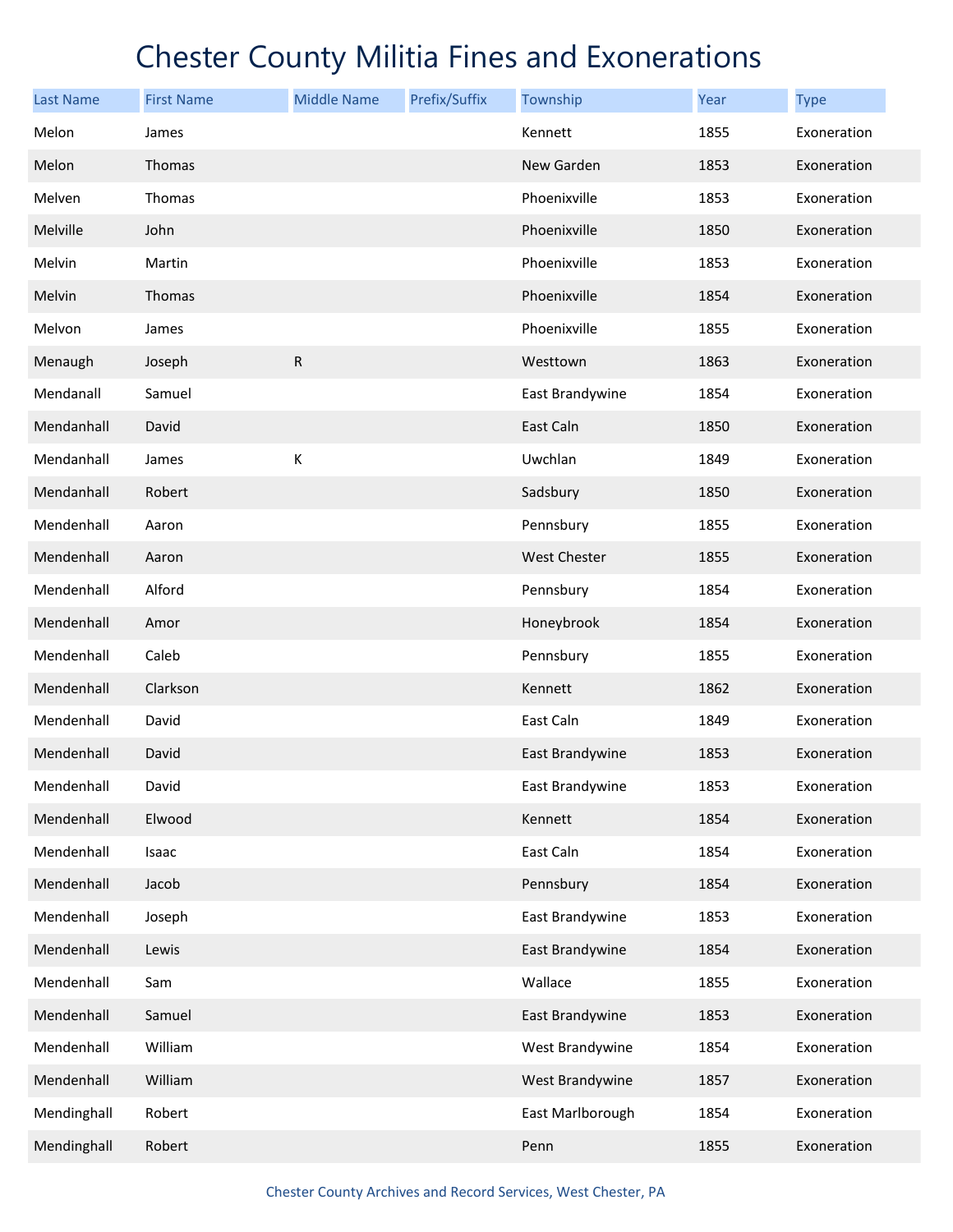| <b>Last Name</b> | <b>First Name</b> | <b>Middle Name</b> | Prefix/Suffix | Township            | <b>Year</b> | <b>Type</b> |
|------------------|-------------------|--------------------|---------------|---------------------|-------------|-------------|
| Melon            | James             |                    |               | Kennett             | 1855        | Exoneration |
| Melon            | Thomas            |                    |               | New Garden          | 1853        | Exoneration |
| Melven           | Thomas            |                    |               | Phoenixville        | 1853        | Exoneration |
| Melville         | John              |                    |               | Phoenixville        | 1850        | Exoneration |
| Melvin           | Martin            |                    |               | Phoenixville        | 1853        | Exoneration |
| Melvin           | Thomas            |                    |               | Phoenixville        | 1854        | Exoneration |
| Melvon           | James             |                    |               | Phoenixville        | 1855        | Exoneration |
| Menaugh          | Joseph            | $\mathsf{R}$       |               | Westtown            | 1863        | Exoneration |
| Mendanall        | Samuel            |                    |               | East Brandywine     | 1854        | Exoneration |
| Mendanhall       | David             |                    |               | East Caln           | 1850        | Exoneration |
| Mendanhall       | James             | К                  |               | Uwchlan             | 1849        | Exoneration |
| Mendanhall       | Robert            |                    |               | Sadsbury            | 1850        | Exoneration |
| Mendenhall       | Aaron             |                    |               | Pennsbury           | 1855        | Exoneration |
| Mendenhall       | Aaron             |                    |               | <b>West Chester</b> | 1855        | Exoneration |
| Mendenhall       | Alford            |                    |               | Pennsbury           | 1854        | Exoneration |
| Mendenhall       | Amor              |                    |               | Honeybrook          | 1854        | Exoneration |
| Mendenhall       | Caleb             |                    |               | Pennsbury           | 1855        | Exoneration |
| Mendenhall       | Clarkson          |                    |               | Kennett             | 1862        | Exoneration |
| Mendenhall       | David             |                    |               | East Caln           | 1849        | Exoneration |
| Mendenhall       | David             |                    |               | East Brandywine     | 1853        | Exoneration |
| Mendenhall       | David             |                    |               | East Brandywine     | 1853        | Exoneration |
| Mendenhall       | Elwood            |                    |               | Kennett             | 1854        | Exoneration |
| Mendenhall       | Isaac             |                    |               | East Caln           | 1854        | Exoneration |
| Mendenhall       | Jacob             |                    |               | Pennsbury           | 1854        | Exoneration |
| Mendenhall       | Joseph            |                    |               | East Brandywine     | 1853        | Exoneration |
| Mendenhall       | Lewis             |                    |               | East Brandywine     | 1854        | Exoneration |
| Mendenhall       | Sam               |                    |               | Wallace             | 1855        | Exoneration |
| Mendenhall       | Samuel            |                    |               | East Brandywine     | 1853        | Exoneration |
| Mendenhall       | William           |                    |               | West Brandywine     | 1854        | Exoneration |
| Mendenhall       | William           |                    |               | West Brandywine     | 1857        | Exoneration |
| Mendinghall      | Robert            |                    |               | East Marlborough    | 1854        | Exoneration |
| Mendinghall      | Robert            |                    |               | Penn                | 1855        | Exoneration |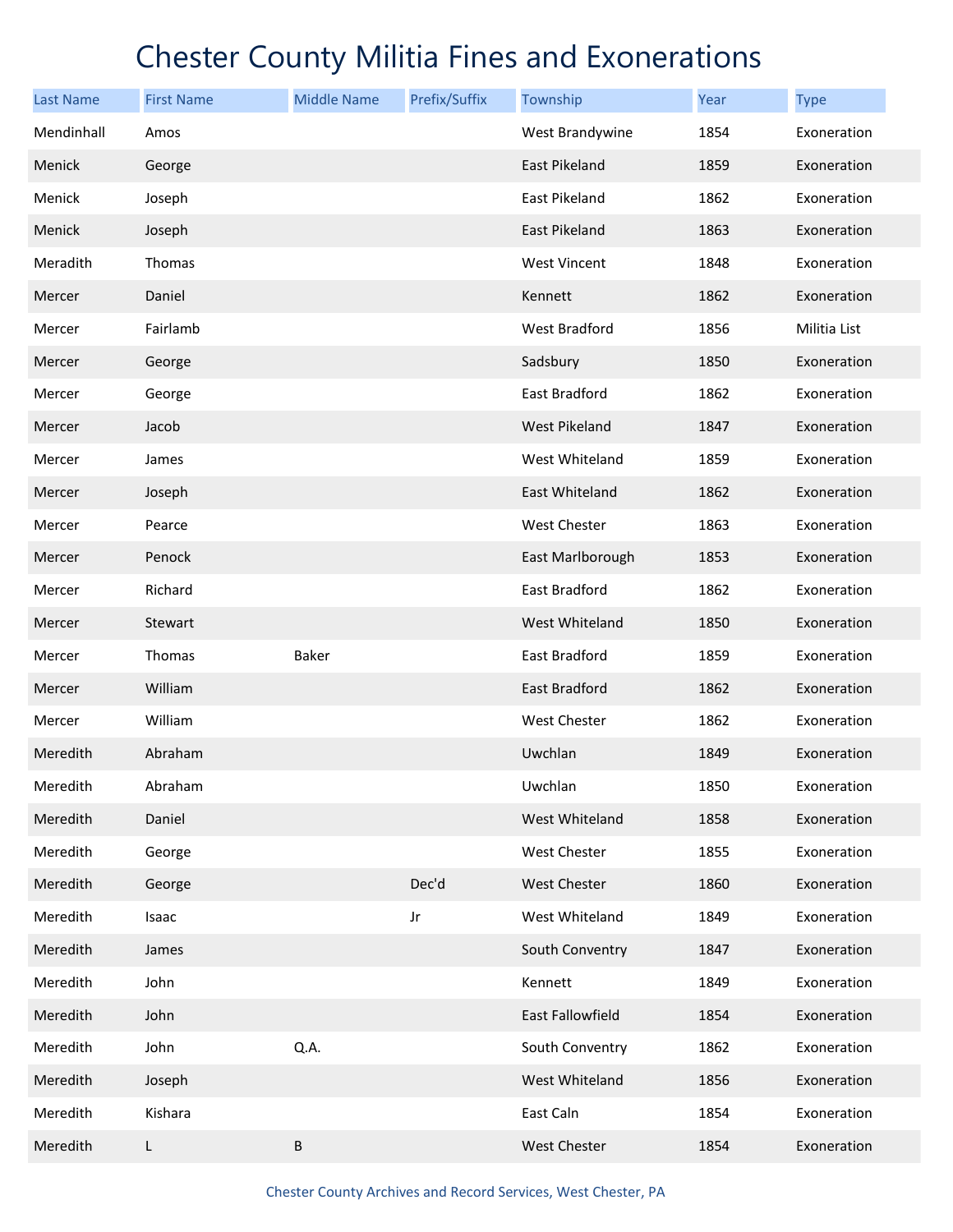| <b>Last Name</b> | <b>First Name</b> | <b>Middle Name</b> | Prefix/Suffix | Township             | Year | <b>Type</b>  |
|------------------|-------------------|--------------------|---------------|----------------------|------|--------------|
| Mendinhall       | Amos              |                    |               | West Brandywine      | 1854 | Exoneration  |
| Menick           | George            |                    |               | East Pikeland        | 1859 | Exoneration  |
| Menick           | Joseph            |                    |               | East Pikeland        | 1862 | Exoneration  |
| Menick           | Joseph            |                    |               | East Pikeland        | 1863 | Exoneration  |
| Meradith         | Thomas            |                    |               | <b>West Vincent</b>  | 1848 | Exoneration  |
| Mercer           | Daniel            |                    |               | Kennett              | 1862 | Exoneration  |
| Mercer           | Fairlamb          |                    |               | West Bradford        | 1856 | Militia List |
| Mercer           | George            |                    |               | Sadsbury             | 1850 | Exoneration  |
| Mercer           | George            |                    |               | East Bradford        | 1862 | Exoneration  |
| Mercer           | Jacob             |                    |               | West Pikeland        | 1847 | Exoneration  |
| Mercer           | James             |                    |               | West Whiteland       | 1859 | Exoneration  |
| Mercer           | Joseph            |                    |               | East Whiteland       | 1862 | Exoneration  |
| Mercer           | Pearce            |                    |               | West Chester         | 1863 | Exoneration  |
| Mercer           | Penock            |                    |               | East Marlborough     | 1853 | Exoneration  |
| Mercer           | Richard           |                    |               | East Bradford        | 1862 | Exoneration  |
| Mercer           | Stewart           |                    |               | West Whiteland       | 1850 | Exoneration  |
| Mercer           | Thomas            | Baker              |               | East Bradford        | 1859 | Exoneration  |
| Mercer           | William           |                    |               | <b>East Bradford</b> | 1862 | Exoneration  |
| Mercer           | William           |                    |               | West Chester         | 1862 | Exoneration  |
| Meredith         | Abraham           |                    |               | Uwchlan              | 1849 | Exoneration  |
| Meredith         | Abraham           |                    |               | Uwchlan              | 1850 | Exoneration  |
| Meredith         | Daniel            |                    |               | West Whiteland       | 1858 | Exoneration  |
| Meredith         | George            |                    |               | West Chester         | 1855 | Exoneration  |
| Meredith         | George            |                    | Dec'd         | <b>West Chester</b>  | 1860 | Exoneration  |
| Meredith         | Isaac             |                    | Jr            | West Whiteland       | 1849 | Exoneration  |
| Meredith         | James             |                    |               | South Conventry      | 1847 | Exoneration  |
| Meredith         | John              |                    |               | Kennett              | 1849 | Exoneration  |
| Meredith         | John              |                    |               | East Fallowfield     | 1854 | Exoneration  |
| Meredith         | John              | Q.A.               |               | South Conventry      | 1862 | Exoneration  |
| Meredith         | Joseph            |                    |               | West Whiteland       | 1856 | Exoneration  |
| Meredith         | Kishara           |                    |               | East Caln            | 1854 | Exoneration  |
| Meredith         | L                 | $\sf B$            |               | West Chester         | 1854 | Exoneration  |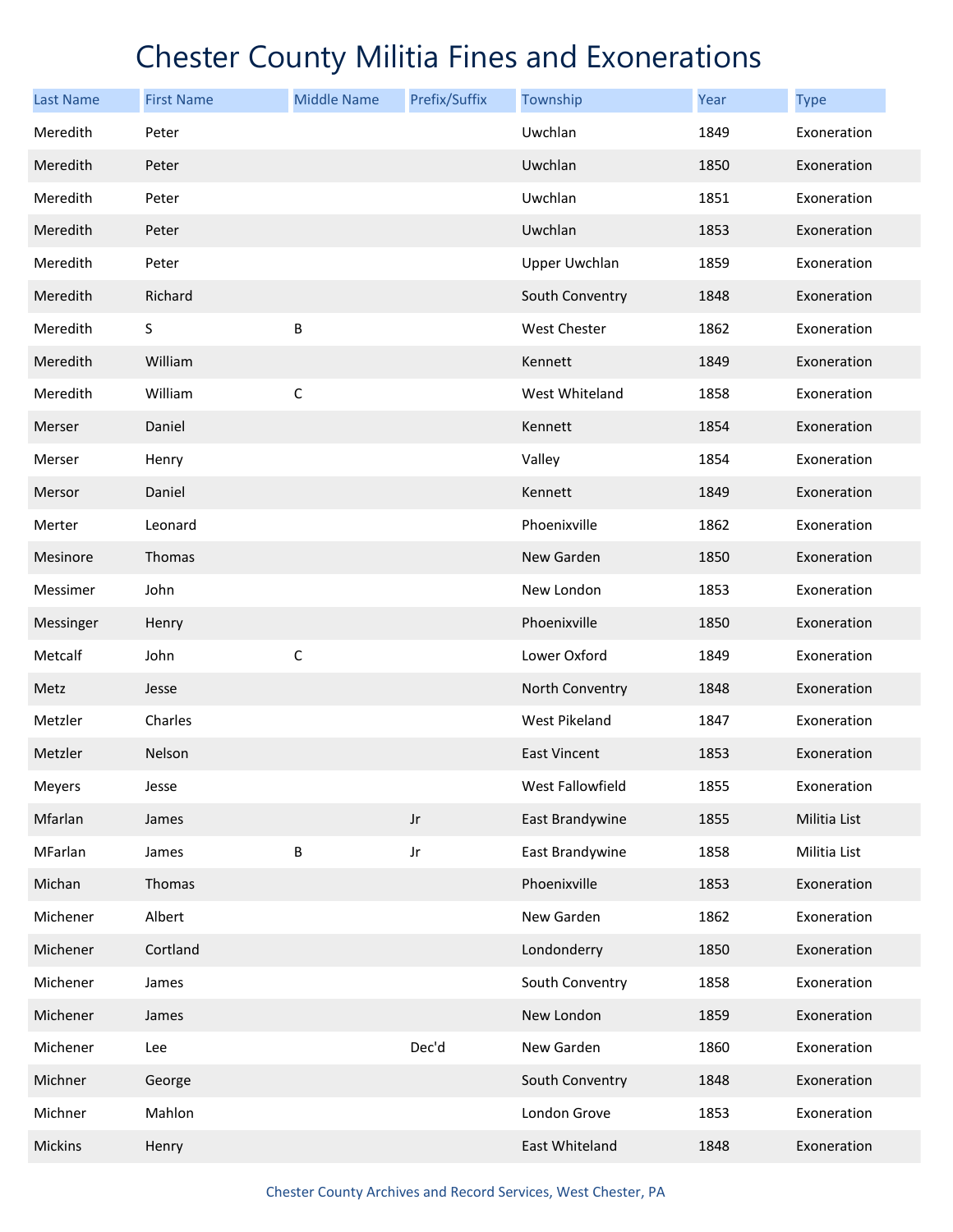| <b>Last Name</b> | <b>First Name</b> | <b>Middle Name</b> | Prefix/Suffix | Township             | <b>Year</b> | <b>Type</b>  |
|------------------|-------------------|--------------------|---------------|----------------------|-------------|--------------|
| Meredith         | Peter             |                    |               | Uwchlan              | 1849        | Exoneration  |
| Meredith         | Peter             |                    |               | Uwchlan              | 1850        | Exoneration  |
| Meredith         | Peter             |                    |               | Uwchlan              | 1851        | Exoneration  |
| Meredith         | Peter             |                    |               | Uwchlan              | 1853        | Exoneration  |
| Meredith         | Peter             |                    |               | <b>Upper Uwchlan</b> | 1859        | Exoneration  |
| Meredith         | Richard           |                    |               | South Conventry      | 1848        | Exoneration  |
| Meredith         | S                 | B                  |               | West Chester         | 1862        | Exoneration  |
| Meredith         | William           |                    |               | Kennett              | 1849        | Exoneration  |
| Meredith         | William           | $\mathsf C$        |               | West Whiteland       | 1858        | Exoneration  |
| Merser           | Daniel            |                    |               | Kennett              | 1854        | Exoneration  |
| Merser           | Henry             |                    |               | Valley               | 1854        | Exoneration  |
| Mersor           | Daniel            |                    |               | Kennett              | 1849        | Exoneration  |
| Merter           | Leonard           |                    |               | Phoenixville         | 1862        | Exoneration  |
| Mesinore         | Thomas            |                    |               | New Garden           | 1850        | Exoneration  |
| Messimer         | John              |                    |               | New London           | 1853        | Exoneration  |
| Messinger        | Henry             |                    |               | Phoenixville         | 1850        | Exoneration  |
| Metcalf          | John              | $\mathsf C$        |               | Lower Oxford         | 1849        | Exoneration  |
| Metz             | Jesse             |                    |               | North Conventry      | 1848        | Exoneration  |
| Metzler          | Charles           |                    |               | West Pikeland        | 1847        | Exoneration  |
| Metzler          | Nelson            |                    |               | <b>East Vincent</b>  | 1853        | Exoneration  |
| Meyers           | Jesse             |                    |               | West Fallowfield     | 1855        | Exoneration  |
| Mfarlan          | James             |                    | $_{\rm Jr}$   | East Brandywine      | 1855        | Militia List |
| MFarlan          | James             | B                  | $_{\rm Jr}$   | East Brandywine      | 1858        | Militia List |
| Michan           | Thomas            |                    |               | Phoenixville         | 1853        | Exoneration  |
| Michener         | Albert            |                    |               | New Garden           | 1862        | Exoneration  |
| Michener         | Cortland          |                    |               | Londonderry          | 1850        | Exoneration  |
| Michener         | James             |                    |               | South Conventry      | 1858        | Exoneration  |
| Michener         | James             |                    |               | New London           | 1859        | Exoneration  |
| Michener         | Lee               |                    | Dec'd         | New Garden           | 1860        | Exoneration  |
| Michner          | George            |                    |               | South Conventry      | 1848        | Exoneration  |
| Michner          | Mahlon            |                    |               | London Grove         | 1853        | Exoneration  |
| Mickins          | Henry             |                    |               | East Whiteland       | 1848        | Exoneration  |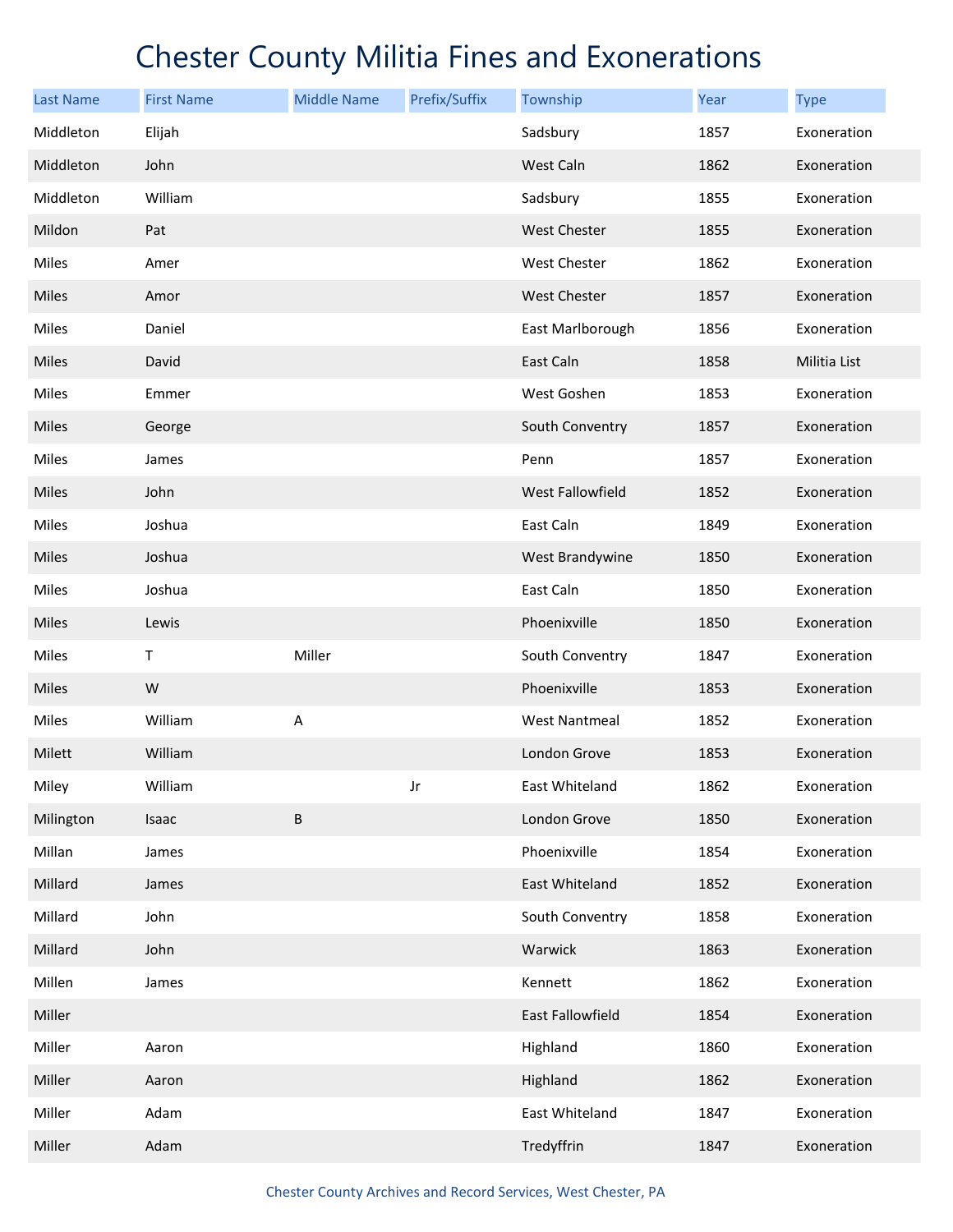| <b>Last Name</b> | <b>First Name</b> | <b>Middle Name</b> | Prefix/Suffix | Township                | Year | <b>Type</b>  |
|------------------|-------------------|--------------------|---------------|-------------------------|------|--------------|
| Middleton        | Elijah            |                    |               | Sadsbury                | 1857 | Exoneration  |
| Middleton        | John              |                    |               | West Caln               | 1862 | Exoneration  |
| Middleton        | William           |                    |               | Sadsbury                | 1855 | Exoneration  |
| Mildon           | Pat               |                    |               | <b>West Chester</b>     | 1855 | Exoneration  |
| Miles            | Amer              |                    |               | West Chester            | 1862 | Exoneration  |
| Miles            | Amor              |                    |               | <b>West Chester</b>     | 1857 | Exoneration  |
| Miles            | Daniel            |                    |               | East Marlborough        | 1856 | Exoneration  |
| Miles            | David             |                    |               | East Caln               | 1858 | Militia List |
| Miles            | Emmer             |                    |               | West Goshen             | 1853 | Exoneration  |
| Miles            | George            |                    |               | South Conventry         | 1857 | Exoneration  |
| Miles            | James             |                    |               | Penn                    | 1857 | Exoneration  |
| Miles            | John              |                    |               | <b>West Fallowfield</b> | 1852 | Exoneration  |
| Miles            | Joshua            |                    |               | East Caln               | 1849 | Exoneration  |
| Miles            | Joshua            |                    |               | West Brandywine         | 1850 | Exoneration  |
| Miles            | Joshua            |                    |               | East Caln               | 1850 | Exoneration  |
| Miles            | Lewis             |                    |               | Phoenixville            | 1850 | Exoneration  |
| Miles            | Τ                 | Miller             |               | South Conventry         | 1847 | Exoneration  |
| Miles            | W                 |                    |               | Phoenixville            | 1853 | Exoneration  |
| Miles            | William           | Α                  |               | <b>West Nantmeal</b>    | 1852 | Exoneration  |
| Milett           | William           |                    |               | London Grove            | 1853 | Exoneration  |
| Miley            | William           |                    | Jr            | East Whiteland          | 1862 | Exoneration  |
| Milington        | Isaac             | B                  |               | London Grove            | 1850 | Exoneration  |
| Millan           | James             |                    |               | Phoenixville            | 1854 | Exoneration  |
| Millard          | James             |                    |               | East Whiteland          | 1852 | Exoneration  |
| Millard          | John              |                    |               | South Conventry         | 1858 | Exoneration  |
| Millard          | John              |                    |               | Warwick                 | 1863 | Exoneration  |
| Millen           | James             |                    |               | Kennett                 | 1862 | Exoneration  |
| Miller           |                   |                    |               | East Fallowfield        | 1854 | Exoneration  |
| Miller           | Aaron             |                    |               | Highland                | 1860 | Exoneration  |
| Miller           | Aaron             |                    |               | Highland                | 1862 | Exoneration  |
| Miller           | Adam              |                    |               | East Whiteland          | 1847 | Exoneration  |
| Miller           | Adam              |                    |               | Tredyffrin              | 1847 | Exoneration  |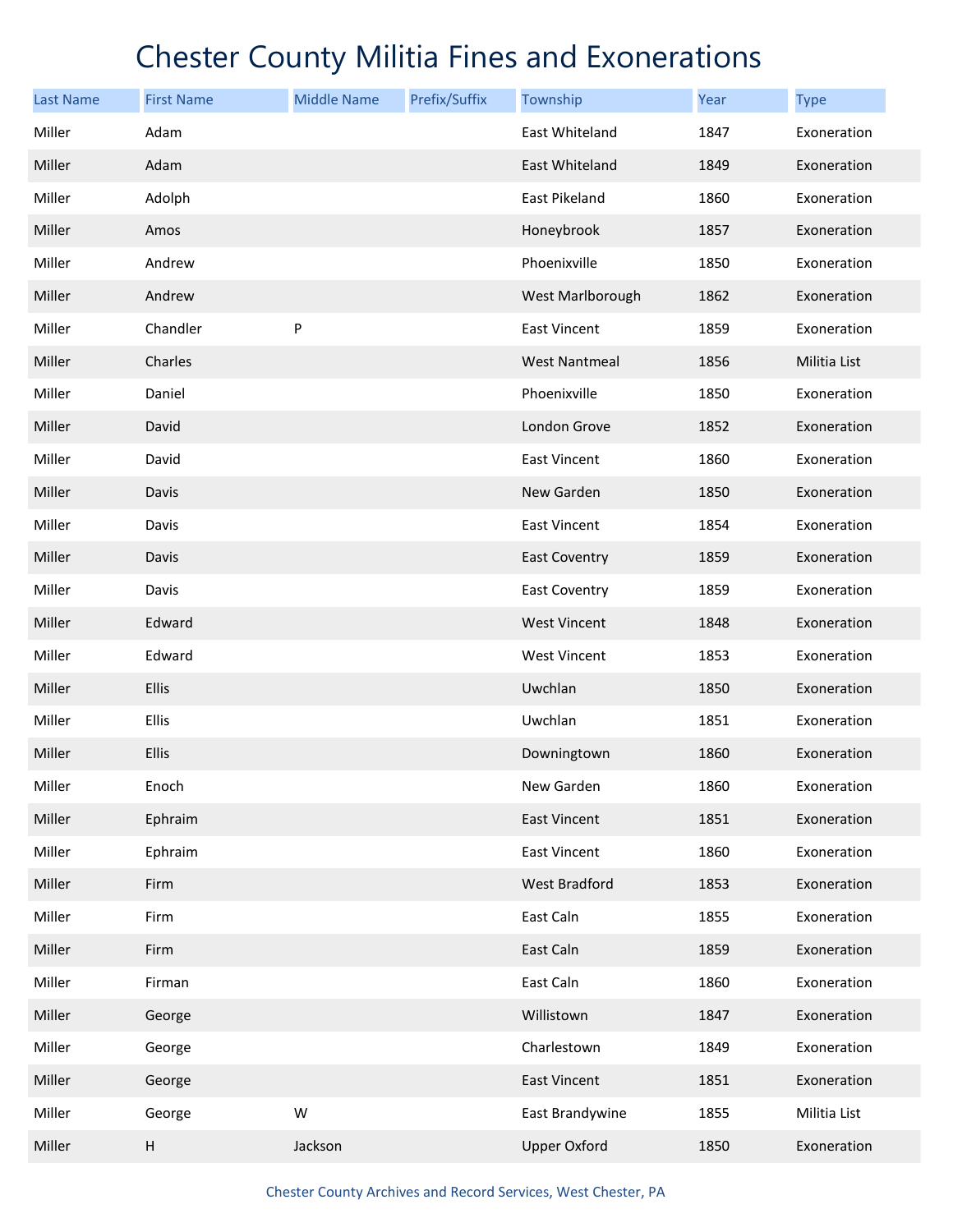| <b>Last Name</b> | <b>First Name</b> | <b>Middle Name</b> | Prefix/Suffix | Township             | Year | <b>Type</b>  |
|------------------|-------------------|--------------------|---------------|----------------------|------|--------------|
| Miller           | Adam              |                    |               | East Whiteland       | 1847 | Exoneration  |
| Miller           | Adam              |                    |               | East Whiteland       | 1849 | Exoneration  |
| Miller           | Adolph            |                    |               | East Pikeland        | 1860 | Exoneration  |
| Miller           | Amos              |                    |               | Honeybrook           | 1857 | Exoneration  |
| Miller           | Andrew            |                    |               | Phoenixville         | 1850 | Exoneration  |
| Miller           | Andrew            |                    |               | West Marlborough     | 1862 | Exoneration  |
| Miller           | Chandler          | P                  |               | <b>East Vincent</b>  | 1859 | Exoneration  |
| Miller           | Charles           |                    |               | <b>West Nantmeal</b> | 1856 | Militia List |
| Miller           | Daniel            |                    |               | Phoenixville         | 1850 | Exoneration  |
| Miller           | David             |                    |               | London Grove         | 1852 | Exoneration  |
| Miller           | David             |                    |               | <b>East Vincent</b>  | 1860 | Exoneration  |
| Miller           | Davis             |                    |               | New Garden           | 1850 | Exoneration  |
| Miller           | Davis             |                    |               | <b>East Vincent</b>  | 1854 | Exoneration  |
| Miller           | Davis             |                    |               | <b>East Coventry</b> | 1859 | Exoneration  |
| Miller           | Davis             |                    |               | <b>East Coventry</b> | 1859 | Exoneration  |
| Miller           | Edward            |                    |               | <b>West Vincent</b>  | 1848 | Exoneration  |
| Miller           | Edward            |                    |               | <b>West Vincent</b>  | 1853 | Exoneration  |
| Miller           | Ellis             |                    |               | Uwchlan              | 1850 | Exoneration  |
| Miller           | Ellis             |                    |               | Uwchlan              | 1851 | Exoneration  |
| Miller           | Ellis             |                    |               | Downingtown          | 1860 | Exoneration  |
| Miller           | Enoch             |                    |               | New Garden           | 1860 | Exoneration  |
| Miller           | Ephraim           |                    |               | <b>East Vincent</b>  | 1851 | Exoneration  |
| Miller           | Ephraim           |                    |               | East Vincent         | 1860 | Exoneration  |
| Miller           | Firm              |                    |               | West Bradford        | 1853 | Exoneration  |
| Miller           | Firm              |                    |               | East Caln            | 1855 | Exoneration  |
| Miller           | Firm              |                    |               | East Caln            | 1859 | Exoneration  |
| Miller           | Firman            |                    |               | East Caln            | 1860 | Exoneration  |
| Miller           | George            |                    |               | Willistown           | 1847 | Exoneration  |
| Miller           | George            |                    |               | Charlestown          | 1849 | Exoneration  |
| Miller           | George            |                    |               | East Vincent         | 1851 | Exoneration  |
| Miller           | George            | W                  |               | East Brandywine      | 1855 | Militia List |
| Miller           | Н                 | Jackson            |               | <b>Upper Oxford</b>  | 1850 | Exoneration  |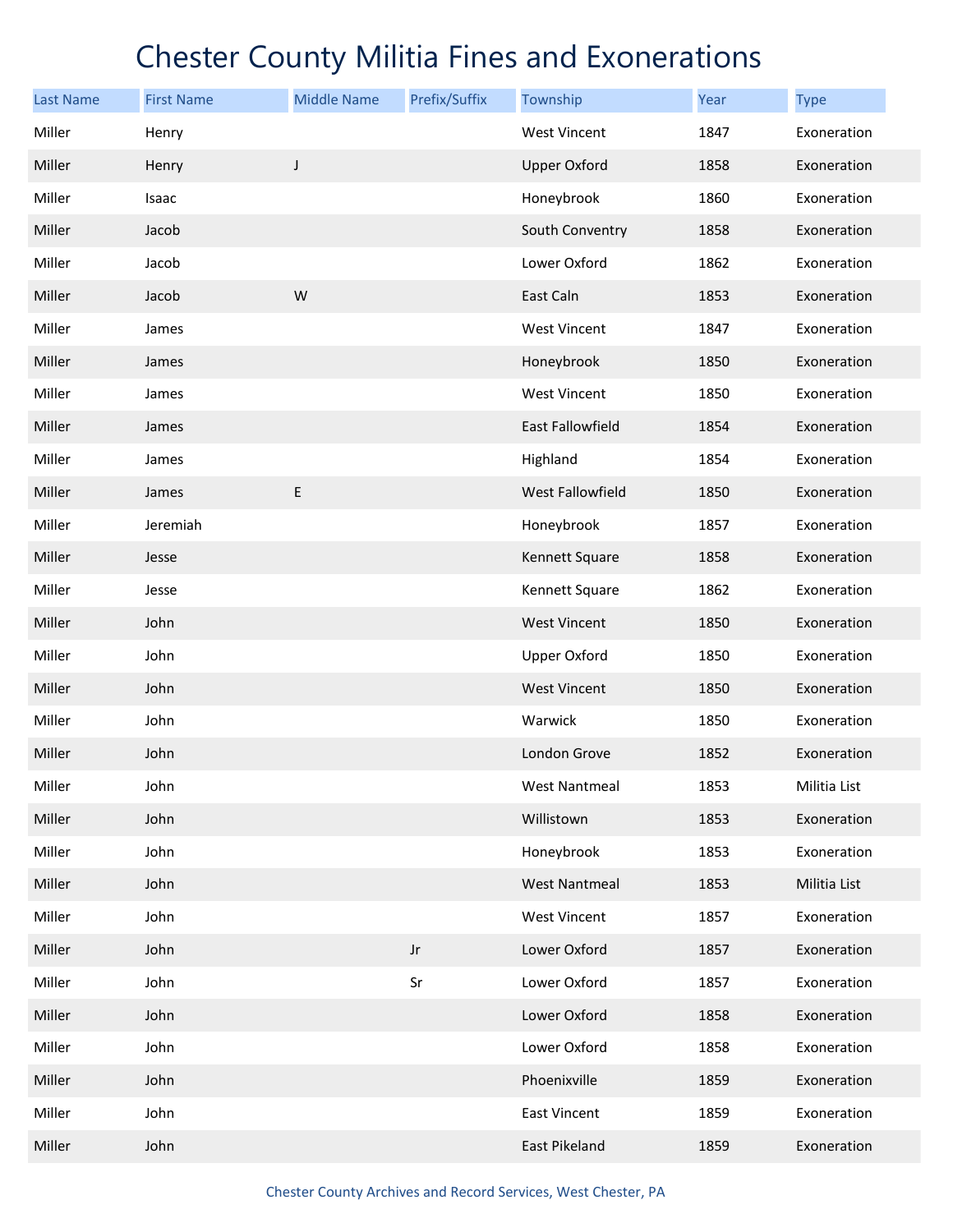| <b>Last Name</b> | <b>First Name</b> | <b>Middle Name</b> | Prefix/Suffix          | Township             | Year | <b>Type</b>  |
|------------------|-------------------|--------------------|------------------------|----------------------|------|--------------|
| Miller           | Henry             |                    |                        | <b>West Vincent</b>  | 1847 | Exoneration  |
| Miller           | Henry             | J                  |                        | <b>Upper Oxford</b>  | 1858 | Exoneration  |
| Miller           | Isaac             |                    |                        | Honeybrook           | 1860 | Exoneration  |
| Miller           | Jacob             |                    |                        | South Conventry      | 1858 | Exoneration  |
| Miller           | Jacob             |                    |                        | Lower Oxford         | 1862 | Exoneration  |
| Miller           | Jacob             | W                  |                        | East Caln            | 1853 | Exoneration  |
| Miller           | James             |                    |                        | West Vincent         | 1847 | Exoneration  |
| Miller           | James             |                    |                        | Honeybrook           | 1850 | Exoneration  |
| Miller           | James             |                    |                        | <b>West Vincent</b>  | 1850 | Exoneration  |
| Miller           | James             |                    |                        | East Fallowfield     | 1854 | Exoneration  |
| Miller           | James             |                    |                        | Highland             | 1854 | Exoneration  |
| Miller           | James             | $\sf E$            |                        | West Fallowfield     | 1850 | Exoneration  |
| Miller           | Jeremiah          |                    |                        | Honeybrook           | 1857 | Exoneration  |
| Miller           | Jesse             |                    |                        | Kennett Square       | 1858 | Exoneration  |
| Miller           | Jesse             |                    |                        | Kennett Square       | 1862 | Exoneration  |
| Miller           | John              |                    |                        | <b>West Vincent</b>  | 1850 | Exoneration  |
| Miller           | John              |                    |                        | <b>Upper Oxford</b>  | 1850 | Exoneration  |
| Miller           | John              |                    |                        | <b>West Vincent</b>  | 1850 | Exoneration  |
| Miller           | John              |                    |                        | Warwick              | 1850 | Exoneration  |
| Miller           | John              |                    |                        | London Grove         | 1852 | Exoneration  |
| Miller           | John              |                    |                        | West Nantmeal        | 1853 | Militia List |
| Miller           | John              |                    |                        | Willistown           | 1853 | Exoneration  |
| Miller           | John              |                    |                        | Honeybrook           | 1853 | Exoneration  |
| Miller           | John              |                    |                        | <b>West Nantmeal</b> | 1853 | Militia List |
| Miller           | John              |                    |                        | <b>West Vincent</b>  | 1857 | Exoneration  |
| Miller           | John              |                    | $\mathsf{J}\mathsf{r}$ | Lower Oxford         | 1857 | Exoneration  |
| Miller           | John              |                    | Sr                     | Lower Oxford         | 1857 | Exoneration  |
| Miller           | John              |                    |                        | Lower Oxford         | 1858 | Exoneration  |
| Miller           | John              |                    |                        | Lower Oxford         | 1858 | Exoneration  |
| Miller           | John              |                    |                        | Phoenixville         | 1859 | Exoneration  |
| Miller           | John              |                    |                        | East Vincent         | 1859 | Exoneration  |
| Miller           | John              |                    |                        | East Pikeland        | 1859 | Exoneration  |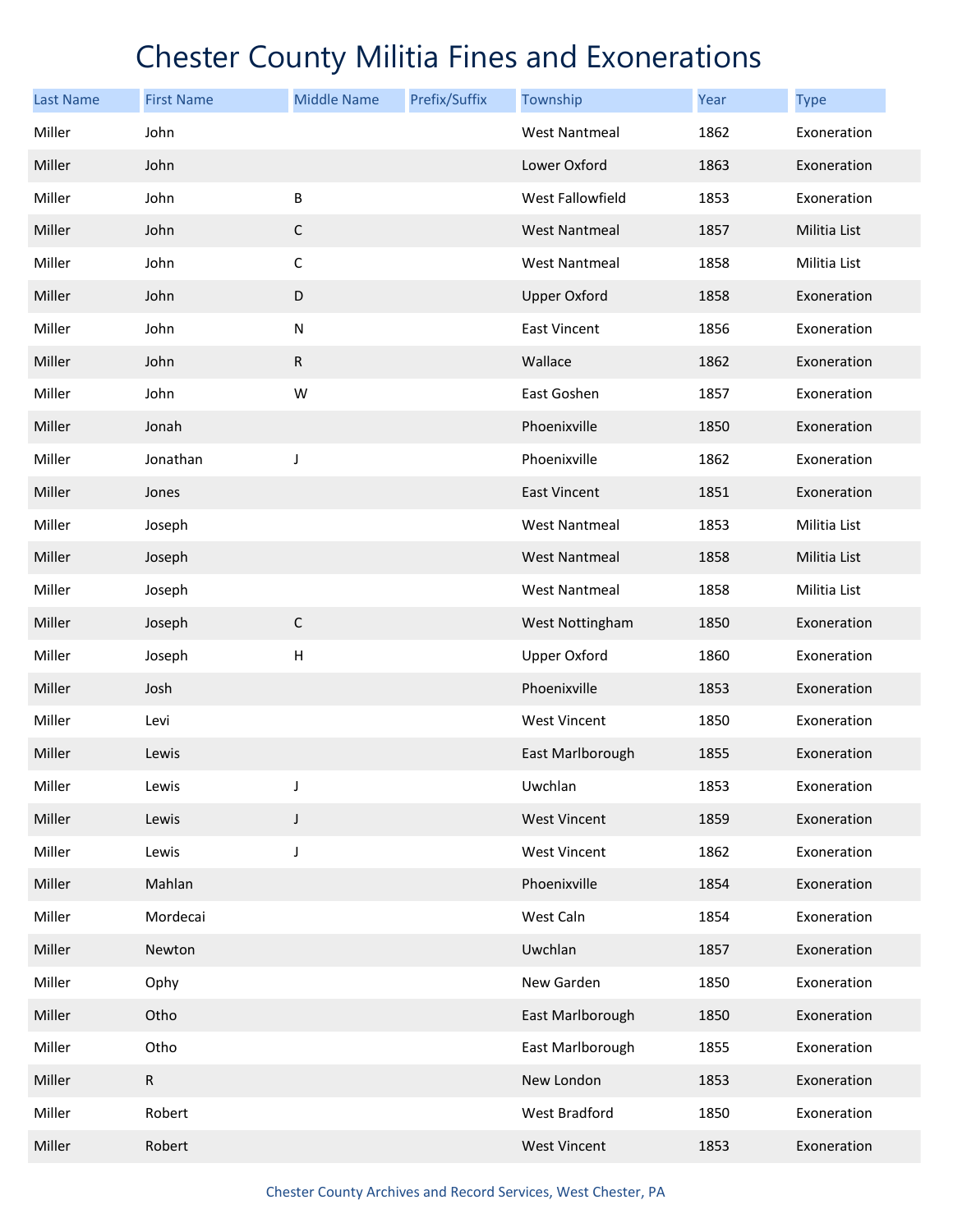| <b>Last Name</b> | <b>First Name</b> | <b>Middle Name</b> | Prefix/Suffix | Township             | Year | <b>Type</b>  |
|------------------|-------------------|--------------------|---------------|----------------------|------|--------------|
| Miller           | John              |                    |               | <b>West Nantmeal</b> | 1862 | Exoneration  |
| Miller           | John              |                    |               | Lower Oxford         | 1863 | Exoneration  |
| Miller           | John              | B                  |               | West Fallowfield     | 1853 | Exoneration  |
| Miller           | John              | $\mathsf C$        |               | <b>West Nantmeal</b> | 1857 | Militia List |
| Miller           | John              | $\mathsf C$        |               | <b>West Nantmeal</b> | 1858 | Militia List |
| Miller           | John              | $\mathsf D$        |               | <b>Upper Oxford</b>  | 1858 | Exoneration  |
| Miller           | John              | ${\sf N}$          |               | <b>East Vincent</b>  | 1856 | Exoneration  |
| Miller           | John              | ${\sf R}$          |               | Wallace              | 1862 | Exoneration  |
| Miller           | John              | W                  |               | East Goshen          | 1857 | Exoneration  |
| Miller           | Jonah             |                    |               | Phoenixville         | 1850 | Exoneration  |
| Miller           | Jonathan          | J                  |               | Phoenixville         | 1862 | Exoneration  |
| Miller           | Jones             |                    |               | <b>East Vincent</b>  | 1851 | Exoneration  |
| Miller           | Joseph            |                    |               | <b>West Nantmeal</b> | 1853 | Militia List |
| Miller           | Joseph            |                    |               | <b>West Nantmeal</b> | 1858 | Militia List |
| Miller           | Joseph            |                    |               | <b>West Nantmeal</b> | 1858 | Militia List |
| Miller           | Joseph            | $\mathsf C$        |               | West Nottingham      | 1850 | Exoneration  |
| Miller           | Joseph            | $\mathsf{H}$       |               | <b>Upper Oxford</b>  | 1860 | Exoneration  |
| Miller           | Josh              |                    |               | Phoenixville         | 1853 | Exoneration  |
| Miller           | Levi              |                    |               | <b>West Vincent</b>  | 1850 | Exoneration  |
| Miller           | Lewis             |                    |               | East Marlborough     | 1855 | Exoneration  |
| Miller           | Lewis             | J                  |               | Uwchlan              | 1853 | Exoneration  |
| Miller           | Lewis             | $\mathsf J$        |               | <b>West Vincent</b>  | 1859 | Exoneration  |
| Miller           | Lewis             | J                  |               | <b>West Vincent</b>  | 1862 | Exoneration  |
| Miller           | Mahlan            |                    |               | Phoenixville         | 1854 | Exoneration  |
| Miller           | Mordecai          |                    |               | West Caln            | 1854 | Exoneration  |
| Miller           | Newton            |                    |               | Uwchlan              | 1857 | Exoneration  |
| Miller           | Ophy              |                    |               | New Garden           | 1850 | Exoneration  |
| Miller           | Otho              |                    |               | East Marlborough     | 1850 | Exoneration  |
| Miller           | Otho              |                    |               | East Marlborough     | 1855 | Exoneration  |
| Miller           | $\mathsf{R}$      |                    |               | New London           | 1853 | Exoneration  |
| Miller           | Robert            |                    |               | West Bradford        | 1850 | Exoneration  |
| Miller           | Robert            |                    |               | <b>West Vincent</b>  | 1853 | Exoneration  |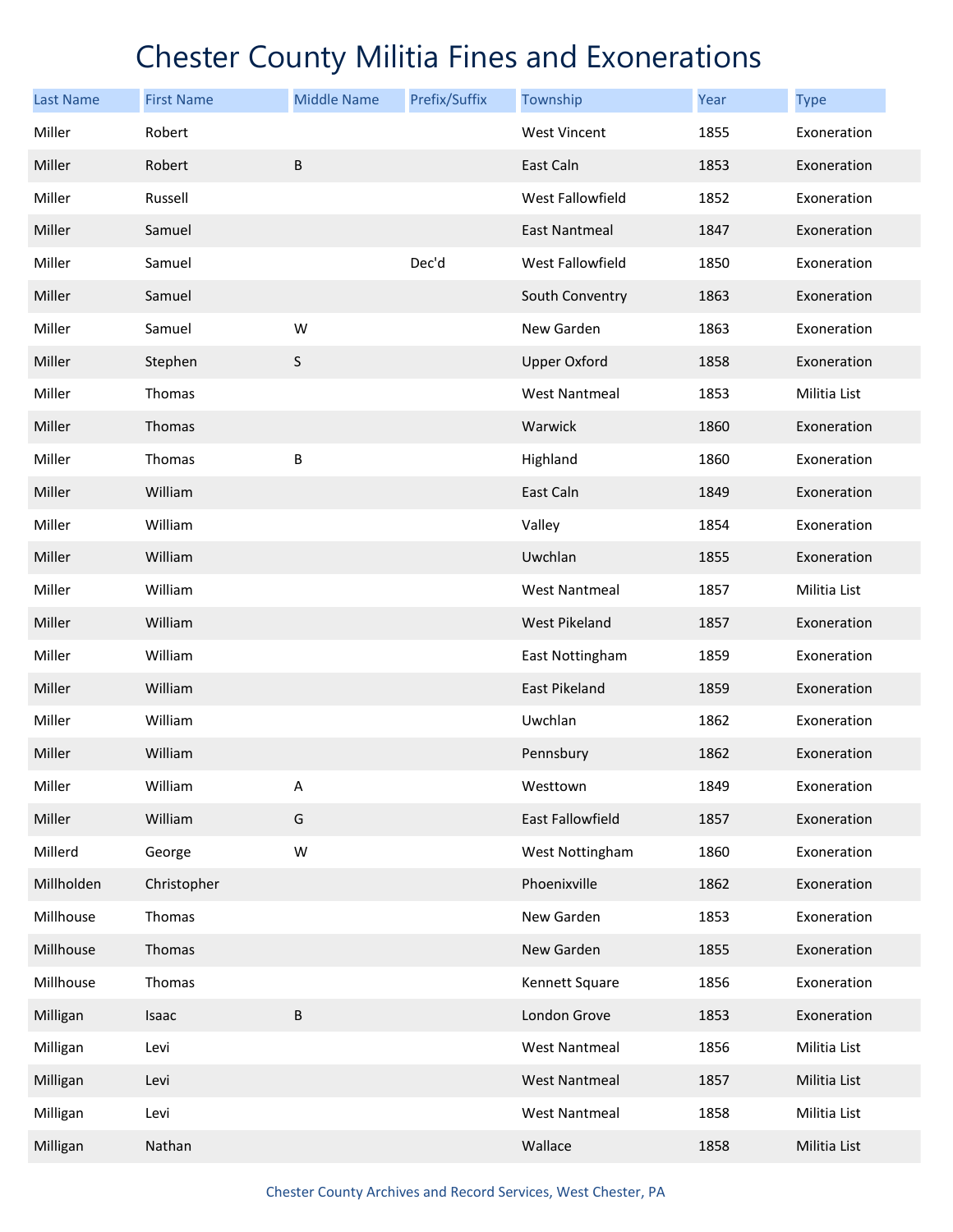| <b>Last Name</b> | <b>First Name</b> | <b>Middle Name</b> | Prefix/Suffix | Township             | Year | <b>Type</b>  |
|------------------|-------------------|--------------------|---------------|----------------------|------|--------------|
| Miller           | Robert            |                    |               | <b>West Vincent</b>  | 1855 | Exoneration  |
| Miller           | Robert            | B                  |               | East Caln            | 1853 | Exoneration  |
| Miller           | Russell           |                    |               | West Fallowfield     | 1852 | Exoneration  |
| Miller           | Samuel            |                    |               | <b>East Nantmeal</b> | 1847 | Exoneration  |
| Miller           | Samuel            |                    | Dec'd         | West Fallowfield     | 1850 | Exoneration  |
| Miller           | Samuel            |                    |               | South Conventry      | 1863 | Exoneration  |
| Miller           | Samuel            | W                  |               | New Garden           | 1863 | Exoneration  |
| Miller           | Stephen           | S                  |               | <b>Upper Oxford</b>  | 1858 | Exoneration  |
| Miller           | Thomas            |                    |               | <b>West Nantmeal</b> | 1853 | Militia List |
| Miller           | Thomas            |                    |               | Warwick              | 1860 | Exoneration  |
| Miller           | Thomas            | B                  |               | Highland             | 1860 | Exoneration  |
| Miller           | William           |                    |               | East Caln            | 1849 | Exoneration  |
| Miller           | William           |                    |               | Valley               | 1854 | Exoneration  |
| Miller           | William           |                    |               | Uwchlan              | 1855 | Exoneration  |
| Miller           | William           |                    |               | <b>West Nantmeal</b> | 1857 | Militia List |
| Miller           | William           |                    |               | <b>West Pikeland</b> | 1857 | Exoneration  |
| Miller           | William           |                    |               | East Nottingham      | 1859 | Exoneration  |
| Miller           | William           |                    |               | <b>East Pikeland</b> | 1859 | Exoneration  |
| Miller           | William           |                    |               | Uwchlan              | 1862 | Exoneration  |
| Miller           | William           |                    |               | Pennsbury            | 1862 | Exoneration  |
| Miller           | William           | Α                  |               | Westtown             | 1849 | Exoneration  |
| Miller           | William           | G                  |               | East Fallowfield     | 1857 | Exoneration  |
| Millerd          | George            | W                  |               | West Nottingham      | 1860 | Exoneration  |
| Millholden       | Christopher       |                    |               | Phoenixville         | 1862 | Exoneration  |
| Millhouse        | Thomas            |                    |               | New Garden           | 1853 | Exoneration  |
| Millhouse        | Thomas            |                    |               | New Garden           | 1855 | Exoneration  |
| Millhouse        | Thomas            |                    |               | Kennett Square       | 1856 | Exoneration  |
| Milligan         | Isaac             | B                  |               | London Grove         | 1853 | Exoneration  |
| Milligan         | Levi              |                    |               | <b>West Nantmeal</b> | 1856 | Militia List |
| Milligan         | Levi              |                    |               | <b>West Nantmeal</b> | 1857 | Militia List |
| Milligan         | Levi              |                    |               | West Nantmeal        | 1858 | Militia List |
| Milligan         | Nathan            |                    |               | Wallace              | 1858 | Militia List |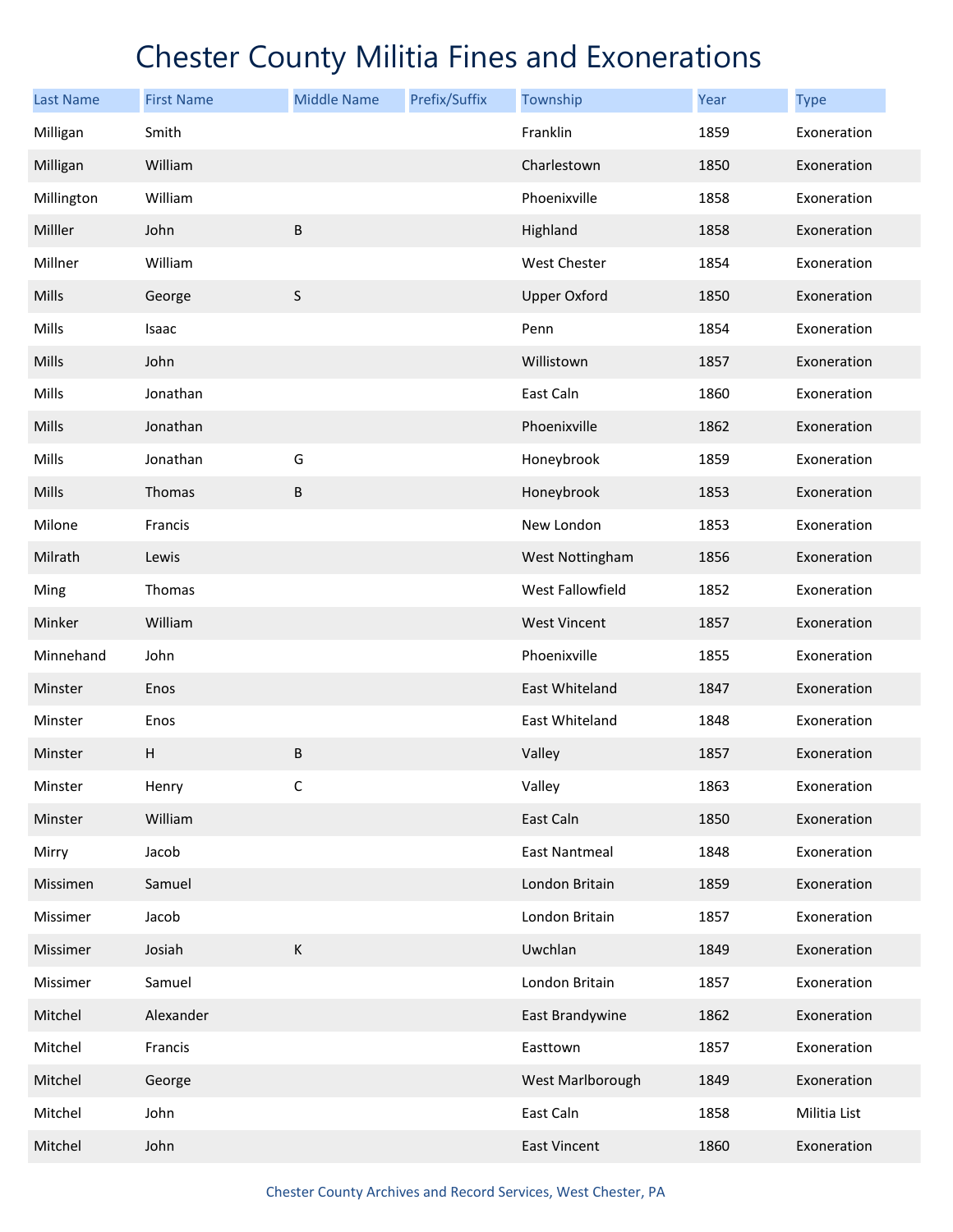| <b>Last Name</b> | <b>First Name</b> | <b>Middle Name</b> | Prefix/Suffix | Township             | Year | <b>Type</b>  |
|------------------|-------------------|--------------------|---------------|----------------------|------|--------------|
| Milligan         | Smith             |                    |               | Franklin             | 1859 | Exoneration  |
| Milligan         | William           |                    |               | Charlestown          | 1850 | Exoneration  |
| Millington       | William           |                    |               | Phoenixville         | 1858 | Exoneration  |
| Milller          | John              | B                  |               | Highland             | 1858 | Exoneration  |
| Millner          | William           |                    |               | West Chester         | 1854 | Exoneration  |
| Mills            | George            | $\sf S$            |               | <b>Upper Oxford</b>  | 1850 | Exoneration  |
| Mills            | Isaac             |                    |               | Penn                 | 1854 | Exoneration  |
| Mills            | John              |                    |               | Willistown           | 1857 | Exoneration  |
| Mills            | Jonathan          |                    |               | East Caln            | 1860 | Exoneration  |
| Mills            | Jonathan          |                    |               | Phoenixville         | 1862 | Exoneration  |
| Mills            | Jonathan          | G                  |               | Honeybrook           | 1859 | Exoneration  |
| Mills            | Thomas            | B                  |               | Honeybrook           | 1853 | Exoneration  |
| Milone           | Francis           |                    |               | New London           | 1853 | Exoneration  |
| Milrath          | Lewis             |                    |               | West Nottingham      | 1856 | Exoneration  |
| Ming             | Thomas            |                    |               | West Fallowfield     | 1852 | Exoneration  |
| Minker           | William           |                    |               | <b>West Vincent</b>  | 1857 | Exoneration  |
| Minnehand        | John              |                    |               | Phoenixville         | 1855 | Exoneration  |
| Minster          | Enos              |                    |               | East Whiteland       | 1847 | Exoneration  |
| Minster          | Enos              |                    |               | East Whiteland       | 1848 | Exoneration  |
| Minster          | Н                 | $\sf B$            |               | Valley               | 1857 | Exoneration  |
| Minster          | Henry             | С                  |               | Valley               | 1863 | Exoneration  |
| Minster          | William           |                    |               | East Caln            | 1850 | Exoneration  |
| Mirry            | Jacob             |                    |               | <b>East Nantmeal</b> | 1848 | Exoneration  |
| Missimen         | Samuel            |                    |               | London Britain       | 1859 | Exoneration  |
| Missimer         | Jacob             |                    |               | London Britain       | 1857 | Exoneration  |
| Missimer         | Josiah            | К                  |               | Uwchlan              | 1849 | Exoneration  |
| Missimer         | Samuel            |                    |               | London Britain       | 1857 | Exoneration  |
| Mitchel          | Alexander         |                    |               | East Brandywine      | 1862 | Exoneration  |
| Mitchel          | Francis           |                    |               | Easttown             | 1857 | Exoneration  |
| Mitchel          | George            |                    |               | West Marlborough     | 1849 | Exoneration  |
| Mitchel          | John              |                    |               | East Caln            | 1858 | Militia List |
| Mitchel          | John              |                    |               | East Vincent         | 1860 | Exoneration  |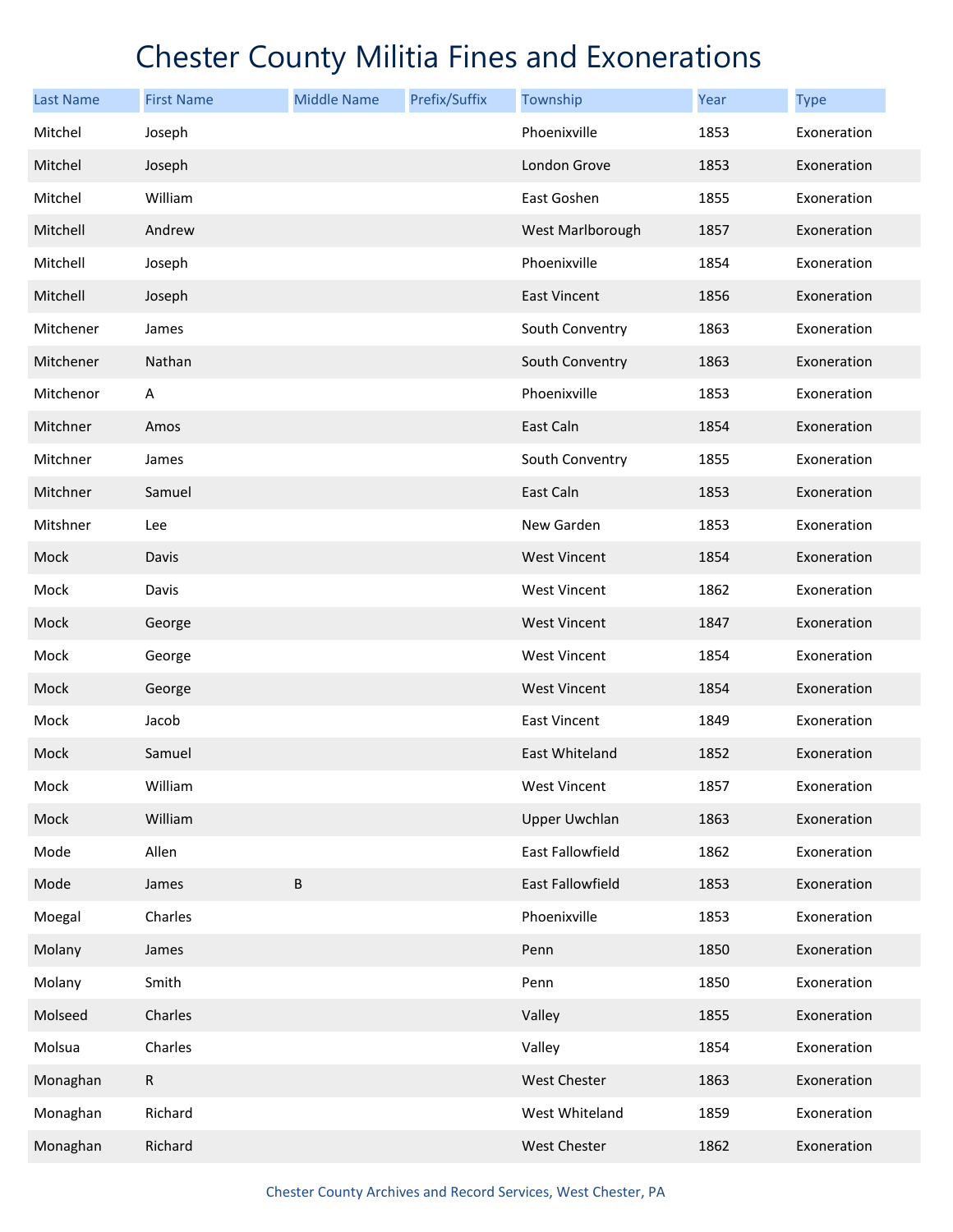| <b>Last Name</b> | <b>First Name</b> | <b>Middle Name</b> | Prefix/Suffix | Township             | Year | <b>Type</b> |
|------------------|-------------------|--------------------|---------------|----------------------|------|-------------|
| Mitchel          | Joseph            |                    |               | Phoenixville         | 1853 | Exoneration |
| Mitchel          | Joseph            |                    |               | London Grove         | 1853 | Exoneration |
| Mitchel          | William           |                    |               | East Goshen          | 1855 | Exoneration |
| Mitchell         | Andrew            |                    |               | West Marlborough     | 1857 | Exoneration |
| Mitchell         | Joseph            |                    |               | Phoenixville         | 1854 | Exoneration |
| Mitchell         | Joseph            |                    |               | East Vincent         | 1856 | Exoneration |
| Mitchener        | James             |                    |               | South Conventry      | 1863 | Exoneration |
| Mitchener        | Nathan            |                    |               | South Conventry      | 1863 | Exoneration |
| Mitchenor        | A                 |                    |               | Phoenixville         | 1853 | Exoneration |
| Mitchner         | Amos              |                    |               | East Caln            | 1854 | Exoneration |
| Mitchner         | James             |                    |               | South Conventry      | 1855 | Exoneration |
| Mitchner         | Samuel            |                    |               | East Caln            | 1853 | Exoneration |
| Mitshner         | Lee               |                    |               | New Garden           | 1853 | Exoneration |
| Mock             | Davis             |                    |               | <b>West Vincent</b>  | 1854 | Exoneration |
| Mock             | Davis             |                    |               | <b>West Vincent</b>  | 1862 | Exoneration |
| Mock             | George            |                    |               | <b>West Vincent</b>  | 1847 | Exoneration |
| Mock             | George            |                    |               | <b>West Vincent</b>  | 1854 | Exoneration |
| Mock             | George            |                    |               | <b>West Vincent</b>  | 1854 | Exoneration |
| Mock             | Jacob             |                    |               | East Vincent         | 1849 | Exoneration |
| Mock             | Samuel            |                    |               | East Whiteland       | 1852 | Exoneration |
| Mock             | William           |                    |               | West Vincent         | 1857 | Exoneration |
| Mock             | William           |                    |               | <b>Upper Uwchlan</b> | 1863 | Exoneration |
| Mode             | Allen             |                    |               | East Fallowfield     | 1862 | Exoneration |
| Mode             | James             | $\sf B$            |               | East Fallowfield     | 1853 | Exoneration |
| Moegal           | Charles           |                    |               | Phoenixville         | 1853 | Exoneration |
| Molany           | James             |                    |               | Penn                 | 1850 | Exoneration |
| Molany           | Smith             |                    |               | Penn                 | 1850 | Exoneration |
| Molseed          | Charles           |                    |               | Valley               | 1855 | Exoneration |
| Molsua           | Charles           |                    |               | Valley               | 1854 | Exoneration |
| Monaghan         | $\mathsf{R}$      |                    |               | <b>West Chester</b>  | 1863 | Exoneration |
| Monaghan         | Richard           |                    |               | West Whiteland       | 1859 | Exoneration |
| Monaghan         | Richard           |                    |               | West Chester         | 1862 | Exoneration |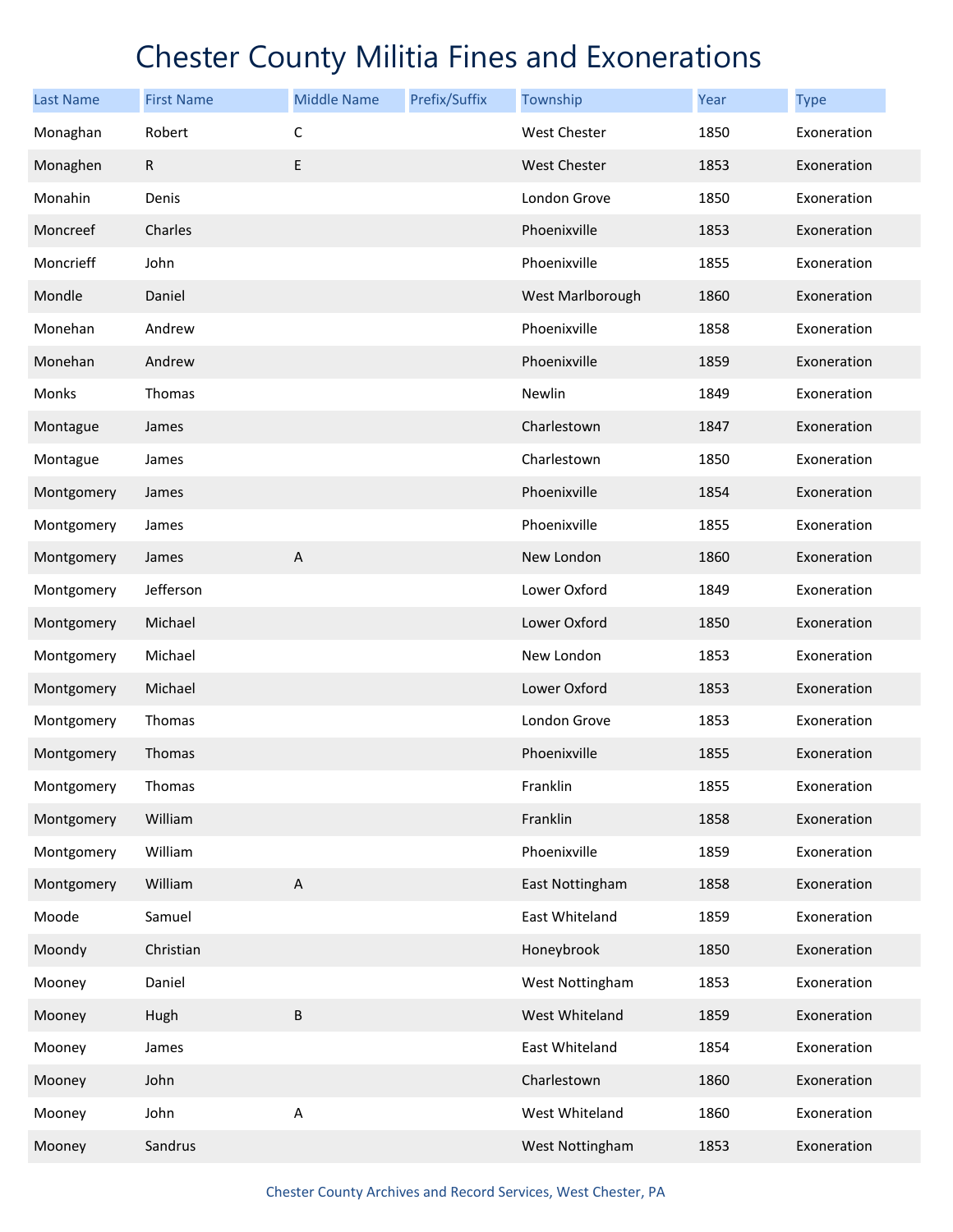| <b>Last Name</b> | <b>First Name</b> | <b>Middle Name</b>        | Prefix/Suffix | Township            | Year | <b>Type</b> |
|------------------|-------------------|---------------------------|---------------|---------------------|------|-------------|
| Monaghan         | Robert            | C                         |               | <b>West Chester</b> | 1850 | Exoneration |
| Monaghen         | $\mathsf R$       | E                         |               | <b>West Chester</b> | 1853 | Exoneration |
| Monahin          | Denis             |                           |               | London Grove        | 1850 | Exoneration |
| Moncreef         | Charles           |                           |               | Phoenixville        | 1853 | Exoneration |
| Moncrieff        | John              |                           |               | Phoenixville        | 1855 | Exoneration |
| Mondle           | Daniel            |                           |               | West Marlborough    | 1860 | Exoneration |
| Monehan          | Andrew            |                           |               | Phoenixville        | 1858 | Exoneration |
| Monehan          | Andrew            |                           |               | Phoenixville        | 1859 | Exoneration |
| Monks            | Thomas            |                           |               | Newlin              | 1849 | Exoneration |
| Montague         | James             |                           |               | Charlestown         | 1847 | Exoneration |
| Montague         | James             |                           |               | Charlestown         | 1850 | Exoneration |
| Montgomery       | James             |                           |               | Phoenixville        | 1854 | Exoneration |
| Montgomery       | James             |                           |               | Phoenixville        | 1855 | Exoneration |
| Montgomery       | James             | $\boldsymbol{\mathsf{A}}$ |               | New London          | 1860 | Exoneration |
| Montgomery       | Jefferson         |                           |               | Lower Oxford        | 1849 | Exoneration |
| Montgomery       | Michael           |                           |               | Lower Oxford        | 1850 | Exoneration |
| Montgomery       | Michael           |                           |               | New London          | 1853 | Exoneration |
| Montgomery       | Michael           |                           |               | Lower Oxford        | 1853 | Exoneration |
| Montgomery       | Thomas            |                           |               | London Grove        | 1853 | Exoneration |
| Montgomery       | Thomas            |                           |               | Phoenixville        | 1855 | Exoneration |
| Montgomery       | Thomas            |                           |               | Franklin            | 1855 | Exoneration |
| Montgomery       | William           |                           |               | Franklin            | 1858 | Exoneration |
| Montgomery       | William           |                           |               | Phoenixville        | 1859 | Exoneration |
| Montgomery       | William           | $\boldsymbol{\mathsf{A}}$ |               | East Nottingham     | 1858 | Exoneration |
| Moode            | Samuel            |                           |               | East Whiteland      | 1859 | Exoneration |
| Moondy           | Christian         |                           |               | Honeybrook          | 1850 | Exoneration |
| Mooney           | Daniel            |                           |               | West Nottingham     | 1853 | Exoneration |
| Mooney           | Hugh              | $\sf B$                   |               | West Whiteland      | 1859 | Exoneration |
| Mooney           | James             |                           |               | East Whiteland      | 1854 | Exoneration |
| Mooney           | John              |                           |               | Charlestown         | 1860 | Exoneration |
| Mooney           | John              | $\boldsymbol{\mathsf{A}}$ |               | West Whiteland      | 1860 | Exoneration |
| Mooney           | Sandrus           |                           |               | West Nottingham     | 1853 | Exoneration |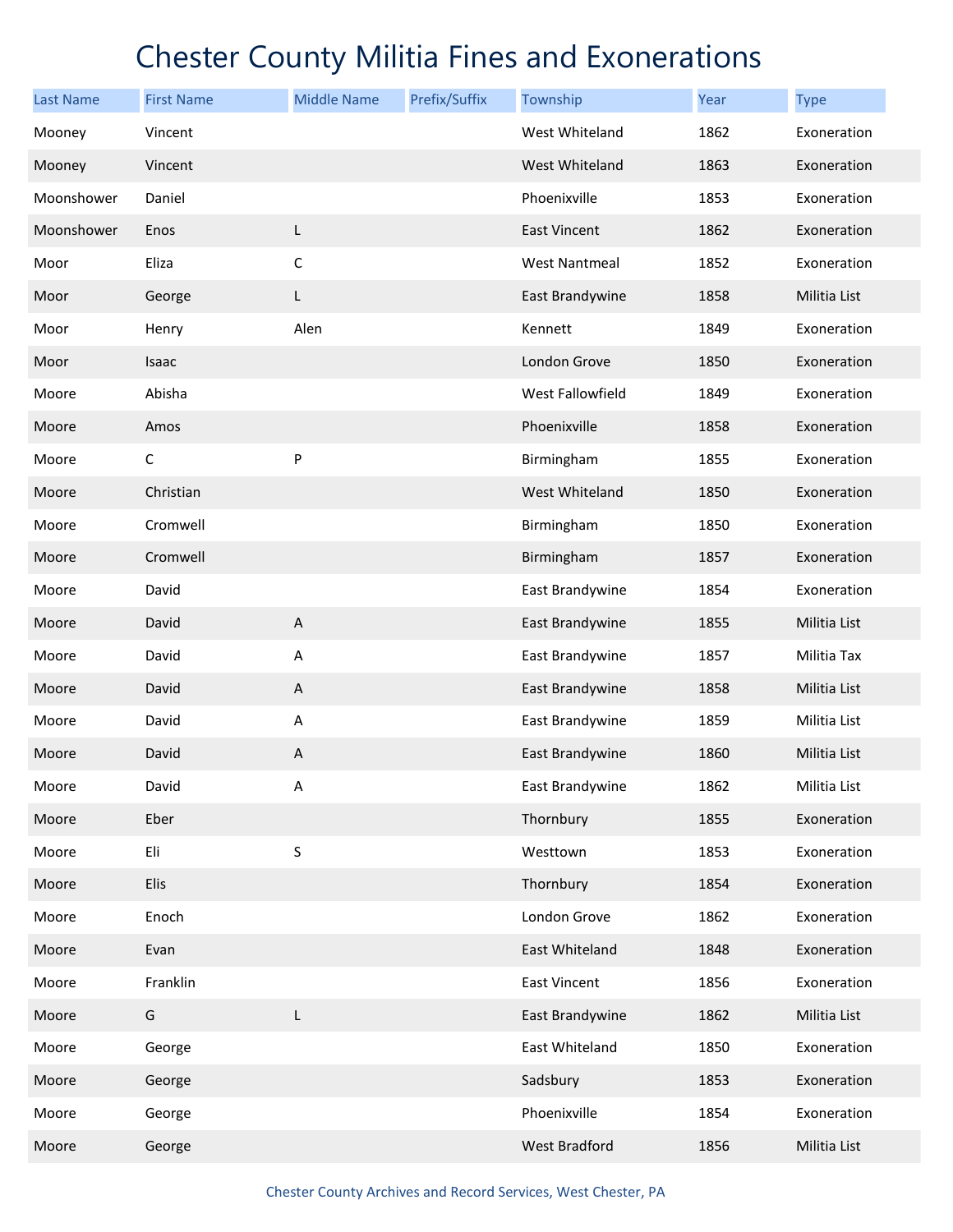| <b>Last Name</b> | <b>First Name</b> | <b>Middle Name</b>        | Prefix/Suffix | Township             | Year | <b>Type</b>  |
|------------------|-------------------|---------------------------|---------------|----------------------|------|--------------|
| Mooney           | Vincent           |                           |               | West Whiteland       | 1862 | Exoneration  |
| Mooney           | Vincent           |                           |               | West Whiteland       | 1863 | Exoneration  |
| Moonshower       | Daniel            |                           |               | Phoenixville         | 1853 | Exoneration  |
| Moonshower       | Enos              | L                         |               | <b>East Vincent</b>  | 1862 | Exoneration  |
| Moor             | Eliza             | $\mathsf C$               |               | <b>West Nantmeal</b> | 1852 | Exoneration  |
| Moor             | George            | L                         |               | East Brandywine      | 1858 | Militia List |
| Moor             | Henry             | Alen                      |               | Kennett              | 1849 | Exoneration  |
| Moor             | Isaac             |                           |               | London Grove         | 1850 | Exoneration  |
| Moore            | Abisha            |                           |               | West Fallowfield     | 1849 | Exoneration  |
| Moore            | Amos              |                           |               | Phoenixville         | 1858 | Exoneration  |
| Moore            | С                 | P                         |               | Birmingham           | 1855 | Exoneration  |
| Moore            | Christian         |                           |               | West Whiteland       | 1850 | Exoneration  |
| Moore            | Cromwell          |                           |               | Birmingham           | 1850 | Exoneration  |
| Moore            | Cromwell          |                           |               | Birmingham           | 1857 | Exoneration  |
| Moore            | David             |                           |               | East Brandywine      | 1854 | Exoneration  |
| Moore            | David             | $\boldsymbol{\mathsf{A}}$ |               | East Brandywine      | 1855 | Militia List |
| Moore            | David             | Α                         |               | East Brandywine      | 1857 | Militia Tax  |
| Moore            | David             | $\boldsymbol{\mathsf{A}}$ |               | East Brandywine      | 1858 | Militia List |
| Moore            | David             | Α                         |               | East Brandywine      | 1859 | Militia List |
| Moore            | David             | A                         |               | East Brandywine      | 1860 | Militia List |
| Moore            | David             | Α                         |               | East Brandywine      | 1862 | Militia List |
| Moore            | Eber              |                           |               | Thornbury            | 1855 | Exoneration  |
| Moore            | Eli               | $\sf S$                   |               | Westtown             | 1853 | Exoneration  |
| Moore            | Elis              |                           |               | Thornbury            | 1854 | Exoneration  |
| Moore            | Enoch             |                           |               | London Grove         | 1862 | Exoneration  |
| Moore            | Evan              |                           |               | East Whiteland       | 1848 | Exoneration  |
| Moore            | Franklin          |                           |               | East Vincent         | 1856 | Exoneration  |
| Moore            | G                 | L                         |               | East Brandywine      | 1862 | Militia List |
| Moore            | George            |                           |               | East Whiteland       | 1850 | Exoneration  |
| Moore            | George            |                           |               | Sadsbury             | 1853 | Exoneration  |
| Moore            | George            |                           |               | Phoenixville         | 1854 | Exoneration  |
| Moore            | George            |                           |               | West Bradford        | 1856 | Militia List |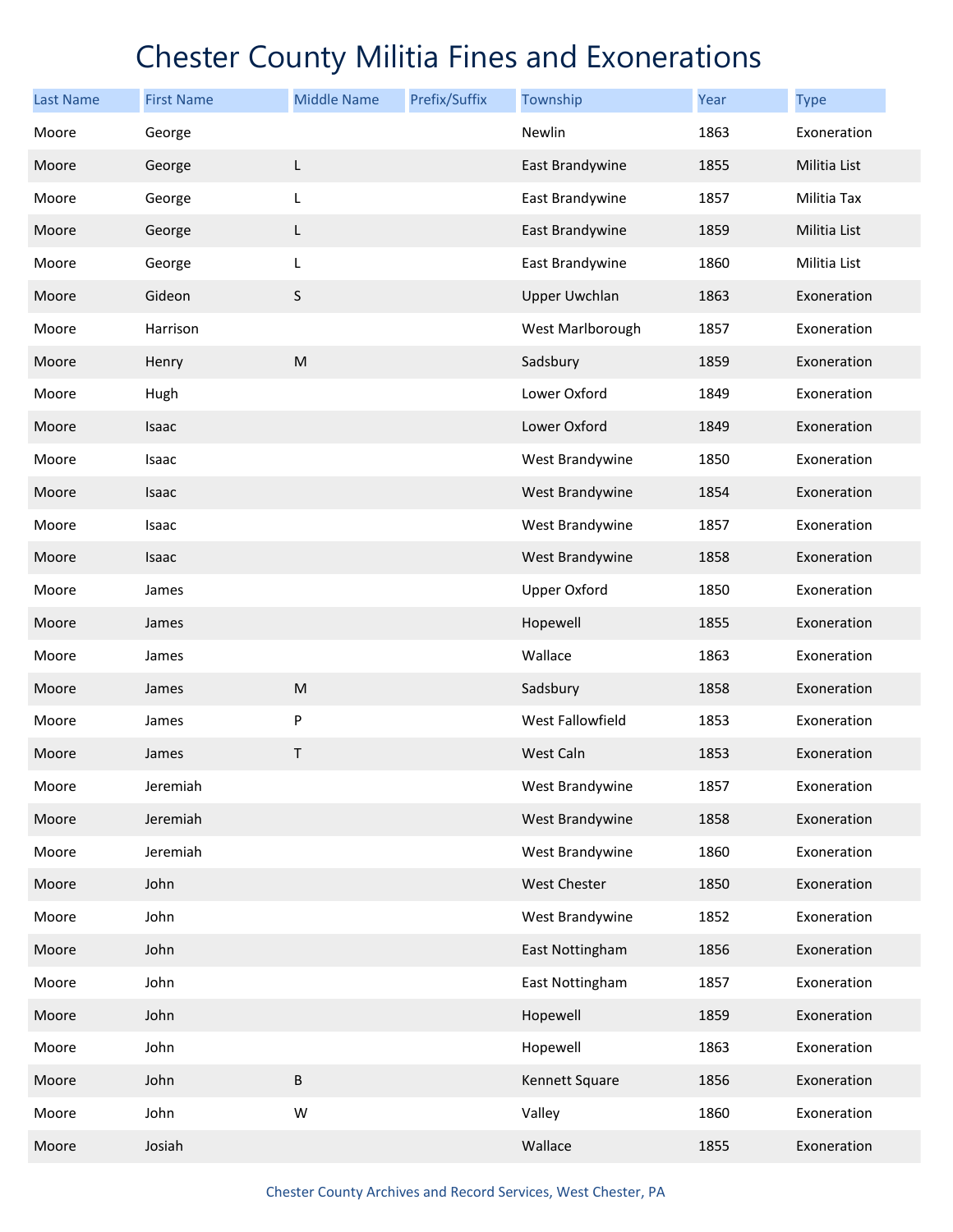| <b>Last Name</b> | <b>First Name</b> | <b>Middle Name</b> | Prefix/Suffix | Township             | Year | <b>Type</b>  |
|------------------|-------------------|--------------------|---------------|----------------------|------|--------------|
| Moore            | George            |                    |               | Newlin               | 1863 | Exoneration  |
| Moore            | George            | L                  |               | East Brandywine      | 1855 | Militia List |
| Moore            | George            | L                  |               | East Brandywine      | 1857 | Militia Tax  |
| Moore            | George            | L                  |               | East Brandywine      | 1859 | Militia List |
| Moore            | George            | L                  |               | East Brandywine      | 1860 | Militia List |
| Moore            | Gideon            | $\sf S$            |               | <b>Upper Uwchlan</b> | 1863 | Exoneration  |
| Moore            | Harrison          |                    |               | West Marlborough     | 1857 | Exoneration  |
| Moore            | Henry             | ${\sf M}$          |               | Sadsbury             | 1859 | Exoneration  |
| Moore            | Hugh              |                    |               | Lower Oxford         | 1849 | Exoneration  |
| Moore            | Isaac             |                    |               | Lower Oxford         | 1849 | Exoneration  |
| Moore            | Isaac             |                    |               | West Brandywine      | 1850 | Exoneration  |
| Moore            | Isaac             |                    |               | West Brandywine      | 1854 | Exoneration  |
| Moore            | Isaac             |                    |               | West Brandywine      | 1857 | Exoneration  |
| Moore            | Isaac             |                    |               | West Brandywine      | 1858 | Exoneration  |
| Moore            | James             |                    |               | <b>Upper Oxford</b>  | 1850 | Exoneration  |
| Moore            | James             |                    |               | Hopewell             | 1855 | Exoneration  |
| Moore            | James             |                    |               | Wallace              | 1863 | Exoneration  |
| Moore            | James             | ${\sf M}$          |               | Sadsbury             | 1858 | Exoneration  |
| Moore            | James             | P                  |               | West Fallowfield     | 1853 | Exoneration  |
| Moore            | James             | T                  |               | West Caln            | 1853 | Exoneration  |
| Moore            | Jeremiah          |                    |               | West Brandywine      | 1857 | Exoneration  |
| Moore            | Jeremiah          |                    |               | West Brandywine      | 1858 | Exoneration  |
| Moore            | Jeremiah          |                    |               | West Brandywine      | 1860 | Exoneration  |
| Moore            | John              |                    |               | West Chester         | 1850 | Exoneration  |
| Moore            | John              |                    |               | West Brandywine      | 1852 | Exoneration  |
| Moore            | John              |                    |               | East Nottingham      | 1856 | Exoneration  |
| Moore            | John              |                    |               | East Nottingham      | 1857 | Exoneration  |
| Moore            | John              |                    |               | Hopewell             | 1859 | Exoneration  |
| Moore            | John              |                    |               | Hopewell             | 1863 | Exoneration  |
| Moore            | John              | $\sf B$            |               | Kennett Square       | 1856 | Exoneration  |
| Moore            | John              | W                  |               | Valley               | 1860 | Exoneration  |
| Moore            | Josiah            |                    |               | Wallace              | 1855 | Exoneration  |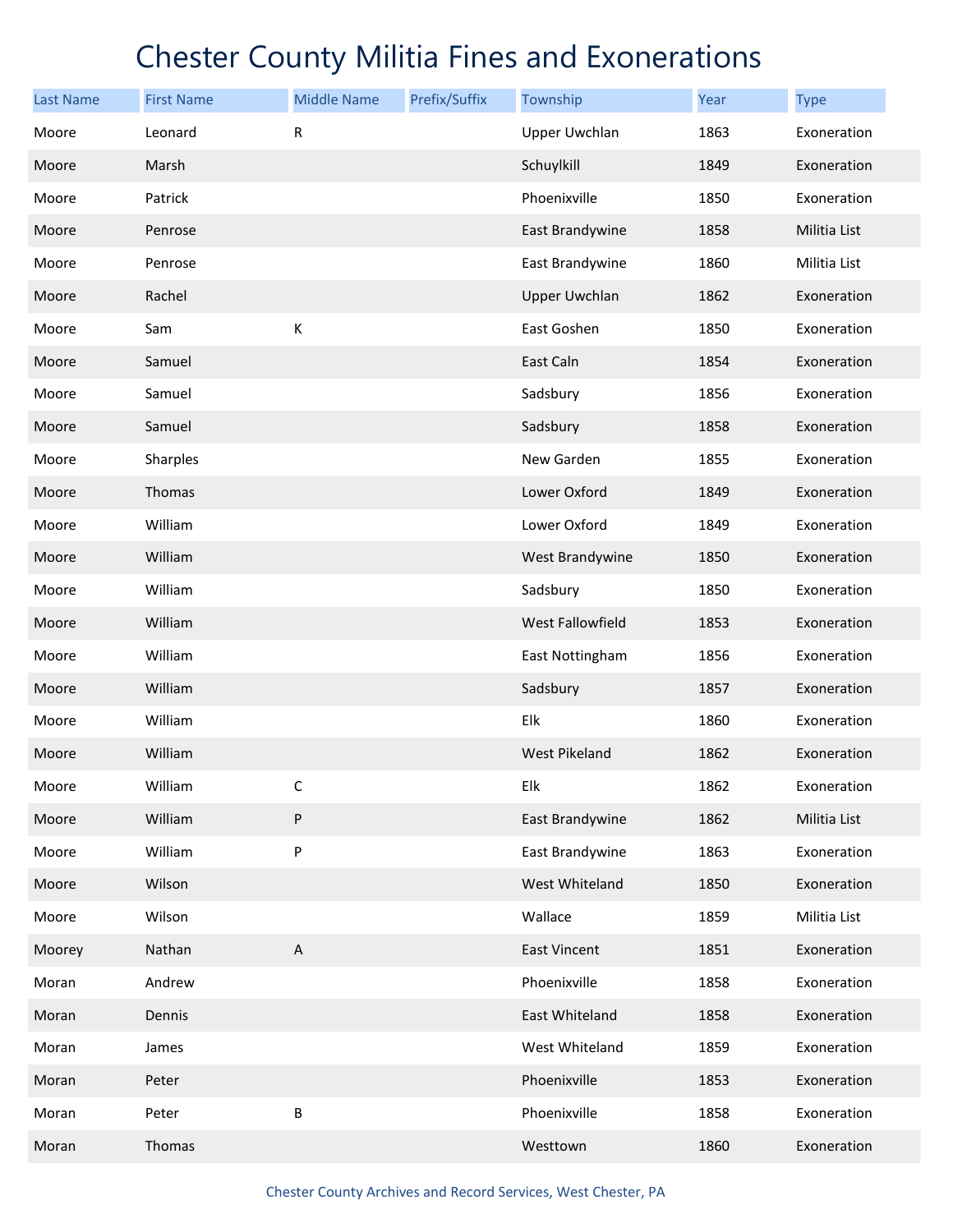| <b>Last Name</b> | <b>First Name</b> | <b>Middle Name</b>        | Prefix/Suffix | Township             | Year | <b>Type</b>  |
|------------------|-------------------|---------------------------|---------------|----------------------|------|--------------|
| Moore            | Leonard           | R                         |               | <b>Upper Uwchlan</b> | 1863 | Exoneration  |
| Moore            | Marsh             |                           |               | Schuylkill           | 1849 | Exoneration  |
| Moore            | Patrick           |                           |               | Phoenixville         | 1850 | Exoneration  |
| Moore            | Penrose           |                           |               | East Brandywine      | 1858 | Militia List |
| Moore            | Penrose           |                           |               | East Brandywine      | 1860 | Militia List |
| Moore            | Rachel            |                           |               | <b>Upper Uwchlan</b> | 1862 | Exoneration  |
| Moore            | Sam               | К                         |               | East Goshen          | 1850 | Exoneration  |
| Moore            | Samuel            |                           |               | East Caln            | 1854 | Exoneration  |
| Moore            | Samuel            |                           |               | Sadsbury             | 1856 | Exoneration  |
| Moore            | Samuel            |                           |               | Sadsbury             | 1858 | Exoneration  |
| Moore            | Sharples          |                           |               | New Garden           | 1855 | Exoneration  |
| Moore            | Thomas            |                           |               | Lower Oxford         | 1849 | Exoneration  |
| Moore            | William           |                           |               | Lower Oxford         | 1849 | Exoneration  |
| Moore            | William           |                           |               | West Brandywine      | 1850 | Exoneration  |
| Moore            | William           |                           |               | Sadsbury             | 1850 | Exoneration  |
| Moore            | William           |                           |               | West Fallowfield     | 1853 | Exoneration  |
| Moore            | William           |                           |               | East Nottingham      | 1856 | Exoneration  |
| Moore            | William           |                           |               | Sadsbury             | 1857 | Exoneration  |
| Moore            | William           |                           |               | Elk                  | 1860 | Exoneration  |
| Moore            | William           |                           |               | <b>West Pikeland</b> | 1862 | Exoneration  |
| Moore            | William           | С                         |               | Elk                  | 1862 | Exoneration  |
| Moore            | William           | ${\sf P}$                 |               | East Brandywine      | 1862 | Militia List |
| Moore            | William           | P                         |               | East Brandywine      | 1863 | Exoneration  |
| Moore            | Wilson            |                           |               | West Whiteland       | 1850 | Exoneration  |
| Moore            | Wilson            |                           |               | Wallace              | 1859 | Militia List |
| Moorey           | Nathan            | $\boldsymbol{\mathsf{A}}$ |               | <b>East Vincent</b>  | 1851 | Exoneration  |
| Moran            | Andrew            |                           |               | Phoenixville         | 1858 | Exoneration  |
| Moran            | Dennis            |                           |               | East Whiteland       | 1858 | Exoneration  |
| Moran            | James             |                           |               | West Whiteland       | 1859 | Exoneration  |
| Moran            | Peter             |                           |               | Phoenixville         | 1853 | Exoneration  |
| Moran            | Peter             | Β                         |               | Phoenixville         | 1858 | Exoneration  |
| Moran            | Thomas            |                           |               | Westtown             | 1860 | Exoneration  |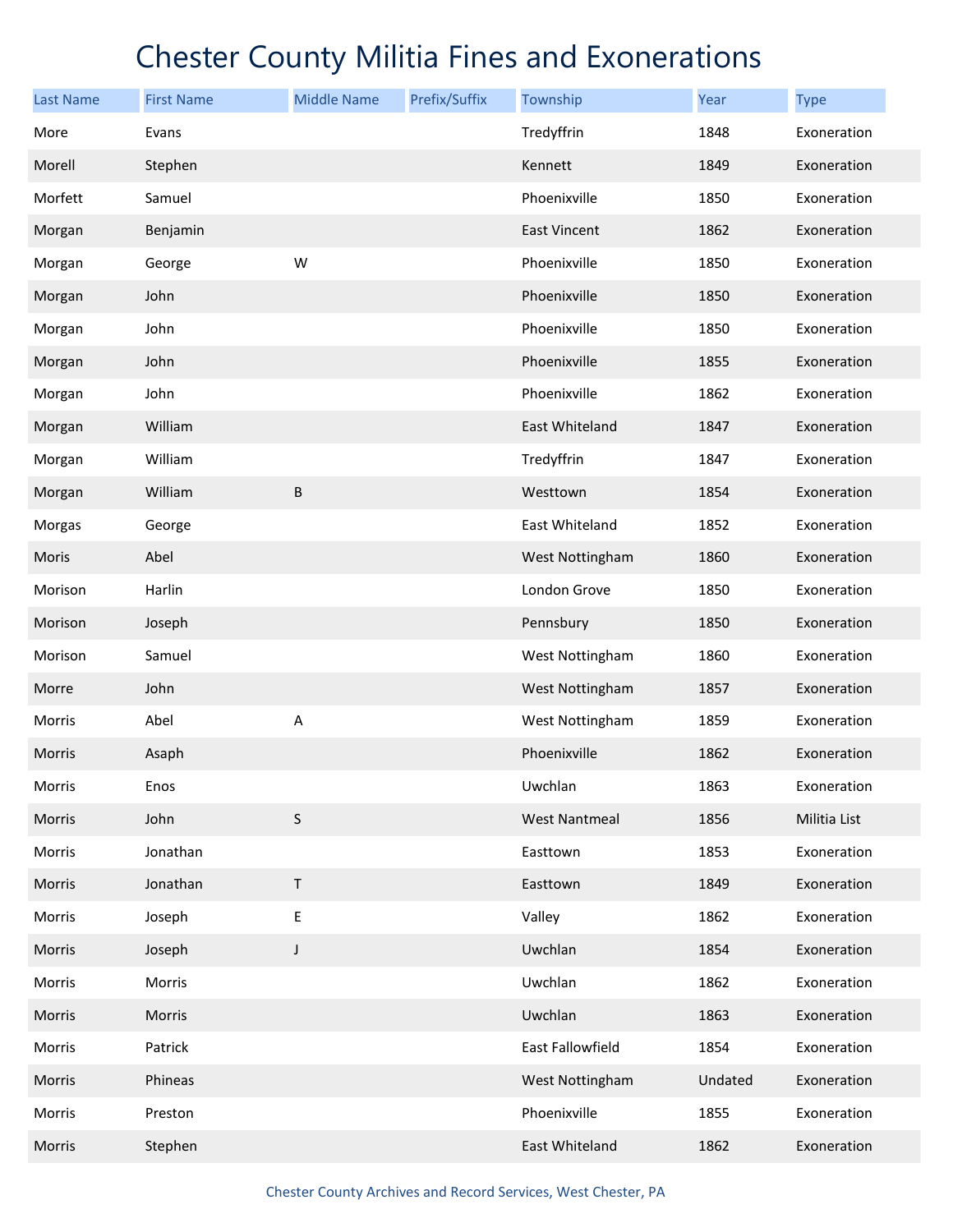| <b>Last Name</b> | <b>First Name</b> | <b>Middle Name</b> | Prefix/Suffix | Township             | Year    | <b>Type</b>  |
|------------------|-------------------|--------------------|---------------|----------------------|---------|--------------|
| More             | Evans             |                    |               | Tredyffrin           | 1848    | Exoneration  |
| Morell           | Stephen           |                    |               | Kennett              | 1849    | Exoneration  |
| Morfett          | Samuel            |                    |               | Phoenixville         | 1850    | Exoneration  |
| Morgan           | Benjamin          |                    |               | <b>East Vincent</b>  | 1862    | Exoneration  |
| Morgan           | George            | W                  |               | Phoenixville         | 1850    | Exoneration  |
| Morgan           | John              |                    |               | Phoenixville         | 1850    | Exoneration  |
| Morgan           | John              |                    |               | Phoenixville         | 1850    | Exoneration  |
| Morgan           | John              |                    |               | Phoenixville         | 1855    | Exoneration  |
| Morgan           | John              |                    |               | Phoenixville         | 1862    | Exoneration  |
| Morgan           | William           |                    |               | East Whiteland       | 1847    | Exoneration  |
| Morgan           | William           |                    |               | Tredyffrin           | 1847    | Exoneration  |
| Morgan           | William           | B                  |               | Westtown             | 1854    | Exoneration  |
| Morgas           | George            |                    |               | East Whiteland       | 1852    | Exoneration  |
| Moris            | Abel              |                    |               | West Nottingham      | 1860    | Exoneration  |
| Morison          | Harlin            |                    |               | London Grove         | 1850    | Exoneration  |
| Morison          | Joseph            |                    |               | Pennsbury            | 1850    | Exoneration  |
| Morison          | Samuel            |                    |               | West Nottingham      | 1860    | Exoneration  |
| Morre            | John              |                    |               | West Nottingham      | 1857    | Exoneration  |
| Morris           | Abel              | Α                  |               | West Nottingham      | 1859    | Exoneration  |
| Morris           | Asaph             |                    |               | Phoenixville         | 1862    | Exoneration  |
| Morris           | Enos              |                    |               | Uwchlan              | 1863    | Exoneration  |
| Morris           | John              | $\sf S$            |               | <b>West Nantmeal</b> | 1856    | Militia List |
| Morris           | Jonathan          |                    |               | Easttown             | 1853    | Exoneration  |
| Morris           | Jonathan          | $\sf T$            |               | Easttown             | 1849    | Exoneration  |
| Morris           | Joseph            | E                  |               | Valley               | 1862    | Exoneration  |
| Morris           | Joseph            | $\mathsf J$        |               | Uwchlan              | 1854    | Exoneration  |
| Morris           | Morris            |                    |               | Uwchlan              | 1862    | Exoneration  |
| Morris           | Morris            |                    |               | Uwchlan              | 1863    | Exoneration  |
| Morris           | Patrick           |                    |               | East Fallowfield     | 1854    | Exoneration  |
| Morris           | Phineas           |                    |               | West Nottingham      | Undated | Exoneration  |
| Morris           | Preston           |                    |               | Phoenixville         | 1855    | Exoneration  |
| Morris           | Stephen           |                    |               | East Whiteland       | 1862    | Exoneration  |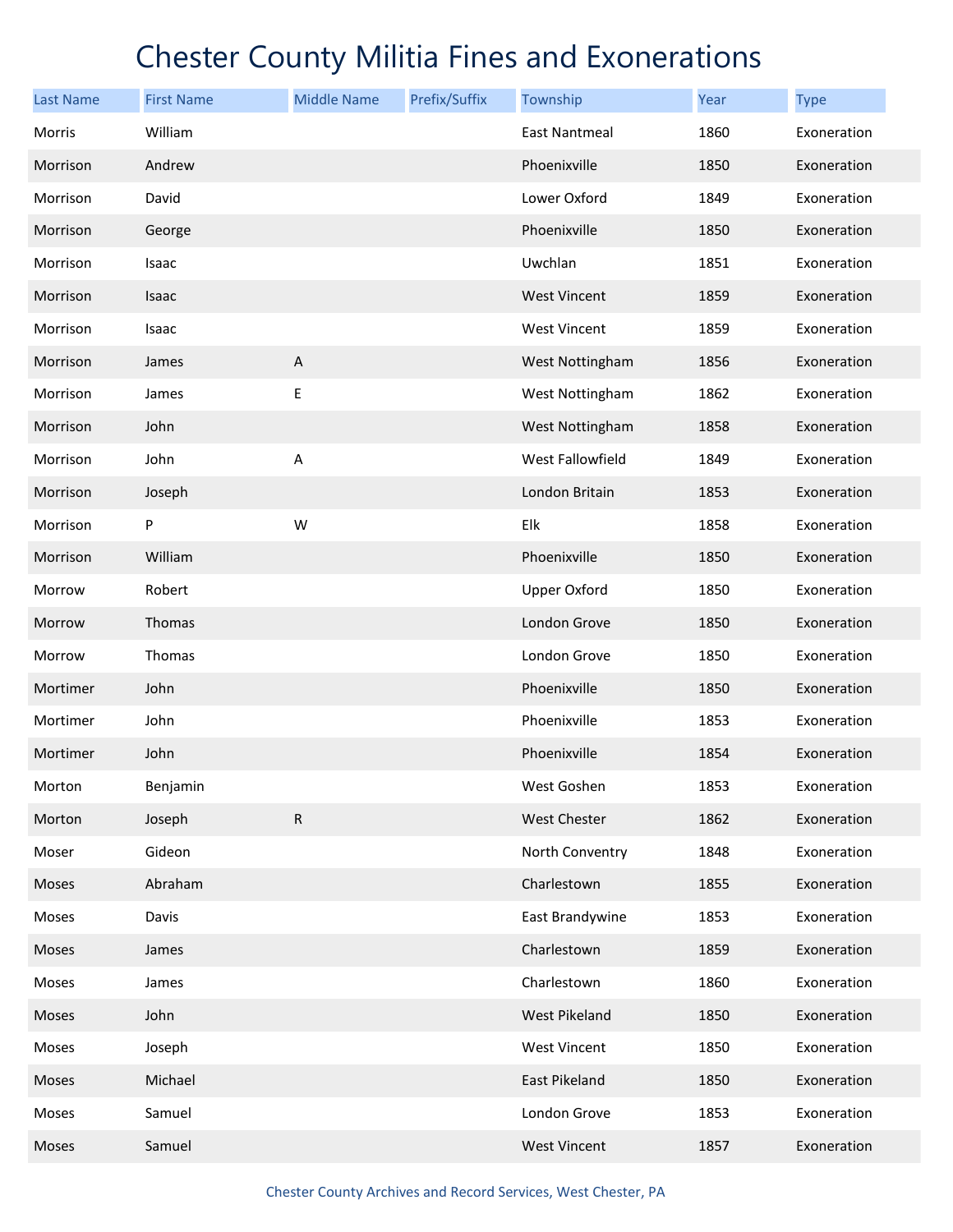| <b>Last Name</b> | <b>First Name</b> | <b>Middle Name</b>        | Prefix/Suffix | Township             | Year | <b>Type</b> |
|------------------|-------------------|---------------------------|---------------|----------------------|------|-------------|
| Morris           | William           |                           |               | <b>East Nantmeal</b> | 1860 | Exoneration |
| Morrison         | Andrew            |                           |               | Phoenixville         | 1850 | Exoneration |
| Morrison         | David             |                           |               | Lower Oxford         | 1849 | Exoneration |
| Morrison         | George            |                           |               | Phoenixville         | 1850 | Exoneration |
| Morrison         | Isaac             |                           |               | Uwchlan              | 1851 | Exoneration |
| Morrison         | Isaac             |                           |               | <b>West Vincent</b>  | 1859 | Exoneration |
| Morrison         | Isaac             |                           |               | <b>West Vincent</b>  | 1859 | Exoneration |
| Morrison         | James             | $\boldsymbol{\mathsf{A}}$ |               | West Nottingham      | 1856 | Exoneration |
| Morrison         | James             | E                         |               | West Nottingham      | 1862 | Exoneration |
| Morrison         | John              |                           |               | West Nottingham      | 1858 | Exoneration |
| Morrison         | John              | $\boldsymbol{\mathsf{A}}$ |               | West Fallowfield     | 1849 | Exoneration |
| Morrison         | Joseph            |                           |               | London Britain       | 1853 | Exoneration |
| Morrison         | P                 | W                         |               | Elk                  | 1858 | Exoneration |
| Morrison         | William           |                           |               | Phoenixville         | 1850 | Exoneration |
| Morrow           | Robert            |                           |               | <b>Upper Oxford</b>  | 1850 | Exoneration |
| Morrow           | Thomas            |                           |               | London Grove         | 1850 | Exoneration |
| Morrow           | Thomas            |                           |               | London Grove         | 1850 | Exoneration |
| Mortimer         | John              |                           |               | Phoenixville         | 1850 | Exoneration |
| Mortimer         | John              |                           |               | Phoenixville         | 1853 | Exoneration |
| Mortimer         | John              |                           |               | Phoenixville         | 1854 | Exoneration |
| Morton           | Benjamin          |                           |               | West Goshen          | 1853 | Exoneration |
| Morton           | Joseph            | $\mathsf{R}$              |               | West Chester         | 1862 | Exoneration |
| Moser            | Gideon            |                           |               | North Conventry      | 1848 | Exoneration |
| Moses            | Abraham           |                           |               | Charlestown          | 1855 | Exoneration |
| Moses            | Davis             |                           |               | East Brandywine      | 1853 | Exoneration |
| Moses            | James             |                           |               | Charlestown          | 1859 | Exoneration |
| Moses            | James             |                           |               | Charlestown          | 1860 | Exoneration |
| Moses            | John              |                           |               | West Pikeland        | 1850 | Exoneration |
| Moses            | Joseph            |                           |               | <b>West Vincent</b>  | 1850 | Exoneration |
| Moses            | Michael           |                           |               | East Pikeland        | 1850 | Exoneration |
| Moses            | Samuel            |                           |               | London Grove         | 1853 | Exoneration |
| Moses            | Samuel            |                           |               | <b>West Vincent</b>  | 1857 | Exoneration |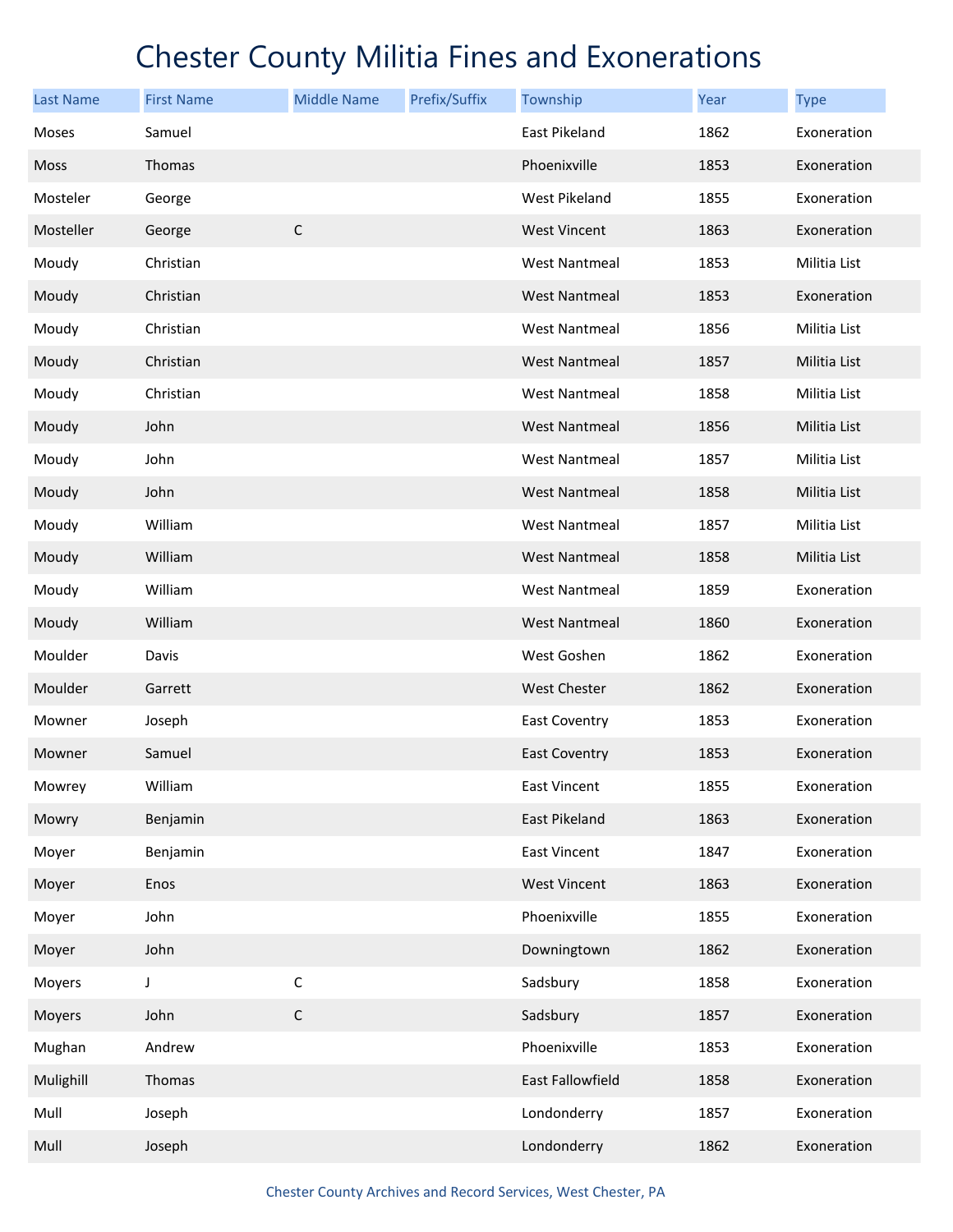| <b>Last Name</b> | <b>First Name</b> | <b>Middle Name</b> | Prefix/Suffix | Township             | Year | <b>Type</b>  |
|------------------|-------------------|--------------------|---------------|----------------------|------|--------------|
| Moses            | Samuel            |                    |               | East Pikeland        | 1862 | Exoneration  |
| <b>Moss</b>      | Thomas            |                    |               | Phoenixville         | 1853 | Exoneration  |
| Mosteler         | George            |                    |               | West Pikeland        | 1855 | Exoneration  |
| Mosteller        | George            | $\mathsf C$        |               | <b>West Vincent</b>  | 1863 | Exoneration  |
| Moudy            | Christian         |                    |               | <b>West Nantmeal</b> | 1853 | Militia List |
| Moudy            | Christian         |                    |               | <b>West Nantmeal</b> | 1853 | Exoneration  |
| Moudy            | Christian         |                    |               | <b>West Nantmeal</b> | 1856 | Militia List |
| Moudy            | Christian         |                    |               | <b>West Nantmeal</b> | 1857 | Militia List |
| Moudy            | Christian         |                    |               | West Nantmeal        | 1858 | Militia List |
| Moudy            | John              |                    |               | <b>West Nantmeal</b> | 1856 | Militia List |
| Moudy            | John              |                    |               | West Nantmeal        | 1857 | Militia List |
| Moudy            | John              |                    |               | <b>West Nantmeal</b> | 1858 | Militia List |
| Moudy            | William           |                    |               | West Nantmeal        | 1857 | Militia List |
| Moudy            | William           |                    |               | <b>West Nantmeal</b> | 1858 | Militia List |
| Moudy            | William           |                    |               | <b>West Nantmeal</b> | 1859 | Exoneration  |
| Moudy            | William           |                    |               | <b>West Nantmeal</b> | 1860 | Exoneration  |
| Moulder          | Davis             |                    |               | West Goshen          | 1862 | Exoneration  |
| Moulder          | Garrett           |                    |               | <b>West Chester</b>  | 1862 | Exoneration  |
| Mowner           | Joseph            |                    |               | East Coventry        | 1853 | Exoneration  |
| Mowner           | Samuel            |                    |               | <b>East Coventry</b> | 1853 | Exoneration  |
| Mowrey           | William           |                    |               | <b>East Vincent</b>  | 1855 | Exoneration  |
| Mowry            | Benjamin          |                    |               | East Pikeland        | 1863 | Exoneration  |
| Moyer            | Benjamin          |                    |               | <b>East Vincent</b>  | 1847 | Exoneration  |
| Moyer            | Enos              |                    |               | <b>West Vincent</b>  | 1863 | Exoneration  |
| Moyer            | John              |                    |               | Phoenixville         | 1855 | Exoneration  |
| Moyer            | John              |                    |               | Downingtown          | 1862 | Exoneration  |
| Moyers           | J                 | $\mathsf C$        |               | Sadsbury             | 1858 | Exoneration  |
| Moyers           | John              | $\mathsf C$        |               | Sadsbury             | 1857 | Exoneration  |
| Mughan           | Andrew            |                    |               | Phoenixville         | 1853 | Exoneration  |
| Mulighill        | Thomas            |                    |               | East Fallowfield     | 1858 | Exoneration  |
| Mull             | Joseph            |                    |               | Londonderry          | 1857 | Exoneration  |
| Mull             | Joseph            |                    |               | Londonderry          | 1862 | Exoneration  |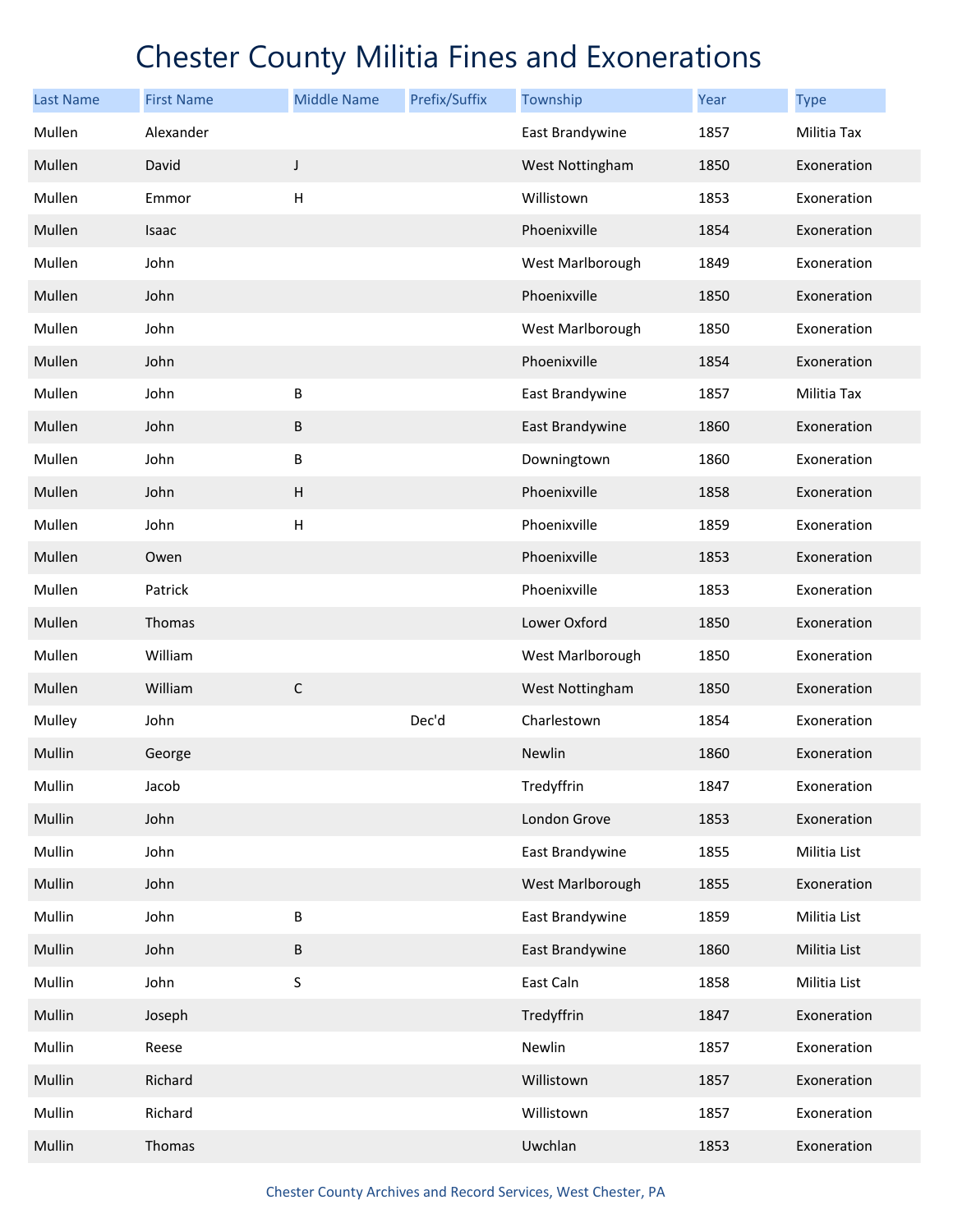| <b>Last Name</b> | <b>First Name</b> | <b>Middle Name</b>        | Prefix/Suffix | Township         | Year | <b>Type</b>  |
|------------------|-------------------|---------------------------|---------------|------------------|------|--------------|
| Mullen           | Alexander         |                           |               | East Brandywine  | 1857 | Militia Tax  |
| Mullen           | David             | $\mathsf J$               |               | West Nottingham  | 1850 | Exoneration  |
| Mullen           | Emmor             | $\boldsymbol{\mathsf{H}}$ |               | Willistown       | 1853 | Exoneration  |
| Mullen           | Isaac             |                           |               | Phoenixville     | 1854 | Exoneration  |
| Mullen           | John              |                           |               | West Marlborough | 1849 | Exoneration  |
| Mullen           | John              |                           |               | Phoenixville     | 1850 | Exoneration  |
| Mullen           | John              |                           |               | West Marlborough | 1850 | Exoneration  |
| Mullen           | John              |                           |               | Phoenixville     | 1854 | Exoneration  |
| Mullen           | John              | B                         |               | East Brandywine  | 1857 | Militia Tax  |
| Mullen           | John              | $\sf B$                   |               | East Brandywine  | 1860 | Exoneration  |
| Mullen           | John              | B                         |               | Downingtown      | 1860 | Exoneration  |
| Mullen           | John              | $\boldsymbol{\mathsf{H}}$ |               | Phoenixville     | 1858 | Exoneration  |
| Mullen           | John              | $\boldsymbol{\mathsf{H}}$ |               | Phoenixville     | 1859 | Exoneration  |
| Mullen           | Owen              |                           |               | Phoenixville     | 1853 | Exoneration  |
| Mullen           | Patrick           |                           |               | Phoenixville     | 1853 | Exoneration  |
| Mullen           | Thomas            |                           |               | Lower Oxford     | 1850 | Exoneration  |
| Mullen           | William           |                           |               | West Marlborough | 1850 | Exoneration  |
| Mullen           | William           | $\mathsf C$               |               | West Nottingham  | 1850 | Exoneration  |
| Mulley           | John              |                           | Dec'd         | Charlestown      | 1854 | Exoneration  |
| Mullin           | George            |                           |               | Newlin           | 1860 | Exoneration  |
| Mullin           | Jacob             |                           |               | Tredyffrin       | 1847 | Exoneration  |
| Mullin           | John              |                           |               | London Grove     | 1853 | Exoneration  |
| Mullin           | John              |                           |               | East Brandywine  | 1855 | Militia List |
| Mullin           | John              |                           |               | West Marlborough | 1855 | Exoneration  |
| Mullin           | John              | $\sf B$                   |               | East Brandywine  | 1859 | Militia List |
| Mullin           | John              | $\sf B$                   |               | East Brandywine  | 1860 | Militia List |
| Mullin           | John              | S                         |               | East Caln        | 1858 | Militia List |
| Mullin           | Joseph            |                           |               | Tredyffrin       | 1847 | Exoneration  |
| Mullin           | Reese             |                           |               | Newlin           | 1857 | Exoneration  |
| Mullin           | Richard           |                           |               | Willistown       | 1857 | Exoneration  |
| Mullin           | Richard           |                           |               | Willistown       | 1857 | Exoneration  |
| Mullin           | Thomas            |                           |               | Uwchlan          | 1853 | Exoneration  |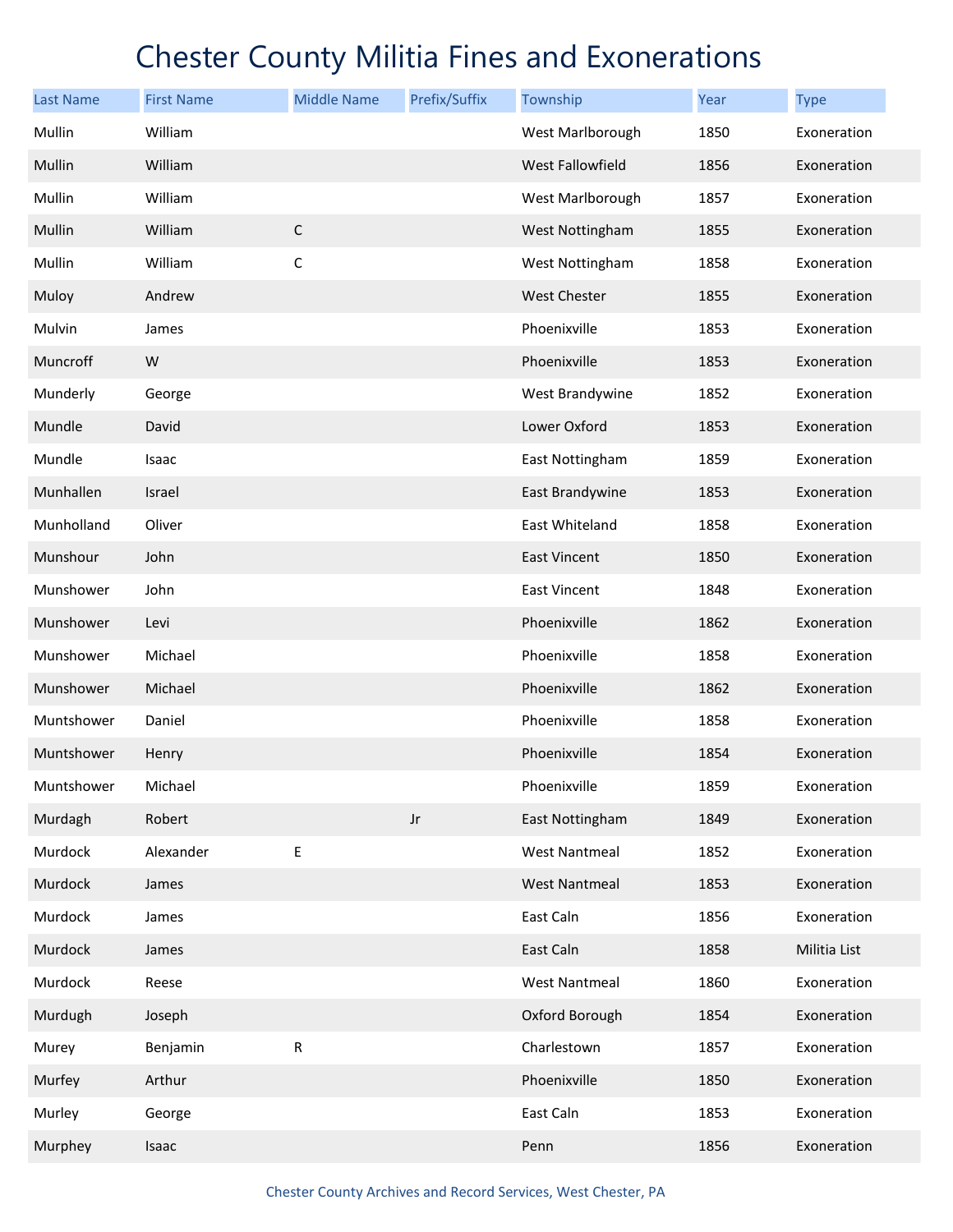| <b>Last Name</b> | <b>First Name</b> | <b>Middle Name</b> | Prefix/Suffix | Township                | Year | <b>Type</b>  |
|------------------|-------------------|--------------------|---------------|-------------------------|------|--------------|
| Mullin           | William           |                    |               | West Marlborough        | 1850 | Exoneration  |
| Mullin           | William           |                    |               | <b>West Fallowfield</b> | 1856 | Exoneration  |
| Mullin           | William           |                    |               | West Marlborough        | 1857 | Exoneration  |
| Mullin           | William           | $\mathsf C$        |               | West Nottingham         | 1855 | Exoneration  |
| Mullin           | William           | $\mathsf C$        |               | West Nottingham         | 1858 | Exoneration  |
| Muloy            | Andrew            |                    |               | <b>West Chester</b>     | 1855 | Exoneration  |
| Mulvin           | James             |                    |               | Phoenixville            | 1853 | Exoneration  |
| Muncroff         | W                 |                    |               | Phoenixville            | 1853 | Exoneration  |
| Munderly         | George            |                    |               | West Brandywine         | 1852 | Exoneration  |
| Mundle           | David             |                    |               | Lower Oxford            | 1853 | Exoneration  |
| Mundle           | Isaac             |                    |               | East Nottingham         | 1859 | Exoneration  |
| Munhallen        | Israel            |                    |               | East Brandywine         | 1853 | Exoneration  |
| Munholland       | Oliver            |                    |               | East Whiteland          | 1858 | Exoneration  |
| Munshour         | John              |                    |               | East Vincent            | 1850 | Exoneration  |
| Munshower        | John              |                    |               | <b>East Vincent</b>     | 1848 | Exoneration  |
| Munshower        | Levi              |                    |               | Phoenixville            | 1862 | Exoneration  |
| Munshower        | Michael           |                    |               | Phoenixville            | 1858 | Exoneration  |
| Munshower        | Michael           |                    |               | Phoenixville            | 1862 | Exoneration  |
| Muntshower       | Daniel            |                    |               | Phoenixville            | 1858 | Exoneration  |
| Muntshower       | Henry             |                    |               | Phoenixville            | 1854 | Exoneration  |
| Muntshower       | Michael           |                    |               | Phoenixville            | 1859 | Exoneration  |
| Murdagh          | Robert            |                    | $_{\rm Jr}$   | East Nottingham         | 1849 | Exoneration  |
| Murdock          | Alexander         | E                  |               | <b>West Nantmeal</b>    | 1852 | Exoneration  |
| Murdock          | James             |                    |               | <b>West Nantmeal</b>    | 1853 | Exoneration  |
| Murdock          | James             |                    |               | East Caln               | 1856 | Exoneration  |
| Murdock          | James             |                    |               | East Caln               | 1858 | Militia List |
| Murdock          | Reese             |                    |               | <b>West Nantmeal</b>    | 1860 | Exoneration  |
| Murdugh          | Joseph            |                    |               | Oxford Borough          | 1854 | Exoneration  |
| Murey            | Benjamin          | ${\sf R}$          |               | Charlestown             | 1857 | Exoneration  |
| Murfey           | Arthur            |                    |               | Phoenixville            | 1850 | Exoneration  |
| Murley           | George            |                    |               | East Caln               | 1853 | Exoneration  |
| Murphey          | Isaac             |                    |               | Penn                    | 1856 | Exoneration  |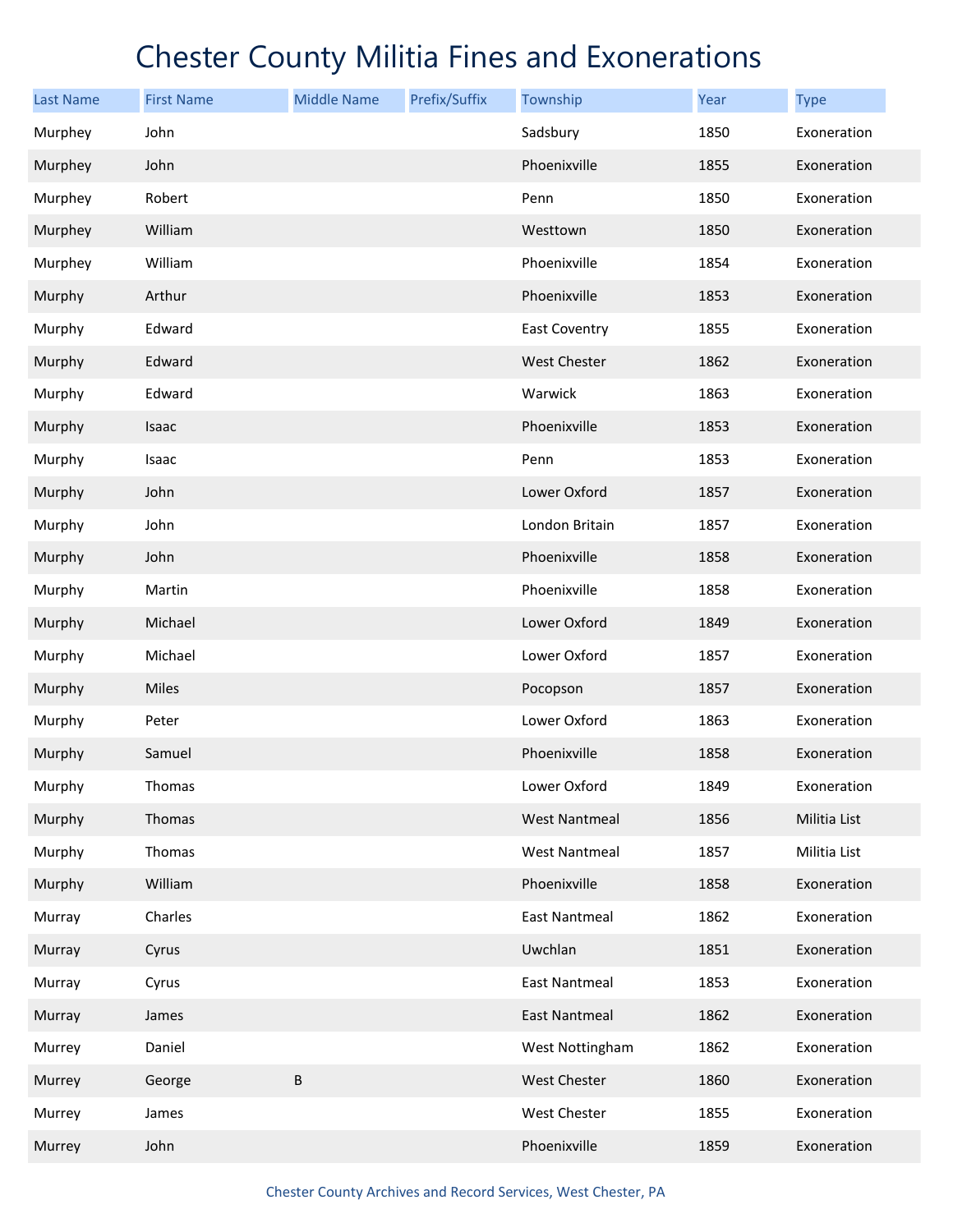| <b>Last Name</b> | <b>First Name</b> | <b>Middle Name</b> | Prefix/Suffix | Township             | Year | <b>Type</b>  |
|------------------|-------------------|--------------------|---------------|----------------------|------|--------------|
| Murphey          | John              |                    |               | Sadsbury             | 1850 | Exoneration  |
| Murphey          | John              |                    |               | Phoenixville         | 1855 | Exoneration  |
| Murphey          | Robert            |                    |               | Penn                 | 1850 | Exoneration  |
| Murphey          | William           |                    |               | Westtown             | 1850 | Exoneration  |
| Murphey          | William           |                    |               | Phoenixville         | 1854 | Exoneration  |
| Murphy           | Arthur            |                    |               | Phoenixville         | 1853 | Exoneration  |
| Murphy           | Edward            |                    |               | East Coventry        | 1855 | Exoneration  |
| Murphy           | Edward            |                    |               | <b>West Chester</b>  | 1862 | Exoneration  |
| Murphy           | Edward            |                    |               | Warwick              | 1863 | Exoneration  |
| Murphy           | Isaac             |                    |               | Phoenixville         | 1853 | Exoneration  |
| Murphy           | Isaac             |                    |               | Penn                 | 1853 | Exoneration  |
| Murphy           | John              |                    |               | Lower Oxford         | 1857 | Exoneration  |
| Murphy           | John              |                    |               | London Britain       | 1857 | Exoneration  |
| Murphy           | John              |                    |               | Phoenixville         | 1858 | Exoneration  |
| Murphy           | Martin            |                    |               | Phoenixville         | 1858 | Exoneration  |
| Murphy           | Michael           |                    |               | Lower Oxford         | 1849 | Exoneration  |
| Murphy           | Michael           |                    |               | Lower Oxford         | 1857 | Exoneration  |
| Murphy           | Miles             |                    |               | Pocopson             | 1857 | Exoneration  |
| Murphy           | Peter             |                    |               | Lower Oxford         | 1863 | Exoneration  |
| Murphy           | Samuel            |                    |               | Phoenixville         | 1858 | Exoneration  |
| Murphy           | Thomas            |                    |               | Lower Oxford         | 1849 | Exoneration  |
| Murphy           | Thomas            |                    |               | <b>West Nantmeal</b> | 1856 | Militia List |
| Murphy           | Thomas            |                    |               | <b>West Nantmeal</b> | 1857 | Militia List |
| Murphy           | William           |                    |               | Phoenixville         | 1858 | Exoneration  |
| Murray           | Charles           |                    |               | <b>East Nantmeal</b> | 1862 | Exoneration  |
| Murray           | Cyrus             |                    |               | Uwchlan              | 1851 | Exoneration  |
| Murray           | Cyrus             |                    |               | <b>East Nantmeal</b> | 1853 | Exoneration  |
| Murray           | James             |                    |               | <b>East Nantmeal</b> | 1862 | Exoneration  |
| Murrey           | Daniel            |                    |               | West Nottingham      | 1862 | Exoneration  |
| Murrey           | George            | B                  |               | West Chester         | 1860 | Exoneration  |
| Murrey           | James             |                    |               | West Chester         | 1855 | Exoneration  |
| Murrey           | John              |                    |               | Phoenixville         | 1859 | Exoneration  |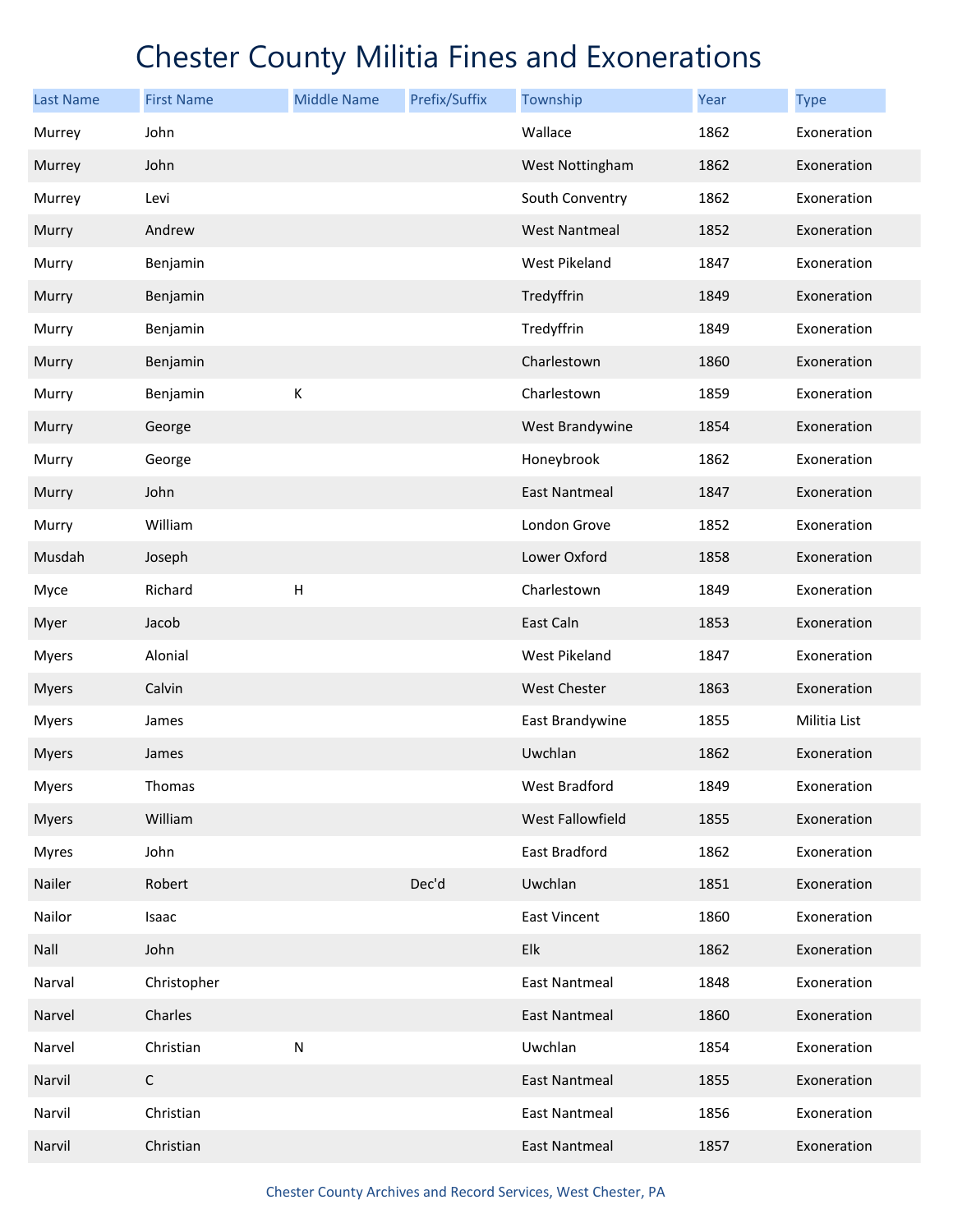| <b>Last Name</b> | <b>First Name</b> | <b>Middle Name</b>        | Prefix/Suffix | Township             | Year | <b>Type</b>  |
|------------------|-------------------|---------------------------|---------------|----------------------|------|--------------|
| Murrey           | John              |                           |               | Wallace              | 1862 | Exoneration  |
| Murrey           | John              |                           |               | West Nottingham      | 1862 | Exoneration  |
| Murrey           | Levi              |                           |               | South Conventry      | 1862 | Exoneration  |
| Murry            | Andrew            |                           |               | <b>West Nantmeal</b> | 1852 | Exoneration  |
| Murry            | Benjamin          |                           |               | West Pikeland        | 1847 | Exoneration  |
| Murry            | Benjamin          |                           |               | Tredyffrin           | 1849 | Exoneration  |
| Murry            | Benjamin          |                           |               | Tredyffrin           | 1849 | Exoneration  |
| Murry            | Benjamin          |                           |               | Charlestown          | 1860 | Exoneration  |
| Murry            | Benjamin          | К                         |               | Charlestown          | 1859 | Exoneration  |
| Murry            | George            |                           |               | West Brandywine      | 1854 | Exoneration  |
| Murry            | George            |                           |               | Honeybrook           | 1862 | Exoneration  |
| Murry            | John              |                           |               | <b>East Nantmeal</b> | 1847 | Exoneration  |
| Murry            | William           |                           |               | London Grove         | 1852 | Exoneration  |
| Musdah           | Joseph            |                           |               | Lower Oxford         | 1858 | Exoneration  |
| Myce             | Richard           | $\boldsymbol{\mathsf{H}}$ |               | Charlestown          | 1849 | Exoneration  |
| Myer             | Jacob             |                           |               | East Caln            | 1853 | Exoneration  |
| <b>Myers</b>     | Alonial           |                           |               | West Pikeland        | 1847 | Exoneration  |
| <b>Myers</b>     | Calvin            |                           |               | West Chester         | 1863 | Exoneration  |
| <b>Myers</b>     | James             |                           |               | East Brandywine      | 1855 | Militia List |
| <b>Myers</b>     | James             |                           |               | Uwchlan              | 1862 | Exoneration  |
| <b>Myers</b>     | Thomas            |                           |               | West Bradford        | 1849 | Exoneration  |
| <b>Myers</b>     | William           |                           |               | West Fallowfield     | 1855 | Exoneration  |
| <b>Myres</b>     | John              |                           |               | East Bradford        | 1862 | Exoneration  |
| Nailer           | Robert            |                           | Dec'd         | Uwchlan              | 1851 | Exoneration  |
| Nailor           | Isaac             |                           |               | East Vincent         | 1860 | Exoneration  |
| Nall             | John              |                           |               | Elk                  | 1862 | Exoneration  |
| Narval           | Christopher       |                           |               | <b>East Nantmeal</b> | 1848 | Exoneration  |
| Narvel           | Charles           |                           |               | East Nantmeal        | 1860 | Exoneration  |
| Narvel           | Christian         | ${\sf N}$                 |               | Uwchlan              | 1854 | Exoneration  |
| Narvil           | $\mathsf C$       |                           |               | <b>East Nantmeal</b> | 1855 | Exoneration  |
| Narvil           | Christian         |                           |               | <b>East Nantmeal</b> | 1856 | Exoneration  |
| Narvil           | Christian         |                           |               | <b>East Nantmeal</b> | 1857 | Exoneration  |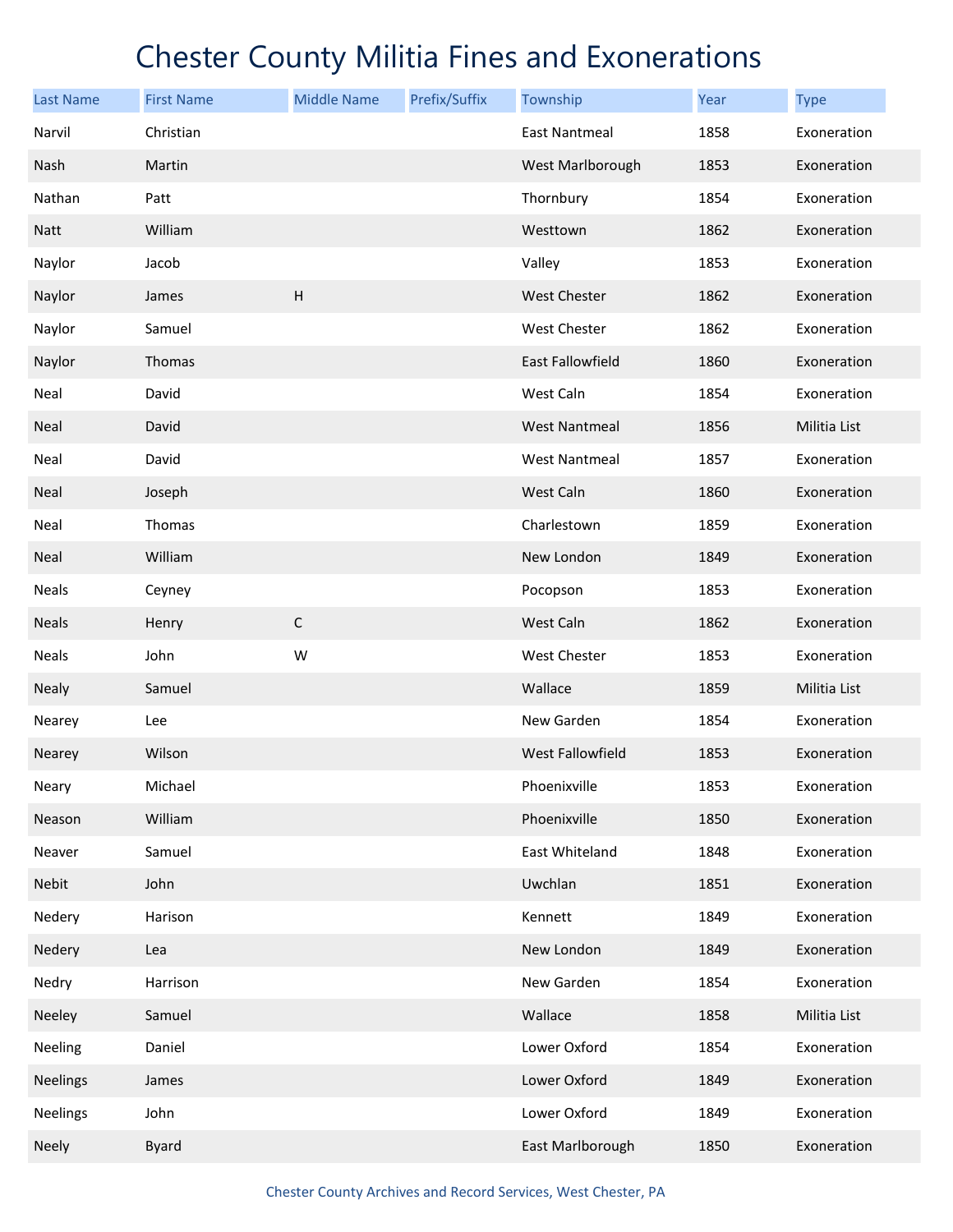| <b>Last Name</b> | <b>First Name</b> | <b>Middle Name</b>        | Prefix/Suffix | Township             | Year | <b>Type</b>  |
|------------------|-------------------|---------------------------|---------------|----------------------|------|--------------|
| Narvil           | Christian         |                           |               | <b>East Nantmeal</b> | 1858 | Exoneration  |
| Nash             | Martin            |                           |               | West Marlborough     | 1853 | Exoneration  |
| Nathan           | Patt              |                           |               | Thornbury            | 1854 | Exoneration  |
| <b>Natt</b>      | William           |                           |               | Westtown             | 1862 | Exoneration  |
| Naylor           | Jacob             |                           |               | Valley               | 1853 | Exoneration  |
| Naylor           | James             | $\boldsymbol{\mathsf{H}}$ |               | <b>West Chester</b>  | 1862 | Exoneration  |
| Naylor           | Samuel            |                           |               | West Chester         | 1862 | Exoneration  |
| Naylor           | Thomas            |                           |               | East Fallowfield     | 1860 | Exoneration  |
| Neal             | David             |                           |               | West Caln            | 1854 | Exoneration  |
| <b>Neal</b>      | David             |                           |               | <b>West Nantmeal</b> | 1856 | Militia List |
| Neal             | David             |                           |               | <b>West Nantmeal</b> | 1857 | Exoneration  |
| Neal             | Joseph            |                           |               | West Caln            | 1860 | Exoneration  |
| Neal             | Thomas            |                           |               | Charlestown          | 1859 | Exoneration  |
| Neal             | William           |                           |               | New London           | 1849 | Exoneration  |
| Neals            | Ceyney            |                           |               | Pocopson             | 1853 | Exoneration  |
| <b>Neals</b>     | Henry             | $\mathsf C$               |               | West Caln            | 1862 | Exoneration  |
| Neals            | John              | W                         |               | West Chester         | 1853 | Exoneration  |
| Nealy            | Samuel            |                           |               | Wallace              | 1859 | Militia List |
| Nearey           | Lee               |                           |               | New Garden           | 1854 | Exoneration  |
| Nearey           | Wilson            |                           |               | West Fallowfield     | 1853 | Exoneration  |
| Neary            | Michael           |                           |               | Phoenixville         | 1853 | Exoneration  |
| Neason           | William           |                           |               | Phoenixville         | 1850 | Exoneration  |
| Neaver           | Samuel            |                           |               | East Whiteland       | 1848 | Exoneration  |
| Nebit            | John              |                           |               | Uwchlan              | 1851 | Exoneration  |
| Nedery           | Harison           |                           |               | Kennett              | 1849 | Exoneration  |
| Nedery           | Lea               |                           |               | New London           | 1849 | Exoneration  |
| Nedry            | Harrison          |                           |               | New Garden           | 1854 | Exoneration  |
| Neeley           | Samuel            |                           |               | Wallace              | 1858 | Militia List |
| Neeling          | Daniel            |                           |               | Lower Oxford         | 1854 | Exoneration  |
| <b>Neelings</b>  | James             |                           |               | Lower Oxford         | 1849 | Exoneration  |
| Neelings         | John              |                           |               | Lower Oxford         | 1849 | Exoneration  |
| Neely            | <b>Byard</b>      |                           |               | East Marlborough     | 1850 | Exoneration  |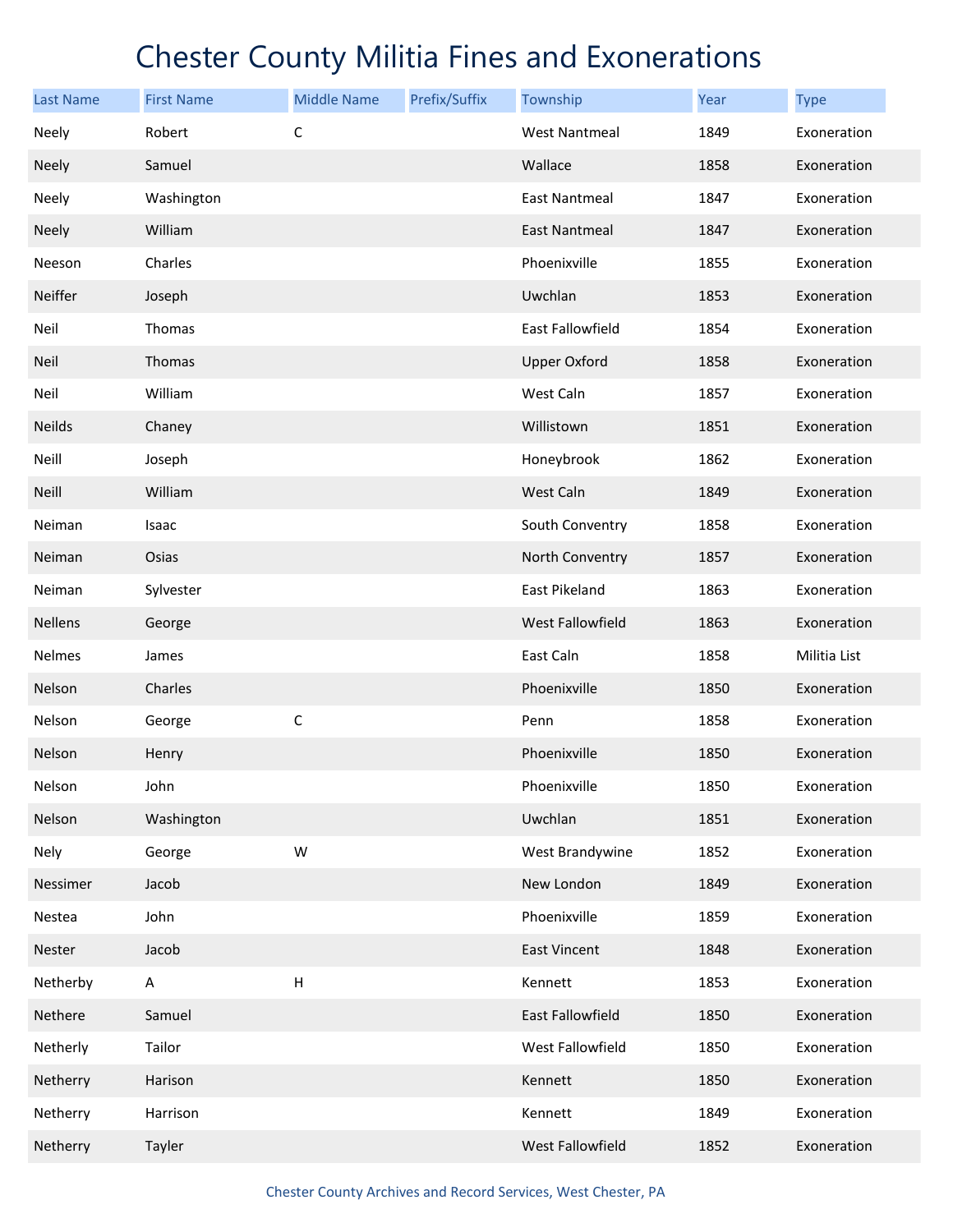| <b>Last Name</b> | <b>First Name</b> | <b>Middle Name</b> | Prefix/Suffix | Township             | Year | <b>Type</b>  |
|------------------|-------------------|--------------------|---------------|----------------------|------|--------------|
| Neely            | Robert            | C                  |               | <b>West Nantmeal</b> | 1849 | Exoneration  |
| Neely            | Samuel            |                    |               | Wallace              | 1858 | Exoneration  |
| Neely            | Washington        |                    |               | East Nantmeal        | 1847 | Exoneration  |
| <b>Neely</b>     | William           |                    |               | <b>East Nantmeal</b> | 1847 | Exoneration  |
| Neeson           | Charles           |                    |               | Phoenixville         | 1855 | Exoneration  |
| Neiffer          | Joseph            |                    |               | Uwchlan              | 1853 | Exoneration  |
| Neil             | Thomas            |                    |               | East Fallowfield     | 1854 | Exoneration  |
| Neil             | Thomas            |                    |               | <b>Upper Oxford</b>  | 1858 | Exoneration  |
| Neil             | William           |                    |               | West Caln            | 1857 | Exoneration  |
| Neilds           | Chaney            |                    |               | Willistown           | 1851 | Exoneration  |
| Neill            | Joseph            |                    |               | Honeybrook           | 1862 | Exoneration  |
| <b>Neill</b>     | William           |                    |               | West Caln            | 1849 | Exoneration  |
| Neiman           | Isaac             |                    |               | South Conventry      | 1858 | Exoneration  |
| Neiman           | Osias             |                    |               | North Conventry      | 1857 | Exoneration  |
| Neiman           | Sylvester         |                    |               | East Pikeland        | 1863 | Exoneration  |
| Nellens          | George            |                    |               | West Fallowfield     | 1863 | Exoneration  |
| Nelmes           | James             |                    |               | East Caln            | 1858 | Militia List |
| Nelson           | Charles           |                    |               | Phoenixville         | 1850 | Exoneration  |
| Nelson           | George            | $\mathsf C$        |               | Penn                 | 1858 | Exoneration  |
| Nelson           | Henry             |                    |               | Phoenixville         | 1850 | Exoneration  |
| Nelson           | John              |                    |               | Phoenixville         | 1850 | Exoneration  |
| Nelson           | Washington        |                    |               | Uwchlan              | 1851 | Exoneration  |
| Nely             | George            | W                  |               | West Brandywine      | 1852 | Exoneration  |
| Nessimer         | Jacob             |                    |               | New London           | 1849 | Exoneration  |
| Nestea           | John              |                    |               | Phoenixville         | 1859 | Exoneration  |
| Nester           | Jacob             |                    |               | East Vincent         | 1848 | Exoneration  |
| Netherby         | A                 | Н                  |               | Kennett              | 1853 | Exoneration  |
| Nethere          | Samuel            |                    |               | East Fallowfield     | 1850 | Exoneration  |
| Netherly         | Tailor            |                    |               | West Fallowfield     | 1850 | Exoneration  |
| Netherry         | Harison           |                    |               | Kennett              | 1850 | Exoneration  |
| Netherry         | Harrison          |                    |               | Kennett              | 1849 | Exoneration  |
| Netherry         | Tayler            |                    |               | West Fallowfield     | 1852 | Exoneration  |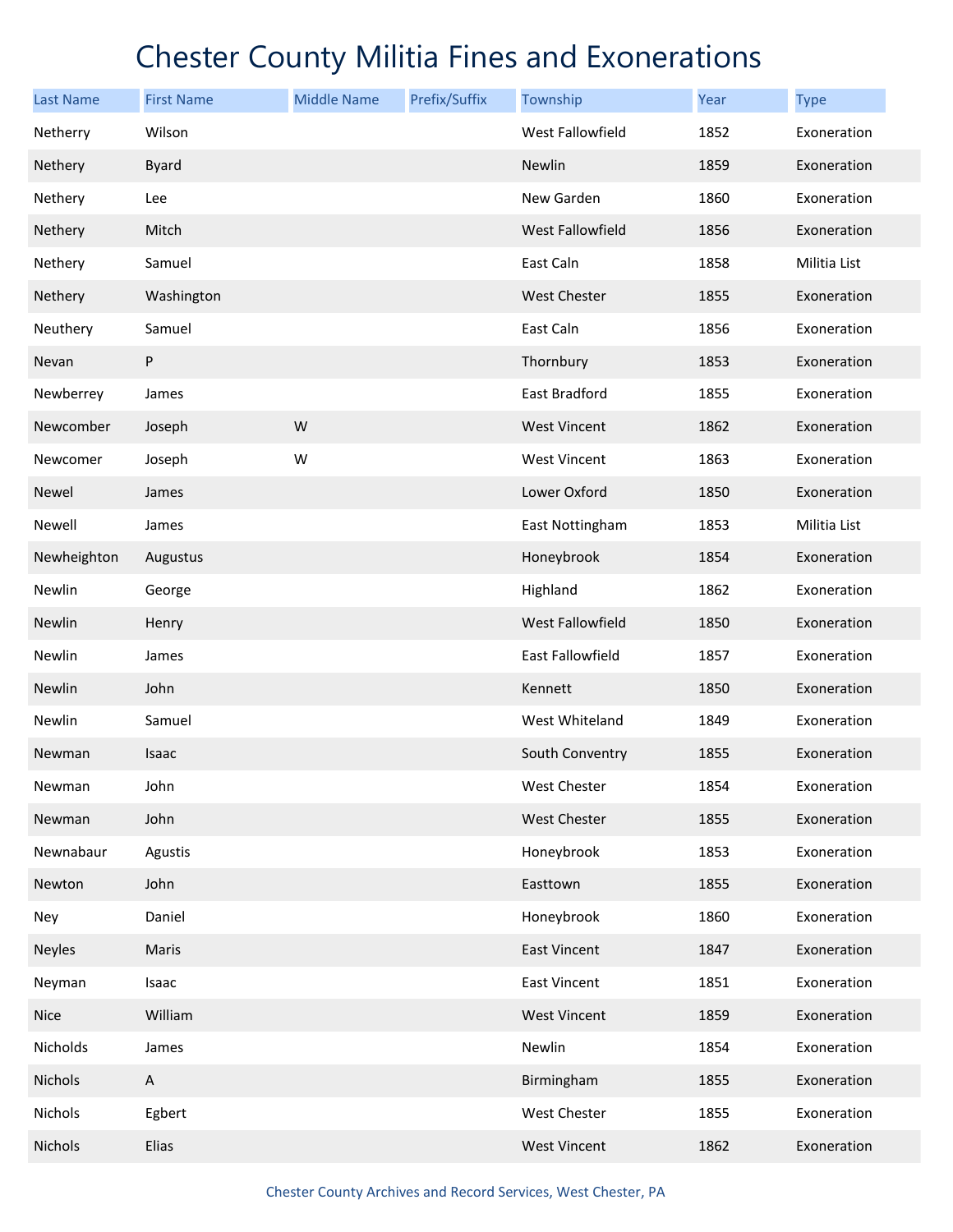| <b>Last Name</b> | <b>First Name</b> | <b>Middle Name</b> | Prefix/Suffix | Township                | Year | <b>Type</b>  |
|------------------|-------------------|--------------------|---------------|-------------------------|------|--------------|
| Netherry         | Wilson            |                    |               | West Fallowfield        | 1852 | Exoneration  |
| Nethery          | <b>Byard</b>      |                    |               | Newlin                  | 1859 | Exoneration  |
| Nethery          | Lee               |                    |               | New Garden              | 1860 | Exoneration  |
| Nethery          | Mitch             |                    |               | West Fallowfield        | 1856 | Exoneration  |
| Nethery          | Samuel            |                    |               | East Caln               | 1858 | Militia List |
| Nethery          | Washington        |                    |               | <b>West Chester</b>     | 1855 | Exoneration  |
| Neuthery         | Samuel            |                    |               | East Caln               | 1856 | Exoneration  |
| Nevan            | P                 |                    |               | Thornbury               | 1853 | Exoneration  |
| Newberrey        | James             |                    |               | East Bradford           | 1855 | Exoneration  |
| Newcomber        | Joseph            | W                  |               | <b>West Vincent</b>     | 1862 | Exoneration  |
| Newcomer         | Joseph            | W                  |               | West Vincent            | 1863 | Exoneration  |
| Newel            | James             |                    |               | Lower Oxford            | 1850 | Exoneration  |
| Newell           | James             |                    |               | East Nottingham         | 1853 | Militia List |
| Newheighton      | Augustus          |                    |               | Honeybrook              | 1854 | Exoneration  |
| Newlin           | George            |                    |               | Highland                | 1862 | Exoneration  |
| Newlin           | Henry             |                    |               | <b>West Fallowfield</b> | 1850 | Exoneration  |
| Newlin           | James             |                    |               | East Fallowfield        | 1857 | Exoneration  |
| Newlin           | John              |                    |               | Kennett                 | 1850 | Exoneration  |
| Newlin           | Samuel            |                    |               | West Whiteland          | 1849 | Exoneration  |
| Newman           | Isaac             |                    |               | South Conventry         | 1855 | Exoneration  |
| Newman           | John              |                    |               | West Chester            | 1854 | Exoneration  |
| Newman           | John              |                    |               | West Chester            | 1855 | Exoneration  |
| Newnabaur        | Agustis           |                    |               | Honeybrook              | 1853 | Exoneration  |
| Newton           | John              |                    |               | Easttown                | 1855 | Exoneration  |
| Ney              | Daniel            |                    |               | Honeybrook              | 1860 | Exoneration  |
| <b>Neyles</b>    | Maris             |                    |               | East Vincent            | 1847 | Exoneration  |
| Neyman           | Isaac             |                    |               | East Vincent            | 1851 | Exoneration  |
| <b>Nice</b>      | William           |                    |               | <b>West Vincent</b>     | 1859 | Exoneration  |
| Nicholds         | James             |                    |               | Newlin                  | 1854 | Exoneration  |
| Nichols          | A                 |                    |               | Birmingham              | 1855 | Exoneration  |
| Nichols          | Egbert            |                    |               | West Chester            | 1855 | Exoneration  |
| Nichols          | Elias             |                    |               | <b>West Vincent</b>     | 1862 | Exoneration  |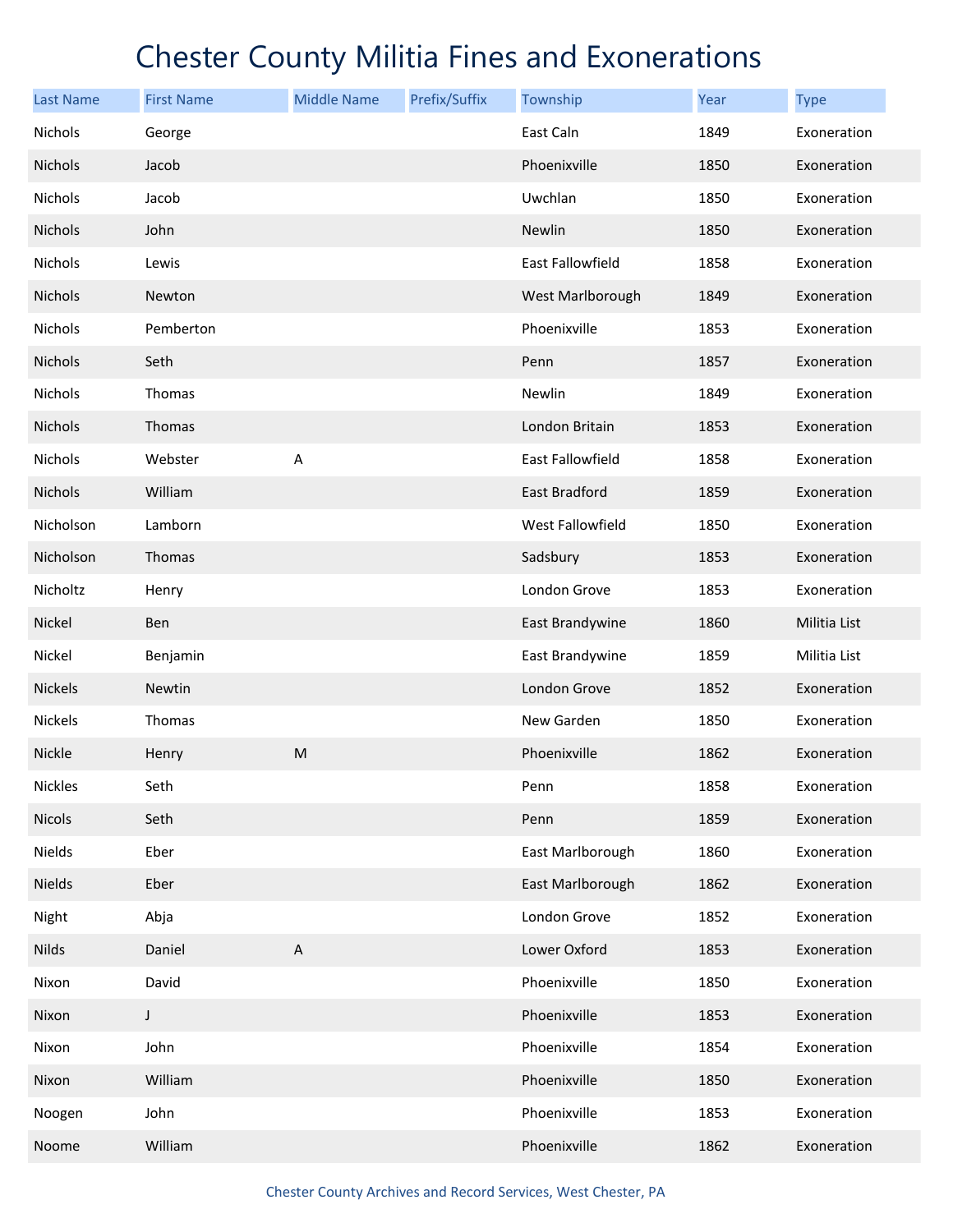| <b>Last Name</b> | <b>First Name</b> | <b>Middle Name</b>        | Prefix/Suffix | Township                | <b>Year</b> | <b>Type</b>  |
|------------------|-------------------|---------------------------|---------------|-------------------------|-------------|--------------|
| Nichols          | George            |                           |               | East Caln               | 1849        | Exoneration  |
| <b>Nichols</b>   | Jacob             |                           |               | Phoenixville            | 1850        | Exoneration  |
| Nichols          | Jacob             |                           |               | Uwchlan                 | 1850        | Exoneration  |
| Nichols          | John              |                           |               | Newlin                  | 1850        | Exoneration  |
| Nichols          | Lewis             |                           |               | <b>East Fallowfield</b> | 1858        | Exoneration  |
| Nichols          | Newton            |                           |               | West Marlborough        | 1849        | Exoneration  |
| Nichols          | Pemberton         |                           |               | Phoenixville            | 1853        | Exoneration  |
| Nichols          | Seth              |                           |               | Penn                    | 1857        | Exoneration  |
| Nichols          | Thomas            |                           |               | Newlin                  | 1849        | Exoneration  |
| <b>Nichols</b>   | Thomas            |                           |               | London Britain          | 1853        | Exoneration  |
| Nichols          | Webster           | А                         |               | <b>East Fallowfield</b> | 1858        | Exoneration  |
| Nichols          | William           |                           |               | <b>East Bradford</b>    | 1859        | Exoneration  |
| Nicholson        | Lamborn           |                           |               | West Fallowfield        | 1850        | Exoneration  |
| Nicholson        | Thomas            |                           |               | Sadsbury                | 1853        | Exoneration  |
| Nicholtz         | Henry             |                           |               | London Grove            | 1853        | Exoneration  |
| Nickel           | Ben               |                           |               | East Brandywine         | 1860        | Militia List |
| Nickel           | Benjamin          |                           |               | East Brandywine         | 1859        | Militia List |
| <b>Nickels</b>   | <b>Newtin</b>     |                           |               | London Grove            | 1852        | Exoneration  |
| Nickels          | Thomas            |                           |               | New Garden              | 1850        | Exoneration  |
| Nickle           | Henry             | M                         |               | Phoenixville            | 1862        | Exoneration  |
| <b>Nickles</b>   | Seth              |                           |               | Penn                    | 1858        | Exoneration  |
| Nicols           | Seth              |                           |               | Penn                    | 1859        | Exoneration  |
| Nields           | Eber              |                           |               | East Marlborough        | 1860        | Exoneration  |
| Nields           | Eber              |                           |               | East Marlborough        | 1862        | Exoneration  |
| Night            | Abja              |                           |               | London Grove            | 1852        | Exoneration  |
| <b>Nilds</b>     | Daniel            | $\boldsymbol{\mathsf{A}}$ |               | Lower Oxford            | 1853        | Exoneration  |
| Nixon            | David             |                           |               | Phoenixville            | 1850        | Exoneration  |
| Nixon            | J                 |                           |               | Phoenixville            | 1853        | Exoneration  |
| Nixon            | John              |                           |               | Phoenixville            | 1854        | Exoneration  |
| Nixon            | William           |                           |               | Phoenixville            | 1850        | Exoneration  |
| Noogen           | John              |                           |               | Phoenixville            | 1853        | Exoneration  |
| Noome            | William           |                           |               | Phoenixville            | 1862        | Exoneration  |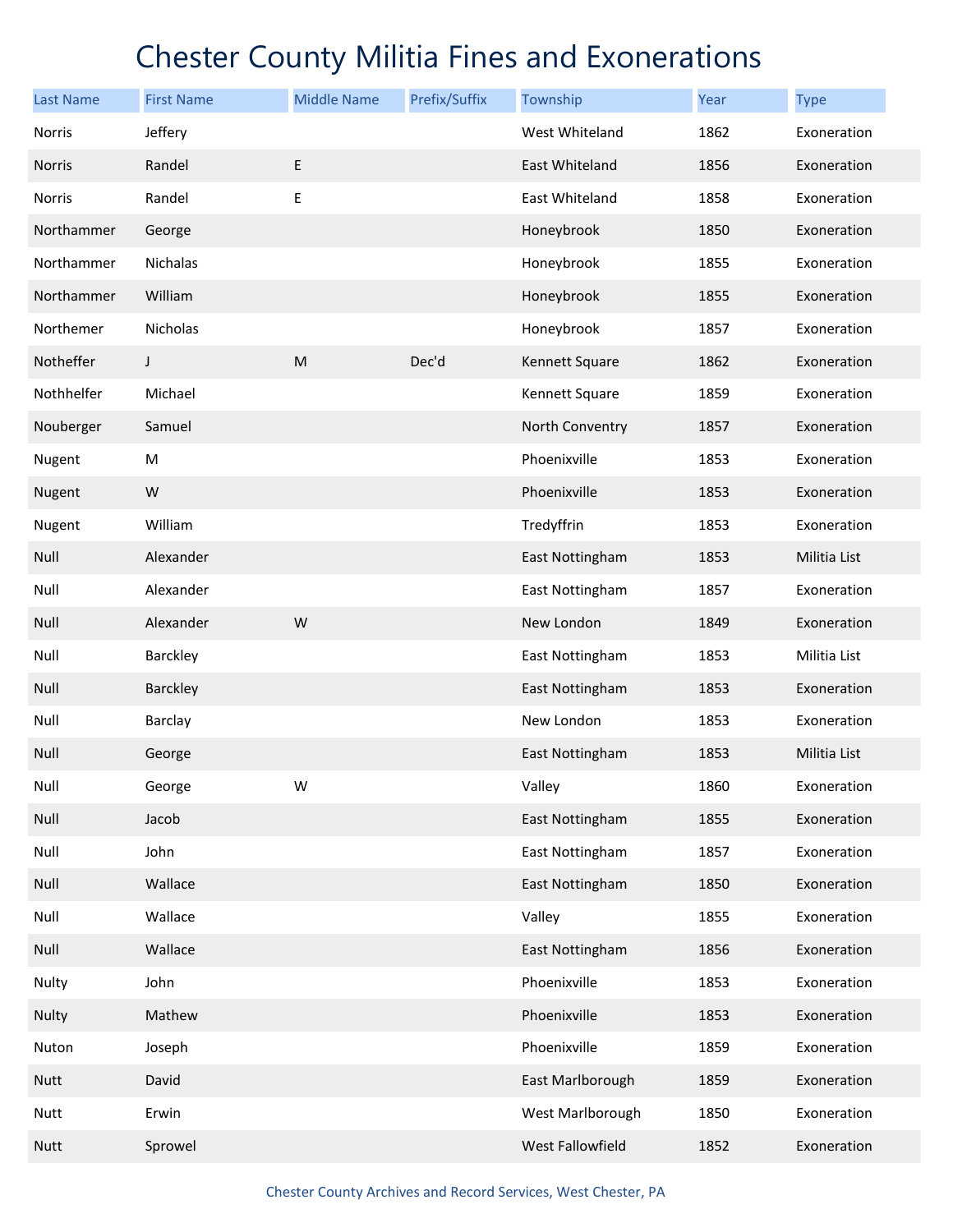| <b>Last Name</b> | <b>First Name</b> | <b>Middle Name</b> | Prefix/Suffix | Township         | Year | <b>Type</b>  |
|------------------|-------------------|--------------------|---------------|------------------|------|--------------|
| Norris           | Jeffery           |                    |               | West Whiteland   | 1862 | Exoneration  |
| Norris           | Randel            | E                  |               | East Whiteland   | 1856 | Exoneration  |
| Norris           | Randel            | Е                  |               | East Whiteland   | 1858 | Exoneration  |
| Northammer       | George            |                    |               | Honeybrook       | 1850 | Exoneration  |
| Northammer       | Nichalas          |                    |               | Honeybrook       | 1855 | Exoneration  |
| Northammer       | William           |                    |               | Honeybrook       | 1855 | Exoneration  |
| Northemer        | Nicholas          |                    |               | Honeybrook       | 1857 | Exoneration  |
| Notheffer        | J                 | ${\sf M}$          | Dec'd         | Kennett Square   | 1862 | Exoneration  |
| Nothhelfer       | Michael           |                    |               | Kennett Square   | 1859 | Exoneration  |
| Nouberger        | Samuel            |                    |               | North Conventry  | 1857 | Exoneration  |
| Nugent           | M                 |                    |               | Phoenixville     | 1853 | Exoneration  |
| Nugent           | W                 |                    |               | Phoenixville     | 1853 | Exoneration  |
| Nugent           | William           |                    |               | Tredyffrin       | 1853 | Exoneration  |
| Null             | Alexander         |                    |               | East Nottingham  | 1853 | Militia List |
| Null             | Alexander         |                    |               | East Nottingham  | 1857 | Exoneration  |
| Null             | Alexander         | W                  |               | New London       | 1849 | Exoneration  |
| Null             | Barckley          |                    |               | East Nottingham  | 1853 | Militia List |
| Null             | Barckley          |                    |               | East Nottingham  | 1853 | Exoneration  |
| Null             | Barclay           |                    |               | New London       | 1853 | Exoneration  |
| Null             | George            |                    |               | East Nottingham  | 1853 | Militia List |
| Null             | George            | W                  |               | Valley           | 1860 | Exoneration  |
| Null             | Jacob             |                    |               | East Nottingham  | 1855 | Exoneration  |
| Null             | John              |                    |               | East Nottingham  | 1857 | Exoneration  |
| Null             | Wallace           |                    |               | East Nottingham  | 1850 | Exoneration  |
| Null             | Wallace           |                    |               | Valley           | 1855 | Exoneration  |
| Null             | Wallace           |                    |               | East Nottingham  | 1856 | Exoneration  |
| Nulty            | John              |                    |               | Phoenixville     | 1853 | Exoneration  |
| Nulty            | Mathew            |                    |               | Phoenixville     | 1853 | Exoneration  |
| Nuton            | Joseph            |                    |               | Phoenixville     | 1859 | Exoneration  |
| <b>Nutt</b>      | David             |                    |               | East Marlborough | 1859 | Exoneration  |
| <b>Nutt</b>      | Erwin             |                    |               | West Marlborough | 1850 | Exoneration  |
| <b>Nutt</b>      | Sprowel           |                    |               | West Fallowfield | 1852 | Exoneration  |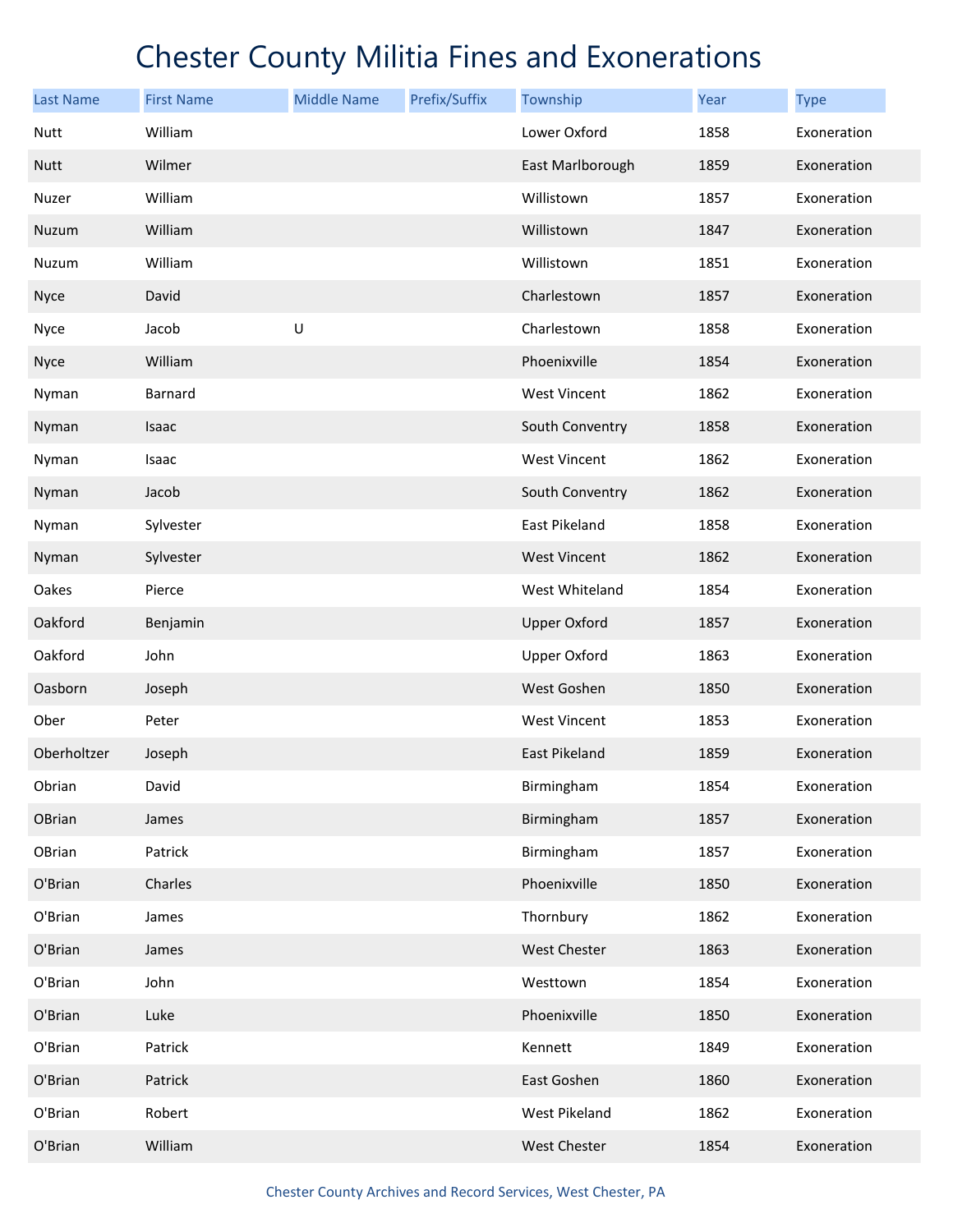| <b>Last Name</b> | <b>First Name</b> | <b>Middle Name</b> | Prefix/Suffix | Township            | <b>Year</b> | <b>Type</b> |
|------------------|-------------------|--------------------|---------------|---------------------|-------------|-------------|
| Nutt             | William           |                    |               | Lower Oxford        | 1858        | Exoneration |
| <b>Nutt</b>      | Wilmer            |                    |               | East Marlborough    | 1859        | Exoneration |
| Nuzer            | William           |                    |               | Willistown          | 1857        | Exoneration |
| Nuzum            | William           |                    |               | Willistown          | 1847        | Exoneration |
| Nuzum            | William           |                    |               | Willistown          | 1851        | Exoneration |
| <b>Nyce</b>      | David             |                    |               | Charlestown         | 1857        | Exoneration |
| Nyce             | Jacob             | $\sf U$            |               | Charlestown         | 1858        | Exoneration |
| <b>Nyce</b>      | William           |                    |               | Phoenixville        | 1854        | Exoneration |
| Nyman            | Barnard           |                    |               | <b>West Vincent</b> | 1862        | Exoneration |
| Nyman            | Isaac             |                    |               | South Conventry     | 1858        | Exoneration |
| Nyman            | Isaac             |                    |               | <b>West Vincent</b> | 1862        | Exoneration |
| Nyman            | Jacob             |                    |               | South Conventry     | 1862        | Exoneration |
| Nyman            | Sylvester         |                    |               | East Pikeland       | 1858        | Exoneration |
| Nyman            | Sylvester         |                    |               | <b>West Vincent</b> | 1862        | Exoneration |
| Oakes            | Pierce            |                    |               | West Whiteland      | 1854        | Exoneration |
| Oakford          | Benjamin          |                    |               | <b>Upper Oxford</b> | 1857        | Exoneration |
| Oakford          | John              |                    |               | <b>Upper Oxford</b> | 1863        | Exoneration |
| Oasborn          | Joseph            |                    |               | West Goshen         | 1850        | Exoneration |
| Ober             | Peter             |                    |               | <b>West Vincent</b> | 1853        | Exoneration |
| Oberholtzer      | Joseph            |                    |               | East Pikeland       | 1859        | Exoneration |
| Obrian           | David             |                    |               | Birmingham          | 1854        | Exoneration |
| OBrian           | James             |                    |               | Birmingham          | 1857        | Exoneration |
| OBrian           | Patrick           |                    |               | Birmingham          | 1857        | Exoneration |
| O'Brian          | Charles           |                    |               | Phoenixville        | 1850        | Exoneration |
| O'Brian          | James             |                    |               | Thornbury           | 1862        | Exoneration |
| O'Brian          | James             |                    |               | <b>West Chester</b> | 1863        | Exoneration |
| O'Brian          | John              |                    |               | Westtown            | 1854        | Exoneration |
| O'Brian          | Luke              |                    |               | Phoenixville        | 1850        | Exoneration |
| O'Brian          | Patrick           |                    |               | Kennett             | 1849        | Exoneration |
| O'Brian          | Patrick           |                    |               | East Goshen         | 1860        | Exoneration |
| O'Brian          | Robert            |                    |               | West Pikeland       | 1862        | Exoneration |
| O'Brian          | William           |                    |               | West Chester        | 1854        | Exoneration |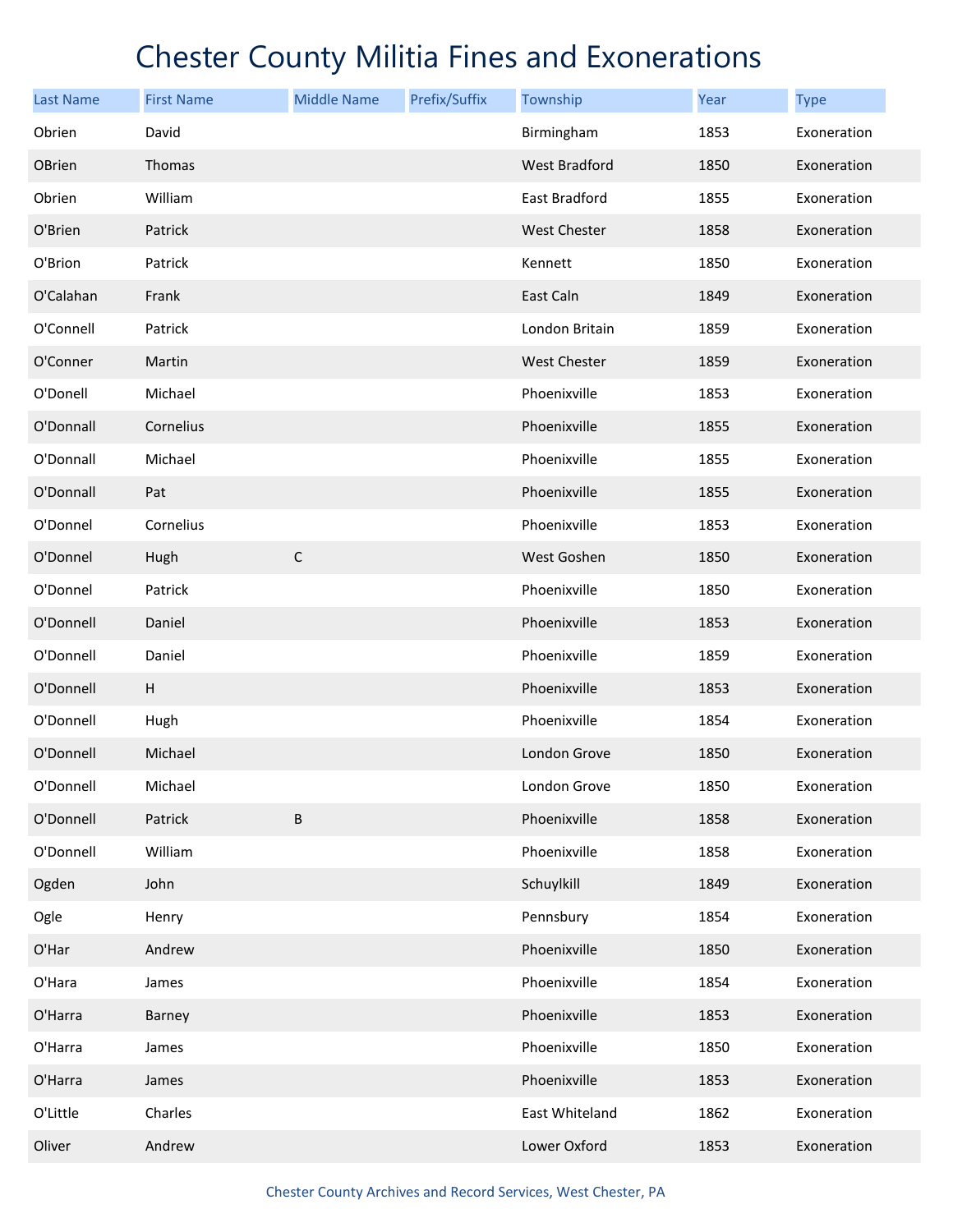| <b>Last Name</b> | <b>First Name</b> | <b>Middle Name</b> | Prefix/Suffix | Township            | Year | <b>Type</b> |
|------------------|-------------------|--------------------|---------------|---------------------|------|-------------|
| Obrien           | David             |                    |               | Birmingham          | 1853 | Exoneration |
| <b>OBrien</b>    | <b>Thomas</b>     |                    |               | West Bradford       | 1850 | Exoneration |
| Obrien           | William           |                    |               | East Bradford       | 1855 | Exoneration |
| O'Brien          | Patrick           |                    |               | <b>West Chester</b> | 1858 | Exoneration |
| O'Brion          | Patrick           |                    |               | Kennett             | 1850 | Exoneration |
| O'Calahan        | Frank             |                    |               | East Caln           | 1849 | Exoneration |
| O'Connell        | Patrick           |                    |               | London Britain      | 1859 | Exoneration |
| O'Conner         | Martin            |                    |               | <b>West Chester</b> | 1859 | Exoneration |
| O'Donell         | Michael           |                    |               | Phoenixville        | 1853 | Exoneration |
| O'Donnall        | Cornelius         |                    |               | Phoenixville        | 1855 | Exoneration |
| O'Donnall        | Michael           |                    |               | Phoenixville        | 1855 | Exoneration |
| O'Donnall        | Pat               |                    |               | Phoenixville        | 1855 | Exoneration |
| O'Donnel         | Cornelius         |                    |               | Phoenixville        | 1853 | Exoneration |
| O'Donnel         | Hugh              | $\mathsf C$        |               | West Goshen         | 1850 | Exoneration |
| O'Donnel         | Patrick           |                    |               | Phoenixville        | 1850 | Exoneration |
| O'Donnell        | Daniel            |                    |               | Phoenixville        | 1853 | Exoneration |
| O'Donnell        | Daniel            |                    |               | Phoenixville        | 1859 | Exoneration |
| O'Donnell        | Н                 |                    |               | Phoenixville        | 1853 | Exoneration |
| O'Donnell        | Hugh              |                    |               | Phoenixville        | 1854 | Exoneration |
| O'Donnell        | Michael           |                    |               | London Grove        | 1850 | Exoneration |
| O'Donnell        | Michael           |                    |               | London Grove        | 1850 | Exoneration |
| O'Donnell        | Patrick           | B                  |               | Phoenixville        | 1858 | Exoneration |
| O'Donnell        | William           |                    |               | Phoenixville        | 1858 | Exoneration |
| Ogden            | John              |                    |               | Schuylkill          | 1849 | Exoneration |
| Ogle             | Henry             |                    |               | Pennsbury           | 1854 | Exoneration |
| O'Har            | Andrew            |                    |               | Phoenixville        | 1850 | Exoneration |
| O'Hara           | James             |                    |               | Phoenixville        | 1854 | Exoneration |
| O'Harra          | Barney            |                    |               | Phoenixville        | 1853 | Exoneration |
| O'Harra          | James             |                    |               | Phoenixville        | 1850 | Exoneration |
| O'Harra          | James             |                    |               | Phoenixville        | 1853 | Exoneration |
| O'Little         | Charles           |                    |               | East Whiteland      | 1862 | Exoneration |
| Oliver           | Andrew            |                    |               | Lower Oxford        | 1853 | Exoneration |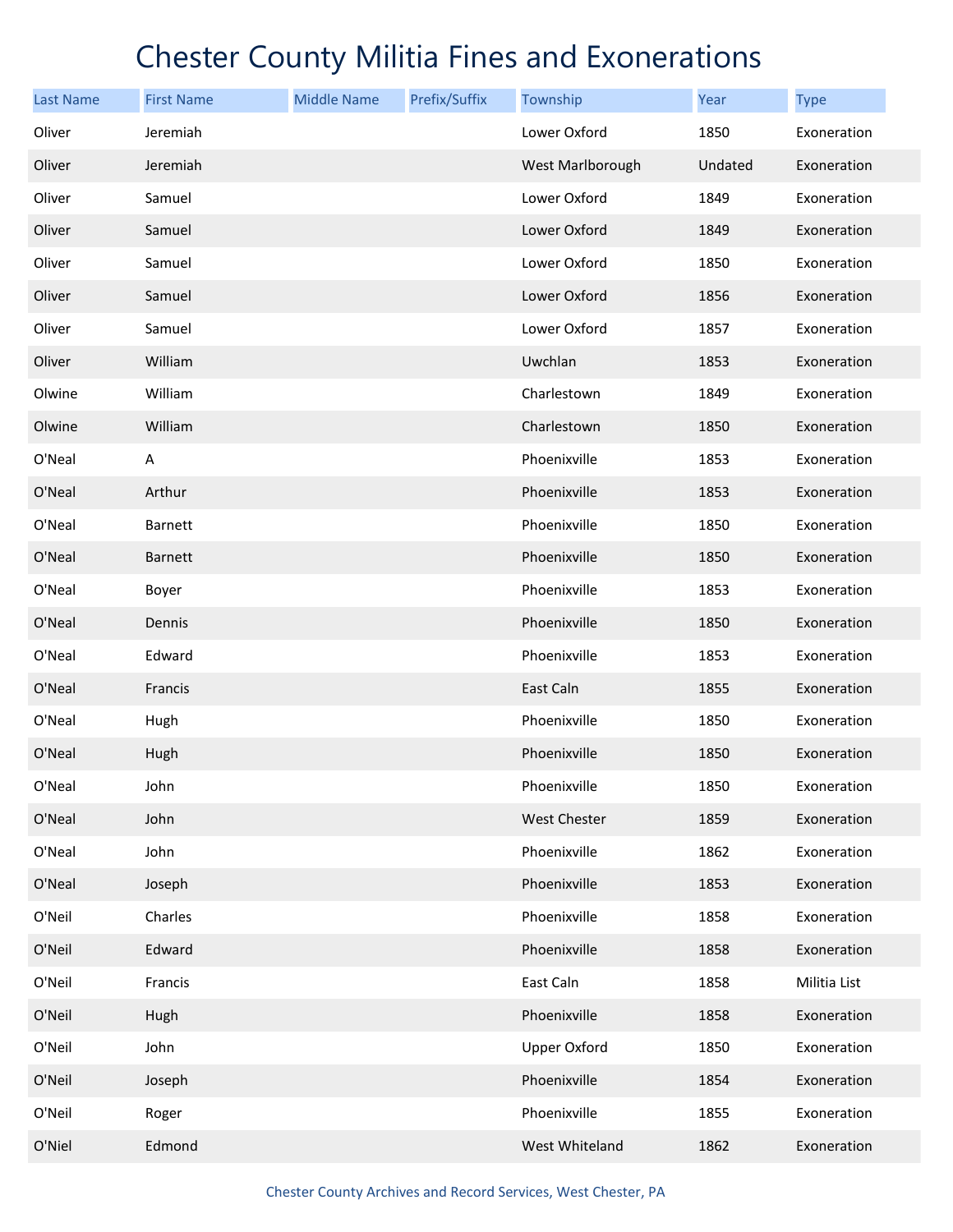| <b>Last Name</b> | <b>First Name</b> | <b>Middle Name</b> | Prefix/Suffix | Township            | Year    | <b>Type</b>  |
|------------------|-------------------|--------------------|---------------|---------------------|---------|--------------|
| Oliver           | Jeremiah          |                    |               | Lower Oxford        | 1850    | Exoneration  |
| Oliver           | Jeremiah          |                    |               | West Marlborough    | Undated | Exoneration  |
| Oliver           | Samuel            |                    |               | Lower Oxford        | 1849    | Exoneration  |
| Oliver           | Samuel            |                    |               | Lower Oxford        | 1849    | Exoneration  |
| Oliver           | Samuel            |                    |               | Lower Oxford        | 1850    | Exoneration  |
| Oliver           | Samuel            |                    |               | Lower Oxford        | 1856    | Exoneration  |
| Oliver           | Samuel            |                    |               | Lower Oxford        | 1857    | Exoneration  |
| Oliver           | William           |                    |               | Uwchlan             | 1853    | Exoneration  |
| Olwine           | William           |                    |               | Charlestown         | 1849    | Exoneration  |
| Olwine           | William           |                    |               | Charlestown         | 1850    | Exoneration  |
| O'Neal           | A                 |                    |               | Phoenixville        | 1853    | Exoneration  |
| O'Neal           | Arthur            |                    |               | Phoenixville        | 1853    | Exoneration  |
| O'Neal           | Barnett           |                    |               | Phoenixville        | 1850    | Exoneration  |
| O'Neal           | Barnett           |                    |               | Phoenixville        | 1850    | Exoneration  |
| O'Neal           | Boyer             |                    |               | Phoenixville        | 1853    | Exoneration  |
| O'Neal           | Dennis            |                    |               | Phoenixville        | 1850    | Exoneration  |
| O'Neal           | Edward            |                    |               | Phoenixville        | 1853    | Exoneration  |
| O'Neal           | Francis           |                    |               | East Caln           | 1855    | Exoneration  |
| O'Neal           | Hugh              |                    |               | Phoenixville        | 1850    | Exoneration  |
| O'Neal           | Hugh              |                    |               | Phoenixville        | 1850    | Exoneration  |
| O'Neal           | John              |                    |               | Phoenixville        | 1850    | Exoneration  |
| O'Neal           | John              |                    |               | <b>West Chester</b> | 1859    | Exoneration  |
| O'Neal           | John              |                    |               | Phoenixville        | 1862    | Exoneration  |
| O'Neal           | Joseph            |                    |               | Phoenixville        | 1853    | Exoneration  |
| O'Neil           | Charles           |                    |               | Phoenixville        | 1858    | Exoneration  |
| O'Neil           | Edward            |                    |               | Phoenixville        | 1858    | Exoneration  |
| O'Neil           | Francis           |                    |               | East Caln           | 1858    | Militia List |
| O'Neil           | Hugh              |                    |               | Phoenixville        | 1858    | Exoneration  |
| O'Neil           | John              |                    |               | <b>Upper Oxford</b> | 1850    | Exoneration  |
| O'Neil           | Joseph            |                    |               | Phoenixville        | 1854    | Exoneration  |
| O'Neil           | Roger             |                    |               | Phoenixville        | 1855    | Exoneration  |
| O'Niel           | Edmond            |                    |               | West Whiteland      | 1862    | Exoneration  |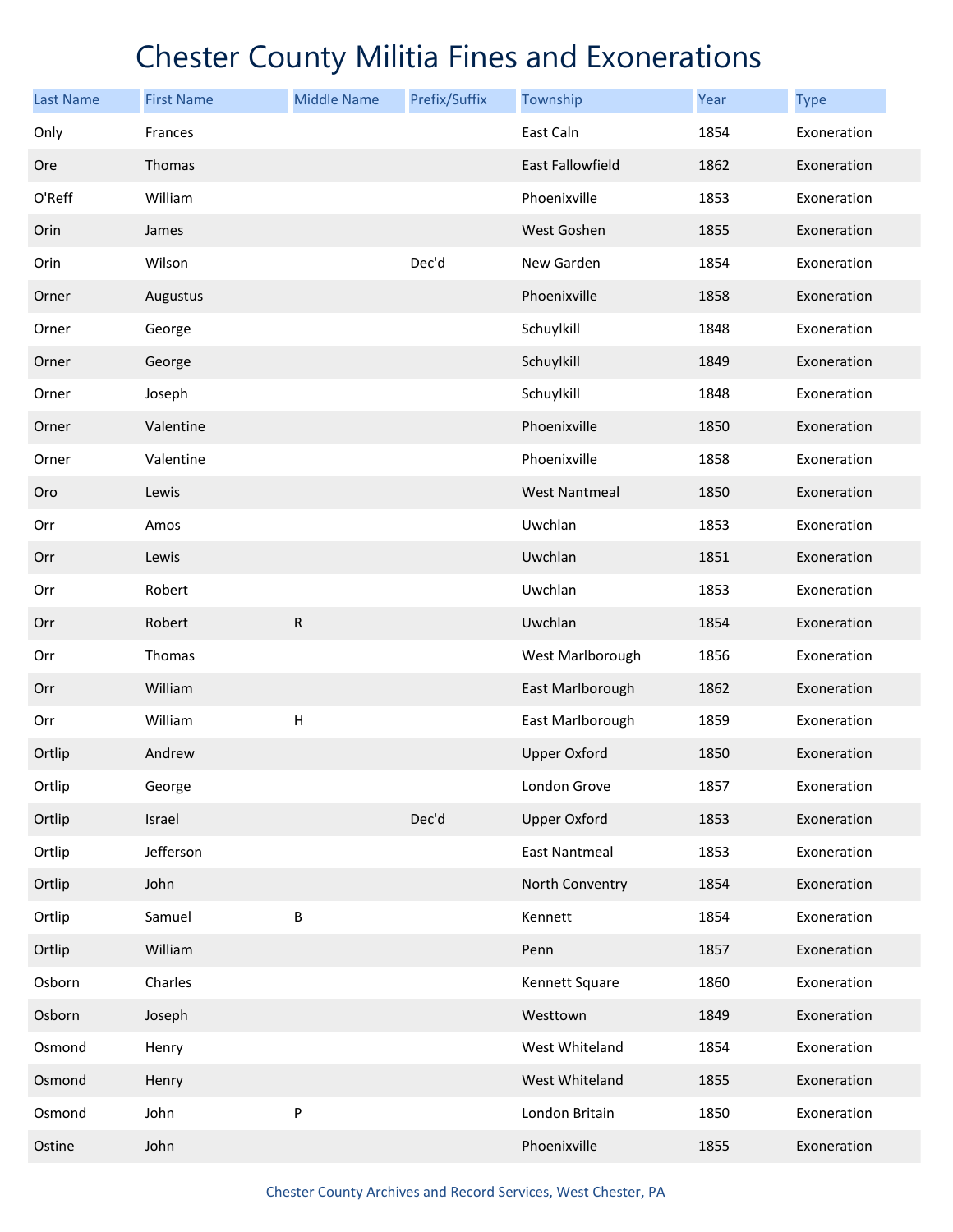| <b>Last Name</b> | <b>First Name</b> | <b>Middle Name</b> | Prefix/Suffix | Township             | Year | <b>Type</b> |
|------------------|-------------------|--------------------|---------------|----------------------|------|-------------|
| Only             | Frances           |                    |               | East Caln            | 1854 | Exoneration |
| Ore              | Thomas            |                    |               | East Fallowfield     | 1862 | Exoneration |
| O'Reff           | William           |                    |               | Phoenixville         | 1853 | Exoneration |
| Orin             | James             |                    |               | West Goshen          | 1855 | Exoneration |
| Orin             | Wilson            |                    | Dec'd         | New Garden           | 1854 | Exoneration |
| Orner            | Augustus          |                    |               | Phoenixville         | 1858 | Exoneration |
| Orner            | George            |                    |               | Schuylkill           | 1848 | Exoneration |
| Orner            | George            |                    |               | Schuylkill           | 1849 | Exoneration |
| Orner            | Joseph            |                    |               | Schuylkill           | 1848 | Exoneration |
| Orner            | Valentine         |                    |               | Phoenixville         | 1850 | Exoneration |
| Orner            | Valentine         |                    |               | Phoenixville         | 1858 | Exoneration |
| Oro              | Lewis             |                    |               | <b>West Nantmeal</b> | 1850 | Exoneration |
| Orr              | Amos              |                    |               | Uwchlan              | 1853 | Exoneration |
| Orr              | Lewis             |                    |               | Uwchlan              | 1851 | Exoneration |
| Orr              | Robert            |                    |               | Uwchlan              | 1853 | Exoneration |
| Orr              | Robert            | ${\sf R}$          |               | Uwchlan              | 1854 | Exoneration |
| Orr              | Thomas            |                    |               | West Marlborough     | 1856 | Exoneration |
| Orr              | William           |                    |               | East Marlborough     | 1862 | Exoneration |
| Orr              | William           | $\mathsf{H}$       |               | East Marlborough     | 1859 | Exoneration |
| Ortlip           | Andrew            |                    |               | <b>Upper Oxford</b>  | 1850 | Exoneration |
| Ortlip           | George            |                    |               | London Grove         | 1857 | Exoneration |
| Ortlip           | Israel            |                    | Dec'd         | <b>Upper Oxford</b>  | 1853 | Exoneration |
| Ortlip           | Jefferson         |                    |               | <b>East Nantmeal</b> | 1853 | Exoneration |
| Ortlip           | John              |                    |               | North Conventry      | 1854 | Exoneration |
| Ortlip           | Samuel            | B                  |               | Kennett              | 1854 | Exoneration |
| Ortlip           | William           |                    |               | Penn                 | 1857 | Exoneration |
| Osborn           | Charles           |                    |               | Kennett Square       | 1860 | Exoneration |
| Osborn           | Joseph            |                    |               | Westtown             | 1849 | Exoneration |
| Osmond           | Henry             |                    |               | West Whiteland       | 1854 | Exoneration |
| Osmond           | Henry             |                    |               | West Whiteland       | 1855 | Exoneration |
| Osmond           | John              | P                  |               | London Britain       | 1850 | Exoneration |
| Ostine           | John              |                    |               | Phoenixville         | 1855 | Exoneration |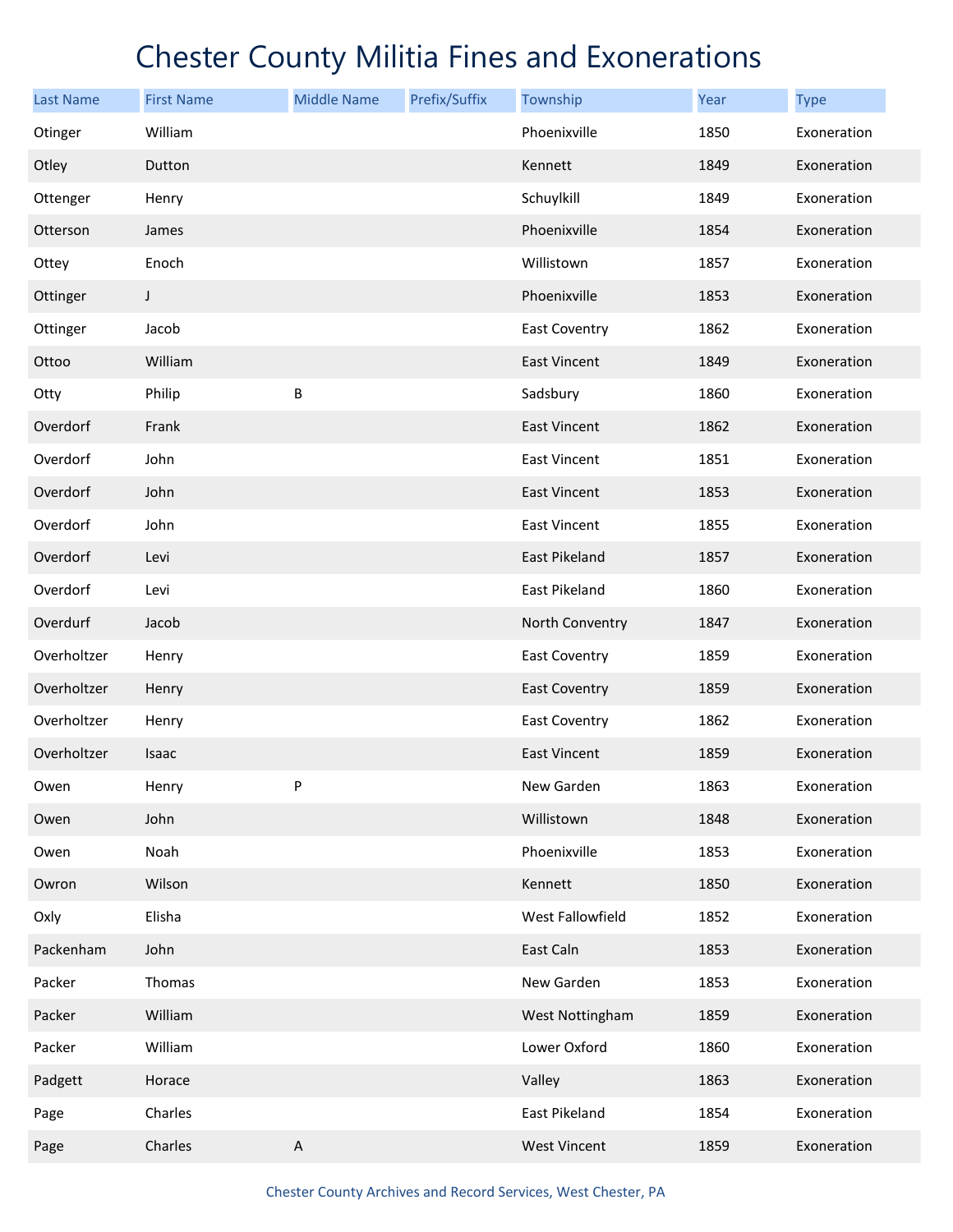| <b>Last Name</b> | <b>First Name</b> | <b>Middle Name</b> | Prefix/Suffix | Township             | <b>Year</b> | <b>Type</b> |
|------------------|-------------------|--------------------|---------------|----------------------|-------------|-------------|
| Otinger          | William           |                    |               | Phoenixville         | 1850        | Exoneration |
| Otley            | Dutton            |                    |               | Kennett              | 1849        | Exoneration |
| Ottenger         | Henry             |                    |               | Schuylkill           | 1849        | Exoneration |
| Otterson         | James             |                    |               | Phoenixville         | 1854        | Exoneration |
| Ottey            | Enoch             |                    |               | Willistown           | 1857        | Exoneration |
| Ottinger         | J                 |                    |               | Phoenixville         | 1853        | Exoneration |
| Ottinger         | Jacob             |                    |               | East Coventry        | 1862        | Exoneration |
| Ottoo            | William           |                    |               | East Vincent         | 1849        | Exoneration |
| Otty             | Philip            | B                  |               | Sadsbury             | 1860        | Exoneration |
| Overdorf         | Frank             |                    |               | <b>East Vincent</b>  | 1862        | Exoneration |
| Overdorf         | John              |                    |               | East Vincent         | 1851        | Exoneration |
| Overdorf         | John              |                    |               | <b>East Vincent</b>  | 1853        | Exoneration |
| Overdorf         | John              |                    |               | <b>East Vincent</b>  | 1855        | Exoneration |
| Overdorf         | Levi              |                    |               | East Pikeland        | 1857        | Exoneration |
| Overdorf         | Levi              |                    |               | East Pikeland        | 1860        | Exoneration |
| Overdurf         | Jacob             |                    |               | North Conventry      | 1847        | Exoneration |
| Overholtzer      | Henry             |                    |               | <b>East Coventry</b> | 1859        | Exoneration |
| Overholtzer      | Henry             |                    |               | <b>East Coventry</b> | 1859        | Exoneration |
| Overholtzer      | Henry             |                    |               | East Coventry        | 1862        | Exoneration |
| Overholtzer      | Isaac             |                    |               | <b>East Vincent</b>  | 1859        | Exoneration |
| Owen             | Henry             | P                  |               | New Garden           | 1863        | Exoneration |
| Owen             | John              |                    |               | Willistown           | 1848        | Exoneration |
| Owen             | Noah              |                    |               | Phoenixville         | 1853        | Exoneration |
| Owron            | Wilson            |                    |               | Kennett              | 1850        | Exoneration |
| Oxly             | Elisha            |                    |               | West Fallowfield     | 1852        | Exoneration |
| Packenham        | John              |                    |               | East Caln            | 1853        | Exoneration |
| Packer           | Thomas            |                    |               | New Garden           | 1853        | Exoneration |
| Packer           | William           |                    |               | West Nottingham      | 1859        | Exoneration |
| Packer           | William           |                    |               | Lower Oxford         | 1860        | Exoneration |
| Padgett          | Horace            |                    |               | Valley               | 1863        | Exoneration |
| Page             | Charles           |                    |               | East Pikeland        | 1854        | Exoneration |
| Page             | Charles           | $\sf A$            |               | <b>West Vincent</b>  | 1859        | Exoneration |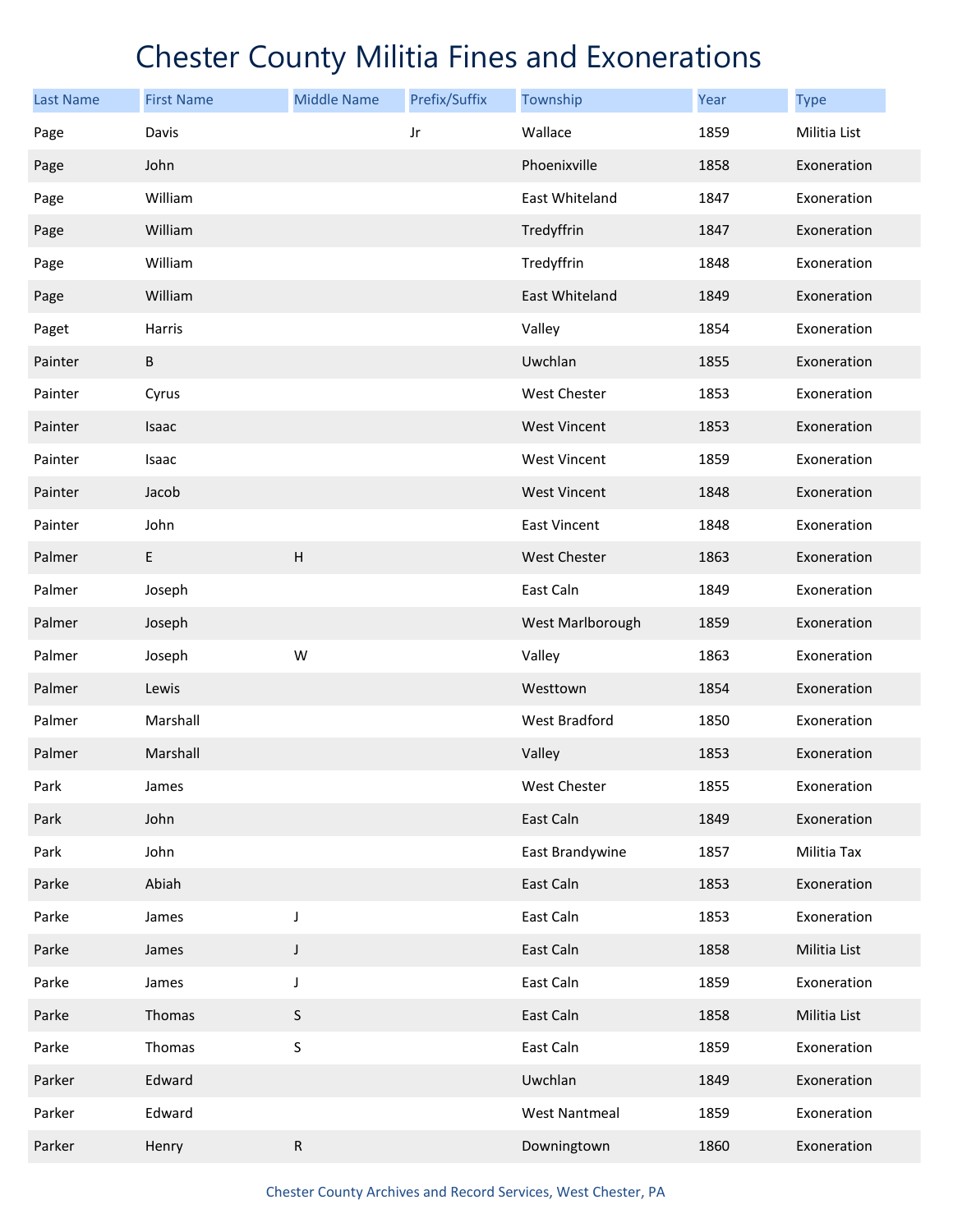| <b>Last Name</b> | <b>First Name</b> | <b>Middle Name</b> | Prefix/Suffix | Township             | Year | <b>Type</b>  |
|------------------|-------------------|--------------------|---------------|----------------------|------|--------------|
| Page             | Davis             |                    | Jr            | Wallace              | 1859 | Militia List |
| Page             | John              |                    |               | Phoenixville         | 1858 | Exoneration  |
| Page             | William           |                    |               | East Whiteland       | 1847 | Exoneration  |
| Page             | William           |                    |               | Tredyffrin           | 1847 | Exoneration  |
| Page             | William           |                    |               | Tredyffrin           | 1848 | Exoneration  |
| Page             | William           |                    |               | East Whiteland       | 1849 | Exoneration  |
| Paget            | Harris            |                    |               | Valley               | 1854 | Exoneration  |
| Painter          | $\sf B$           |                    |               | Uwchlan              | 1855 | Exoneration  |
| Painter          | Cyrus             |                    |               | West Chester         | 1853 | Exoneration  |
| Painter          | Isaac             |                    |               | <b>West Vincent</b>  | 1853 | Exoneration  |
| Painter          | Isaac             |                    |               | <b>West Vincent</b>  | 1859 | Exoneration  |
| Painter          | Jacob             |                    |               | <b>West Vincent</b>  | 1848 | Exoneration  |
| Painter          | John              |                    |               | East Vincent         | 1848 | Exoneration  |
| Palmer           | E                 | $\sf H$            |               | West Chester         | 1863 | Exoneration  |
| Palmer           | Joseph            |                    |               | East Caln            | 1849 | Exoneration  |
| Palmer           | Joseph            |                    |               | West Marlborough     | 1859 | Exoneration  |
| Palmer           | Joseph            | W                  |               | Valley               | 1863 | Exoneration  |
| Palmer           | Lewis             |                    |               | Westtown             | 1854 | Exoneration  |
| Palmer           | Marshall          |                    |               | West Bradford        | 1850 | Exoneration  |
| Palmer           | Marshall          |                    |               | Valley               | 1853 | Exoneration  |
| Park             | James             |                    |               | West Chester         | 1855 | Exoneration  |
| Park             | John              |                    |               | East Caln            | 1849 | Exoneration  |
| Park             | John              |                    |               | East Brandywine      | 1857 | Militia Tax  |
| Parke            | Abiah             |                    |               | East Caln            | 1853 | Exoneration  |
| Parke            | James             | J                  |               | East Caln            | 1853 | Exoneration  |
| Parke            | James             | J                  |               | East Caln            | 1858 | Militia List |
| Parke            | James             | J                  |               | East Caln            | 1859 | Exoneration  |
| Parke            | Thomas            | $\sf S$            |               | East Caln            | 1858 | Militia List |
| Parke            | Thomas            | $\sf S$            |               | East Caln            | 1859 | Exoneration  |
| Parker           | Edward            |                    |               | Uwchlan              | 1849 | Exoneration  |
| Parker           | Edward            |                    |               | <b>West Nantmeal</b> | 1859 | Exoneration  |
| Parker           | Henry             | ${\sf R}$          |               | Downingtown          | 1860 | Exoneration  |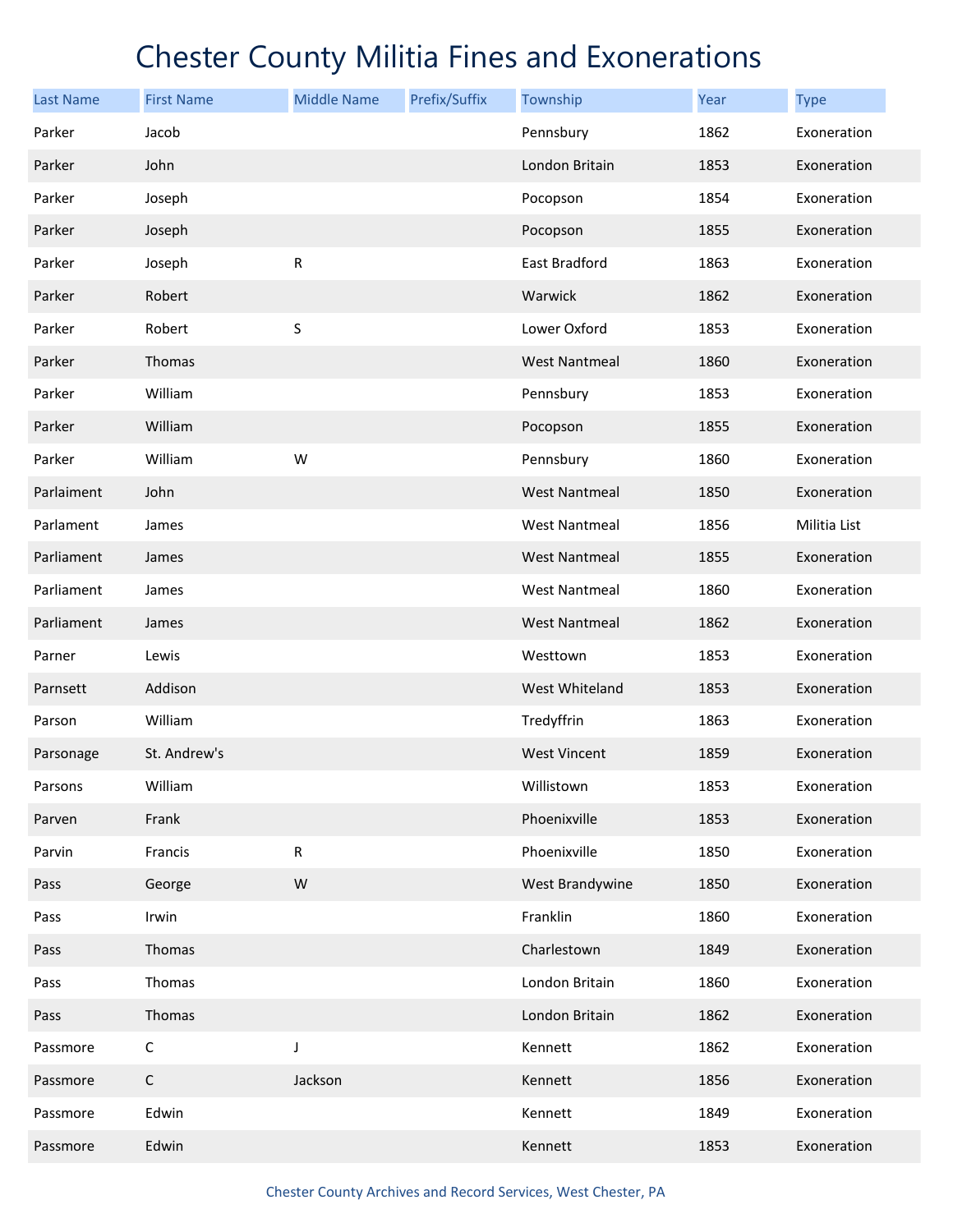| <b>Last Name</b> | <b>First Name</b> | <b>Middle Name</b> | Prefix/Suffix | Township             | Year | <b>Type</b>  |
|------------------|-------------------|--------------------|---------------|----------------------|------|--------------|
| Parker           | Jacob             |                    |               | Pennsbury            | 1862 | Exoneration  |
| Parker           | John              |                    |               | London Britain       | 1853 | Exoneration  |
| Parker           | Joseph            |                    |               | Pocopson             | 1854 | Exoneration  |
| Parker           | Joseph            |                    |               | Pocopson             | 1855 | Exoneration  |
| Parker           | Joseph            | ${\sf R}$          |               | East Bradford        | 1863 | Exoneration  |
| Parker           | Robert            |                    |               | Warwick              | 1862 | Exoneration  |
| Parker           | Robert            | S                  |               | Lower Oxford         | 1853 | Exoneration  |
| Parker           | Thomas            |                    |               | <b>West Nantmeal</b> | 1860 | Exoneration  |
| Parker           | William           |                    |               | Pennsbury            | 1853 | Exoneration  |
| Parker           | William           |                    |               | Pocopson             | 1855 | Exoneration  |
| Parker           | William           | W                  |               | Pennsbury            | 1860 | Exoneration  |
| Parlaiment       | John              |                    |               | <b>West Nantmeal</b> | 1850 | Exoneration  |
| Parlament        | James             |                    |               | <b>West Nantmeal</b> | 1856 | Militia List |
| Parliament       | James             |                    |               | <b>West Nantmeal</b> | 1855 | Exoneration  |
| Parliament       | James             |                    |               | <b>West Nantmeal</b> | 1860 | Exoneration  |
| Parliament       | James             |                    |               | <b>West Nantmeal</b> | 1862 | Exoneration  |
| Parner           | Lewis             |                    |               | Westtown             | 1853 | Exoneration  |
| Parnsett         | Addison           |                    |               | West Whiteland       | 1853 | Exoneration  |
| Parson           | William           |                    |               | Tredyffrin           | 1863 | Exoneration  |
| Parsonage        | St. Andrew's      |                    |               | <b>West Vincent</b>  | 1859 | Exoneration  |
| Parsons          | William           |                    |               | Willistown           | 1853 | Exoneration  |
| Parven           | Frank             |                    |               | Phoenixville         | 1853 | Exoneration  |
| Parvin           | Francis           | ${\sf R}$          |               | Phoenixville         | 1850 | Exoneration  |
| Pass             | George            | W                  |               | West Brandywine      | 1850 | Exoneration  |
| Pass             | Irwin             |                    |               | Franklin             | 1860 | Exoneration  |
| Pass             | Thomas            |                    |               | Charlestown          | 1849 | Exoneration  |
| Pass             | Thomas            |                    |               | London Britain       | 1860 | Exoneration  |
| Pass             | Thomas            |                    |               | London Britain       | 1862 | Exoneration  |
| Passmore         | $\mathsf C$       | J                  |               | Kennett              | 1862 | Exoneration  |
| Passmore         | $\mathsf C$       | Jackson            |               | Kennett              | 1856 | Exoneration  |
| Passmore         | Edwin             |                    |               | Kennett              | 1849 | Exoneration  |
| Passmore         | Edwin             |                    |               | Kennett              | 1853 | Exoneration  |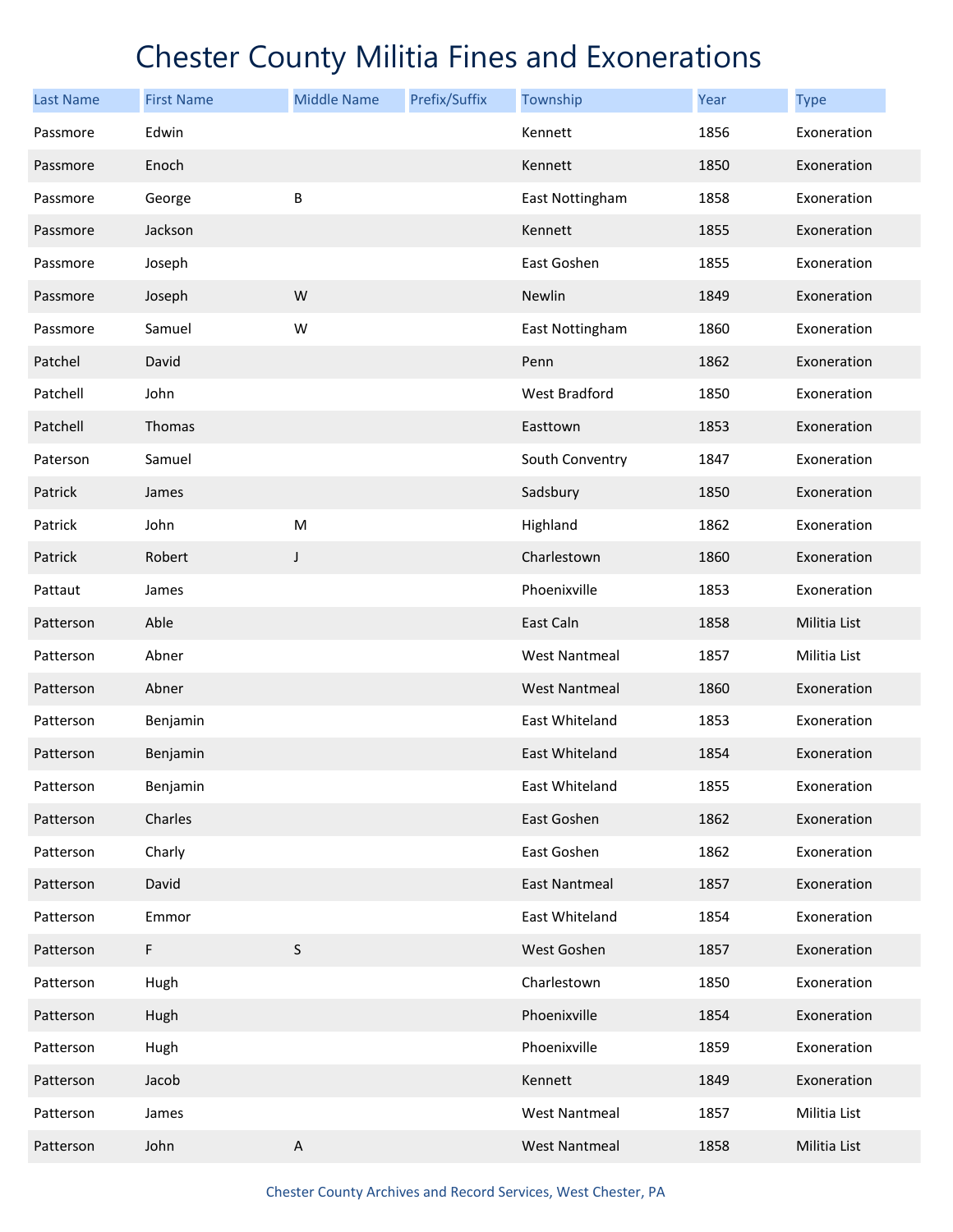| <b>Last Name</b> | <b>First Name</b> | <b>Middle Name</b>        | Prefix/Suffix | Township             | Year | <b>Type</b>  |
|------------------|-------------------|---------------------------|---------------|----------------------|------|--------------|
| Passmore         | Edwin             |                           |               | Kennett              | 1856 | Exoneration  |
| Passmore         | Enoch             |                           |               | Kennett              | 1850 | Exoneration  |
| Passmore         | George            | B                         |               | East Nottingham      | 1858 | Exoneration  |
| Passmore         | Jackson           |                           |               | Kennett              | 1855 | Exoneration  |
| Passmore         | Joseph            |                           |               | East Goshen          | 1855 | Exoneration  |
| Passmore         | Joseph            | W                         |               | Newlin               | 1849 | Exoneration  |
| Passmore         | Samuel            | W                         |               | East Nottingham      | 1860 | Exoneration  |
| Patchel          | David             |                           |               | Penn                 | 1862 | Exoneration  |
| Patchell         | John              |                           |               | West Bradford        | 1850 | Exoneration  |
| Patchell         | Thomas            |                           |               | Easttown             | 1853 | Exoneration  |
| Paterson         | Samuel            |                           |               | South Conventry      | 1847 | Exoneration  |
| Patrick          | James             |                           |               | Sadsbury             | 1850 | Exoneration  |
| Patrick          | John              | M                         |               | Highland             | 1862 | Exoneration  |
| Patrick          | Robert            | J                         |               | Charlestown          | 1860 | Exoneration  |
| Pattaut          | James             |                           |               | Phoenixville         | 1853 | Exoneration  |
| Patterson        | Able              |                           |               | East Caln            | 1858 | Militia List |
| Patterson        | Abner             |                           |               | <b>West Nantmeal</b> | 1857 | Militia List |
| Patterson        | Abner             |                           |               | <b>West Nantmeal</b> | 1860 | Exoneration  |
| Patterson        | Benjamin          |                           |               | East Whiteland       | 1853 | Exoneration  |
| Patterson        | Benjamin          |                           |               | East Whiteland       | 1854 | Exoneration  |
| Patterson        | Benjamin          |                           |               | East Whiteland       | 1855 | Exoneration  |
| Patterson        | Charles           |                           |               | East Goshen          | 1862 | Exoneration  |
| Patterson        | Charly            |                           |               | East Goshen          | 1862 | Exoneration  |
| Patterson        | David             |                           |               | East Nantmeal        | 1857 | Exoneration  |
| Patterson        | Emmor             |                           |               | East Whiteland       | 1854 | Exoneration  |
| Patterson        | F                 | $\sf S$                   |               | West Goshen          | 1857 | Exoneration  |
| Patterson        | Hugh              |                           |               | Charlestown          | 1850 | Exoneration  |
| Patterson        | Hugh              |                           |               | Phoenixville         | 1854 | Exoneration  |
| Patterson        | Hugh              |                           |               | Phoenixville         | 1859 | Exoneration  |
| Patterson        | Jacob             |                           |               | Kennett              | 1849 | Exoneration  |
| Patterson        | James             |                           |               | <b>West Nantmeal</b> | 1857 | Militia List |
| Patterson        | John              | $\boldsymbol{\mathsf{A}}$ |               | <b>West Nantmeal</b> | 1858 | Militia List |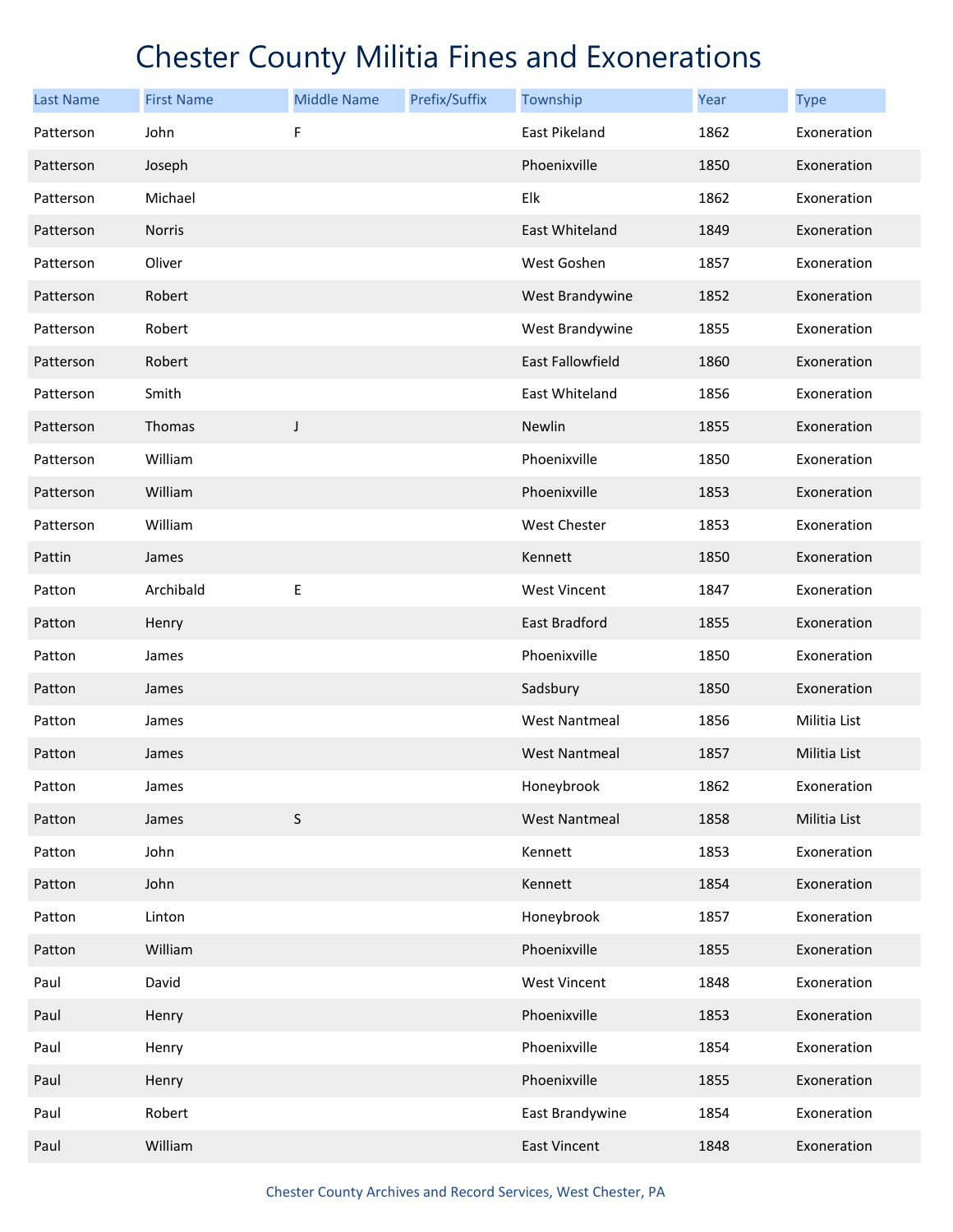| <b>Last Name</b> | <b>First Name</b> | <b>Middle Name</b> | Prefix/Suffix | Township             | Year | <b>Type</b>  |
|------------------|-------------------|--------------------|---------------|----------------------|------|--------------|
| Patterson        | John              | F                  |               | East Pikeland        | 1862 | Exoneration  |
| Patterson        | Joseph            |                    |               | Phoenixville         | 1850 | Exoneration  |
| Patterson        | Michael           |                    |               | Elk                  | 1862 | Exoneration  |
| Patterson        | <b>Norris</b>     |                    |               | East Whiteland       | 1849 | Exoneration  |
| Patterson        | Oliver            |                    |               | West Goshen          | 1857 | Exoneration  |
| Patterson        | Robert            |                    |               | West Brandywine      | 1852 | Exoneration  |
| Patterson        | Robert            |                    |               | West Brandywine      | 1855 | Exoneration  |
| Patterson        | Robert            |                    |               | East Fallowfield     | 1860 | Exoneration  |
| Patterson        | Smith             |                    |               | East Whiteland       | 1856 | Exoneration  |
| Patterson        | Thomas            | $\mathsf J$        |               | Newlin               | 1855 | Exoneration  |
| Patterson        | William           |                    |               | Phoenixville         | 1850 | Exoneration  |
| Patterson        | William           |                    |               | Phoenixville         | 1853 | Exoneration  |
| Patterson        | William           |                    |               | <b>West Chester</b>  | 1853 | Exoneration  |
| Pattin           | James             |                    |               | Kennett              | 1850 | Exoneration  |
| Patton           | Archibald         | Е                  |               | <b>West Vincent</b>  | 1847 | Exoneration  |
| Patton           | Henry             |                    |               | <b>East Bradford</b> | 1855 | Exoneration  |
| Patton           | James             |                    |               | Phoenixville         | 1850 | Exoneration  |
| Patton           | James             |                    |               | Sadsbury             | 1850 | Exoneration  |
| Patton           | James             |                    |               | <b>West Nantmeal</b> | 1856 | Militia List |
| Patton           | James             |                    |               | <b>West Nantmeal</b> | 1857 | Militia List |
| Patton           | James             |                    |               | Honeybrook           | 1862 | Exoneration  |
| Patton           | James             | $\sf S$            |               | <b>West Nantmeal</b> | 1858 | Militia List |
| Patton           | John              |                    |               | Kennett              | 1853 | Exoneration  |
| Patton           | John              |                    |               | Kennett              | 1854 | Exoneration  |
| Patton           | Linton            |                    |               | Honeybrook           | 1857 | Exoneration  |
| Patton           | William           |                    |               | Phoenixville         | 1855 | Exoneration  |
| Paul             | David             |                    |               | <b>West Vincent</b>  | 1848 | Exoneration  |
| Paul             | Henry             |                    |               | Phoenixville         | 1853 | Exoneration  |
| Paul             | Henry             |                    |               | Phoenixville         | 1854 | Exoneration  |
| Paul             | Henry             |                    |               | Phoenixville         | 1855 | Exoneration  |
| Paul             | Robert            |                    |               | East Brandywine      | 1854 | Exoneration  |
| Paul             | William           |                    |               | <b>East Vincent</b>  | 1848 | Exoneration  |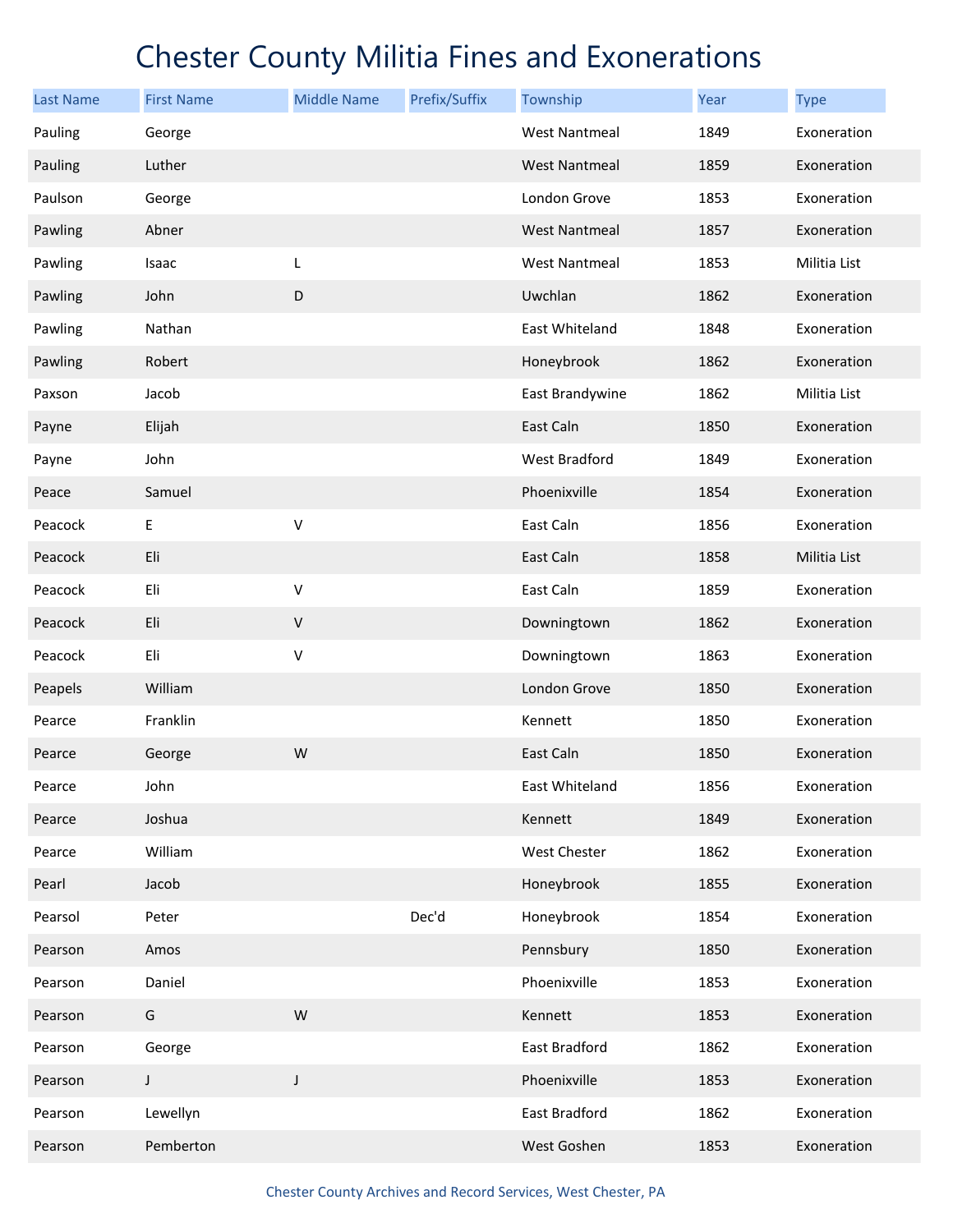| <b>Last Name</b> | <b>First Name</b> | <b>Middle Name</b> | Prefix/Suffix | Township             | Year | <b>Type</b>  |
|------------------|-------------------|--------------------|---------------|----------------------|------|--------------|
| Pauling          | George            |                    |               | <b>West Nantmeal</b> | 1849 | Exoneration  |
| Pauling          | Luther            |                    |               | <b>West Nantmeal</b> | 1859 | Exoneration  |
| Paulson          | George            |                    |               | London Grove         | 1853 | Exoneration  |
| Pawling          | Abner             |                    |               | <b>West Nantmeal</b> | 1857 | Exoneration  |
| Pawling          | Isaac             | L                  |               | <b>West Nantmeal</b> | 1853 | Militia List |
| Pawling          | John              | $\mathsf D$        |               | Uwchlan              | 1862 | Exoneration  |
| Pawling          | Nathan            |                    |               | East Whiteland       | 1848 | Exoneration  |
| Pawling          | Robert            |                    |               | Honeybrook           | 1862 | Exoneration  |
| Paxson           | Jacob             |                    |               | East Brandywine      | 1862 | Militia List |
| Payne            | Elijah            |                    |               | East Caln            | 1850 | Exoneration  |
| Payne            | John              |                    |               | West Bradford        | 1849 | Exoneration  |
| Peace            | Samuel            |                    |               | Phoenixville         | 1854 | Exoneration  |
| Peacock          | E                 | V                  |               | East Caln            | 1856 | Exoneration  |
| Peacock          | Eli               |                    |               | East Caln            | 1858 | Militia List |
| Peacock          | Eli               | V                  |               | East Caln            | 1859 | Exoneration  |
| Peacock          | Eli               | $\sf V$            |               | Downingtown          | 1862 | Exoneration  |
| Peacock          | Eli               | V                  |               | Downingtown          | 1863 | Exoneration  |
| Peapels          | William           |                    |               | London Grove         | 1850 | Exoneration  |
| Pearce           | Franklin          |                    |               | Kennett              | 1850 | Exoneration  |
| Pearce           | George            | W                  |               | East Caln            | 1850 | Exoneration  |
| Pearce           | John              |                    |               | East Whiteland       | 1856 | Exoneration  |
| Pearce           | Joshua            |                    |               | Kennett              | 1849 | Exoneration  |
| Pearce           | William           |                    |               | West Chester         | 1862 | Exoneration  |
| Pearl            | Jacob             |                    |               | Honeybrook           | 1855 | Exoneration  |
| Pearsol          | Peter             |                    | Dec'd         | Honeybrook           | 1854 | Exoneration  |
| Pearson          | Amos              |                    |               | Pennsbury            | 1850 | Exoneration  |
| Pearson          | Daniel            |                    |               | Phoenixville         | 1853 | Exoneration  |
| Pearson          | G                 | W                  |               | Kennett              | 1853 | Exoneration  |
| Pearson          | George            |                    |               | East Bradford        | 1862 | Exoneration  |
| Pearson          | $\mathsf J$       | $\mathsf J$        |               | Phoenixville         | 1853 | Exoneration  |
| Pearson          | Lewellyn          |                    |               | East Bradford        | 1862 | Exoneration  |
| Pearson          | Pemberton         |                    |               | West Goshen          | 1853 | Exoneration  |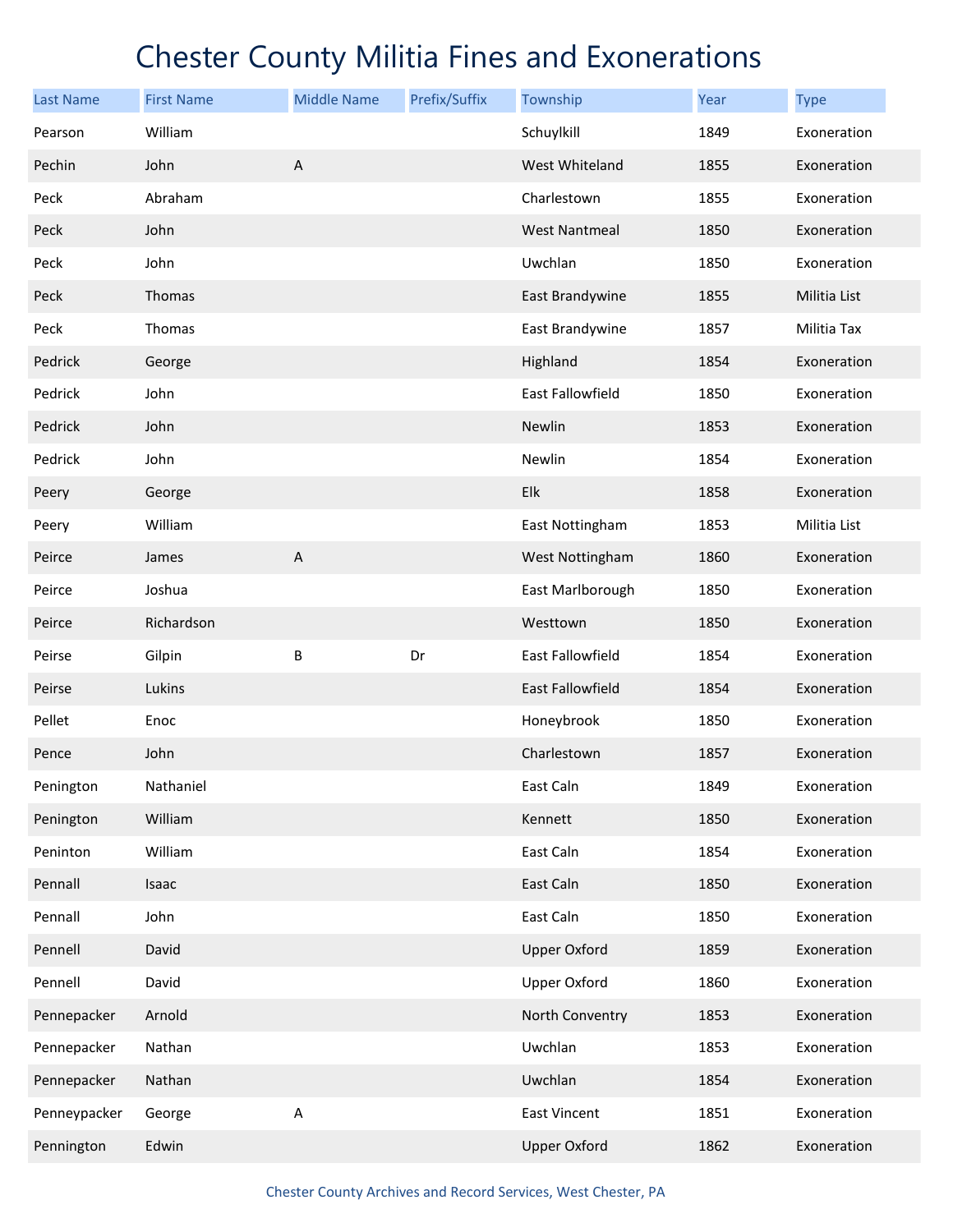| <b>Last Name</b> | <b>First Name</b> | <b>Middle Name</b> | Prefix/Suffix | Township             | Year | <b>Type</b>  |
|------------------|-------------------|--------------------|---------------|----------------------|------|--------------|
| Pearson          | William           |                    |               | Schuylkill           | 1849 | Exoneration  |
| Pechin           | John              | $\mathsf A$        |               | West Whiteland       | 1855 | Exoneration  |
| Peck             | Abraham           |                    |               | Charlestown          | 1855 | Exoneration  |
| Peck             | John              |                    |               | <b>West Nantmeal</b> | 1850 | Exoneration  |
| Peck             | John              |                    |               | Uwchlan              | 1850 | Exoneration  |
| Peck             | Thomas            |                    |               | East Brandywine      | 1855 | Militia List |
| Peck             | Thomas            |                    |               | East Brandywine      | 1857 | Militia Tax  |
| Pedrick          | George            |                    |               | Highland             | 1854 | Exoneration  |
| Pedrick          | John              |                    |               | East Fallowfield     | 1850 | Exoneration  |
| Pedrick          | John              |                    |               | Newlin               | 1853 | Exoneration  |
| Pedrick          | John              |                    |               | Newlin               | 1854 | Exoneration  |
| Peery            | George            |                    |               | Elk                  | 1858 | Exoneration  |
| Peery            | William           |                    |               | East Nottingham      | 1853 | Militia List |
| Peirce           | James             | $\mathsf A$        |               | West Nottingham      | 1860 | Exoneration  |
| Peirce           | Joshua            |                    |               | East Marlborough     | 1850 | Exoneration  |
| Peirce           | Richardson        |                    |               | Westtown             | 1850 | Exoneration  |
| Peirse           | Gilpin            | B                  | Dr            | East Fallowfield     | 1854 | Exoneration  |
| Peirse           | Lukins            |                    |               | East Fallowfield     | 1854 | Exoneration  |
| Pellet           | Enoc              |                    |               | Honeybrook           | 1850 | Exoneration  |
| Pence            | John              |                    |               | Charlestown          | 1857 | Exoneration  |
| Penington        | Nathaniel         |                    |               | East Caln            | 1849 | Exoneration  |
| Penington        | William           |                    |               | Kennett              | 1850 | Exoneration  |
| Peninton         | William           |                    |               | East Caln            | 1854 | Exoneration  |
| Pennall          | Isaac             |                    |               | East Caln            | 1850 | Exoneration  |
| Pennall          | John              |                    |               | East Caln            | 1850 | Exoneration  |
| Pennell          | David             |                    |               | <b>Upper Oxford</b>  | 1859 | Exoneration  |
| Pennell          | David             |                    |               | <b>Upper Oxford</b>  | 1860 | Exoneration  |
| Pennepacker      | Arnold            |                    |               | North Conventry      | 1853 | Exoneration  |
| Pennepacker      | Nathan            |                    |               | Uwchlan              | 1853 | Exoneration  |
| Pennepacker      | Nathan            |                    |               | Uwchlan              | 1854 | Exoneration  |
| Penneypacker     | George            | Α                  |               | East Vincent         | 1851 | Exoneration  |
| Pennington       | Edwin             |                    |               | <b>Upper Oxford</b>  | 1862 | Exoneration  |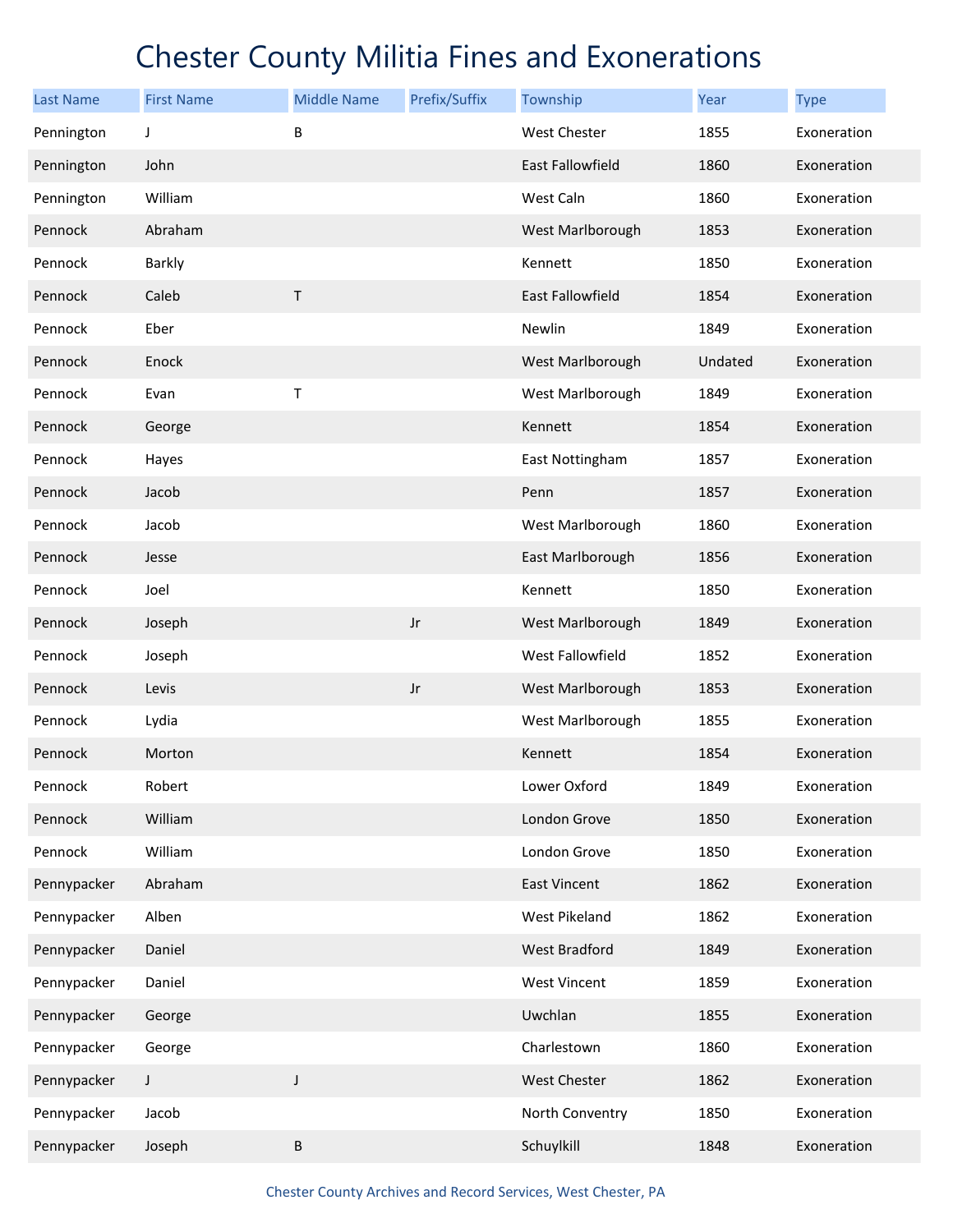| <b>Last Name</b> | <b>First Name</b> | <b>Middle Name</b> | Prefix/Suffix          | Township                | Year    | <b>Type</b> |
|------------------|-------------------|--------------------|------------------------|-------------------------|---------|-------------|
| Pennington       | J                 | B                  |                        | West Chester            | 1855    | Exoneration |
| Pennington       | John              |                    |                        | East Fallowfield        | 1860    | Exoneration |
| Pennington       | William           |                    |                        | West Caln               | 1860    | Exoneration |
| Pennock          | Abraham           |                    |                        | West Marlborough        | 1853    | Exoneration |
| Pennock          | Barkly            |                    |                        | Kennett                 | 1850    | Exoneration |
| Pennock          | Caleb             | $\mathsf T$        |                        | <b>East Fallowfield</b> | 1854    | Exoneration |
| Pennock          | Eber              |                    |                        | Newlin                  | 1849    | Exoneration |
| Pennock          | Enock             |                    |                        | West Marlborough        | Undated | Exoneration |
| Pennock          | Evan              | $\top$             |                        | West Marlborough        | 1849    | Exoneration |
| Pennock          | George            |                    |                        | Kennett                 | 1854    | Exoneration |
| Pennock          | Hayes             |                    |                        | East Nottingham         | 1857    | Exoneration |
| Pennock          | Jacob             |                    |                        | Penn                    | 1857    | Exoneration |
| Pennock          | Jacob             |                    |                        | West Marlborough        | 1860    | Exoneration |
| Pennock          | Jesse             |                    |                        | East Marlborough        | 1856    | Exoneration |
| Pennock          | Joel              |                    |                        | Kennett                 | 1850    | Exoneration |
| Pennock          | Joseph            |                    | $\mathsf{J}\mathsf{r}$ | West Marlborough        | 1849    | Exoneration |
| Pennock          | Joseph            |                    |                        | West Fallowfield        | 1852    | Exoneration |
| Pennock          | Levis             |                    | $\mathsf{J}\mathsf{r}$ | West Marlborough        | 1853    | Exoneration |
| Pennock          | Lydia             |                    |                        | West Marlborough        | 1855    | Exoneration |
| Pennock          | Morton            |                    |                        | Kennett                 | 1854    | Exoneration |
| Pennock          | Robert            |                    |                        | Lower Oxford            | 1849    | Exoneration |
| Pennock          | William           |                    |                        | London Grove            | 1850    | Exoneration |
| Pennock          | William           |                    |                        | London Grove            | 1850    | Exoneration |
| Pennypacker      | Abraham           |                    |                        | <b>East Vincent</b>     | 1862    | Exoneration |
| Pennypacker      | Alben             |                    |                        | West Pikeland           | 1862    | Exoneration |
| Pennypacker      | Daniel            |                    |                        | West Bradford           | 1849    | Exoneration |
| Pennypacker      | Daniel            |                    |                        | West Vincent            | 1859    | Exoneration |
| Pennypacker      | George            |                    |                        | Uwchlan                 | 1855    | Exoneration |
| Pennypacker      | George            |                    |                        | Charlestown             | 1860    | Exoneration |
| Pennypacker      | $\mathsf J$       | $\mathsf J$        |                        | West Chester            | 1862    | Exoneration |
| Pennypacker      | Jacob             |                    |                        | North Conventry         | 1850    | Exoneration |
| Pennypacker      | Joseph            | B                  |                        | Schuylkill              | 1848    | Exoneration |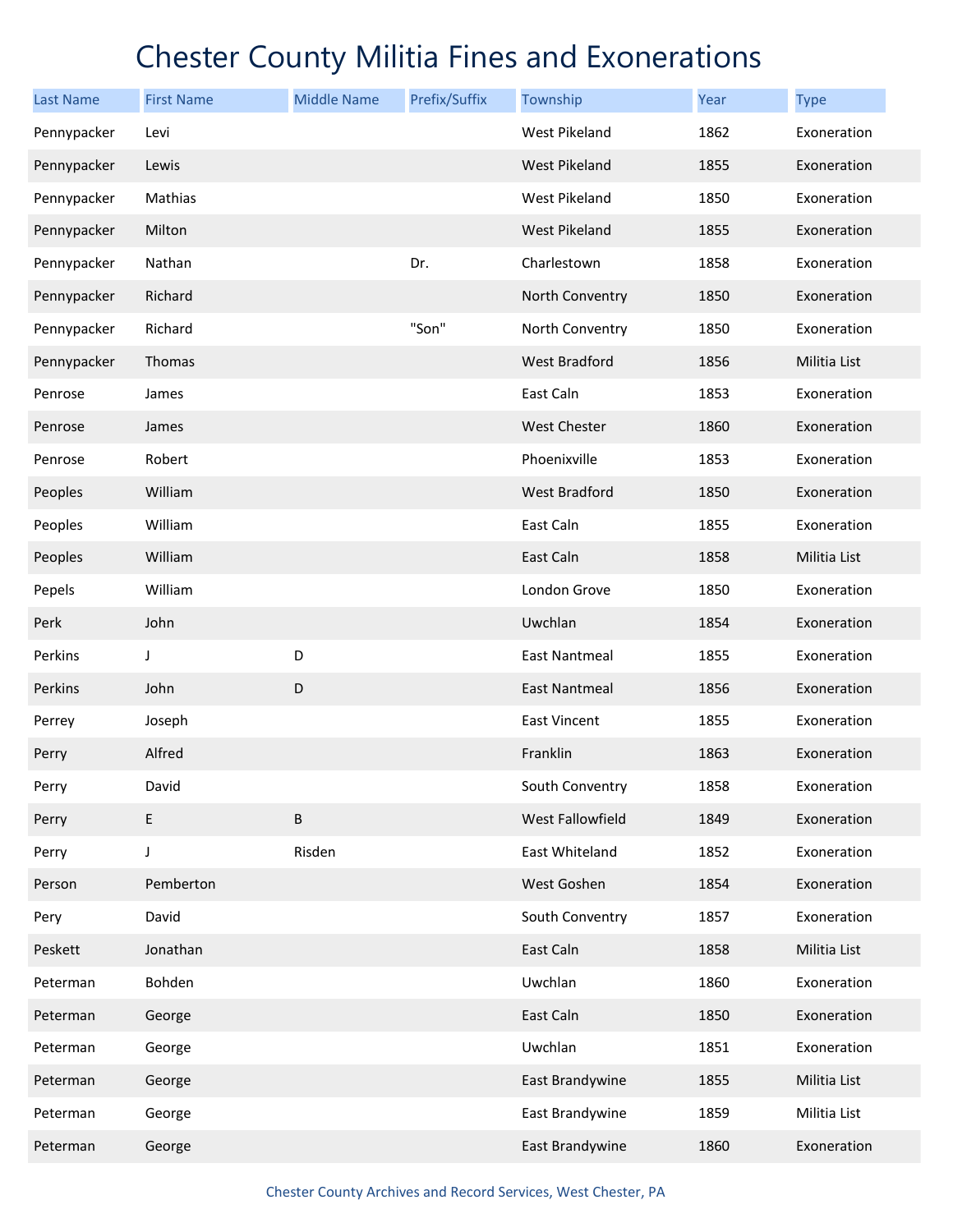| <b>Last Name</b> | <b>First Name</b> | <b>Middle Name</b> | Prefix/Suffix | Township             | Year | <b>Type</b>  |
|------------------|-------------------|--------------------|---------------|----------------------|------|--------------|
| Pennypacker      | Levi              |                    |               | West Pikeland        | 1862 | Exoneration  |
| Pennypacker      | Lewis             |                    |               | <b>West Pikeland</b> | 1855 | Exoneration  |
| Pennypacker      | Mathias           |                    |               | West Pikeland        | 1850 | Exoneration  |
| Pennypacker      | Milton            |                    |               | <b>West Pikeland</b> | 1855 | Exoneration  |
| Pennypacker      | Nathan            |                    | Dr.           | Charlestown          | 1858 | Exoneration  |
| Pennypacker      | Richard           |                    |               | North Conventry      | 1850 | Exoneration  |
| Pennypacker      | Richard           |                    | "Son"         | North Conventry      | 1850 | Exoneration  |
| Pennypacker      | Thomas            |                    |               | <b>West Bradford</b> | 1856 | Militia List |
| Penrose          | James             |                    |               | East Caln            | 1853 | Exoneration  |
| Penrose          | James             |                    |               | <b>West Chester</b>  | 1860 | Exoneration  |
| Penrose          | Robert            |                    |               | Phoenixville         | 1853 | Exoneration  |
| Peoples          | William           |                    |               | <b>West Bradford</b> | 1850 | Exoneration  |
| Peoples          | William           |                    |               | East Caln            | 1855 | Exoneration  |
| Peoples          | William           |                    |               | East Caln            | 1858 | Militia List |
| Pepels           | William           |                    |               | London Grove         | 1850 | Exoneration  |
| Perk             | John              |                    |               | Uwchlan              | 1854 | Exoneration  |
| Perkins          | J                 | D                  |               | <b>East Nantmeal</b> | 1855 | Exoneration  |
| Perkins          | John              | $\mathsf D$        |               | East Nantmeal        | 1856 | Exoneration  |
| Perrey           | Joseph            |                    |               | East Vincent         | 1855 | Exoneration  |
| Perry            | Alfred            |                    |               | Franklin             | 1863 | Exoneration  |
| Perry            | David             |                    |               | South Conventry      | 1858 | Exoneration  |
| Perry            | E                 | B                  |               | West Fallowfield     | 1849 | Exoneration  |
| Perry            | J                 | Risden             |               | East Whiteland       | 1852 | Exoneration  |
| Person           | Pemberton         |                    |               | West Goshen          | 1854 | Exoneration  |
| Pery             | David             |                    |               | South Conventry      | 1857 | Exoneration  |
| Peskett          | Jonathan          |                    |               | East Caln            | 1858 | Militia List |
| Peterman         | Bohden            |                    |               | Uwchlan              | 1860 | Exoneration  |
| Peterman         | George            |                    |               | East Caln            | 1850 | Exoneration  |
| Peterman         | George            |                    |               | Uwchlan              | 1851 | Exoneration  |
| Peterman         | George            |                    |               | East Brandywine      | 1855 | Militia List |
| Peterman         | George            |                    |               | East Brandywine      | 1859 | Militia List |
| Peterman         | George            |                    |               | East Brandywine      | 1860 | Exoneration  |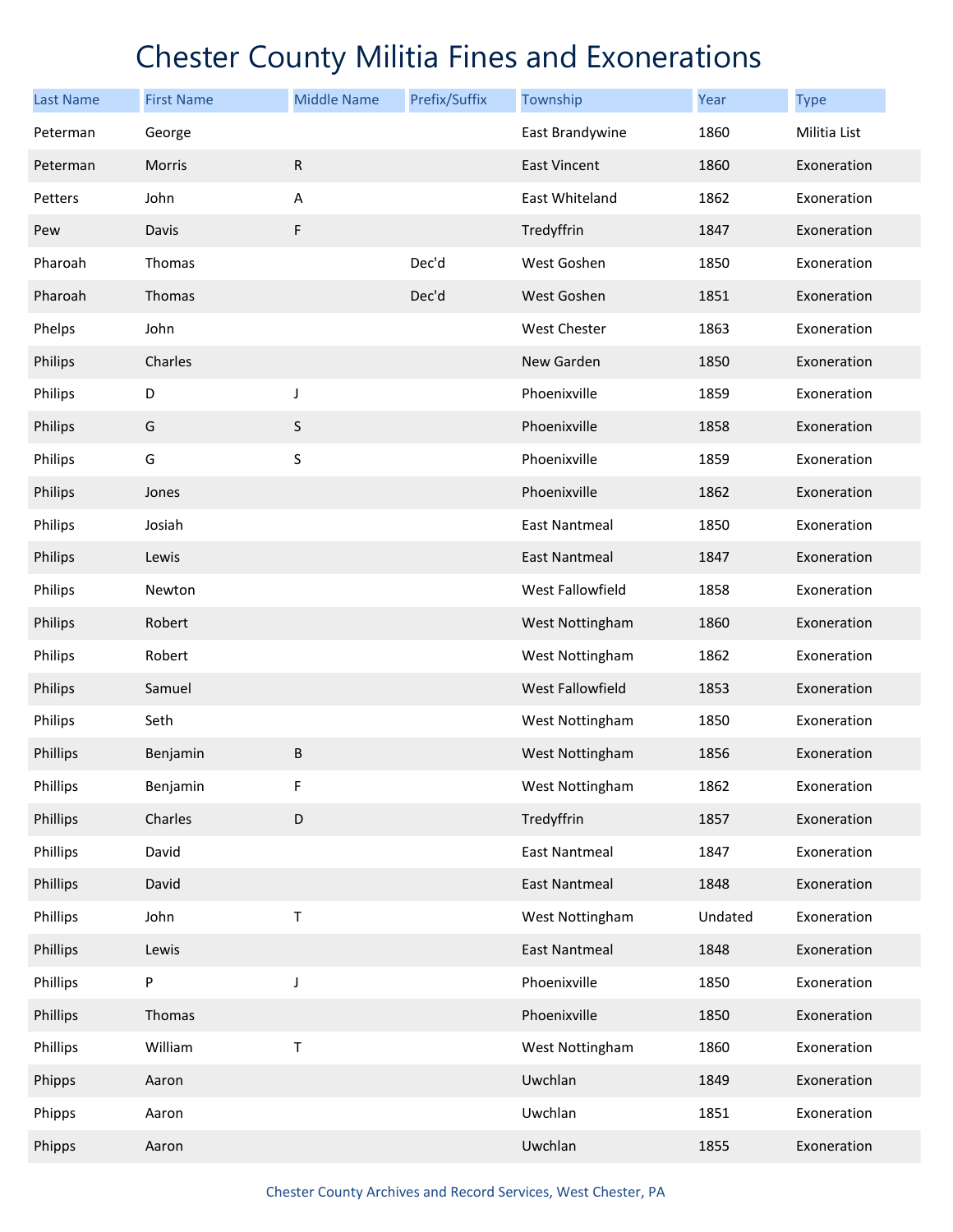| <b>Last Name</b> | <b>First Name</b> | <b>Middle Name</b> | Prefix/Suffix | Township             | Year    | <b>Type</b>  |
|------------------|-------------------|--------------------|---------------|----------------------|---------|--------------|
| Peterman         | George            |                    |               | East Brandywine      | 1860    | Militia List |
| Peterman         | Morris            | ${\sf R}$          |               | <b>East Vincent</b>  | 1860    | Exoneration  |
| Petters          | John              | A                  |               | East Whiteland       | 1862    | Exoneration  |
| Pew              | Davis             | F                  |               | Tredyffrin           | 1847    | Exoneration  |
| Pharoah          | Thomas            |                    | Dec'd         | West Goshen          | 1850    | Exoneration  |
| Pharoah          | Thomas            |                    | Dec'd         | West Goshen          | 1851    | Exoneration  |
| Phelps           | John              |                    |               | West Chester         | 1863    | Exoneration  |
| Philips          | Charles           |                    |               | New Garden           | 1850    | Exoneration  |
| Philips          | D                 | J                  |               | Phoenixville         | 1859    | Exoneration  |
| Philips          | G                 | $\sf S$            |               | Phoenixville         | 1858    | Exoneration  |
| Philips          | G                 | $\sf S$            |               | Phoenixville         | 1859    | Exoneration  |
| Philips          | Jones             |                    |               | Phoenixville         | 1862    | Exoneration  |
| Philips          | Josiah            |                    |               | <b>East Nantmeal</b> | 1850    | Exoneration  |
| Philips          | Lewis             |                    |               | East Nantmeal        | 1847    | Exoneration  |
| Philips          | Newton            |                    |               | West Fallowfield     | 1858    | Exoneration  |
| Philips          | Robert            |                    |               | West Nottingham      | 1860    | Exoneration  |
| Philips          | Robert            |                    |               | West Nottingham      | 1862    | Exoneration  |
| Philips          | Samuel            |                    |               | West Fallowfield     | 1853    | Exoneration  |
| Philips          | Seth              |                    |               | West Nottingham      | 1850    | Exoneration  |
| Phillips         | Benjamin          | B                  |               | West Nottingham      | 1856    | Exoneration  |
| Phillips         | Benjamin          | F                  |               | West Nottingham      | 1862    | Exoneration  |
| Phillips         | Charles           | D                  |               | Tredyffrin           | 1857    | Exoneration  |
| Phillips         | David             |                    |               | <b>East Nantmeal</b> | 1847    | Exoneration  |
| Phillips         | David             |                    |               | <b>East Nantmeal</b> | 1848    | Exoneration  |
| Phillips         | John              | Τ                  |               | West Nottingham      | Undated | Exoneration  |
| Phillips         | Lewis             |                    |               | <b>East Nantmeal</b> | 1848    | Exoneration  |
| Phillips         | P                 | J                  |               | Phoenixville         | 1850    | Exoneration  |
| Phillips         | Thomas            |                    |               | Phoenixville         | 1850    | Exoneration  |
| Phillips         | William           | $\sf T$            |               | West Nottingham      | 1860    | Exoneration  |
| Phipps           | Aaron             |                    |               | Uwchlan              | 1849    | Exoneration  |
| Phipps           | Aaron             |                    |               | Uwchlan              | 1851    | Exoneration  |
| Phipps           | Aaron             |                    |               | Uwchlan              | 1855    | Exoneration  |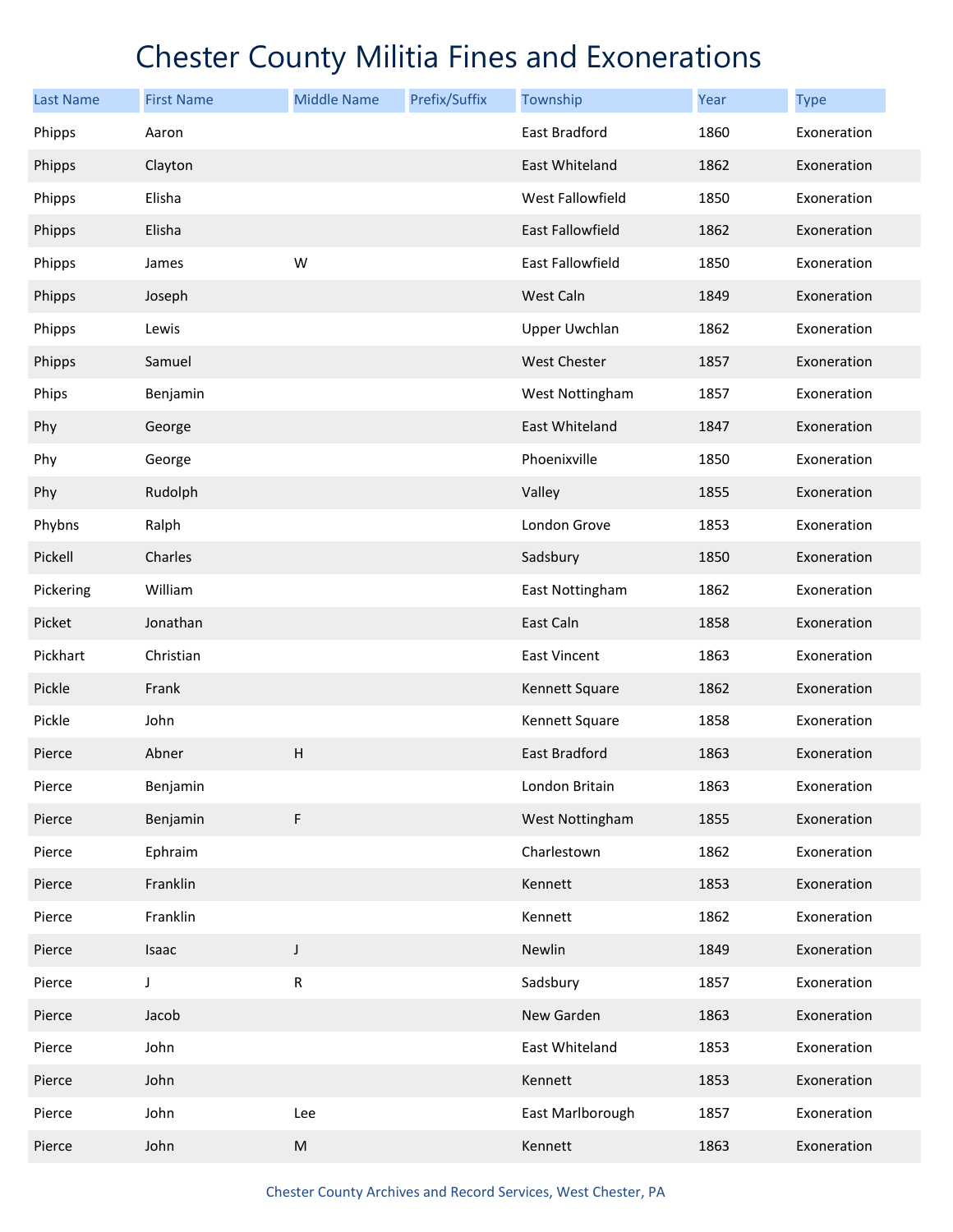| <b>Last Name</b> | <b>First Name</b> | <b>Middle Name</b> | Prefix/Suffix | Township                | Year | <b>Type</b> |
|------------------|-------------------|--------------------|---------------|-------------------------|------|-------------|
| Phipps           | Aaron             |                    |               | East Bradford           | 1860 | Exoneration |
| Phipps           | Clayton           |                    |               | East Whiteland          | 1862 | Exoneration |
| Phipps           | Elisha            |                    |               | West Fallowfield        | 1850 | Exoneration |
| Phipps           | Elisha            |                    |               | <b>East Fallowfield</b> | 1862 | Exoneration |
| Phipps           | James             | W                  |               | East Fallowfield        | 1850 | Exoneration |
| Phipps           | Joseph            |                    |               | West Caln               | 1849 | Exoneration |
| Phipps           | Lewis             |                    |               | <b>Upper Uwchlan</b>    | 1862 | Exoneration |
| Phipps           | Samuel            |                    |               | <b>West Chester</b>     | 1857 | Exoneration |
| Phips            | Benjamin          |                    |               | West Nottingham         | 1857 | Exoneration |
| Phy              | George            |                    |               | East Whiteland          | 1847 | Exoneration |
| Phy              | George            |                    |               | Phoenixville            | 1850 | Exoneration |
| Phy              | Rudolph           |                    |               | Valley                  | 1855 | Exoneration |
| Phybns           | Ralph             |                    |               | London Grove            | 1853 | Exoneration |
| Pickell          | Charles           |                    |               | Sadsbury                | 1850 | Exoneration |
| Pickering        | William           |                    |               | East Nottingham         | 1862 | Exoneration |
| Picket           | Jonathan          |                    |               | East Caln               | 1858 | Exoneration |
| Pickhart         | Christian         |                    |               | East Vincent            | 1863 | Exoneration |
| Pickle           | Frank             |                    |               | Kennett Square          | 1862 | Exoneration |
| Pickle           | John              |                    |               | Kennett Square          | 1858 | Exoneration |
| Pierce           | Abner             | Н                  |               | East Bradford           | 1863 | Exoneration |
| Pierce           | Benjamin          |                    |               | London Britain          | 1863 | Exoneration |
| Pierce           | Benjamin          | F                  |               | West Nottingham         | 1855 | Exoneration |
| Pierce           | Ephraim           |                    |               | Charlestown             | 1862 | Exoneration |
| Pierce           | Franklin          |                    |               | Kennett                 | 1853 | Exoneration |
| Pierce           | Franklin          |                    |               | Kennett                 | 1862 | Exoneration |
| Pierce           | Isaac             | $\mathsf J$        |               | Newlin                  | 1849 | Exoneration |
| Pierce           | J                 | ${\sf R}$          |               | Sadsbury                | 1857 | Exoneration |
| Pierce           | Jacob             |                    |               | New Garden              | 1863 | Exoneration |
| Pierce           | John              |                    |               | East Whiteland          | 1853 | Exoneration |
| Pierce           | John              |                    |               | Kennett                 | 1853 | Exoneration |
| Pierce           | John              | Lee                |               | East Marlborough        | 1857 | Exoneration |
| Pierce           | John              | ${\sf M}$          |               | Kennett                 | 1863 | Exoneration |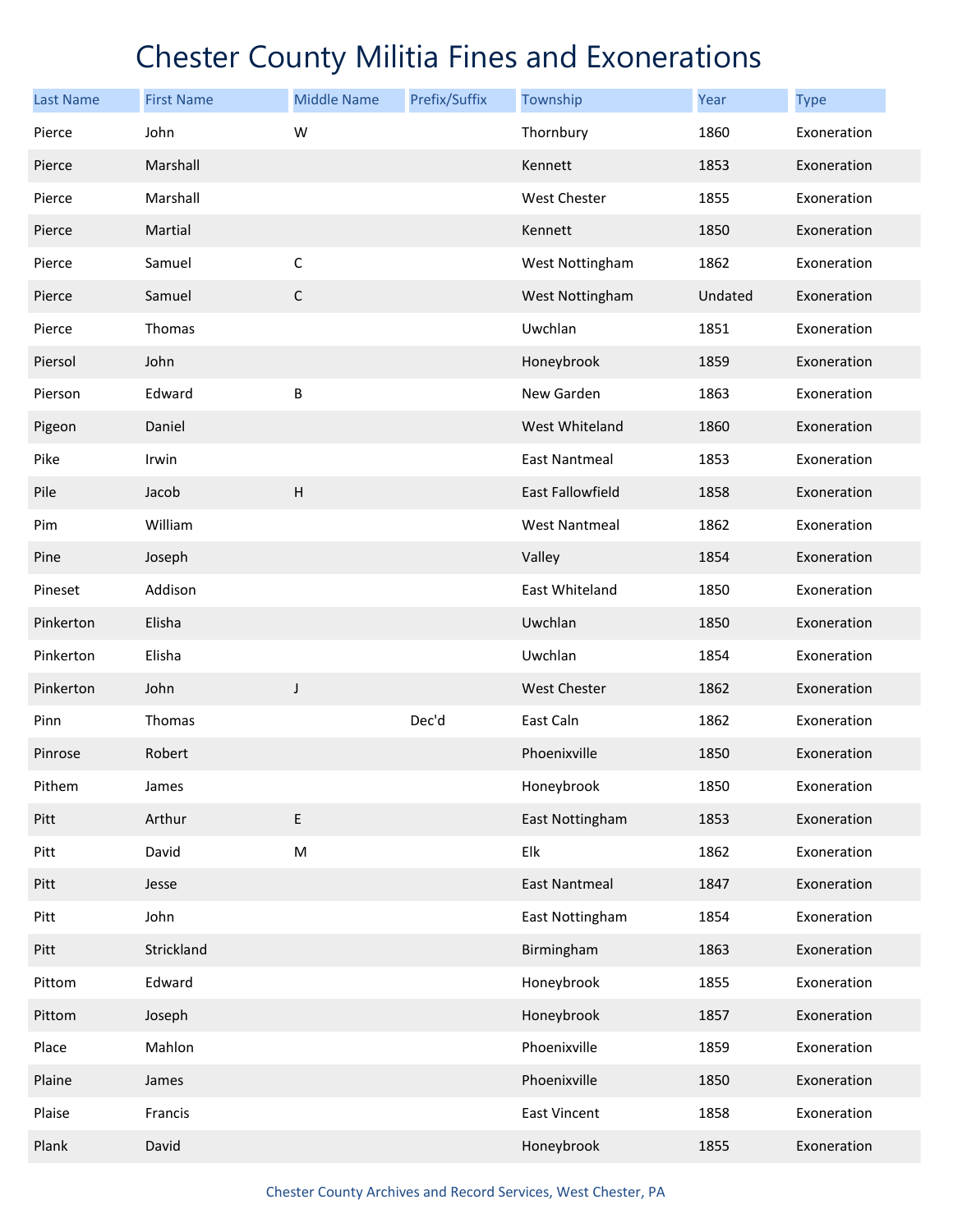| <b>Last Name</b> | <b>First Name</b> | <b>Middle Name</b> | Prefix/Suffix | Township                | Year    | <b>Type</b> |
|------------------|-------------------|--------------------|---------------|-------------------------|---------|-------------|
| Pierce           | John              | W                  |               | Thornbury               | 1860    | Exoneration |
| Pierce           | Marshall          |                    |               | Kennett                 | 1853    | Exoneration |
| Pierce           | Marshall          |                    |               | West Chester            | 1855    | Exoneration |
| Pierce           | Martial           |                    |               | Kennett                 | 1850    | Exoneration |
| Pierce           | Samuel            | $\mathsf C$        |               | West Nottingham         | 1862    | Exoneration |
| Pierce           | Samuel            | $\mathsf C$        |               | West Nottingham         | Undated | Exoneration |
| Pierce           | Thomas            |                    |               | Uwchlan                 | 1851    | Exoneration |
| Piersol          | John              |                    |               | Honeybrook              | 1859    | Exoneration |
| Pierson          | Edward            | B                  |               | New Garden              | 1863    | Exoneration |
| Pigeon           | Daniel            |                    |               | West Whiteland          | 1860    | Exoneration |
| Pike             | Irwin             |                    |               | <b>East Nantmeal</b>    | 1853    | Exoneration |
| Pile             | Jacob             | $\sf H$            |               | <b>East Fallowfield</b> | 1858    | Exoneration |
| Pim              | William           |                    |               | <b>West Nantmeal</b>    | 1862    | Exoneration |
| Pine             | Joseph            |                    |               | Valley                  | 1854    | Exoneration |
| Pineset          | Addison           |                    |               | East Whiteland          | 1850    | Exoneration |
| Pinkerton        | Elisha            |                    |               | Uwchlan                 | 1850    | Exoneration |
| Pinkerton        | Elisha            |                    |               | Uwchlan                 | 1854    | Exoneration |
| Pinkerton        | John              | J                  |               | <b>West Chester</b>     | 1862    | Exoneration |
| Pinn             | Thomas            |                    | Dec'd         | East Caln               | 1862    | Exoneration |
| Pinrose          | Robert            |                    |               | Phoenixville            | 1850    | Exoneration |
| Pithem           | James             |                    |               | Honeybrook              | 1850    | Exoneration |
| Pitt             | Arthur            | E                  |               | East Nottingham         | 1853    | Exoneration |
| Pitt             | David             | ${\sf M}$          |               | Elk                     | 1862    | Exoneration |
| Pitt             | Jesse             |                    |               | <b>East Nantmeal</b>    | 1847    | Exoneration |
| Pitt             | John              |                    |               | East Nottingham         | 1854    | Exoneration |
| Pitt             | Strickland        |                    |               | Birmingham              | 1863    | Exoneration |
| Pittom           | Edward            |                    |               | Honeybrook              | 1855    | Exoneration |
| Pittom           | Joseph            |                    |               | Honeybrook              | 1857    | Exoneration |
| Place            | Mahlon            |                    |               | Phoenixville            | 1859    | Exoneration |
| Plaine           | James             |                    |               | Phoenixville            | 1850    | Exoneration |
| Plaise           | Francis           |                    |               | East Vincent            | 1858    | Exoneration |
| Plank            | David             |                    |               | Honeybrook              | 1855    | Exoneration |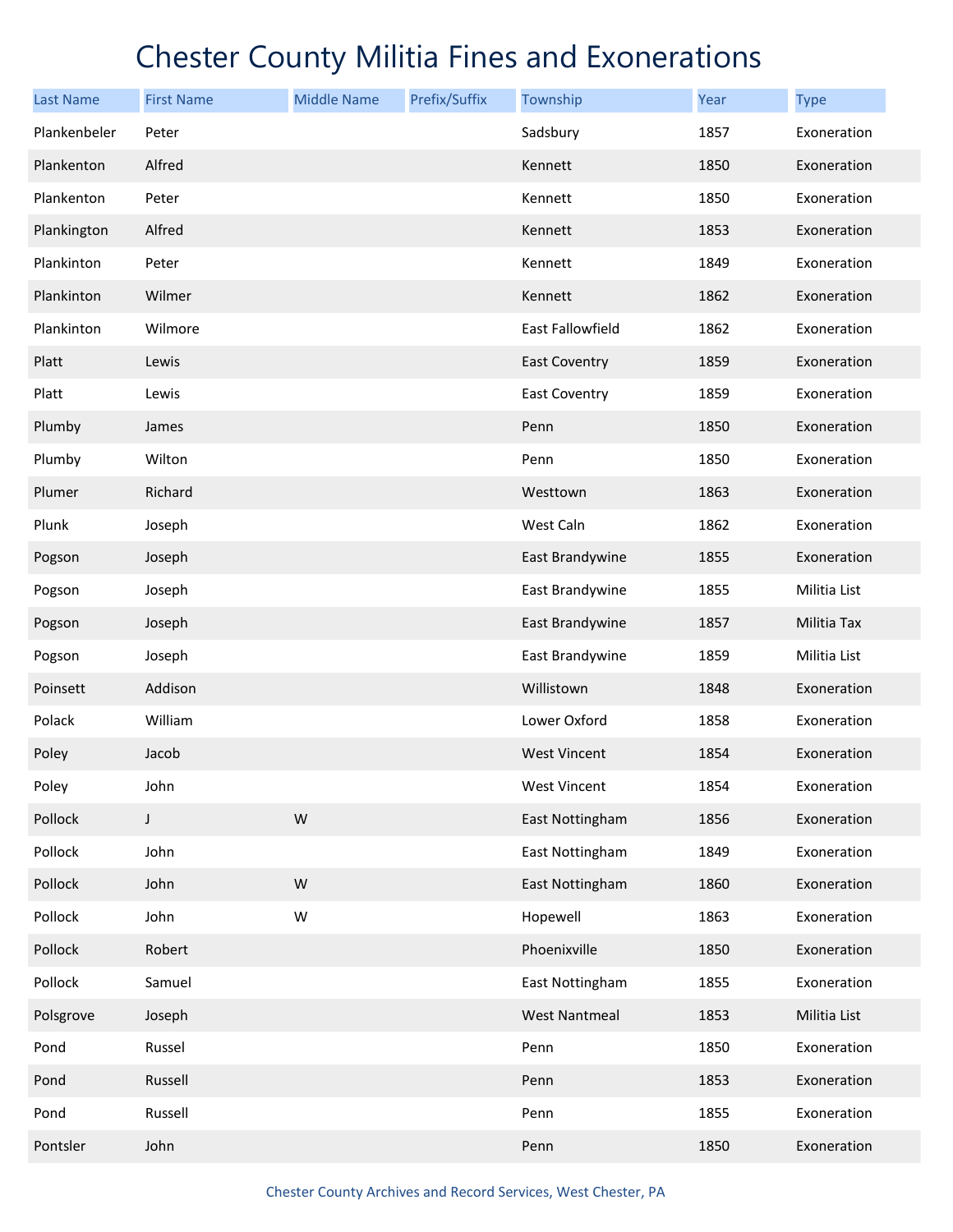| <b>Last Name</b> | <b>First Name</b> | <b>Middle Name</b> | Prefix/Suffix | Township             | <b>Year</b> | <b>Type</b>  |
|------------------|-------------------|--------------------|---------------|----------------------|-------------|--------------|
| Plankenbeler     | Peter             |                    |               | Sadsbury             | 1857        | Exoneration  |
| Plankenton       | Alfred            |                    |               | Kennett              | 1850        | Exoneration  |
| Plankenton       | Peter             |                    |               | Kennett              | 1850        | Exoneration  |
| Plankington      | Alfred            |                    |               | Kennett              | 1853        | Exoneration  |
| Plankinton       | Peter             |                    |               | Kennett              | 1849        | Exoneration  |
| Plankinton       | Wilmer            |                    |               | Kennett              | 1862        | Exoneration  |
| Plankinton       | Wilmore           |                    |               | East Fallowfield     | 1862        | Exoneration  |
| Platt            | Lewis             |                    |               | <b>East Coventry</b> | 1859        | Exoneration  |
| Platt            | Lewis             |                    |               | <b>East Coventry</b> | 1859        | Exoneration  |
| Plumby           | James             |                    |               | Penn                 | 1850        | Exoneration  |
| Plumby           | Wilton            |                    |               | Penn                 | 1850        | Exoneration  |
| Plumer           | Richard           |                    |               | Westtown             | 1863        | Exoneration  |
| Plunk            | Joseph            |                    |               | West Caln            | 1862        | Exoneration  |
| Pogson           | Joseph            |                    |               | East Brandywine      | 1855        | Exoneration  |
| Pogson           | Joseph            |                    |               | East Brandywine      | 1855        | Militia List |
| Pogson           | Joseph            |                    |               | East Brandywine      | 1857        | Militia Tax  |
| Pogson           | Joseph            |                    |               | East Brandywine      | 1859        | Militia List |
| Poinsett         | Addison           |                    |               | Willistown           | 1848        | Exoneration  |
| Polack           | William           |                    |               | Lower Oxford         | 1858        | Exoneration  |
| Poley            | Jacob             |                    |               | <b>West Vincent</b>  | 1854        | Exoneration  |
| Poley            | John              |                    |               | <b>West Vincent</b>  | 1854        | Exoneration  |
| Pollock          | $\mathsf J$       | ${\sf W}$          |               | East Nottingham      | 1856        | Exoneration  |
| Pollock          | John              |                    |               | East Nottingham      | 1849        | Exoneration  |
| Pollock          | John              | ${\sf W}$          |               | East Nottingham      | 1860        | Exoneration  |
| Pollock          | John              | W                  |               | Hopewell             | 1863        | Exoneration  |
| Pollock          | Robert            |                    |               | Phoenixville         | 1850        | Exoneration  |
| Pollock          | Samuel            |                    |               | East Nottingham      | 1855        | Exoneration  |
| Polsgrove        | Joseph            |                    |               | <b>West Nantmeal</b> | 1853        | Militia List |
| Pond             | Russel            |                    |               | Penn                 | 1850        | Exoneration  |
| Pond             | Russell           |                    |               | Penn                 | 1853        | Exoneration  |
| Pond             | Russell           |                    |               | Penn                 | 1855        | Exoneration  |
| Pontsler         | John              |                    |               | Penn                 | 1850        | Exoneration  |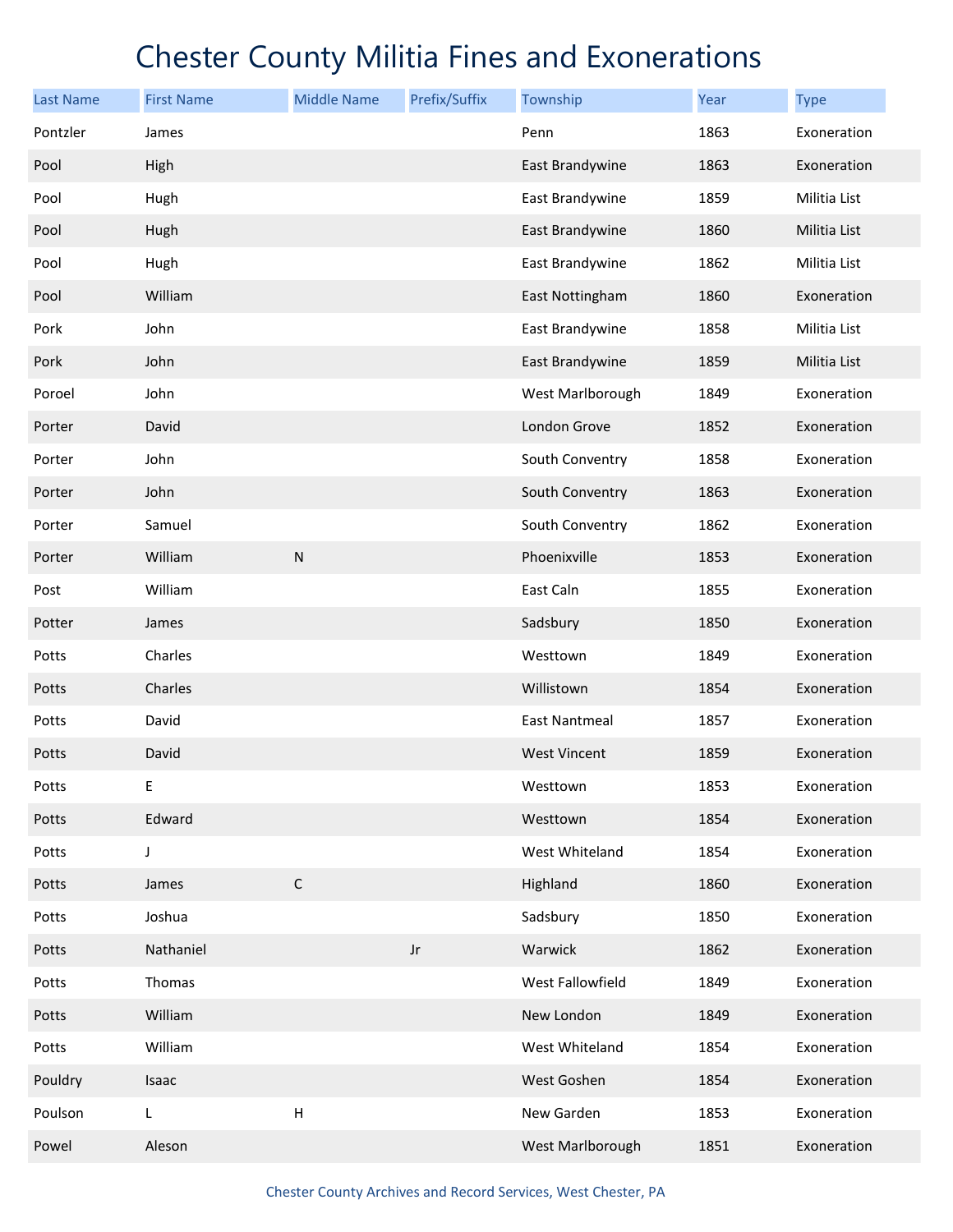| <b>Last Name</b> | <b>First Name</b> | <b>Middle Name</b> | Prefix/Suffix          | Township             | Year | <b>Type</b>  |
|------------------|-------------------|--------------------|------------------------|----------------------|------|--------------|
| Pontzler         | James             |                    |                        | Penn                 | 1863 | Exoneration  |
| Pool             | High              |                    |                        | East Brandywine      | 1863 | Exoneration  |
| Pool             | Hugh              |                    |                        | East Brandywine      | 1859 | Militia List |
| Pool             | Hugh              |                    |                        | East Brandywine      | 1860 | Militia List |
| Pool             | Hugh              |                    |                        | East Brandywine      | 1862 | Militia List |
| Pool             | William           |                    |                        | East Nottingham      | 1860 | Exoneration  |
| Pork             | John              |                    |                        | East Brandywine      | 1858 | Militia List |
| Pork             | John              |                    |                        | East Brandywine      | 1859 | Militia List |
| Poroel           | John              |                    |                        | West Marlborough     | 1849 | Exoneration  |
| Porter           | David             |                    |                        | London Grove         | 1852 | Exoneration  |
| Porter           | John              |                    |                        | South Conventry      | 1858 | Exoneration  |
| Porter           | John              |                    |                        | South Conventry      | 1863 | Exoneration  |
| Porter           | Samuel            |                    |                        | South Conventry      | 1862 | Exoneration  |
| Porter           | William           | ${\sf N}$          |                        | Phoenixville         | 1853 | Exoneration  |
| Post             | William           |                    |                        | East Caln            | 1855 | Exoneration  |
| Potter           | James             |                    |                        | Sadsbury             | 1850 | Exoneration  |
| Potts            | Charles           |                    |                        | Westtown             | 1849 | Exoneration  |
| Potts            | Charles           |                    |                        | Willistown           | 1854 | Exoneration  |
| Potts            | David             |                    |                        | <b>East Nantmeal</b> | 1857 | Exoneration  |
| Potts            | David             |                    |                        | <b>West Vincent</b>  | 1859 | Exoneration  |
| Potts            | Е                 |                    |                        | Westtown             | 1853 | Exoneration  |
| Potts            | Edward            |                    |                        | Westtown             | 1854 | Exoneration  |
| Potts            | J                 |                    |                        | West Whiteland       | 1854 | Exoneration  |
| Potts            | James             | $\mathsf C$        |                        | Highland             | 1860 | Exoneration  |
| Potts            | Joshua            |                    |                        | Sadsbury             | 1850 | Exoneration  |
| Potts            | Nathaniel         |                    | $\mathsf{J}\mathsf{r}$ | Warwick              | 1862 | Exoneration  |
| Potts            | Thomas            |                    |                        | West Fallowfield     | 1849 | Exoneration  |
| Potts            | William           |                    |                        | New London           | 1849 | Exoneration  |
| Potts            | William           |                    |                        | West Whiteland       | 1854 | Exoneration  |
| Pouldry          | Isaac             |                    |                        | West Goshen          | 1854 | Exoneration  |
| Poulson          | L                 | $\sf H$            |                        | New Garden           | 1853 | Exoneration  |
| Powel            | Aleson            |                    |                        | West Marlborough     | 1851 | Exoneration  |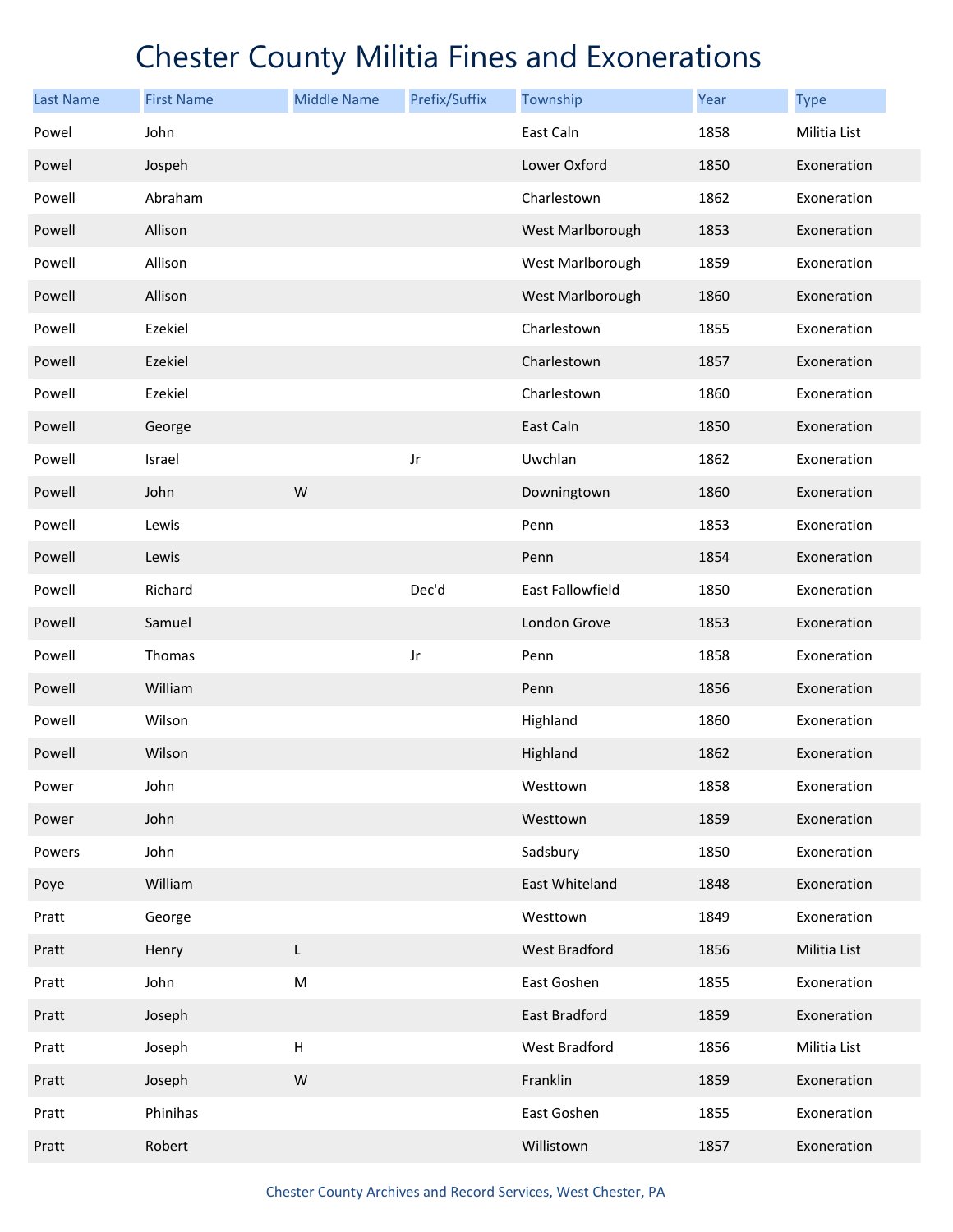| <b>Last Name</b> | <b>First Name</b> | <b>Middle Name</b>        | Prefix/Suffix | Township         | Year | <b>Type</b>  |
|------------------|-------------------|---------------------------|---------------|------------------|------|--------------|
| Powel            | John              |                           |               | East Caln        | 1858 | Militia List |
| Powel            | Jospeh            |                           |               | Lower Oxford     | 1850 | Exoneration  |
| Powell           | Abraham           |                           |               | Charlestown      | 1862 | Exoneration  |
| Powell           | Allison           |                           |               | West Marlborough | 1853 | Exoneration  |
| Powell           | Allison           |                           |               | West Marlborough | 1859 | Exoneration  |
| Powell           | Allison           |                           |               | West Marlborough | 1860 | Exoneration  |
| Powell           | Ezekiel           |                           |               | Charlestown      | 1855 | Exoneration  |
| Powell           | Ezekiel           |                           |               | Charlestown      | 1857 | Exoneration  |
| Powell           | Ezekiel           |                           |               | Charlestown      | 1860 | Exoneration  |
| Powell           | George            |                           |               | East Caln        | 1850 | Exoneration  |
| Powell           | Israel            |                           | Jr            | Uwchlan          | 1862 | Exoneration  |
| Powell           | John              | W                         |               | Downingtown      | 1860 | Exoneration  |
| Powell           | Lewis             |                           |               | Penn             | 1853 | Exoneration  |
| Powell           | Lewis             |                           |               | Penn             | 1854 | Exoneration  |
| Powell           | Richard           |                           | Dec'd         | East Fallowfield | 1850 | Exoneration  |
| Powell           | Samuel            |                           |               | London Grove     | 1853 | Exoneration  |
| Powell           | Thomas            |                           | Jr            | Penn             | 1858 | Exoneration  |
| Powell           | William           |                           |               | Penn             | 1856 | Exoneration  |
| Powell           | Wilson            |                           |               | Highland         | 1860 | Exoneration  |
| Powell           | Wilson            |                           |               | Highland         | 1862 | Exoneration  |
| Power            | John              |                           |               | Westtown         | 1858 | Exoneration  |
| Power            | John              |                           |               | Westtown         | 1859 | Exoneration  |
| Powers           | John              |                           |               | Sadsbury         | 1850 | Exoneration  |
| Poye             | William           |                           |               | East Whiteland   | 1848 | Exoneration  |
| Pratt            | George            |                           |               | Westtown         | 1849 | Exoneration  |
| Pratt            | Henry             | L                         |               | West Bradford    | 1856 | Militia List |
| Pratt            | John              | ${\sf M}$                 |               | East Goshen      | 1855 | Exoneration  |
| Pratt            | Joseph            |                           |               | East Bradford    | 1859 | Exoneration  |
| Pratt            | Joseph            | $\boldsymbol{\mathsf{H}}$ |               | West Bradford    | 1856 | Militia List |
| Pratt            | Joseph            | W                         |               | Franklin         | 1859 | Exoneration  |
| Pratt            | Phinihas          |                           |               | East Goshen      | 1855 | Exoneration  |
| Pratt            | Robert            |                           |               | Willistown       | 1857 | Exoneration  |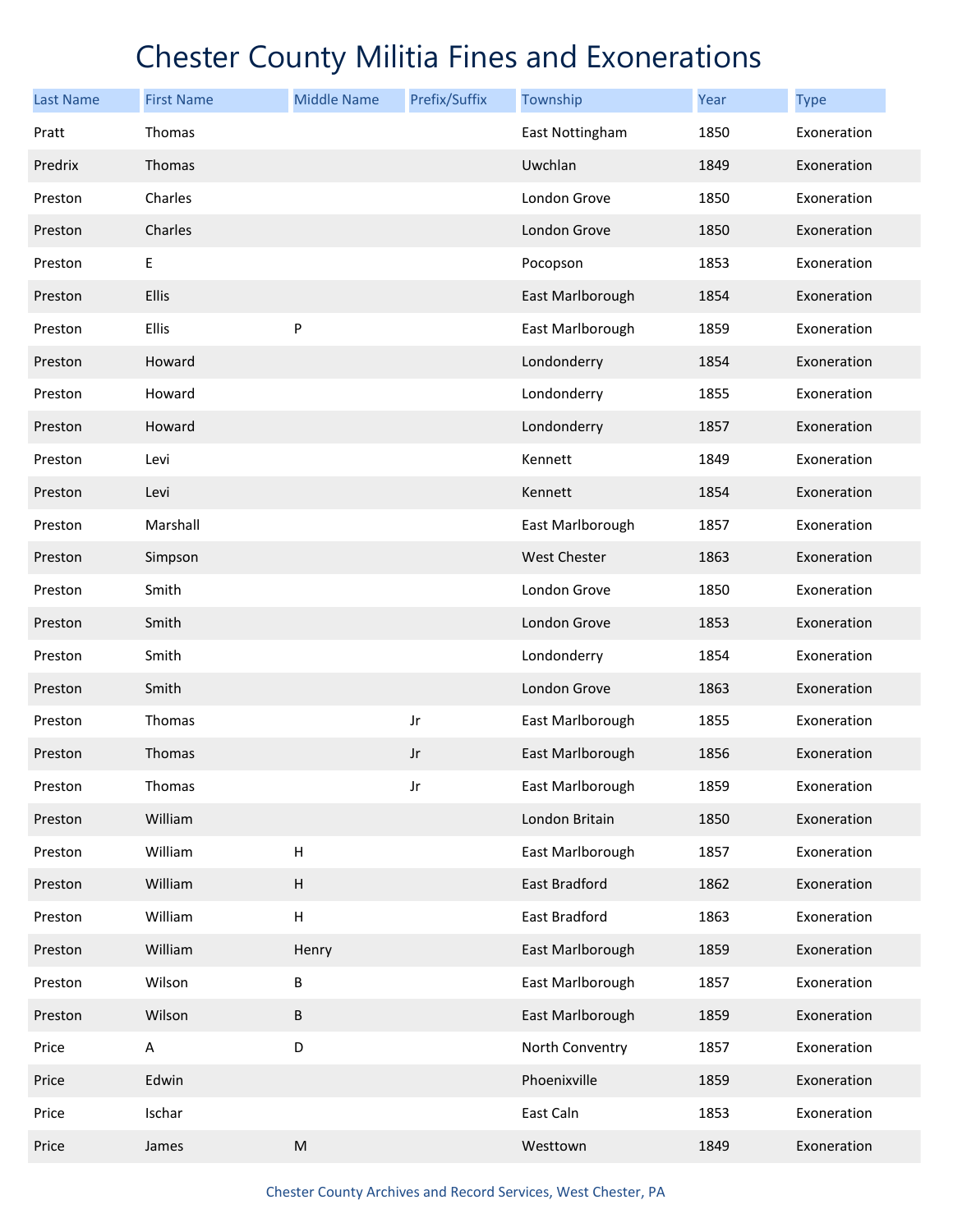| <b>Last Name</b> | <b>First Name</b> | <b>Middle Name</b>                                                                                         | Prefix/Suffix | Township            | Year | <b>Type</b> |
|------------------|-------------------|------------------------------------------------------------------------------------------------------------|---------------|---------------------|------|-------------|
| Pratt            | Thomas            |                                                                                                            |               | East Nottingham     | 1850 | Exoneration |
| Predrix          | Thomas            |                                                                                                            |               | Uwchlan             | 1849 | Exoneration |
| Preston          | Charles           |                                                                                                            |               | London Grove        | 1850 | Exoneration |
| Preston          | Charles           |                                                                                                            |               | London Grove        | 1850 | Exoneration |
| Preston          | E                 |                                                                                                            |               | Pocopson            | 1853 | Exoneration |
| Preston          | Ellis             |                                                                                                            |               | East Marlborough    | 1854 | Exoneration |
| Preston          | Ellis             | P                                                                                                          |               | East Marlborough    | 1859 | Exoneration |
| Preston          | Howard            |                                                                                                            |               | Londonderry         | 1854 | Exoneration |
| Preston          | Howard            |                                                                                                            |               | Londonderry         | 1855 | Exoneration |
| Preston          | Howard            |                                                                                                            |               | Londonderry         | 1857 | Exoneration |
| Preston          | Levi              |                                                                                                            |               | Kennett             | 1849 | Exoneration |
| Preston          | Levi              |                                                                                                            |               | Kennett             | 1854 | Exoneration |
| Preston          | Marshall          |                                                                                                            |               | East Marlborough    | 1857 | Exoneration |
| Preston          | Simpson           |                                                                                                            |               | <b>West Chester</b> | 1863 | Exoneration |
| Preston          | Smith             |                                                                                                            |               | London Grove        | 1850 | Exoneration |
| Preston          | Smith             |                                                                                                            |               | London Grove        | 1853 | Exoneration |
| Preston          | Smith             |                                                                                                            |               | Londonderry         | 1854 | Exoneration |
| Preston          | Smith             |                                                                                                            |               | London Grove        | 1863 | Exoneration |
| Preston          | Thomas            |                                                                                                            | Jr            | East Marlborough    | 1855 | Exoneration |
| Preston          | Thomas            |                                                                                                            | Jr            | East Marlborough    | 1856 | Exoneration |
| Preston          | Thomas            |                                                                                                            | Jr            | East Marlborough    | 1859 | Exoneration |
| Preston          | William           |                                                                                                            |               | London Britain      | 1850 | Exoneration |
| Preston          | William           | Н                                                                                                          |               | East Marlborough    | 1857 | Exoneration |
| Preston          | William           | $\sf H$                                                                                                    |               | East Bradford       | 1862 | Exoneration |
| Preston          | William           | Н                                                                                                          |               | East Bradford       | 1863 | Exoneration |
| Preston          | William           | Henry                                                                                                      |               | East Marlborough    | 1859 | Exoneration |
| Preston          | Wilson            | Β                                                                                                          |               | East Marlborough    | 1857 | Exoneration |
| Preston          | Wilson            | B                                                                                                          |               | East Marlborough    | 1859 | Exoneration |
| Price            | A                 | D                                                                                                          |               | North Conventry     | 1857 | Exoneration |
| Price            | Edwin             |                                                                                                            |               | Phoenixville        | 1859 | Exoneration |
| Price            | Ischar            |                                                                                                            |               | East Caln           | 1853 | Exoneration |
| Price            | James             | $\mathsf{M}% _{T}=\mathsf{M}_{T}\!\left( a,b\right) ,\ \mathsf{M}_{T}=\mathsf{M}_{T}\!\left( a,b\right) ,$ |               | Westtown            | 1849 | Exoneration |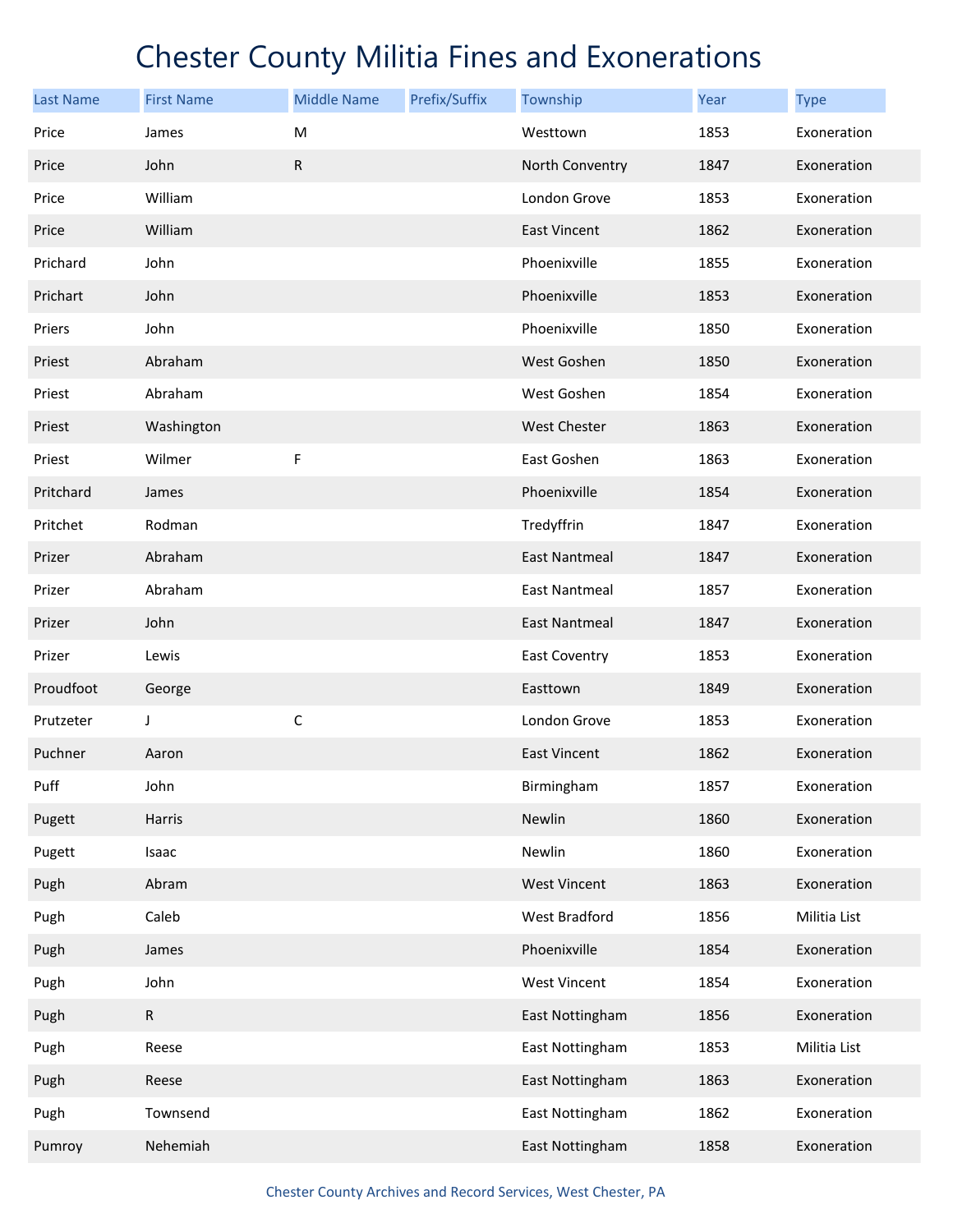| <b>Last Name</b> | <b>First Name</b> | <b>Middle Name</b> | Prefix/Suffix | Township             | <b>Year</b> | <b>Type</b>  |
|------------------|-------------------|--------------------|---------------|----------------------|-------------|--------------|
| Price            | James             | M                  |               | Westtown             | 1853        | Exoneration  |
| Price            | John              | ${\sf R}$          |               | North Conventry      | 1847        | Exoneration  |
| Price            | William           |                    |               | London Grove         | 1853        | Exoneration  |
| Price            | William           |                    |               | <b>East Vincent</b>  | 1862        | Exoneration  |
| Prichard         | John              |                    |               | Phoenixville         | 1855        | Exoneration  |
| Prichart         | John              |                    |               | Phoenixville         | 1853        | Exoneration  |
| Priers           | John              |                    |               | Phoenixville         | 1850        | Exoneration  |
| Priest           | Abraham           |                    |               | West Goshen          | 1850        | Exoneration  |
| Priest           | Abraham           |                    |               | West Goshen          | 1854        | Exoneration  |
| Priest           | Washington        |                    |               | <b>West Chester</b>  | 1863        | Exoneration  |
| Priest           | Wilmer            | F                  |               | East Goshen          | 1863        | Exoneration  |
| Pritchard        | James             |                    |               | Phoenixville         | 1854        | Exoneration  |
| Pritchet         | Rodman            |                    |               | Tredyffrin           | 1847        | Exoneration  |
| Prizer           | Abraham           |                    |               | <b>East Nantmeal</b> | 1847        | Exoneration  |
| Prizer           | Abraham           |                    |               | <b>East Nantmeal</b> | 1857        | Exoneration  |
| Prizer           | John              |                    |               | <b>East Nantmeal</b> | 1847        | Exoneration  |
| Prizer           | Lewis             |                    |               | <b>East Coventry</b> | 1853        | Exoneration  |
| Proudfoot        | George            |                    |               | Easttown             | 1849        | Exoneration  |
| Prutzeter        | J                 | $\mathsf C$        |               | London Grove         | 1853        | Exoneration  |
| Puchner          | Aaron             |                    |               | <b>East Vincent</b>  | 1862        | Exoneration  |
| Puff             | John              |                    |               | Birmingham           | 1857        | Exoneration  |
| Pugett           | Harris            |                    |               | Newlin               | 1860        | Exoneration  |
| Pugett           | Isaac             |                    |               | Newlin               | 1860        | Exoneration  |
| Pugh             | Abram             |                    |               | <b>West Vincent</b>  | 1863        | Exoneration  |
| Pugh             | Caleb             |                    |               | West Bradford        | 1856        | Militia List |
| Pugh             | James             |                    |               | Phoenixville         | 1854        | Exoneration  |
| Pugh             | John              |                    |               | <b>West Vincent</b>  | 1854        | Exoneration  |
| Pugh             | $\mathsf R$       |                    |               | East Nottingham      | 1856        | Exoneration  |
| Pugh             | Reese             |                    |               | East Nottingham      | 1853        | Militia List |
| Pugh             | Reese             |                    |               | East Nottingham      | 1863        | Exoneration  |
| Pugh             | Townsend          |                    |               | East Nottingham      | 1862        | Exoneration  |
| Pumroy           | Nehemiah          |                    |               | East Nottingham      | 1858        | Exoneration  |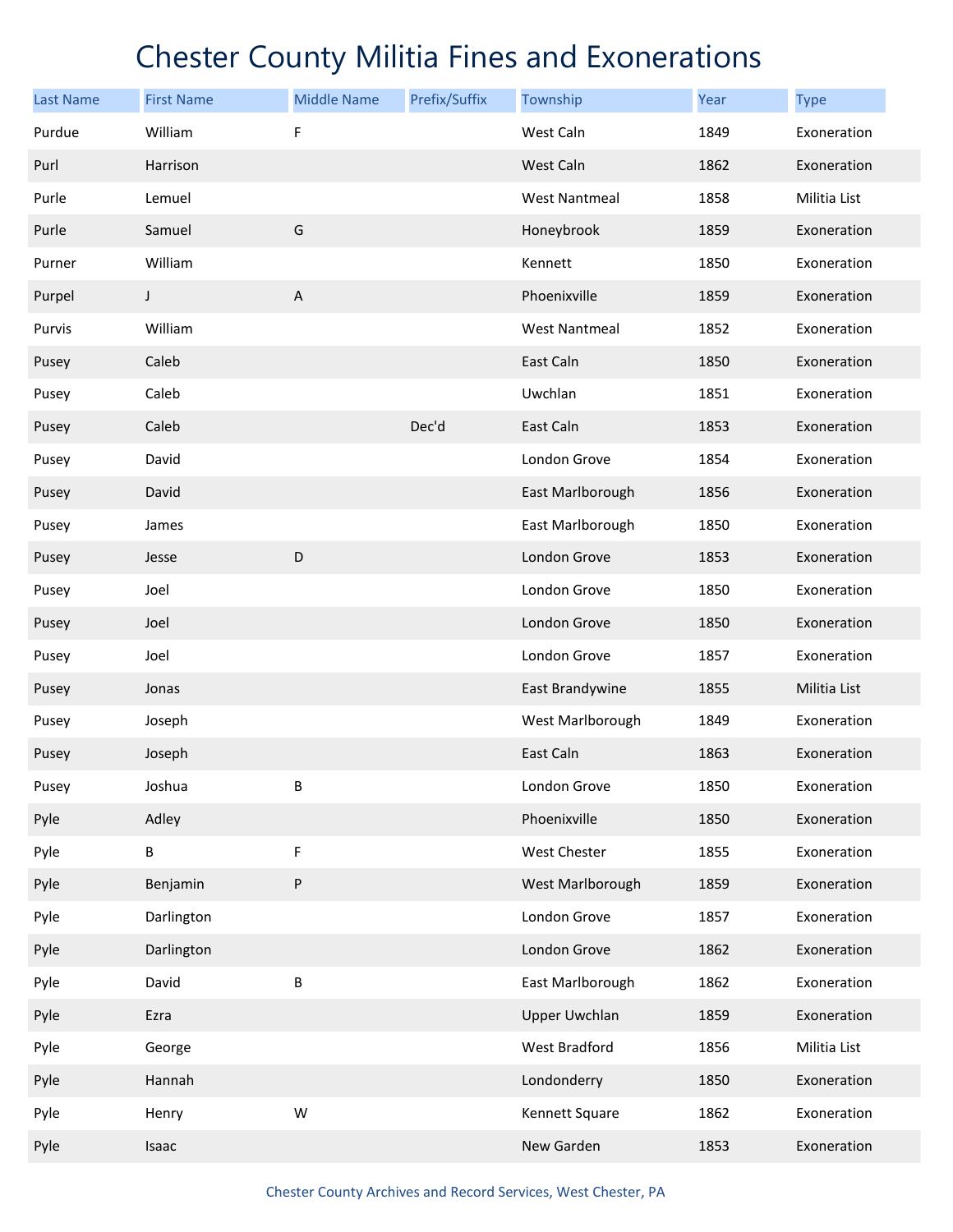| <b>Last Name</b> | <b>First Name</b> | <b>Middle Name</b> | Prefix/Suffix | Township             | Year | <b>Type</b>  |
|------------------|-------------------|--------------------|---------------|----------------------|------|--------------|
| Purdue           | William           | F                  |               | West Caln            | 1849 | Exoneration  |
| Purl             | Harrison          |                    |               | West Caln            | 1862 | Exoneration  |
| Purle            | Lemuel            |                    |               | <b>West Nantmeal</b> | 1858 | Militia List |
| Purle            | Samuel            | G                  |               | Honeybrook           | 1859 | Exoneration  |
| Purner           | William           |                    |               | Kennett              | 1850 | Exoneration  |
| Purpel           | J                 | $\sf A$            |               | Phoenixville         | 1859 | Exoneration  |
| Purvis           | William           |                    |               | <b>West Nantmeal</b> | 1852 | Exoneration  |
| Pusey            | Caleb             |                    |               | East Caln            | 1850 | Exoneration  |
| Pusey            | Caleb             |                    |               | Uwchlan              | 1851 | Exoneration  |
| Pusey            | Caleb             |                    | Dec'd         | East Caln            | 1853 | Exoneration  |
| Pusey            | David             |                    |               | London Grove         | 1854 | Exoneration  |
| Pusey            | David             |                    |               | East Marlborough     | 1856 | Exoneration  |
| Pusey            | James             |                    |               | East Marlborough     | 1850 | Exoneration  |
| Pusey            | Jesse             | D                  |               | London Grove         | 1853 | Exoneration  |
| Pusey            | Joel              |                    |               | London Grove         | 1850 | Exoneration  |
| Pusey            | Joel              |                    |               | London Grove         | 1850 | Exoneration  |
| Pusey            | Joel              |                    |               | London Grove         | 1857 | Exoneration  |
| Pusey            | Jonas             |                    |               | East Brandywine      | 1855 | Militia List |
| Pusey            | Joseph            |                    |               | West Marlborough     | 1849 | Exoneration  |
| Pusey            | Joseph            |                    |               | East Caln            | 1863 | Exoneration  |
| Pusey            | Joshua            | В                  |               | London Grove         | 1850 | Exoneration  |
| Pyle             | Adley             |                    |               | Phoenixville         | 1850 | Exoneration  |
| Pyle             | В                 | F                  |               | West Chester         | 1855 | Exoneration  |
| Pyle             | Benjamin          | P                  |               | West Marlborough     | 1859 | Exoneration  |
| Pyle             | Darlington        |                    |               | London Grove         | 1857 | Exoneration  |
| Pyle             | Darlington        |                    |               | London Grove         | 1862 | Exoneration  |
| Pyle             | David             | В                  |               | East Marlborough     | 1862 | Exoneration  |
| Pyle             | Ezra              |                    |               | <b>Upper Uwchlan</b> | 1859 | Exoneration  |
| Pyle             | George            |                    |               | West Bradford        | 1856 | Militia List |
| Pyle             | Hannah            |                    |               | Londonderry          | 1850 | Exoneration  |
| Pyle             | Henry             | W                  |               | Kennett Square       | 1862 | Exoneration  |
| Pyle             | Isaac             |                    |               | New Garden           | 1853 | Exoneration  |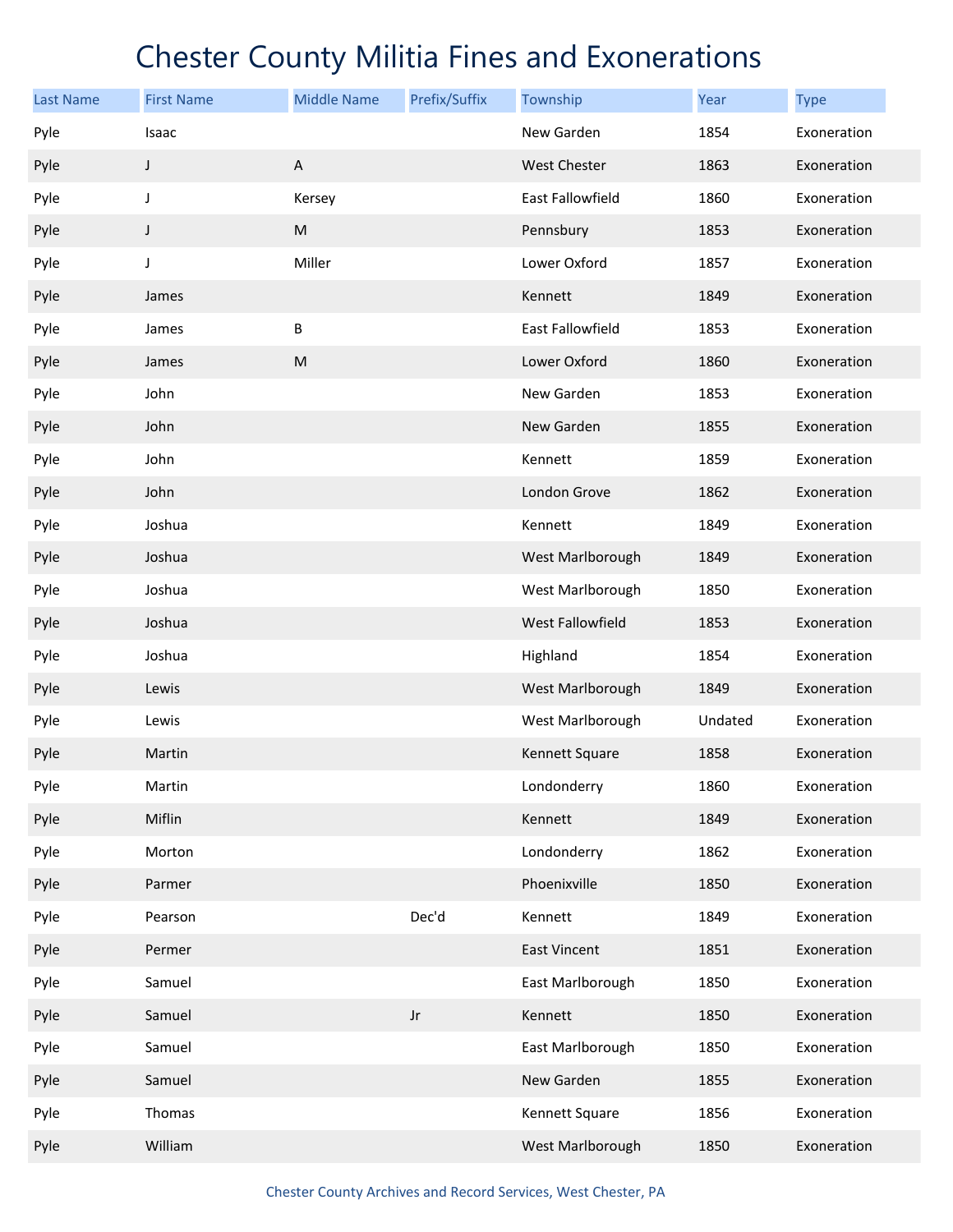| <b>Last Name</b> | <b>First Name</b> | <b>Middle Name</b>                                                                                         | Prefix/Suffix | Township            | Year    | <b>Type</b> |
|------------------|-------------------|------------------------------------------------------------------------------------------------------------|---------------|---------------------|---------|-------------|
| Pyle             | Isaac             |                                                                                                            |               | New Garden          | 1854    | Exoneration |
| Pyle             | J                 | A                                                                                                          |               | West Chester        | 1863    | Exoneration |
| Pyle             | J                 | Kersey                                                                                                     |               | East Fallowfield    | 1860    | Exoneration |
| Pyle             | J                 | $\mathsf{M}% _{T}=\mathsf{M}_{T}\!\left( a,b\right) ,\ \mathsf{M}_{T}=\mathsf{M}_{T}\!\left( a,b\right) ,$ |               | Pennsbury           | 1853    | Exoneration |
| Pyle             | J                 | Miller                                                                                                     |               | Lower Oxford        | 1857    | Exoneration |
| Pyle             | James             |                                                                                                            |               | Kennett             | 1849    | Exoneration |
| Pyle             | James             | В                                                                                                          |               | East Fallowfield    | 1853    | Exoneration |
| Pyle             | James             | ${\sf M}$                                                                                                  |               | Lower Oxford        | 1860    | Exoneration |
| Pyle             | John              |                                                                                                            |               | New Garden          | 1853    | Exoneration |
| Pyle             | John              |                                                                                                            |               | New Garden          | 1855    | Exoneration |
| Pyle             | John              |                                                                                                            |               | Kennett             | 1859    | Exoneration |
| Pyle             | John              |                                                                                                            |               | London Grove        | 1862    | Exoneration |
| Pyle             | Joshua            |                                                                                                            |               | Kennett             | 1849    | Exoneration |
| Pyle             | Joshua            |                                                                                                            |               | West Marlborough    | 1849    | Exoneration |
| Pyle             | Joshua            |                                                                                                            |               | West Marlborough    | 1850    | Exoneration |
| Pyle             | Joshua            |                                                                                                            |               | West Fallowfield    | 1853    | Exoneration |
| Pyle             | Joshua            |                                                                                                            |               | Highland            | 1854    | Exoneration |
| Pyle             | Lewis             |                                                                                                            |               | West Marlborough    | 1849    | Exoneration |
| Pyle             | Lewis             |                                                                                                            |               | West Marlborough    | Undated | Exoneration |
| Pyle             | Martin            |                                                                                                            |               | Kennett Square      | 1858    | Exoneration |
| Pyle             | Martin            |                                                                                                            |               | Londonderry         | 1860    | Exoneration |
| Pyle             | Miflin            |                                                                                                            |               | Kennett             | 1849    | Exoneration |
| Pyle             | Morton            |                                                                                                            |               | Londonderry         | 1862    | Exoneration |
| Pyle             | Parmer            |                                                                                                            |               | Phoenixville        | 1850    | Exoneration |
| Pyle             | Pearson           |                                                                                                            | Dec'd         | Kennett             | 1849    | Exoneration |
| Pyle             | Permer            |                                                                                                            |               | <b>East Vincent</b> | 1851    | Exoneration |
| Pyle             | Samuel            |                                                                                                            |               | East Marlborough    | 1850    | Exoneration |
| Pyle             | Samuel            |                                                                                                            | Jr            | Kennett             | 1850    | Exoneration |
| Pyle             | Samuel            |                                                                                                            |               | East Marlborough    | 1850    | Exoneration |
| Pyle             | Samuel            |                                                                                                            |               | New Garden          | 1855    | Exoneration |
| Pyle             | Thomas            |                                                                                                            |               | Kennett Square      | 1856    | Exoneration |
| Pyle             | William           |                                                                                                            |               | West Marlborough    | 1850    | Exoneration |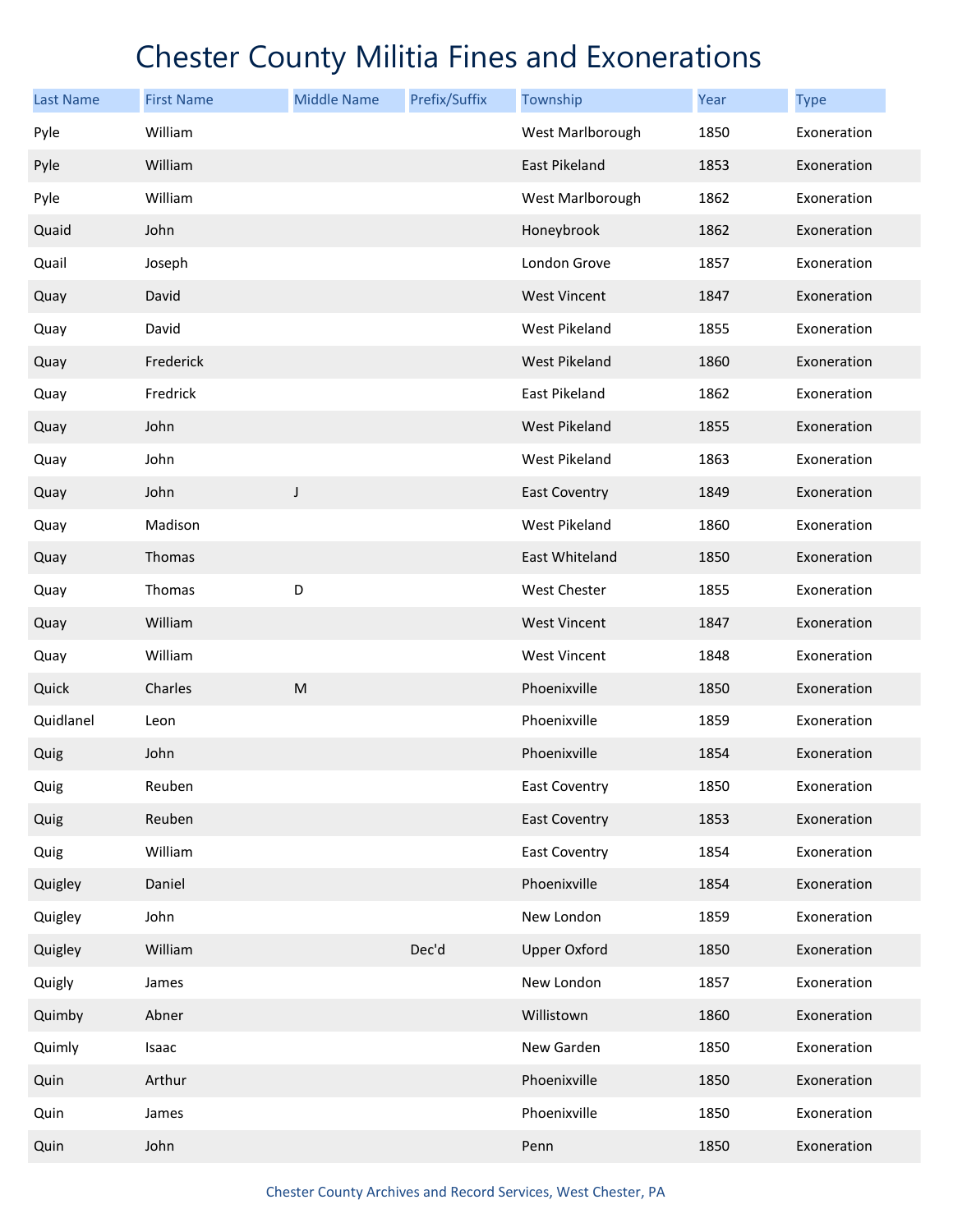| <b>Last Name</b> | <b>First Name</b> | <b>Middle Name</b> | Prefix/Suffix | Township             | Year | <b>Type</b> |
|------------------|-------------------|--------------------|---------------|----------------------|------|-------------|
| Pyle             | William           |                    |               | West Marlborough     | 1850 | Exoneration |
| Pyle             | William           |                    |               | East Pikeland        | 1853 | Exoneration |
| Pyle             | William           |                    |               | West Marlborough     | 1862 | Exoneration |
| Quaid            | John              |                    |               | Honeybrook           | 1862 | Exoneration |
| Quail            | Joseph            |                    |               | London Grove         | 1857 | Exoneration |
| Quay             | David             |                    |               | <b>West Vincent</b>  | 1847 | Exoneration |
| Quay             | David             |                    |               | West Pikeland        | 1855 | Exoneration |
| Quay             | Frederick         |                    |               | West Pikeland        | 1860 | Exoneration |
| Quay             | Fredrick          |                    |               | East Pikeland        | 1862 | Exoneration |
| Quay             | John              |                    |               | <b>West Pikeland</b> | 1855 | Exoneration |
| Quay             | John              |                    |               | West Pikeland        | 1863 | Exoneration |
| Quay             | John              | $\mathsf J$        |               | <b>East Coventry</b> | 1849 | Exoneration |
| Quay             | Madison           |                    |               | West Pikeland        | 1860 | Exoneration |
| Quay             | Thomas            |                    |               | East Whiteland       | 1850 | Exoneration |
| Quay             | Thomas            | D                  |               | West Chester         | 1855 | Exoneration |
| Quay             | William           |                    |               | <b>West Vincent</b>  | 1847 | Exoneration |
| Quay             | William           |                    |               | <b>West Vincent</b>  | 1848 | Exoneration |
| Quick            | Charles           | M                  |               | Phoenixville         | 1850 | Exoneration |
| Quidlanel        | Leon              |                    |               | Phoenixville         | 1859 | Exoneration |
| Quig             | John              |                    |               | Phoenixville         | 1854 | Exoneration |
| Quig             | Reuben            |                    |               | East Coventry        | 1850 | Exoneration |
| Quig             | Reuben            |                    |               | <b>East Coventry</b> | 1853 | Exoneration |
| Quig             | William           |                    |               | <b>East Coventry</b> | 1854 | Exoneration |
| Quigley          | Daniel            |                    |               | Phoenixville         | 1854 | Exoneration |
| Quigley          | John              |                    |               | New London           | 1859 | Exoneration |
| Quigley          | William           |                    | Dec'd         | <b>Upper Oxford</b>  | 1850 | Exoneration |
| Quigly           | James             |                    |               | New London           | 1857 | Exoneration |
| Quimby           | Abner             |                    |               | Willistown           | 1860 | Exoneration |
| Quimly           | Isaac             |                    |               | New Garden           | 1850 | Exoneration |
| Quin             | Arthur            |                    |               | Phoenixville         | 1850 | Exoneration |
| Quin             | James             |                    |               | Phoenixville         | 1850 | Exoneration |
| Quin             | John              |                    |               | Penn                 | 1850 | Exoneration |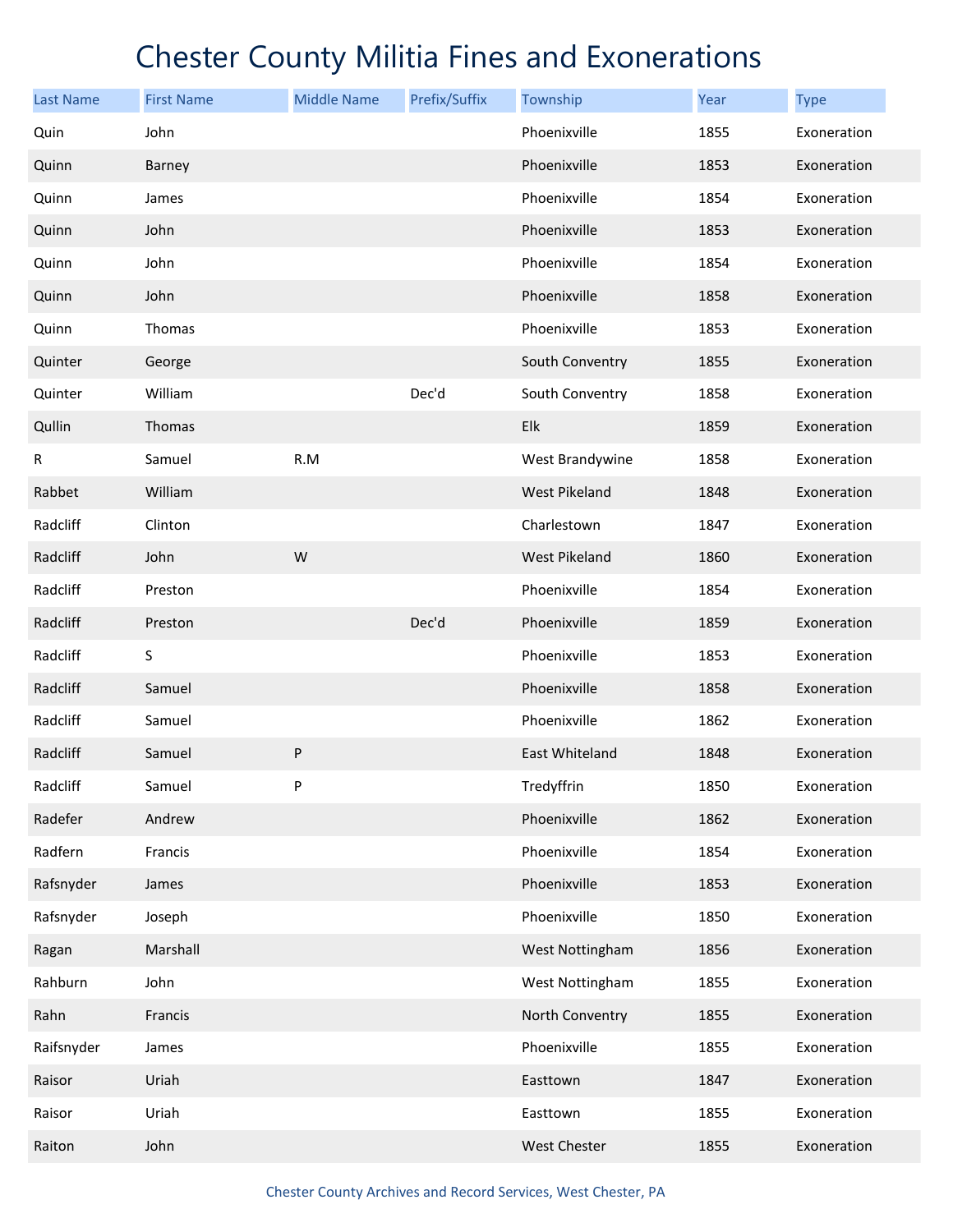| <b>Last Name</b> | <b>First Name</b> | <b>Middle Name</b> | Prefix/Suffix | Township             | Year | <b>Type</b> |
|------------------|-------------------|--------------------|---------------|----------------------|------|-------------|
| Quin             | John              |                    |               | Phoenixville         | 1855 | Exoneration |
| Quinn            | Barney            |                    |               | Phoenixville         | 1853 | Exoneration |
| Quinn            | James             |                    |               | Phoenixville         | 1854 | Exoneration |
| Quinn            | John              |                    |               | Phoenixville         | 1853 | Exoneration |
| Quinn            | John              |                    |               | Phoenixville         | 1854 | Exoneration |
| Quinn            | John              |                    |               | Phoenixville         | 1858 | Exoneration |
| Quinn            | Thomas            |                    |               | Phoenixville         | 1853 | Exoneration |
| Quinter          | George            |                    |               | South Conventry      | 1855 | Exoneration |
| Quinter          | William           |                    | Dec'd         | South Conventry      | 1858 | Exoneration |
| Qullin           | Thomas            |                    |               | Elk                  | 1859 | Exoneration |
| R                | Samuel            | R.M                |               | West Brandywine      | 1858 | Exoneration |
| Rabbet           | William           |                    |               | West Pikeland        | 1848 | Exoneration |
| Radcliff         | Clinton           |                    |               | Charlestown          | 1847 | Exoneration |
| Radcliff         | John              | W                  |               | <b>West Pikeland</b> | 1860 | Exoneration |
| Radcliff         | Preston           |                    |               | Phoenixville         | 1854 | Exoneration |
| Radcliff         | Preston           |                    | Dec'd         | Phoenixville         | 1859 | Exoneration |
| Radcliff         | S                 |                    |               | Phoenixville         | 1853 | Exoneration |
| Radcliff         | Samuel            |                    |               | Phoenixville         | 1858 | Exoneration |
| Radcliff         | Samuel            |                    |               | Phoenixville         | 1862 | Exoneration |
| Radcliff         | Samuel            | P                  |               | East Whiteland       | 1848 | Exoneration |
| Radcliff         | Samuel            | P                  |               | Tredyffrin           | 1850 | Exoneration |
| Radefer          | Andrew            |                    |               | Phoenixville         | 1862 | Exoneration |
| Radfern          | Francis           |                    |               | Phoenixville         | 1854 | Exoneration |
| Rafsnyder        | James             |                    |               | Phoenixville         | 1853 | Exoneration |
| Rafsnyder        | Joseph            |                    |               | Phoenixville         | 1850 | Exoneration |
| Ragan            | Marshall          |                    |               | West Nottingham      | 1856 | Exoneration |
| Rahburn          | John              |                    |               | West Nottingham      | 1855 | Exoneration |
| Rahn             | Francis           |                    |               | North Conventry      | 1855 | Exoneration |
| Raifsnyder       | James             |                    |               | Phoenixville         | 1855 | Exoneration |
| Raisor           | Uriah             |                    |               | Easttown             | 1847 | Exoneration |
| Raisor           | Uriah             |                    |               | Easttown             | 1855 | Exoneration |
| Raiton           | John              |                    |               | West Chester         | 1855 | Exoneration |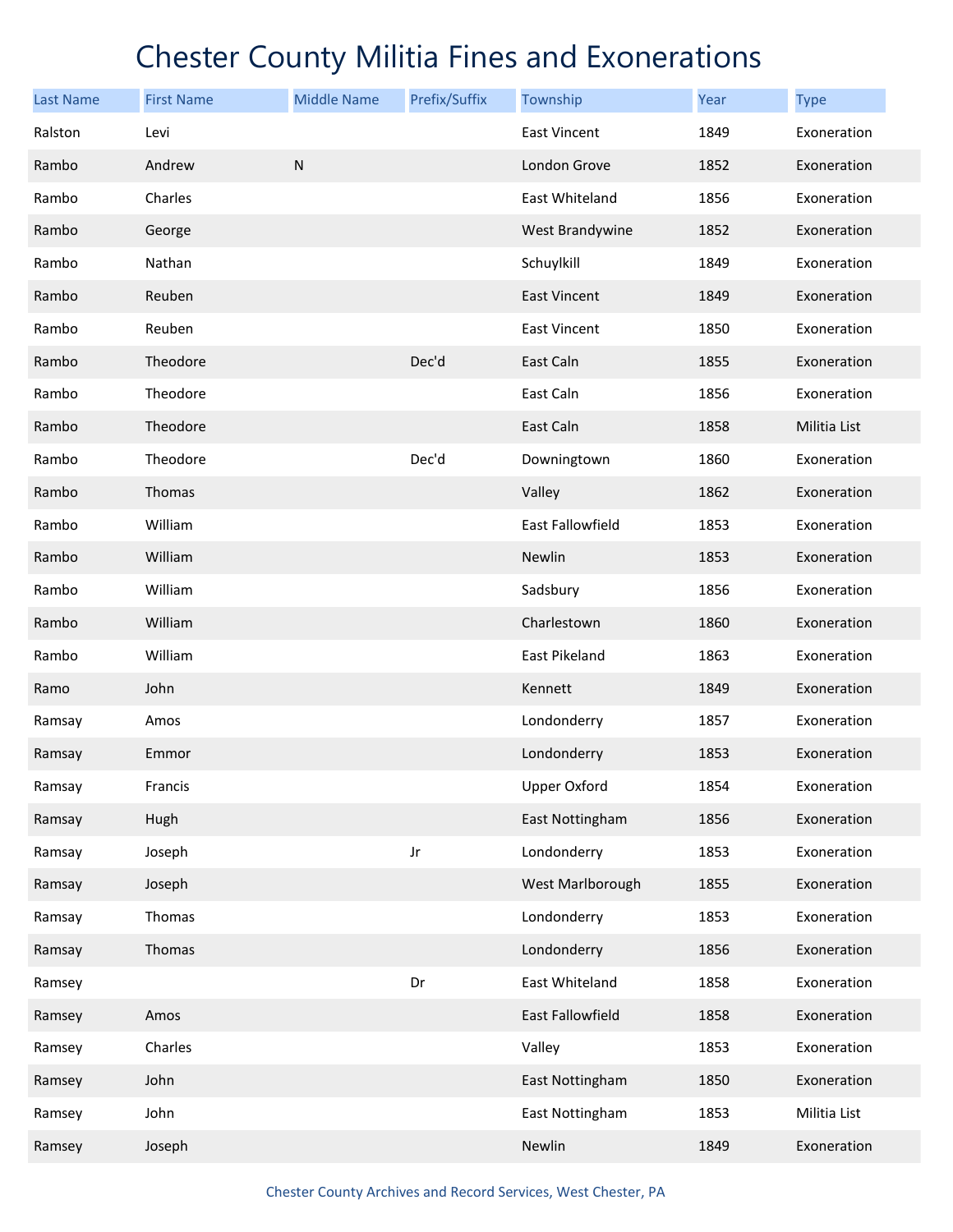| <b>Last Name</b> | <b>First Name</b> | <b>Middle Name</b> | Prefix/Suffix | Township            | Year | <b>Type</b>  |
|------------------|-------------------|--------------------|---------------|---------------------|------|--------------|
| Ralston          | Levi              |                    |               | East Vincent        | 1849 | Exoneration  |
| Rambo            | Andrew            | ${\sf N}$          |               | London Grove        | 1852 | Exoneration  |
| Rambo            | Charles           |                    |               | East Whiteland      | 1856 | Exoneration  |
| Rambo            | George            |                    |               | West Brandywine     | 1852 | Exoneration  |
| Rambo            | Nathan            |                    |               | Schuylkill          | 1849 | Exoneration  |
| Rambo            | Reuben            |                    |               | <b>East Vincent</b> | 1849 | Exoneration  |
| Rambo            | Reuben            |                    |               | East Vincent        | 1850 | Exoneration  |
| Rambo            | Theodore          |                    | Dec'd         | East Caln           | 1855 | Exoneration  |
| Rambo            | Theodore          |                    |               | East Caln           | 1856 | Exoneration  |
| Rambo            | Theodore          |                    |               | East Caln           | 1858 | Militia List |
| Rambo            | Theodore          |                    | Dec'd         | Downingtown         | 1860 | Exoneration  |
| Rambo            | Thomas            |                    |               | Valley              | 1862 | Exoneration  |
| Rambo            | William           |                    |               | East Fallowfield    | 1853 | Exoneration  |
| Rambo            | William           |                    |               | Newlin              | 1853 | Exoneration  |
| Rambo            | William           |                    |               | Sadsbury            | 1856 | Exoneration  |
| Rambo            | William           |                    |               | Charlestown         | 1860 | Exoneration  |
| Rambo            | William           |                    |               | East Pikeland       | 1863 | Exoneration  |
| Ramo             | John              |                    |               | Kennett             | 1849 | Exoneration  |
| Ramsay           | Amos              |                    |               | Londonderry         | 1857 | Exoneration  |
| Ramsay           | Emmor             |                    |               | Londonderry         | 1853 | Exoneration  |
| Ramsay           | Francis           |                    |               | <b>Upper Oxford</b> | 1854 | Exoneration  |
| Ramsay           | Hugh              |                    |               | East Nottingham     | 1856 | Exoneration  |
| Ramsay           | Joseph            |                    | Jr            | Londonderry         | 1853 | Exoneration  |
| Ramsay           | Joseph            |                    |               | West Marlborough    | 1855 | Exoneration  |
| Ramsay           | Thomas            |                    |               | Londonderry         | 1853 | Exoneration  |
| Ramsay           | Thomas            |                    |               | Londonderry         | 1856 | Exoneration  |
| Ramsey           |                   |                    | Dr            | East Whiteland      | 1858 | Exoneration  |
| Ramsey           | Amos              |                    |               | East Fallowfield    | 1858 | Exoneration  |
| Ramsey           | Charles           |                    |               | Valley              | 1853 | Exoneration  |
| Ramsey           | John              |                    |               | East Nottingham     | 1850 | Exoneration  |
| Ramsey           | John              |                    |               | East Nottingham     | 1853 | Militia List |
| Ramsey           | Joseph            |                    |               | Newlin              | 1849 | Exoneration  |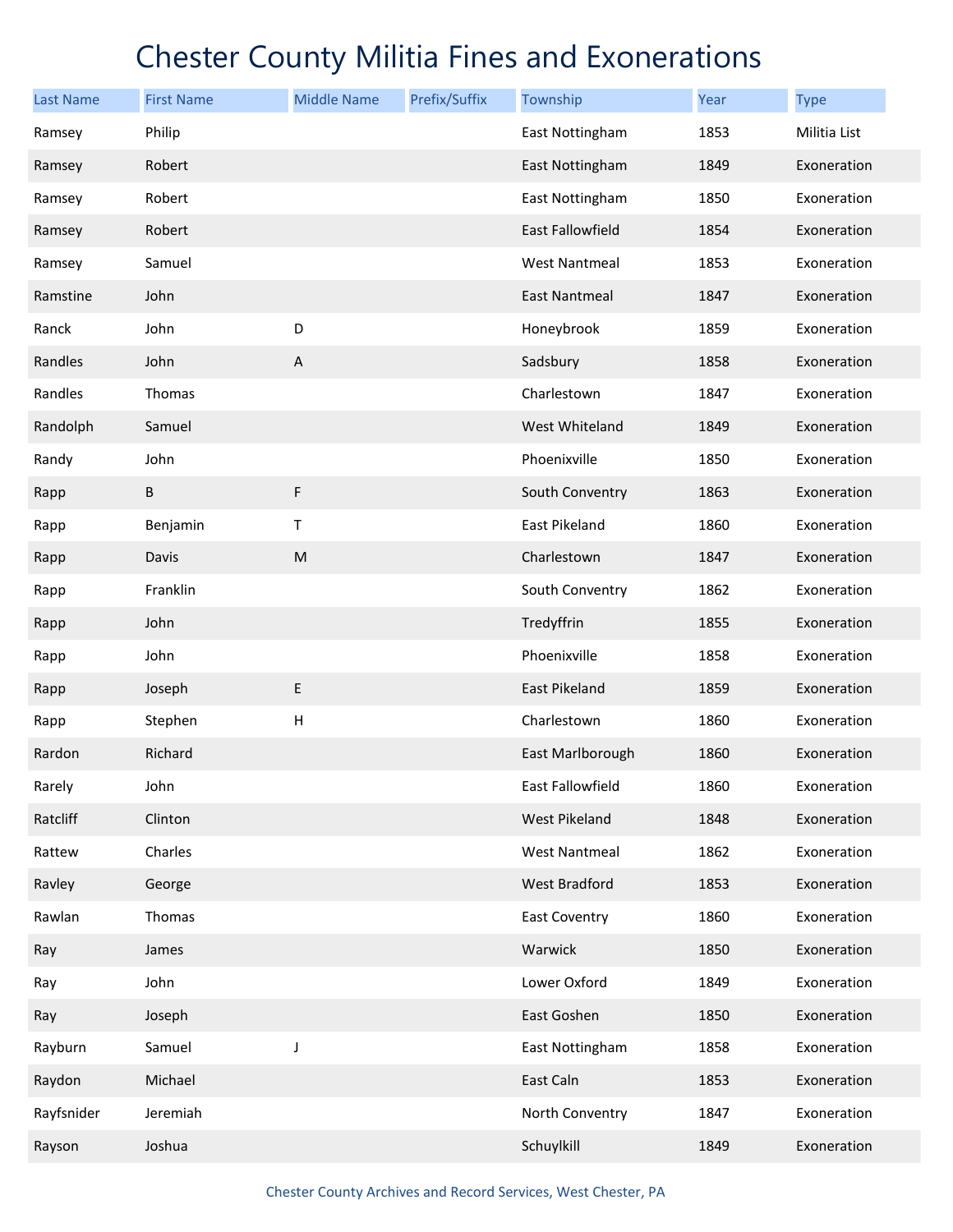| <b>Last Name</b> | <b>First Name</b> | <b>Middle Name</b> | Prefix/Suffix | Township             | Year | <b>Type</b>  |
|------------------|-------------------|--------------------|---------------|----------------------|------|--------------|
| Ramsey           | Philip            |                    |               | East Nottingham      | 1853 | Militia List |
| Ramsey           | Robert            |                    |               | East Nottingham      | 1849 | Exoneration  |
| Ramsey           | Robert            |                    |               | East Nottingham      | 1850 | Exoneration  |
| Ramsey           | Robert            |                    |               | East Fallowfield     | 1854 | Exoneration  |
| Ramsey           | Samuel            |                    |               | <b>West Nantmeal</b> | 1853 | Exoneration  |
| Ramstine         | John              |                    |               | East Nantmeal        | 1847 | Exoneration  |
| Ranck            | John              | D                  |               | Honeybrook           | 1859 | Exoneration  |
| Randles          | John              | $\sf A$            |               | Sadsbury             | 1858 | Exoneration  |
| Randles          | Thomas            |                    |               | Charlestown          | 1847 | Exoneration  |
| Randolph         | Samuel            |                    |               | West Whiteland       | 1849 | Exoneration  |
| Randy            | John              |                    |               | Phoenixville         | 1850 | Exoneration  |
| Rapp             | $\sf B$           | $\mathsf F$        |               | South Conventry      | 1863 | Exoneration  |
| Rapp             | Benjamin          | Τ                  |               | East Pikeland        | 1860 | Exoneration  |
| Rapp             | Davis             | ${\sf M}$          |               | Charlestown          | 1847 | Exoneration  |
| Rapp             | Franklin          |                    |               | South Conventry      | 1862 | Exoneration  |
| Rapp             | John              |                    |               | Tredyffrin           | 1855 | Exoneration  |
| Rapp             | John              |                    |               | Phoenixville         | 1858 | Exoneration  |
| Rapp             | Joseph            | $\sf E$            |               | East Pikeland        | 1859 | Exoneration  |
| Rapp             | Stephen           | H                  |               | Charlestown          | 1860 | Exoneration  |
| Rardon           | Richard           |                    |               | East Marlborough     | 1860 | Exoneration  |
| Rarely           | John              |                    |               | East Fallowfield     | 1860 | Exoneration  |
| Ratcliff         | Clinton           |                    |               | <b>West Pikeland</b> | 1848 | Exoneration  |
| Rattew           | Charles           |                    |               | <b>West Nantmeal</b> | 1862 | Exoneration  |
| Ravley           | George            |                    |               | West Bradford        | 1853 | Exoneration  |
| Rawlan           | Thomas            |                    |               | East Coventry        | 1860 | Exoneration  |
| Ray              | James             |                    |               | Warwick              | 1850 | Exoneration  |
| Ray              | John              |                    |               | Lower Oxford         | 1849 | Exoneration  |
| Ray              | Joseph            |                    |               | East Goshen          | 1850 | Exoneration  |
| Rayburn          | Samuel            | J                  |               | East Nottingham      | 1858 | Exoneration  |
| Raydon           | Michael           |                    |               | East Caln            | 1853 | Exoneration  |
| Rayfsnider       | Jeremiah          |                    |               | North Conventry      | 1847 | Exoneration  |
| Rayson           | Joshua            |                    |               | Schuylkill           | 1849 | Exoneration  |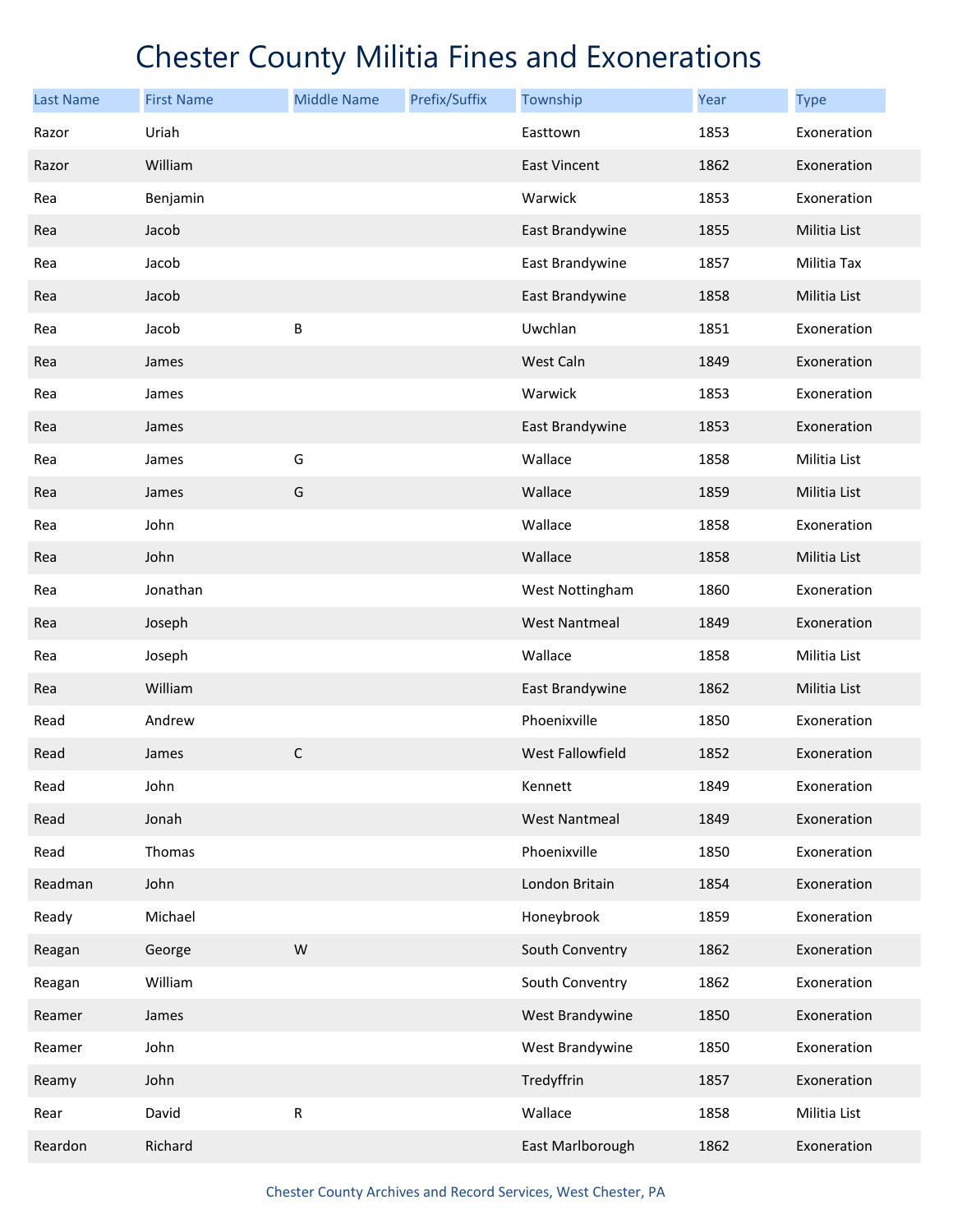| <b>Last Name</b> | <b>First Name</b> | <b>Middle Name</b> | Prefix/Suffix | Township             | Year | <b>Type</b>  |
|------------------|-------------------|--------------------|---------------|----------------------|------|--------------|
| Razor            | Uriah             |                    |               | Easttown             | 1853 | Exoneration  |
| Razor            | William           |                    |               | East Vincent         | 1862 | Exoneration  |
| Rea              | Benjamin          |                    |               | Warwick              | 1853 | Exoneration  |
| Rea              | Jacob             |                    |               | East Brandywine      | 1855 | Militia List |
| Rea              | Jacob             |                    |               | East Brandywine      | 1857 | Militia Tax  |
| Rea              | Jacob             |                    |               | East Brandywine      | 1858 | Militia List |
| Rea              | Jacob             | В                  |               | Uwchlan              | 1851 | Exoneration  |
| Rea              | James             |                    |               | West Caln            | 1849 | Exoneration  |
| Rea              | James             |                    |               | Warwick              | 1853 | Exoneration  |
| Rea              | James             |                    |               | East Brandywine      | 1853 | Exoneration  |
| Rea              | James             | G                  |               | Wallace              | 1858 | Militia List |
| Rea              | James             | G                  |               | Wallace              | 1859 | Militia List |
| Rea              | John              |                    |               | Wallace              | 1858 | Exoneration  |
| Rea              | John              |                    |               | Wallace              | 1858 | Militia List |
| Rea              | Jonathan          |                    |               | West Nottingham      | 1860 | Exoneration  |
| Rea              | Joseph            |                    |               | <b>West Nantmeal</b> | 1849 | Exoneration  |
| Rea              | Joseph            |                    |               | Wallace              | 1858 | Militia List |
| Rea              | William           |                    |               | East Brandywine      | 1862 | Militia List |
| Read             | Andrew            |                    |               | Phoenixville         | 1850 | Exoneration  |
| Read             | James             | $\mathsf C$        |               | West Fallowfield     | 1852 | Exoneration  |
| Read             | John              |                    |               | Kennett              | 1849 | Exoneration  |
| Read             | Jonah             |                    |               | <b>West Nantmeal</b> | 1849 | Exoneration  |
| Read             | Thomas            |                    |               | Phoenixville         | 1850 | Exoneration  |
| Readman          | John              |                    |               | London Britain       | 1854 | Exoneration  |
| Ready            | Michael           |                    |               | Honeybrook           | 1859 | Exoneration  |
| Reagan           | George            | ${\sf W}$          |               | South Conventry      | 1862 | Exoneration  |
| Reagan           | William           |                    |               | South Conventry      | 1862 | Exoneration  |
| Reamer           | James             |                    |               | West Brandywine      | 1850 | Exoneration  |
| Reamer           | John              |                    |               | West Brandywine      | 1850 | Exoneration  |
| Reamy            | John              |                    |               | Tredyffrin           | 1857 | Exoneration  |
| Rear             | David             | R                  |               | Wallace              | 1858 | Militia List |
| Reardon          | Richard           |                    |               | East Marlborough     | 1862 | Exoneration  |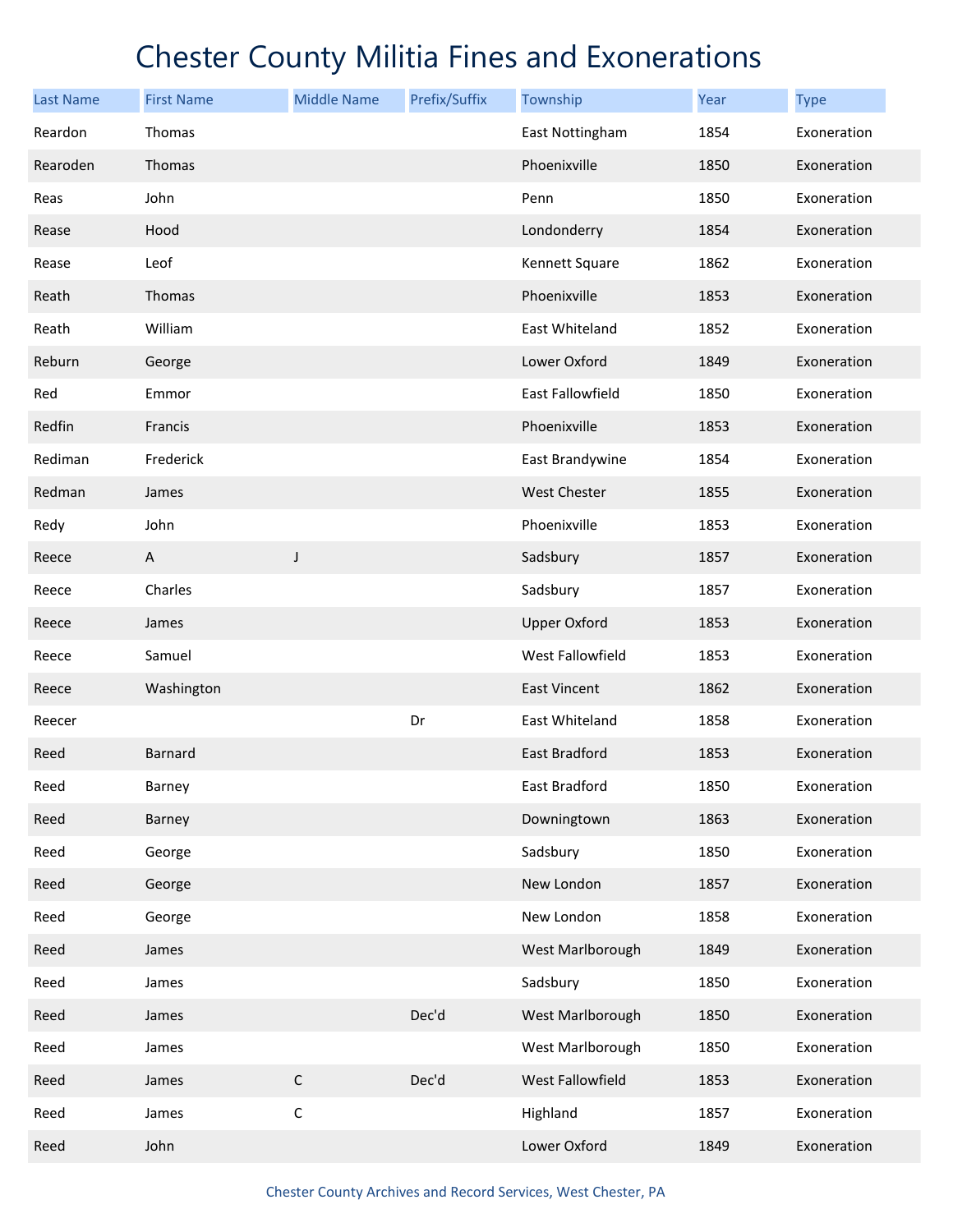| <b>Last Name</b> | <b>First Name</b> | <b>Middle Name</b> | Prefix/Suffix | Township            | Year | <b>Type</b> |
|------------------|-------------------|--------------------|---------------|---------------------|------|-------------|
| Reardon          | Thomas            |                    |               | East Nottingham     | 1854 | Exoneration |
| Rearoden         | Thomas            |                    |               | Phoenixville        | 1850 | Exoneration |
| Reas             | John              |                    |               | Penn                | 1850 | Exoneration |
| Rease            | Hood              |                    |               | Londonderry         | 1854 | Exoneration |
| Rease            | Leof              |                    |               | Kennett Square      | 1862 | Exoneration |
| Reath            | Thomas            |                    |               | Phoenixville        | 1853 | Exoneration |
| Reath            | William           |                    |               | East Whiteland      | 1852 | Exoneration |
| Reburn           | George            |                    |               | Lower Oxford        | 1849 | Exoneration |
| Red              | Emmor             |                    |               | East Fallowfield    | 1850 | Exoneration |
| Redfin           | Francis           |                    |               | Phoenixville        | 1853 | Exoneration |
| Rediman          | Frederick         |                    |               | East Brandywine     | 1854 | Exoneration |
| Redman           | James             |                    |               | <b>West Chester</b> | 1855 | Exoneration |
| Redy             | John              |                    |               | Phoenixville        | 1853 | Exoneration |
| Reece            | A                 | J                  |               | Sadsbury            | 1857 | Exoneration |
| Reece            | Charles           |                    |               | Sadsbury            | 1857 | Exoneration |
| Reece            | James             |                    |               | <b>Upper Oxford</b> | 1853 | Exoneration |
| Reece            | Samuel            |                    |               | West Fallowfield    | 1853 | Exoneration |
| Reece            | Washington        |                    |               | East Vincent        | 1862 | Exoneration |
| Reecer           |                   |                    | Dr            | East Whiteland      | 1858 | Exoneration |
| Reed             | Barnard           |                    |               | East Bradford       | 1853 | Exoneration |
| Reed             | Barney            |                    |               | East Bradford       | 1850 | Exoneration |
| Reed             | Barney            |                    |               | Downingtown         | 1863 | Exoneration |
| Reed             | George            |                    |               | Sadsbury            | 1850 | Exoneration |
| Reed             | George            |                    |               | New London          | 1857 | Exoneration |
| Reed             | George            |                    |               | New London          | 1858 | Exoneration |
| Reed             | James             |                    |               | West Marlborough    | 1849 | Exoneration |
| Reed             | James             |                    |               | Sadsbury            | 1850 | Exoneration |
| Reed             | James             |                    | Dec'd         | West Marlborough    | 1850 | Exoneration |
| Reed             | James             |                    |               | West Marlborough    | 1850 | Exoneration |
| Reed             | James             | $\mathsf C$        | Dec'd         | West Fallowfield    | 1853 | Exoneration |
| Reed             | James             | $\mathsf C$        |               | Highland            | 1857 | Exoneration |
| Reed             | John              |                    |               | Lower Oxford        | 1849 | Exoneration |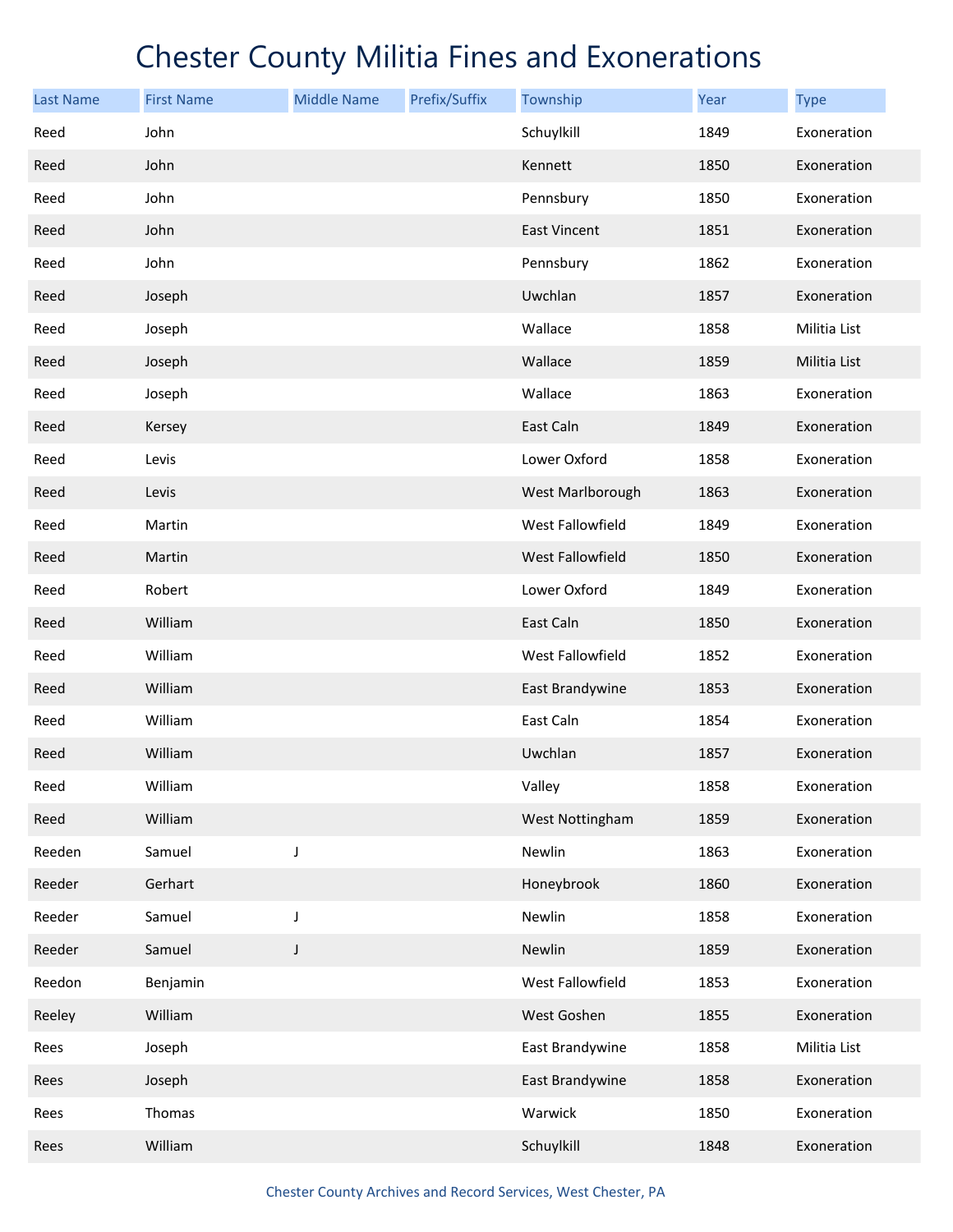| <b>Last Name</b> | <b>First Name</b> | <b>Middle Name</b> | Prefix/Suffix | Township            | Year | <b>Type</b>  |
|------------------|-------------------|--------------------|---------------|---------------------|------|--------------|
| Reed             | John              |                    |               | Schuylkill          | 1849 | Exoneration  |
| Reed             | John              |                    |               | Kennett             | 1850 | Exoneration  |
| Reed             | John              |                    |               | Pennsbury           | 1850 | Exoneration  |
| Reed             | John              |                    |               | <b>East Vincent</b> | 1851 | Exoneration  |
| Reed             | John              |                    |               | Pennsbury           | 1862 | Exoneration  |
| Reed             | Joseph            |                    |               | Uwchlan             | 1857 | Exoneration  |
| Reed             | Joseph            |                    |               | Wallace             | 1858 | Militia List |
| Reed             | Joseph            |                    |               | Wallace             | 1859 | Militia List |
| Reed             | Joseph            |                    |               | Wallace             | 1863 | Exoneration  |
| Reed             | Kersey            |                    |               | East Caln           | 1849 | Exoneration  |
| Reed             | Levis             |                    |               | Lower Oxford        | 1858 | Exoneration  |
| Reed             | Levis             |                    |               | West Marlborough    | 1863 | Exoneration  |
| Reed             | Martin            |                    |               | West Fallowfield    | 1849 | Exoneration  |
| Reed             | Martin            |                    |               | West Fallowfield    | 1850 | Exoneration  |
| Reed             | Robert            |                    |               | Lower Oxford        | 1849 | Exoneration  |
| Reed             | William           |                    |               | East Caln           | 1850 | Exoneration  |
| Reed             | William           |                    |               | West Fallowfield    | 1852 | Exoneration  |
| Reed             | William           |                    |               | East Brandywine     | 1853 | Exoneration  |
| Reed             | William           |                    |               | East Caln           | 1854 | Exoneration  |
| Reed             | William           |                    |               | Uwchlan             | 1857 | Exoneration  |
| Reed             | William           |                    |               | Valley              | 1858 | Exoneration  |
| Reed             | William           |                    |               | West Nottingham     | 1859 | Exoneration  |
| Reeden           | Samuel            | J                  |               | Newlin              | 1863 | Exoneration  |
| Reeder           | Gerhart           |                    |               | Honeybrook          | 1860 | Exoneration  |
| Reeder           | Samuel            | J                  |               | Newlin              | 1858 | Exoneration  |
| Reeder           | Samuel            | $\mathsf J$        |               | Newlin              | 1859 | Exoneration  |
| Reedon           | Benjamin          |                    |               | West Fallowfield    | 1853 | Exoneration  |
| Reeley           | William           |                    |               | West Goshen         | 1855 | Exoneration  |
| Rees             | Joseph            |                    |               | East Brandywine     | 1858 | Militia List |
| Rees             | Joseph            |                    |               | East Brandywine     | 1858 | Exoneration  |
| Rees             | Thomas            |                    |               | Warwick             | 1850 | Exoneration  |
| Rees             | William           |                    |               | Schuylkill          | 1848 | Exoneration  |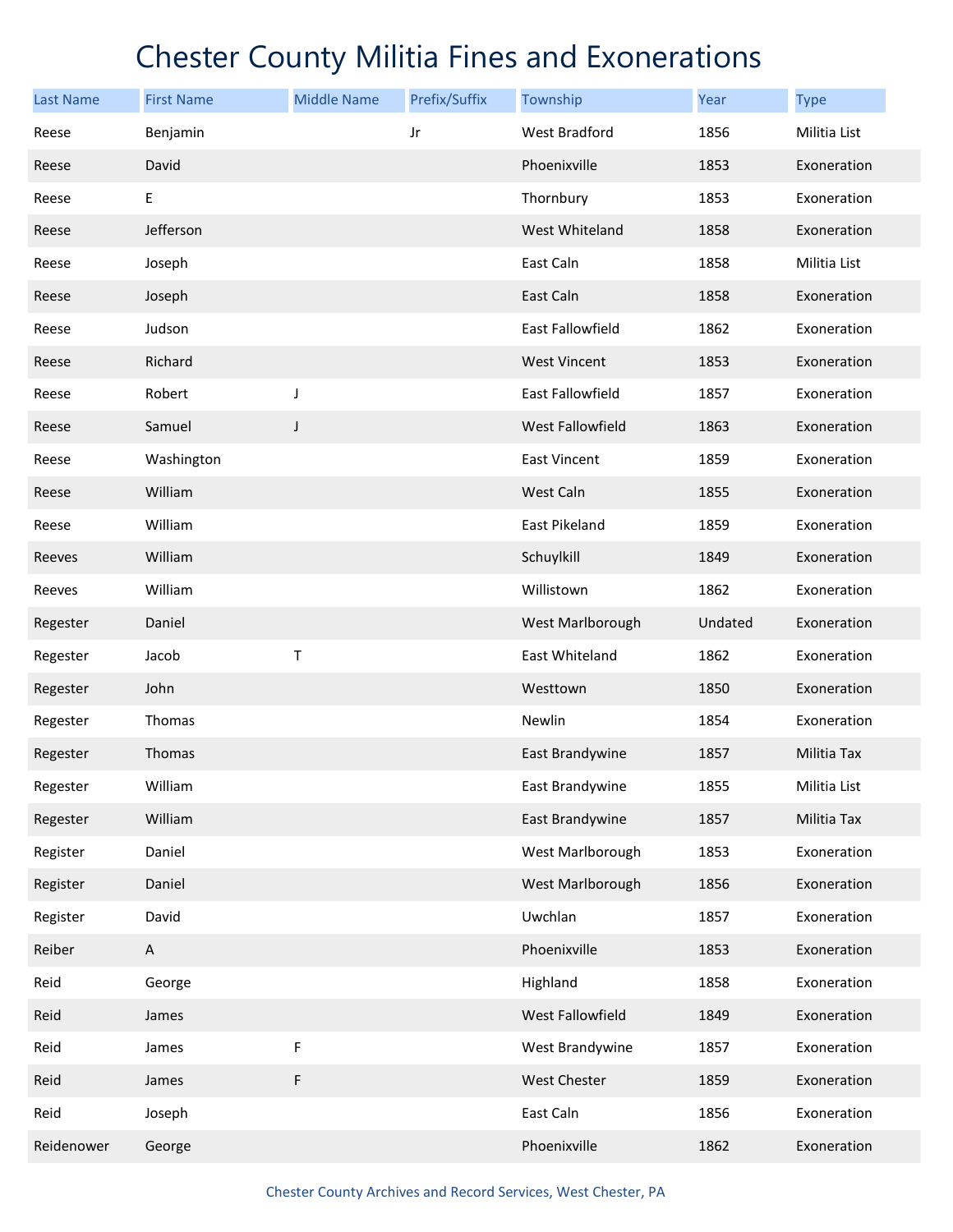| <b>Last Name</b> | <b>First Name</b> | <b>Middle Name</b> | Prefix/Suffix | Township            | Year    | <b>Type</b>  |
|------------------|-------------------|--------------------|---------------|---------------------|---------|--------------|
| Reese            | Benjamin          |                    | Jr            | West Bradford       | 1856    | Militia List |
| Reese            | David             |                    |               | Phoenixville        | 1853    | Exoneration  |
| Reese            | Ε                 |                    |               | Thornbury           | 1853    | Exoneration  |
| Reese            | Jefferson         |                    |               | West Whiteland      | 1858    | Exoneration  |
| Reese            | Joseph            |                    |               | East Caln           | 1858    | Militia List |
| Reese            | Joseph            |                    |               | East Caln           | 1858    | Exoneration  |
| Reese            | Judson            |                    |               | East Fallowfield    | 1862    | Exoneration  |
| Reese            | Richard           |                    |               | <b>West Vincent</b> | 1853    | Exoneration  |
| Reese            | Robert            | J                  |               | East Fallowfield    | 1857    | Exoneration  |
| Reese            | Samuel            | J                  |               | West Fallowfield    | 1863    | Exoneration  |
| Reese            | Washington        |                    |               | East Vincent        | 1859    | Exoneration  |
| Reese            | William           |                    |               | West Caln           | 1855    | Exoneration  |
| Reese            | William           |                    |               | East Pikeland       | 1859    | Exoneration  |
| Reeves           | William           |                    |               | Schuylkill          | 1849    | Exoneration  |
| Reeves           | William           |                    |               | Willistown          | 1862    | Exoneration  |
| Regester         | Daniel            |                    |               | West Marlborough    | Undated | Exoneration  |
| Regester         | Jacob             | Т                  |               | East Whiteland      | 1862    | Exoneration  |
| Regester         | John              |                    |               | Westtown            | 1850    | Exoneration  |
| Regester         | Thomas            |                    |               | Newlin              | 1854    | Exoneration  |
| Regester         | Thomas            |                    |               | East Brandywine     | 1857    | Militia Tax  |
| Regester         | William           |                    |               | East Brandywine     | 1855    | Militia List |
| Regester         | William           |                    |               | East Brandywine     | 1857    | Militia Tax  |
| Register         | Daniel            |                    |               | West Marlborough    | 1853    | Exoneration  |
| Register         | Daniel            |                    |               | West Marlborough    | 1856    | Exoneration  |
| Register         | David             |                    |               | Uwchlan             | 1857    | Exoneration  |
| Reiber           | A                 |                    |               | Phoenixville        | 1853    | Exoneration  |
| Reid             | George            |                    |               | Highland            | 1858    | Exoneration  |
| Reid             | James             |                    |               | West Fallowfield    | 1849    | Exoneration  |
| Reid             | James             | F                  |               | West Brandywine     | 1857    | Exoneration  |
| Reid             | James             | F                  |               | West Chester        | 1859    | Exoneration  |
| Reid             | Joseph            |                    |               | East Caln           | 1856    | Exoneration  |
| Reidenower       | George            |                    |               | Phoenixville        | 1862    | Exoneration  |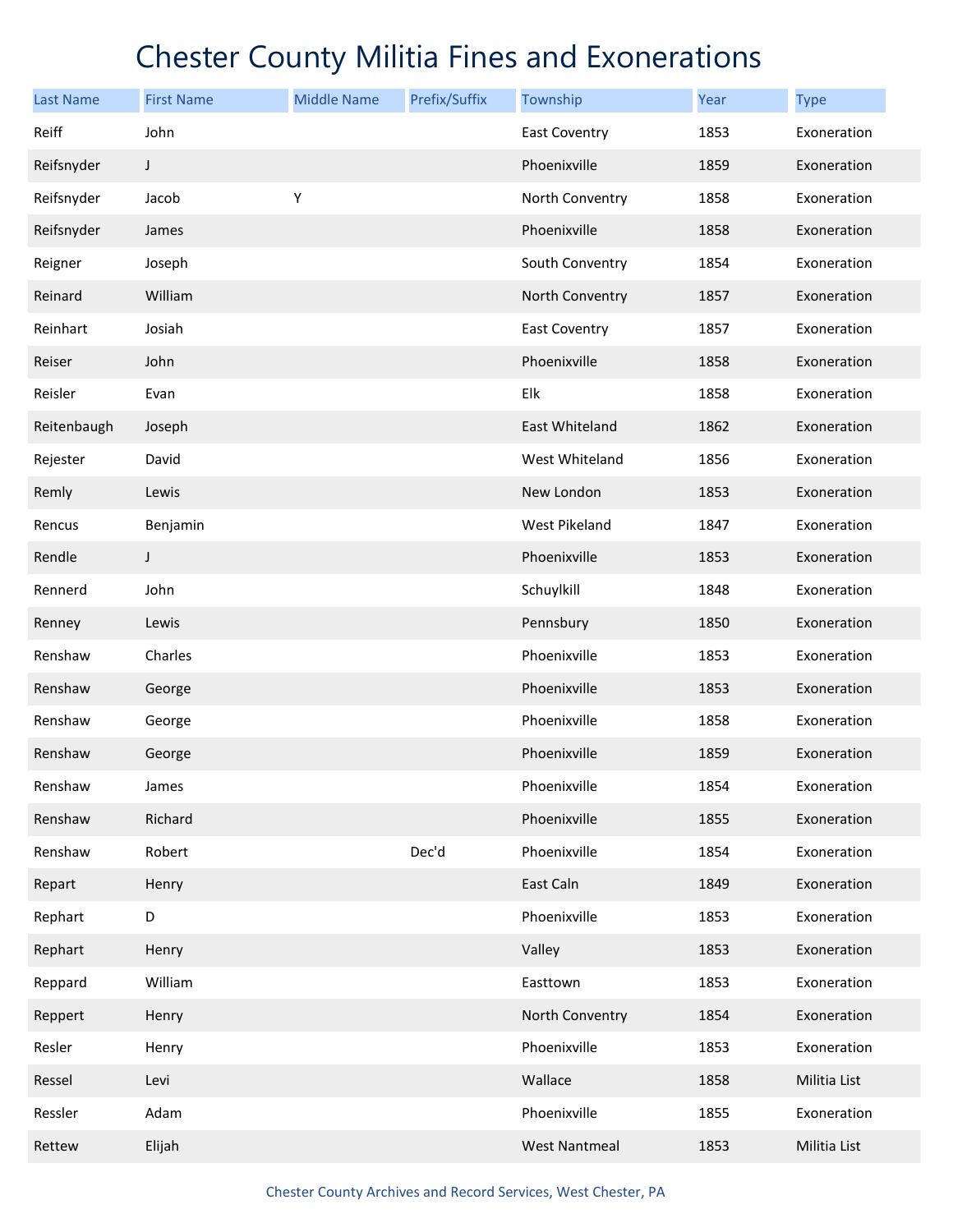| <b>Last Name</b> | <b>First Name</b> | <b>Middle Name</b> | Prefix/Suffix | Township             | Year | <b>Type</b>  |
|------------------|-------------------|--------------------|---------------|----------------------|------|--------------|
| Reiff            | John              |                    |               | <b>East Coventry</b> | 1853 | Exoneration  |
| Reifsnyder       | J                 |                    |               | Phoenixville         | 1859 | Exoneration  |
| Reifsnyder       | Jacob             | Υ                  |               | North Conventry      | 1858 | Exoneration  |
| Reifsnyder       | James             |                    |               | Phoenixville         | 1858 | Exoneration  |
| Reigner          | Joseph            |                    |               | South Conventry      | 1854 | Exoneration  |
| Reinard          | William           |                    |               | North Conventry      | 1857 | Exoneration  |
| Reinhart         | Josiah            |                    |               | <b>East Coventry</b> | 1857 | Exoneration  |
| Reiser           | John              |                    |               | Phoenixville         | 1858 | Exoneration  |
| Reisler          | Evan              |                    |               | Elk                  | 1858 | Exoneration  |
| Reitenbaugh      | Joseph            |                    |               | East Whiteland       | 1862 | Exoneration  |
| Rejester         | David             |                    |               | West Whiteland       | 1856 | Exoneration  |
| Remly            | Lewis             |                    |               | New London           | 1853 | Exoneration  |
| Rencus           | Benjamin          |                    |               | West Pikeland        | 1847 | Exoneration  |
| Rendle           | J                 |                    |               | Phoenixville         | 1853 | Exoneration  |
| Rennerd          | John              |                    |               | Schuylkill           | 1848 | Exoneration  |
| Renney           | Lewis             |                    |               | Pennsbury            | 1850 | Exoneration  |
| Renshaw          | Charles           |                    |               | Phoenixville         | 1853 | Exoneration  |
| Renshaw          | George            |                    |               | Phoenixville         | 1853 | Exoneration  |
| Renshaw          | George            |                    |               | Phoenixville         | 1858 | Exoneration  |
| Renshaw          | George            |                    |               | Phoenixville         | 1859 | Exoneration  |
| Renshaw          | James             |                    |               | Phoenixville         | 1854 | Exoneration  |
| Renshaw          | Richard           |                    |               | Phoenixville         | 1855 | Exoneration  |
| Renshaw          | Robert            |                    | Dec'd         | Phoenixville         | 1854 | Exoneration  |
| Repart           | Henry             |                    |               | East Caln            | 1849 | Exoneration  |
| Rephart          | D                 |                    |               | Phoenixville         | 1853 | Exoneration  |
| Rephart          | Henry             |                    |               | Valley               | 1853 | Exoneration  |
| Reppard          | William           |                    |               | Easttown             | 1853 | Exoneration  |
| Reppert          | Henry             |                    |               | North Conventry      | 1854 | Exoneration  |
| Resler           | Henry             |                    |               | Phoenixville         | 1853 | Exoneration  |
| Ressel           | Levi              |                    |               | Wallace              | 1858 | Militia List |
| Ressler          | Adam              |                    |               | Phoenixville         | 1855 | Exoneration  |
| Rettew           | Elijah            |                    |               | <b>West Nantmeal</b> | 1853 | Militia List |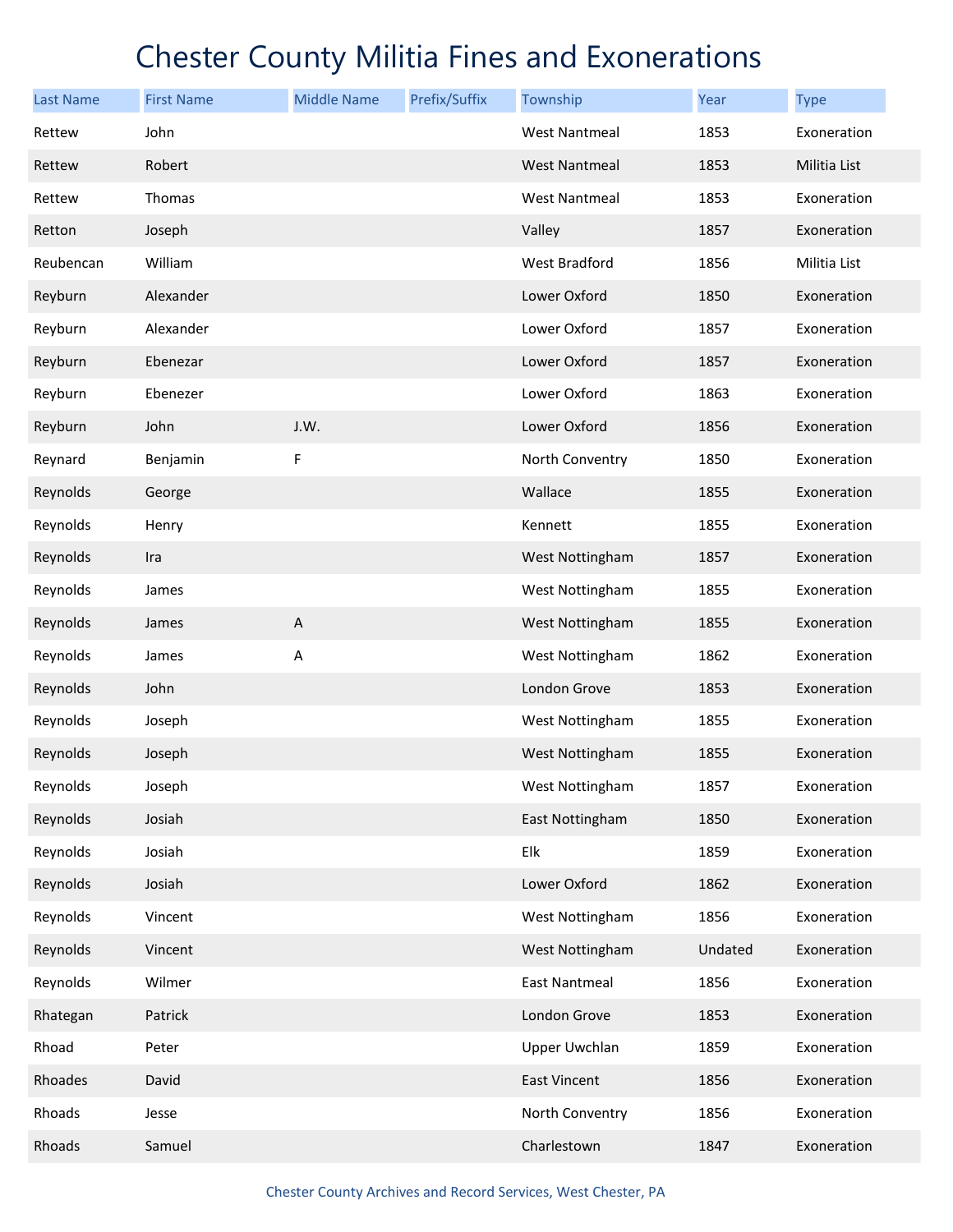| <b>Last Name</b> | <b>First Name</b> | <b>Middle Name</b> | Prefix/Suffix | Township             | Year    | <b>Type</b>  |
|------------------|-------------------|--------------------|---------------|----------------------|---------|--------------|
| Rettew           | John              |                    |               | <b>West Nantmeal</b> | 1853    | Exoneration  |
| Rettew           | Robert            |                    |               | <b>West Nantmeal</b> | 1853    | Militia List |
| Rettew           | Thomas            |                    |               | <b>West Nantmeal</b> | 1853    | Exoneration  |
| Retton           | Joseph            |                    |               | Valley               | 1857    | Exoneration  |
| Reubencan        | William           |                    |               | West Bradford        | 1856    | Militia List |
| Reyburn          | Alexander         |                    |               | Lower Oxford         | 1850    | Exoneration  |
| Reyburn          | Alexander         |                    |               | Lower Oxford         | 1857    | Exoneration  |
| Reyburn          | Ebenezar          |                    |               | Lower Oxford         | 1857    | Exoneration  |
| Reyburn          | Ebenezer          |                    |               | Lower Oxford         | 1863    | Exoneration  |
| Reyburn          | John              | J.W.               |               | Lower Oxford         | 1856    | Exoneration  |
| Reynard          | Benjamin          | F                  |               | North Conventry      | 1850    | Exoneration  |
| Reynolds         | George            |                    |               | Wallace              | 1855    | Exoneration  |
| Reynolds         | Henry             |                    |               | Kennett              | 1855    | Exoneration  |
| Reynolds         | Ira               |                    |               | West Nottingham      | 1857    | Exoneration  |
| Reynolds         | James             |                    |               | West Nottingham      | 1855    | Exoneration  |
| Reynolds         | James             | $\mathsf A$        |               | West Nottingham      | 1855    | Exoneration  |
| Reynolds         | James             | Α                  |               | West Nottingham      | 1862    | Exoneration  |
| Reynolds         | John              |                    |               | London Grove         | 1853    | Exoneration  |
| Reynolds         | Joseph            |                    |               | West Nottingham      | 1855    | Exoneration  |
| Reynolds         | Joseph            |                    |               | West Nottingham      | 1855    | Exoneration  |
| Reynolds         | Joseph            |                    |               | West Nottingham      | 1857    | Exoneration  |
| Reynolds         | Josiah            |                    |               | East Nottingham      | 1850    | Exoneration  |
| Reynolds         | Josiah            |                    |               | Elk                  | 1859    | Exoneration  |
| Reynolds         | Josiah            |                    |               | Lower Oxford         | 1862    | Exoneration  |
| Reynolds         | Vincent           |                    |               | West Nottingham      | 1856    | Exoneration  |
| Reynolds         | Vincent           |                    |               | West Nottingham      | Undated | Exoneration  |
| Reynolds         | Wilmer            |                    |               | <b>East Nantmeal</b> | 1856    | Exoneration  |
| Rhategan         | Patrick           |                    |               | London Grove         | 1853    | Exoneration  |
| Rhoad            | Peter             |                    |               | Upper Uwchlan        | 1859    | Exoneration  |
| Rhoades          | David             |                    |               | East Vincent         | 1856    | Exoneration  |
| Rhoads           | Jesse             |                    |               | North Conventry      | 1856    | Exoneration  |
| Rhoads           | Samuel            |                    |               | Charlestown          | 1847    | Exoneration  |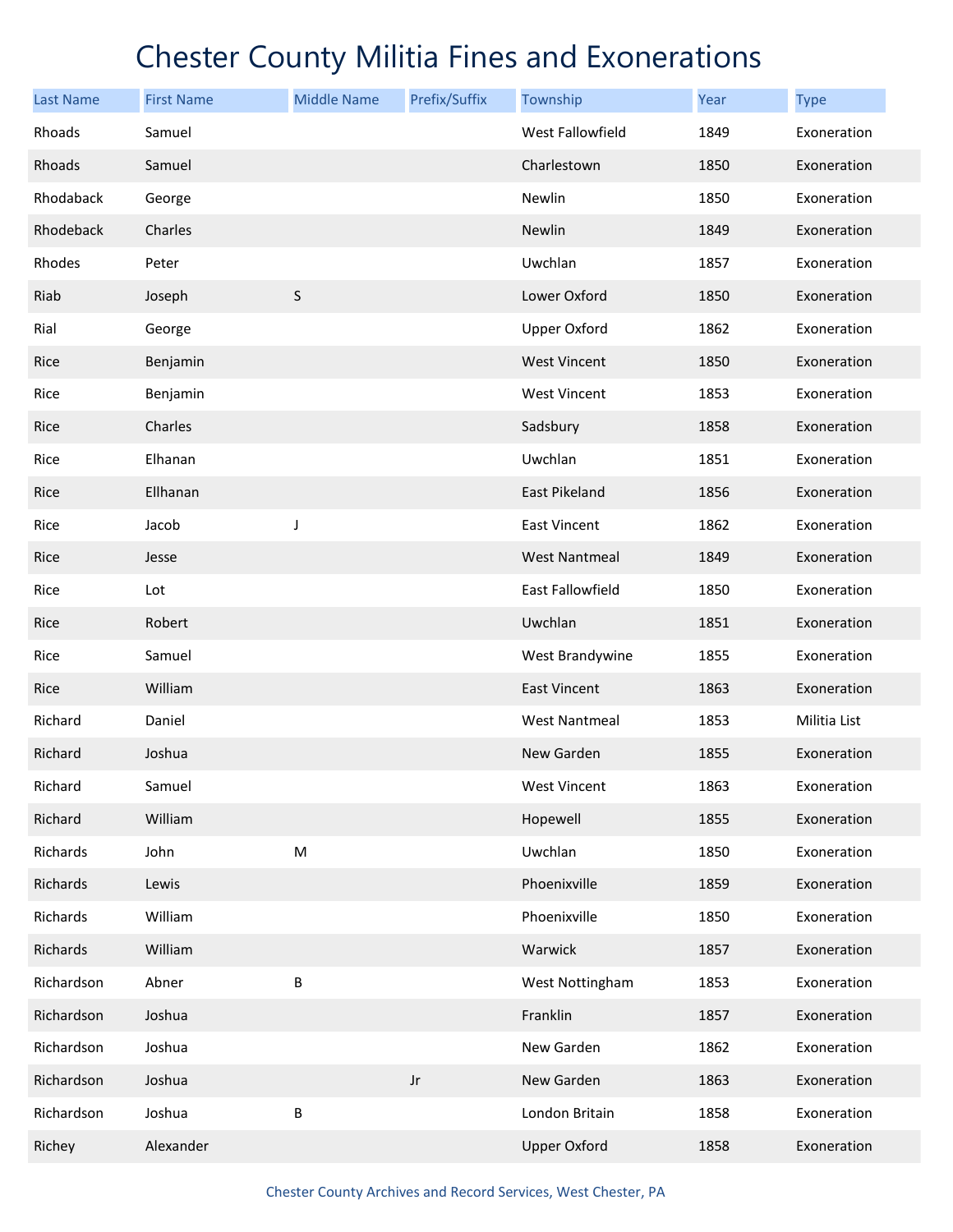| <b>Last Name</b> | <b>First Name</b> | <b>Middle Name</b> | Prefix/Suffix | Township             | Year | <b>Type</b>  |
|------------------|-------------------|--------------------|---------------|----------------------|------|--------------|
| Rhoads           | Samuel            |                    |               | West Fallowfield     | 1849 | Exoneration  |
| Rhoads           | Samuel            |                    |               | Charlestown          | 1850 | Exoneration  |
| Rhodaback        | George            |                    |               | Newlin               | 1850 | Exoneration  |
| Rhodeback        | Charles           |                    |               | Newlin               | 1849 | Exoneration  |
| Rhodes           | Peter             |                    |               | Uwchlan              | 1857 | Exoneration  |
| Riab             | Joseph            | $\sf S$            |               | Lower Oxford         | 1850 | Exoneration  |
| Rial             | George            |                    |               | <b>Upper Oxford</b>  | 1862 | Exoneration  |
| Rice             | Benjamin          |                    |               | <b>West Vincent</b>  | 1850 | Exoneration  |
| Rice             | Benjamin          |                    |               | <b>West Vincent</b>  | 1853 | Exoneration  |
| Rice             | Charles           |                    |               | Sadsbury             | 1858 | Exoneration  |
| Rice             | Elhanan           |                    |               | Uwchlan              | 1851 | Exoneration  |
| Rice             | Ellhanan          |                    |               | <b>East Pikeland</b> | 1856 | Exoneration  |
| Rice             | Jacob             | J                  |               | <b>East Vincent</b>  | 1862 | Exoneration  |
| Rice             | Jesse             |                    |               | <b>West Nantmeal</b> | 1849 | Exoneration  |
| Rice             | Lot               |                    |               | East Fallowfield     | 1850 | Exoneration  |
| Rice             | Robert            |                    |               | Uwchlan              | 1851 | Exoneration  |
| Rice             | Samuel            |                    |               | West Brandywine      | 1855 | Exoneration  |
| Rice             | William           |                    |               | <b>East Vincent</b>  | 1863 | Exoneration  |
| Richard          | Daniel            |                    |               | <b>West Nantmeal</b> | 1853 | Militia List |
| Richard          | Joshua            |                    |               | New Garden           | 1855 | Exoneration  |
| Richard          | Samuel            |                    |               | <b>West Vincent</b>  | 1863 | Exoneration  |
| Richard          | William           |                    |               | Hopewell             | 1855 | Exoneration  |
| Richards         | John              | ${\sf M}$          |               | Uwchlan              | 1850 | Exoneration  |
| Richards         | Lewis             |                    |               | Phoenixville         | 1859 | Exoneration  |
| Richards         | William           |                    |               | Phoenixville         | 1850 | Exoneration  |
| Richards         | William           |                    |               | Warwick              | 1857 | Exoneration  |
| Richardson       | Abner             | B                  |               | West Nottingham      | 1853 | Exoneration  |
| Richardson       | Joshua            |                    |               | Franklin             | 1857 | Exoneration  |
| Richardson       | Joshua            |                    |               | New Garden           | 1862 | Exoneration  |
| Richardson       | Joshua            |                    | $_{\rm Jr}$   | New Garden           | 1863 | Exoneration  |
| Richardson       | Joshua            | B                  |               | London Britain       | 1858 | Exoneration  |
| Richey           | Alexander         |                    |               | <b>Upper Oxford</b>  | 1858 | Exoneration  |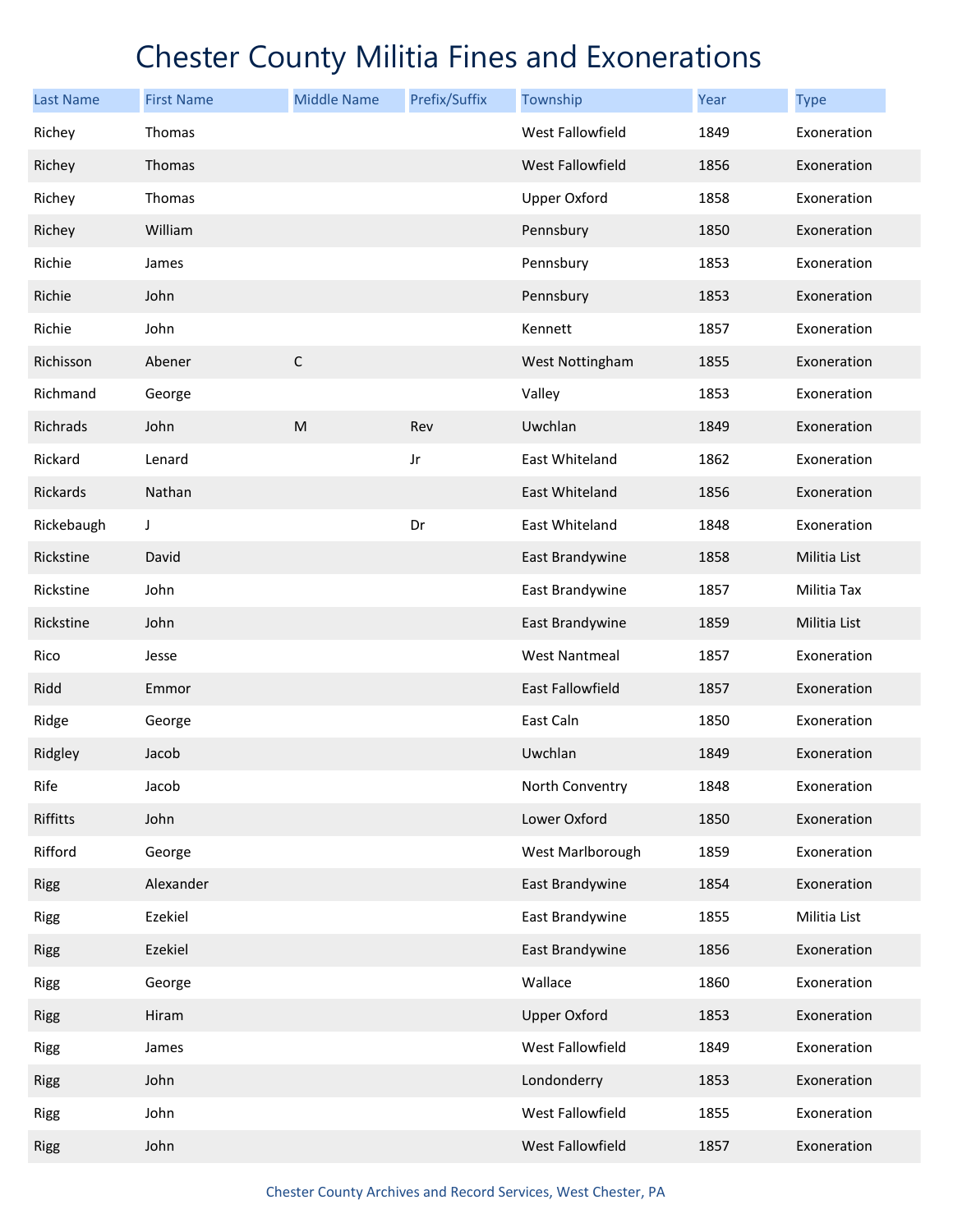| <b>Last Name</b> | <b>First Name</b> | <b>Middle Name</b> | Prefix/Suffix | Township                | <b>Year</b> | <b>Type</b>  |
|------------------|-------------------|--------------------|---------------|-------------------------|-------------|--------------|
| Richey           | Thomas            |                    |               | West Fallowfield        | 1849        | Exoneration  |
| Richey           | Thomas            |                    |               | West Fallowfield        | 1856        | Exoneration  |
| Richey           | Thomas            |                    |               | <b>Upper Oxford</b>     | 1858        | Exoneration  |
| Richey           | William           |                    |               | Pennsbury               | 1850        | Exoneration  |
| Richie           | James             |                    |               | Pennsbury               | 1853        | Exoneration  |
| Richie           | John              |                    |               | Pennsbury               | 1853        | Exoneration  |
| Richie           | John              |                    |               | Kennett                 | 1857        | Exoneration  |
| Richisson        | Abener            | $\mathsf C$        |               | West Nottingham         | 1855        | Exoneration  |
| Richmand         | George            |                    |               | Valley                  | 1853        | Exoneration  |
| Richrads         | John              | M                  | Rev           | Uwchlan                 | 1849        | Exoneration  |
| Rickard          | Lenard            |                    | Jr            | East Whiteland          | 1862        | Exoneration  |
| Rickards         | Nathan            |                    |               | East Whiteland          | 1856        | Exoneration  |
| Rickebaugh       | J                 |                    | Dr            | <b>East Whiteland</b>   | 1848        | Exoneration  |
| Rickstine        | David             |                    |               | East Brandywine         | 1858        | Militia List |
| Rickstine        | John              |                    |               | East Brandywine         | 1857        | Militia Tax  |
| Rickstine        | John              |                    |               | East Brandywine         | 1859        | Militia List |
| Rico             | Jesse             |                    |               | <b>West Nantmeal</b>    | 1857        | Exoneration  |
| Ridd             | Emmor             |                    |               | <b>East Fallowfield</b> | 1857        | Exoneration  |
| Ridge            | George            |                    |               | East Caln               | 1850        | Exoneration  |
| Ridgley          | Jacob             |                    |               | Uwchlan                 | 1849        | Exoneration  |
| Rife             | Jacob             |                    |               | North Conventry         | 1848        | Exoneration  |
| Riffitts         | John              |                    |               | Lower Oxford            | 1850        | Exoneration  |
| Rifford          | George            |                    |               | West Marlborough        | 1859        | Exoneration  |
| <b>Rigg</b>      | Alexander         |                    |               | East Brandywine         | 1854        | Exoneration  |
| Rigg             | Ezekiel           |                    |               | East Brandywine         | 1855        | Militia List |
| <b>Rigg</b>      | Ezekiel           |                    |               | East Brandywine         | 1856        | Exoneration  |
| <b>Rigg</b>      | George            |                    |               | Wallace                 | 1860        | Exoneration  |
| <b>Rigg</b>      | Hiram             |                    |               | <b>Upper Oxford</b>     | 1853        | Exoneration  |
| Rigg             | James             |                    |               | West Fallowfield        | 1849        | Exoneration  |
| <b>Rigg</b>      | John              |                    |               | Londonderry             | 1853        | Exoneration  |
| Rigg             | John              |                    |               | West Fallowfield        | 1855        | Exoneration  |
| <b>Rigg</b>      | John              |                    |               | West Fallowfield        | 1857        | Exoneration  |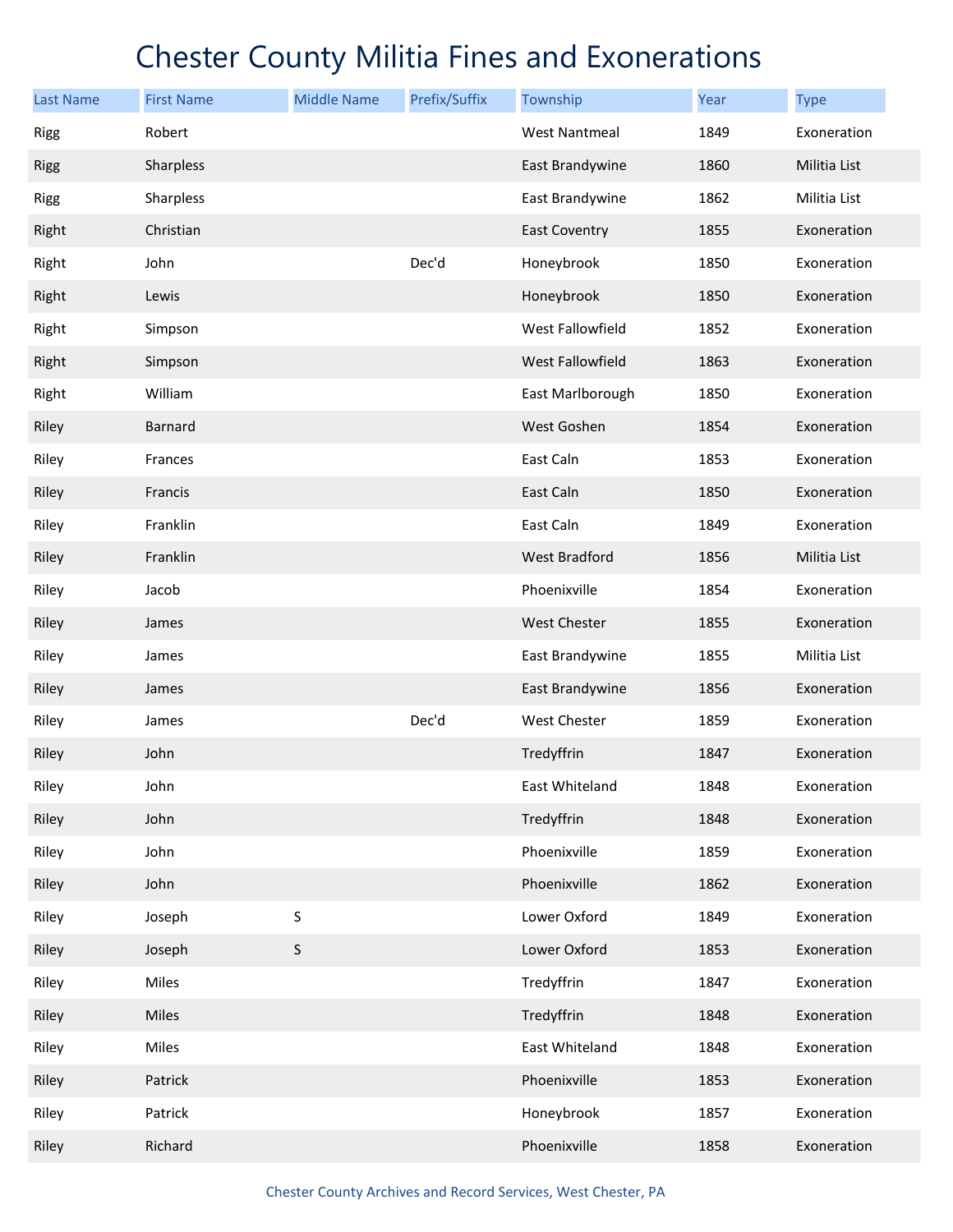| <b>Last Name</b> | <b>First Name</b> | <b>Middle Name</b> | Prefix/Suffix | Township             | Year | <b>Type</b>  |
|------------------|-------------------|--------------------|---------------|----------------------|------|--------------|
| <b>Rigg</b>      | Robert            |                    |               | <b>West Nantmeal</b> | 1849 | Exoneration  |
| <b>Rigg</b>      | Sharpless         |                    |               | East Brandywine      | 1860 | Militia List |
| <b>Rigg</b>      | Sharpless         |                    |               | East Brandywine      | 1862 | Militia List |
| Right            | Christian         |                    |               | <b>East Coventry</b> | 1855 | Exoneration  |
| Right            | John              |                    | Dec'd         | Honeybrook           | 1850 | Exoneration  |
| Right            | Lewis             |                    |               | Honeybrook           | 1850 | Exoneration  |
| Right            | Simpson           |                    |               | West Fallowfield     | 1852 | Exoneration  |
| Right            | Simpson           |                    |               | West Fallowfield     | 1863 | Exoneration  |
| Right            | William           |                    |               | East Marlborough     | 1850 | Exoneration  |
| Riley            | Barnard           |                    |               | West Goshen          | 1854 | Exoneration  |
| Riley            | Frances           |                    |               | East Caln            | 1853 | Exoneration  |
| Riley            | Francis           |                    |               | East Caln            | 1850 | Exoneration  |
| Riley            | Franklin          |                    |               | East Caln            | 1849 | Exoneration  |
| Riley            | Franklin          |                    |               | <b>West Bradford</b> | 1856 | Militia List |
| Riley            | Jacob             |                    |               | Phoenixville         | 1854 | Exoneration  |
| Riley            | James             |                    |               | West Chester         | 1855 | Exoneration  |
| Riley            | James             |                    |               | East Brandywine      | 1855 | Militia List |
| Riley            | James             |                    |               | East Brandywine      | 1856 | Exoneration  |
| Riley            | James             |                    | Dec'd         | West Chester         | 1859 | Exoneration  |
| Riley            | John              |                    |               | Tredyffrin           | 1847 | Exoneration  |
| Riley            | John              |                    |               | East Whiteland       | 1848 | Exoneration  |
| Riley            | John              |                    |               | Tredyffrin           | 1848 | Exoneration  |
| Riley            | John              |                    |               | Phoenixville         | 1859 | Exoneration  |
| Riley            | John              |                    |               | Phoenixville         | 1862 | Exoneration  |
| Riley            | Joseph            | S                  |               | Lower Oxford         | 1849 | Exoneration  |
| Riley            | Joseph            | $\mathsf S$        |               | Lower Oxford         | 1853 | Exoneration  |
| Riley            | Miles             |                    |               | Tredyffrin           | 1847 | Exoneration  |
| Riley            | Miles             |                    |               | Tredyffrin           | 1848 | Exoneration  |
| Riley            | Miles             |                    |               | East Whiteland       | 1848 | Exoneration  |
| Riley            | Patrick           |                    |               | Phoenixville         | 1853 | Exoneration  |
| Riley            | Patrick           |                    |               | Honeybrook           | 1857 | Exoneration  |
| Riley            | Richard           |                    |               | Phoenixville         | 1858 | Exoneration  |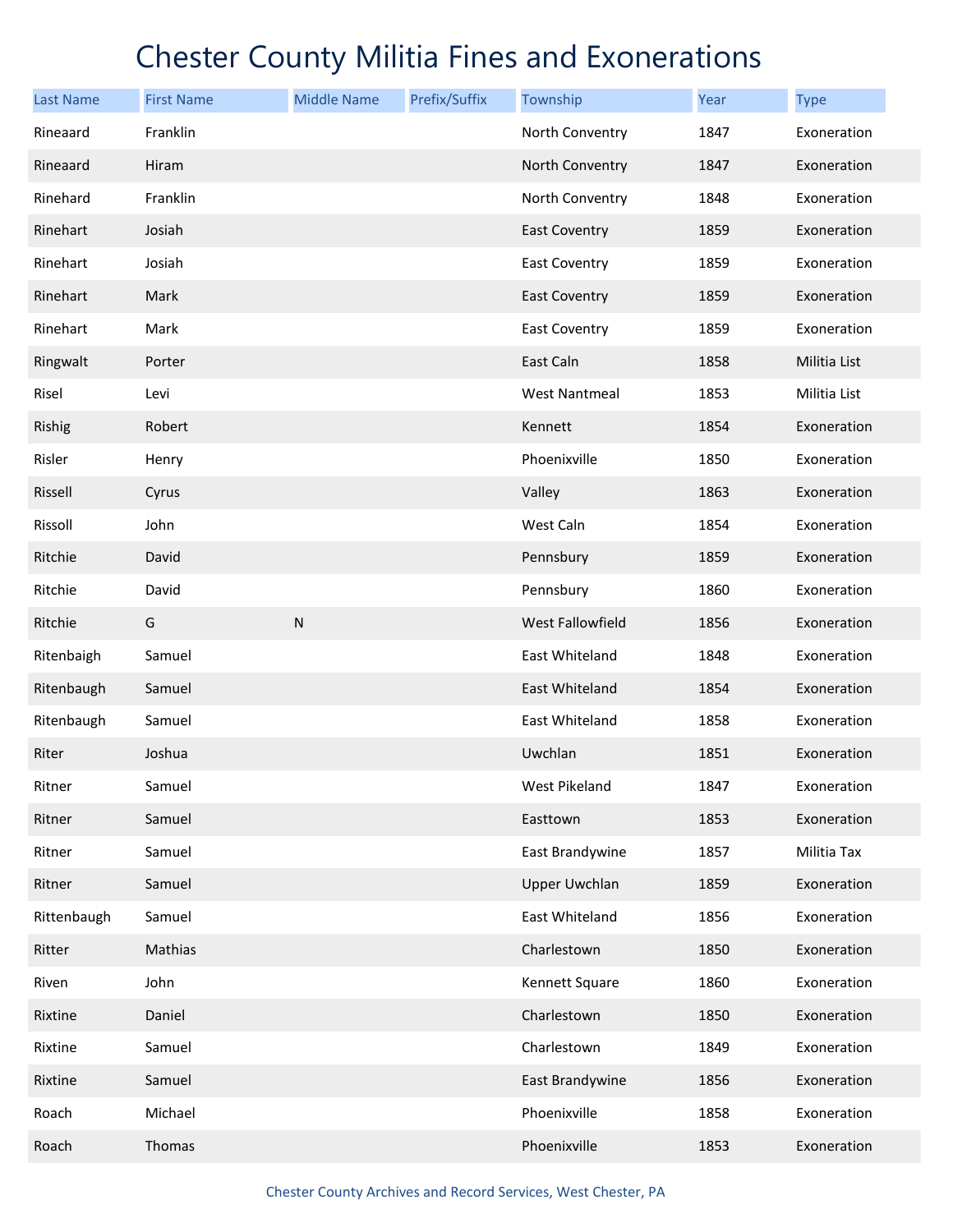| <b>Last Name</b> | <b>First Name</b> | <b>Middle Name</b> | Prefix/Suffix | Township             | Year | <b>Type</b>  |
|------------------|-------------------|--------------------|---------------|----------------------|------|--------------|
| Rineaard         | Franklin          |                    |               | North Conventry      | 1847 | Exoneration  |
| Rineaard         | Hiram             |                    |               | North Conventry      | 1847 | Exoneration  |
| Rinehard         | Franklin          |                    |               | North Conventry      | 1848 | Exoneration  |
| Rinehart         | Josiah            |                    |               | <b>East Coventry</b> | 1859 | Exoneration  |
| Rinehart         | Josiah            |                    |               | <b>East Coventry</b> | 1859 | Exoneration  |
| Rinehart         | Mark              |                    |               | <b>East Coventry</b> | 1859 | Exoneration  |
| Rinehart         | Mark              |                    |               | <b>East Coventry</b> | 1859 | Exoneration  |
| Ringwalt         | Porter            |                    |               | East Caln            | 1858 | Militia List |
| Risel            | Levi              |                    |               | <b>West Nantmeal</b> | 1853 | Militia List |
| Rishig           | Robert            |                    |               | Kennett              | 1854 | Exoneration  |
| Risler           | Henry             |                    |               | Phoenixville         | 1850 | Exoneration  |
| Rissell          | Cyrus             |                    |               | Valley               | 1863 | Exoneration  |
| Rissoll          | John              |                    |               | West Caln            | 1854 | Exoneration  |
| Ritchie          | David             |                    |               | Pennsbury            | 1859 | Exoneration  |
| Ritchie          | David             |                    |               | Pennsbury            | 1860 | Exoneration  |
| Ritchie          | G                 | ${\sf N}$          |               | West Fallowfield     | 1856 | Exoneration  |
| Ritenbaigh       | Samuel            |                    |               | East Whiteland       | 1848 | Exoneration  |
| Ritenbaugh       | Samuel            |                    |               | East Whiteland       | 1854 | Exoneration  |
| Ritenbaugh       | Samuel            |                    |               | East Whiteland       | 1858 | Exoneration  |
| Riter            | Joshua            |                    |               | Uwchlan              | 1851 | Exoneration  |
| Ritner           | Samuel            |                    |               | West Pikeland        | 1847 | Exoneration  |
| Ritner           | Samuel            |                    |               | Easttown             | 1853 | Exoneration  |
| Ritner           | Samuel            |                    |               | East Brandywine      | 1857 | Militia Tax  |
| Ritner           | Samuel            |                    |               | <b>Upper Uwchlan</b> | 1859 | Exoneration  |
| Rittenbaugh      | Samuel            |                    |               | East Whiteland       | 1856 | Exoneration  |
| Ritter           | Mathias           |                    |               | Charlestown          | 1850 | Exoneration  |
| Riven            | John              |                    |               | Kennett Square       | 1860 | Exoneration  |
| Rixtine          | Daniel            |                    |               | Charlestown          | 1850 | Exoneration  |
| Rixtine          | Samuel            |                    |               | Charlestown          | 1849 | Exoneration  |
| Rixtine          | Samuel            |                    |               | East Brandywine      | 1856 | Exoneration  |
| Roach            | Michael           |                    |               | Phoenixville         | 1858 | Exoneration  |
| Roach            | Thomas            |                    |               | Phoenixville         | 1853 | Exoneration  |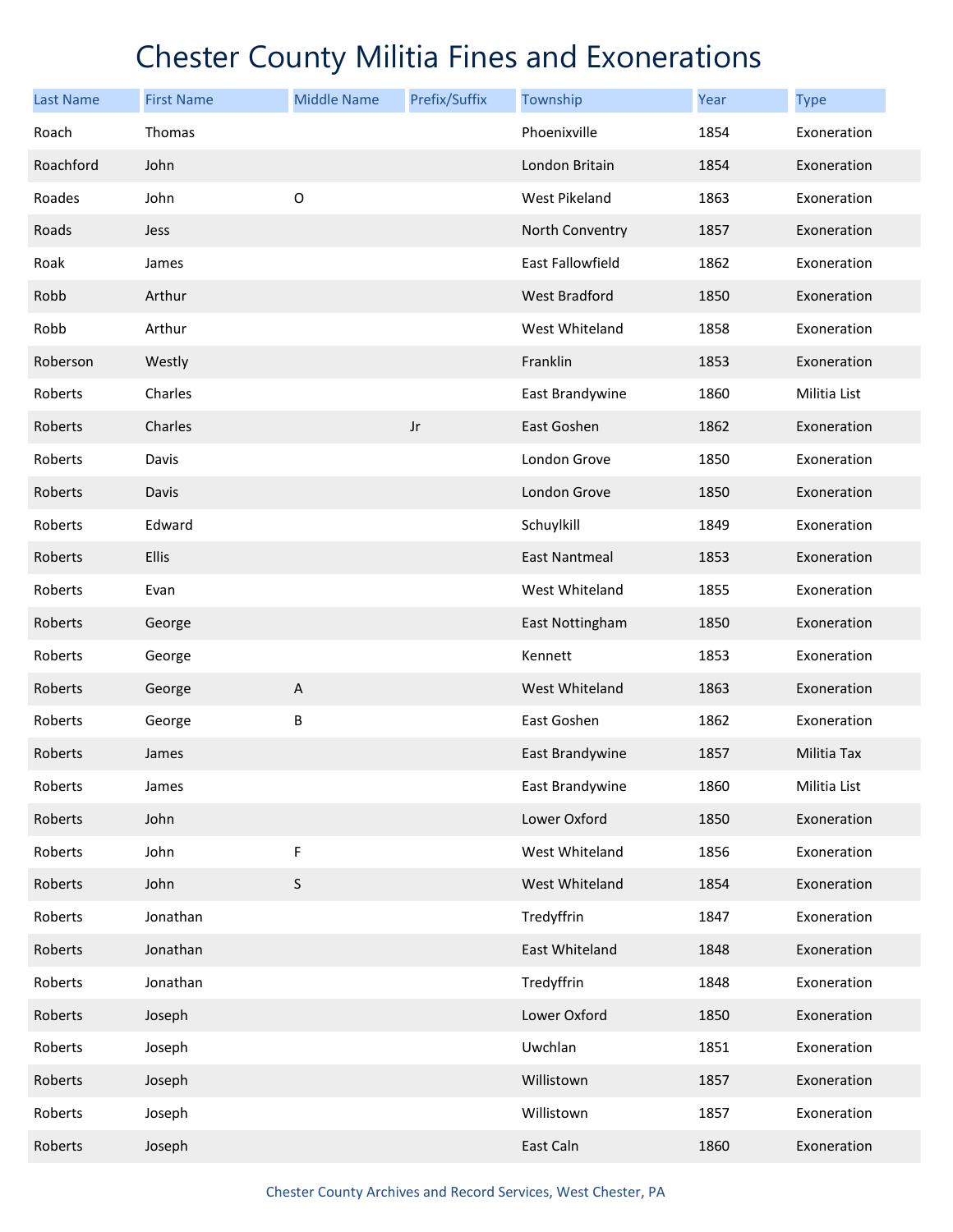| <b>Last Name</b> | <b>First Name</b> | <b>Middle Name</b>        | Prefix/Suffix | Township             | Year | <b>Type</b>        |
|------------------|-------------------|---------------------------|---------------|----------------------|------|--------------------|
| Roach            | Thomas            |                           |               | Phoenixville         | 1854 | Exoneration        |
| Roachford        | John              |                           |               | London Britain       | 1854 | Exoneration        |
| Roades           | John              | $\mathsf O$               |               | West Pikeland        | 1863 | Exoneration        |
| Roads            | Jess              |                           |               | North Conventry      | 1857 | Exoneration        |
| Roak             | James             |                           |               | East Fallowfield     | 1862 | Exoneration        |
| Robb             | Arthur            |                           |               | <b>West Bradford</b> | 1850 | Exoneration        |
| Robb             | Arthur            |                           |               | West Whiteland       | 1858 | Exoneration        |
| Roberson         | Westly            |                           |               | Franklin             | 1853 | Exoneration        |
| Roberts          | Charles           |                           |               | East Brandywine      | 1860 | Militia List       |
| Roberts          | Charles           |                           | Jr            | East Goshen          | 1862 | Exoneration        |
| Roberts          | Davis             |                           |               | London Grove         | 1850 | Exoneration        |
| Roberts          | Davis             |                           |               | London Grove         | 1850 | Exoneration        |
| Roberts          | Edward            |                           |               | Schuylkill           | 1849 | Exoneration        |
| Roberts          | Ellis             |                           |               | <b>East Nantmeal</b> | 1853 | Exoneration        |
| Roberts          | Evan              |                           |               | West Whiteland       | 1855 | Exoneration        |
| Roberts          | George            |                           |               | East Nottingham      | 1850 | Exoneration        |
| Roberts          | George            |                           |               | Kennett              | 1853 | Exoneration        |
| Roberts          | George            | $\boldsymbol{\mathsf{A}}$ |               | West Whiteland       | 1863 | Exoneration        |
| Roberts          | George            | B                         |               | East Goshen          | 1862 | Exoneration        |
| Roberts          | James             |                           |               | East Brandywine      | 1857 | <b>Militia Tax</b> |
| Roberts          | James             |                           |               | East Brandywine      | 1860 | Militia List       |
| Roberts          | John              |                           |               | Lower Oxford         | 1850 | Exoneration        |
| Roberts          | John              | F                         |               | West Whiteland       | 1856 | Exoneration        |
| Roberts          | John              | $\sf S$                   |               | West Whiteland       | 1854 | Exoneration        |
| Roberts          | Jonathan          |                           |               | Tredyffrin           | 1847 | Exoneration        |
| Roberts          | Jonathan          |                           |               | East Whiteland       | 1848 | Exoneration        |
| Roberts          | Jonathan          |                           |               | Tredyffrin           | 1848 | Exoneration        |
| Roberts          | Joseph            |                           |               | Lower Oxford         | 1850 | Exoneration        |
| Roberts          | Joseph            |                           |               | Uwchlan              | 1851 | Exoneration        |
| Roberts          | Joseph            |                           |               | Willistown           | 1857 | Exoneration        |
| Roberts          | Joseph            |                           |               | Willistown           | 1857 | Exoneration        |
| Roberts          | Joseph            |                           |               | East Caln            | 1860 | Exoneration        |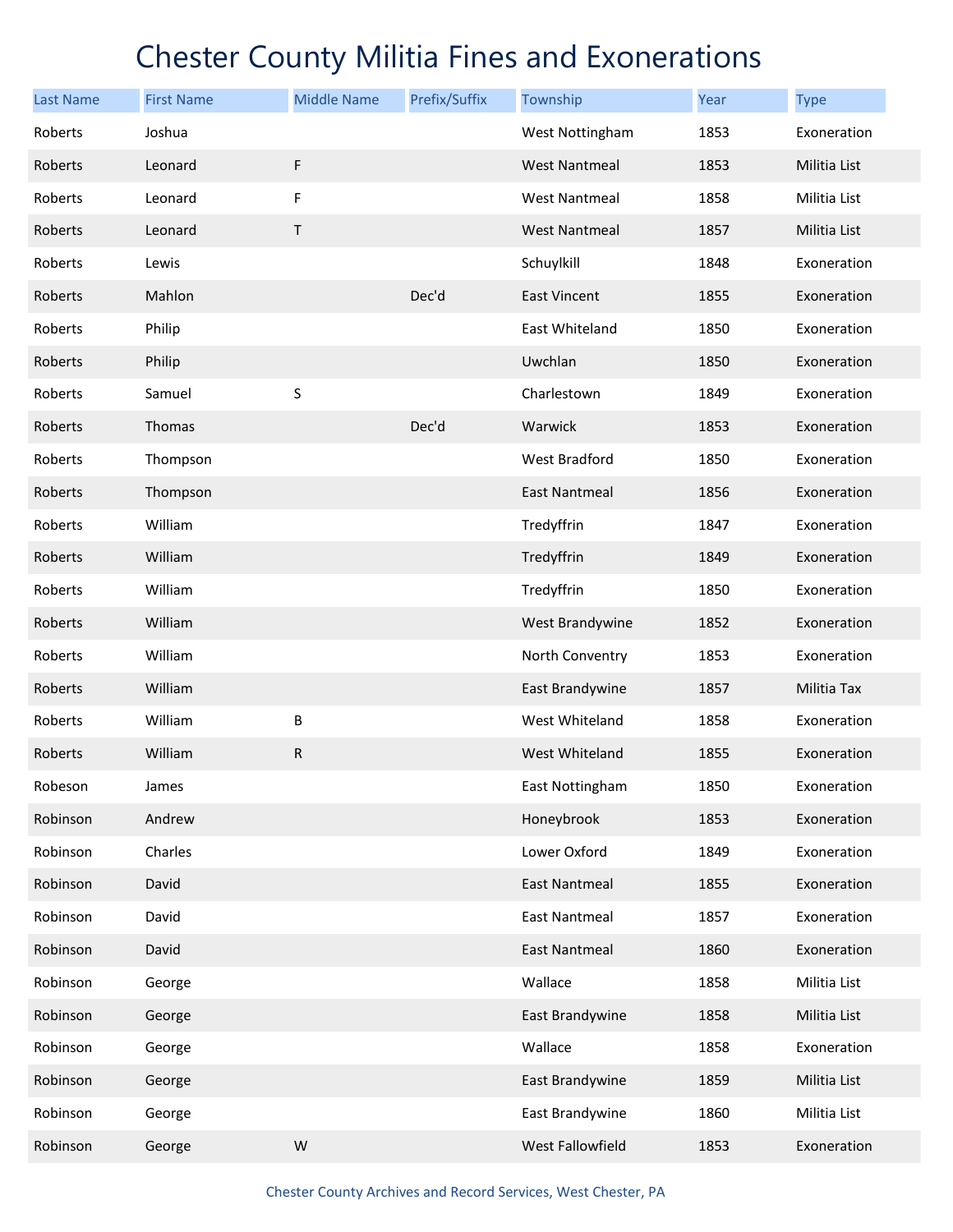| <b>Last Name</b> | <b>First Name</b> | <b>Middle Name</b> | Prefix/Suffix | Township             | Year | <b>Type</b>  |
|------------------|-------------------|--------------------|---------------|----------------------|------|--------------|
| Roberts          | Joshua            |                    |               | West Nottingham      | 1853 | Exoneration  |
| Roberts          | Leonard           | F                  |               | <b>West Nantmeal</b> | 1853 | Militia List |
| Roberts          | Leonard           | F                  |               | <b>West Nantmeal</b> | 1858 | Militia List |
| Roberts          | Leonard           | $\mathsf T$        |               | <b>West Nantmeal</b> | 1857 | Militia List |
| Roberts          | Lewis             |                    |               | Schuylkill           | 1848 | Exoneration  |
| Roberts          | Mahlon            |                    | Dec'd         | East Vincent         | 1855 | Exoneration  |
| Roberts          | Philip            |                    |               | East Whiteland       | 1850 | Exoneration  |
| Roberts          | Philip            |                    |               | Uwchlan              | 1850 | Exoneration  |
| Roberts          | Samuel            | $\sf S$            |               | Charlestown          | 1849 | Exoneration  |
| Roberts          | Thomas            |                    | Dec'd         | Warwick              | 1853 | Exoneration  |
| Roberts          | Thompson          |                    |               | West Bradford        | 1850 | Exoneration  |
| Roberts          | Thompson          |                    |               | <b>East Nantmeal</b> | 1856 | Exoneration  |
| Roberts          | William           |                    |               | Tredyffrin           | 1847 | Exoneration  |
| Roberts          | William           |                    |               | Tredyffrin           | 1849 | Exoneration  |
| Roberts          | William           |                    |               | Tredyffrin           | 1850 | Exoneration  |
| Roberts          | William           |                    |               | West Brandywine      | 1852 | Exoneration  |
| Roberts          | William           |                    |               | North Conventry      | 1853 | Exoneration  |
| Roberts          | William           |                    |               | East Brandywine      | 1857 | Militia Tax  |
| Roberts          | William           | B                  |               | West Whiteland       | 1858 | Exoneration  |
| Roberts          | William           | $\mathsf R$        |               | West Whiteland       | 1855 | Exoneration  |
| Robeson          | James             |                    |               | East Nottingham      | 1850 | Exoneration  |
| Robinson         | Andrew            |                    |               | Honeybrook           | 1853 | Exoneration  |
| Robinson         | Charles           |                    |               | Lower Oxford         | 1849 | Exoneration  |
| Robinson         | David             |                    |               | <b>East Nantmeal</b> | 1855 | Exoneration  |
| Robinson         | David             |                    |               | <b>East Nantmeal</b> | 1857 | Exoneration  |
| Robinson         | David             |                    |               | <b>East Nantmeal</b> | 1860 | Exoneration  |
| Robinson         | George            |                    |               | Wallace              | 1858 | Militia List |
| Robinson         | George            |                    |               | East Brandywine      | 1858 | Militia List |
| Robinson         | George            |                    |               | Wallace              | 1858 | Exoneration  |
| Robinson         | George            |                    |               | East Brandywine      | 1859 | Militia List |
| Robinson         | George            |                    |               | East Brandywine      | 1860 | Militia List |
| Robinson         | George            | W                  |               | West Fallowfield     | 1853 | Exoneration  |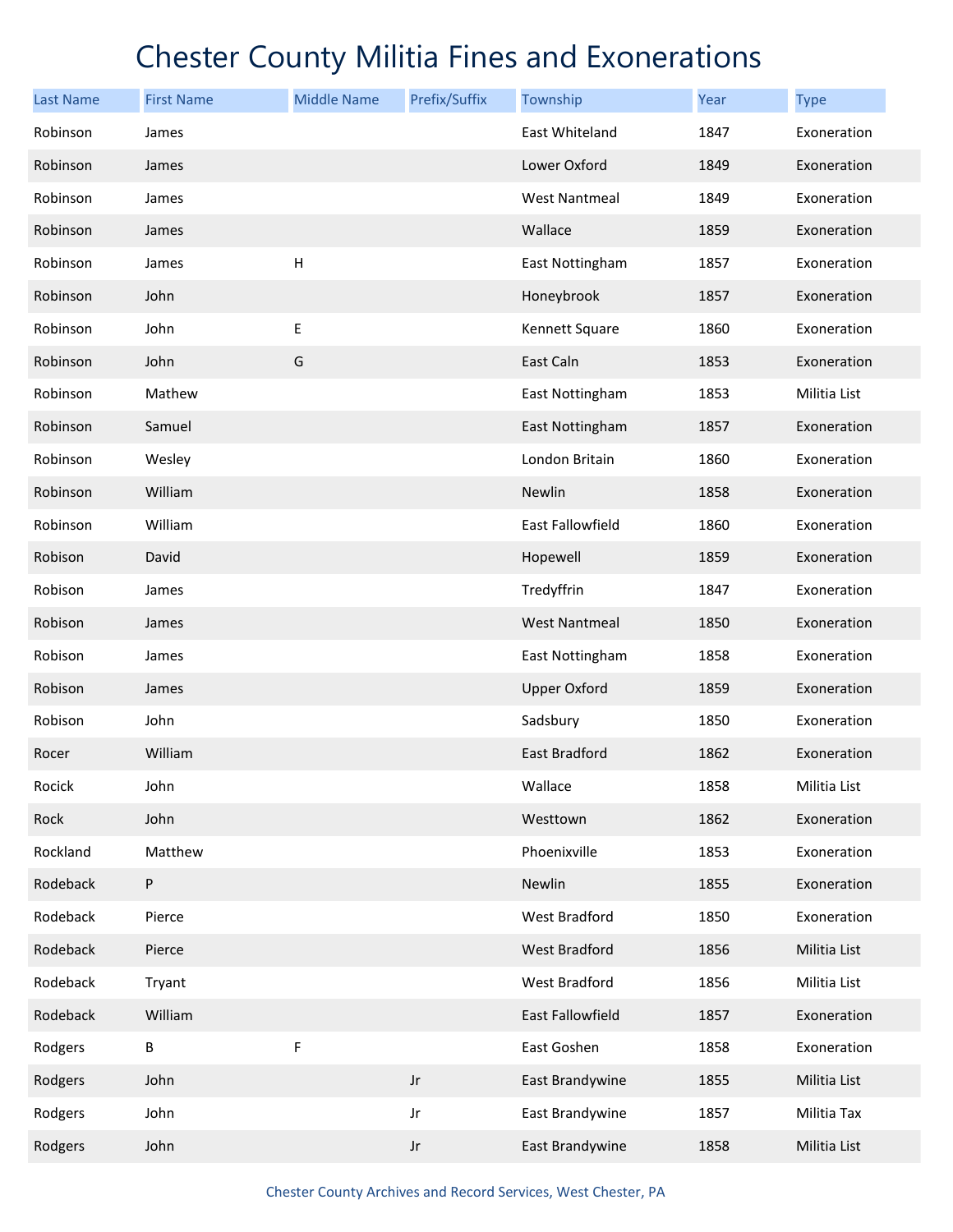| <b>Last Name</b> | <b>First Name</b> | <b>Middle Name</b> | Prefix/Suffix          | Township             | Year | <b>Type</b>  |
|------------------|-------------------|--------------------|------------------------|----------------------|------|--------------|
| Robinson         | James             |                    |                        | East Whiteland       | 1847 | Exoneration  |
| Robinson         | James             |                    |                        | Lower Oxford         | 1849 | Exoneration  |
| Robinson         | James             |                    |                        | <b>West Nantmeal</b> | 1849 | Exoneration  |
| Robinson         | James             |                    |                        | Wallace              | 1859 | Exoneration  |
| Robinson         | James             | Н                  |                        | East Nottingham      | 1857 | Exoneration  |
| Robinson         | John              |                    |                        | Honeybrook           | 1857 | Exoneration  |
| Robinson         | John              | Е                  |                        | Kennett Square       | 1860 | Exoneration  |
| Robinson         | John              | G                  |                        | East Caln            | 1853 | Exoneration  |
| Robinson         | Mathew            |                    |                        | East Nottingham      | 1853 | Militia List |
| Robinson         | Samuel            |                    |                        | East Nottingham      | 1857 | Exoneration  |
| Robinson         | Wesley            |                    |                        | London Britain       | 1860 | Exoneration  |
| Robinson         | William           |                    |                        | Newlin               | 1858 | Exoneration  |
| Robinson         | William           |                    |                        | East Fallowfield     | 1860 | Exoneration  |
| Robison          | David             |                    |                        | Hopewell             | 1859 | Exoneration  |
| Robison          | James             |                    |                        | Tredyffrin           | 1847 | Exoneration  |
| Robison          | James             |                    |                        | <b>West Nantmeal</b> | 1850 | Exoneration  |
| Robison          | James             |                    |                        | East Nottingham      | 1858 | Exoneration  |
| Robison          | James             |                    |                        | <b>Upper Oxford</b>  | 1859 | Exoneration  |
| Robison          | John              |                    |                        | Sadsbury             | 1850 | Exoneration  |
| Rocer            | William           |                    |                        | East Bradford        | 1862 | Exoneration  |
| Rocick           | John              |                    |                        | Wallace              | 1858 | Militia List |
| Rock             | John              |                    |                        | Westtown             | 1862 | Exoneration  |
| Rockland         | Matthew           |                    |                        | Phoenixville         | 1853 | Exoneration  |
| Rodeback         | $\sf P$           |                    |                        | Newlin               | 1855 | Exoneration  |
| Rodeback         | Pierce            |                    |                        | West Bradford        | 1850 | Exoneration  |
| Rodeback         | Pierce            |                    |                        | <b>West Bradford</b> | 1856 | Militia List |
| Rodeback         | Tryant            |                    |                        | West Bradford        | 1856 | Militia List |
| Rodeback         | William           |                    |                        | East Fallowfield     | 1857 | Exoneration  |
| Rodgers          | B                 | F                  |                        | East Goshen          | 1858 | Exoneration  |
| Rodgers          | John              |                    | $_{\rm Jr}$            | East Brandywine      | 1855 | Militia List |
| Rodgers          | John              |                    | Jr                     | East Brandywine      | 1857 | Militia Tax  |
| Rodgers          | John              |                    | $\mathsf{J}\mathsf{r}$ | East Brandywine      | 1858 | Militia List |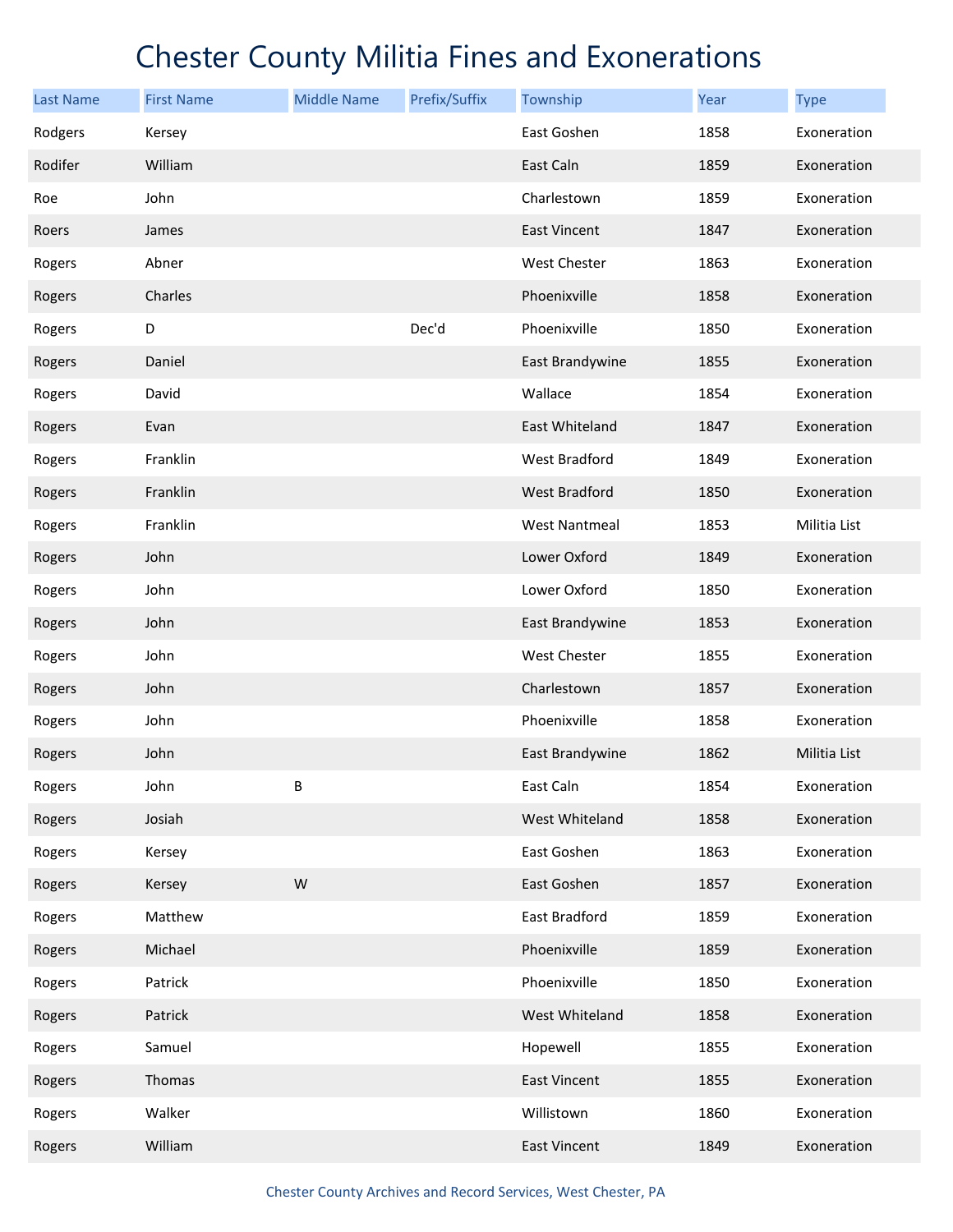| <b>Last Name</b> | <b>First Name</b> | <b>Middle Name</b> | Prefix/Suffix | Township             | Year | <b>Type</b>  |
|------------------|-------------------|--------------------|---------------|----------------------|------|--------------|
| Rodgers          | Kersey            |                    |               | East Goshen          | 1858 | Exoneration  |
| Rodifer          | William           |                    |               | East Caln            | 1859 | Exoneration  |
| Roe              | John              |                    |               | Charlestown          | 1859 | Exoneration  |
| Roers            | James             |                    |               | <b>East Vincent</b>  | 1847 | Exoneration  |
| Rogers           | Abner             |                    |               | West Chester         | 1863 | Exoneration  |
| Rogers           | Charles           |                    |               | Phoenixville         | 1858 | Exoneration  |
| Rogers           | D                 |                    | Dec'd         | Phoenixville         | 1850 | Exoneration  |
| Rogers           | Daniel            |                    |               | East Brandywine      | 1855 | Exoneration  |
| Rogers           | David             |                    |               | Wallace              | 1854 | Exoneration  |
| Rogers           | Evan              |                    |               | East Whiteland       | 1847 | Exoneration  |
| Rogers           | Franklin          |                    |               | West Bradford        | 1849 | Exoneration  |
| Rogers           | Franklin          |                    |               | West Bradford        | 1850 | Exoneration  |
| Rogers           | Franklin          |                    |               | <b>West Nantmeal</b> | 1853 | Militia List |
| Rogers           | John              |                    |               | Lower Oxford         | 1849 | Exoneration  |
| Rogers           | John              |                    |               | Lower Oxford         | 1850 | Exoneration  |
| Rogers           | John              |                    |               | East Brandywine      | 1853 | Exoneration  |
| Rogers           | John              |                    |               | <b>West Chester</b>  | 1855 | Exoneration  |
| Rogers           | John              |                    |               | Charlestown          | 1857 | Exoneration  |
| Rogers           | John              |                    |               | Phoenixville         | 1858 | Exoneration  |
| Rogers           | John              |                    |               | East Brandywine      | 1862 | Militia List |
| Rogers           | John              | B                  |               | East Caln            | 1854 | Exoneration  |
| Rogers           | Josiah            |                    |               | West Whiteland       | 1858 | Exoneration  |
| Rogers           | Kersey            |                    |               | East Goshen          | 1863 | Exoneration  |
| Rogers           | Kersey            | W                  |               | East Goshen          | 1857 | Exoneration  |
| Rogers           | Matthew           |                    |               | East Bradford        | 1859 | Exoneration  |
| Rogers           | Michael           |                    |               | Phoenixville         | 1859 | Exoneration  |
| Rogers           | Patrick           |                    |               | Phoenixville         | 1850 | Exoneration  |
| Rogers           | Patrick           |                    |               | West Whiteland       | 1858 | Exoneration  |
| Rogers           | Samuel            |                    |               | Hopewell             | 1855 | Exoneration  |
| Rogers           | Thomas            |                    |               | East Vincent         | 1855 | Exoneration  |
| Rogers           | Walker            |                    |               | Willistown           | 1860 | Exoneration  |
| Rogers           | William           |                    |               | East Vincent         | 1849 | Exoneration  |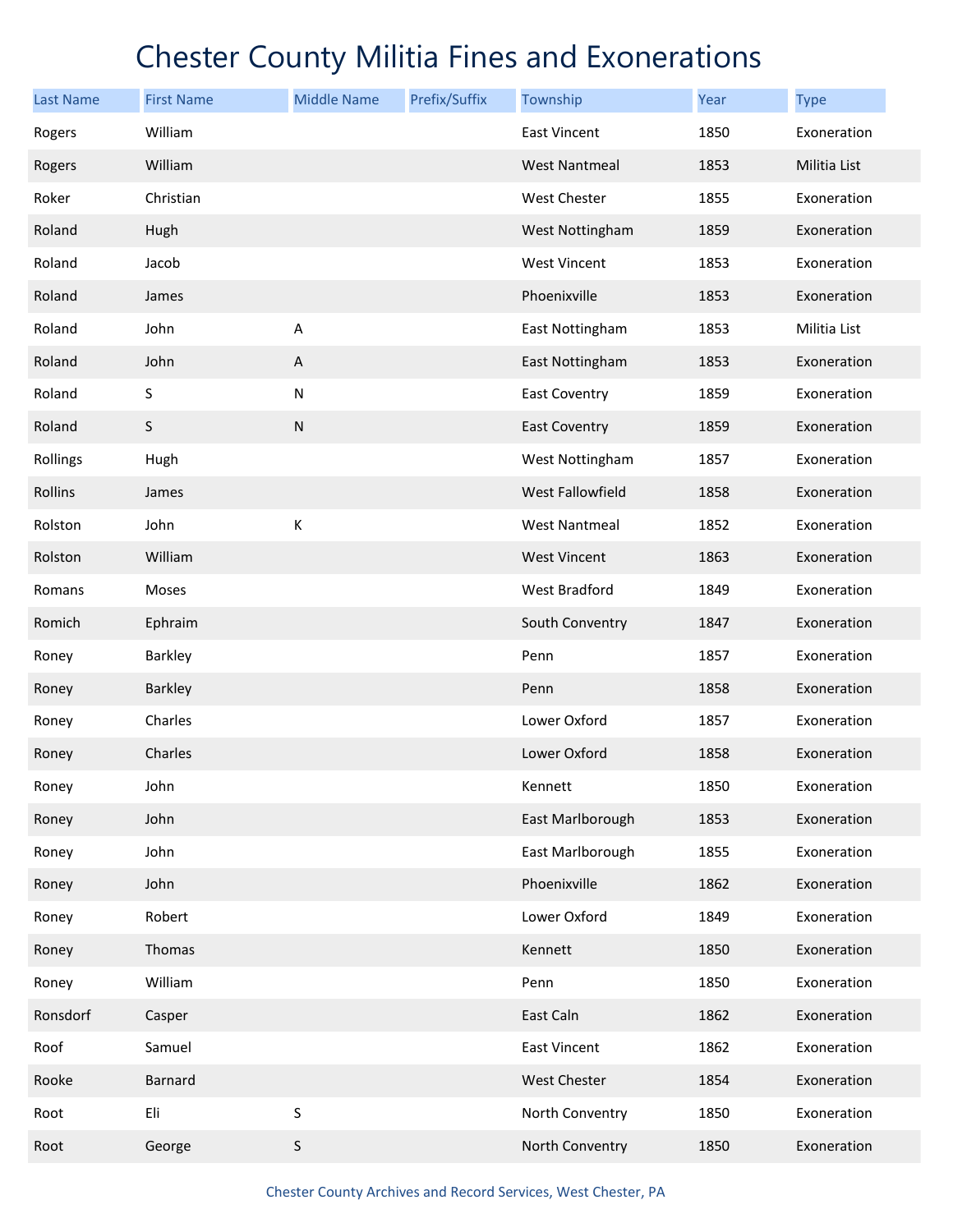| <b>Last Name</b> | <b>First Name</b> | <b>Middle Name</b> | Prefix/Suffix | Township             | Year | <b>Type</b>         |
|------------------|-------------------|--------------------|---------------|----------------------|------|---------------------|
| Rogers           | William           |                    |               | East Vincent         | 1850 | Exoneration         |
| Rogers           | William           |                    |               | <b>West Nantmeal</b> | 1853 | <b>Militia List</b> |
| Roker            | Christian         |                    |               | West Chester         | 1855 | Exoneration         |
| Roland           | Hugh              |                    |               | West Nottingham      | 1859 | Exoneration         |
| Roland           | Jacob             |                    |               | <b>West Vincent</b>  | 1853 | Exoneration         |
| Roland           | James             |                    |               | Phoenixville         | 1853 | Exoneration         |
| Roland           | John              | Α                  |               | East Nottingham      | 1853 | Militia List        |
| Roland           | John              | $\mathsf A$        |               | East Nottingham      | 1853 | Exoneration         |
| Roland           | S                 | ${\sf N}$          |               | <b>East Coventry</b> | 1859 | Exoneration         |
| Roland           | $\sf S$           | ${\sf N}$          |               | <b>East Coventry</b> | 1859 | Exoneration         |
| Rollings         | Hugh              |                    |               | West Nottingham      | 1857 | Exoneration         |
| Rollins          | James             |                    |               | West Fallowfield     | 1858 | Exoneration         |
| Rolston          | John              | К                  |               | <b>West Nantmeal</b> | 1852 | Exoneration         |
| Rolston          | William           |                    |               | <b>West Vincent</b>  | 1863 | Exoneration         |
| Romans           | Moses             |                    |               | West Bradford        | 1849 | Exoneration         |
| Romich           | Ephraim           |                    |               | South Conventry      | 1847 | Exoneration         |
| Roney            | Barkley           |                    |               | Penn                 | 1857 | Exoneration         |
| Roney            | Barkley           |                    |               | Penn                 | 1858 | Exoneration         |
| Roney            | Charles           |                    |               | Lower Oxford         | 1857 | Exoneration         |
| Roney            | Charles           |                    |               | Lower Oxford         | 1858 | Exoneration         |
| Roney            | John              |                    |               | Kennett              | 1850 | Exoneration         |
| Roney            | John              |                    |               | East Marlborough     | 1853 | Exoneration         |
| Roney            | John              |                    |               | East Marlborough     | 1855 | Exoneration         |
| Roney            | John              |                    |               | Phoenixville         | 1862 | Exoneration         |
| Roney            | Robert            |                    |               | Lower Oxford         | 1849 | Exoneration         |
| Roney            | Thomas            |                    |               | Kennett              | 1850 | Exoneration         |
| Roney            | William           |                    |               | Penn                 | 1850 | Exoneration         |
| Ronsdorf         | Casper            |                    |               | East Caln            | 1862 | Exoneration         |
| Roof             | Samuel            |                    |               | East Vincent         | 1862 | Exoneration         |
| Rooke            | Barnard           |                    |               | <b>West Chester</b>  | 1854 | Exoneration         |
| Root             | Eli               | $\sf S$            |               | North Conventry      | 1850 | Exoneration         |
| Root             | George            | S                  |               | North Conventry      | 1850 | Exoneration         |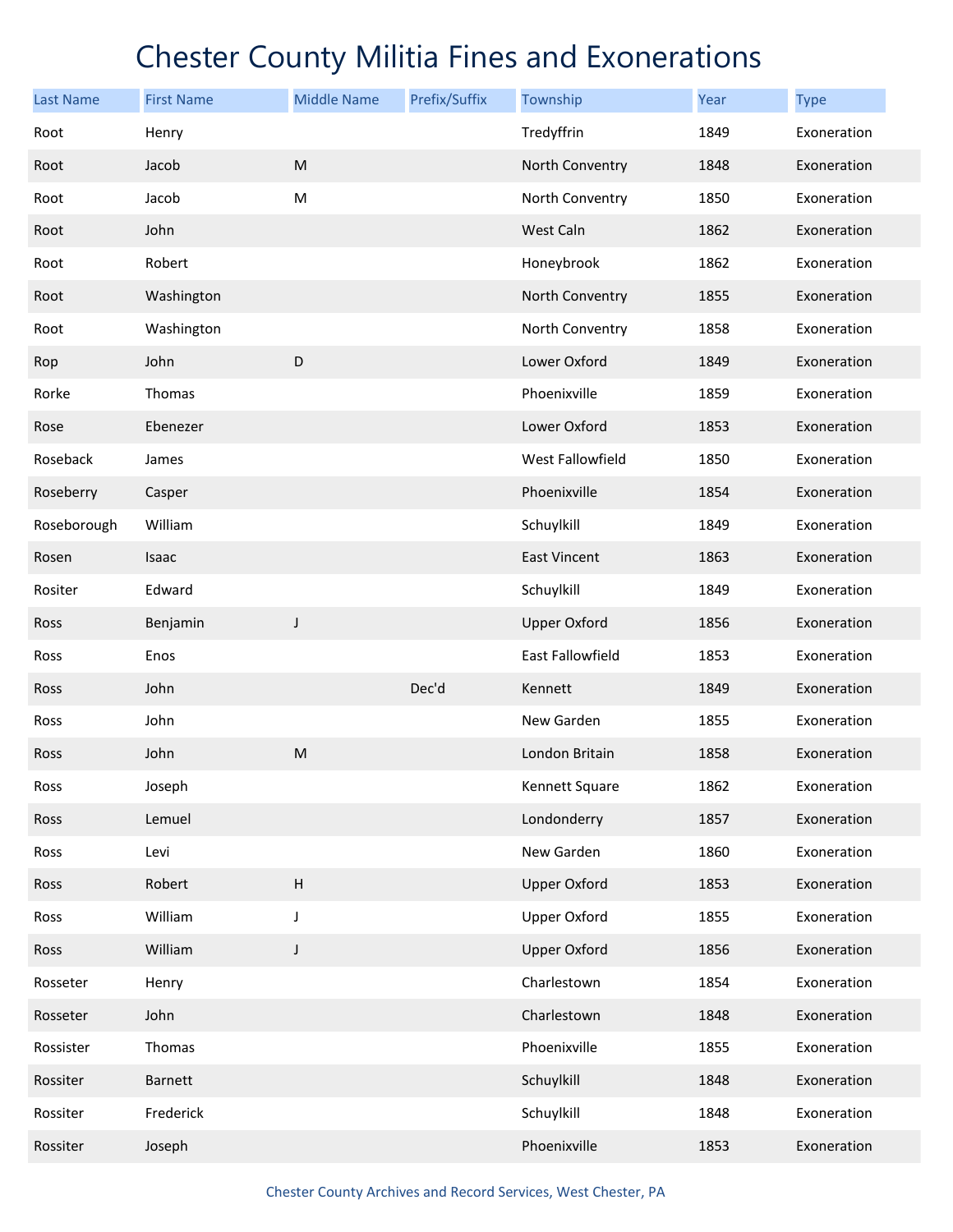| <b>Last Name</b> | <b>First Name</b> | <b>Middle Name</b>                                                                                         | Prefix/Suffix | Township            | Year | <b>Type</b> |
|------------------|-------------------|------------------------------------------------------------------------------------------------------------|---------------|---------------------|------|-------------|
| Root             | Henry             |                                                                                                            |               | Tredyffrin          | 1849 | Exoneration |
| Root             | Jacob             | $\mathsf{M}% _{T}=\mathsf{M}_{T}\!\left( a,b\right) ,\ \mathsf{M}_{T}=\mathsf{M}_{T}\!\left( a,b\right) ,$ |               | North Conventry     | 1848 | Exoneration |
| Root             | Jacob             | ${\sf M}$                                                                                                  |               | North Conventry     | 1850 | Exoneration |
| Root             | John              |                                                                                                            |               | West Caln           | 1862 | Exoneration |
| Root             | Robert            |                                                                                                            |               | Honeybrook          | 1862 | Exoneration |
| Root             | Washington        |                                                                                                            |               | North Conventry     | 1855 | Exoneration |
| Root             | Washington        |                                                                                                            |               | North Conventry     | 1858 | Exoneration |
| Rop              | John              | D                                                                                                          |               | Lower Oxford        | 1849 | Exoneration |
| Rorke            | Thomas            |                                                                                                            |               | Phoenixville        | 1859 | Exoneration |
| Rose             | Ebenezer          |                                                                                                            |               | Lower Oxford        | 1853 | Exoneration |
| Roseback         | James             |                                                                                                            |               | West Fallowfield    | 1850 | Exoneration |
| Roseberry        | Casper            |                                                                                                            |               | Phoenixville        | 1854 | Exoneration |
| Roseborough      | William           |                                                                                                            |               | Schuylkill          | 1849 | Exoneration |
| Rosen            | Isaac             |                                                                                                            |               | <b>East Vincent</b> | 1863 | Exoneration |
| Rositer          | Edward            |                                                                                                            |               | Schuylkill          | 1849 | Exoneration |
| <b>Ross</b>      | Benjamin          | J                                                                                                          |               | <b>Upper Oxford</b> | 1856 | Exoneration |
| Ross             | Enos              |                                                                                                            |               | East Fallowfield    | 1853 | Exoneration |
| Ross             | John              |                                                                                                            | Dec'd         | Kennett             | 1849 | Exoneration |
| Ross             | John              |                                                                                                            |               | New Garden          | 1855 | Exoneration |
| Ross             | John              | M                                                                                                          |               | London Britain      | 1858 | Exoneration |
| Ross             | Joseph            |                                                                                                            |               | Kennett Square      | 1862 | Exoneration |
| Ross             | Lemuel            |                                                                                                            |               | Londonderry         | 1857 | Exoneration |
| Ross             | Levi              |                                                                                                            |               | New Garden          | 1860 | Exoneration |
| Ross             | Robert            | $\sf H$                                                                                                    |               | <b>Upper Oxford</b> | 1853 | Exoneration |
| Ross             | William           | J                                                                                                          |               | <b>Upper Oxford</b> | 1855 | Exoneration |
| Ross             | William           | $\mathsf J$                                                                                                |               | <b>Upper Oxford</b> | 1856 | Exoneration |
| Rosseter         | Henry             |                                                                                                            |               | Charlestown         | 1854 | Exoneration |
| Rosseter         | John              |                                                                                                            |               | Charlestown         | 1848 | Exoneration |
| Rossister        | Thomas            |                                                                                                            |               | Phoenixville        | 1855 | Exoneration |
| Rossiter         | Barnett           |                                                                                                            |               | Schuylkill          | 1848 | Exoneration |
| Rossiter         | Frederick         |                                                                                                            |               | Schuylkill          | 1848 | Exoneration |
| Rossiter         | Joseph            |                                                                                                            |               | Phoenixville        | 1853 | Exoneration |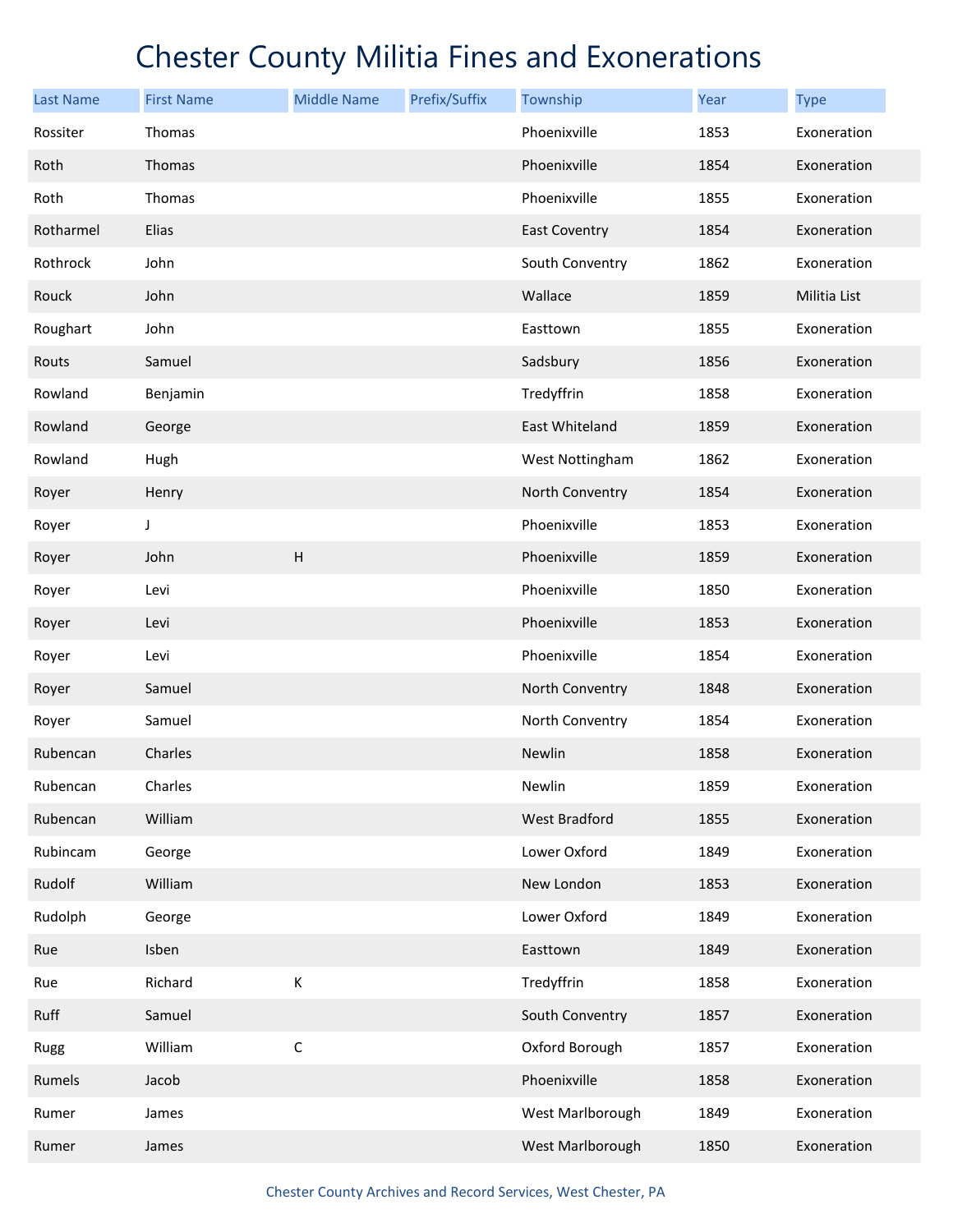| <b>Last Name</b> | <b>First Name</b> | <b>Middle Name</b> | Prefix/Suffix | Township         | Year | <b>Type</b>  |
|------------------|-------------------|--------------------|---------------|------------------|------|--------------|
| Rossiter         | Thomas            |                    |               | Phoenixville     | 1853 | Exoneration  |
| Roth             | Thomas            |                    |               | Phoenixville     | 1854 | Exoneration  |
| Roth             | Thomas            |                    |               | Phoenixville     | 1855 | Exoneration  |
| Rotharmel        | Elias             |                    |               | East Coventry    | 1854 | Exoneration  |
| Rothrock         | John              |                    |               | South Conventry  | 1862 | Exoneration  |
| Rouck            | John              |                    |               | Wallace          | 1859 | Militia List |
| Roughart         | John              |                    |               | Easttown         | 1855 | Exoneration  |
| Routs            | Samuel            |                    |               | Sadsbury         | 1856 | Exoneration  |
| Rowland          | Benjamin          |                    |               | Tredyffrin       | 1858 | Exoneration  |
| Rowland          | George            |                    |               | East Whiteland   | 1859 | Exoneration  |
| Rowland          | Hugh              |                    |               | West Nottingham  | 1862 | Exoneration  |
| Royer            | Henry             |                    |               | North Conventry  | 1854 | Exoneration  |
| Royer            | J                 |                    |               | Phoenixville     | 1853 | Exoneration  |
| Royer            | John              | $\sf H$            |               | Phoenixville     | 1859 | Exoneration  |
| Royer            | Levi              |                    |               | Phoenixville     | 1850 | Exoneration  |
| Royer            | Levi              |                    |               | Phoenixville     | 1853 | Exoneration  |
| Royer            | Levi              |                    |               | Phoenixville     | 1854 | Exoneration  |
| Royer            | Samuel            |                    |               | North Conventry  | 1848 | Exoneration  |
| Royer            | Samuel            |                    |               | North Conventry  | 1854 | Exoneration  |
| Rubencan         | Charles           |                    |               | Newlin           | 1858 | Exoneration  |
| Rubencan         | Charles           |                    |               | Newlin           | 1859 | Exoneration  |
| Rubencan         | William           |                    |               | West Bradford    | 1855 | Exoneration  |
| Rubincam         | George            |                    |               | Lower Oxford     | 1849 | Exoneration  |
| Rudolf           | William           |                    |               | New London       | 1853 | Exoneration  |
| Rudolph          | George            |                    |               | Lower Oxford     | 1849 | Exoneration  |
| Rue              | Isben             |                    |               | Easttown         | 1849 | Exoneration  |
| Rue              | Richard           | К                  |               | Tredyffrin       | 1858 | Exoneration  |
| Ruff             | Samuel            |                    |               | South Conventry  | 1857 | Exoneration  |
| Rugg             | William           | $\mathsf C$        |               | Oxford Borough   | 1857 | Exoneration  |
| Rumels           | Jacob             |                    |               | Phoenixville     | 1858 | Exoneration  |
| Rumer            | James             |                    |               | West Marlborough | 1849 | Exoneration  |
| Rumer            | James             |                    |               | West Marlborough | 1850 | Exoneration  |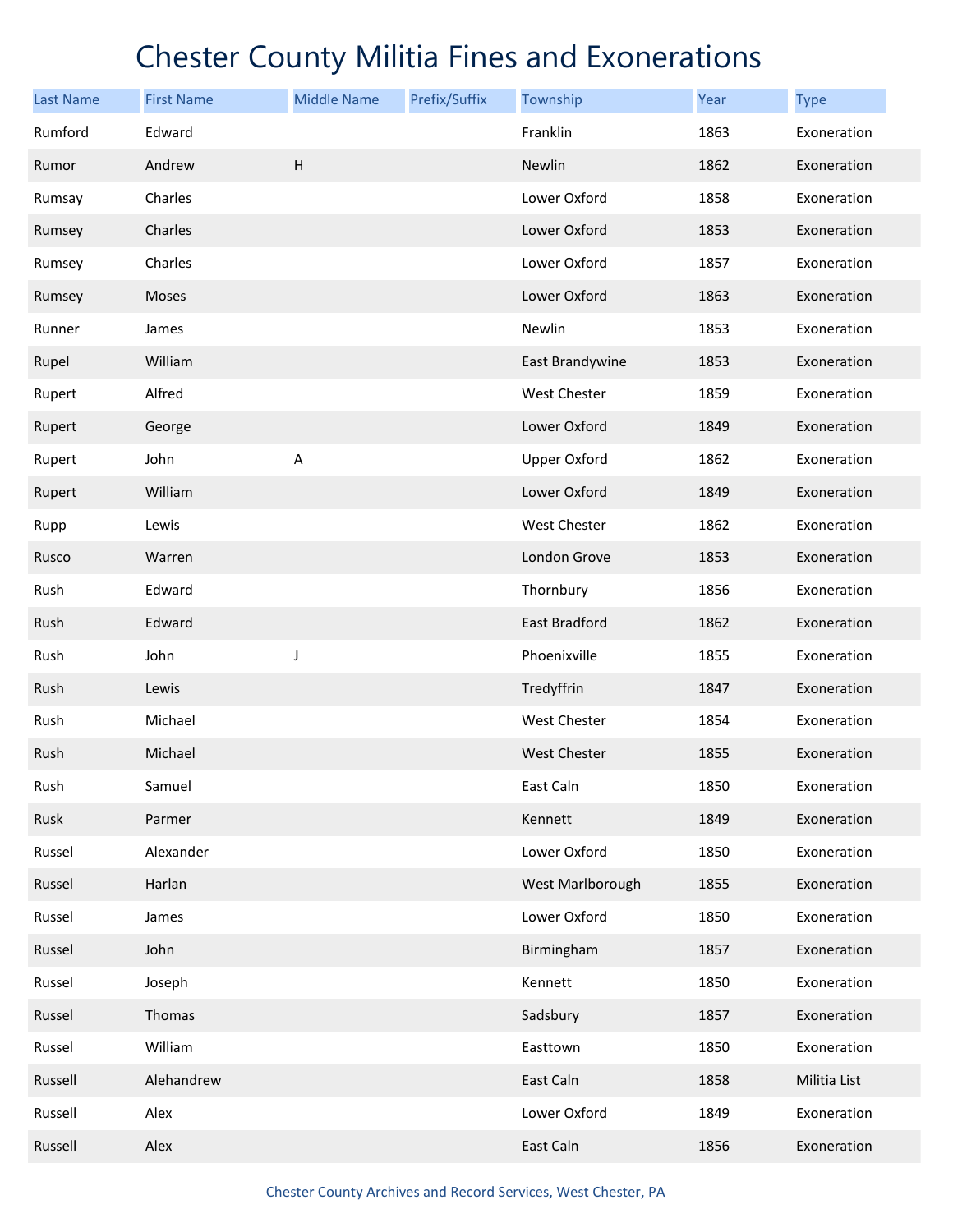| <b>Last Name</b> | <b>First Name</b> | <b>Middle Name</b> | Prefix/Suffix | Township            | Year | <b>Type</b>  |
|------------------|-------------------|--------------------|---------------|---------------------|------|--------------|
| Rumford          | Edward            |                    |               | Franklin            | 1863 | Exoneration  |
| Rumor            | Andrew            | $\sf H$            |               | Newlin              | 1862 | Exoneration  |
| Rumsay           | Charles           |                    |               | Lower Oxford        | 1858 | Exoneration  |
| Rumsey           | Charles           |                    |               | Lower Oxford        | 1853 | Exoneration  |
| Rumsey           | Charles           |                    |               | Lower Oxford        | 1857 | Exoneration  |
| Rumsey           | Moses             |                    |               | Lower Oxford        | 1863 | Exoneration  |
| Runner           | James             |                    |               | Newlin              | 1853 | Exoneration  |
| Rupel            | William           |                    |               | East Brandywine     | 1853 | Exoneration  |
| Rupert           | Alfred            |                    |               | West Chester        | 1859 | Exoneration  |
| Rupert           | George            |                    |               | Lower Oxford        | 1849 | Exoneration  |
| Rupert           | John              | A                  |               | <b>Upper Oxford</b> | 1862 | Exoneration  |
| Rupert           | William           |                    |               | Lower Oxford        | 1849 | Exoneration  |
| Rupp             | Lewis             |                    |               | West Chester        | 1862 | Exoneration  |
| Rusco            | Warren            |                    |               | London Grove        | 1853 | Exoneration  |
| Rush             | Edward            |                    |               | Thornbury           | 1856 | Exoneration  |
| Rush             | Edward            |                    |               | East Bradford       | 1862 | Exoneration  |
| Rush             | John              | J                  |               | Phoenixville        | 1855 | Exoneration  |
| Rush             | Lewis             |                    |               | Tredyffrin          | 1847 | Exoneration  |
| Rush             | Michael           |                    |               | West Chester        | 1854 | Exoneration  |
| Rush             | Michael           |                    |               | West Chester        | 1855 | Exoneration  |
| Rush             | Samuel            |                    |               | East Caln           | 1850 | Exoneration  |
| Rusk             | Parmer            |                    |               | Kennett             | 1849 | Exoneration  |
| Russel           | Alexander         |                    |               | Lower Oxford        | 1850 | Exoneration  |
| Russel           | Harlan            |                    |               | West Marlborough    | 1855 | Exoneration  |
| Russel           | James             |                    |               | Lower Oxford        | 1850 | Exoneration  |
| Russel           | John              |                    |               | Birmingham          | 1857 | Exoneration  |
| Russel           | Joseph            |                    |               | Kennett             | 1850 | Exoneration  |
| Russel           | Thomas            |                    |               | Sadsbury            | 1857 | Exoneration  |
| Russel           | William           |                    |               | Easttown            | 1850 | Exoneration  |
| Russell          | Alehandrew        |                    |               | East Caln           | 1858 | Militia List |
| Russell          | Alex              |                    |               | Lower Oxford        | 1849 | Exoneration  |
| Russell          | Alex              |                    |               | East Caln           | 1856 | Exoneration  |